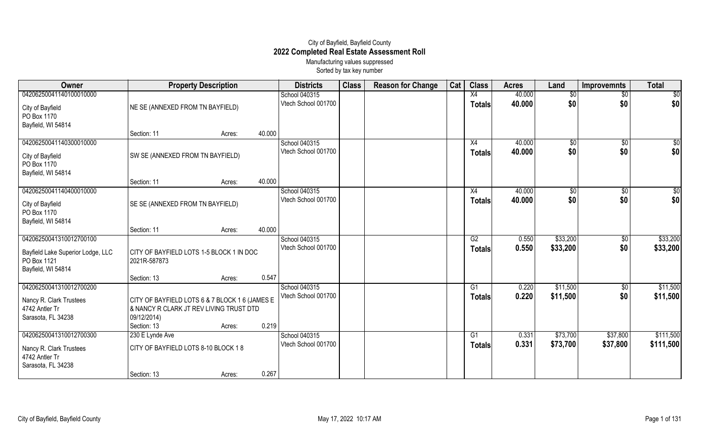## City of Bayfield, Bayfield County **2022 Completed Real Estate Assessment Roll** Manufacturing values suppressed

Sorted by tax key number

| Owner                                                                  |                                                                                           | <b>Property Description</b> |        | <b>Districts</b>                     | <b>Class</b> | <b>Reason for Change</b> | Cat | <b>Class</b>    | <b>Acres</b> | Land        | <b>Improvemnts</b> | <b>Total</b>    |
|------------------------------------------------------------------------|-------------------------------------------------------------------------------------------|-----------------------------|--------|--------------------------------------|--------------|--------------------------|-----|-----------------|--------------|-------------|--------------------|-----------------|
| 04206250041140100010000                                                |                                                                                           |                             |        | School 040315                        |              |                          |     | X4              | 40.000       | \$0         | $\overline{60}$    | $\overline{50}$ |
| City of Bayfield                                                       | NE SE (ANNEXED FROM TN BAYFIELD)                                                          |                             |        | Vtech School 001700                  |              |                          |     | <b>Totals</b>   | 40.000       | \$0         | \$0                | \$0             |
| PO Box 1170                                                            |                                                                                           |                             |        |                                      |              |                          |     |                 |              |             |                    |                 |
| Bayfield, WI 54814                                                     |                                                                                           |                             |        |                                      |              |                          |     |                 |              |             |                    |                 |
|                                                                        | Section: 11                                                                               | Acres:                      | 40.000 |                                      |              |                          |     |                 |              |             |                    |                 |
| 04206250041140300010000                                                |                                                                                           |                             |        | School 040315                        |              |                          |     | X4              | 40.000       | $\sqrt{$0}$ | $\overline{60}$    | $\overline{50}$ |
| City of Bayfield<br>PO Box 1170<br>Bayfield, WI 54814                  | SW SE (ANNEXED FROM TN BAYFIELD)                                                          |                             |        | Vtech School 001700                  |              |                          |     | <b>Totals</b>   | 40.000       | \$0         | \$0                | \$0             |
|                                                                        | Section: 11                                                                               | Acres:                      | 40.000 |                                      |              |                          |     |                 |              |             |                    |                 |
| 04206250041140400010000                                                |                                                                                           |                             |        | School 040315                        |              |                          |     | $\overline{X4}$ | 40.000       | $\sqrt{$0}$ | $\overline{50}$    | \$0             |
| City of Bayfield<br>PO Box 1170                                        | SE SE (ANNEXED FROM TN BAYFIELD)                                                          |                             |        | Vtech School 001700                  |              |                          |     | <b>Totals</b>   | 40.000       | \$0         | \$0                | \$0             |
| Bayfield, WI 54814                                                     |                                                                                           |                             |        |                                      |              |                          |     |                 |              |             |                    |                 |
|                                                                        | Section: 11                                                                               | Acres:                      | 40.000 |                                      |              |                          |     |                 |              |             |                    |                 |
| 04206250041310012700100                                                |                                                                                           |                             |        | School 040315<br>Vtech School 001700 |              |                          |     | G2              | 0.550        | \$33,200    | $\sqrt{6}$<br>\$0  | \$33,200        |
| Bayfield Lake Superior Lodge, LLC<br>PO Box 1121<br>Bayfield, WI 54814 | CITY OF BAYFIELD LOTS 1-5 BLOCK 1 IN DOC<br>2021R-587873                                  |                             |        |                                      |              |                          |     | <b>Totals</b>   | 0.550        | \$33,200    |                    | \$33,200        |
|                                                                        | Section: 13                                                                               | Acres:                      | 0.547  |                                      |              |                          |     |                 |              |             |                    |                 |
| 04206250041310012700200                                                |                                                                                           |                             |        | School 040315                        |              |                          |     | G1              | 0.220        | \$11,500    | \$0                | \$11,500        |
|                                                                        |                                                                                           |                             |        | Vtech School 001700                  |              |                          |     | <b>Totals</b>   | 0.220        | \$11,500    | \$0                | \$11,500        |
| Nancy R. Clark Trustees<br>4742 Antler Tr                              | CITY OF BAYFIELD LOTS 6 & 7 BLOCK 1 6 (JAMES E<br>& NANCY R CLARK JT REV LIVING TRUST DTD |                             |        |                                      |              |                          |     |                 |              |             |                    |                 |
| Sarasota, FL 34238                                                     | 09/12/2014)                                                                               |                             |        |                                      |              |                          |     |                 |              |             |                    |                 |
|                                                                        | Section: 13                                                                               | Acres:                      | 0.219  |                                      |              |                          |     |                 |              |             |                    |                 |
| 04206250041310012700300                                                | 230 E Lynde Ave                                                                           |                             |        | School 040315                        |              |                          |     | G1              | 0.331        | \$73,700    | \$37,800           | \$111,500       |
| Nancy R. Clark Trustees<br>4742 Antler Tr                              | CITY OF BAYFIELD LOTS 8-10 BLOCK 18                                                       |                             |        | Vtech School 001700                  |              |                          |     | <b>Totals</b>   | 0.331        | \$73,700    | \$37,800           | \$111,500       |
| Sarasota, FL 34238                                                     |                                                                                           |                             |        |                                      |              |                          |     |                 |              |             |                    |                 |
|                                                                        | Section: 13                                                                               | Acres:                      | 0.267  |                                      |              |                          |     |                 |              |             |                    |                 |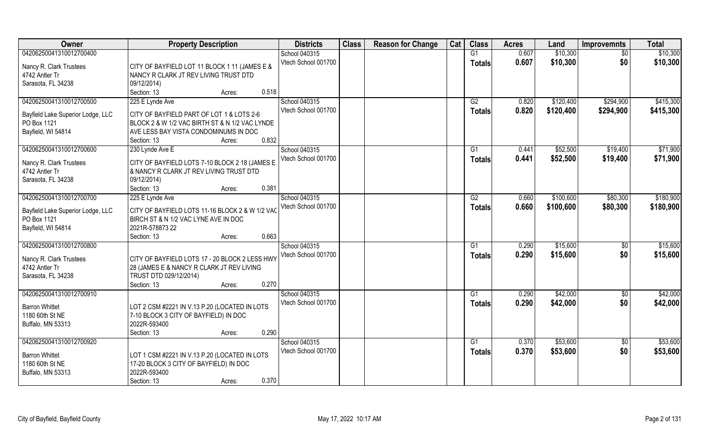| Owner                             | <b>Property Description</b>                     | <b>Districts</b>    | <b>Class</b> | <b>Reason for Change</b> | Cat | <b>Class</b>    | <b>Acres</b> | Land      | <b>Improvemnts</b> | <b>Total</b> |
|-----------------------------------|-------------------------------------------------|---------------------|--------------|--------------------------|-----|-----------------|--------------|-----------|--------------------|--------------|
| 04206250041310012700400           |                                                 | School 040315       |              |                          |     | G1              | 0.607        | \$10,300  | $\sqrt{6}$         | \$10,300     |
| Nancy R. Clark Trustees           | CITY OF BAYFIELD LOT 11 BLOCK 1 11 (JAMES E &   | Vtech School 001700 |              |                          |     | <b>Totals</b>   | 0.607        | \$10,300  | \$0                | \$10,300     |
| 4742 Antler Tr                    | NANCY R CLARK JT REV LIVING TRUST DTD           |                     |              |                          |     |                 |              |           |                    |              |
| Sarasota, FL 34238                | 09/12/2014)                                     |                     |              |                          |     |                 |              |           |                    |              |
|                                   | 0.518<br>Section: 13<br>Acres:                  |                     |              |                          |     |                 |              |           |                    |              |
| 04206250041310012700500           | 225 E Lynde Ave                                 | School 040315       |              |                          |     | $\overline{G2}$ | 0.820        | \$120,400 | \$294,900          | \$415,300    |
|                                   |                                                 | Vtech School 001700 |              |                          |     | <b>Totals</b>   | 0.820        | \$120,400 | \$294,900          | \$415,300    |
| Bayfield Lake Superior Lodge, LLC | CITY OF BAYFIELD PART OF LOT 1 & LOTS 2-6       |                     |              |                          |     |                 |              |           |                    |              |
| PO Box 1121                       | BLOCK 2 & W 1/2 VAC BIRTH ST & N 1/2 VAC LYNDE  |                     |              |                          |     |                 |              |           |                    |              |
| Bayfield, WI 54814                | AVE LESS BAY VISTA CONDOMINUMS IN DOC           |                     |              |                          |     |                 |              |           |                    |              |
|                                   | 0.832<br>Section: 13<br>Acres:                  |                     |              |                          |     |                 |              |           |                    |              |
| 04206250041310012700600           | 230 Lynde Ave E                                 | School 040315       |              |                          |     | G1              | 0.441        | \$52,500  | \$19,400           | \$71,900     |
| Nancy R. Clark Trustees           | CITY OF BAYFIELD LOTS 7-10 BLOCK 2 18 (JAMES E  | Vtech School 001700 |              |                          |     | <b>Totals</b>   | 0.441        | \$52,500  | \$19,400           | \$71,900     |
| 4742 Antler Tr                    | & NANCY R CLARK JT REV LIVING TRUST DTD         |                     |              |                          |     |                 |              |           |                    |              |
| Sarasota, FL 34238                | 09/12/2014)                                     |                     |              |                          |     |                 |              |           |                    |              |
|                                   | 0.381<br>Section: 13<br>Acres:                  |                     |              |                          |     |                 |              |           |                    |              |
| 04206250041310012700700           | 225 E Lynde Ave                                 | School 040315       |              |                          |     | G2              | 0.660        | \$100,600 | \$80,300           | \$180,900    |
|                                   |                                                 | Vtech School 001700 |              |                          |     | <b>Totals</b>   | 0.660        | \$100,600 | \$80,300           | \$180,900    |
| Bayfield Lake Superior Lodge, LLC | CITY OF BAYFIELD LOTS 11-16 BLOCK 2 & W 1/2 VAC |                     |              |                          |     |                 |              |           |                    |              |
| PO Box 1121                       | BIRCH ST & N 1/2 VAC LYNE AVE IN DOC            |                     |              |                          |     |                 |              |           |                    |              |
| Bayfield, WI 54814                | 2021R-578873 22                                 |                     |              |                          |     |                 |              |           |                    |              |
|                                   | 0.663<br>Section: 13<br>Acres:                  |                     |              |                          |     |                 |              |           |                    |              |
| 04206250041310012700800           |                                                 | School 040315       |              |                          |     | $\overline{G1}$ | 0.290        | \$15,600  | $\overline{50}$    | \$15,600     |
| Nancy R. Clark Trustees           | CITY OF BAYFIELD LOTS 17 - 20 BLOCK 2 LESS HWY  | Vtech School 001700 |              |                          |     | <b>Totals</b>   | 0.290        | \$15,600  | \$0                | \$15,600     |
| 4742 Antler Tr                    | 28 (JAMES E & NANCY R CLARK JT REV LIVING       |                     |              |                          |     |                 |              |           |                    |              |
| Sarasota, FL 34238                | TRUST DTD 029/12/2014)                          |                     |              |                          |     |                 |              |           |                    |              |
|                                   | 0.270<br>Section: 13<br>Acres:                  |                     |              |                          |     |                 |              |           |                    |              |
| 04206250041310012700910           |                                                 | School 040315       |              |                          |     | G1              | 0.290        | \$42,000  | \$0                | \$42,000     |
|                                   |                                                 | Vtech School 001700 |              |                          |     | <b>Totals</b>   | 0.290        | \$42,000  | \$0                | \$42,000     |
| <b>Barron Whittet</b>             | LOT 2 CSM #2221 IN V.13 P.20 (LOCATED IN LOTS   |                     |              |                          |     |                 |              |           |                    |              |
| 1180 60th St NE                   | 7-10 BLOCK 3 CITY OF BAYFIELD) IN DOC           |                     |              |                          |     |                 |              |           |                    |              |
| Buffalo, MN 53313                 | 2022R-593400                                    |                     |              |                          |     |                 |              |           |                    |              |
|                                   | 0.290<br>Section: 13<br>Acres:                  |                     |              |                          |     |                 |              |           |                    |              |
| 04206250041310012700920           |                                                 | School 040315       |              |                          |     | G1              | 0.370        | \$53,600  | $\sqrt{6}$         | \$53,600     |
| <b>Barron Whittet</b>             | LOT 1 CSM #2221 IN V.13 P.20 (LOCATED IN LOTS   | Vtech School 001700 |              |                          |     | <b>Totals</b>   | 0.370        | \$53,600  | \$0                | \$53,600     |
| 1180 60th St NE                   | 17-20 BLOCK 3 CITY OF BAYFIELD) IN DOC          |                     |              |                          |     |                 |              |           |                    |              |
| Buffalo, MN 53313                 | 2022R-593400                                    |                     |              |                          |     |                 |              |           |                    |              |
|                                   | 0.370<br>Section: 13<br>Acres:                  |                     |              |                          |     |                 |              |           |                    |              |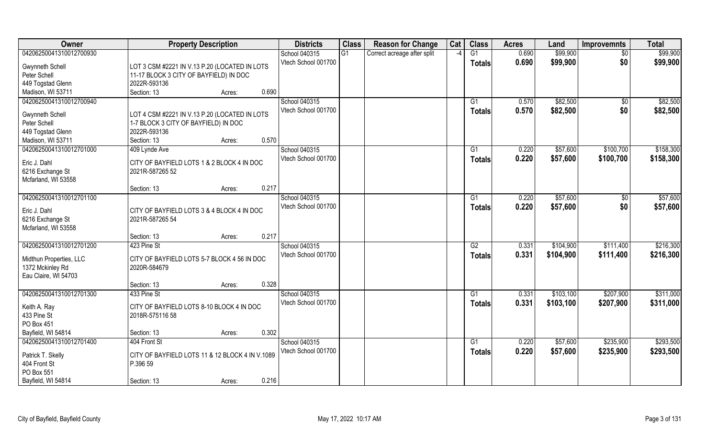| Owner                                        | <b>Property Description</b>                          | <b>Districts</b>    | <b>Class</b> | <b>Reason for Change</b>    | Cat           | <b>Class</b>    | <b>Acres</b> | Land      | <b>Improvemnts</b> | <b>Total</b> |
|----------------------------------------------|------------------------------------------------------|---------------------|--------------|-----------------------------|---------------|-----------------|--------------|-----------|--------------------|--------------|
| 04206250041310012700930                      |                                                      | School 040315       | G1           | Correct acreage after split | $\mathcal{L}$ | G1              | 0.690        | \$99,900  | $\sqrt{$0}$        | \$99,900     |
| <b>Gwynneth Schell</b>                       | LOT 3 CSM #2221 IN V.13 P.20 (LOCATED IN LOTS        | Vtech School 001700 |              |                             |               | <b>Totals</b>   | 0.690        | \$99,900  | \$0                | \$99,900     |
| Peter Schell                                 | 11-17 BLOCK 3 CITY OF BAYFIELD) IN DOC               |                     |              |                             |               |                 |              |           |                    |              |
| 449 Togstad Glenn                            | 2022R-593136                                         |                     |              |                             |               |                 |              |           |                    |              |
| Madison, WI 53711                            | 0.690<br>Section: 13<br>Acres:                       |                     |              |                             |               |                 |              |           |                    |              |
| 04206250041310012700940                      |                                                      | School 040315       |              |                             |               | $\overline{G1}$ | 0.570        | \$82,500  | \$0                | \$82,500     |
|                                              |                                                      | Vtech School 001700 |              |                             |               | Totals          | 0.570        | \$82,500  | \$0                | \$82,500     |
| Gwynneth Schell                              | LOT 4 CSM #2221 IN V.13 P.20 (LOCATED IN LOTS        |                     |              |                             |               |                 |              |           |                    |              |
| Peter Schell                                 | 1-7 BLOCK 3 CITY OF BAYFIELD) IN DOC<br>2022R-593136 |                     |              |                             |               |                 |              |           |                    |              |
| 449 Togstad Glenn                            | 0.570<br>Section: 13                                 |                     |              |                             |               |                 |              |           |                    |              |
| Madison, WI 53711<br>04206250041310012701000 | Acres:                                               | School 040315       |              |                             |               |                 | 0.220        | \$57,600  |                    | \$158,300    |
|                                              | 409 Lynde Ave                                        | Vtech School 001700 |              |                             |               | G1              |              |           | \$100,700          |              |
| Eric J. Dahl                                 | CITY OF BAYFIELD LOTS 1 & 2 BLOCK 4 IN DOC           |                     |              |                             |               | <b>Totals</b>   | 0.220        | \$57,600  | \$100,700          | \$158,300    |
| 6216 Exchange St                             | 2021R-587265 52                                      |                     |              |                             |               |                 |              |           |                    |              |
| Mcfarland, WI 53558                          |                                                      |                     |              |                             |               |                 |              |           |                    |              |
|                                              | 0.217<br>Section: 13<br>Acres:                       |                     |              |                             |               |                 |              |           |                    |              |
| 04206250041310012701100                      |                                                      | School 040315       |              |                             |               | G1              | 0.220        | \$57,600  | $\sqrt[6]{3}$      | \$57,600     |
| Eric J. Dahl                                 | CITY OF BAYFIELD LOTS 3 & 4 BLOCK 4 IN DOC           | Vtech School 001700 |              |                             |               | <b>Totals</b>   | 0.220        | \$57,600  | \$0                | \$57,600     |
| 6216 Exchange St                             | 2021R-587265 54                                      |                     |              |                             |               |                 |              |           |                    |              |
| Mcfarland, WI 53558                          |                                                      |                     |              |                             |               |                 |              |           |                    |              |
|                                              | 0.217<br>Section: 13<br>Acres:                       |                     |              |                             |               |                 |              |           |                    |              |
| 04206250041310012701200                      | 423 Pine St                                          | School 040315       |              |                             |               | $\overline{G2}$ | 0.331        | \$104,900 | \$111,400          | \$216,300    |
|                                              |                                                      | Vtech School 001700 |              |                             |               |                 | 0.331        | \$104,900 | \$111,400          | \$216,300    |
| Midthun Properties, LLC                      | CITY OF BAYFIELD LOTS 5-7 BLOCK 4 56 IN DOC          |                     |              |                             |               | <b>Totals</b>   |              |           |                    |              |
| 1372 Mckinley Rd                             | 2020R-584679                                         |                     |              |                             |               |                 |              |           |                    |              |
| Eau Claire, WI 54703                         |                                                      |                     |              |                             |               |                 |              |           |                    |              |
|                                              | 0.328<br>Section: 13<br>Acres:                       |                     |              |                             |               |                 |              |           |                    |              |
| 04206250041310012701300                      | 433 Pine St                                          | School 040315       |              |                             |               | G1              | 0.331        | \$103,100 | \$207,900          | \$311,000    |
| Keith A. Ray                                 | CITY OF BAYFIELD LOTS 8-10 BLOCK 4 IN DOC            | Vtech School 001700 |              |                             |               | <b>Totals</b>   | 0.331        | \$103,100 | \$207,900          | \$311,000    |
| 433 Pine St                                  | 2018R-575116 58                                      |                     |              |                             |               |                 |              |           |                    |              |
| PO Box 451                                   |                                                      |                     |              |                             |               |                 |              |           |                    |              |
| Bayfield, WI 54814                           | 0.302<br>Section: 13<br>Acres:                       |                     |              |                             |               |                 |              |           |                    |              |
| 04206250041310012701400                      | 404 Front St                                         | School 040315       |              |                             |               | G1              | 0.220        | \$57,600  | \$235,900          | \$293,500    |
|                                              |                                                      | Vtech School 001700 |              |                             |               | <b>Totals</b>   | 0.220        | \$57,600  | \$235,900          | \$293,500    |
| Patrick T. Skelly                            | CITY OF BAYFIELD LOTS 11 & 12 BLOCK 4 IN V.1089      |                     |              |                             |               |                 |              |           |                    |              |
| 404 Front St                                 | P.396 59                                             |                     |              |                             |               |                 |              |           |                    |              |
| PO Box 551                                   |                                                      |                     |              |                             |               |                 |              |           |                    |              |
| Bayfield, WI 54814                           | 0.216<br>Section: 13<br>Acres:                       |                     |              |                             |               |                 |              |           |                    |              |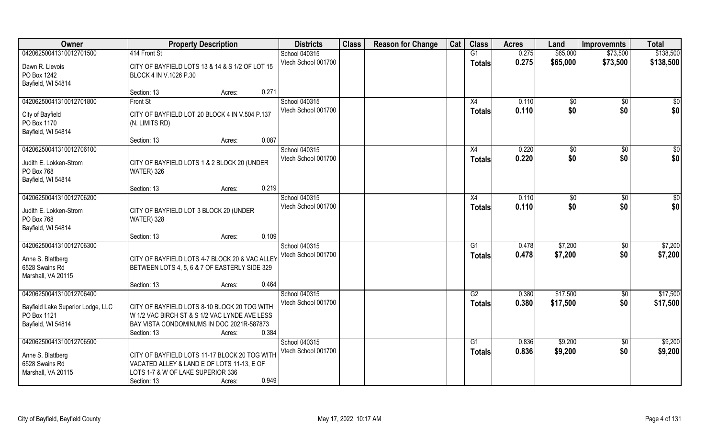| Owner                               | <b>Property Description</b>                                                                 | <b>Districts</b>                     | <b>Class</b> | <b>Reason for Change</b> | Cat | <b>Class</b>   | <b>Acres</b> | Land         | <b>Improvemnts</b> | <b>Total</b> |
|-------------------------------------|---------------------------------------------------------------------------------------------|--------------------------------------|--------------|--------------------------|-----|----------------|--------------|--------------|--------------------|--------------|
| 04206250041310012701500             | 414 Front St                                                                                | School 040315                        |              |                          |     | G1             | 0.275        | \$65,000     | \$73,500           | \$138,500    |
| Dawn R. Lievois                     | CITY OF BAYFIELD LOTS 13 & 14 & S 1/2 OF LOT 15                                             | Vtech School 001700                  |              |                          |     | <b>Totals</b>  | 0.275        | \$65,000     | \$73,500           | \$138,500    |
| PO Box 1242                         | BLOCK 4 IN V.1026 P.30                                                                      |                                      |              |                          |     |                |              |              |                    |              |
| Bayfield, WI 54814                  |                                                                                             |                                      |              |                          |     |                |              |              |                    |              |
|                                     | 0.271<br>Section: 13<br>Acres:                                                              |                                      |              |                          |     |                |              |              |                    |              |
| 04206250041310012701800             | Front St                                                                                    | School 040315                        |              |                          |     | X4             | 0.110        | $\sqrt[6]{}$ | \$0                | \$0          |
| City of Bayfield                    | CITY OF BAYFIELD LOT 20 BLOCK 4 IN V.504 P.137                                              | Vtech School 001700                  |              |                          |     | Totals         | 0.110        | \$0          | \$0                | \$0          |
| PO Box 1170                         | (N. LIMITS RD)                                                                              |                                      |              |                          |     |                |              |              |                    |              |
| Bayfield, WI 54814                  |                                                                                             |                                      |              |                          |     |                |              |              |                    |              |
|                                     | 0.087<br>Section: 13<br>Acres:                                                              |                                      |              |                          |     |                |              |              |                    |              |
| 04206250041310012706100             |                                                                                             | School 040315                        |              |                          |     | X4             | 0.220        | \$0          | $\sqrt[6]{30}$     | \$0          |
| Judith E. Lokken-Strom              | CITY OF BAYFIELD LOTS 1 & 2 BLOCK 20 (UNDER                                                 | Vtech School 001700                  |              |                          |     | <b>Totals</b>  | 0.220        | \$0          | \$0                | \$0          |
| PO Box 768                          | WATER) 326                                                                                  |                                      |              |                          |     |                |              |              |                    |              |
| Bayfield, WI 54814                  |                                                                                             |                                      |              |                          |     |                |              |              |                    |              |
|                                     | 0.219<br>Section: 13<br>Acres:                                                              |                                      |              |                          |     |                |              |              |                    |              |
| 04206250041310012706200             |                                                                                             | School 040315<br>Vtech School 001700 |              |                          |     | X4             | 0.110        | \$0          | \$0                | \$0          |
| Judith E. Lokken-Strom              | CITY OF BAYFIELD LOT 3 BLOCK 20 (UNDER                                                      |                                      |              |                          |     | <b>Totals</b>  | 0.110        | \$0          | \$0                | \$0          |
| PO Box 768                          | WATER) 328                                                                                  |                                      |              |                          |     |                |              |              |                    |              |
| Bayfield, WI 54814                  |                                                                                             |                                      |              |                          |     |                |              |              |                    |              |
| 04206250041310012706300             | 0.109<br>Section: 13<br>Acres:                                                              | School 040315                        |              |                          |     | G <sub>1</sub> | 0.478        | \$7,200      | \$0                | \$7,200      |
|                                     |                                                                                             | Vtech School 001700                  |              |                          |     | <b>Totals</b>  | 0.478        | \$7,200      | \$0                | \$7,200      |
| Anne S. Blattberg                   | CITY OF BAYFIELD LOTS 4-7 BLOCK 20 & VAC ALLEY                                              |                                      |              |                          |     |                |              |              |                    |              |
| 6528 Swains Rd                      | BETWEEN LOTS 4, 5, 6 & 7 OF EASTERLY SIDE 329                                               |                                      |              |                          |     |                |              |              |                    |              |
| Marshall, VA 20115                  | 0.464<br>Section: 13                                                                        |                                      |              |                          |     |                |              |              |                    |              |
| 04206250041310012706400             | Acres:                                                                                      | School 040315                        |              |                          |     | G2             | 0.380        | \$17,500     | \$0                | \$17,500     |
|                                     |                                                                                             | Vtech School 001700                  |              |                          |     | <b>Totals</b>  | 0.380        | \$17,500     | \$0                | \$17,500     |
| Bayfield Lake Superior Lodge, LLC   | CITY OF BAYFIELD LOTS 8-10 BLOCK 20 TOG WITH                                                |                                      |              |                          |     |                |              |              |                    |              |
| PO Box 1121<br>Bayfield, WI 54814   | W 1/2 VAC BIRCH ST & S 1/2 VAC LYNDE AVE LESS<br>BAY VISTA CONDOMINUMS IN DOC 2021R-587873  |                                      |              |                          |     |                |              |              |                    |              |
|                                     | 0.384<br>Section: 13<br>Acres:                                                              |                                      |              |                          |     |                |              |              |                    |              |
| 04206250041310012706500             |                                                                                             | School 040315                        |              |                          |     | G1             | 0.836        | \$9,200      | $\sqrt{6}$         | \$9,200      |
|                                     |                                                                                             | Vtech School 001700                  |              |                          |     | <b>Totals</b>  | 0.836        | \$9,200      | \$0                | \$9,200      |
| Anne S. Blattberg<br>6528 Swains Rd | CITY OF BAYFIELD LOTS 11-17 BLOCK 20 TOG WITH<br>VACATED ALLEY & LAND E OF LOTS 11-13, E OF |                                      |              |                          |     |                |              |              |                    |              |
| Marshall, VA 20115                  | LOTS 1-7 & W OF LAKE SUPERIOR 336                                                           |                                      |              |                          |     |                |              |              |                    |              |
|                                     | 0.949<br>Section: 13<br>Acres:                                                              |                                      |              |                          |     |                |              |              |                    |              |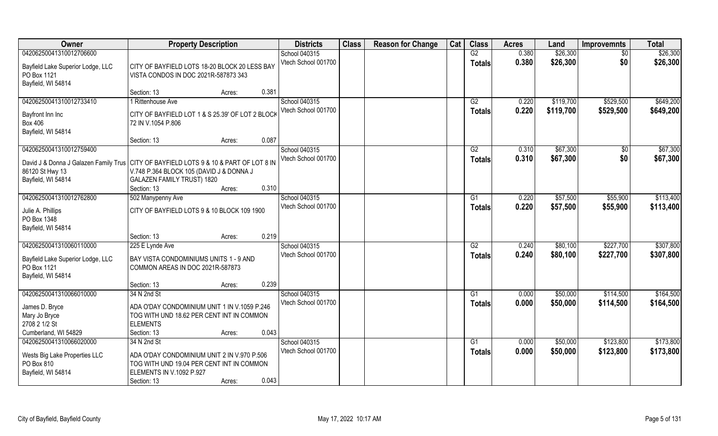| Owner                                                                                                      | <b>Property Description</b>                      |        |       | <b>Districts</b>    | <b>Class</b> | <b>Reason for Change</b> | Cat | <b>Class</b>    | <b>Acres</b> | Land      | <b>Improvemnts</b> | <b>Total</b> |
|------------------------------------------------------------------------------------------------------------|--------------------------------------------------|--------|-------|---------------------|--------------|--------------------------|-----|-----------------|--------------|-----------|--------------------|--------------|
| 04206250041310012706600                                                                                    |                                                  |        |       | School 040315       |              |                          |     | G2              | 0.380        | \$26,300  | \$0                | \$26,300     |
| Bayfield Lake Superior Lodge, LLC                                                                          | CITY OF BAYFIELD LOTS 18-20 BLOCK 20 LESS BAY    |        |       | Vtech School 001700 |              |                          |     | <b>Totals</b>   | 0.380        | \$26,300  | \$0                | \$26,300     |
| PO Box 1121                                                                                                | VISTA CONDOS IN DOC 2021R-587873 343             |        |       |                     |              |                          |     |                 |              |           |                    |              |
| Bayfield, WI 54814                                                                                         |                                                  |        |       |                     |              |                          |     |                 |              |           |                    |              |
|                                                                                                            | Section: 13                                      | Acres: | 0.381 |                     |              |                          |     |                 |              |           |                    |              |
| 04206250041310012733410                                                                                    | 1 Rittenhouse Ave                                |        |       | School 040315       |              |                          |     | G2              | 0.220        | \$119,700 | \$529,500          | \$649,200    |
| Bayfront Inn Inc                                                                                           | CITY OF BAYFIELD LOT 1 & S 25.39' OF LOT 2 BLOCK |        |       | Vtech School 001700 |              |                          |     | <b>Totals</b>   | 0.220        | \$119,700 | \$529,500          | \$649,200    |
| <b>Box 406</b>                                                                                             | 72 IN V.1054 P.806                               |        |       |                     |              |                          |     |                 |              |           |                    |              |
| Bayfield, WI 54814                                                                                         |                                                  |        |       |                     |              |                          |     |                 |              |           |                    |              |
|                                                                                                            | Section: 13                                      | Acres: | 0.087 |                     |              |                          |     |                 |              |           |                    |              |
| 04206250041310012759400                                                                                    |                                                  |        |       | School 040315       |              |                          |     | G2              | 0.310        | \$67,300  | \$0                | \$67,300     |
|                                                                                                            |                                                  |        |       | Vtech School 001700 |              |                          |     | <b>Totals</b>   | 0.310        | \$67,300  | \$0                | \$67,300     |
| David J & Donna J Galazen Family Trus   CITY OF BAYFIELD LOTS 9 & 10 & PART OF LOT 8 IN<br>86120 St Hwy 13 | V.748 P.364 BLOCK 105 (DAVID J & DONNA J         |        |       |                     |              |                          |     |                 |              |           |                    |              |
| Bayfield, WI 54814                                                                                         | GALAZEN FAMILY TRUST) 1820                       |        |       |                     |              |                          |     |                 |              |           |                    |              |
|                                                                                                            | Section: 13                                      | Acres: | 0.310 |                     |              |                          |     |                 |              |           |                    |              |
| 04206250041310012762800                                                                                    | 502 Manypenny Ave                                |        |       | School 040315       |              |                          |     | G1              | 0.220        | \$57,500  | \$55,900           | \$113,400    |
|                                                                                                            |                                                  |        |       | Vtech School 001700 |              |                          |     | <b>Totals</b>   | 0.220        | \$57,500  | \$55,900           | \$113,400    |
| Julie A. Phillips                                                                                          | CITY OF BAYFIELD LOTS 9 & 10 BLOCK 109 1900      |        |       |                     |              |                          |     |                 |              |           |                    |              |
| PO Box 1348                                                                                                |                                                  |        |       |                     |              |                          |     |                 |              |           |                    |              |
| Bayfield, WI 54814                                                                                         | Section: 13                                      |        | 0.219 |                     |              |                          |     |                 |              |           |                    |              |
| 04206250041310060110000                                                                                    | 225 E Lynde Ave                                  | Acres: |       | School 040315       |              |                          |     | $\overline{G2}$ | 0.240        | \$80,100  | \$227,700          | \$307,800    |
|                                                                                                            |                                                  |        |       | Vtech School 001700 |              |                          |     |                 | 0.240        | \$80,100  | \$227,700          | \$307,800    |
| Bayfield Lake Superior Lodge, LLC                                                                          | BAY VISTA CONDOMINIUMS UNITS 1 - 9 AND           |        |       |                     |              |                          |     | <b>Totals</b>   |              |           |                    |              |
| PO Box 1121                                                                                                | COMMON AREAS IN DOC 2021R-587873                 |        |       |                     |              |                          |     |                 |              |           |                    |              |
| Bayfield, WI 54814                                                                                         |                                                  |        |       |                     |              |                          |     |                 |              |           |                    |              |
|                                                                                                            | Section: 13                                      | Acres: | 0.239 |                     |              |                          |     |                 |              |           |                    |              |
| 04206250041310066010000                                                                                    | 34 N 2nd St                                      |        |       | School 040315       |              |                          |     | G1              | 0.000        | \$50,000  | \$114,500          | \$164,500    |
| James D. Bryce                                                                                             | ADA O'DAY CONDOMINIUM UNIT 1 IN V.1059 P.246     |        |       | Vtech School 001700 |              |                          |     | <b>Totals</b>   | 0.000        | \$50,000  | \$114,500          | \$164,500    |
| Mary Jo Bryce                                                                                              | TOG WITH UND 18.62 PER CENT INT IN COMMON        |        |       |                     |              |                          |     |                 |              |           |                    |              |
| 2708 2 1/2 St                                                                                              | <b>ELEMENTS</b>                                  |        |       |                     |              |                          |     |                 |              |           |                    |              |
| Cumberland, WI 54829                                                                                       | Section: 13                                      | Acres: | 0.043 |                     |              |                          |     |                 |              |           |                    |              |
| 04206250041310066020000                                                                                    | 34 N 2nd St                                      |        |       | School 040315       |              |                          |     | G1              | 0.000        | \$50,000  | \$123,800          | \$173,800    |
| Wests Big Lake Properties LLC                                                                              | ADA O'DAY CONDOMINIUM UNIT 2 IN V.970 P.506      |        |       | Vtech School 001700 |              |                          |     | <b>Totals</b>   | 0.000        | \$50,000  | \$123,800          | \$173,800    |
| PO Box 810                                                                                                 | TOG WITH UND 19.04 PER CENT INT IN COMMON        |        |       |                     |              |                          |     |                 |              |           |                    |              |
| Bayfield, WI 54814                                                                                         | ELEMENTS IN V.1092 P.927                         |        |       |                     |              |                          |     |                 |              |           |                    |              |
|                                                                                                            | Section: 13                                      | Acres: | 0.043 |                     |              |                          |     |                 |              |           |                    |              |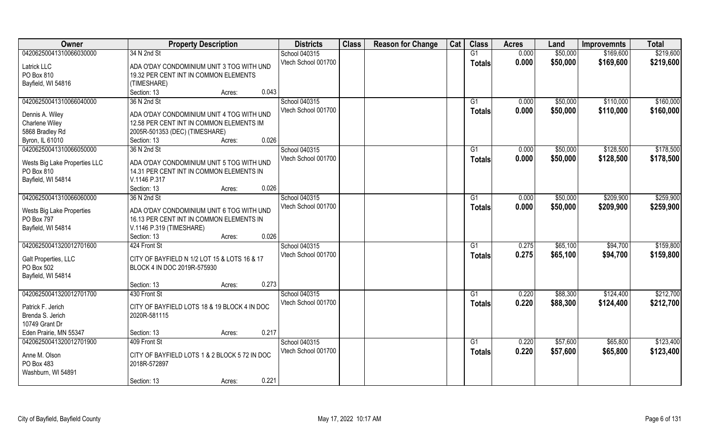| Owner                         | <b>Property Description</b>                   | <b>Districts</b>    | <b>Class</b> | <b>Reason for Change</b> | Cat | <b>Class</b>  | <b>Acres</b> | Land     | <b>Improvemnts</b> | <b>Total</b> |
|-------------------------------|-----------------------------------------------|---------------------|--------------|--------------------------|-----|---------------|--------------|----------|--------------------|--------------|
| 04206250041310066030000       | 34 N 2nd St                                   | School 040315       |              |                          |     | G1            | 0.000        | \$50,000 | \$169,600          | \$219,600    |
| Latrick LLC                   | ADA O'DAY CONDOMINIUM UNIT 3 TOG WITH UND     | Vtech School 001700 |              |                          |     | <b>Totals</b> | 0.000        | \$50,000 | \$169,600          | \$219,600    |
| PO Box 810                    | 19.32 PER CENT INT IN COMMON ELEMENTS         |                     |              |                          |     |               |              |          |                    |              |
| Bayfield, WI 54816            | (TIMESHARE)                                   |                     |              |                          |     |               |              |          |                    |              |
|                               | 0.043<br>Section: 13<br>Acres:                |                     |              |                          |     |               |              |          |                    |              |
| 04206250041310066040000       | 36 N 2nd St                                   | School 040315       |              |                          |     | G1            | 0.000        | \$50,000 | \$110,000          | \$160,000    |
|                               |                                               | Vtech School 001700 |              |                          |     | Totals        | 0.000        | \$50,000 | \$110,000          | \$160,000    |
| Dennis A. Wiley               | ADA O'DAY CONDOMINIUM UNIT 4 TOG WITH UND     |                     |              |                          |     |               |              |          |                    |              |
| Charlene Wiley                | 12.58 PER CENT INT IN COMMON ELEMENTS IM      |                     |              |                          |     |               |              |          |                    |              |
| 5868 Bradley Rd               | 2005R-501353 (DEC) (TIMESHARE)                |                     |              |                          |     |               |              |          |                    |              |
| Byron, IL 61010               | 0.026<br>Section: 13<br>Acres:                |                     |              |                          |     |               |              |          |                    |              |
| 04206250041310066050000       | 36 N 2nd St                                   | School 040315       |              |                          |     | G1            | 0.000        | \$50,000 | \$128,500          | \$178,500    |
| Wests Big Lake Properties LLC | ADA O'DAY CONDOMINIUM UNIT 5 TOG WITH UND     | Vtech School 001700 |              |                          |     | <b>Totals</b> | 0.000        | \$50,000 | \$128,500          | \$178,500    |
| PO Box 810                    | 14.31 PER CENT INT IN COMMON ELEMENTS IN      |                     |              |                          |     |               |              |          |                    |              |
| Bayfield, WI 54814            | V.1146 P.317                                  |                     |              |                          |     |               |              |          |                    |              |
|                               | 0.026<br>Section: 13<br>Acres:                |                     |              |                          |     |               |              |          |                    |              |
| 04206250041310066060000       | 36 N 2nd St                                   | School 040315       |              |                          |     | G1            | 0.000        | \$50,000 | \$209,900          | \$259,900    |
|                               |                                               | Vtech School 001700 |              |                          |     | <b>Totals</b> | 0.000        | \$50,000 | \$209,900          | \$259,900    |
| Wests Big Lake Properties     | ADA O'DAY CONDOMINIUM UNIT 6 TOG WITH UND     |                     |              |                          |     |               |              |          |                    |              |
| PO Box 797                    | 16.13 PER CENT INT IN COMMON ELEMENTS IN      |                     |              |                          |     |               |              |          |                    |              |
| Bayfield, WI 54814            | V.1146 P.319 (TIMESHARE)                      |                     |              |                          |     |               |              |          |                    |              |
|                               | 0.026<br>Section: 13<br>Acres:                |                     |              |                          |     |               |              |          |                    |              |
| 04206250041320012701600       | 424 Front St                                  | School 040315       |              |                          |     | G1            | 0.275        | \$65,100 | \$94,700           | \$159,800    |
| Galt Properties, LLC          | CITY OF BAYFIELD N 1/2 LOT 15 & LOTS 16 & 17  | Vtech School 001700 |              |                          |     | <b>Totals</b> | 0.275        | \$65,100 | \$94,700           | \$159,800    |
| PO Box 502                    | BLOCK 4 IN DOC 2019R-575930                   |                     |              |                          |     |               |              |          |                    |              |
| Bayfield, WI 54814            |                                               |                     |              |                          |     |               |              |          |                    |              |
|                               | 0.273<br>Section: 13<br>Acres:                |                     |              |                          |     |               |              |          |                    |              |
| 04206250041320012701700       | 430 Front St                                  | School 040315       |              |                          |     | G1            | 0.220        | \$88,300 | \$124,400          | \$212,700    |
|                               |                                               | Vtech School 001700 |              |                          |     | <b>Totals</b> | 0.220        | \$88,300 | \$124,400          | \$212,700    |
| Patrick F. Jerich             | CITY OF BAYFIELD LOTS 18 & 19 BLOCK 4 IN DOC  |                     |              |                          |     |               |              |          |                    |              |
| Brenda S. Jerich              | 2020R-581115                                  |                     |              |                          |     |               |              |          |                    |              |
| 10749 Grant Dr                |                                               |                     |              |                          |     |               |              |          |                    |              |
| Eden Prairie, MN 55347        | 0.217<br>Section: 13<br>Acres:                |                     |              |                          |     |               |              |          |                    |              |
| 04206250041320012701900       | 409 Front St                                  | School 040315       |              |                          |     | G1            | 0.220        | \$57,600 | \$65,800           | \$123,400    |
| Anne M. Olson                 | CITY OF BAYFIELD LOTS 1 & 2 BLOCK 5 72 IN DOC | Vtech School 001700 |              |                          |     | Totals        | 0.220        | \$57,600 | \$65,800           | \$123,400    |
| PO Box 483                    | 2018R-572897                                  |                     |              |                          |     |               |              |          |                    |              |
| Washburn, WI 54891            |                                               |                     |              |                          |     |               |              |          |                    |              |
|                               | 0.221<br>Section: 13<br>Acres:                |                     |              |                          |     |               |              |          |                    |              |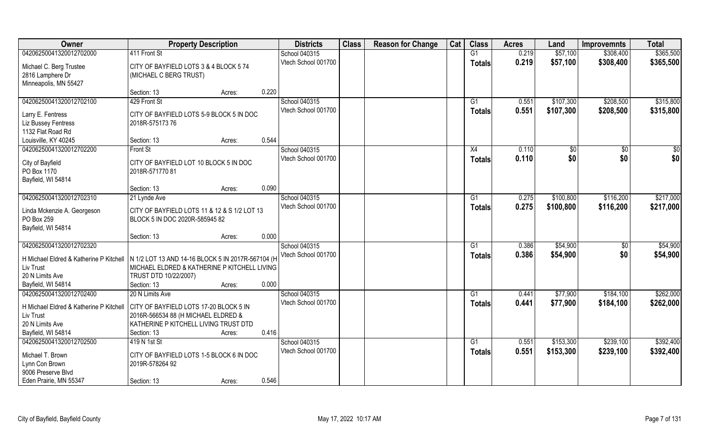| Owner                                                                                                                    | <b>Property Description</b>                                                                                                               |        | <b>Districts</b>                              | <b>Class</b> | <b>Reason for Change</b> | Cat | <b>Class</b>  | <b>Acres</b>   | Land                   | <b>Improvemnts</b>     | <b>Total</b>           |
|--------------------------------------------------------------------------------------------------------------------------|-------------------------------------------------------------------------------------------------------------------------------------------|--------|-----------------------------------------------|--------------|--------------------------|-----|---------------|----------------|------------------------|------------------------|------------------------|
| 04206250041320012702000                                                                                                  | 411 Front St                                                                                                                              |        | School 040315                                 |              |                          |     | G1            | 0.219          | \$57,100               | \$308,400              | \$365,500              |
| Michael C. Berg Trustee<br>2816 Lamphere Dr<br>Minneapolis, MN 55427                                                     | CITY OF BAYFIELD LOTS 3 & 4 BLOCK 5 74<br>(MICHAEL C BERG TRUST)                                                                          |        | Vtech School 001700                           |              |                          |     | <b>Totals</b> | 0.219          | \$57,100               | \$308,400              | \$365,500              |
|                                                                                                                          | Section: 13                                                                                                                               | Acres: | 0.220                                         |              |                          |     |               |                |                        |                        |                        |
| 04206250041320012702100                                                                                                  | 429 Front St                                                                                                                              |        | School 040315<br>Vtech School 001700          |              |                          |     | G1            | 0.551<br>0.551 | \$107,300<br>\$107,300 | \$208,500<br>\$208,500 | \$315,800<br>\$315,800 |
| Larry E. Fentress<br>Liz Bussey Fentress<br>1132 Flat Road Rd                                                            | CITY OF BAYFIELD LOTS 5-9 BLOCK 5 IN DOC<br>2018R-57517376                                                                                |        |                                               |              |                          |     | Totals        |                |                        |                        |                        |
| Louisville, KY 40245                                                                                                     | Section: 13                                                                                                                               | Acres: | 0.544                                         |              |                          |     |               |                |                        |                        |                        |
| 04206250041320012702200                                                                                                  | Front St                                                                                                                                  |        | School 040315                                 |              |                          |     | X4            | 0.110          | \$0                    | $\sqrt{50}$            | $\sqrt{50}$            |
| City of Bayfield<br>PO Box 1170<br>Bayfield, WI 54814                                                                    | CITY OF BAYFIELD LOT 10 BLOCK 5 IN DOC<br>2018R-57177081                                                                                  |        | Vtech School 001700                           |              |                          |     | <b>Totals</b> | 0.110          | \$0                    | \$0                    | \$0                    |
|                                                                                                                          | Section: 13                                                                                                                               | Acres: | 0.090                                         |              |                          |     |               |                |                        |                        |                        |
| 04206250041320012702310                                                                                                  | 21 Lynde Ave                                                                                                                              |        | School 040315                                 |              |                          |     | G1            | 0.275          | \$100,800              | \$116,200              | \$217,000              |
| Linda Mckenzie A. Georgeson<br>PO Box 259<br>Bayfield, WI 54814                                                          | CITY OF BAYFIELD LOTS 11 & 12 & S 1/2 LOT 13<br>BLOCK 5 IN DOC 2020R-585945 82                                                            |        | Vtech School 001700                           |              |                          |     | Totals        | 0.275          | \$100,800              | \$116,200              | \$217,000              |
|                                                                                                                          | Section: 13                                                                                                                               | Acres: | 0.000                                         |              |                          |     |               |                |                        |                        |                        |
| 04206250041320012702320<br>H Michael Eldred & Katherine P Kitchell<br>Liv Trust<br>20 N Limits Ave<br>Bayfield, WI 54814 | N 1/2 LOT 13 AND 14-16 BLOCK 5 IN 2017R-567104 (H<br>MICHAEL ELDRED & KATHERINE P KITCHELL LIVING<br>TRUST DTD 10/22/2007)<br>Section: 13 | Acres: | School 040315<br>Vtech School 001700<br>0.000 |              |                          |     | G1<br>Totals  | 0.386<br>0.386 | \$54,900<br>\$54,900   | $\sqrt[6]{30}$<br>\$0  | \$54,900<br>\$54,900   |
| 04206250041320012702400                                                                                                  | 20 N Limits Ave                                                                                                                           |        | School 040315                                 |              |                          |     | G1            | 0.441          | \$77,900               | \$184,100              | \$262,000              |
| H Michael Eldred & Katherine P Kitchell<br>Liv Trust<br>20 N Limits Ave<br>Bayfield, WI 54814                            | CITY OF BAYFIELD LOTS 17-20 BLOCK 5 IN<br>2016R-566534 88 (H MICHAEL ELDRED &<br>KATHERINE P KITCHELL LIVING TRUST DTD<br>Section: 13     | Acres: | Vtech School 001700<br>0.416                  |              |                          |     | <b>Totals</b> | 0.441          | \$77,900               | \$184,100              | \$262,000              |
| 04206250041320012702500                                                                                                  | 419 N 1st St                                                                                                                              |        | School 040315                                 |              |                          |     | G1            | 0.551          | \$153,300              | \$239,100              | \$392,400              |
| Michael T. Brown<br>Lynn Con Brown<br>9006 Preserve Blvd                                                                 | CITY OF BAYFIELD LOTS 1-5 BLOCK 6 IN DOC<br>2019R-578264 92                                                                               |        | Vtech School 001700                           |              |                          |     | <b>Totals</b> | 0.551          | \$153,300              | \$239,100              | \$392,400              |
| Eden Prairie, MN 55347                                                                                                   | Section: 13                                                                                                                               | Acres: | 0.546                                         |              |                          |     |               |                |                        |                        |                        |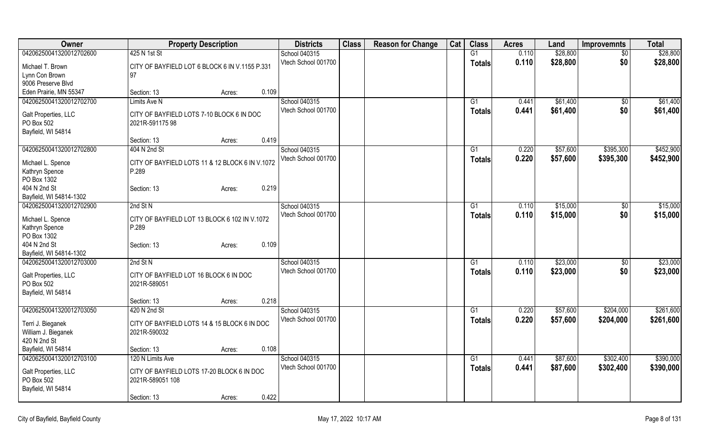| Owner                                              | <b>Property Description</b>                     | <b>Districts</b>    | <b>Class</b> | <b>Reason for Change</b> | Cat | <b>Class</b>    | <b>Acres</b> | Land     | <b>Improvemnts</b> | <b>Total</b> |
|----------------------------------------------------|-------------------------------------------------|---------------------|--------------|--------------------------|-----|-----------------|--------------|----------|--------------------|--------------|
| 04206250041320012702600                            | 425 N 1st St                                    | School 040315       |              |                          |     | G1              | 0.110        | \$28,800 | $\sqrt{$0}$        | \$28,800     |
| Michael T. Brown                                   | CITY OF BAYFIELD LOT 6 BLOCK 6 IN V.1155 P.331  | Vtech School 001700 |              |                          |     | <b>Totals</b>   | 0.110        | \$28,800 | \$0                | \$28,800     |
| Lynn Con Brown                                     | 97                                              |                     |              |                          |     |                 |              |          |                    |              |
| 9006 Preserve Blvd                                 |                                                 |                     |              |                          |     |                 |              |          |                    |              |
| Eden Prairie, MN 55347                             | 0.109<br>Section: 13<br>Acres:                  |                     |              |                          |     |                 |              |          |                    |              |
| 04206250041320012702700                            | <b>Limits Ave N</b>                             | School 040315       |              |                          |     | G1              | 0.441        | \$61,400 | $\overline{30}$    | \$61,400     |
| Galt Properties, LLC                               | CITY OF BAYFIELD LOTS 7-10 BLOCK 6 IN DOC       | Vtech School 001700 |              |                          |     | <b>Totals</b>   | 0.441        | \$61,400 | \$0                | \$61,400     |
| PO Box 502                                         | 2021R-59117598                                  |                     |              |                          |     |                 |              |          |                    |              |
| Bayfield, WI 54814                                 |                                                 |                     |              |                          |     |                 |              |          |                    |              |
|                                                    | 0.419<br>Section: 13<br>Acres:                  |                     |              |                          |     |                 |              |          |                    |              |
| 04206250041320012702800                            | 404 N 2nd St                                    | School 040315       |              |                          |     | G1              | 0.220        | \$57,600 | \$395,300          | \$452,900    |
|                                                    |                                                 | Vtech School 001700 |              |                          |     | <b>Totals</b>   | 0.220        | \$57,600 | \$395,300          | \$452,900    |
| Michael L. Spence                                  | CITY OF BAYFIELD LOTS 11 & 12 BLOCK 6 IN V.1072 |                     |              |                          |     |                 |              |          |                    |              |
| Kathryn Spence                                     | P.289                                           |                     |              |                          |     |                 |              |          |                    |              |
| PO Box 1302                                        |                                                 |                     |              |                          |     |                 |              |          |                    |              |
| 404 N 2nd St                                       | 0.219<br>Section: 13<br>Acres:                  |                     |              |                          |     |                 |              |          |                    |              |
| Bayfield, WI 54814-1302<br>04206250041320012702900 | 2nd St N                                        | School 040315       |              |                          |     | G1              | 0.110        | \$15,000 | \$0                | \$15,000     |
|                                                    |                                                 | Vtech School 001700 |              |                          |     |                 | 0.110        | \$15,000 | \$0                | \$15,000     |
| Michael L. Spence                                  | CITY OF BAYFIELD LOT 13 BLOCK 6 102 IN V.1072   |                     |              |                          |     | <b>Totals</b>   |              |          |                    |              |
| Kathryn Spence                                     | P.289                                           |                     |              |                          |     |                 |              |          |                    |              |
| PO Box 1302                                        |                                                 |                     |              |                          |     |                 |              |          |                    |              |
| 404 N 2nd St                                       | 0.109<br>Section: 13<br>Acres:                  |                     |              |                          |     |                 |              |          |                    |              |
| Bayfield, WI 54814-1302                            |                                                 |                     |              |                          |     |                 |              |          |                    |              |
| 04206250041320012703000                            | 2nd St N                                        | School 040315       |              |                          |     | G1              | 0.110        | \$23,000 | $\sqrt[6]{3}$      | \$23,000     |
| Galt Properties, LLC                               | CITY OF BAYFIELD LOT 16 BLOCK 6 IN DOC          | Vtech School 001700 |              |                          |     | <b>Totals</b>   | 0.110        | \$23,000 | \$0                | \$23,000     |
| PO Box 502                                         | 2021R-589051                                    |                     |              |                          |     |                 |              |          |                    |              |
| Bayfield, WI 54814                                 |                                                 |                     |              |                          |     |                 |              |          |                    |              |
|                                                    | 0.218<br>Section: 13<br>Acres:                  |                     |              |                          |     |                 |              |          |                    |              |
| 04206250041320012703050                            | 420 N 2nd St                                    | School 040315       |              |                          |     | $\overline{G1}$ | 0.220        | \$57,600 | \$204,000          | \$261,600    |
| Terri J. Bieganek                                  | CITY OF BAYFIELD LOTS 14 & 15 BLOCK 6 IN DOC    | Vtech School 001700 |              |                          |     | <b>Totals</b>   | 0.220        | \$57,600 | \$204,000          | \$261,600    |
| William J. Bieganek                                | 2021R-590032                                    |                     |              |                          |     |                 |              |          |                    |              |
| 420 N 2nd St                                       |                                                 |                     |              |                          |     |                 |              |          |                    |              |
| Bayfield, WI 54814                                 | 0.108<br>Section: 13<br>Acres:                  |                     |              |                          |     |                 |              |          |                    |              |
| 04206250041320012703100                            | 120 N Limits Ave                                | School 040315       |              |                          |     | G1              | 0.441        | \$87,600 | \$302,400          | \$390,000    |
|                                                    |                                                 | Vtech School 001700 |              |                          |     | <b>Totals</b>   | 0.441        | \$87,600 | \$302,400          | \$390,000    |
| Galt Properties, LLC                               | CITY OF BAYFIELD LOTS 17-20 BLOCK 6 IN DOC      |                     |              |                          |     |                 |              |          |                    |              |
| PO Box 502                                         | 2021R-589051 108                                |                     |              |                          |     |                 |              |          |                    |              |
| Bayfield, WI 54814                                 |                                                 |                     |              |                          |     |                 |              |          |                    |              |
|                                                    | 0.422<br>Section: 13<br>Acres:                  |                     |              |                          |     |                 |              |          |                    |              |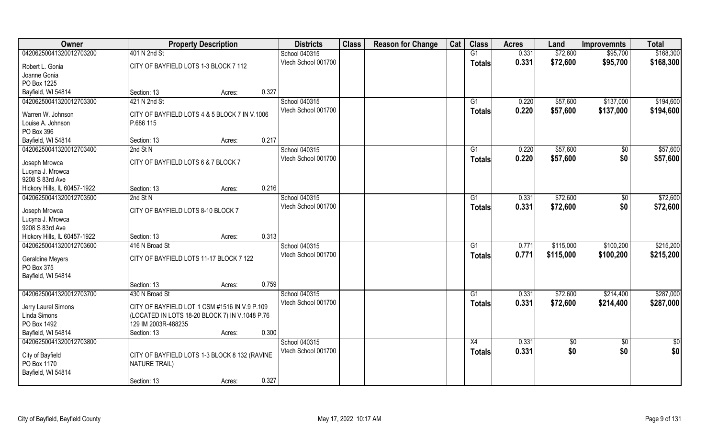| Owner                                           |                                                                       | <b>Property Description</b> |       | <b>Districts</b>                     | <b>Class</b> | <b>Reason for Change</b> | Cat | <b>Class</b>  | <b>Acres</b> | Land            | <b>Improvemnts</b> | <b>Total</b> |
|-------------------------------------------------|-----------------------------------------------------------------------|-----------------------------|-------|--------------------------------------|--------------|--------------------------|-----|---------------|--------------|-----------------|--------------------|--------------|
| 04206250041320012703200                         | 401 N 2nd St                                                          |                             |       | School 040315                        |              |                          |     | G1            | 0.331        | \$72,600        | \$95,700           | \$168,300    |
| Robert L. Gonia<br>Joanne Gonia                 | CITY OF BAYFIELD LOTS 1-3 BLOCK 7 112                                 |                             |       | Vtech School 001700                  |              |                          |     | <b>Totals</b> | 0.331        | \$72,600        | \$95,700           | \$168,300    |
| PO Box 1225                                     |                                                                       |                             |       |                                      |              |                          |     |               |              |                 |                    |              |
| Bayfield, WI 54814                              | Section: 13                                                           | Acres:                      | 0.327 |                                      |              |                          |     |               |              |                 |                    |              |
| 04206250041320012703300                         | 421 N 2nd St                                                          |                             |       | School 040315<br>Vtech School 001700 |              |                          |     | G1            | 0.220        | \$57,600        | \$137,000          | \$194,600    |
| Warren W. Johnson                               | CITY OF BAYFIELD LOTS 4 & 5 BLOCK 7 IN V.1006                         |                             |       |                                      |              |                          |     | Totals        | 0.220        | \$57,600        | \$137,000          | \$194,600    |
| Louise A. Johnson<br>PO Box 396                 | P.686 115                                                             |                             |       |                                      |              |                          |     |               |              |                 |                    |              |
| Bayfield, WI 54814                              | Section: 13                                                           | Acres:                      | 0.217 |                                      |              |                          |     |               |              |                 |                    |              |
| 04206250041320012703400                         | 2nd St N                                                              |                             |       | School 040315                        |              |                          |     | G1            | 0.220        | \$57,600        | \$0                | \$57,600     |
| Joseph Mrowca                                   | CITY OF BAYFIELD LOTS 6 & 7 BLOCK 7                                   |                             |       | Vtech School 001700                  |              |                          |     | <b>Totals</b> | 0.220        | \$57,600        | \$0                | \$57,600     |
| Lucyna J. Mrowca                                |                                                                       |                             |       |                                      |              |                          |     |               |              |                 |                    |              |
| 9208 S 83rd Ave<br>Hickory Hills, IL 60457-1922 | Section: 13                                                           | Acres:                      | 0.216 |                                      |              |                          |     |               |              |                 |                    |              |
| 04206250041320012703500                         | 2nd St N                                                              |                             |       | School 040315                        |              |                          |     | G1            | 0.331        | \$72,600        | $\sqrt{50}$        | \$72,600     |
|                                                 |                                                                       |                             |       | Vtech School 001700                  |              |                          |     |               | 0.331        | \$72,600        | \$0                | \$72,600     |
| Joseph Mrowca                                   | CITY OF BAYFIELD LOTS 8-10 BLOCK 7                                    |                             |       |                                      |              |                          |     | <b>Totals</b> |              |                 |                    |              |
| Lucyna J. Mrowca                                |                                                                       |                             |       |                                      |              |                          |     |               |              |                 |                    |              |
| 9208 S 83rd Ave                                 |                                                                       |                             |       |                                      |              |                          |     |               |              |                 |                    |              |
| Hickory Hills, IL 60457-1922                    | Section: 13                                                           | Acres:                      | 0.313 |                                      |              |                          |     |               |              |                 |                    |              |
| 04206250041320012703600                         | 416 N Broad St                                                        |                             |       | School 040315                        |              |                          |     | G1            | 0.771        | \$115,000       | \$100,200          | \$215,200    |
| <b>Geraldine Meyers</b>                         | CITY OF BAYFIELD LOTS 11-17 BLOCK 7 122                               |                             |       | Vtech School 001700                  |              |                          |     | <b>Totals</b> | 0.771        | \$115,000       | \$100,200          | \$215,200    |
| PO Box 375                                      |                                                                       |                             |       |                                      |              |                          |     |               |              |                 |                    |              |
| Bayfield, WI 54814                              |                                                                       |                             |       |                                      |              |                          |     |               |              |                 |                    |              |
|                                                 | Section: 13                                                           | Acres:                      | 0.759 |                                      |              |                          |     |               |              |                 |                    |              |
| 04206250041320012703700                         | 430 N Broad St                                                        |                             |       | School 040315                        |              |                          |     | G1            | 0.331        | \$72,600        | \$214,400          | \$287,000    |
| Jerry Laurel Simons                             | CITY OF BAYFIELD LOT 1 CSM #1516 IN V.9 P.109                         |                             |       | Vtech School 001700                  |              |                          |     | <b>Totals</b> | 0.331        | \$72,600        | \$214,400          | \$287,000    |
| Linda Simons                                    | (LOCATED IN LOTS 18-20 BLOCK 7) IN V.1048 P.76                        |                             |       |                                      |              |                          |     |               |              |                 |                    |              |
| PO Box 1492                                     | 129 IM 2003R-488235                                                   |                             |       |                                      |              |                          |     |               |              |                 |                    |              |
| Bayfield, WI 54814                              | Section: 13                                                           | Acres:                      | 0.300 |                                      |              |                          |     |               |              |                 |                    |              |
| 04206250041320012703800                         |                                                                       |                             |       | School 040315                        |              |                          |     | X4            | 0.331        | $\overline{50}$ | $\overline{50}$    | \$0          |
|                                                 |                                                                       |                             |       | Vtech School 001700                  |              |                          |     | <b>Totals</b> | 0.331        | \$0             | \$0                | \$0          |
| City of Bayfield<br>PO Box 1170                 | CITY OF BAYFIELD LOTS 1-3 BLOCK 8 132 (RAVINE<br><b>NATURE TRAIL)</b> |                             |       |                                      |              |                          |     |               |              |                 |                    |              |
| Bayfield, WI 54814                              |                                                                       |                             |       |                                      |              |                          |     |               |              |                 |                    |              |
|                                                 | Section: 13                                                           | Acres:                      | 0.327 |                                      |              |                          |     |               |              |                 |                    |              |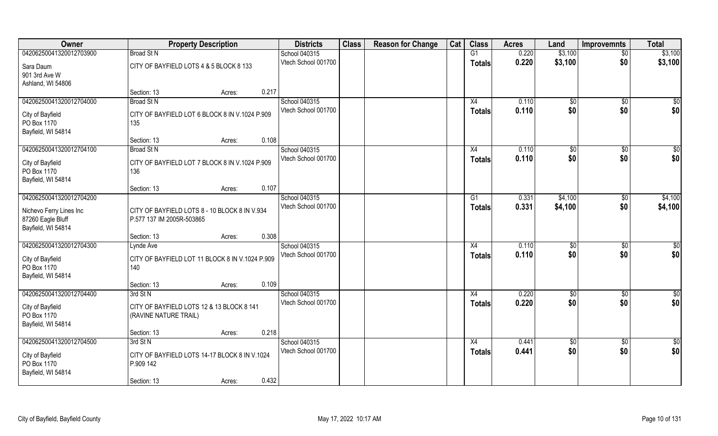| Owner                      | <b>Property Description</b>                     | <b>Districts</b>                     | <b>Class</b> | <b>Reason for Change</b> | Cat | <b>Class</b>   | <b>Acres</b> | Land          | <b>Improvemnts</b> | <b>Total</b>    |
|----------------------------|-------------------------------------------------|--------------------------------------|--------------|--------------------------|-----|----------------|--------------|---------------|--------------------|-----------------|
| 04206250041320012703900    | <b>Broad St N</b>                               | School 040315                        |              |                          |     | G1             | 0.220        | \$3,100       | $\overline{50}$    | \$3,100         |
| Sara Daum<br>901 3rd Ave W | CITY OF BAYFIELD LOTS 4 & 5 BLOCK 8 133         | Vtech School 001700                  |              |                          |     | <b>Totals</b>  | 0.220        | \$3,100       | \$0                | \$3,100         |
| Ashland, WI 54806          |                                                 |                                      |              |                          |     |                |              |               |                    |                 |
|                            | 0.217<br>Section: 13<br>Acres:                  |                                      |              |                          |     |                |              |               |                    |                 |
| 04206250041320012704000    | <b>Broad St N</b>                               | School 040315<br>Vtech School 001700 |              |                          |     | X4             | 0.110        | \$0           | \$0                | $\sqrt{50}$     |
| City of Bayfield           | CITY OF BAYFIELD LOT 6 BLOCK 8 IN V.1024 P.909  |                                      |              |                          |     | Totals         | 0.110        | \$0           | \$0                | \$0             |
| PO Box 1170                | 135                                             |                                      |              |                          |     |                |              |               |                    |                 |
| Bayfield, WI 54814         |                                                 |                                      |              |                          |     |                |              |               |                    |                 |
|                            | 0.108<br>Section: 13<br>Acres:                  |                                      |              |                          |     |                |              |               |                    |                 |
| 04206250041320012704100    | <b>Broad St N</b>                               | School 040315                        |              |                          |     | X4             | 0.110        | \$0           | $\sqrt[6]{3}$      | \$0             |
| City of Bayfield           | CITY OF BAYFIELD LOT 7 BLOCK 8 IN V.1024 P.909  | Vtech School 001700                  |              |                          |     | <b>Totals</b>  | 0.110        | \$0           | \$0                | \$0             |
| PO Box 1170                | 136                                             |                                      |              |                          |     |                |              |               |                    |                 |
| Bayfield, WI 54814         |                                                 |                                      |              |                          |     |                |              |               |                    |                 |
|                            | 0.107<br>Section: 13<br>Acres:                  |                                      |              |                          |     |                |              |               |                    |                 |
| 04206250041320012704200    |                                                 | School 040315                        |              |                          |     | G <sub>1</sub> | 0.331        | \$4,100       | \$0                | \$4,100         |
| Nichevo Ferry Lines Inc    | CITY OF BAYFIELD LOTS 8 - 10 BLOCK 8 IN V.934   | Vtech School 001700                  |              |                          |     | <b>Totals</b>  | 0.331        | \$4,100       | \$0                | \$4,100         |
| 87260 Eagle Bluff          | P.577 137 IM 2005R-503865                       |                                      |              |                          |     |                |              |               |                    |                 |
| Bayfield, WI 54814         |                                                 |                                      |              |                          |     |                |              |               |                    |                 |
|                            | 0.308<br>Section: 13<br>Acres:                  |                                      |              |                          |     |                |              |               |                    |                 |
| 04206250041320012704300    | Lynde Ave                                       | School 040315                        |              |                          |     | X4             | 0.110        | $\sqrt[6]{3}$ | \$0                | $\overline{50}$ |
| City of Bayfield           | CITY OF BAYFIELD LOT 11 BLOCK 8 IN V.1024 P.909 | Vtech School 001700                  |              |                          |     | <b>Totals</b>  | 0.110        | \$0           | \$0                | \$0             |
| PO Box 1170                | 140                                             |                                      |              |                          |     |                |              |               |                    |                 |
| Bayfield, WI 54814         |                                                 |                                      |              |                          |     |                |              |               |                    |                 |
|                            | 0.109<br>Section: 13<br>Acres:                  |                                      |              |                          |     |                |              |               |                    |                 |
| 04206250041320012704400    | 3rd St N                                        | School 040315                        |              |                          |     | X4             | 0.220        | $\sqrt{6}$    | $\sqrt{$0}$        | \$0             |
| City of Bayfield           | CITY OF BAYFIELD LOTS 12 & 13 BLOCK 8 141       | Vtech School 001700                  |              |                          |     | <b>Totals</b>  | 0.220        | \$0           | \$0                | \$0             |
| PO Box 1170                | (RAVINE NATURE TRAIL)                           |                                      |              |                          |     |                |              |               |                    |                 |
| Bayfield, WI 54814         |                                                 |                                      |              |                          |     |                |              |               |                    |                 |
|                            | 0.218<br>Section: 13<br>Acres:                  |                                      |              |                          |     |                |              |               |                    |                 |
| 04206250041320012704500    | 3rd St N                                        | School 040315                        |              |                          |     | X4             | 0.441        | \$0           | $\overline{50}$    | $\frac{6}{3}$   |
| City of Bayfield           | CITY OF BAYFIELD LOTS 14-17 BLOCK 8 IN V.1024   | Vtech School 001700                  |              |                          |     | <b>Totals</b>  | 0.441        | \$0           | \$0                | \$0             |
| PO Box 1170                | P.909 142                                       |                                      |              |                          |     |                |              |               |                    |                 |
| Bayfield, WI 54814         |                                                 |                                      |              |                          |     |                |              |               |                    |                 |
|                            | 0.432<br>Section: 13<br>Acres:                  |                                      |              |                          |     |                |              |               |                    |                 |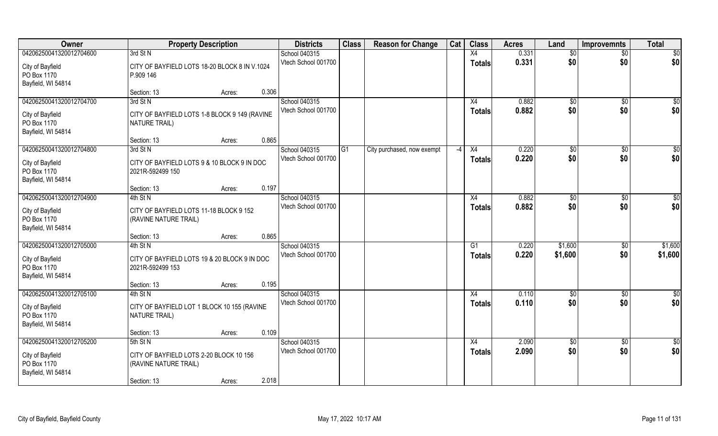| Owner                           | <b>Property Description</b>                                      | <b>Districts</b>    | <b>Class</b> | <b>Reason for Change</b>   | Cat  | <b>Class</b>  | <b>Acres</b> | Land            | <b>Improvemnts</b> | <b>Total</b>            |
|---------------------------------|------------------------------------------------------------------|---------------------|--------------|----------------------------|------|---------------|--------------|-----------------|--------------------|-------------------------|
| 04206250041320012704600         | 3rd St N                                                         | School 040315       |              |                            |      | X4            | 0.331        | $\overline{50}$ | $\overline{30}$    | \$0                     |
| City of Bayfield<br>PO Box 1170 | CITY OF BAYFIELD LOTS 18-20 BLOCK 8 IN V.1024<br>P.909 146       | Vtech School 001700 |              |                            |      | <b>Totals</b> | 0.331        | \$0             | \$0                | \$0                     |
| Bayfield, WI 54814              | 0.306                                                            |                     |              |                            |      |               |              |                 |                    |                         |
| 04206250041320012704700         | Section: 13<br>Acres:<br>3rd St N                                | School 040315       |              |                            |      | X4            | 0.882        |                 |                    |                         |
|                                 |                                                                  | Vtech School 001700 |              |                            |      |               | 0.882        | \$0<br>\$0      | $\overline{50}$    | $\overline{\$0}$<br>\$0 |
| City of Bayfield                | CITY OF BAYFIELD LOTS 1-8 BLOCK 9 149 (RAVINE                    |                     |              |                            |      | Totals        |              |                 | \$0                |                         |
| PO Box 1170                     | <b>NATURE TRAIL)</b>                                             |                     |              |                            |      |               |              |                 |                    |                         |
| Bayfield, WI 54814              |                                                                  |                     |              |                            |      |               |              |                 |                    |                         |
|                                 | 0.865<br>Section: 13<br>Acres:                                   |                     |              |                            |      |               |              |                 |                    |                         |
| 04206250041320012704800         | 3rd St N                                                         | School 040315       | G1           | City purchased, now exempt | $-4$ | X4            | 0.220        | \$0             | $\sqrt[6]{30}$     | $\overline{50}$         |
| City of Bayfield                | CITY OF BAYFIELD LOTS 9 & 10 BLOCK 9 IN DOC                      | Vtech School 001700 |              |                            |      | <b>Totals</b> | 0.220        | \$0             | \$0                | \$0                     |
| PO Box 1170                     | 2021R-592499 150                                                 |                     |              |                            |      |               |              |                 |                    |                         |
| Bayfield, WI 54814              |                                                                  |                     |              |                            |      |               |              |                 |                    |                         |
|                                 | 0.197<br>Section: 13<br>Acres:                                   |                     |              |                            |      |               |              |                 |                    |                         |
| 04206250041320012704900         | 4th St N                                                         | School 040315       |              |                            |      | X4            | 0.882        | \$0             | $\sqrt[6]{3}$      | \$0                     |
| City of Bayfield                | CITY OF BAYFIELD LOTS 11-18 BLOCK 9 152                          | Vtech School 001700 |              |                            |      | Totals        | 0.882        | \$0             | \$0                | \$0                     |
| PO Box 1170                     | (RAVINE NATURE TRAIL)                                            |                     |              |                            |      |               |              |                 |                    |                         |
| Bayfield, WI 54814              |                                                                  |                     |              |                            |      |               |              |                 |                    |                         |
|                                 | 0.865<br>Section: 13<br>Acres:                                   |                     |              |                            |      |               |              |                 |                    |                         |
| 04206250041320012705000         | 4th St N                                                         | School 040315       |              |                            |      | G1            | 0.220        | \$1,600         | $\sqrt[6]{}$       | \$1,600                 |
| City of Bayfield                | CITY OF BAYFIELD LOTS 19 & 20 BLOCK 9 IN DOC                     | Vtech School 001700 |              |                            |      | <b>Totals</b> | 0.220        | \$1,600         | \$0                | \$1,600                 |
| PO Box 1170                     | 2021R-592499 153                                                 |                     |              |                            |      |               |              |                 |                    |                         |
| Bayfield, WI 54814              |                                                                  |                     |              |                            |      |               |              |                 |                    |                         |
|                                 | 0.195<br>Section: 13<br>Acres:                                   |                     |              |                            |      |               |              |                 |                    |                         |
| 04206250041320012705100         | 4th St N                                                         | School 040315       |              |                            |      | X4            | 0.110        | $\sqrt{6}$      | \$0                | $\overline{50}$         |
| City of Bayfield                | CITY OF BAYFIELD LOT 1 BLOCK 10 155 (RAVINE                      | Vtech School 001700 |              |                            |      | <b>Totals</b> | 0.110        | \$0             | \$0                | \$0                     |
| PO Box 1170                     | NATURE TRAIL)                                                    |                     |              |                            |      |               |              |                 |                    |                         |
| Bayfield, WI 54814              |                                                                  |                     |              |                            |      |               |              |                 |                    |                         |
|                                 | 0.109<br>Section: 13<br>Acres:                                   |                     |              |                            |      |               |              |                 |                    |                         |
| 04206250041320012705200         | 5th St N                                                         | School 040315       |              |                            |      | X4            | 2.090        | \$0             | $\sqrt{$0}$        | $\overline{\$0}$        |
|                                 |                                                                  | Vtech School 001700 |              |                            |      | Totals        | 2.090        | \$0             | \$0                | \$0                     |
| City of Bayfield<br>PO Box 1170 | CITY OF BAYFIELD LOTS 2-20 BLOCK 10 156<br>(RAVINE NATURE TRAIL) |                     |              |                            |      |               |              |                 |                    |                         |
| Bayfield, WI 54814              |                                                                  |                     |              |                            |      |               |              |                 |                    |                         |
|                                 | 2.018<br>Section: 13<br>Acres:                                   |                     |              |                            |      |               |              |                 |                    |                         |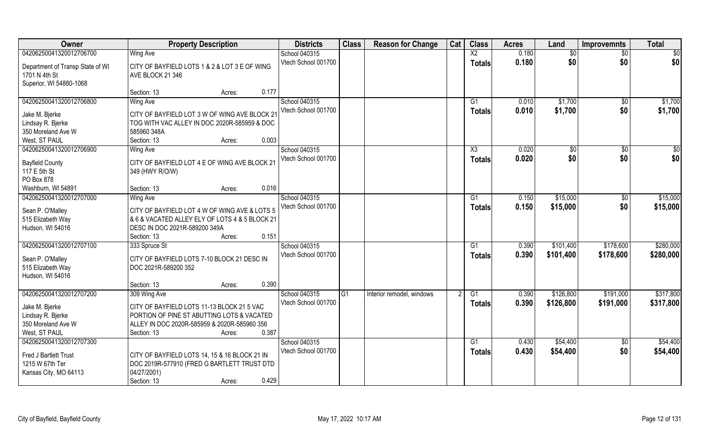| Owner                            | <b>Property Description</b>                    | <b>Districts</b>    | <b>Class</b> | <b>Reason for Change</b>  | Cat | <b>Class</b>           | <b>Acres</b> | Land         | <b>Improvemnts</b> | <b>Total</b> |
|----------------------------------|------------------------------------------------|---------------------|--------------|---------------------------|-----|------------------------|--------------|--------------|--------------------|--------------|
| 04206250041320012706700          | <b>Wing Ave</b>                                | School 040315       |              |                           |     | $\overline{\text{X2}}$ | 0.180        | \$0          | \$0                | \$0          |
| Department of Transp State of WI | CITY OF BAYFIELD LOTS 1 & 2 & LOT 3 E OF WING  | Vtech School 001700 |              |                           |     | <b>Totals</b>          | 0.180        | \$0          | \$0                | \$0          |
| 1701 N 4th St                    | AVE BLOCK 21 346                               |                     |              |                           |     |                        |              |              |                    |              |
| Superior, WI 54880-1068          |                                                |                     |              |                           |     |                        |              |              |                    |              |
|                                  | 0.177<br>Section: 13<br>Acres:                 |                     |              |                           |     |                        |              |              |                    |              |
| 04206250041320012706800          | Wing Ave                                       | School 040315       |              |                           |     | G1                     | 0.010        | \$1,700      | $\sqrt{$0}$        | \$1,700      |
| Jake M. Bjerke                   | CITY OF BAYFIELD LOT 3 W OF WING AVE BLOCK 21  | Vtech School 001700 |              |                           |     | <b>Totals</b>          | 0.010        | \$1,700      | \$0                | \$1,700      |
| Lindsay R. Bjerke                | TOG WITH VAC ALLEY IN DOC 2020R-585959 & DOC   |                     |              |                           |     |                        |              |              |                    |              |
| 350 Moreland Ave W               | 585960 348A                                    |                     |              |                           |     |                        |              |              |                    |              |
| West, ST PAUL                    | 0.003<br>Section: 13<br>Acres:                 |                     |              |                           |     |                        |              |              |                    |              |
| 04206250041320012706900          | <b>Wing Ave</b>                                | School 040315       |              |                           |     | $\overline{\text{X3}}$ | 0.020        | $\sqrt[6]{}$ | $\sqrt[6]{}$       | \$0          |
| <b>Bayfield County</b>           | CITY OF BAYFIELD LOT 4 E OF WING AVE BLOCK 21  | Vtech School 001700 |              |                           |     | <b>Totals</b>          | 0.020        | \$0          | \$0                | \$0          |
| 117 E 5th St                     | 349 (HWY R/O/W)                                |                     |              |                           |     |                        |              |              |                    |              |
| PO Box 878                       |                                                |                     |              |                           |     |                        |              |              |                    |              |
| Washburn, WI 54891               | 0.016<br>Section: 13<br>Acres:                 |                     |              |                           |     |                        |              |              |                    |              |
| 04206250041320012707000          | Wing Ave                                       | School 040315       |              |                           |     | G1                     | 0.150        | \$15,000     | \$0                | \$15,000     |
|                                  |                                                | Vtech School 001700 |              |                           |     | <b>Totals</b>          | 0.150        | \$15,000     | \$0                | \$15,000     |
| Sean P. O'Malley                 | CITY OF BAYFIELD LOT 4 W OF WING AVE & LOTS 5  |                     |              |                           |     |                        |              |              |                    |              |
| 515 Elizabeth Way                | & 6 & VACATED ALLEY ELY OF LOTS 4 & 5 BLOCK 21 |                     |              |                           |     |                        |              |              |                    |              |
| Hudson, WI 54016                 | DESC IN DOC 2021R-589200 349A<br>0.151         |                     |              |                           |     |                        |              |              |                    |              |
| 04206250041320012707100          | Section: 13<br>Acres:<br>333 Spruce St         | School 040315       |              |                           |     | G1                     | 0.390        | \$101,400    | \$178,600          | \$280,000    |
|                                  |                                                | Vtech School 001700 |              |                           |     |                        | 0.390        | \$101,400    | \$178,600          |              |
| Sean P. O'Malley                 | CITY OF BAYFIELD LOTS 7-10 BLOCK 21 DESC IN    |                     |              |                           |     | <b>Totals</b>          |              |              |                    | \$280,000    |
| 515 Elizabeth Way                | DOC 2021R-589200 352                           |                     |              |                           |     |                        |              |              |                    |              |
| Hudson, WI 54016                 |                                                |                     |              |                           |     |                        |              |              |                    |              |
|                                  | 0.390<br>Section: 13<br>Acres:                 |                     |              |                           |     |                        |              |              |                    |              |
| 04206250041320012707200          | 309 Wing Ave                                   | School 040315       | G1           | Interior remodel, windows |     | G1                     | 0.390        | \$126,800    | \$191,000          | \$317,800    |
| Jake M. Bjerke                   | CITY OF BAYFIELD LOTS 11-13 BLOCK 21 5 VAC     | Vtech School 001700 |              |                           |     | <b>Totals</b>          | 0.390        | \$126,800    | \$191,000          | \$317,800    |
| Lindsay R. Bjerke                | PORTION OF PINE ST ABUTTING LOTS & VACATED     |                     |              |                           |     |                        |              |              |                    |              |
| 350 Moreland Ave W               | ALLEY IN DOC 2020R-585959 & 2020R-585960 356   |                     |              |                           |     |                        |              |              |                    |              |
| West, ST PAUL                    | 0.387<br>Section: 13<br>Acres:                 |                     |              |                           |     |                        |              |              |                    |              |
| 04206250041320012707300          |                                                | School 040315       |              |                           |     | G1                     | 0.430        | \$54,400     | $\sqrt{6}$         | \$54,400     |
| Fred J Bartlett Trust            | CITY OF BAYFIELD LOTS 14, 15 & 16 BLOCK 21 IN  | Vtech School 001700 |              |                           |     | <b>Totals</b>          | 0.430        | \$54,400     | \$0                | \$54,400     |
| 1215 W 67th Ter                  | DOC 2019R-577910 (FRED G BARTLETT TRUST DTD    |                     |              |                           |     |                        |              |              |                    |              |
| Kansas City, MO 64113            | 04/27/2001)                                    |                     |              |                           |     |                        |              |              |                    |              |
|                                  | 0.429<br>Section: 13<br>Acres:                 |                     |              |                           |     |                        |              |              |                    |              |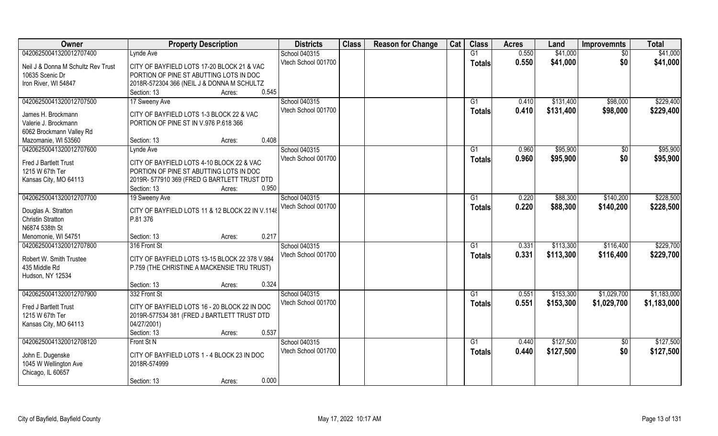| 04206250041320012707400<br>0.550<br>\$41,000<br>School 040315<br>G1<br>Lynde Ave<br>$\overline{60}$<br>Vtech School 001700<br>0.550<br>\$41,000<br>\$0<br><b>Totals</b><br>Neil J & Donna M Schultz Rev Trust<br>CITY OF BAYFIELD LOTS 17-20 BLOCK 21 & VAC<br>10635 Scenic Dr<br>PORTION OF PINE ST ABUTTING LOTS IN DOC<br>Iron River, WI 54847<br>2018R-572304 366 (NEIL J & DONNA M SCHULTZ | <b>Property Description</b>    | <b>Districts</b> | <b>Class</b> | <b>Reason for Change</b> | Cat | <b>Class</b> | <b>Acres</b> | Land | <b>Improvemnts</b> | <b>Total</b> |
|-------------------------------------------------------------------------------------------------------------------------------------------------------------------------------------------------------------------------------------------------------------------------------------------------------------------------------------------------------------------------------------------------|--------------------------------|------------------|--------------|--------------------------|-----|--------------|--------------|------|--------------------|--------------|
|                                                                                                                                                                                                                                                                                                                                                                                                 |                                |                  |              |                          |     |              |              |      |                    | \$41,000     |
|                                                                                                                                                                                                                                                                                                                                                                                                 |                                |                  |              |                          |     |              |              |      |                    | \$41,000     |
|                                                                                                                                                                                                                                                                                                                                                                                                 |                                |                  |              |                          |     |              |              |      |                    |              |
|                                                                                                                                                                                                                                                                                                                                                                                                 |                                |                  |              |                          |     |              |              |      |                    |              |
|                                                                                                                                                                                                                                                                                                                                                                                                 | 0.545<br>Section: 13<br>Acres: |                  |              |                          |     |              |              |      |                    |              |
| 04206250041320012707500<br>School 040315<br>\$131,400<br>\$98,000<br>17 Sweeny Ave<br>G1<br>0.410                                                                                                                                                                                                                                                                                               |                                |                  |              |                          |     |              |              |      |                    | \$229,400    |
| Vtech School 001700<br>0.410<br>\$131,400<br>\$98,000<br>Totals<br>CITY OF BAYFIELD LOTS 1-3 BLOCK 22 & VAC<br>James H. Brockmann                                                                                                                                                                                                                                                               |                                |                  |              |                          |     |              |              |      |                    | \$229,400    |
| Valerie J. Brockmann<br>PORTION OF PINE ST IN V.976 P.618 366                                                                                                                                                                                                                                                                                                                                   |                                |                  |              |                          |     |              |              |      |                    |              |
| 6062 Brockmann Valley Rd                                                                                                                                                                                                                                                                                                                                                                        |                                |                  |              |                          |     |              |              |      |                    |              |
| 0.408<br>Mazomanie, WI 53560<br>Section: 13<br>Acres:                                                                                                                                                                                                                                                                                                                                           |                                |                  |              |                          |     |              |              |      |                    |              |
| 04206250041320012707600<br>School 040315<br>\$95,900<br>G1<br>0.960<br>$\sqrt[6]{}$<br>Lynde Ave                                                                                                                                                                                                                                                                                                |                                |                  |              |                          |     |              |              |      |                    | \$95,900     |
| \$0<br>Vtech School 001700<br>0.960<br>\$95,900<br><b>Totals</b>                                                                                                                                                                                                                                                                                                                                |                                |                  |              |                          |     |              |              |      |                    | \$95,900     |
| Fred J Bartlett Trust<br>CITY OF BAYFIELD LOTS 4-10 BLOCK 22 & VAC                                                                                                                                                                                                                                                                                                                              |                                |                  |              |                          |     |              |              |      |                    |              |
| PORTION OF PINE ST ABUTTING LOTS IN DOC<br>1215 W 67th Ter                                                                                                                                                                                                                                                                                                                                      |                                |                  |              |                          |     |              |              |      |                    |              |
| Kansas City, MO 64113<br>2019R- 577910 369 (FRED G BARTLETT TRUST DTD<br>0.950<br>Section: 13                                                                                                                                                                                                                                                                                                   |                                |                  |              |                          |     |              |              |      |                    |              |
| Acres:<br>04206250041320012707700<br>School 040315<br>\$88,300<br>\$140,200<br>19 Sweeny Ave<br>G1<br>0.220                                                                                                                                                                                                                                                                                     |                                |                  |              |                          |     |              |              |      |                    | \$228,500    |
| Vtech School 001700<br>0.220<br>\$88,300<br>\$140,200                                                                                                                                                                                                                                                                                                                                           |                                |                  |              |                          |     |              |              |      |                    | \$228,500    |
| <b>Totals</b><br>CITY OF BAYFIELD LOTS 11 & 12 BLOCK 22 IN V.1148<br>Douglas A. Stratton                                                                                                                                                                                                                                                                                                        |                                |                  |              |                          |     |              |              |      |                    |              |
| <b>Christin Stratton</b><br>P.81 376                                                                                                                                                                                                                                                                                                                                                            |                                |                  |              |                          |     |              |              |      |                    |              |
| N6874 538th St                                                                                                                                                                                                                                                                                                                                                                                  |                                |                  |              |                          |     |              |              |      |                    |              |
| 0.217<br>Menomonie, WI 54751<br>Section: 13<br>Acres:                                                                                                                                                                                                                                                                                                                                           |                                |                  |              |                          |     |              |              |      |                    |              |
| \$113,300<br>\$116,400<br>04206250041320012707800<br>316 Front St<br>School 040315<br>G1<br>0.331                                                                                                                                                                                                                                                                                               |                                |                  |              |                          |     |              |              |      |                    | \$229,700    |
| Vtech School 001700<br>0.331<br>\$113,300<br>\$116,400<br><b>Totals</b><br>Robert W. Smith Trustee<br>CITY OF BAYFIELD LOTS 13-15 BLOCK 22 378 V.984                                                                                                                                                                                                                                            |                                |                  |              |                          |     |              |              |      |                    | \$229,700    |
| 435 Middle Rd<br>P.759 (THE CHRISTINE A MACKENSIE TRU TRUST)                                                                                                                                                                                                                                                                                                                                    |                                |                  |              |                          |     |              |              |      |                    |              |
| Hudson, NY 12534                                                                                                                                                                                                                                                                                                                                                                                |                                |                  |              |                          |     |              |              |      |                    |              |
| 0.324<br>Section: 13<br>Acres:                                                                                                                                                                                                                                                                                                                                                                  |                                |                  |              |                          |     |              |              |      |                    |              |
| School 040315<br>\$153,300<br>\$1,029,700<br>04206250041320012707900<br>332 Front St<br>G1<br>0.551                                                                                                                                                                                                                                                                                             |                                |                  |              |                          |     |              |              |      |                    | \$1,183,000  |
| Vtech School 001700<br>0.551<br>\$153,300<br>\$1,029,700<br><b>Totals</b><br>CITY OF BAYFIELD LOTS 16 - 20 BLOCK 22 IN DOC<br>Fred J Bartlett Trust                                                                                                                                                                                                                                             |                                |                  |              |                          |     |              |              |      |                    | \$1,183,000  |
| 1215 W 67th Ter<br>2019R-577534 381 (FRED J BARTLETT TRUST DTD                                                                                                                                                                                                                                                                                                                                  |                                |                  |              |                          |     |              |              |      |                    |              |
| Kansas City, MO 64113<br>04/27/2001)                                                                                                                                                                                                                                                                                                                                                            |                                |                  |              |                          |     |              |              |      |                    |              |
| 0.537<br>Section: 13<br>Acres:                                                                                                                                                                                                                                                                                                                                                                  |                                |                  |              |                          |     |              |              |      |                    |              |
| 04206250041320012708120<br>\$127,500<br>Front St N<br>School 040315<br>$\overline{G1}$<br>0.440<br>$\overline{50}$                                                                                                                                                                                                                                                                              |                                |                  |              |                          |     |              |              |      |                    | \$127,500    |
| \$0<br>Vtech School 001700<br>0.440<br>\$127,500<br><b>Totals</b>                                                                                                                                                                                                                                                                                                                               |                                |                  |              |                          |     |              |              |      |                    | \$127,500    |
| John E. Dugenske<br>CITY OF BAYFIELD LOTS 1 - 4 BLOCK 23 IN DOC<br>1045 W Wellington Ave<br>2018R-574999                                                                                                                                                                                                                                                                                        |                                |                  |              |                          |     |              |              |      |                    |              |
| Chicago, IL 60657                                                                                                                                                                                                                                                                                                                                                                               |                                |                  |              |                          |     |              |              |      |                    |              |
| 0.000<br>Section: 13<br>Acres:                                                                                                                                                                                                                                                                                                                                                                  |                                |                  |              |                          |     |              |              |      |                    |              |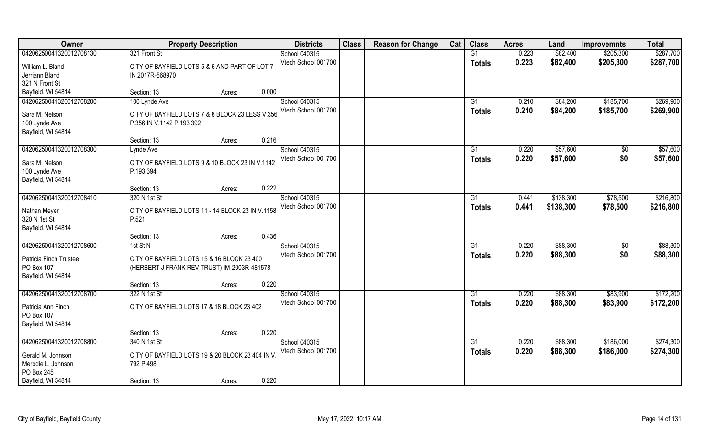| Owner                                | <b>Property Description</b>                               | <b>Districts</b>    | <b>Class</b> | <b>Reason for Change</b> | Cat | <b>Class</b>    | <b>Acres</b> | Land      | <b>Improvemnts</b> | <b>Total</b> |
|--------------------------------------|-----------------------------------------------------------|---------------------|--------------|--------------------------|-----|-----------------|--------------|-----------|--------------------|--------------|
| 04206250041320012708130              | 321 Front St                                              | School 040315       |              |                          |     | G1              | 0.223        | \$82,400  | \$205,300          | \$287,700    |
| William L. Bland                     | CITY OF BAYFIELD LOTS 5 & 6 AND PART OF LOT 7             | Vtech School 001700 |              |                          |     | <b>Totals</b>   | 0.223        | \$82,400  | \$205,300          | \$287,700    |
| Jerriann Bland                       | IN 2017R-568970                                           |                     |              |                          |     |                 |              |           |                    |              |
| 321 N Front St                       |                                                           |                     |              |                          |     |                 |              |           |                    |              |
| Bayfield, WI 54814                   | 0.000<br>Section: 13<br>Acres:                            |                     |              |                          |     |                 |              |           |                    |              |
| 04206250041320012708200              | 100 Lynde Ave                                             | School 040315       |              |                          |     | G <sub>1</sub>  | 0.210        | \$84,200  | \$185,700          | \$269,900    |
| Sara M. Nelson                       | CITY OF BAYFIELD LOTS 7 & 8 BLOCK 23 LESS V.356           | Vtech School 001700 |              |                          |     | <b>Totals</b>   | 0.210        | \$84,200  | \$185,700          | \$269,900    |
| 100 Lynde Ave                        | P.356 IN V.1142 P.193 392                                 |                     |              |                          |     |                 |              |           |                    |              |
| Bayfield, WI 54814                   |                                                           |                     |              |                          |     |                 |              |           |                    |              |
|                                      | 0.216<br>Section: 13<br>Acres:                            |                     |              |                          |     |                 |              |           |                    |              |
| 04206250041320012708300              | Lynde Ave                                                 | School 040315       |              |                          |     | G1              | 0.220        | \$57,600  | \$0                | \$57,600     |
| Sara M. Nelson                       | CITY OF BAYFIELD LOTS 9 & 10 BLOCK 23 IN V.1142           | Vtech School 001700 |              |                          |     | <b>Totals</b>   | 0.220        | \$57,600  | \$0                | \$57,600     |
| 100 Lynde Ave                        | P.193 394                                                 |                     |              |                          |     |                 |              |           |                    |              |
| Bayfield, WI 54814                   |                                                           |                     |              |                          |     |                 |              |           |                    |              |
|                                      | 0.222<br>Section: 13<br>Acres:                            |                     |              |                          |     |                 |              |           |                    |              |
| 04206250041320012708410              | 320 N 1st St                                              | School 040315       |              |                          |     | G1              | 0.441        | \$138,300 | \$78,500           | \$216,800    |
|                                      |                                                           | Vtech School 001700 |              |                          |     | <b>Totals</b>   | 0.441        | \$138,300 | \$78,500           | \$216,800    |
| Nathan Meyer<br>320 N 1st St         | CITY OF BAYFIELD LOTS 11 - 14 BLOCK 23 IN V.1158<br>P.521 |                     |              |                          |     |                 |              |           |                    |              |
| Bayfield, WI 54814                   |                                                           |                     |              |                          |     |                 |              |           |                    |              |
|                                      | 0.436<br>Section: 13<br>Acres:                            |                     |              |                          |     |                 |              |           |                    |              |
| 04206250041320012708600              | 1st St N                                                  | School 040315       |              |                          |     | G1              | 0.220        | \$88,300  | \$0                | \$88,300     |
|                                      |                                                           | Vtech School 001700 |              |                          |     | <b>Totals</b>   | 0.220        | \$88,300  | \$0                | \$88,300     |
| Patricia Finch Trustee<br>PO Box 107 | CITY OF BAYFIELD LOTS 15 & 16 BLOCK 23 400                |                     |              |                          |     |                 |              |           |                    |              |
| Bayfield, WI 54814                   | (HERBERT J FRANK REV TRUST) IM 2003R-481578               |                     |              |                          |     |                 |              |           |                    |              |
|                                      | 0.220<br>Section: 13<br>Acres:                            |                     |              |                          |     |                 |              |           |                    |              |
| 04206250041320012708700              | 322 N 1st St                                              | School 040315       |              |                          |     | $\overline{G1}$ | 0.220        | \$88,300  | \$83,900           | \$172,200    |
|                                      |                                                           | Vtech School 001700 |              |                          |     | <b>Totals</b>   | 0.220        | \$88,300  | \$83,900           | \$172,200    |
| Patricia Ann Finch                   | CITY OF BAYFIELD LOTS 17 & 18 BLOCK 23 402                |                     |              |                          |     |                 |              |           |                    |              |
| PO Box 107                           |                                                           |                     |              |                          |     |                 |              |           |                    |              |
| Bayfield, WI 54814                   | 0.220<br>Section: 13<br>Acres:                            |                     |              |                          |     |                 |              |           |                    |              |
| 04206250041320012708800              | 340 N 1st St                                              | School 040315       |              |                          |     | G1              | 0.220        | \$88,300  | \$186,000          | \$274,300    |
|                                      |                                                           | Vtech School 001700 |              |                          |     | <b>Totals</b>   | 0.220        | \$88,300  | \$186,000          | \$274,300    |
| Gerald M. Johnson                    | CITY OF BAYFIELD LOTS 19 & 20 BLOCK 23 404 IN V           |                     |              |                          |     |                 |              |           |                    |              |
| Merodie L. Johnson                   | 792 P.498                                                 |                     |              |                          |     |                 |              |           |                    |              |
| PO Box 245                           |                                                           |                     |              |                          |     |                 |              |           |                    |              |
| Bayfield, WI 54814                   | 0.220<br>Section: 13<br>Acres:                            |                     |              |                          |     |                 |              |           |                    |              |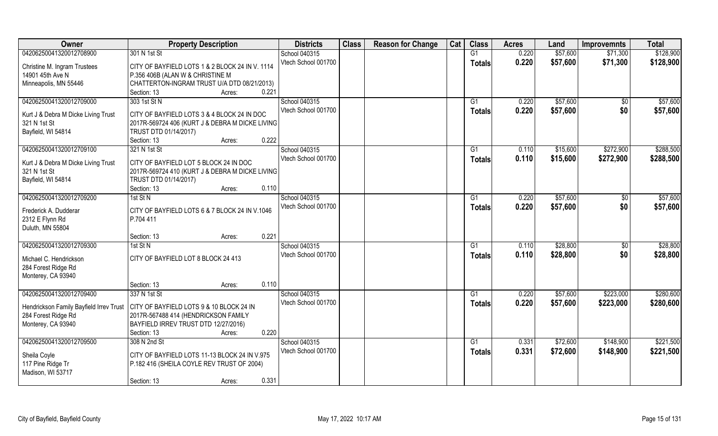| Owner                                   | <b>Property Description</b>                     | <b>Districts</b>    | <b>Class</b> | <b>Reason for Change</b> | Cat | <b>Class</b>    | <b>Acres</b> | Land     | <b>Improvemnts</b> | <b>Total</b> |
|-----------------------------------------|-------------------------------------------------|---------------------|--------------|--------------------------|-----|-----------------|--------------|----------|--------------------|--------------|
| 04206250041320012708900                 | 301 N 1st St                                    | School 040315       |              |                          |     | G1              | 0.220        | \$57,600 | \$71,300           | \$128,900    |
| Christine M. Ingram Trustees            | CITY OF BAYFIELD LOTS 1 & 2 BLOCK 24 IN V. 1114 | Vtech School 001700 |              |                          |     | <b>Totals</b>   | 0.220        | \$57,600 | \$71,300           | \$128,900    |
| 14901 45th Ave N                        | P.356 406B (ALAN W & CHRISTINE M                |                     |              |                          |     |                 |              |          |                    |              |
| Minneapolis, MN 55446                   | CHATTERTON-INGRAM TRUST U/A DTD 08/21/2013)     |                     |              |                          |     |                 |              |          |                    |              |
|                                         | 0.221<br>Section: 13<br>Acres:                  |                     |              |                          |     |                 |              |          |                    |              |
| 04206250041320012709000                 | 303 1st St N                                    | School 040315       |              |                          |     | G1              | 0.220        | \$57,600 | $\sqrt{$0}$        | \$57,600     |
|                                         |                                                 | Vtech School 001700 |              |                          |     | <b>Totals</b>   | 0.220        | \$57,600 | \$0                | \$57,600     |
| Kurt J & Debra M Dicke Living Trust     | CITY OF BAYFIELD LOTS 3 & 4 BLOCK 24 IN DOC     |                     |              |                          |     |                 |              |          |                    |              |
| 321 N 1st St                            | 2017R-569724 406 (KURT J & DEBRA M DICKE LIVING |                     |              |                          |     |                 |              |          |                    |              |
| Bayfield, WI 54814                      | TRUST DTD 01/14/2017)<br>0.222                  |                     |              |                          |     |                 |              |          |                    |              |
|                                         | Section: 13<br>Acres:                           |                     |              |                          |     |                 |              |          |                    |              |
| 04206250041320012709100                 | 321 N 1st St                                    | School 040315       |              |                          |     | G1              | 0.110        | \$15,600 | \$272,900          | \$288,500    |
| Kurt J & Debra M Dicke Living Trust     | CITY OF BAYFIELD LOT 5 BLOCK 24 IN DOC          | Vtech School 001700 |              |                          |     | <b>Totals</b>   | 0.110        | \$15,600 | \$272,900          | \$288,500    |
| 321 N 1st St                            | 2017R-569724 410 (KURT J & DEBRA M DICKE LIVING |                     |              |                          |     |                 |              |          |                    |              |
| Bayfield, WI 54814                      | TRUST DTD 01/14/2017)                           |                     |              |                          |     |                 |              |          |                    |              |
|                                         | 0.110<br>Section: 13<br>Acres:                  |                     |              |                          |     |                 |              |          |                    |              |
| 04206250041320012709200                 | $1st$ St N                                      | School 040315       |              |                          |     | G1              | 0.220        | \$57,600 | $\sqrt[6]{}$       | \$57,600     |
| Frederick A. Dudderar                   | CITY OF BAYFIELD LOTS 6 & 7 BLOCK 24 IN V.1046  | Vtech School 001700 |              |                          |     | <b>Totals</b>   | 0.220        | \$57,600 | \$0                | \$57,600     |
| 2312 E Flynn Rd                         | P.704 411                                       |                     |              |                          |     |                 |              |          |                    |              |
| Duluth, MN 55804                        |                                                 |                     |              |                          |     |                 |              |          |                    |              |
|                                         | 0.221<br>Section: 13<br>Acres:                  |                     |              |                          |     |                 |              |          |                    |              |
| 04206250041320012709300                 | $1st$ St N                                      | School 040315       |              |                          |     | G1              | 0.110        | \$28,800 | \$0                | \$28,800     |
|                                         |                                                 | Vtech School 001700 |              |                          |     | <b>Totals</b>   | 0.110        | \$28,800 | \$0                | \$28,800     |
| Michael C. Hendrickson                  | CITY OF BAYFIELD LOT 8 BLOCK 24 413             |                     |              |                          |     |                 |              |          |                    |              |
| 284 Forest Ridge Rd                     |                                                 |                     |              |                          |     |                 |              |          |                    |              |
| Monterey, CA 93940                      | 0.110                                           |                     |              |                          |     |                 |              |          |                    |              |
|                                         | Section: 13<br>Acres:                           |                     |              |                          |     |                 |              |          |                    |              |
| 04206250041320012709400                 | 337 N 1st St                                    | School 040315       |              |                          |     | G1              | 0.220        | \$57,600 | \$223,000          | \$280,600    |
| Hendrickson Family Bayfield Irrev Trust | CITY OF BAYFIELD LOTS 9 & 10 BLOCK 24 IN        | Vtech School 001700 |              |                          |     | <b>Totals</b>   | 0.220        | \$57,600 | \$223,000          | \$280,600    |
| 284 Forest Ridge Rd                     | 2017R-567488 414 (HENDRICKSON FAMILY            |                     |              |                          |     |                 |              |          |                    |              |
| Monterey, CA 93940                      | BAYFIELD IRREV TRUST DTD 12/27/2016)            |                     |              |                          |     |                 |              |          |                    |              |
|                                         | 0.220<br>Section: 13<br>Acres:                  |                     |              |                          |     |                 |              |          |                    |              |
| 04206250041320012709500                 | 308 N 2nd St                                    | School 040315       |              |                          |     | $\overline{G1}$ | 0.331        | \$72,600 | \$148,900          | \$221,500    |
| Sheila Coyle                            | CITY OF BAYFIELD LOTS 11-13 BLOCK 24 IN V.975   | Vtech School 001700 |              |                          |     | <b>Totals</b>   | 0.331        | \$72,600 | \$148,900          | \$221,500    |
| 117 Pine Ridge Tr                       | P.182 416 (SHEILA COYLE REV TRUST OF 2004)      |                     |              |                          |     |                 |              |          |                    |              |
| Madison, WI 53717                       |                                                 |                     |              |                          |     |                 |              |          |                    |              |
|                                         | 0.331<br>Section: 13<br>Acres:                  |                     |              |                          |     |                 |              |          |                    |              |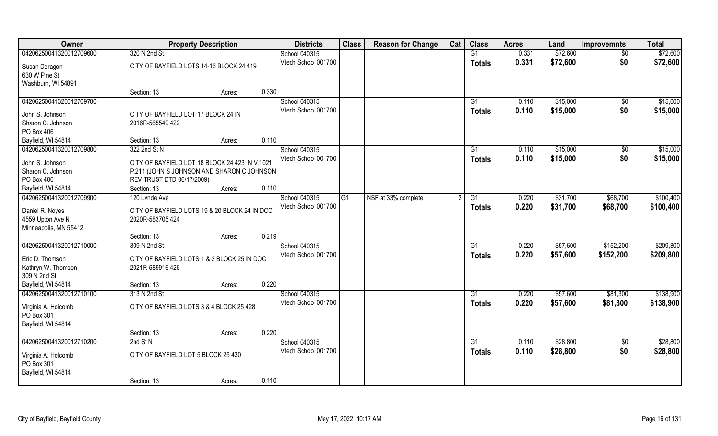| Owner                                                        | <b>Property Description</b>                                                                                               |        |       | <b>Districts</b>                     | <b>Class</b> | <b>Reason for Change</b> | Cat | <b>Class</b>        | <b>Acres</b>   | Land                 | <b>Improvemnts</b>     | <b>Total</b>         |
|--------------------------------------------------------------|---------------------------------------------------------------------------------------------------------------------------|--------|-------|--------------------------------------|--------------|--------------------------|-----|---------------------|----------------|----------------------|------------------------|----------------------|
| 04206250041320012709600                                      | 320 N 2nd St                                                                                                              |        |       | School 040315                        |              |                          |     | G1                  | 0.331          | \$72,600             | \$0                    | \$72,600             |
| Susan Deragon<br>630 W Pine St<br>Washburn, WI 54891         | CITY OF BAYFIELD LOTS 14-16 BLOCK 24 419                                                                                  |        |       | Vtech School 001700                  |              |                          |     | <b>Totals</b>       | 0.331          | \$72,600             | \$0                    | \$72,600             |
|                                                              | Section: 13                                                                                                               | Acres: | 0.330 |                                      |              |                          |     |                     |                |                      |                        |                      |
| 04206250041320012709700                                      |                                                                                                                           |        |       | School 040315<br>Vtech School 001700 |              |                          |     | G1<br><b>Totals</b> | 0.110<br>0.110 | \$15,000<br>\$15,000 | $\overline{50}$<br>\$0 | \$15,000<br>\$15,000 |
| John S. Johnson<br>Sharon C. Johnson<br>PO Box 406           | CITY OF BAYFIELD LOT 17 BLOCK 24 IN<br>2016R-565549 422                                                                   |        |       |                                      |              |                          |     |                     |                |                      |                        |                      |
| Bayfield, WI 54814                                           | Section: 13                                                                                                               | Acres: | 0.110 |                                      |              |                          |     |                     |                |                      |                        |                      |
| 04206250041320012709800                                      | 322 2nd St N                                                                                                              |        |       | School 040315                        |              |                          |     | G1                  | 0.110          | \$15,000             | \$0                    | \$15,000             |
| John S. Johnson<br>Sharon C. Johnson<br>PO Box 406           | CITY OF BAYFIELD LOT 18 BLOCK 24 423 IN V.1021<br>P.211 (JOHN S JOHNSON AND SHARON C JOHNSON<br>REV TRUST DTD 06/17/2009) |        |       | Vtech School 001700                  |              |                          |     | <b>Totals</b>       | 0.110          | \$15,000             | \$0                    | \$15,000             |
| Bayfield, WI 54814                                           | Section: 13                                                                                                               | Acres: | 0.110 |                                      |              |                          |     |                     |                |                      |                        |                      |
| 04206250041320012709900                                      | 120 Lynde Ave                                                                                                             |        |       | School 040315                        | G1           | NSF at 33% complete      |     | G1                  | 0.220          | \$31,700             | \$68,700               | \$100,400            |
| Daniel R. Noyes<br>4559 Upton Ave N<br>Minneapolis, MN 55412 | CITY OF BAYFIELD LOTS 19 & 20 BLOCK 24 IN DOC<br>2020R-583705 424                                                         |        |       | Vtech School 001700                  |              |                          |     | <b>Totals</b>       | 0.220          | \$31,700             | \$68,700               | \$100,400            |
|                                                              | Section: 13                                                                                                               | Acres: | 0.219 |                                      |              |                          |     |                     |                |                      |                        |                      |
| 04206250041320012710000                                      | 309 N 2nd St                                                                                                              |        |       | School 040315                        |              |                          |     | G1                  | 0.220          | \$57,600             | \$152,200              | \$209,800            |
| Eric D. Thomson<br>Kathryn W. Thomson<br>309 N 2nd St        | CITY OF BAYFIELD LOTS 1 & 2 BLOCK 25 IN DOC<br>2021R-589916 426                                                           |        |       | Vtech School 001700                  |              |                          |     | <b>Totals</b>       | 0.220          | \$57,600             | \$152,200              | \$209,800            |
| Bayfield, WI 54814                                           | Section: 13                                                                                                               | Acres: | 0.220 |                                      |              |                          |     |                     |                |                      |                        |                      |
| 04206250041320012710100                                      | 313 N 2nd St                                                                                                              |        |       | School 040315                        |              |                          |     | G1                  | 0.220          | \$57,600             | \$81,300               | \$138,900            |
| Virginia A. Holcomb<br>PO Box 301<br>Bayfield, WI 54814      | CITY OF BAYFIELD LOTS 3 & 4 BLOCK 25 428                                                                                  |        |       | Vtech School 001700                  |              |                          |     | <b>Totals</b>       | 0.220          | \$57,600             | \$81,300               | \$138,900            |
|                                                              | Section: 13                                                                                                               | Acres: | 0.220 |                                      |              |                          |     |                     |                |                      |                        |                      |
| 04206250041320012710200                                      | 2nd St N                                                                                                                  |        |       | School 040315                        |              |                          |     | $\overline{G1}$     | 0.110          | \$28,800             | $\overline{50}$        | \$28,800             |
| Virginia A. Holcomb<br>PO Box 301<br>Bayfield, WI 54814      | CITY OF BAYFIELD LOT 5 BLOCK 25 430                                                                                       |        |       | Vtech School 001700                  |              |                          |     | <b>Totals</b>       | 0.110          | \$28,800             | \$0                    | \$28,800             |
|                                                              | Section: 13                                                                                                               | Acres: | 0.110 |                                      |              |                          |     |                     |                |                      |                        |                      |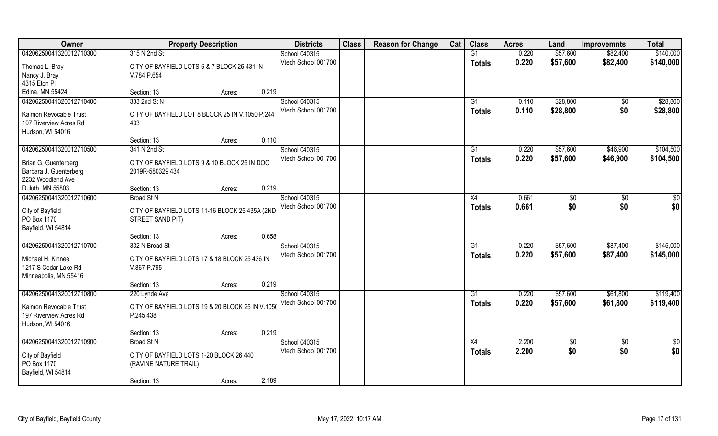| Owner                                                                                         | <b>Property Description</b>                                                    |        |       | <b>Districts</b>                     | <b>Class</b> | <b>Reason for Change</b> | Cat | <b>Class</b>                     | <b>Acres</b>   | Land                 | <b>Improvemnts</b>   | <b>Total</b>           |
|-----------------------------------------------------------------------------------------------|--------------------------------------------------------------------------------|--------|-------|--------------------------------------|--------------|--------------------------|-----|----------------------------------|----------------|----------------------|----------------------|------------------------|
| 04206250041320012710300                                                                       | 315 N 2nd St                                                                   |        |       | School 040315                        |              |                          |     | G1                               | 0.220          | \$57,600             | \$82,400             | \$140,000              |
| Thomas L. Bray<br>Nancy J. Bray<br>4315 Eton PI                                               | CITY OF BAYFIELD LOTS 6 & 7 BLOCK 25 431 IN<br>V.784 P.654                     |        |       | Vtech School 001700                  |              |                          |     | <b>Totals</b>                    | 0.220          | \$57,600             | \$82,400             | \$140,000              |
| Edina, MN 55424                                                                               | Section: 13                                                                    | Acres: | 0.219 |                                      |              |                          |     |                                  |                |                      |                      |                        |
| 04206250041320012710400                                                                       | 333 2nd St N                                                                   |        |       | School 040315                        |              |                          |     | G1                               | 0.110          | \$28,800             | $\overline{50}$      | \$28,800               |
| Kalmon Revocable Trust<br>197 Riverview Acres Rd<br>Hudson, WI 54016                          | CITY OF BAYFIELD LOT 8 BLOCK 25 IN V.1050 P.244<br>433                         |        |       | Vtech School 001700                  |              |                          |     | Totals                           | 0.110          | \$28,800             | \$0                  | \$28,800               |
|                                                                                               | Section: 13                                                                    | Acres: | 0.110 |                                      |              |                          |     |                                  |                |                      |                      |                        |
| 04206250041320012710500                                                                       | 341 N 2nd St                                                                   |        |       | School 040315                        |              |                          |     | G1                               | 0.220          | \$57,600             | \$46,900             | \$104,500              |
| Brian G. Guenterberg<br>Barbara J. Guenterberg<br>2232 Woodland Ave                           | CITY OF BAYFIELD LOTS 9 & 10 BLOCK 25 IN DOC<br>2019R-580329 434               |        |       | Vtech School 001700                  |              |                          |     | <b>Totals</b>                    | 0.220          | \$57,600             | \$46,900             | \$104,500              |
| Duluth, MN 55803                                                                              | Section: 13                                                                    | Acres: | 0.219 |                                      |              |                          |     |                                  |                |                      |                      |                        |
| 04206250041320012710600                                                                       | <b>Broad St N</b>                                                              |        |       | School 040315                        |              |                          |     | X4                               | 0.661          | \$0                  | \$0                  | \$0                    |
| City of Bayfield<br>PO Box 1170<br>Bayfield, WI 54814                                         | CITY OF BAYFIELD LOTS 11-16 BLOCK 25 435A (2ND<br>STREET SAND PIT)             |        |       | Vtech School 001700                  |              |                          |     | <b>Totals</b>                    | 0.661          | \$0                  | \$0                  | \$0                    |
|                                                                                               | Section: 13                                                                    | Acres: | 0.658 |                                      |              |                          |     |                                  |                |                      |                      |                        |
| 04206250041320012710700<br>Michael H. Kinnee<br>1217 S Cedar Lake Rd<br>Minneapolis, MN 55416 | 332 N Broad St<br>CITY OF BAYFIELD LOTS 17 & 18 BLOCK 25 436 IN<br>V.867 P.795 |        |       | School 040315<br>Vtech School 001700 |              |                          |     | $\overline{G1}$<br><b>Totals</b> | 0.220<br>0.220 | \$57,600<br>\$57,600 | \$87,400<br>\$87,400 | \$145,000<br>\$145,000 |
|                                                                                               | Section: 13                                                                    | Acres: | 0.219 |                                      |              |                          |     |                                  |                |                      |                      |                        |
| 04206250041320012710800                                                                       | 220 Lynde Ave                                                                  |        |       | School 040315                        |              |                          |     | G1                               | 0.220          | \$57,600             | \$61,800             | \$119,400              |
| Kalmon Revocable Trust<br>197 Riverview Acres Rd<br>Hudson, WI 54016                          | CITY OF BAYFIELD LOTS 19 & 20 BLOCK 25 IN V.1050<br>P.245 438                  |        |       | Vtech School 001700                  |              |                          |     | <b>Totals</b>                    | 0.220          | \$57,600             | \$61,800             | \$119,400              |
|                                                                                               | Section: 13                                                                    | Acres: | 0.219 |                                      |              |                          |     |                                  |                |                      |                      |                        |
| 04206250041320012710900                                                                       | <b>Broad St N</b>                                                              |        |       | School 040315                        |              |                          |     | X4                               | 2.200          | $\sqrt{6}$           | $\sqrt[6]{30}$       | $\frac{1}{2}$          |
| City of Bayfield<br>PO Box 1170<br>Bayfield, WI 54814                                         | CITY OF BAYFIELD LOTS 1-20 BLOCK 26 440<br>(RAVINE NATURE TRAIL)               |        |       | Vtech School 001700                  |              |                          |     | Totals                           | 2.200          | \$0                  | \$0                  | \$0                    |
|                                                                                               | Section: 13                                                                    | Acres: | 2.189 |                                      |              |                          |     |                                  |                |                      |                      |                        |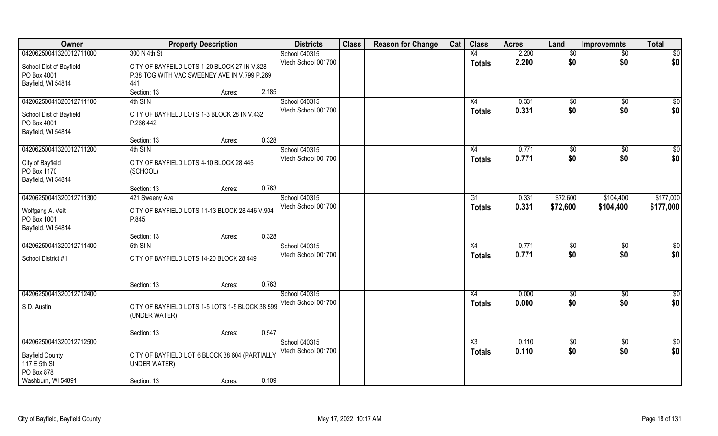| Owner                                                        | <b>Property Description</b>                                                                         | <b>Districts</b>                     | <b>Class</b> | <b>Reason for Change</b> | Cat | <b>Class</b>           | <b>Acres</b>   | Land                | <b>Improvemnts</b>     | <b>Total</b>       |
|--------------------------------------------------------------|-----------------------------------------------------------------------------------------------------|--------------------------------------|--------------|--------------------------|-----|------------------------|----------------|---------------------|------------------------|--------------------|
| 04206250041320012711000                                      | 300 N 4th St                                                                                        | School 040315                        |              |                          |     | X4                     | 2.200          | \$0                 | $\overline{50}$        | $\overline{50}$    |
| School Dist of Bayfield<br>PO Box 4001<br>Bayfield, WI 54814 | CITY OF BAYFEILD LOTS 1-20 BLOCK 27 IN V.828<br>P.38 TOG WITH VAC SWEENEY AVE IN V.799 P.269<br>441 | Vtech School 001700                  |              |                          |     | <b>Totals</b>          | 2.200          | \$0                 | \$0                    | \$0                |
|                                                              | Section: 13<br>Acres:                                                                               | 2.185                                |              |                          |     |                        |                |                     |                        |                    |
| 04206250041320012711100                                      | 4th St N                                                                                            | School 040315<br>Vtech School 001700 |              |                          |     | X4                     | 0.331<br>0.331 | $\sqrt[6]{}$<br>\$0 | $\overline{50}$<br>\$0 | $\sqrt{50}$<br>\$0 |
| School Dist of Bayfield<br>PO Box 4001<br>Bayfield, WI 54814 | CITY OF BAYFIELD LOTS 1-3 BLOCK 28 IN V.432<br>P.266 442                                            |                                      |              |                          |     | <b>Totals</b>          |                |                     |                        |                    |
|                                                              | Section: 13<br>Acres:                                                                               | 0.328                                |              |                          |     |                        |                |                     |                        |                    |
| 04206250041320012711200                                      | 4th St N                                                                                            | School 040315                        |              |                          |     | X4                     | 0.771          | \$0                 | $\sqrt[6]{30}$         | \$0                |
| City of Bayfield<br>PO Box 1170<br>Bayfield, WI 54814        | CITY OF BAYFIELD LOTS 4-10 BLOCK 28 445<br>(SCHOOL)                                                 | Vtech School 001700                  |              |                          |     | <b>Totals</b>          | 0.771          | \$0                 | \$0                    | \$0                |
|                                                              | Section: 13<br>Acres:                                                                               | 0.763                                |              |                          |     |                        |                |                     |                        |                    |
| 04206250041320012711300                                      | 421 Sweeny Ave                                                                                      | School 040315                        |              |                          |     | G1                     | 0.331          | \$72,600            | \$104,400              | \$177,000          |
| Wolfgang A. Veit<br>PO Box 1001<br>Bayfield, WI 54814        | CITY OF BAYFIELD LOTS 11-13 BLOCK 28 446 V.904<br>P.845                                             | Vtech School 001700                  |              |                          |     | <b>Totals</b>          | 0.331          | \$72,600            | \$104,400              | \$177,000          |
|                                                              | Section: 13<br>Acres:                                                                               | 0.328                                |              |                          |     |                        |                |                     |                        |                    |
| 04206250041320012711400                                      | 5th St N                                                                                            | School 040315                        |              |                          |     | X4                     | 0.771          | \$0                 | $\sqrt[6]{30}$         | $\overline{50}$    |
| School District #1                                           | CITY OF BAYFIELD LOTS 14-20 BLOCK 28 449                                                            | Vtech School 001700                  |              |                          |     | <b>Totals</b>          | 0.771          | \$0                 | \$0                    | \$0                |
|                                                              | Section: 13<br>Acres:                                                                               | 0.763                                |              |                          |     |                        |                |                     |                        |                    |
| 04206250041320012712400                                      |                                                                                                     | School 040315                        |              |                          |     | X4                     | 0.000          | \$0                 | \$0                    | \$0                |
| S D. Austin                                                  | CITY OF BAYFIELD LOTS 1-5 LOTS 1-5 BLOCK 38 599<br>(UNDER WATER)                                    | Vtech School 001700                  |              |                          |     | <b>Totals</b>          | 0.000          | \$0                 | \$0                    | \$0                |
|                                                              | Section: 13<br>Acres:                                                                               | 0.547                                |              |                          |     |                        |                |                     |                        |                    |
| 04206250041320012712500                                      |                                                                                                     | School 040315                        |              |                          |     | $\overline{\text{X3}}$ | 0.110          | $\overline{50}$     | $\overline{50}$        | $\overline{50}$    |
| <b>Bayfield County</b><br>117 E 5th St<br>PO Box 878         | CITY OF BAYFIELD LOT 6 BLOCK 38 604 (PARTIALLY<br><b>UNDER WATER)</b>                               | Vtech School 001700                  |              |                          |     | Totals                 | 0.110          | \$0                 | \$0                    | \$0                |
| Washburn, WI 54891                                           | Section: 13<br>Acres:                                                                               | 0.109                                |              |                          |     |                        |                |                     |                        |                    |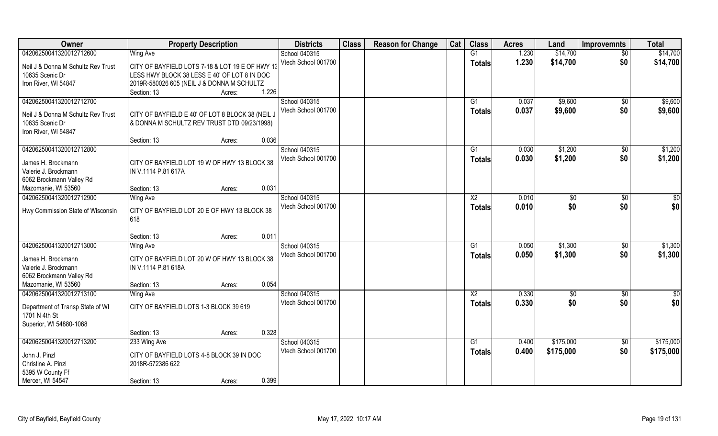| Owner                              | <b>Property Description</b>                     | <b>Districts</b>    | <b>Class</b> | <b>Reason for Change</b> | Cat | <b>Class</b>           | <b>Acres</b> | Land         | <b>Improvemnts</b> | <b>Total</b> |
|------------------------------------|-------------------------------------------------|---------------------|--------------|--------------------------|-----|------------------------|--------------|--------------|--------------------|--------------|
| 04206250041320012712600            | Wing Ave                                        | School 040315       |              |                          |     | $\overline{G1}$        | 1.230        | \$14,700     | $\overline{50}$    | \$14,700     |
| Neil J & Donna M Schultz Rev Trust | CITY OF BAYFIELD LOTS 7-18 & LOT 19 E OF HWY 13 | Vtech School 001700 |              |                          |     | Totals                 | 1.230        | \$14,700     | \$0                | \$14,700     |
| 10635 Scenic Dr                    | LESS HWY BLOCK 38 LESS E 40' OF LOT 8 IN DOC    |                     |              |                          |     |                        |              |              |                    |              |
| Iron River, WI 54847               | 2019R-580026 605 (NEIL J & DONNA M SCHULTZ      |                     |              |                          |     |                        |              |              |                    |              |
|                                    | 1.226<br>Section: 13<br>Acres:                  |                     |              |                          |     |                        |              |              |                    |              |
| 04206250041320012712700            |                                                 | School 040315       |              |                          |     | G1                     | 0.037        | \$9,600      | \$0                | \$9,600      |
| Neil J & Donna M Schultz Rev Trust | CITY OF BAYFIELD E 40' OF LOT 8 BLOCK 38 (NEIL, | Vtech School 001700 |              |                          |     | Totals                 | 0.037        | \$9,600      | \$0                | \$9,600      |
| 10635 Scenic Dr                    | & DONNA M SCHULTZ REV TRUST DTD 09/23/1998)     |                     |              |                          |     |                        |              |              |                    |              |
| Iron River, WI 54847               |                                                 |                     |              |                          |     |                        |              |              |                    |              |
|                                    | 0.036<br>Section: 13<br>Acres:                  |                     |              |                          |     |                        |              |              |                    |              |
| 04206250041320012712800            |                                                 | School 040315       |              |                          |     | G1                     | 0.030        | \$1,200      | \$0                | \$1,200      |
| James H. Brockmann                 | CITY OF BAYFIELD LOT 19 W OF HWY 13 BLOCK 38    | Vtech School 001700 |              |                          |     | <b>Totals</b>          | 0.030        | \$1,200      | \$0                | \$1,200      |
| Valerie J. Brockmann               | IN V.1114 P.81 617A                             |                     |              |                          |     |                        |              |              |                    |              |
| 6062 Brockmann Valley Rd           |                                                 |                     |              |                          |     |                        |              |              |                    |              |
| Mazomanie, WI 53560                | 0.031<br>Section: 13<br>Acres:                  |                     |              |                          |     |                        |              |              |                    |              |
| 04206250041320012712900            | Wing Ave                                        | School 040315       |              |                          |     | X <sub>2</sub>         | 0.010        | $\sqrt[6]{}$ | $\sqrt[6]{}$       | \$0          |
| Hwy Commission State of Wisconsin  | CITY OF BAYFIELD LOT 20 E OF HWY 13 BLOCK 38    | Vtech School 001700 |              |                          |     | <b>Totals</b>          | 0.010        | \$0          | \$0                | \$0          |
|                                    | 618                                             |                     |              |                          |     |                        |              |              |                    |              |
|                                    |                                                 |                     |              |                          |     |                        |              |              |                    |              |
|                                    | 0.011<br>Section: 13<br>Acres:                  |                     |              |                          |     |                        |              |              |                    |              |
| 04206250041320012713000            | <b>Wing Ave</b>                                 | School 040315       |              |                          |     | G1                     | 0.050        | \$1,300      | $\sqrt[6]{30}$     | \$1,300      |
| James H. Brockmann                 | CITY OF BAYFIELD LOT 20 W OF HWY 13 BLOCK 38    | Vtech School 001700 |              |                          |     | <b>Totals</b>          | 0.050        | \$1,300      | \$0                | \$1,300      |
| Valerie J. Brockmann               | IN V.1114 P.81 618A                             |                     |              |                          |     |                        |              |              |                    |              |
| 6062 Brockmann Valley Rd           |                                                 |                     |              |                          |     |                        |              |              |                    |              |
| Mazomanie, WI 53560                | 0.054<br>Section: 13<br>Acres:                  |                     |              |                          |     |                        |              |              |                    |              |
| 04206250041320012713100            | <b>Wing Ave</b>                                 | School 040315       |              |                          |     | $\overline{\text{X2}}$ | 0.330        | \$0          | \$0                | \$0          |
| Department of Transp State of WI   | CITY OF BAYFIELD LOTS 1-3 BLOCK 39 619          | Vtech School 001700 |              |                          |     | <b>Totals</b>          | 0.330        | \$0          | \$0                | \$0          |
| 1701 N 4th St                      |                                                 |                     |              |                          |     |                        |              |              |                    |              |
| Superior, WI 54880-1068            |                                                 |                     |              |                          |     |                        |              |              |                    |              |
|                                    | 0.328<br>Section: 13<br>Acres:                  |                     |              |                          |     |                        |              |              |                    |              |
| 04206250041320012713200            | 233 Wing Ave                                    | School 040315       |              |                          |     | $\overline{G1}$        | 0.400        | \$175,000    | $\overline{50}$    | \$175,000    |
| John J. Pinzl                      | CITY OF BAYFIELD LOTS 4-8 BLOCK 39 IN DOC       | Vtech School 001700 |              |                          |     | <b>Totals</b>          | 0.400        | \$175,000    | \$0                | \$175,000    |
| Christine A. Pinzl                 | 2018R-572386 622                                |                     |              |                          |     |                        |              |              |                    |              |
| 5395 W County Ff                   |                                                 |                     |              |                          |     |                        |              |              |                    |              |
| Mercer, WI 54547                   | 0.399<br>Section: 13<br>Acres:                  |                     |              |                          |     |                        |              |              |                    |              |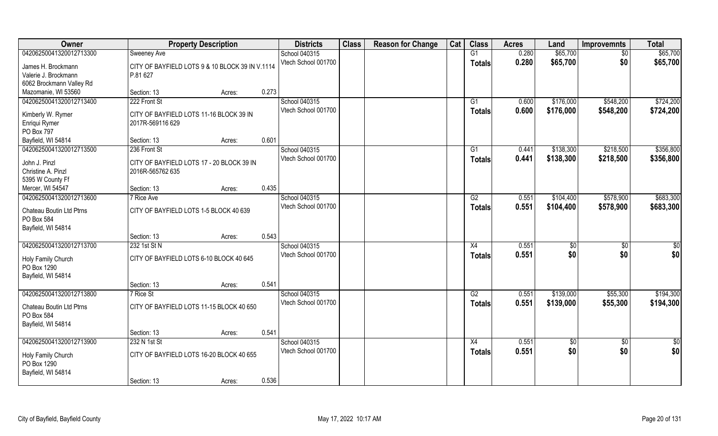| Owner                                                        | <b>Property Description</b>                     |        |       | <b>Districts</b>                     | <b>Class</b> | <b>Reason for Change</b> | Cat | <b>Class</b>        | <b>Acres</b>   | Land                   | <b>Improvemnts</b>     | <b>Total</b>           |
|--------------------------------------------------------------|-------------------------------------------------|--------|-------|--------------------------------------|--------------|--------------------------|-----|---------------------|----------------|------------------------|------------------------|------------------------|
| 04206250041320012713300                                      | Sweeney Ave                                     |        |       | School 040315                        |              |                          |     | G1                  | 0.280          | \$65,700               | \$0                    | \$65,700               |
| James H. Brockmann                                           | CITY OF BAYFIELD LOTS 9 & 10 BLOCK 39 IN V.1114 |        |       | Vtech School 001700                  |              |                          |     | <b>Totals</b>       | 0.280          | \$65,700               | \$0                    | \$65,700               |
| Valerie J. Brockmann                                         | P.81 627                                        |        |       |                                      |              |                          |     |                     |                |                        |                        |                        |
| 6062 Brockmann Valley Rd                                     |                                                 |        |       |                                      |              |                          |     |                     |                |                        |                        |                        |
| Mazomanie, WI 53560                                          | Section: 13                                     | Acres: | 0.273 |                                      |              |                          |     |                     |                |                        |                        |                        |
| 04206250041320012713400                                      | 222 Front St                                    |        |       | School 040315<br>Vtech School 001700 |              |                          |     | G1<br><b>Totals</b> | 0.600<br>0.600 | \$176,000<br>\$176,000 | \$548,200<br>\$548,200 | \$724,200<br>\$724,200 |
| Kimberly W. Rymer                                            | CITY OF BAYFIELD LOTS 11-16 BLOCK 39 IN         |        |       |                                      |              |                          |     |                     |                |                        |                        |                        |
| Enriqui Rymer                                                | 2017R-569116 629                                |        |       |                                      |              |                          |     |                     |                |                        |                        |                        |
| PO Box 797                                                   |                                                 |        |       |                                      |              |                          |     |                     |                |                        |                        |                        |
| Bayfield, WI 54814                                           | Section: 13                                     | Acres: | 0.601 |                                      |              |                          |     |                     |                |                        |                        |                        |
| 04206250041320012713500                                      | 236 Front St                                    |        |       | School 040315                        |              |                          |     | G1                  | 0.441          | \$138,300              | \$218,500              | \$356,800              |
| John J. Pinzl                                                | CITY OF BAYFIELD LOTS 17 - 20 BLOCK 39 IN       |        |       | Vtech School 001700                  |              |                          |     | <b>Totals</b>       | 0.441          | \$138,300              | \$218,500              | \$356,800              |
| Christine A. Pinzl                                           | 2016R-565762 635                                |        |       |                                      |              |                          |     |                     |                |                        |                        |                        |
| 5395 W County Ff                                             |                                                 |        |       |                                      |              |                          |     |                     |                |                        |                        |                        |
| Mercer, WI 54547                                             | Section: 13                                     | Acres: | 0.435 |                                      |              |                          |     |                     |                |                        |                        |                        |
| 04206250041320012713600                                      | 7 Rice Ave                                      |        |       | School 040315                        |              |                          |     | G2                  | 0.551          | \$104,400              | \$578,900              | \$683,300              |
| Chateau Boutin Ltd Ptrns<br>PO Box 584<br>Bayfield, WI 54814 | CITY OF BAYFIELD LOTS 1-5 BLOCK 40 639          |        |       | Vtech School 001700                  |              |                          |     | <b>Totals</b>       | 0.551          | \$104,400              | \$578,900              | \$683,300              |
|                                                              | Section: 13                                     | Acres: | 0.543 |                                      |              |                          |     |                     |                |                        |                        |                        |
| 04206250041320012713700                                      | 232 1st St N                                    |        |       | School 040315                        |              |                          |     | X4                  | 0.551          | \$0                    | \$0                    | \$0                    |
|                                                              |                                                 |        |       | Vtech School 001700                  |              |                          |     | <b>Totals</b>       | 0.551          | \$0                    | \$0                    | \$0                    |
| Holy Family Church                                           | CITY OF BAYFIELD LOTS 6-10 BLOCK 40 645         |        |       |                                      |              |                          |     |                     |                |                        |                        |                        |
| PO Box 1290                                                  |                                                 |        |       |                                      |              |                          |     |                     |                |                        |                        |                        |
| Bayfield, WI 54814                                           |                                                 |        |       |                                      |              |                          |     |                     |                |                        |                        |                        |
|                                                              | Section: 13                                     | Acres: | 0.541 |                                      |              |                          |     |                     |                |                        |                        |                        |
| 04206250041320012713800                                      | 7 Rice St                                       |        |       | School 040315                        |              |                          |     | G2                  | 0.551          | \$139,000              | \$55,300               | \$194,300              |
| Chateau Boutin Ltd Ptrns<br>PO Box 584                       | CITY OF BAYFIELD LOTS 11-15 BLOCK 40 650        |        |       | Vtech School 001700                  |              |                          |     | <b>Totals</b>       | 0.551          | \$139,000              | \$55,300               | \$194,300              |
| Bayfield, WI 54814                                           |                                                 |        |       |                                      |              |                          |     |                     |                |                        |                        |                        |
|                                                              | Section: 13                                     | Acres: | 0.541 |                                      |              |                          |     |                     |                |                        |                        |                        |
| 04206250041320012713900                                      | 232 N 1st St                                    |        |       | School 040315                        |              |                          |     | X4                  | 0.551          | $\sqrt{6}$             | $\overline{50}$        | $\frac{1}{2}$          |
| Holy Family Church<br>PO Box 1290<br>Bayfield, WI 54814      | CITY OF BAYFIELD LOTS 16-20 BLOCK 40 655        |        |       | Vtech School 001700                  |              |                          |     | <b>Totals</b>       | 0.551          | \$0                    | \$0                    | \$0                    |
|                                                              | Section: 13                                     | Acres: | 0.536 |                                      |              |                          |     |                     |                |                        |                        |                        |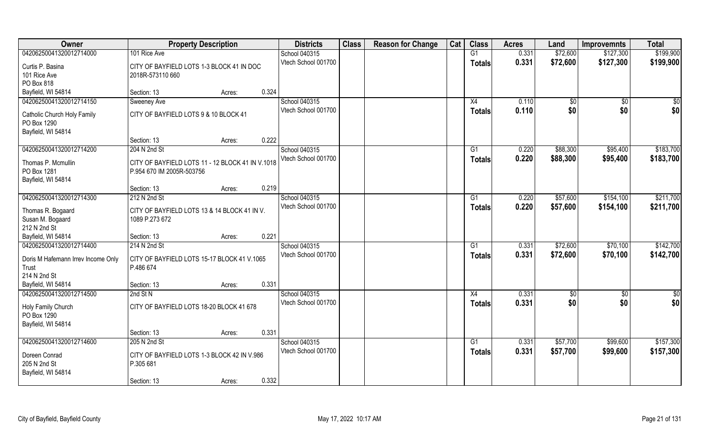| Owner                              | <b>Property Description</b>                                    |       | <b>Districts</b>                     | <b>Class</b> | <b>Reason for Change</b> | Cat | <b>Class</b>  | <b>Acres</b> | Land     | <b>Improvemnts</b> | <b>Total</b>  |
|------------------------------------|----------------------------------------------------------------|-------|--------------------------------------|--------------|--------------------------|-----|---------------|--------------|----------|--------------------|---------------|
| 04206250041320012714000            | 101 Rice Ave                                                   |       | School 040315                        |              |                          |     | G1            | 0.331        | \$72,600 | \$127,300          | \$199,900     |
| Curtis P. Basina                   | CITY OF BAYFIELD LOTS 1-3 BLOCK 41 IN DOC                      |       | Vtech School 001700                  |              |                          |     | <b>Totals</b> | 0.331        | \$72,600 | \$127,300          | \$199,900     |
| 101 Rice Ave                       | 2018R-573110 660                                               |       |                                      |              |                          |     |               |              |          |                    |               |
| PO Box 818                         |                                                                |       |                                      |              |                          |     |               |              |          |                    |               |
| Bayfield, WI 54814                 | Section: 13<br>Acres:                                          | 0.324 |                                      |              |                          |     |               |              |          |                    |               |
| 04206250041320012714150            | Sweeney Ave                                                    |       | School 040315                        |              |                          |     | X4            | 0.110        | \$0      | $\sqrt[6]{}$       | \$0           |
| Catholic Church Holy Family        | CITY OF BAYFIELD LOTS 9 & 10 BLOCK 41                          |       | Vtech School 001700                  |              |                          |     | <b>Totals</b> | 0.110        | \$0      | \$0                | \$0           |
| PO Box 1290                        |                                                                |       |                                      |              |                          |     |               |              |          |                    |               |
| Bayfield, WI 54814                 |                                                                |       |                                      |              |                          |     |               |              |          |                    |               |
|                                    | Section: 13<br>Acres:                                          | 0.222 |                                      |              |                          |     |               |              |          |                    |               |
| 04206250041320012714200            | 204 N 2nd St                                                   |       | School 040315                        |              |                          |     | G1            | 0.220        | \$88,300 | \$95,400           | \$183,700     |
|                                    | CITY OF BAYFIELD LOTS 11 - 12 BLOCK 41 IN V.1018               |       | Vtech School 001700                  |              |                          |     | <b>Totals</b> | 0.220        | \$88,300 | \$95,400           | \$183,700     |
| Thomas P. Mcmullin<br>PO Box 1281  | P.954 670 IM 2005R-503756                                      |       |                                      |              |                          |     |               |              |          |                    |               |
| Bayfield, WI 54814                 |                                                                |       |                                      |              |                          |     |               |              |          |                    |               |
|                                    | Section: 13<br>Acres:                                          | 0.219 |                                      |              |                          |     |               |              |          |                    |               |
| 04206250041320012714300            | 212 N 2nd St                                                   |       | School 040315                        |              |                          |     | G1            | 0.220        | \$57,600 | \$154,100          | \$211,700     |
|                                    |                                                                |       | Vtech School 001700                  |              |                          |     | <b>Totals</b> | 0.220        | \$57,600 | \$154,100          | \$211,700     |
| Thomas R. Bogaard                  | CITY OF BAYFIELD LOTS 13 & 14 BLOCK 41 IN V.<br>1089 P.273 672 |       |                                      |              |                          |     |               |              |          |                    |               |
| Susan M. Bogaard<br>212 N 2nd St   |                                                                |       |                                      |              |                          |     |               |              |          |                    |               |
| Bayfield, WI 54814                 | Section: 13<br>Acres:                                          | 0.221 |                                      |              |                          |     |               |              |          |                    |               |
| 04206250041320012714400            | 214 N 2nd St                                                   |       | School 040315                        |              |                          |     | G1            | 0.331        | \$72,600 | \$70,100           | \$142,700     |
|                                    |                                                                |       | Vtech School 001700                  |              |                          |     | <b>Totals</b> | 0.331        | \$72,600 | \$70,100           | \$142,700     |
| Doris M Hafemann Irrev Income Only | CITY OF BAYFIELD LOTS 15-17 BLOCK 41 V.1065                    |       |                                      |              |                          |     |               |              |          |                    |               |
| Trust                              | P.486 674                                                      |       |                                      |              |                          |     |               |              |          |                    |               |
| 214 N 2nd St<br>Bayfield, WI 54814 | Section: 13                                                    | 0.331 |                                      |              |                          |     |               |              |          |                    |               |
| 04206250041320012714500            | Acres:<br>2nd St N                                             |       | School 040315                        |              |                          |     | X4            | 0.331        | \$0      | \$0                | $\frac{1}{2}$ |
|                                    |                                                                |       | Vtech School 001700                  |              |                          |     |               | 0.331        | \$0      | \$0                | \$0           |
| Holy Family Church                 | CITY OF BAYFIELD LOTS 18-20 BLOCK 41 678                       |       |                                      |              |                          |     | <b>Totals</b> |              |          |                    |               |
| PO Box 1290                        |                                                                |       |                                      |              |                          |     |               |              |          |                    |               |
| Bayfield, WI 54814                 |                                                                |       |                                      |              |                          |     |               |              |          |                    |               |
|                                    | Section: 13<br>Acres:                                          | 0.331 |                                      |              |                          |     |               |              |          |                    |               |
| 04206250041320012714600            | 205 N 2nd St                                                   |       | School 040315<br>Vtech School 001700 |              |                          |     | G1            | 0.331        | \$57,700 | \$99,600           | \$157,300     |
| Doreen Conrad                      | CITY OF BAYFIELD LOTS 1-3 BLOCK 42 IN V.986                    |       |                                      |              |                          |     | <b>Totals</b> | 0.331        | \$57,700 | \$99,600           | \$157,300     |
| 205 N 2nd St                       | P.305 681                                                      |       |                                      |              |                          |     |               |              |          |                    |               |
| Bayfield, WI 54814                 |                                                                |       |                                      |              |                          |     |               |              |          |                    |               |
|                                    | Section: 13<br>Acres:                                          | 0.332 |                                      |              |                          |     |               |              |          |                    |               |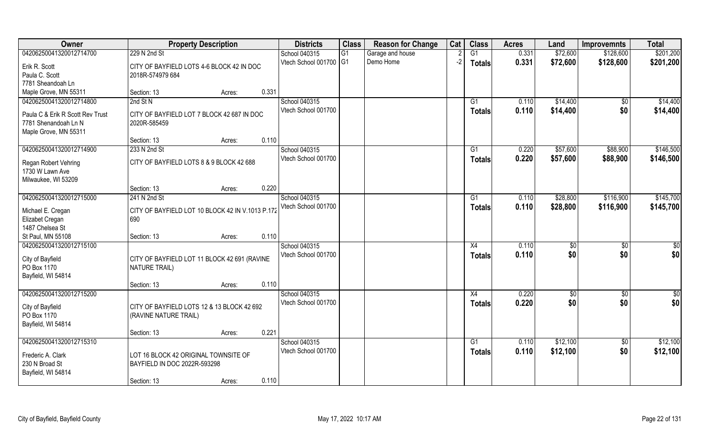| Owner                            | <b>Property Description</b>                                         |       | <b>Districts</b>       | <b>Class</b> | <b>Reason for Change</b> | Cat  | <b>Class</b>    | <b>Acres</b> | Land     | <b>Improvemnts</b> | <b>Total</b>    |
|----------------------------------|---------------------------------------------------------------------|-------|------------------------|--------------|--------------------------|------|-----------------|--------------|----------|--------------------|-----------------|
| 04206250041320012714700          | 229 N 2nd St                                                        |       | School 040315          | G1           | Garage and house         |      | $\overline{G1}$ | 0.331        | \$72,600 | \$128,600          | \$201,200       |
| Erik R. Scott                    | CITY OF BAYFIELD LOTS 4-6 BLOCK 42 IN DOC                           |       | Vtech School 001700 G1 |              | Demo Home                | $-2$ | <b>Totals</b>   | 0.331        | \$72,600 | \$128,600          | \$201,200       |
| Paula C. Scott                   | 2018R-574979 684                                                    |       |                        |              |                          |      |                 |              |          |                    |                 |
| 7781 Sheandoah Ln                |                                                                     |       |                        |              |                          |      |                 |              |          |                    |                 |
| Maple Grove, MN 55311            | Section: 13<br>Acres:                                               | 0.331 |                        |              |                          |      |                 |              |          |                    |                 |
| 04206250041320012714800          | 2nd St N                                                            |       | School 040315          |              |                          |      | G1              | 0.110        | \$14,400 | \$0                | \$14,400        |
|                                  |                                                                     |       | Vtech School 001700    |              |                          |      | Totals          | 0.110        | \$14,400 | \$0                | \$14,400        |
| Paula C & Erik R Scott Rev Trust | CITY OF BAYFIELD LOT 7 BLOCK 42 687 IN DOC                          |       |                        |              |                          |      |                 |              |          |                    |                 |
| 7781 Shenandoah Ln N             | 2020R-585459                                                        |       |                        |              |                          |      |                 |              |          |                    |                 |
| Maple Grove, MN 55311            |                                                                     |       |                        |              |                          |      |                 |              |          |                    |                 |
|                                  | Section: 13<br>Acres:                                               | 0.110 |                        |              |                          |      |                 |              |          |                    |                 |
| 04206250041320012714900          | 233 N 2nd St                                                        |       | School 040315          |              |                          |      | G1              | 0.220        | \$57,600 | \$88,900           | \$146,500       |
| Regan Robert Vehring             | CITY OF BAYFIELD LOTS 8 & 9 BLOCK 42 688                            |       | Vtech School 001700    |              |                          |      | <b>Totals</b>   | 0.220        | \$57,600 | \$88,900           | \$146,500       |
| 1730 W Lawn Ave                  |                                                                     |       |                        |              |                          |      |                 |              |          |                    |                 |
| Milwaukee, WI 53209              |                                                                     |       |                        |              |                          |      |                 |              |          |                    |                 |
|                                  | Section: 13<br>Acres:                                               | 0.220 |                        |              |                          |      |                 |              |          |                    |                 |
| 04206250041320012715000          | 241 N 2nd St                                                        |       | School 040315          |              |                          |      | G1              | 0.110        | \$28,800 | \$116,900          | \$145,700       |
|                                  |                                                                     |       | Vtech School 001700    |              |                          |      | <b>Totals</b>   | 0.110        | \$28,800 | \$116,900          | \$145,700       |
| Michael E. Cregan                | CITY OF BAYFIELD LOT 10 BLOCK 42 IN V.1013 P.172                    |       |                        |              |                          |      |                 |              |          |                    |                 |
| Elizabet Cregan                  | 690                                                                 |       |                        |              |                          |      |                 |              |          |                    |                 |
| 1487 Chelsea St                  |                                                                     |       |                        |              |                          |      |                 |              |          |                    |                 |
| St Paul, MN 55108                | Section: 13<br>Acres:                                               | 0.110 |                        |              |                          |      |                 |              |          |                    |                 |
| 04206250041320012715100          |                                                                     |       | School 040315          |              |                          |      | X4              | 0.110        | \$0      | $\overline{50}$    | $\overline{50}$ |
| City of Bayfield                 | CITY OF BAYFIELD LOT 11 BLOCK 42 691 (RAVINE                        |       | Vtech School 001700    |              |                          |      | <b>Totals</b>   | 0.110        | \$0      | \$0                | \$0             |
| PO Box 1170                      | <b>NATURE TRAIL)</b>                                                |       |                        |              |                          |      |                 |              |          |                    |                 |
| Bayfield, WI 54814               |                                                                     |       |                        |              |                          |      |                 |              |          |                    |                 |
|                                  | Section: 13<br>Acres:                                               | 0.110 |                        |              |                          |      |                 |              |          |                    |                 |
| 04206250041320012715200          |                                                                     |       | School 040315          |              |                          |      | X4              | 0.220        | \$0      | \$0                | \$0             |
|                                  |                                                                     |       | Vtech School 001700    |              |                          |      | <b>Totals</b>   | 0.220        | \$0      | \$0                | \$0             |
| City of Bayfield<br>PO Box 1170  | CITY OF BAYFIELD LOTS 12 & 13 BLOCK 42 692<br>(RAVINE NATURE TRAIL) |       |                        |              |                          |      |                 |              |          |                    |                 |
| Bayfield, WI 54814               |                                                                     |       |                        |              |                          |      |                 |              |          |                    |                 |
|                                  | Section: 13<br>Acres:                                               | 0.221 |                        |              |                          |      |                 |              |          |                    |                 |
| 04206250041320012715310          |                                                                     |       | School 040315          |              |                          |      | G1              | 0.110        | \$12,100 | $\sqrt{6}$         | \$12,100        |
|                                  |                                                                     |       | Vtech School 001700    |              |                          |      |                 | 0.110        | \$12,100 | \$0                | \$12,100        |
| Frederic A. Clark                | LOT 16 BLOCK 42 ORIGINAL TOWNSITE OF                                |       |                        |              |                          |      | <b>Totals</b>   |              |          |                    |                 |
| 230 N Broad St                   | BAYFIELD IN DOC 2022R-593298                                        |       |                        |              |                          |      |                 |              |          |                    |                 |
| Bayfield, WI 54814               |                                                                     |       |                        |              |                          |      |                 |              |          |                    |                 |
|                                  | Section: 13<br>Acres:                                               | 0.110 |                        |              |                          |      |                 |              |          |                    |                 |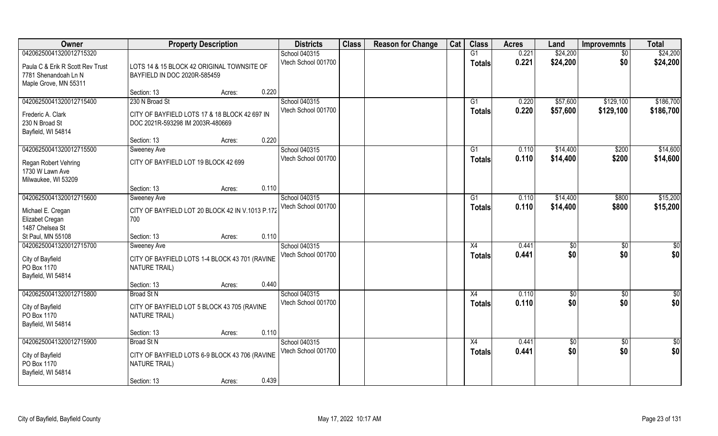| Owner                                                    | <b>Property Description</b>                                                |                 | <b>Districts</b>    | <b>Class</b> | <b>Reason for Change</b> | Cat | <b>Class</b>   | <b>Acres</b> | Land            | <b>Improvemnts</b> | <b>Total</b> |
|----------------------------------------------------------|----------------------------------------------------------------------------|-----------------|---------------------|--------------|--------------------------|-----|----------------|--------------|-----------------|--------------------|--------------|
| 04206250041320012715320                                  |                                                                            |                 | School 040315       |              |                          |     | G1             | 0.221        | \$24,200        | $\overline{50}$    | \$24,200     |
| Paula C & Erik R Scott Rev Trust<br>7781 Shenandoah Ln N | LOTS 14 & 15 BLOCK 42 ORIGINAL TOWNSITE OF<br>BAYFIELD IN DOC 2020R-585459 |                 | Vtech School 001700 |              |                          |     | <b>Totals</b>  | 0.221        | \$24,200        | \$0                | \$24,200     |
| Maple Grove, MN 55311                                    |                                                                            |                 |                     |              |                          |     |                |              |                 |                    |              |
|                                                          | Section: 13                                                                | 0.220<br>Acres: |                     |              |                          |     |                |              |                 |                    |              |
| 04206250041320012715400                                  | 230 N Broad St                                                             |                 | School 040315       |              |                          |     | G <sub>1</sub> | 0.220        | \$57,600        | \$129,100          | \$186,700    |
| Frederic A. Clark                                        | CITY OF BAYFIELD LOTS 17 & 18 BLOCK 42 697 IN                              |                 | Vtech School 001700 |              |                          |     | <b>Totals</b>  | 0.220        | \$57,600        | \$129,100          | \$186,700    |
| 230 N Broad St                                           | DOC 2021R-593298 IM 2003R-480669                                           |                 |                     |              |                          |     |                |              |                 |                    |              |
| Bayfield, WI 54814                                       |                                                                            |                 |                     |              |                          |     |                |              |                 |                    |              |
|                                                          | Section: 13                                                                | 0.220<br>Acres: |                     |              |                          |     |                |              |                 |                    |              |
| 04206250041320012715500                                  | Sweeney Ave                                                                |                 | School 040315       |              |                          |     | G1             | 0.110        | \$14,400        | \$200              | \$14,600     |
| <b>Regan Robert Vehring</b>                              | CITY OF BAYFIELD LOT 19 BLOCK 42 699                                       |                 | Vtech School 001700 |              |                          |     | <b>Totals</b>  | 0.110        | \$14,400        | \$200              | \$14,600     |
| 1730 W Lawn Ave                                          |                                                                            |                 |                     |              |                          |     |                |              |                 |                    |              |
| Milwaukee, WI 53209                                      |                                                                            |                 |                     |              |                          |     |                |              |                 |                    |              |
|                                                          | Section: 13                                                                | 0.110<br>Acres: |                     |              |                          |     |                |              |                 |                    |              |
| 04206250041320012715600                                  | Sweeney Ave                                                                |                 | School 040315       |              |                          |     | G <sub>1</sub> | 0.110        | \$14,400        | \$800              | \$15,200     |
| Michael E. Cregan                                        | CITY OF BAYFIELD LOT 20 BLOCK 42 IN V.1013 P.172                           |                 | Vtech School 001700 |              |                          |     | <b>Totals</b>  | 0.110        | \$14,400        | \$800              | \$15,200     |
| Elizabet Cregan                                          | 700                                                                        |                 |                     |              |                          |     |                |              |                 |                    |              |
| 1487 Chelsea St                                          |                                                                            |                 |                     |              |                          |     |                |              |                 |                    |              |
| St Paul, MN 55108                                        | Section: 13                                                                | 0.110<br>Acres: |                     |              |                          |     |                |              |                 |                    |              |
| 04206250041320012715700                                  | Sweeney Ave                                                                |                 | School 040315       |              |                          |     | X4             | 0.441        | \$0             | \$0                | \$0          |
| City of Bayfield                                         | CITY OF BAYFIELD LOTS 1-4 BLOCK 43 701 (RAVINE                             |                 | Vtech School 001700 |              |                          |     | <b>Totals</b>  | 0.441        | \$0             | \$0                | \$0          |
| PO Box 1170                                              | <b>NATURE TRAIL)</b>                                                       |                 |                     |              |                          |     |                |              |                 |                    |              |
| Bayfield, WI 54814                                       |                                                                            |                 |                     |              |                          |     |                |              |                 |                    |              |
|                                                          | Section: 13                                                                | 0.440<br>Acres: |                     |              |                          |     |                |              |                 |                    |              |
| 04206250041320012715800                                  | <b>Broad St N</b>                                                          |                 | School 040315       |              |                          |     | X4             | 0.110        | $\overline{50}$ | \$0                | \$0          |
| City of Bayfield                                         | CITY OF BAYFIELD LOT 5 BLOCK 43 705 (RAVINE                                |                 | Vtech School 001700 |              |                          |     | <b>Totals</b>  | 0.110        | \$0             | \$0                | \$0          |
| PO Box 1170                                              | NATURE TRAIL)                                                              |                 |                     |              |                          |     |                |              |                 |                    |              |
| Bayfield, WI 54814                                       |                                                                            |                 |                     |              |                          |     |                |              |                 |                    |              |
|                                                          | Section: 13                                                                | 0.110<br>Acres: |                     |              |                          |     |                |              |                 |                    |              |
| 04206250041320012715900                                  | <b>Broad St N</b>                                                          |                 | School 040315       |              |                          |     | X4             | 0.441        | \$0             | $\overline{50}$    | \$0          |
|                                                          |                                                                            |                 | Vtech School 001700 |              |                          |     | <b>Totals</b>  | 0.441        | \$0             | \$0                | \$0          |
| City of Bayfield<br>PO Box 1170                          | CITY OF BAYFIELD LOTS 6-9 BLOCK 43 706 (RAVINE<br><b>NATURE TRAIL)</b>     |                 |                     |              |                          |     |                |              |                 |                    |              |
| Bayfield, WI 54814                                       |                                                                            |                 |                     |              |                          |     |                |              |                 |                    |              |
|                                                          | Section: 13                                                                | 0.439<br>Acres: |                     |              |                          |     |                |              |                 |                    |              |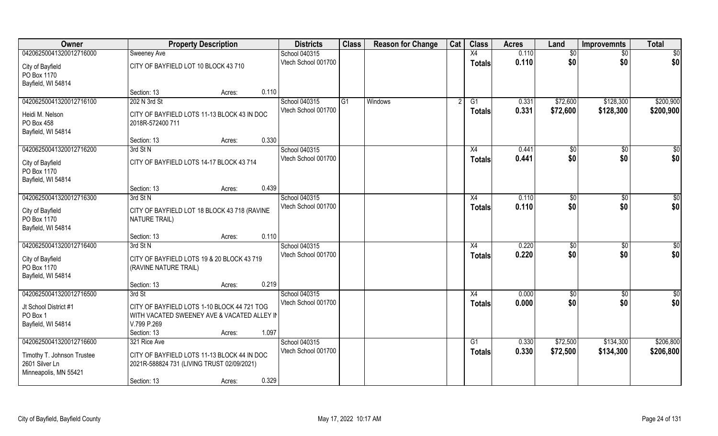| Owner                                                                                            | <b>Property Description</b>                                                                                                                           | <b>Districts</b>                     | <b>Class</b> | <b>Reason for Change</b> | Cat | <b>Class</b>        | <b>Acres</b>   | Land                  | <b>Improvemnts</b>     | <b>Total</b>           |
|--------------------------------------------------------------------------------------------------|-------------------------------------------------------------------------------------------------------------------------------------------------------|--------------------------------------|--------------|--------------------------|-----|---------------------|----------------|-----------------------|------------------------|------------------------|
| 04206250041320012716000                                                                          | Sweeney Ave                                                                                                                                           | School 040315                        |              |                          |     | X4                  | 0.110          | \$0                   | \$0                    | \$0                    |
| City of Bayfield<br>PO Box 1170<br>Bayfield, WI 54814                                            | CITY OF BAYFIELD LOT 10 BLOCK 43 710                                                                                                                  | Vtech School 001700                  |              |                          |     | <b>Totals</b>       | 0.110          | \$0                   | \$0                    | \$0                    |
|                                                                                                  | 0.110<br>Section: 13<br>Acres:                                                                                                                        |                                      |              |                          |     |                     |                |                       |                        |                        |
| 04206250041320012716100<br>Heidi M. Nelson<br>PO Box 458<br>Bayfield, WI 54814                   | 202 N 3rd St<br>CITY OF BAYFIELD LOTS 11-13 BLOCK 43 IN DOC<br>2018R-572400 711                                                                       | School 040315<br>Vtech School 001700 | G1           | <b>Windows</b>           |     | G1<br>Totals        | 0.331<br>0.331 | \$72,600<br>\$72,600  | \$128,300<br>\$128,300 | \$200,900<br>\$200,900 |
|                                                                                                  | 0.330<br>Section: 13<br>Acres:                                                                                                                        |                                      |              |                          |     |                     |                |                       |                        |                        |
| 04206250041320012716200<br>City of Bayfield<br>PO Box 1170<br>Bayfield, WI 54814                 | 3rd St N<br>CITY OF BAYFIELD LOTS 14-17 BLOCK 43 714                                                                                                  | School 040315<br>Vtech School 001700 |              |                          |     | X4<br><b>Totals</b> | 0.441<br>0.441 | \$0<br>\$0            | \$0<br>\$0             | \$0<br>\$0             |
|                                                                                                  | 0.439<br>Section: 13<br>Acres:                                                                                                                        |                                      |              |                          |     |                     |                |                       |                        |                        |
| 04206250041320012716300<br>City of Bayfield<br>PO Box 1170<br>Bayfield, WI 54814                 | 3rd St N<br>CITY OF BAYFIELD LOT 18 BLOCK 43 718 (RAVINE<br>NATURE TRAIL)                                                                             | School 040315<br>Vtech School 001700 |              |                          |     | X4<br><b>Totals</b> | 0.110<br>0.110 | \$0<br>\$0            | \$0<br>\$0             | \$0<br>\$0             |
|                                                                                                  | 0.110<br>Section: 13<br>Acres:                                                                                                                        |                                      |              |                          |     |                     |                |                       |                        |                        |
| 04206250041320012716400<br>City of Bayfield<br>PO Box 1170<br>Bayfield, WI 54814                 | 3rd St N<br>CITY OF BAYFIELD LOTS 19 & 20 BLOCK 43 719<br>(RAVINE NATURE TRAIL)                                                                       | School 040315<br>Vtech School 001700 |              |                          |     | X4<br><b>Totals</b> | 0.220<br>0.220 | $\sqrt[6]{30}$<br>\$0 | $\overline{50}$<br>\$0 | \$0<br>\$0             |
|                                                                                                  | 0.219<br>Section: 13<br>Acres:                                                                                                                        |                                      |              |                          |     |                     |                |                       |                        |                        |
| 04206250041320012716500<br>Jt School District #1<br>PO Box 1<br>Bayfield, WI 54814               | 3rd St<br>CITY OF BAYFIELD LOTS 1-10 BLOCK 44 721 TOG<br>WITH VACATED SWEENEY AVE & VACATED ALLEY IN<br>V.799 P.269<br>1.097<br>Section: 13<br>Acres: | School 040315<br>Vtech School 001700 |              |                          |     | X4<br><b>Totals</b> | 0.000<br>0.000 | \$0<br>\$0            | $\sqrt{6}$<br>\$0      | $\overline{50}$<br>\$0 |
| 04206250041320012716600<br>Timothy T. Johnson Trustee<br>2601 Silver Ln<br>Minneapolis, MN 55421 | 321 Rice Ave<br>CITY OF BAYFIELD LOTS 11-13 BLOCK 44 IN DOC<br>2021R-588824 731 (LIVING TRUST 02/09/2021)<br>0.329<br>Section: 13<br>Acres:           | School 040315<br>Vtech School 001700 |              |                          |     | G1<br><b>Totals</b> | 0.330<br>0.330 | \$72,500<br>\$72,500  | \$134,300<br>\$134,300 | \$206,800<br>\$206,800 |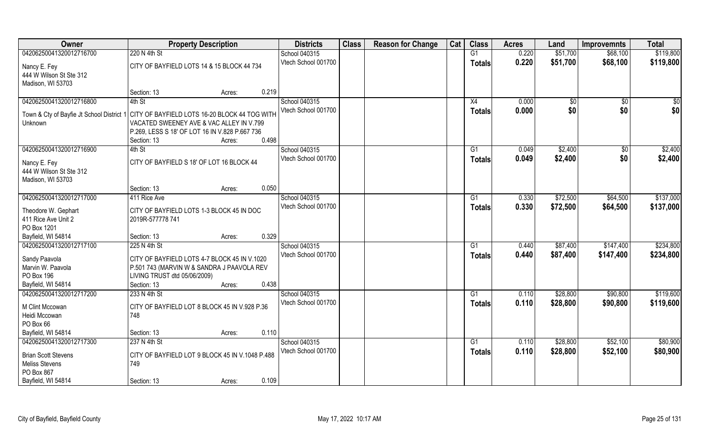| Owner                                     | <b>Property Description</b>                                                                |                 | <b>Districts</b>    | <b>Class</b> | <b>Reason for Change</b> | Cat | <b>Class</b>    | <b>Acres</b> | Land            | <b>Improvemnts</b> | <b>Total</b> |
|-------------------------------------------|--------------------------------------------------------------------------------------------|-----------------|---------------------|--------------|--------------------------|-----|-----------------|--------------|-----------------|--------------------|--------------|
| 04206250041320012716700                   | 220 N 4th St                                                                               |                 | School 040315       |              |                          |     | G1              | 0.220        | \$51,700        | \$68,100           | \$119,800    |
| Nancy E. Fey                              | CITY OF BAYFIELD LOTS 14 & 15 BLOCK 44 734                                                 |                 | Vtech School 001700 |              |                          |     | <b>Totals</b>   | 0.220        | \$51,700        | \$68,100           | \$119,800    |
| 444 W Wilson St Ste 312                   |                                                                                            |                 |                     |              |                          |     |                 |              |                 |                    |              |
| Madison, WI 53703                         |                                                                                            |                 |                     |              |                          |     |                 |              |                 |                    |              |
|                                           | Section: 13                                                                                | 0.219<br>Acres: |                     |              |                          |     |                 |              |                 |                    |              |
| 04206250041320012716800                   | 4th St                                                                                     |                 | School 040315       |              |                          |     | X4              | 0.000        | $\overline{50}$ | $\overline{50}$    | \$0          |
| Town & Cty of Bayfie Jt School District 1 | CITY OF BAYFIELD LOTS 16-20 BLOCK 44 TOG WITH                                              |                 | Vtech School 001700 |              |                          |     | Totals          | 0.000        | \$0             | \$0                | \$0          |
| Unknown                                   | VACATED SWEENEY AVE & VAC ALLEY IN V.799                                                   |                 |                     |              |                          |     |                 |              |                 |                    |              |
|                                           | P.269, LESS S 18' OF LOT 16 IN V.828 P.667 736                                             |                 |                     |              |                          |     |                 |              |                 |                    |              |
|                                           | Section: 13                                                                                | 0.498<br>Acres: |                     |              |                          |     |                 |              |                 |                    |              |
| 04206250041320012716900                   | 4th St                                                                                     |                 | School 040315       |              |                          |     | G1              | 0.049        | \$2,400         | \$0                | \$2,400      |
| Nancy E. Fey                              | CITY OF BAYFIELD S 18' OF LOT 16 BLOCK 44                                                  |                 | Vtech School 001700 |              |                          |     | <b>Totals</b>   | 0.049        | \$2,400         | \$0                | \$2,400      |
| 444 W Wilson St Ste 312                   |                                                                                            |                 |                     |              |                          |     |                 |              |                 |                    |              |
| Madison, WI 53703                         |                                                                                            |                 |                     |              |                          |     |                 |              |                 |                    |              |
|                                           | Section: 13                                                                                | 0.050<br>Acres: |                     |              |                          |     |                 |              |                 |                    |              |
| 04206250041320012717000                   | 411 Rice Ave                                                                               |                 | School 040315       |              |                          |     | G1              | 0.330        | \$72,500        | \$64,500           | \$137,000    |
| Theodore W. Gephart                       | CITY OF BAYFIELD LOTS 1-3 BLOCK 45 IN DOC                                                  |                 | Vtech School 001700 |              |                          |     | <b>Totals</b>   | 0.330        | \$72,500        | \$64,500           | \$137,000    |
| 411 Rice Ave Unit 2                       | 2019R-577778 741                                                                           |                 |                     |              |                          |     |                 |              |                 |                    |              |
| PO Box 1201                               |                                                                                            |                 |                     |              |                          |     |                 |              |                 |                    |              |
| Bayfield, WI 54814                        | Section: 13                                                                                | 0.329<br>Acres: |                     |              |                          |     |                 |              |                 |                    |              |
| 04206250041320012717100                   | 225 N 4th St                                                                               |                 | School 040315       |              |                          |     | G1              | 0.440        | \$87,400        | \$147,400          | \$234,800    |
|                                           |                                                                                            |                 | Vtech School 001700 |              |                          |     | <b>Totals</b>   | 0.440        | \$87,400        | \$147,400          | \$234,800    |
| Sandy Paavola<br>Marvin W. Paavola        | CITY OF BAYFIELD LOTS 4-7 BLOCK 45 IN V.1020<br>P.501 743 (MARVIN W & SANDRA J PAAVOLA REV |                 |                     |              |                          |     |                 |              |                 |                    |              |
| PO Box 196                                | LIVING TRUST dtd 05/06/2009)                                                               |                 |                     |              |                          |     |                 |              |                 |                    |              |
| Bayfield, WI 54814                        | Section: 13                                                                                | 0.438<br>Acres: |                     |              |                          |     |                 |              |                 |                    |              |
| 04206250041320012717200                   | 233 N 4th St                                                                               |                 | School 040315       |              |                          |     | G1              | 0.110        | \$28,800        | \$90,800           | \$119,600    |
|                                           |                                                                                            |                 | Vtech School 001700 |              |                          |     | <b>Totals</b>   | 0.110        | \$28,800        | \$90,800           | \$119,600    |
| M Clint Mccowan                           | CITY OF BAYFIELD LOT 8 BLOCK 45 IN V.928 P.36                                              |                 |                     |              |                          |     |                 |              |                 |                    |              |
| Heidi Mccowan<br>PO Box 66                | 748                                                                                        |                 |                     |              |                          |     |                 |              |                 |                    |              |
| Bayfield, WI 54814                        | Section: 13                                                                                | 0.110<br>Acres: |                     |              |                          |     |                 |              |                 |                    |              |
| 04206250041320012717300                   | 237 N 4th St                                                                               |                 | School 040315       |              |                          |     | $\overline{G1}$ | 0.110        | \$28,800        | \$52,100           | \$80,900     |
|                                           |                                                                                            |                 | Vtech School 001700 |              |                          |     | <b>Totals</b>   | 0.110        | \$28,800        | \$52,100           | \$80,900     |
| <b>Brian Scott Stevens</b>                | CITY OF BAYFIELD LOT 9 BLOCK 45 IN V.1048 P.488                                            |                 |                     |              |                          |     |                 |              |                 |                    |              |
| <b>Meliss Stevens</b>                     | 749                                                                                        |                 |                     |              |                          |     |                 |              |                 |                    |              |
| PO Box 867<br>Bayfield, WI 54814          | Section: 13                                                                                | 0.109           |                     |              |                          |     |                 |              |                 |                    |              |
|                                           |                                                                                            | Acres:          |                     |              |                          |     |                 |              |                 |                    |              |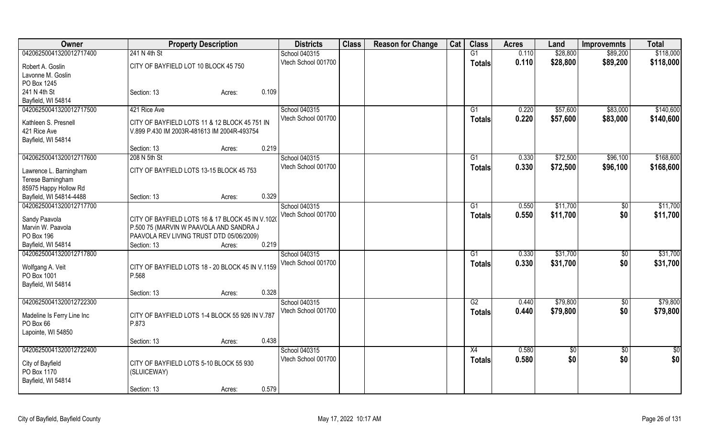| Owner                      | <b>Property Description</b>                      | <b>Districts</b>    | <b>Class</b> | <b>Reason for Change</b> | Cat | <b>Class</b>  | <b>Acres</b> | Land          | <b>Improvemnts</b> | <b>Total</b>  |
|----------------------------|--------------------------------------------------|---------------------|--------------|--------------------------|-----|---------------|--------------|---------------|--------------------|---------------|
| 04206250041320012717400    | 241 N 4th St                                     | School 040315       |              |                          |     | G1            | 0.110        | \$28,800      | \$89,200           | \$118,000     |
| Robert A. Goslin           | CITY OF BAYFIELD LOT 10 BLOCK 45 750             | Vtech School 001700 |              |                          |     | <b>Totals</b> | 0.110        | \$28,800      | \$89,200           | \$118,000     |
| Lavonne M. Goslin          |                                                  |                     |              |                          |     |               |              |               |                    |               |
| PO Box 1245                |                                                  |                     |              |                          |     |               |              |               |                    |               |
| 241 N 4th St               | 0.109<br>Section: 13<br>Acres:                   |                     |              |                          |     |               |              |               |                    |               |
| Bayfield, WI 54814         |                                                  |                     |              |                          |     |               |              |               |                    |               |
| 04206250041320012717500    | 421 Rice Ave                                     | School 040315       |              |                          |     | G1            | 0.220        | \$57,600      | \$83,000           | \$140,600     |
|                            |                                                  | Vtech School 001700 |              |                          |     | <b>Totals</b> | 0.220        | \$57,600      | \$83,000           | \$140,600     |
| Kathleen S. Presnell       | CITY OF BAYFIELD LOTS 11 & 12 BLOCK 45 751 IN    |                     |              |                          |     |               |              |               |                    |               |
| 421 Rice Ave               | V.899 P.430 IM 2003R-481613 IM 2004R-493754      |                     |              |                          |     |               |              |               |                    |               |
| Bayfield, WI 54814         | 0.219                                            |                     |              |                          |     |               |              |               |                    |               |
|                            | Section: 13<br>Acres:                            |                     |              |                          |     |               |              |               |                    |               |
| 04206250041320012717600    | 208 N 5th St                                     | School 040315       |              |                          |     | G1            | 0.330        | \$72,500      | \$96,100           | \$168,600     |
| Lawrence L. Barningham     | CITY OF BAYFIELD LOTS 13-15 BLOCK 45 753         | Vtech School 001700 |              |                          |     | <b>Totals</b> | 0.330        | \$72,500      | \$96,100           | \$168,600     |
| Terese Barningham          |                                                  |                     |              |                          |     |               |              |               |                    |               |
| 85975 Happy Hollow Rd      |                                                  |                     |              |                          |     |               |              |               |                    |               |
| Bayfield, WI 54814-4488    | 0.329<br>Section: 13<br>Acres:                   |                     |              |                          |     |               |              |               |                    |               |
| 04206250041320012717700    |                                                  | School 040315       |              |                          |     | G1            | 0.550        | \$11,700      | \$0                | \$11,700      |
| Sandy Paavola              | CITY OF BAYFIELD LOTS 16 & 17 BLOCK 45 IN V.1020 | Vtech School 001700 |              |                          |     | <b>Totals</b> | 0.550        | \$11,700      | \$0                | \$11,700      |
| Marvin W. Paavola          | P.500 75 (MARVIN W PAAVOLA AND SANDRA J          |                     |              |                          |     |               |              |               |                    |               |
| PO Box 196                 | PAAVOLA REV LIVING TRUST DTD 05/06/2009)         |                     |              |                          |     |               |              |               |                    |               |
| Bayfield, WI 54814         | 0.219<br>Section: 13<br>Acres:                   |                     |              |                          |     |               |              |               |                    |               |
| 04206250041320012717800    |                                                  | School 040315       |              |                          |     | G1            | 0.330        | \$31,700      | $\sqrt[6]{}$       | \$31,700      |
|                            |                                                  | Vtech School 001700 |              |                          |     |               | 0.330        |               |                    |               |
| Wolfgang A. Veit           | CITY OF BAYFIELD LOTS 18 - 20 BLOCK 45 IN V.1159 |                     |              |                          |     | <b>Totals</b> |              | \$31,700      | \$0                | \$31,700      |
| PO Box 1001                | P.568                                            |                     |              |                          |     |               |              |               |                    |               |
| Bayfield, WI 54814         |                                                  |                     |              |                          |     |               |              |               |                    |               |
|                            | 0.328<br>Section: 13<br>Acres:                   |                     |              |                          |     |               |              |               |                    |               |
| 04206250041320012722300    |                                                  | School 040315       |              |                          |     | G2            | 0.440        | \$79,800      | $\overline{50}$    | \$79,800      |
| Madeline Is Ferry Line Inc | CITY OF BAYFIELD LOTS 1-4 BLOCK 55 926 IN V.787  | Vtech School 001700 |              |                          |     | <b>Totals</b> | 0.440        | \$79,800      | \$0                | \$79,800      |
| PO Box 66                  | P.873                                            |                     |              |                          |     |               |              |               |                    |               |
| Lapointe, WI 54850         |                                                  |                     |              |                          |     |               |              |               |                    |               |
|                            | 0.438<br>Section: 13<br>Acres:                   |                     |              |                          |     |               |              |               |                    |               |
| 04206250041320012722400    |                                                  | School 040315       |              |                          |     | X4            | 0.580        | $\frac{1}{3}$ | $\overline{60}$    | $\frac{1}{2}$ |
|                            |                                                  | Vtech School 001700 |              |                          |     | <b>Totals</b> | 0.580        | \$0           | \$0                | \$0           |
| City of Bayfield           | CITY OF BAYFIELD LOTS 5-10 BLOCK 55 930          |                     |              |                          |     |               |              |               |                    |               |
| PO Box 1170                | (SLUICEWAY)                                      |                     |              |                          |     |               |              |               |                    |               |
| Bayfield, WI 54814         |                                                  |                     |              |                          |     |               |              |               |                    |               |
|                            | 0.579<br>Section: 13<br>Acres:                   |                     |              |                          |     |               |              |               |                    |               |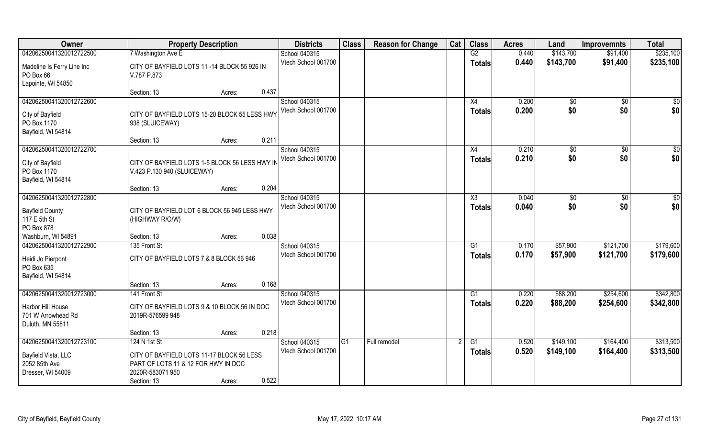| Owner                                                                            | <b>Property Description</b>                                                                          | <b>Districts</b>                     | <b>Class</b> | <b>Reason for Change</b> | Cat | <b>Class</b>        | <b>Acres</b>   | Land                  | <b>Improvemnts</b>     | <b>Total</b>           |
|----------------------------------------------------------------------------------|------------------------------------------------------------------------------------------------------|--------------------------------------|--------------|--------------------------|-----|---------------------|----------------|-----------------------|------------------------|------------------------|
| 04206250041320012722500                                                          | 7 Washington Ave E                                                                                   | School 040315                        |              |                          |     | G2                  | 0.440          | \$143,700             | \$91,400               | \$235,100              |
| Madeline Is Ferry Line Inc<br>PO Box 66<br>Lapointe, WI 54850                    | CITY OF BAYFIELD LOTS 11 -14 BLOCK 55 926 IN<br>V.787 P.873                                          | Vtech School 001700                  |              |                          |     | <b>Totals</b>       | 0.440          | \$143,700             | \$91,400               | \$235,100              |
|                                                                                  | 0.437<br>Section: 13<br>Acres:                                                                       |                                      |              |                          |     |                     |                |                       |                        |                        |
| 04206250041320012722600<br>City of Bayfield<br>PO Box 1170<br>Bayfield, WI 54814 | CITY OF BAYFIELD LOTS 15-20 BLOCK 55 LESS HWY<br>938 (SLUICEWAY)                                     | School 040315<br>Vtech School 001700 |              |                          |     | X4<br>Totals        | 0.200<br>0.200 | \$0<br>\$0            | \$0<br>\$0             | \$0<br>\$0             |
|                                                                                  | 0.211<br>Section: 13<br>Acres:                                                                       |                                      |              |                          |     |                     |                |                       |                        |                        |
| 04206250041320012722700                                                          |                                                                                                      | School 040315                        |              |                          |     | X4                  | 0.210          | \$0                   | $\sqrt{6}$             | \$0                    |
| City of Bayfield<br>PO Box 1170<br>Bayfield, WI 54814                            | CITY OF BAYFIELD LOTS 1-5 BLOCK 56 LESS HWY IN<br>V.423 P.130 940 (SLUICEWAY)                        | Vtech School 001700                  |              |                          |     | <b>Totals</b>       | 0.210          | \$0                   | \$0                    | \$0                    |
|                                                                                  | 0.204<br>Section: 13<br>Acres:                                                                       |                                      |              |                          |     |                     |                |                       |                        |                        |
| 04206250041320012722800                                                          |                                                                                                      | School 040315<br>Vtech School 001700 |              |                          |     | X3                  | 0.040<br>0.040 | $\frac{1}{20}$<br>\$0 | \$0<br>\$0             | \$0<br>\$0             |
| <b>Bayfield County</b><br>117 E 5th St<br>PO Box 878                             | CITY OF BAYFIELD LOT 6 BLOCK 56 945 LESS HWY<br>(HIGHWAY R/O/W)                                      |                                      |              |                          |     | <b>Totals</b>       |                |                       |                        |                        |
| Washburn, WI 54891                                                               | 0.038<br>Section: 13<br>Acres:                                                                       |                                      |              |                          |     |                     |                |                       |                        |                        |
| 04206250041320012722900<br>Heidi Jo Pierpont<br>PO Box 635<br>Bayfield, WI 54814 | 135 Front St<br>CITY OF BAYFIELD LOTS 7 & 8 BLOCK 56 946                                             | School 040315<br>Vtech School 001700 |              |                          |     | G1<br><b>Totals</b> | 0.170<br>0.170 | \$57,900<br>\$57,900  | \$121,700<br>\$121,700 | \$179,600<br>\$179,600 |
|                                                                                  | 0.168<br>Section: 13<br>Acres:                                                                       |                                      |              |                          |     |                     |                |                       |                        |                        |
| 04206250041320012723000                                                          | 141 Front St                                                                                         | School 040315                        |              |                          |     | G1                  | 0.220          | \$88,200              | \$254,600              | \$342,800              |
| Harbor Hill House<br>701 W Arrowhead Rd<br>Duluth, MN 55811                      | CITY OF BAYFIELD LOTS 9 & 10 BLOCK 56 IN DOC<br>2019R-576599 948                                     | Vtech School 001700                  |              |                          |     | <b>Totals</b>       | 0.220          | \$88,200              | \$254,600              | \$342,800              |
|                                                                                  | 0.218<br>Section: 13<br>Acres:                                                                       |                                      |              |                          |     |                     |                |                       |                        |                        |
| 04206250041320012723100                                                          | 124 N 1st St                                                                                         | School 040315                        | G1           | Full remodel             |     | G1                  | 0.520          | \$149,100             | \$164,400              | \$313,500              |
| Bayfield Vista, LLC<br>2052 85th Ave<br>Dresser, WI 54009                        | CITY OF BAYFIELD LOTS 11-17 BLOCK 56 LESS<br>PART OF LOTS 11 & 12 FOR HWY IN DOC<br>2020R-583071 950 | Vtech School 001700                  |              |                          |     | Totals              | 0.520          | \$149,100             | \$164,400              | \$313,500              |
|                                                                                  | 0.522<br>Section: 13<br>Acres:                                                                       |                                      |              |                          |     |                     |                |                       |                        |                        |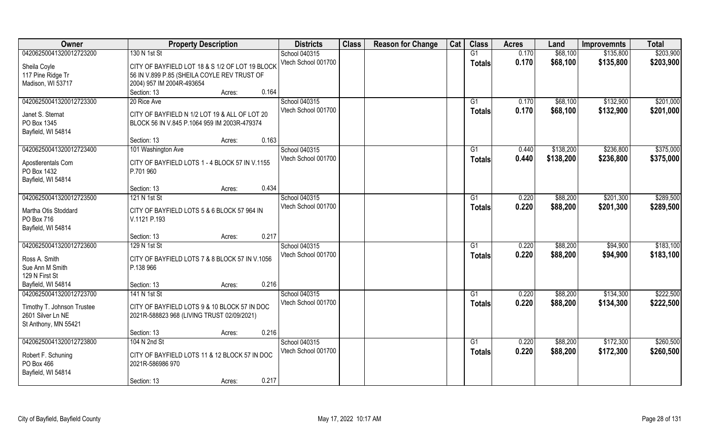| \$203,900<br>04206250041320012723200<br>130 N 1st St<br>G1<br>0.170<br>\$68,100<br>School 040315<br>\$135,800<br>Vtech School 001700<br>0.170<br>\$68,100<br>\$135,800<br>\$203,900<br><b>Totals</b><br>CITY OF BAYFIELD LOT 18 & S 1/2 OF LOT 19 BLOCK<br>Sheila Coyle<br>117 Pine Ridge Tr<br>56 IN V.899 P.85 (SHEILA COYLE REV TRUST OF<br>Madison, WI 53717<br>2004) 957 IM 2004R-493654<br>0.164<br>Section: 13<br>Acres:<br>\$201,000<br>04206250041320012723300<br>School 040315<br>0.170<br>\$68,100<br>\$132,900<br>20 Rice Ave<br>G1<br>0.170<br>\$132,900<br>Vtech School 001700<br>\$68,100<br>\$201,000<br>Totals<br>Janet S. Sternat<br>CITY OF BAYFIELD N 1/2 LOT 19 & ALL OF LOT 20<br>PO Box 1345<br>BLOCK 56 IN V.845 P.1064 959 IM 2003R-479374<br>Bayfield, WI 54814<br>0.163<br>Section: 13<br>Acres:<br>\$375,000<br>04206250041320012723400<br>School 040315<br>\$138,200<br>\$236,800<br>101 Washington Ave<br>G1<br>0.440<br>Vtech School 001700<br>0.440<br>\$138,200<br>\$236,800<br>\$375,000<br><b>Totals</b><br>CITY OF BAYFIELD LOTS 1 - 4 BLOCK 57 IN V.1155<br>Apostlerentals Com<br>PO Box 1432<br>P.701 960<br>Bayfield, WI 54814<br>0.434<br>Section: 13<br>Acres:<br>\$289,500<br>04206250041320012723500<br>School 040315<br>\$201,300<br>121 N 1st St<br>0.220<br>\$88,200<br>G1<br>Vtech School 001700<br>0.220<br>\$88,200<br>\$201,300<br>\$289,500<br>Totals<br>CITY OF BAYFIELD LOTS 5 & 6 BLOCK 57 964 IN<br>Martha Otis Stoddard<br>PO Box 716<br>V.1121 P.193<br>Bayfield, WI 54814<br>0.217<br>Section: 13<br>Acres:<br>\$183,100<br>04206250041320012723600<br>\$94,900<br>129 N 1st St<br>School 040315<br>G1<br>0.220<br>\$88,200<br>Vtech School 001700<br>0.220<br>\$88,200<br>\$183,100<br>\$94,900<br><b>Totals</b><br>Ross A. Smith<br>CITY OF BAYFIELD LOTS 7 & 8 BLOCK 57 IN V.1056<br>Sue Ann M Smith<br>P.138 966<br>129 N First St<br>0.216<br>Bayfield, WI 54814<br>Section: 13<br>Acres:<br>\$222,500<br>School 040315<br>\$88,200<br>04206250041320012723700<br>141 N 1st St<br>G1<br>0.220<br>\$134,300<br>Vtech School 001700<br>0.220<br>\$88,200<br>\$134,300<br>\$222,500<br><b>Totals</b> | Owner                      | <b>Property Description</b>                  | <b>Districts</b> | <b>Class</b> | <b>Reason for Change</b> | Cat | <b>Class</b> | <b>Acres</b> | Land | <b>Improvemnts</b> | <b>Total</b> |
|------------------------------------------------------------------------------------------------------------------------------------------------------------------------------------------------------------------------------------------------------------------------------------------------------------------------------------------------------------------------------------------------------------------------------------------------------------------------------------------------------------------------------------------------------------------------------------------------------------------------------------------------------------------------------------------------------------------------------------------------------------------------------------------------------------------------------------------------------------------------------------------------------------------------------------------------------------------------------------------------------------------------------------------------------------------------------------------------------------------------------------------------------------------------------------------------------------------------------------------------------------------------------------------------------------------------------------------------------------------------------------------------------------------------------------------------------------------------------------------------------------------------------------------------------------------------------------------------------------------------------------------------------------------------------------------------------------------------------------------------------------------------------------------------------------------------------------------------------------------------------------------------------------------------------------------------------------------------------------------------------------------------------------------------------------------------------------------------------------------------------------------------------------------|----------------------------|----------------------------------------------|------------------|--------------|--------------------------|-----|--------------|--------------|------|--------------------|--------------|
|                                                                                                                                                                                                                                                                                                                                                                                                                                                                                                                                                                                                                                                                                                                                                                                                                                                                                                                                                                                                                                                                                                                                                                                                                                                                                                                                                                                                                                                                                                                                                                                                                                                                                                                                                                                                                                                                                                                                                                                                                                                                                                                                                                  |                            |                                              |                  |              |                          |     |              |              |      |                    |              |
|                                                                                                                                                                                                                                                                                                                                                                                                                                                                                                                                                                                                                                                                                                                                                                                                                                                                                                                                                                                                                                                                                                                                                                                                                                                                                                                                                                                                                                                                                                                                                                                                                                                                                                                                                                                                                                                                                                                                                                                                                                                                                                                                                                  |                            |                                              |                  |              |                          |     |              |              |      |                    |              |
|                                                                                                                                                                                                                                                                                                                                                                                                                                                                                                                                                                                                                                                                                                                                                                                                                                                                                                                                                                                                                                                                                                                                                                                                                                                                                                                                                                                                                                                                                                                                                                                                                                                                                                                                                                                                                                                                                                                                                                                                                                                                                                                                                                  |                            |                                              |                  |              |                          |     |              |              |      |                    |              |
|                                                                                                                                                                                                                                                                                                                                                                                                                                                                                                                                                                                                                                                                                                                                                                                                                                                                                                                                                                                                                                                                                                                                                                                                                                                                                                                                                                                                                                                                                                                                                                                                                                                                                                                                                                                                                                                                                                                                                                                                                                                                                                                                                                  |                            |                                              |                  |              |                          |     |              |              |      |                    |              |
|                                                                                                                                                                                                                                                                                                                                                                                                                                                                                                                                                                                                                                                                                                                                                                                                                                                                                                                                                                                                                                                                                                                                                                                                                                                                                                                                                                                                                                                                                                                                                                                                                                                                                                                                                                                                                                                                                                                                                                                                                                                                                                                                                                  |                            |                                              |                  |              |                          |     |              |              |      |                    |              |
|                                                                                                                                                                                                                                                                                                                                                                                                                                                                                                                                                                                                                                                                                                                                                                                                                                                                                                                                                                                                                                                                                                                                                                                                                                                                                                                                                                                                                                                                                                                                                                                                                                                                                                                                                                                                                                                                                                                                                                                                                                                                                                                                                                  |                            |                                              |                  |              |                          |     |              |              |      |                    |              |
|                                                                                                                                                                                                                                                                                                                                                                                                                                                                                                                                                                                                                                                                                                                                                                                                                                                                                                                                                                                                                                                                                                                                                                                                                                                                                                                                                                                                                                                                                                                                                                                                                                                                                                                                                                                                                                                                                                                                                                                                                                                                                                                                                                  |                            |                                              |                  |              |                          |     |              |              |      |                    |              |
|                                                                                                                                                                                                                                                                                                                                                                                                                                                                                                                                                                                                                                                                                                                                                                                                                                                                                                                                                                                                                                                                                                                                                                                                                                                                                                                                                                                                                                                                                                                                                                                                                                                                                                                                                                                                                                                                                                                                                                                                                                                                                                                                                                  |                            |                                              |                  |              |                          |     |              |              |      |                    |              |
|                                                                                                                                                                                                                                                                                                                                                                                                                                                                                                                                                                                                                                                                                                                                                                                                                                                                                                                                                                                                                                                                                                                                                                                                                                                                                                                                                                                                                                                                                                                                                                                                                                                                                                                                                                                                                                                                                                                                                                                                                                                                                                                                                                  |                            |                                              |                  |              |                          |     |              |              |      |                    |              |
|                                                                                                                                                                                                                                                                                                                                                                                                                                                                                                                                                                                                                                                                                                                                                                                                                                                                                                                                                                                                                                                                                                                                                                                                                                                                                                                                                                                                                                                                                                                                                                                                                                                                                                                                                                                                                                                                                                                                                                                                                                                                                                                                                                  |                            |                                              |                  |              |                          |     |              |              |      |                    |              |
|                                                                                                                                                                                                                                                                                                                                                                                                                                                                                                                                                                                                                                                                                                                                                                                                                                                                                                                                                                                                                                                                                                                                                                                                                                                                                                                                                                                                                                                                                                                                                                                                                                                                                                                                                                                                                                                                                                                                                                                                                                                                                                                                                                  |                            |                                              |                  |              |                          |     |              |              |      |                    |              |
|                                                                                                                                                                                                                                                                                                                                                                                                                                                                                                                                                                                                                                                                                                                                                                                                                                                                                                                                                                                                                                                                                                                                                                                                                                                                                                                                                                                                                                                                                                                                                                                                                                                                                                                                                                                                                                                                                                                                                                                                                                                                                                                                                                  |                            |                                              |                  |              |                          |     |              |              |      |                    |              |
|                                                                                                                                                                                                                                                                                                                                                                                                                                                                                                                                                                                                                                                                                                                                                                                                                                                                                                                                                                                                                                                                                                                                                                                                                                                                                                                                                                                                                                                                                                                                                                                                                                                                                                                                                                                                                                                                                                                                                                                                                                                                                                                                                                  |                            |                                              |                  |              |                          |     |              |              |      |                    |              |
|                                                                                                                                                                                                                                                                                                                                                                                                                                                                                                                                                                                                                                                                                                                                                                                                                                                                                                                                                                                                                                                                                                                                                                                                                                                                                                                                                                                                                                                                                                                                                                                                                                                                                                                                                                                                                                                                                                                                                                                                                                                                                                                                                                  |                            |                                              |                  |              |                          |     |              |              |      |                    |              |
|                                                                                                                                                                                                                                                                                                                                                                                                                                                                                                                                                                                                                                                                                                                                                                                                                                                                                                                                                                                                                                                                                                                                                                                                                                                                                                                                                                                                                                                                                                                                                                                                                                                                                                                                                                                                                                                                                                                                                                                                                                                                                                                                                                  |                            |                                              |                  |              |                          |     |              |              |      |                    |              |
|                                                                                                                                                                                                                                                                                                                                                                                                                                                                                                                                                                                                                                                                                                                                                                                                                                                                                                                                                                                                                                                                                                                                                                                                                                                                                                                                                                                                                                                                                                                                                                                                                                                                                                                                                                                                                                                                                                                                                                                                                                                                                                                                                                  |                            |                                              |                  |              |                          |     |              |              |      |                    |              |
|                                                                                                                                                                                                                                                                                                                                                                                                                                                                                                                                                                                                                                                                                                                                                                                                                                                                                                                                                                                                                                                                                                                                                                                                                                                                                                                                                                                                                                                                                                                                                                                                                                                                                                                                                                                                                                                                                                                                                                                                                                                                                                                                                                  |                            |                                              |                  |              |                          |     |              |              |      |                    |              |
|                                                                                                                                                                                                                                                                                                                                                                                                                                                                                                                                                                                                                                                                                                                                                                                                                                                                                                                                                                                                                                                                                                                                                                                                                                                                                                                                                                                                                                                                                                                                                                                                                                                                                                                                                                                                                                                                                                                                                                                                                                                                                                                                                                  |                            |                                              |                  |              |                          |     |              |              |      |                    |              |
|                                                                                                                                                                                                                                                                                                                                                                                                                                                                                                                                                                                                                                                                                                                                                                                                                                                                                                                                                                                                                                                                                                                                                                                                                                                                                                                                                                                                                                                                                                                                                                                                                                                                                                                                                                                                                                                                                                                                                                                                                                                                                                                                                                  |                            |                                              |                  |              |                          |     |              |              |      |                    |              |
|                                                                                                                                                                                                                                                                                                                                                                                                                                                                                                                                                                                                                                                                                                                                                                                                                                                                                                                                                                                                                                                                                                                                                                                                                                                                                                                                                                                                                                                                                                                                                                                                                                                                                                                                                                                                                                                                                                                                                                                                                                                                                                                                                                  |                            |                                              |                  |              |                          |     |              |              |      |                    |              |
|                                                                                                                                                                                                                                                                                                                                                                                                                                                                                                                                                                                                                                                                                                                                                                                                                                                                                                                                                                                                                                                                                                                                                                                                                                                                                                                                                                                                                                                                                                                                                                                                                                                                                                                                                                                                                                                                                                                                                                                                                                                                                                                                                                  |                            |                                              |                  |              |                          |     |              |              |      |                    |              |
|                                                                                                                                                                                                                                                                                                                                                                                                                                                                                                                                                                                                                                                                                                                                                                                                                                                                                                                                                                                                                                                                                                                                                                                                                                                                                                                                                                                                                                                                                                                                                                                                                                                                                                                                                                                                                                                                                                                                                                                                                                                                                                                                                                  |                            |                                              |                  |              |                          |     |              |              |      |                    |              |
|                                                                                                                                                                                                                                                                                                                                                                                                                                                                                                                                                                                                                                                                                                                                                                                                                                                                                                                                                                                                                                                                                                                                                                                                                                                                                                                                                                                                                                                                                                                                                                                                                                                                                                                                                                                                                                                                                                                                                                                                                                                                                                                                                                  |                            |                                              |                  |              |                          |     |              |              |      |                    |              |
|                                                                                                                                                                                                                                                                                                                                                                                                                                                                                                                                                                                                                                                                                                                                                                                                                                                                                                                                                                                                                                                                                                                                                                                                                                                                                                                                                                                                                                                                                                                                                                                                                                                                                                                                                                                                                                                                                                                                                                                                                                                                                                                                                                  |                            |                                              |                  |              |                          |     |              |              |      |                    |              |
|                                                                                                                                                                                                                                                                                                                                                                                                                                                                                                                                                                                                                                                                                                                                                                                                                                                                                                                                                                                                                                                                                                                                                                                                                                                                                                                                                                                                                                                                                                                                                                                                                                                                                                                                                                                                                                                                                                                                                                                                                                                                                                                                                                  |                            |                                              |                  |              |                          |     |              |              |      |                    |              |
|                                                                                                                                                                                                                                                                                                                                                                                                                                                                                                                                                                                                                                                                                                                                                                                                                                                                                                                                                                                                                                                                                                                                                                                                                                                                                                                                                                                                                                                                                                                                                                                                                                                                                                                                                                                                                                                                                                                                                                                                                                                                                                                                                                  |                            |                                              |                  |              |                          |     |              |              |      |                    |              |
|                                                                                                                                                                                                                                                                                                                                                                                                                                                                                                                                                                                                                                                                                                                                                                                                                                                                                                                                                                                                                                                                                                                                                                                                                                                                                                                                                                                                                                                                                                                                                                                                                                                                                                                                                                                                                                                                                                                                                                                                                                                                                                                                                                  |                            |                                              |                  |              |                          |     |              |              |      |                    |              |
|                                                                                                                                                                                                                                                                                                                                                                                                                                                                                                                                                                                                                                                                                                                                                                                                                                                                                                                                                                                                                                                                                                                                                                                                                                                                                                                                                                                                                                                                                                                                                                                                                                                                                                                                                                                                                                                                                                                                                                                                                                                                                                                                                                  |                            |                                              |                  |              |                          |     |              |              |      |                    |              |
|                                                                                                                                                                                                                                                                                                                                                                                                                                                                                                                                                                                                                                                                                                                                                                                                                                                                                                                                                                                                                                                                                                                                                                                                                                                                                                                                                                                                                                                                                                                                                                                                                                                                                                                                                                                                                                                                                                                                                                                                                                                                                                                                                                  | Timothy T. Johnson Trustee | CITY OF BAYFIELD LOTS 9 & 10 BLOCK 57 IN DOC |                  |              |                          |     |              |              |      |                    |              |
| 2601 Silver Ln NE<br>2021R-588823 968 (LIVING TRUST 02/09/2021)                                                                                                                                                                                                                                                                                                                                                                                                                                                                                                                                                                                                                                                                                                                                                                                                                                                                                                                                                                                                                                                                                                                                                                                                                                                                                                                                                                                                                                                                                                                                                                                                                                                                                                                                                                                                                                                                                                                                                                                                                                                                                                  |                            |                                              |                  |              |                          |     |              |              |      |                    |              |
| St Anthony, MN 55421                                                                                                                                                                                                                                                                                                                                                                                                                                                                                                                                                                                                                                                                                                                                                                                                                                                                                                                                                                                                                                                                                                                                                                                                                                                                                                                                                                                                                                                                                                                                                                                                                                                                                                                                                                                                                                                                                                                                                                                                                                                                                                                                             |                            |                                              |                  |              |                          |     |              |              |      |                    |              |
| 0.216<br>Section: 13<br>Acres:                                                                                                                                                                                                                                                                                                                                                                                                                                                                                                                                                                                                                                                                                                                                                                                                                                                                                                                                                                                                                                                                                                                                                                                                                                                                                                                                                                                                                                                                                                                                                                                                                                                                                                                                                                                                                                                                                                                                                                                                                                                                                                                                   |                            |                                              |                  |              |                          |     |              |              |      |                    |              |
| 04206250041320012723800<br>School 040315<br>\$172,300<br>\$260,500<br>104 N 2nd St<br>G1<br>0.220<br>\$88,200                                                                                                                                                                                                                                                                                                                                                                                                                                                                                                                                                                                                                                                                                                                                                                                                                                                                                                                                                                                                                                                                                                                                                                                                                                                                                                                                                                                                                                                                                                                                                                                                                                                                                                                                                                                                                                                                                                                                                                                                                                                    |                            |                                              |                  |              |                          |     |              |              |      |                    |              |
| Vtech School 001700<br>0.220<br>\$88,200<br>\$260,500<br>\$172,300<br><b>Totals</b>                                                                                                                                                                                                                                                                                                                                                                                                                                                                                                                                                                                                                                                                                                                                                                                                                                                                                                                                                                                                                                                                                                                                                                                                                                                                                                                                                                                                                                                                                                                                                                                                                                                                                                                                                                                                                                                                                                                                                                                                                                                                              |                            |                                              |                  |              |                          |     |              |              |      |                    |              |
| Robert F. Schuning<br>CITY OF BAYFIELD LOTS 11 & 12 BLOCK 57 IN DOC<br>PO Box 466<br>2021R-586986 970                                                                                                                                                                                                                                                                                                                                                                                                                                                                                                                                                                                                                                                                                                                                                                                                                                                                                                                                                                                                                                                                                                                                                                                                                                                                                                                                                                                                                                                                                                                                                                                                                                                                                                                                                                                                                                                                                                                                                                                                                                                            |                            |                                              |                  |              |                          |     |              |              |      |                    |              |
| Bayfield, WI 54814                                                                                                                                                                                                                                                                                                                                                                                                                                                                                                                                                                                                                                                                                                                                                                                                                                                                                                                                                                                                                                                                                                                                                                                                                                                                                                                                                                                                                                                                                                                                                                                                                                                                                                                                                                                                                                                                                                                                                                                                                                                                                                                                               |                            |                                              |                  |              |                          |     |              |              |      |                    |              |
| 0.217<br>Section: 13<br>Acres:                                                                                                                                                                                                                                                                                                                                                                                                                                                                                                                                                                                                                                                                                                                                                                                                                                                                                                                                                                                                                                                                                                                                                                                                                                                                                                                                                                                                                                                                                                                                                                                                                                                                                                                                                                                                                                                                                                                                                                                                                                                                                                                                   |                            |                                              |                  |              |                          |     |              |              |      |                    |              |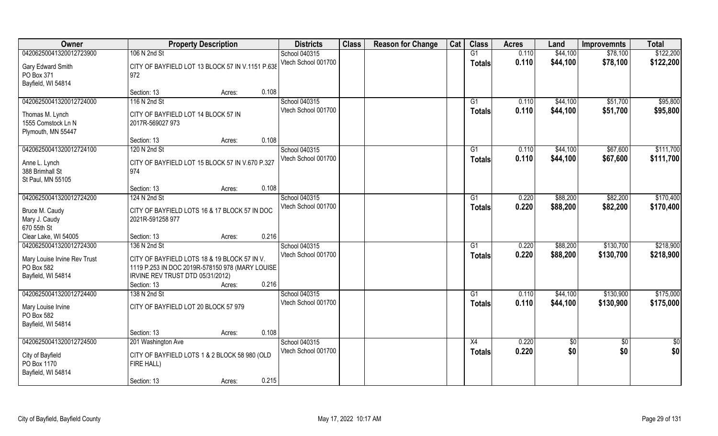| Owner                            | <b>Property Description</b>                                       | <b>Districts</b>                     | <b>Class</b> | <b>Reason for Change</b> | Cat | <b>Class</b>  | <b>Acres</b> | Land     | <b>Improvemnts</b> | <b>Total</b> |
|----------------------------------|-------------------------------------------------------------------|--------------------------------------|--------------|--------------------------|-----|---------------|--------------|----------|--------------------|--------------|
| 04206250041320012723900          | 106 N 2nd St                                                      | School 040315                        |              |                          |     | G1            | 0.110        | \$44,100 | \$78,100           | \$122,200    |
| Gary Edward Smith                | CITY OF BAYFIELD LOT 13 BLOCK 57 IN V.1151 P.638                  | Vtech School 001700                  |              |                          |     | <b>Totals</b> | 0.110        | \$44,100 | \$78,100           | \$122,200    |
| PO Box 371                       | 972                                                               |                                      |              |                          |     |               |              |          |                    |              |
| Bayfield, WI 54814               |                                                                   |                                      |              |                          |     |               |              |          |                    |              |
|                                  | 0.108<br>Section: 13<br>Acres:                                    |                                      |              |                          |     |               |              |          |                    |              |
| 04206250041320012724000          | 116 N 2nd St                                                      | School 040315                        |              |                          |     | G1            | 0.110        | \$44,100 | \$51,700           | \$95,800     |
| Thomas M. Lynch                  | CITY OF BAYFIELD LOT 14 BLOCK 57 IN                               | Vtech School 001700                  |              |                          |     | <b>Totals</b> | 0.110        | \$44,100 | \$51,700           | \$95,800     |
| 1555 Comstock Ln N               | 2017R-569027 973                                                  |                                      |              |                          |     |               |              |          |                    |              |
| Plymouth, MN 55447               |                                                                   |                                      |              |                          |     |               |              |          |                    |              |
|                                  | 0.108<br>Section: 13<br>Acres:                                    |                                      |              |                          |     |               |              |          |                    |              |
| 04206250041320012724100          | 120 N 2nd St                                                      | School 040315                        |              |                          |     | G1            | 0.110        | \$44,100 | \$67,600           | \$111,700    |
|                                  | CITY OF BAYFIELD LOT 15 BLOCK 57 IN V.670 P.327                   | Vtech School 001700                  |              |                          |     | <b>Totals</b> | 0.110        | \$44,100 | \$67,600           | \$111,700    |
| Anne L. Lynch<br>388 Brimhall St | 974                                                               |                                      |              |                          |     |               |              |          |                    |              |
| St Paul, MN 55105                |                                                                   |                                      |              |                          |     |               |              |          |                    |              |
|                                  | 0.108<br>Section: 13<br>Acres:                                    |                                      |              |                          |     |               |              |          |                    |              |
| 04206250041320012724200          | 124 N 2nd St                                                      | School 040315                        |              |                          |     | G1            | 0.220        | \$88,200 | \$82,200           | \$170,400    |
|                                  |                                                                   | Vtech School 001700                  |              |                          |     | <b>Totals</b> | 0.220        | \$88,200 | \$82,200           | \$170,400    |
| Bruce M. Caudy                   | CITY OF BAYFIELD LOTS 16 & 17 BLOCK 57 IN DOC<br>2021R-591258 977 |                                      |              |                          |     |               |              |          |                    |              |
| Mary J. Caudy<br>670 55th St     |                                                                   |                                      |              |                          |     |               |              |          |                    |              |
| Clear Lake, WI 54005             | 0.216<br>Section: 13<br>Acres:                                    |                                      |              |                          |     |               |              |          |                    |              |
| 04206250041320012724300          | 136 N 2nd St                                                      | School 040315                        |              |                          |     | G1            | 0.220        | \$88,200 | \$130,700          | \$218,900    |
|                                  |                                                                   | Vtech School 001700                  |              |                          |     | <b>Totals</b> | 0.220        | \$88,200 | \$130,700          | \$218,900    |
| Mary Louise Irvine Rev Trust     | CITY OF BAYFIELD LOTS 18 & 19 BLOCK 57 IN V.                      |                                      |              |                          |     |               |              |          |                    |              |
| PO Box 582                       | 1119 P.253 IN DOC 2019R-578150 978 (MARY LOUISE                   |                                      |              |                          |     |               |              |          |                    |              |
| Bayfield, WI 54814               | IRVINE REV TRUST DTD 05/31/2012)<br>0.216<br>Section: 13          |                                      |              |                          |     |               |              |          |                    |              |
| 04206250041320012724400          | Acres:<br>138 N 2nd St                                            | School 040315                        |              |                          |     | G1            | 0.110        | \$44,100 | \$130,900          | \$175,000    |
|                                  |                                                                   | Vtech School 001700                  |              |                          |     | <b>Totals</b> | 0.110        | \$44,100 | \$130,900          | \$175,000    |
| Mary Louise Irvine               | CITY OF BAYFIELD LOT 20 BLOCK 57 979                              |                                      |              |                          |     |               |              |          |                    |              |
| PO Box 582                       |                                                                   |                                      |              |                          |     |               |              |          |                    |              |
| Bayfield, WI 54814               |                                                                   |                                      |              |                          |     |               |              |          |                    |              |
|                                  | 0.108<br>Section: 13<br>Acres:                                    |                                      |              |                          |     |               |              |          |                    |              |
| 04206250041320012724500          | 201 Washington Ave                                                | School 040315<br>Vtech School 001700 |              |                          |     | X4            | 0.220        | \$0      | $\sqrt[6]{30}$     | \$0          |
| City of Bayfield                 | CITY OF BAYFIELD LOTS 1 & 2 BLOCK 58 980 (OLD                     |                                      |              |                          |     | <b>Totals</b> | 0.220        | \$0      | \$0                | \$0          |
| PO Box 1170                      | FIRE HALL)                                                        |                                      |              |                          |     |               |              |          |                    |              |
| Bayfield, WI 54814               |                                                                   |                                      |              |                          |     |               |              |          |                    |              |
|                                  | 0.215<br>Section: 13<br>Acres:                                    |                                      |              |                          |     |               |              |          |                    |              |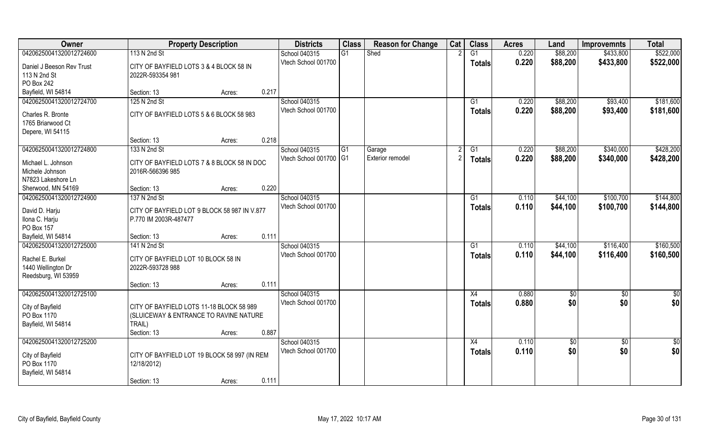| Owner                                                                                    | <b>Property Description</b>                                                                                                    | <b>Districts</b>                     | <b>Class</b> | <b>Reason for Change</b> | Cat | <b>Class</b>              | <b>Acres</b>   | Land                 | <b>Improvemnts</b>     | <b>Total</b>           |
|------------------------------------------------------------------------------------------|--------------------------------------------------------------------------------------------------------------------------------|--------------------------------------|--------------|--------------------------|-----|---------------------------|----------------|----------------------|------------------------|------------------------|
| 04206250041320012724600                                                                  | 113 N 2nd St                                                                                                                   | School 040315                        | G1           | Shed                     |     | $\overline{G1}$           | 0.220          | \$88,200             | \$433,800              | \$522,000              |
| Daniel J Beeson Rev Trust<br>113 N 2nd St<br>PO Box 242                                  | CITY OF BAYFIELD LOTS 3 & 4 BLOCK 58 IN<br>2022R-593354 981                                                                    | Vtech School 001700                  |              |                          |     | <b>Totals</b>             | 0.220          | \$88,200             | \$433,800              | \$522,000              |
| Bayfield, WI 54814                                                                       | 0.217<br>Section: 13<br>Acres:                                                                                                 |                                      |              |                          |     |                           |                |                      |                        |                        |
| 04206250041320012724700                                                                  | 125 N 2nd St                                                                                                                   | School 040315<br>Vtech School 001700 |              |                          |     | $\overline{G1}$<br>Totals | 0.220<br>0.220 | \$88,200<br>\$88,200 | \$93,400<br>\$93,400   | \$181,600<br>\$181,600 |
| Charles R. Bronte<br>1765 Briarwood Ct<br>Depere, WI 54115                               | CITY OF BAYFIELD LOTS 5 & 6 BLOCK 58 983                                                                                       |                                      |              |                          |     |                           |                |                      |                        |                        |
|                                                                                          | 0.218<br>Section: 13<br>Acres:                                                                                                 |                                      |              |                          |     |                           |                |                      |                        |                        |
| 04206250041320012724800                                                                  | 133 N 2nd St                                                                                                                   | School 040315                        | G1           | Garage                   |     | G1                        | 0.220          | \$88,200             | \$340,000              | \$428,200              |
| Michael L. Johnson<br>Michele Johnson<br>N7823 Lakeshore Ln                              | CITY OF BAYFIELD LOTS 7 & 8 BLOCK 58 IN DOC<br>2016R-566396 985                                                                | Vtech School 001700 G1               |              | Exterior remodel         |     | <b>Totals</b>             | 0.220          | \$88,200             | \$340,000              | \$428,200              |
| Sherwood, MN 54169                                                                       | 0.220<br>Section: 13<br>Acres:                                                                                                 |                                      |              |                          |     |                           |                |                      |                        |                        |
| 04206250041320012724900                                                                  | 137 N 2nd St                                                                                                                   | School 040315                        |              |                          |     | G1                        | 0.110          | \$44,100             | \$100,700              | \$144,800              |
| David D. Harju<br>Ilona C. Harju<br>PO Box 157                                           | CITY OF BAYFIELD LOT 9 BLOCK 58 987 IN V.877<br>P.770 IM 2003R-487477                                                          | Vtech School 001700                  |              |                          |     | <b>Totals</b>             | 0.110          | \$44,100             | \$100,700              | \$144,800              |
| Bayfield, WI 54814                                                                       | 0.111<br>Section: 13<br>Acres:                                                                                                 |                                      |              |                          |     |                           |                |                      |                        |                        |
| 04206250041320012725000<br>Rachel E. Burkel<br>1440 Wellington Dr<br>Reedsburg, WI 53959 | 141 N 2nd St<br>CITY OF BAYFIELD LOT 10 BLOCK 58 IN<br>2022R-593728 988                                                        | School 040315<br>Vtech School 001700 |              |                          |     | G1<br><b>Totals</b>       | 0.110<br>0.110 | \$44,100<br>\$44,100 | \$116,400<br>\$116,400 | \$160,500<br>\$160,500 |
|                                                                                          | 0.111<br>Section: 13<br>Acres:                                                                                                 |                                      |              |                          |     |                           |                |                      |                        |                        |
| 04206250041320012725100                                                                  |                                                                                                                                | School 040315                        |              |                          |     | X4                        | 0.880          | \$0                  | \$0                    | \$0                    |
| City of Bayfield<br>PO Box 1170<br>Bayfield, WI 54814                                    | CITY OF BAYFIELD LOTS 11-18 BLOCK 58 989<br>(SLUICEWAY & ENTRANCE TO RAVINE NATURE<br>TRAIL)<br>0.887<br>Section: 13<br>Acres: | Vtech School 001700                  |              |                          |     | <b>Totals</b>             | 0.880          | \$0                  | \$0                    | \$0                    |
| 04206250041320012725200                                                                  |                                                                                                                                | School 040315                        |              |                          |     | $\overline{X4}$           | 0.110          | \$0                  | $\sqrt{$0}$            | \$0                    |
| City of Bayfield<br>PO Box 1170<br>Bayfield, WI 54814                                    | CITY OF BAYFIELD LOT 19 BLOCK 58 997 (IN REM<br>12/18/2012)<br>0.111<br>Section: 13<br>Acres:                                  | Vtech School 001700                  |              |                          |     | <b>Totals</b>             | 0.110          | \$0                  | \$0                    | \$0                    |
|                                                                                          |                                                                                                                                |                                      |              |                          |     |                           |                |                      |                        |                        |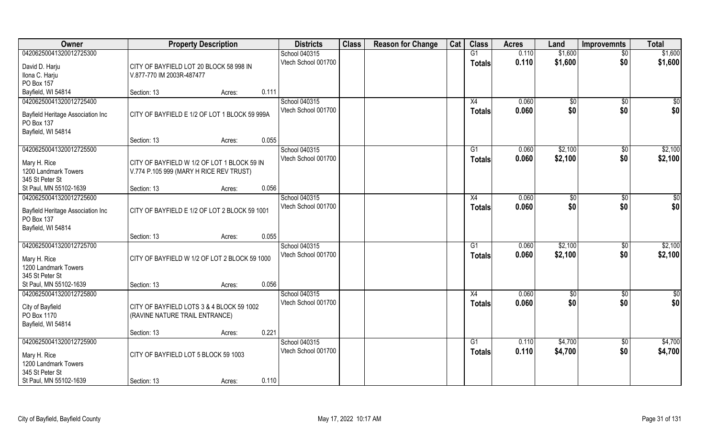| Owner                                    | <b>Property Description</b>                   |        |       | <b>Districts</b>    | <b>Class</b> | <b>Reason for Change</b> | Cat | <b>Class</b>  | <b>Acres</b> | Land            | <b>Improvemnts</b> | <b>Total</b>  |
|------------------------------------------|-----------------------------------------------|--------|-------|---------------------|--------------|--------------------------|-----|---------------|--------------|-----------------|--------------------|---------------|
| 04206250041320012725300                  |                                               |        |       | School 040315       |              |                          |     | G1            | 0.110        | \$1,600         | $\overline{50}$    | \$1,600       |
| David D. Harju                           | CITY OF BAYFIELD LOT 20 BLOCK 58 998 IN       |        |       | Vtech School 001700 |              |                          |     | <b>Totals</b> | 0.110        | \$1,600         | \$0                | \$1,600       |
| Ilona C. Harju                           | V.877-770 IM 2003R-487477                     |        |       |                     |              |                          |     |               |              |                 |                    |               |
| PO Box 157                               |                                               |        |       |                     |              |                          |     |               |              |                 |                    |               |
| Bayfield, WI 54814                       | Section: 13                                   | Acres: | 0.111 |                     |              |                          |     |               |              |                 |                    |               |
| 04206250041320012725400                  |                                               |        |       | School 040315       |              |                          |     | X4            | 0.060        | $\overline{$}0$ | $\overline{50}$    | \$0           |
| Bayfield Heritage Association Inc        | CITY OF BAYFIELD E 1/2 OF LOT 1 BLOCK 59 999A |        |       | Vtech School 001700 |              |                          |     | <b>Totals</b> | 0.060        | \$0             | \$0                | \$0           |
| PO Box 137                               |                                               |        |       |                     |              |                          |     |               |              |                 |                    |               |
| Bayfield, WI 54814                       |                                               |        |       |                     |              |                          |     |               |              |                 |                    |               |
|                                          | Section: 13                                   | Acres: | 0.055 |                     |              |                          |     |               |              |                 |                    |               |
| 04206250041320012725500                  |                                               |        |       | School 040315       |              |                          |     | G1            | 0.060        | \$2,100         | $\sqrt[6]{30}$     | \$2,100       |
| Mary H. Rice                             | CITY OF BAYFIELD W 1/2 OF LOT 1 BLOCK 59 IN   |        |       | Vtech School 001700 |              |                          |     | <b>Totals</b> | 0.060        | \$2,100         | \$0                | \$2,100       |
| 1200 Landmark Towers                     | V.774 P.105 999 (MARY H RICE REV TRUST)       |        |       |                     |              |                          |     |               |              |                 |                    |               |
| 345 St Peter St                          |                                               |        |       |                     |              |                          |     |               |              |                 |                    |               |
| St Paul, MN 55102-1639                   | Section: 13                                   | Acres: | 0.056 |                     |              |                          |     |               |              |                 |                    |               |
| 04206250041320012725600                  |                                               |        |       | School 040315       |              |                          |     | X4            | 0.060        | $\sqrt[6]{3}$   | $\sqrt[6]{3}$      | \$0           |
| <b>Bayfield Heritage Association Inc</b> | CITY OF BAYFIELD E 1/2 OF LOT 2 BLOCK 59 1001 |        |       | Vtech School 001700 |              |                          |     | <b>Totals</b> | 0.060        | \$0             | \$0                | \$0           |
| PO Box 137                               |                                               |        |       |                     |              |                          |     |               |              |                 |                    |               |
| Bayfield, WI 54814                       |                                               |        |       |                     |              |                          |     |               |              |                 |                    |               |
|                                          | Section: 13                                   | Acres: | 0.055 |                     |              |                          |     |               |              |                 |                    |               |
| 04206250041320012725700                  |                                               |        |       | School 040315       |              |                          |     | G1            | 0.060        | \$2,100         | $\sqrt[6]{3}$      | \$2,100       |
| Mary H. Rice                             | CITY OF BAYFIELD W 1/2 OF LOT 2 BLOCK 59 1000 |        |       | Vtech School 001700 |              |                          |     | <b>Totals</b> | 0.060        | \$2,100         | \$0                | \$2,100       |
| 1200 Landmark Towers                     |                                               |        |       |                     |              |                          |     |               |              |                 |                    |               |
| 345 St Peter St                          |                                               |        |       |                     |              |                          |     |               |              |                 |                    |               |
| St Paul, MN 55102-1639                   | Section: 13                                   | Acres: | 0.056 |                     |              |                          |     |               |              |                 |                    |               |
| 04206250041320012725800                  |                                               |        |       | School 040315       |              |                          |     | X4            | 0.060        | \$0             | \$0                | $\frac{6}{3}$ |
| City of Bayfield                         | CITY OF BAYFIELD LOTS 3 & 4 BLOCK 59 1002     |        |       | Vtech School 001700 |              |                          |     | <b>Totals</b> | 0.060        | \$0             | \$0                | \$0           |
| PO Box 1170                              | (RAVINE NATURE TRAIL ENTRANCE)                |        |       |                     |              |                          |     |               |              |                 |                    |               |
| Bayfield, WI 54814                       |                                               |        |       |                     |              |                          |     |               |              |                 |                    |               |
|                                          | Section: 13                                   | Acres: | 0.221 |                     |              |                          |     |               |              |                 |                    |               |
| 04206250041320012725900                  |                                               |        |       | School 040315       |              |                          |     | G1            | 0.110        | \$4,700         | $\overline{50}$    | \$4,700       |
| Mary H. Rice                             | CITY OF BAYFIELD LOT 5 BLOCK 59 1003          |        |       | Vtech School 001700 |              |                          |     | <b>Totals</b> | 0.110        | \$4,700         | \$0                | \$4,700       |
| 1200 Landmark Towers                     |                                               |        |       |                     |              |                          |     |               |              |                 |                    |               |
| 345 St Peter St                          |                                               |        |       |                     |              |                          |     |               |              |                 |                    |               |
| St Paul, MN 55102-1639                   | Section: 13                                   | Acres: | 0.110 |                     |              |                          |     |               |              |                 |                    |               |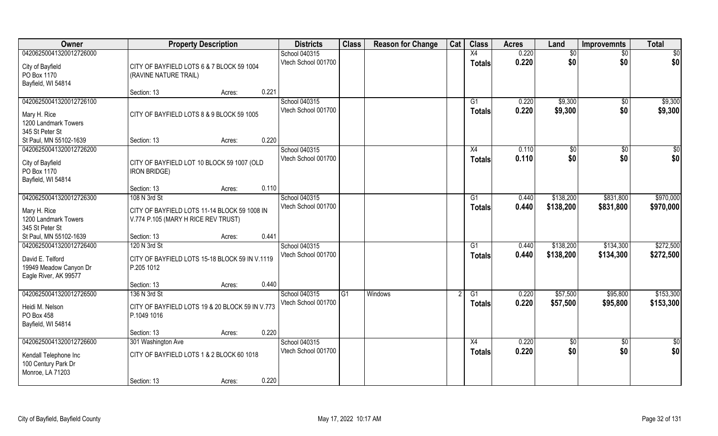| Owner                                                               |                                                                                     | <b>Property Description</b> |       | <b>Districts</b>                     | <b>Class</b> | <b>Reason for Change</b> | Cat | <b>Class</b>        | <b>Acres</b>   | Land               | <b>Improvemnts</b> | <b>Total</b>       |
|---------------------------------------------------------------------|-------------------------------------------------------------------------------------|-----------------------------|-------|--------------------------------------|--------------|--------------------------|-----|---------------------|----------------|--------------------|--------------------|--------------------|
| 04206250041320012726000                                             |                                                                                     |                             |       | School 040315                        |              |                          |     | X4                  | 0.220          | \$0                | \$0                | \$0                |
| City of Bayfield<br>PO Box 1170<br>Bayfield, WI 54814               | CITY OF BAYFIELD LOTS 6 & 7 BLOCK 59 1004<br>(RAVINE NATURE TRAIL)                  |                             |       | Vtech School 001700                  |              |                          |     | <b>Totals</b>       | 0.220          | \$0                | \$0                | \$0                |
|                                                                     | Section: 13                                                                         | Acres:                      | 0.221 |                                      |              |                          |     |                     |                |                    |                    |                    |
| 04206250041320012726100<br>Mary H. Rice<br>1200 Landmark Towers     | CITY OF BAYFIELD LOTS 8 & 9 BLOCK 59 1005                                           |                             |       | School 040315<br>Vtech School 001700 |              |                          |     | G1<br><b>Totals</b> | 0.220<br>0.220 | \$9,300<br>\$9,300 | $\sqrt{6}$<br>\$0  | \$9,300<br>\$9,300 |
| 345 St Peter St<br>St Paul, MN 55102-1639                           | Section: 13                                                                         | Acres:                      | 0.220 |                                      |              |                          |     |                     |                |                    |                    |                    |
| 04206250041320012726200                                             |                                                                                     |                             |       | School 040315                        |              |                          |     | X4                  | 0.110          | \$0                | \$0                | \$0                |
| City of Bayfield<br>PO Box 1170<br>Bayfield, WI 54814               | CITY OF BAYFIELD LOT 10 BLOCK 59 1007 (OLD<br><b>IRON BRIDGE)</b>                   |                             |       | Vtech School 001700                  |              |                          |     | <b>Totals</b>       | 0.110          | \$0                | \$0                | \$0                |
|                                                                     | Section: 13                                                                         | Acres:                      | 0.110 |                                      |              |                          |     |                     |                |                    |                    |                    |
| 04206250041320012726300                                             | 108 N 3rd St                                                                        |                             |       | School 040315                        |              |                          |     | G1                  | 0.440          | \$138,200          | \$831,800          | \$970,000          |
| Mary H. Rice<br>1200 Landmark Towers<br>345 St Peter St             | CITY OF BAYFIELD LOTS 11-14 BLOCK 59 1008 IN<br>V.774 P.105 (MARY H RICE REV TRUST) |                             |       | Vtech School 001700                  |              |                          |     | <b>Totals</b>       | 0.440          | \$138,200          | \$831,800          | \$970,000          |
| St Paul, MN 55102-1639                                              | Section: 13                                                                         | Acres:                      | 0.441 |                                      |              |                          |     |                     |                |                    |                    |                    |
| 04206250041320012726400                                             | 120 N 3rd St                                                                        |                             |       | School 040315                        |              |                          |     | G1                  | 0.440          | \$138,200          | \$134,300          | \$272,500          |
| David E. Telford<br>19949 Meadow Canyon Dr<br>Eagle River, AK 99577 | CITY OF BAYFIELD LOTS 15-18 BLOCK 59 IN V.1119<br>P.205 1012                        |                             |       | Vtech School 001700                  |              |                          |     | <b>Totals</b>       | 0.440          | \$138,200          | \$134,300          | \$272,500          |
|                                                                     | Section: 13                                                                         | Acres:                      | 0.440 |                                      |              |                          |     |                     |                |                    |                    |                    |
| 04206250041320012726500                                             | 136 N 3rd St                                                                        |                             |       | School 040315                        | G1           | <b>Windows</b>           |     | G1                  | 0.220          | \$57,500           | \$95,800           | \$153,300          |
| Heidi M. Nelson<br>PO Box 458<br>Bayfield, WI 54814                 | CITY OF BAYFIELD LOTS 19 & 20 BLOCK 59 IN V.773<br>P.1049 1016                      |                             |       | Vtech School 001700                  |              |                          |     | <b>Totals</b>       | 0.220          | \$57,500           | \$95,800           | \$153,300          |
|                                                                     | Section: 13                                                                         | Acres:                      | 0.220 |                                      |              |                          |     |                     |                |                    |                    |                    |
| 04206250041320012726600                                             | 301 Washington Ave                                                                  |                             |       | School 040315                        |              |                          |     | $\overline{X4}$     | 0.220          | $\sqrt{6}$         | $\overline{50}$    | $\frac{1}{2}$      |
| Kendall Telephone Inc<br>100 Century Park Dr<br>Monroe, LA 71203    | CITY OF BAYFIELD LOTS 1 & 2 BLOCK 60 1018                                           |                             |       | Vtech School 001700                  |              |                          |     | <b>Totals</b>       | 0.220          | \$0                | \$0                | \$0                |
|                                                                     | Section: 13                                                                         | Acres:                      | 0.220 |                                      |              |                          |     |                     |                |                    |                    |                    |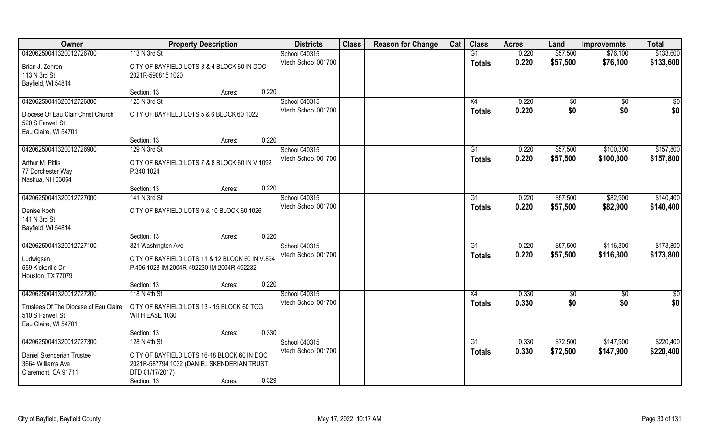| Owner                                 | <b>Property Description</b>                     |                 | <b>Districts</b>    | <b>Class</b> | <b>Reason for Change</b> | Cat | <b>Class</b>  | <b>Acres</b> | Land        | <b>Improvemnts</b> | <b>Total</b>     |
|---------------------------------------|-------------------------------------------------|-----------------|---------------------|--------------|--------------------------|-----|---------------|--------------|-------------|--------------------|------------------|
| 04206250041320012726700               | 113 N 3rd St                                    |                 | School 040315       |              |                          |     | G1            | 0.220        | \$57,500    | \$76,100           | \$133,600        |
| Brian J. Zehren                       | CITY OF BAYFIELD LOTS 3 & 4 BLOCK 60 IN DOC     |                 | Vtech School 001700 |              |                          |     | <b>Totals</b> | 0.220        | \$57,500    | \$76,100           | \$133,600        |
| 113 N 3rd St                          | 2021R-590815 1020                               |                 |                     |              |                          |     |               |              |             |                    |                  |
| Bayfield, WI 54814                    |                                                 |                 |                     |              |                          |     |               |              |             |                    |                  |
|                                       | Section: 13                                     | 0.220<br>Acres: |                     |              |                          |     |               |              |             |                    |                  |
| 04206250041320012726800               | 125 N 3rd St                                    |                 | School 040315       |              |                          |     | X4            | 0.220        | \$0         | \$0                | $\overline{\$0}$ |
| Diocese Of Eau Clair Christ Church    | CITY OF BAYFIELD LOTS 5 & 6 BLOCK 60 1022       |                 | Vtech School 001700 |              |                          |     | Totals        | 0.220        | \$0         | \$0                | \$0              |
| 520 S Farwell St                      |                                                 |                 |                     |              |                          |     |               |              |             |                    |                  |
| Eau Claire, WI 54701                  |                                                 |                 |                     |              |                          |     |               |              |             |                    |                  |
|                                       | Section: 13                                     | 0.220<br>Acres: |                     |              |                          |     |               |              |             |                    |                  |
| 04206250041320012726900               | 129 N 3rd St                                    |                 | School 040315       |              |                          |     | G1            | 0.220        | \$57,500    | \$100,300          | \$157,800        |
| Arthur M. Pittis                      | CITY OF BAYFIELD LOTS 7 & 8 BLOCK 60 IN V.1092  |                 | Vtech School 001700 |              |                          |     | <b>Totals</b> | 0.220        | \$57,500    | \$100,300          | \$157,800        |
| 77 Dorchester Way                     | P.340 1024                                      |                 |                     |              |                          |     |               |              |             |                    |                  |
| Nashua, NH 03064                      |                                                 |                 |                     |              |                          |     |               |              |             |                    |                  |
|                                       | Section: 13                                     | 0.220<br>Acres: |                     |              |                          |     |               |              |             |                    |                  |
| 04206250041320012727000               | 141 N 3rd St                                    |                 | School 040315       |              |                          |     | G1            | 0.220        | \$57,500    | \$82,900           | \$140,400        |
| Denise Koch                           | CITY OF BAYFIELD LOTS 9 & 10 BLOCK 60 1026      |                 | Vtech School 001700 |              |                          |     | <b>Totals</b> | 0.220        | \$57,500    | \$82,900           | \$140,400        |
| 141 N 3rd St                          |                                                 |                 |                     |              |                          |     |               |              |             |                    |                  |
| Bayfield, WI 54814                    |                                                 |                 |                     |              |                          |     |               |              |             |                    |                  |
|                                       | Section: 13                                     | 0.220<br>Acres: |                     |              |                          |     |               |              |             |                    |                  |
| 04206250041320012727100               | 321 Washington Ave                              |                 | School 040315       |              |                          |     | G1            | 0.220        | \$57,500    | \$116,300          | \$173,800        |
| Ludwigsen                             | CITY OF BAYFIELD LOTS 11 & 12 BLOCK 60 IN V.894 |                 | Vtech School 001700 |              |                          |     | <b>Totals</b> | 0.220        | \$57,500    | \$116,300          | \$173,800        |
| 559 Kickerillo Dr                     | P.406 1028 IM 2004R-492230 IM 2004R-492232      |                 |                     |              |                          |     |               |              |             |                    |                  |
| Houston, TX 77079                     |                                                 |                 |                     |              |                          |     |               |              |             |                    |                  |
|                                       | Section: 13                                     | 0.220<br>Acres: |                     |              |                          |     |               |              |             |                    |                  |
| 04206250041320012727200               | 118 N 4th St                                    |                 | School 040315       |              |                          |     | X4            | 0.330        | $\sqrt{30}$ | $\sqrt{$0}$        | \$0              |
| Trustees Of The Diocese of Eau Claire | CITY OF BAYFIELD LOTS 13 - 15 BLOCK 60 TOG      |                 | Vtech School 001700 |              |                          |     | <b>Totals</b> | 0.330        | \$0         | \$0                | \$0              |
| 510 S Farwell St                      | WITH EASE 1030                                  |                 |                     |              |                          |     |               |              |             |                    |                  |
| Eau Claire, WI 54701                  |                                                 |                 |                     |              |                          |     |               |              |             |                    |                  |
|                                       | Section: 13                                     | 0.330<br>Acres: |                     |              |                          |     |               |              |             |                    |                  |
| 04206250041320012727300               | 128 N 4th St                                    |                 | School 040315       |              |                          |     | G1            | 0.330        | \$72,500    | \$147,900          | \$220,400        |
| Daniel Skenderian Trustee             | CITY OF BAYFIELD LOTS 16-18 BLOCK 60 IN DOC     |                 | Vtech School 001700 |              |                          |     | <b>Totals</b> | 0.330        | \$72,500    | \$147,900          | \$220,400        |
| 3664 Williams Ave                     | 2021R-587794 1032 (DANIEL SKENDERIAN TRUST      |                 |                     |              |                          |     |               |              |             |                    |                  |
| Claremont, CA 91711                   | DTD 01/17/2017)                                 |                 |                     |              |                          |     |               |              |             |                    |                  |
|                                       | Section: 13                                     | 0.329<br>Acres: |                     |              |                          |     |               |              |             |                    |                  |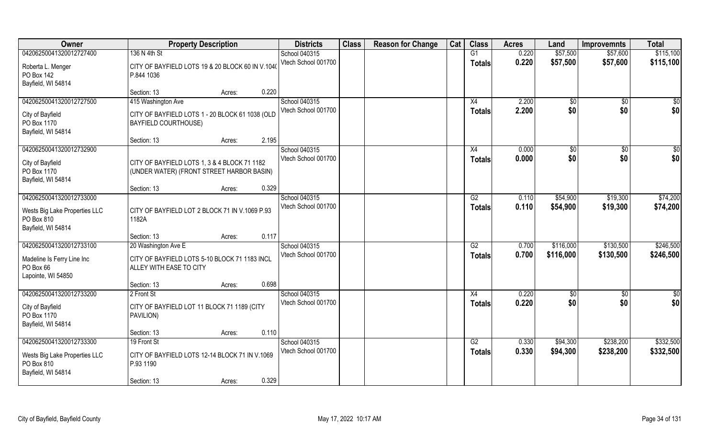| Owner                                       | <b>Property Description</b>                             |       | <b>Districts</b>    | <b>Class</b> | <b>Reason for Change</b> | Cat | <b>Class</b>    | <b>Acres</b> | Land       | <b>Improvemnts</b> | <b>Total</b> |
|---------------------------------------------|---------------------------------------------------------|-------|---------------------|--------------|--------------------------|-----|-----------------|--------------|------------|--------------------|--------------|
| 04206250041320012727400                     | 136 N 4th St                                            |       | School 040315       |              |                          |     | G1              | 0.220        | \$57,500   | \$57,600           | \$115,100    |
| Roberta L. Menger                           | CITY OF BAYFIELD LOTS 19 & 20 BLOCK 60 IN V.1040        |       | Vtech School 001700 |              |                          |     | <b>Totals</b>   | 0.220        | \$57,500   | \$57,600           | \$115,100    |
| PO Box 142                                  | P.844 1036                                              |       |                     |              |                          |     |                 |              |            |                    |              |
| Bayfield, WI 54814                          |                                                         |       |                     |              |                          |     |                 |              |            |                    |              |
|                                             | Section: 13<br>Acres:                                   | 0.220 |                     |              |                          |     |                 |              |            |                    |              |
| 04206250041320012727500                     | 415 Washington Ave                                      |       | School 040315       |              |                          |     | X4              | 2.200        | \$0        | $\sqrt{$0}$        | \$0          |
| City of Bayfield                            | CITY OF BAYFIELD LOTS 1 - 20 BLOCK 61 1038 (OLD         |       | Vtech School 001700 |              |                          |     | <b>Totals</b>   | 2.200        | \$0        | \$0                | \$0          |
| PO Box 1170                                 | <b>BAYFIELD COURTHOUSE)</b>                             |       |                     |              |                          |     |                 |              |            |                    |              |
| Bayfield, WI 54814                          |                                                         |       |                     |              |                          |     |                 |              |            |                    |              |
| 04206250041320012732900                     | Section: 13<br>Acres:                                   | 2.195 | School 040315       |              |                          |     | X4              | 0.000        |            | $\sqrt{50}$        | $\sqrt{50}$  |
|                                             |                                                         |       | Vtech School 001700 |              |                          |     | <b>Totals</b>   | 0.000        | \$0<br>\$0 | \$0                | \$0          |
| City of Bayfield                            | CITY OF BAYFIELD LOTS 1, 3 & 4 BLOCK 71 1182            |       |                     |              |                          |     |                 |              |            |                    |              |
| PO Box 1170                                 | (UNDER WATER) (FRONT STREET HARBOR BASIN)               |       |                     |              |                          |     |                 |              |            |                    |              |
| Bayfield, WI 54814                          | Section: 13<br>Acres:                                   | 0.329 |                     |              |                          |     |                 |              |            |                    |              |
| 04206250041320012733000                     |                                                         |       | School 040315       |              |                          |     | G2              | 0.110        | \$54,900   | \$19,300           | \$74,200     |
|                                             |                                                         |       | Vtech School 001700 |              |                          |     | <b>Totals</b>   | 0.110        | \$54,900   | \$19,300           | \$74,200     |
| Wests Big Lake Properties LLC<br>PO Box 810 | CITY OF BAYFIELD LOT 2 BLOCK 71 IN V.1069 P.93<br>1182A |       |                     |              |                          |     |                 |              |            |                    |              |
| Bayfield, WI 54814                          |                                                         |       |                     |              |                          |     |                 |              |            |                    |              |
|                                             | Section: 13<br>Acres:                                   | 0.117 |                     |              |                          |     |                 |              |            |                    |              |
| 04206250041320012733100                     | 20 Washington Ave E                                     |       | School 040315       |              |                          |     | $\overline{G2}$ | 0.700        | \$116,000  | \$130,500          | \$246,500    |
| Madeline Is Ferry Line Inc                  | CITY OF BAYFIELD LOTS 5-10 BLOCK 71 1183 INCL           |       | Vtech School 001700 |              |                          |     | <b>Totals</b>   | 0.700        | \$116,000  | \$130,500          | \$246,500    |
| PO Box 66                                   | ALLEY WITH EASE TO CITY                                 |       |                     |              |                          |     |                 |              |            |                    |              |
| Lapointe, WI 54850                          |                                                         |       |                     |              |                          |     |                 |              |            |                    |              |
|                                             | Section: 13<br>Acres:                                   | 0.698 |                     |              |                          |     |                 |              |            |                    |              |
| 04206250041320012733200                     | 2 Front St                                              |       | School 040315       |              |                          |     | X4              | 0.220        | \$0        | \$0                | \$0          |
| City of Bayfield                            | CITY OF BAYFIELD LOT 11 BLOCK 71 1189 (CITY             |       | Vtech School 001700 |              |                          |     | <b>Totals</b>   | 0.220        | \$0        | \$0                | \$0          |
| PO Box 1170                                 | PAVILION)                                               |       |                     |              |                          |     |                 |              |            |                    |              |
| Bayfield, WI 54814                          |                                                         |       |                     |              |                          |     |                 |              |            |                    |              |
|                                             | Section: 13<br>Acres:                                   | 0.110 |                     |              |                          |     |                 |              |            |                    |              |
| 04206250041320012733300                     | 19 Front St                                             |       | School 040315       |              |                          |     | G2              | 0.330        | \$94,300   | \$238,200          | \$332,500    |
| Wests Big Lake Properties LLC               | CITY OF BAYFIELD LOTS 12-14 BLOCK 71 IN V.1069          |       | Vtech School 001700 |              |                          |     | <b>Totals</b>   | 0.330        | \$94,300   | \$238,200          | \$332,500    |
| PO Box 810                                  | P.93 1190                                               |       |                     |              |                          |     |                 |              |            |                    |              |
| Bayfield, WI 54814                          |                                                         |       |                     |              |                          |     |                 |              |            |                    |              |
|                                             | Section: 13<br>Acres:                                   | 0.329 |                     |              |                          |     |                 |              |            |                    |              |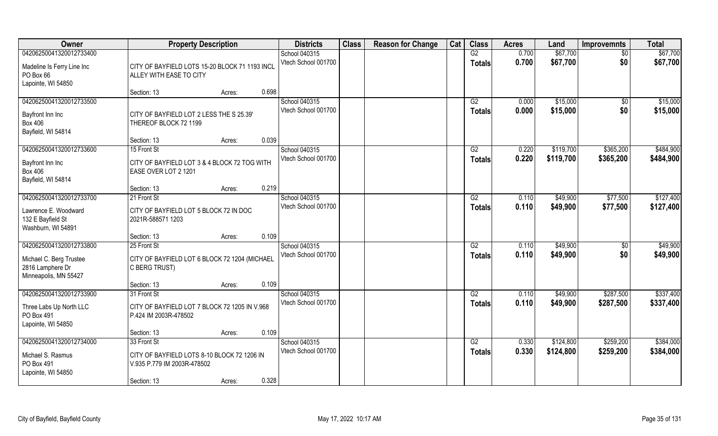| Owner                                                                                           | <b>Property Description</b>                                                   |       | <b>Districts</b>                     | <b>Class</b> | <b>Reason for Change</b> | Cat | <b>Class</b>                     | <b>Acres</b>   | Land                 | <b>Improvemnts</b> | <b>Total</b>         |
|-------------------------------------------------------------------------------------------------|-------------------------------------------------------------------------------|-------|--------------------------------------|--------------|--------------------------|-----|----------------------------------|----------------|----------------------|--------------------|----------------------|
| 04206250041320012733400                                                                         |                                                                               |       | School 040315                        |              |                          |     | G2                               | 0.700          | \$67,700             | $\overline{50}$    | \$67,700             |
| Madeline Is Ferry Line Inc<br>PO Box 66<br>Lapointe, WI 54850                                   | CITY OF BAYFIELD LOTS 15-20 BLOCK 71 1193 INCL<br>ALLEY WITH EASE TO CITY     |       | Vtech School 001700                  |              |                          |     | <b>Totals</b>                    | 0.700          | \$67,700             | \$0                | \$67,700             |
|                                                                                                 | Section: 13<br>Acres:                                                         | 0.698 |                                      |              |                          |     |                                  |                |                      |                    |                      |
| 04206250041320012733500<br>Bayfront Inn Inc                                                     | CITY OF BAYFIELD LOT 2 LESS THE S 25.39'                                      |       | School 040315<br>Vtech School 001700 |              |                          |     | G2<br><b>Totals</b>              | 0.000<br>0.000 | \$15,000<br>\$15,000 | \$0<br>\$0         | \$15,000<br>\$15,000 |
| <b>Box 406</b><br>Bayfield, WI 54814                                                            | THEREOF BLOCK 72 1199<br>Section: 13<br>Acres:                                | 0.039 |                                      |              |                          |     |                                  |                |                      |                    |                      |
| 04206250041320012733600                                                                         | 15 Front St                                                                   |       | School 040315                        |              |                          |     | G2                               | 0.220          | \$119,700            | \$365,200          | \$484,900            |
| Bayfront Inn Inc<br><b>Box 406</b><br>Bayfield, WI 54814                                        | CITY OF BAYFIELD LOT 3 & 4 BLOCK 72 TOG WITH<br>EASE OVER LOT 2 1201          |       | Vtech School 001700                  |              |                          |     | <b>Totals</b>                    | 0.220          | \$119,700            | \$365,200          | \$484,900            |
|                                                                                                 | Section: 13<br>Acres:                                                         | 0.219 |                                      |              |                          |     |                                  |                |                      |                    |                      |
| 04206250041320012733700                                                                         | 21 Front St                                                                   |       | School 040315                        |              |                          |     | G2                               | 0.110          | \$49,900             | \$77,500           | \$127,400            |
| Lawrence E. Woodward<br>132 E Bayfield St<br>Washburn, WI 54891                                 | CITY OF BAYFIELD LOT 5 BLOCK 72 IN DOC<br>2021R-588571 1203                   |       | Vtech School 001700                  |              |                          |     | <b>Totals</b>                    | 0.110          | \$49,900             | \$77,500           | \$127,400            |
|                                                                                                 | Section: 13<br>Acres:                                                         | 0.109 |                                      |              |                          |     |                                  |                |                      |                    |                      |
| 04206250041320012733800<br>Michael C. Berg Trustee<br>2816 Lamphere Dr<br>Minneapolis, MN 55427 | 25 Front St<br>CITY OF BAYFIELD LOT 6 BLOCK 72 1204 (MICHAEL<br>C BERG TRUST) |       | School 040315<br>Vtech School 001700 |              |                          |     | $\overline{G2}$<br><b>Totals</b> | 0.110<br>0.110 | \$49,900<br>\$49,900 | \$0<br>\$0         | \$49,900<br>\$49,900 |
|                                                                                                 | Section: 13<br>Acres:                                                         | 0.109 |                                      |              |                          |     |                                  |                |                      |                    |                      |
| 04206250041320012733900                                                                         | 31 Front St                                                                   |       | School 040315                        |              |                          |     | G2                               | 0.110          | \$49,900             | \$287,500          | \$337,400            |
| Three Labs Up North LLC<br>PO Box 491<br>Lapointe, WI 54850                                     | CITY OF BAYFIELD LOT 7 BLOCK 72 1205 IN V.968<br>P.424 IM 2003R-478502        |       | Vtech School 001700                  |              |                          |     | <b>Totals</b>                    | 0.110          | \$49,900             | \$287,500          | \$337,400            |
|                                                                                                 | Section: 13<br>Acres:                                                         | 0.109 |                                      |              |                          |     |                                  |                |                      |                    |                      |
| 04206250041320012734000                                                                         | 33 Front St                                                                   |       | School 040315                        |              |                          |     | G2                               | 0.330          | \$124,800            | \$259,200          | \$384,000            |
| Michael S. Rasmus<br>PO Box 491<br>Lapointe, WI 54850                                           | CITY OF BAYFIELD LOTS 8-10 BLOCK 72 1206 IN<br>V.935 P.779 IM 2003R-478502    |       | Vtech School 001700                  |              |                          |     | Totals                           | 0.330          | \$124,800            | \$259,200          | \$384,000            |
|                                                                                                 | Section: 13<br>Acres:                                                         | 0.328 |                                      |              |                          |     |                                  |                |                      |                    |                      |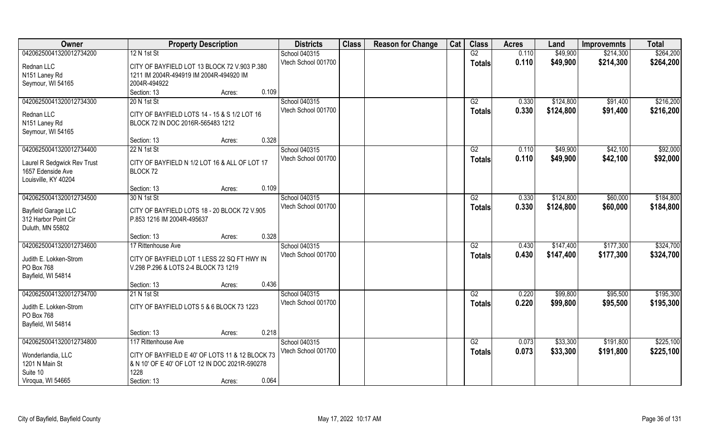| Owner                                              | <b>Property Description</b>                     | <b>Districts</b>    | <b>Class</b> | <b>Reason for Change</b> | Cat | <b>Class</b>    | <b>Acres</b> | Land      | <b>Improvemnts</b> | <b>Total</b> |
|----------------------------------------------------|-------------------------------------------------|---------------------|--------------|--------------------------|-----|-----------------|--------------|-----------|--------------------|--------------|
| 04206250041320012734200                            | 12 N 1st St                                     | School 040315       |              |                          |     | G2              | 0.110        | \$49,900  | \$214,300          | \$264,200    |
| Rednan LLC                                         | CITY OF BAYFIELD LOT 13 BLOCK 72 V.903 P.380    | Vtech School 001700 |              |                          |     | <b>Totals</b>   | 0.110        | \$49,900  | \$214,300          | \$264,200    |
| N151 Laney Rd                                      | 1211 IM 2004R-494919 IM 2004R-494920 IM         |                     |              |                          |     |                 |              |           |                    |              |
| Seymour, WI 54165                                  | 2004R-494922                                    |                     |              |                          |     |                 |              |           |                    |              |
|                                                    | 0.109<br>Section: 13<br>Acres:                  |                     |              |                          |     |                 |              |           |                    |              |
| 04206250041320012734300                            | 20 N 1st St                                     | School 040315       |              |                          |     | G2              | 0.330        | \$124,800 | \$91,400           | \$216,200    |
| Rednan LLC                                         | CITY OF BAYFIELD LOTS 14 - 15 & S 1/2 LOT 16    | Vtech School 001700 |              |                          |     | <b>Totals</b>   | 0.330        | \$124,800 | \$91,400           | \$216,200    |
| N151 Laney Rd                                      | BLOCK 72 IN DOC 2016R-565483 1212               |                     |              |                          |     |                 |              |           |                    |              |
| Seymour, WI 54165                                  |                                                 |                     |              |                          |     |                 |              |           |                    |              |
|                                                    | 0.328<br>Section: 13<br>Acres:                  |                     |              |                          |     |                 |              |           |                    |              |
| 04206250041320012734400                            | 22 N 1st St                                     | School 040315       |              |                          |     | G2              | 0.110        | \$49,900  | \$42,100           | \$92,000     |
|                                                    | CITY OF BAYFIELD N 1/2 LOT 16 & ALL OF LOT 17   | Vtech School 001700 |              |                          |     | <b>Totals</b>   | 0.110        | \$49,900  | \$42,100           | \$92,000     |
| Laurel R Sedgwick Rev Trust<br>1657 Edenside Ave   | BLOCK 72                                        |                     |              |                          |     |                 |              |           |                    |              |
| Louisville, KY 40204                               |                                                 |                     |              |                          |     |                 |              |           |                    |              |
|                                                    | 0.109<br>Section: 13<br>Acres:                  |                     |              |                          |     |                 |              |           |                    |              |
| 04206250041320012734500                            | 30 N 1st St                                     | School 040315       |              |                          |     | G2              | 0.330        | \$124,800 | \$60,000           | \$184,800    |
|                                                    |                                                 | Vtech School 001700 |              |                          |     | <b>Totals</b>   | 0.330        | \$124,800 | \$60,000           | \$184,800    |
| <b>Bayfield Garage LLC</b><br>312 Harbor Point Cir | CITY OF BAYFIELD LOTS 18 - 20 BLOCK 72 V.905    |                     |              |                          |     |                 |              |           |                    |              |
| Duluth, MN 55802                                   | P.853 1216 IM 2004R-495637                      |                     |              |                          |     |                 |              |           |                    |              |
|                                                    | 0.328<br>Section: 13<br>Acres:                  |                     |              |                          |     |                 |              |           |                    |              |
| 04206250041320012734600                            | 17 Rittenhouse Ave                              | School 040315       |              |                          |     | $\overline{G2}$ | 0.430        | \$147,400 | \$177,300          | \$324,700    |
|                                                    |                                                 | Vtech School 001700 |              |                          |     | <b>Totals</b>   | 0.430        | \$147,400 | \$177,300          | \$324,700    |
| Judith E. Lokken-Strom                             | CITY OF BAYFIELD LOT 1 LESS 22 SQ FT HWY IN     |                     |              |                          |     |                 |              |           |                    |              |
| PO Box 768                                         | V.298 P.296 & LOTS 2-4 BLOCK 73 1219            |                     |              |                          |     |                 |              |           |                    |              |
| Bayfield, WI 54814                                 | 0.436<br>Section: 13<br>Acres:                  |                     |              |                          |     |                 |              |           |                    |              |
| 04206250041320012734700                            | 21 N 1st St                                     | School 040315       |              |                          |     | G2              | 0.220        | \$99,800  | \$95,500           | \$195,300    |
|                                                    |                                                 | Vtech School 001700 |              |                          |     | <b>Totals</b>   | 0.220        | \$99,800  | \$95,500           | \$195,300    |
| Judith E. Lokken-Strom                             | CITY OF BAYFIELD LOTS 5 & 6 BLOCK 73 1223       |                     |              |                          |     |                 |              |           |                    |              |
| PO Box 768                                         |                                                 |                     |              |                          |     |                 |              |           |                    |              |
| Bayfield, WI 54814                                 | 0.218                                           |                     |              |                          |     |                 |              |           |                    |              |
| 04206250041320012734800                            | Section: 13<br>Acres:<br>117 Rittenhouse Ave    | School 040315       |              |                          |     | G2              | 0.073        | \$33,300  | \$191,800          | \$225,100    |
|                                                    |                                                 | Vtech School 001700 |              |                          |     |                 | 0.073        | \$33,300  | \$191,800          | \$225,100    |
| Wonderlandia, LLC                                  | CITY OF BAYFIELD E 40' OF LOTS 11 & 12 BLOCK 73 |                     |              |                          |     | <b>Totals</b>   |              |           |                    |              |
| 1201 N Main St                                     | & N 10' OF E 40' OF LOT 12 IN DOC 2021R-590278  |                     |              |                          |     |                 |              |           |                    |              |
| Suite 10                                           | 1228                                            |                     |              |                          |     |                 |              |           |                    |              |
| Viroqua, WI 54665                                  | 0.064<br>Section: 13<br>Acres:                  |                     |              |                          |     |                 |              |           |                    |              |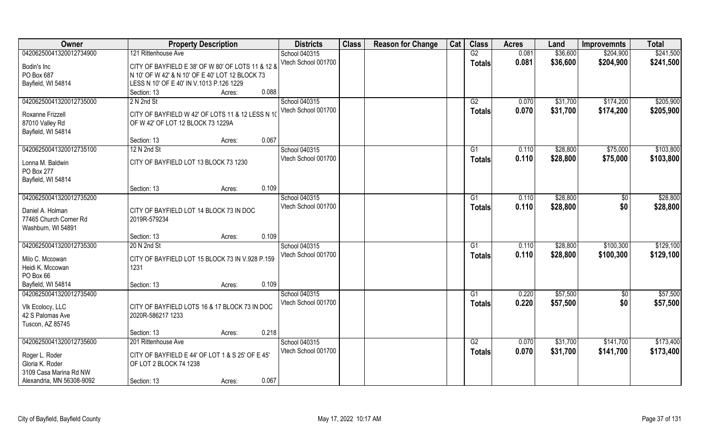| Owner                                                            | <b>Property Description</b>                                                                          | <b>Districts</b>                     | <b>Class</b> | <b>Reason for Change</b> | Cat | <b>Class</b>        | <b>Acres</b>   | Land                 | <b>Improvemnts</b>     | <b>Total</b>           |
|------------------------------------------------------------------|------------------------------------------------------------------------------------------------------|--------------------------------------|--------------|--------------------------|-----|---------------------|----------------|----------------------|------------------------|------------------------|
| 04206250041320012734900                                          | 121 Rittenhouse Ave                                                                                  | School 040315                        |              |                          |     | G2                  | 0.081          | \$36,600             | \$204,900              | \$241,500              |
| Bodin's Inc<br>PO Box 687                                        | CITY OF BAYFIELD E 38' OF W 80' OF LOTS 11 & 12 &<br>N 10' OF W 42' & N 10' OF E 40' LOT 12 BLOCK 73 | Vtech School 001700                  |              |                          |     | <b>Totals</b>       | 0.081          | \$36,600             | \$204,900              | \$241,500              |
| Bayfield, WI 54814                                               | LESS N 10' OF E 40' IN V.1013 P.126 1229                                                             |                                      |              |                          |     |                     |                |                      |                        |                        |
|                                                                  | 0.088<br>Section: 13<br>Acres:                                                                       |                                      |              |                          |     |                     |                |                      |                        |                        |
| 04206250041320012735000                                          | 2 N 2nd St                                                                                           | School 040315<br>Vtech School 001700 |              |                          |     | G2<br><b>Totals</b> | 0.070<br>0.070 | \$31,700<br>\$31,700 | \$174,200<br>\$174,200 | \$205,900<br>\$205,900 |
| Roxanne Frizzell                                                 | CITY OF BAYFIELD W 42' OF LOTS 11 & 12 LESS N 10                                                     |                                      |              |                          |     |                     |                |                      |                        |                        |
| 87010 Valley Rd<br>Bayfield, WI 54814                            | OF W 42' OF LOT 12 BLOCK 73 1229A                                                                    |                                      |              |                          |     |                     |                |                      |                        |                        |
|                                                                  | 0.067<br>Section: 13<br>Acres:                                                                       |                                      |              |                          |     |                     |                |                      |                        |                        |
| 04206250041320012735100                                          | 12 N 2nd St                                                                                          | School 040315                        |              |                          |     | G1                  | 0.110          | \$28,800             | \$75,000               | \$103,800              |
| Lonna M. Baldwin<br>PO Box 277                                   | CITY OF BAYFIELD LOT 13 BLOCK 73 1230                                                                | Vtech School 001700                  |              |                          |     | <b>Totals</b>       | 0.110          | \$28,800             | \$75,000               | \$103,800              |
| Bayfield, WI 54814                                               |                                                                                                      |                                      |              |                          |     |                     |                |                      |                        |                        |
|                                                                  | 0.109<br>Section: 13<br>Acres:                                                                       |                                      |              |                          |     |                     |                |                      |                        |                        |
| 04206250041320012735200                                          |                                                                                                      | School 040315                        |              |                          |     | G1                  | 0.110          | \$28,800             | \$0                    | \$28,800               |
| Daniel A. Holman<br>77465 Church Corner Rd<br>Washburn, WI 54891 | CITY OF BAYFIELD LOT 14 BLOCK 73 IN DOC<br>2019R-579234                                              | Vtech School 001700                  |              |                          |     | <b>Totals</b>       | 0.110          | \$28,800             | \$0                    | \$28,800               |
|                                                                  | 0.109<br>Section: 13<br>Acres:                                                                       |                                      |              |                          |     |                     |                |                      |                        |                        |
| 04206250041320012735300                                          | 20 N 2nd St                                                                                          | School 040315                        |              |                          |     | G1                  | 0.110          | \$28,800             | \$100,300              | \$129,100              |
|                                                                  |                                                                                                      | Vtech School 001700                  |              |                          |     | <b>Totals</b>       | 0.110          | \$28,800             | \$100,300              | \$129,100              |
| Milo C. Mccowan                                                  | CITY OF BAYFIELD LOT 15 BLOCK 73 IN V.928 P.159                                                      |                                      |              |                          |     |                     |                |                      |                        |                        |
| Heidi K. Mccowan                                                 | 1231                                                                                                 |                                      |              |                          |     |                     |                |                      |                        |                        |
| PO Box 66<br>Bayfield, WI 54814                                  | 0.109<br>Section: 13                                                                                 |                                      |              |                          |     |                     |                |                      |                        |                        |
| 04206250041320012735400                                          | Acres:                                                                                               | School 040315                        |              |                          |     | G1                  | 0.220          | \$57,500             |                        | \$57,500               |
|                                                                  |                                                                                                      | Vtech School 001700                  |              |                          |     |                     | 0.220          |                      | \$0<br>\$0             |                        |
| Vlk Ecolocy, LLC                                                 | CITY OF BAYFIELD LOTS 16 & 17 BLOCK 73 IN DOC                                                        |                                      |              |                          |     | <b>Totals</b>       |                | \$57,500             |                        | \$57,500               |
| 42 S Palomas Ave                                                 | 2020R-586217 1233                                                                                    |                                      |              |                          |     |                     |                |                      |                        |                        |
| Tuscon, AZ 85745                                                 |                                                                                                      |                                      |              |                          |     |                     |                |                      |                        |                        |
|                                                                  | 0.218<br>Section: 13<br>Acres:                                                                       |                                      |              |                          |     |                     |                |                      |                        |                        |
| 04206250041320012735600                                          | 201 Rittenhouse Ave                                                                                  | School 040315                        |              |                          |     | G2                  | 0.070          | \$31,700             | \$141,700              | \$173,400              |
| Roger L. Roder<br>Gloria K. Roder                                | CITY OF BAYFIELD E 44' OF LOT 1 & S 25' OF E 45'<br>OF LOT 2 BLOCK 74 1238                           | Vtech School 001700                  |              |                          |     | <b>Totals</b>       | 0.070          | \$31,700             | \$141,700              | \$173,400              |
| 3109 Casa Marina Rd NW                                           |                                                                                                      |                                      |              |                          |     |                     |                |                      |                        |                        |
| Alexandria, MN 56308-9092                                        | 0.067<br>Section: 13<br>Acres:                                                                       |                                      |              |                          |     |                     |                |                      |                        |                        |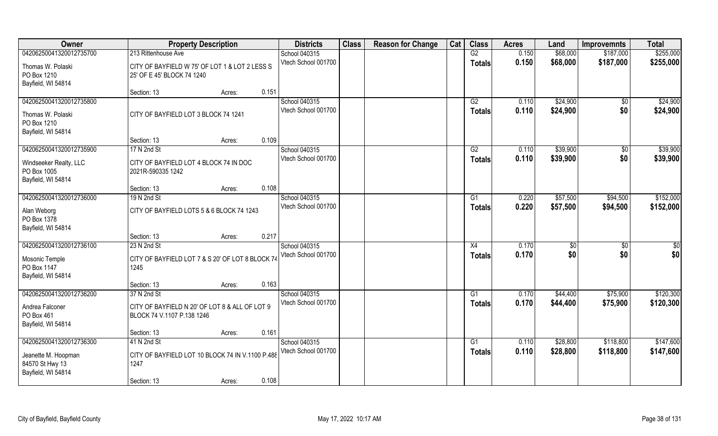| <b>Class</b><br>Owner<br><b>Districts</b><br><b>Reason for Change</b><br>Cat<br><b>Property Description</b> | <b>Class</b>  | <b>Acres</b>   | Land      | <b>Improvemnts</b> | <b>Total</b> |
|-------------------------------------------------------------------------------------------------------------|---------------|----------------|-----------|--------------------|--------------|
| 04206250041320012735700<br>213 Rittenhouse Ave<br>School 040315                                             | G2            | 0.150          | \$68,000  | \$187,000          | \$255,000    |
| Vtech School 001700<br>Thomas W. Polaski<br>CITY OF BAYFIELD W 75' OF LOT 1 & LOT 2 LESS S                  | <b>Totals</b> | 0.150          | \$68,000  | \$187,000          | \$255,000    |
| PO Box 1210<br>25' OF E 45' BLOCK 74 1240                                                                   |               |                |           |                    |              |
| Bayfield, WI 54814                                                                                          |               |                |           |                    |              |
| 0.151<br>Section: 13<br>Acres:                                                                              |               |                |           |                    |              |
| 04206250041320012735800<br>School 040315                                                                    | G2            | 0.110          | \$24,900  | $\overline{50}$    | \$24,900     |
| Vtech School 001700<br>CITY OF BAYFIELD LOT 3 BLOCK 74 1241<br>Thomas W. Polaski                            | <b>Totals</b> | 0.110          | \$24,900  | \$0                | \$24,900     |
| PO Box 1210                                                                                                 |               |                |           |                    |              |
| Bayfield, WI 54814                                                                                          |               |                |           |                    |              |
| 0.109<br>Section: 13<br>Acres:                                                                              |               |                |           |                    |              |
| 04206250041320012735900<br>School 040315<br>17 N 2nd St                                                     | G2            | 0.110          | \$39,900  | $\sqrt[6]{}$       | \$39,900     |
| Vtech School 001700<br>Windseeker Realty, LLC<br>CITY OF BAYFIELD LOT 4 BLOCK 74 IN DOC                     | <b>Totals</b> | 0.110          | \$39,900  | \$0                | \$39,900     |
| PO Box 1005<br>2021R-590335 1242                                                                            |               |                |           |                    |              |
| Bayfield, WI 54814                                                                                          |               |                |           |                    |              |
| 0.108<br>Section: 13<br>Acres:                                                                              |               |                |           |                    |              |
| 04206250041320012736000<br>School 040315<br>19 N 2nd St                                                     | G1            | 0.220          | \$57,500  | \$94,500           | \$152,000    |
| Vtech School 001700<br>CITY OF BAYFIELD LOTS 5 & 6 BLOCK 74 1243<br>Alan Weborg                             | <b>Totals</b> | 0.220          | \$57,500  | \$94,500           | \$152,000    |
| PO Box 1378                                                                                                 |               |                |           |                    |              |
| Bayfield, WI 54814                                                                                          |               |                |           |                    |              |
| 0.217<br>Section: 13<br>Acres:                                                                              |               |                |           |                    |              |
| 04206250041320012736100<br>School 040315<br>23 N 2nd St<br>Vtech School 001700                              | X4            | 0.170<br>0.170 | \$<br>\$0 | \$0<br>\$0         | \$0<br>\$0   |
| CITY OF BAYFIELD LOT 7 & S 20' OF LOT 8 BLOCK 74<br>Mosonic Temple                                          | <b>Totals</b> |                |           |                    |              |
| PO Box 1147<br>1245                                                                                         |               |                |           |                    |              |
| Bayfield, WI 54814<br>0.163                                                                                 |               |                |           |                    |              |
| Section: 13<br>Acres:<br>04206250041320012736200<br>37 N 2nd St<br>School 040315                            | G1            | 0.170          | \$44,400  | \$75,900           | \$120,300    |
| Vtech School 001700                                                                                         | <b>Totals</b> | 0.170          | \$44,400  | \$75,900           | \$120,300    |
| Andrea Falconer<br>CITY OF BAYFIELD N 20' OF LOT 8 & ALL OF LOT 9                                           |               |                |           |                    |              |
| PO Box 461<br>BLOCK 74 V.1107 P.138 1246                                                                    |               |                |           |                    |              |
| Bayfield, WI 54814<br>0.161<br>Section: 13                                                                  |               |                |           |                    |              |
| Acres:<br>04206250041320012736300<br>41 N 2nd St<br>School 040315                                           | G1            | 0.110          | \$28,800  | \$118,800          | \$147,600    |
| Vtech School 001700                                                                                         | <b>Totals</b> | 0.110          | \$28,800  | \$118,800          | \$147,600    |
| Jeanette M. Hoopman<br>CITY OF BAYFIELD LOT 10 BLOCK 74 IN V.1100 P.488                                     |               |                |           |                    |              |
| 84570 St Hwy 13<br>1247                                                                                     |               |                |           |                    |              |
| Bayfield, WI 54814<br>0.108<br>Section: 13<br>Acres:                                                        |               |                |           |                    |              |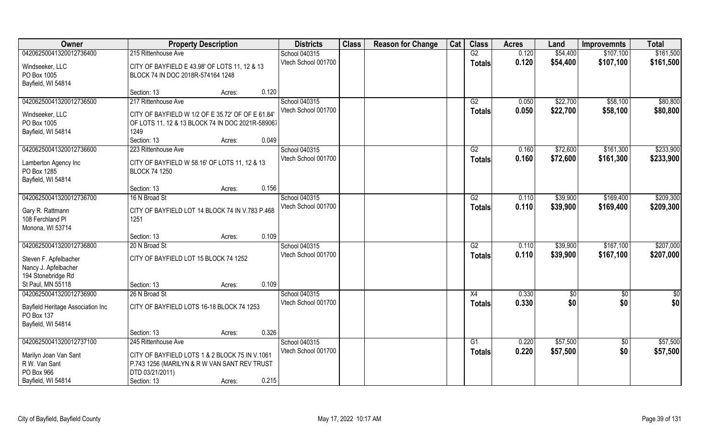| Owner                                  | <b>Property Description</b>                                                                           |                 | <b>Districts</b>    | <b>Class</b> | <b>Reason for Change</b> | Cat | <b>Class</b>    | <b>Acres</b> | Land     | <b>Improvemnts</b> | <b>Total</b>  |
|----------------------------------------|-------------------------------------------------------------------------------------------------------|-----------------|---------------------|--------------|--------------------------|-----|-----------------|--------------|----------|--------------------|---------------|
| 04206250041320012736400                | 215 Rittenhouse Ave                                                                                   |                 | School 040315       |              |                          |     | G2              | 0.120        | \$54,400 | \$107,100          | \$161,500     |
| Windseeker, LLC                        | CITY OF BAYFIELD E 43.98' OF LOTS 11, 12 & 13                                                         |                 | Vtech School 001700 |              |                          |     | <b>Totals</b>   | 0.120        | \$54,400 | \$107,100          | \$161,500     |
| PO Box 1005                            | BLOCK 74 IN DOC 2018R-574164 1248                                                                     |                 |                     |              |                          |     |                 |              |          |                    |               |
| Bayfield, WI 54814                     |                                                                                                       |                 |                     |              |                          |     |                 |              |          |                    |               |
|                                        | Section: 13                                                                                           | 0.120<br>Acres: |                     |              |                          |     |                 |              |          |                    |               |
| 04206250041320012736500                | 217 Rittenhouse Ave                                                                                   |                 | School 040315       |              |                          |     | G2              | 0.050        | \$22,700 | \$58,100           | \$80,800      |
|                                        |                                                                                                       |                 | Vtech School 001700 |              |                          |     | Totals          | 0.050        | \$22,700 | \$58,100           | \$80,800      |
| Windseeker, LLC<br>PO Box 1005         | CITY OF BAYFIELD W 1/2 OF E 35.72' OF OF E 61.84'<br>OF LOTS 11, 12 & 13 BLOCK 74 IN DOC 2021R-589067 |                 |                     |              |                          |     |                 |              |          |                    |               |
| Bayfield, WI 54814                     | 1249                                                                                                  |                 |                     |              |                          |     |                 |              |          |                    |               |
|                                        | Section: 13                                                                                           | 0.049<br>Acres: |                     |              |                          |     |                 |              |          |                    |               |
| 04206250041320012736600                | 223 Rittenhouse Ave                                                                                   |                 | School 040315       |              |                          |     | G2              | 0.160        | \$72,600 | \$161,300          | \$233,900     |
|                                        |                                                                                                       |                 | Vtech School 001700 |              |                          |     |                 | 0.160        | \$72,600 | \$161,300          | \$233,900     |
| Lamberton Agency Inc                   | CITY OF BAYFIELD W 58.16' OF LOTS 11, 12 & 13                                                         |                 |                     |              |                          |     | <b>Totals</b>   |              |          |                    |               |
| PO Box 1285                            | <b>BLOCK 74 1250</b>                                                                                  |                 |                     |              |                          |     |                 |              |          |                    |               |
| Bayfield, WI 54814                     |                                                                                                       |                 |                     |              |                          |     |                 |              |          |                    |               |
|                                        | Section: 13                                                                                           | 0.156<br>Acres: |                     |              |                          |     |                 |              |          |                    |               |
| 04206250041320012736700                | 16 N Broad St                                                                                         |                 | School 040315       |              |                          |     | G2              | 0.110        | \$39,900 | \$169,400          | \$209,300     |
| Gary R. Rattmann                       | CITY OF BAYFIELD LOT 14 BLOCK 74 IN V.783 P.468                                                       |                 | Vtech School 001700 |              |                          |     | <b>Totals</b>   | 0.110        | \$39,900 | \$169,400          | \$209,300     |
| 108 Ferchland PI                       | 1251                                                                                                  |                 |                     |              |                          |     |                 |              |          |                    |               |
| Monona, WI 53714                       |                                                                                                       |                 |                     |              |                          |     |                 |              |          |                    |               |
|                                        | Section: 13                                                                                           | 0.109<br>Acres: |                     |              |                          |     |                 |              |          |                    |               |
| 04206250041320012736800                | 20 N Broad St                                                                                         |                 | School 040315       |              |                          |     | $\overline{G2}$ | 0.110        | \$39,900 | \$167,100          | \$207,000     |
|                                        |                                                                                                       |                 | Vtech School 001700 |              |                          |     | <b>Totals</b>   | 0.110        | \$39,900 | \$167,100          | \$207,000     |
| Steven F. Apfelbacher                  | CITY OF BAYFIELD LOT 15 BLOCK 74 1252                                                                 |                 |                     |              |                          |     |                 |              |          |                    |               |
| Nancy J. Apfelbacher                   |                                                                                                       |                 |                     |              |                          |     |                 |              |          |                    |               |
| 194 Stonebridge Rd                     |                                                                                                       |                 |                     |              |                          |     |                 |              |          |                    |               |
| St Paul, MN 55118                      | Section: 13                                                                                           | 0.109<br>Acres: |                     |              |                          |     |                 |              |          |                    |               |
| 04206250041320012736900                | 26 N Broad St                                                                                         |                 | School 040315       |              |                          |     | X4              | 0.330        | \$0      | $\overline{50}$    | $\frac{1}{2}$ |
| Bayfield Heritage Association Inc      | CITY OF BAYFIELD LOTS 16-18 BLOCK 74 1253                                                             |                 | Vtech School 001700 |              |                          |     | <b>Totals</b>   | 0.330        | \$0      | \$0                | \$0           |
| PO Box 137                             |                                                                                                       |                 |                     |              |                          |     |                 |              |          |                    |               |
| Bayfield, WI 54814                     |                                                                                                       |                 |                     |              |                          |     |                 |              |          |                    |               |
|                                        | Section: 13                                                                                           | 0.326<br>Acres: |                     |              |                          |     |                 |              |          |                    |               |
| 04206250041320012737100                | 245 Rittenhouse Ave                                                                                   |                 | School 040315       |              |                          |     | G1              | 0.220        | \$57,500 | $\overline{50}$    | \$57,500      |
|                                        | CITY OF BAYFIELD LOTS 1 & 2 BLOCK 75 IN V.1061                                                        |                 | Vtech School 001700 |              |                          |     | <b>Totals</b>   | 0.220        | \$57,500 | \$0                | \$57,500      |
| Marilyn Joan Van Sant<br>R W. Van Sant |                                                                                                       |                 |                     |              |                          |     |                 |              |          |                    |               |
| PO Box 966                             | P.743 1256 (MARILYN & R W VAN SANT REV TRUST<br>DTD 03/21/2011)                                       |                 |                     |              |                          |     |                 |              |          |                    |               |
| Bayfield, WI 54814                     | Section: 13                                                                                           | 0.215           |                     |              |                          |     |                 |              |          |                    |               |
|                                        |                                                                                                       | Acres:          |                     |              |                          |     |                 |              |          |                    |               |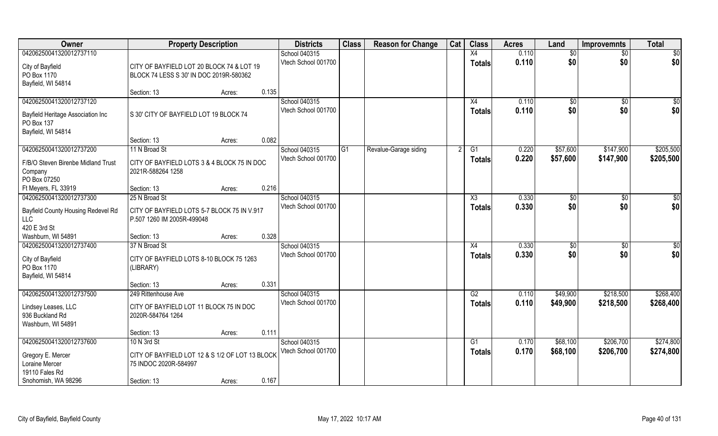| Owner                                                                                            | <b>Property Description</b>                                                          |        |       | <b>Districts</b>                     | <b>Class</b> | <b>Reason for Change</b> | Cat | <b>Class</b>        | <b>Acres</b>   | Land            | <b>Improvemnts</b> | <b>Total</b>            |
|--------------------------------------------------------------------------------------------------|--------------------------------------------------------------------------------------|--------|-------|--------------------------------------|--------------|--------------------------|-----|---------------------|----------------|-----------------|--------------------|-------------------------|
| 04206250041320012737110                                                                          |                                                                                      |        |       | School 040315<br>Vtech School 001700 |              |                          |     | X4<br><b>Totals</b> | 0.110<br>0.110 | \$0<br>\$0      | $\sqrt{6}$<br>\$0  | \$0<br>\$0              |
| City of Bayfield<br>PO Box 1170                                                                  | CITY OF BAYFIELD LOT 20 BLOCK 74 & LOT 19<br>BLOCK 74 LESS S 30' IN DOC 2019R-580362 |        |       |                                      |              |                          |     |                     |                |                 |                    |                         |
| Bayfield, WI 54814                                                                               | Section: 13                                                                          | Acres: | 0.135 |                                      |              |                          |     |                     |                |                 |                    |                         |
| 04206250041320012737120<br>Bayfield Heritage Association Inc<br>PO Box 137<br>Bayfield, WI 54814 | S 30' CITY OF BAYFIELD LOT 19 BLOCK 74                                               |        |       | School 040315<br>Vtech School 001700 |              |                          |     | X4<br>Totals        | 0.110<br>0.110 | \$0<br>\$0      | \$0<br>\$0         | $\overline{\$0}$<br>\$0 |
|                                                                                                  | Section: 13                                                                          | Acres: | 0.082 |                                      |              |                          |     |                     |                |                 |                    |                         |
| 04206250041320012737200                                                                          | 11 N Broad St                                                                        |        |       | School 040315                        | G1           | Revalue-Garage siding    |     | G1                  | 0.220          | \$57,600        | \$147,900          | \$205,500               |
| F/B/O Steven Birenbe Midland Trust<br>Company<br>PO Box 07250                                    | CITY OF BAYFIELD LOTS 3 & 4 BLOCK 75 IN DOC<br>2021R-588264 1258                     |        |       | Vtech School 001700                  |              |                          |     | <b>Totals</b>       | 0.220          | \$57,600        | \$147,900          | \$205,500               |
| Ft Meyers, FL 33919                                                                              | Section: 13                                                                          | Acres: | 0.216 |                                      |              |                          |     |                     |                |                 |                    |                         |
| 04206250041320012737300                                                                          | 25 N Broad St                                                                        |        |       | School 040315                        |              |                          |     | X3                  | 0.330          | $ $ \$0         | $\sqrt[6]{3}$      | \$0                     |
| Bayfield County Housing Redevel Rd<br>LLC<br>420 E 3rd St                                        | CITY OF BAYFIELD LOTS 5-7 BLOCK 75 IN V.917<br>P.507 1260 IM 2005R-499048            |        |       | Vtech School 001700                  |              |                          |     | <b>Totals</b>       | 0.330          | \$0             | \$0                | \$0                     |
| Washburn, WI 54891                                                                               | Section: 13                                                                          | Acres: | 0.328 |                                      |              |                          |     |                     |                |                 |                    |                         |
| 04206250041320012737400                                                                          | 37 N Broad St                                                                        |        |       | School 040315                        |              |                          |     | X4                  | 0.330          | $\overline{50}$ | \$0                | $\overline{50}$         |
| City of Bayfield<br>PO Box 1170<br>Bayfield, WI 54814                                            | CITY OF BAYFIELD LOTS 8-10 BLOCK 75 1263<br>(LIBRARY)                                |        |       | Vtech School 001700                  |              |                          |     | <b>Totals</b>       | 0.330          | \$0             | \$0                | \$0                     |
|                                                                                                  | Section: 13                                                                          | Acres: | 0.331 |                                      |              |                          |     |                     |                |                 |                    |                         |
| 04206250041320012737500                                                                          | 249 Rittenhouse Ave                                                                  |        |       | School 040315                        |              |                          |     | G2                  | 0.110          | \$49,900        | \$218,500          | \$268,400               |
| Lindsey Leases, LLC<br>936 Buckland Rd<br>Washburn, WI 54891                                     | CITY OF BAYFIELD LOT 11 BLOCK 75 IN DOC<br>2020R-584764 1264                         |        |       | Vtech School 001700                  |              |                          |     | <b>Totals</b>       | 0.110          | \$49,900        | \$218,500          | \$268,400               |
|                                                                                                  | Section: 13                                                                          | Acres: | 0.111 |                                      |              |                          |     |                     |                |                 |                    |                         |
| 04206250041320012737600                                                                          | 10 N 3rd St                                                                          |        |       | School 040315                        |              |                          |     | G1                  | 0.170          | \$68,100        | \$206,700          | \$274,800               |
| Gregory E. Mercer<br>Loraine Mercer<br>19110 Fales Rd                                            | CITY OF BAYFIELD LOT 12 & S 1/2 OF LOT 13 BLOCK<br>75 INDOC 2020R-584997             |        |       | Vtech School 001700                  |              |                          |     | <b>Totals</b>       | 0.170          | \$68,100        | \$206,700          | \$274,800               |
| Snohomish, WA 98296                                                                              | Section: 13                                                                          | Acres: | 0.167 |                                      |              |                          |     |                     |                |                 |                    |                         |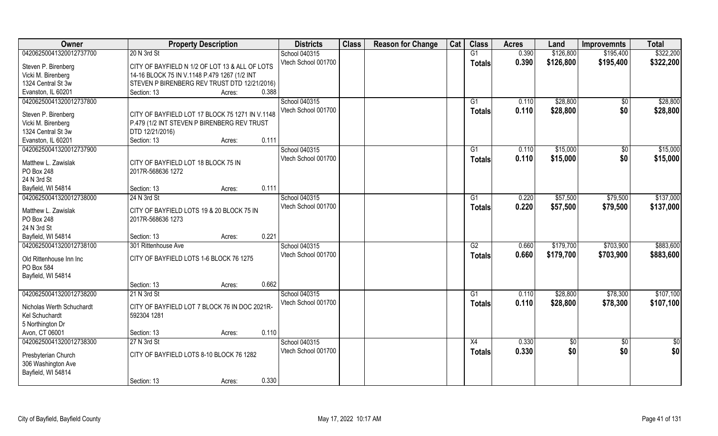| Owner                                                           | <b>Property Description</b>                                  |        |       | <b>Districts</b>                     | <b>Class</b> | <b>Reason for Change</b> | Cat | <b>Class</b>    | <b>Acres</b>   | Land                 | <b>Improvemnts</b>     | <b>Total</b>         |
|-----------------------------------------------------------------|--------------------------------------------------------------|--------|-------|--------------------------------------|--------------|--------------------------|-----|-----------------|----------------|----------------------|------------------------|----------------------|
| 04206250041320012737700                                         | 20 N 3rd St                                                  |        |       | School 040315                        |              |                          |     | G1              | 0.390          | \$126,800            | \$195,400              | \$322,200            |
| Steven P. Birenberg                                             | CITY OF BAYFIELD N 1/2 OF LOT 13 & ALL OF LOTS               |        |       | Vtech School 001700                  |              |                          |     | <b>Totals</b>   | 0.390          | \$126,800            | \$195,400              | \$322,200            |
| Vicki M. Birenberg                                              | 14-16 BLOCK 75 IN V.1148 P.479 1267 (1/2 INT                 |        |       |                                      |              |                          |     |                 |                |                      |                        |                      |
| 1324 Central St 3w                                              | STEVEN P BIRENBERG REV TRUST DTD 12/21/2016)                 |        |       |                                      |              |                          |     |                 |                |                      |                        |                      |
| Evanston, IL 60201                                              | Section: 13                                                  | Acres: | 0.388 |                                      |              |                          |     |                 |                |                      |                        |                      |
| 04206250041320012737800                                         |                                                              |        |       | School 040315<br>Vtech School 001700 |              |                          |     | G1              | 0.110<br>0.110 | \$28,800<br>\$28,800 | $\overline{50}$<br>\$0 | \$28,800<br>\$28,800 |
| Steven P. Birenberg                                             | CITY OF BAYFIELD LOT 17 BLOCK 75 1271 IN V.1148              |        |       |                                      |              |                          |     | <b>Totals</b>   |                |                      |                        |                      |
| Vicki M. Birenberg                                              | P.479 (1/2 INT STEVEN P BIRENBERG REV TRUST                  |        |       |                                      |              |                          |     |                 |                |                      |                        |                      |
| 1324 Central St 3w                                              | DTD 12/21/2016)                                              |        |       |                                      |              |                          |     |                 |                |                      |                        |                      |
| Evanston, IL 60201                                              | Section: 13                                                  | Acres: | 0.111 |                                      |              |                          |     |                 |                |                      |                        |                      |
| 04206250041320012737900                                         |                                                              |        |       | School 040315                        |              |                          |     | G1              | 0.110          | \$15,000             | \$0                    | \$15,000             |
| Matthew L. Zawislak                                             | CITY OF BAYFIELD LOT 18 BLOCK 75 IN                          |        |       | Vtech School 001700                  |              |                          |     | <b>Totals</b>   | 0.110          | \$15,000             | \$0                    | \$15,000             |
| PO Box 248                                                      | 2017R-568636 1272                                            |        |       |                                      |              |                          |     |                 |                |                      |                        |                      |
| 24 N 3rd St                                                     |                                                              |        |       |                                      |              |                          |     |                 |                |                      |                        |                      |
| Bayfield, WI 54814                                              | Section: 13                                                  | Acres: | 0.111 |                                      |              |                          |     |                 |                |                      |                        |                      |
| 04206250041320012738000                                         | 24 N 3rd St                                                  |        |       | School 040315                        |              |                          |     | G1              | 0.220          | \$57,500             | \$79,500               | \$137,000            |
|                                                                 |                                                              |        |       | Vtech School 001700                  |              |                          |     | <b>Totals</b>   | 0.220          | \$57,500             | \$79,500               | \$137,000            |
| Matthew L. Zawislak                                             | CITY OF BAYFIELD LOTS 19 & 20 BLOCK 75 IN                    |        |       |                                      |              |                          |     |                 |                |                      |                        |                      |
| PO Box 248                                                      | 2017R-568636 1273                                            |        |       |                                      |              |                          |     |                 |                |                      |                        |                      |
| 24 N 3rd St                                                     |                                                              |        |       |                                      |              |                          |     |                 |                |                      |                        |                      |
| Bayfield, WI 54814                                              | Section: 13                                                  | Acres: | 0.221 |                                      |              |                          |     |                 |                |                      |                        |                      |
| 04206250041320012738100                                         | 301 Rittenhouse Ave                                          |        |       | School 040315                        |              |                          |     | $\overline{G2}$ | 0.660          | \$179,700            | \$703,900              | \$883,600            |
| Old Rittenhouse Inn Inc                                         | CITY OF BAYFIELD LOTS 1-6 BLOCK 76 1275                      |        |       | Vtech School 001700                  |              |                          |     | <b>Totals</b>   | 0.660          | \$179,700            | \$703,900              | \$883,600            |
| PO Box 584                                                      |                                                              |        |       |                                      |              |                          |     |                 |                |                      |                        |                      |
| Bayfield, WI 54814                                              |                                                              |        |       |                                      |              |                          |     |                 |                |                      |                        |                      |
|                                                                 | Section: 13                                                  | Acres: | 0.662 |                                      |              |                          |     |                 |                |                      |                        |                      |
| 04206250041320012738200                                         | 21 N 3rd St                                                  |        |       | School 040315                        |              |                          |     | G1              | 0.110          | \$28,800             | \$78,300               | \$107,100            |
| Nicholas Werth Schuchardt<br>Kel Schuchardt                     | CITY OF BAYFIELD LOT 7 BLOCK 76 IN DOC 2021R-<br>592304 1281 |        |       | Vtech School 001700                  |              |                          |     | <b>Totals</b>   | 0.110          | \$28,800             | \$78,300               | \$107,100            |
| 5 Northington Dr                                                |                                                              |        |       |                                      |              |                          |     |                 |                |                      |                        |                      |
| Avon, CT 06001                                                  | Section: 13                                                  | Acres: | 0.110 |                                      |              |                          |     |                 |                |                      |                        |                      |
| 04206250041320012738300                                         | 27 N 3rd St                                                  |        |       | School 040315                        |              |                          |     | $\overline{X4}$ | 0.330          | $\sqrt{6}$           | $\overline{50}$        | $rac{1}{2}$          |
| Presbyterian Church<br>306 Washington Ave<br>Bayfield, WI 54814 | CITY OF BAYFIELD LOTS 8-10 BLOCK 76 1282                     |        |       | Vtech School 001700                  |              |                          |     | <b>Totals</b>   | 0.330          | \$0                  | \$0                    | \$0                  |
|                                                                 | Section: 13                                                  | Acres: | 0.330 |                                      |              |                          |     |                 |                |                      |                        |                      |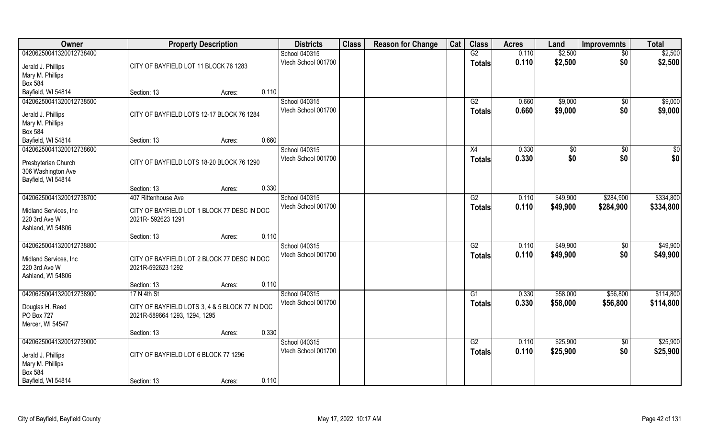| <b>Owner</b>                                  | <b>Property Description</b>                    |        |       | <b>Districts</b>    | <b>Class</b> | <b>Reason for Change</b> | Cat | <b>Class</b>    | <b>Acres</b> | Land                 | <b>Improvemnts</b>    | Total       |
|-----------------------------------------------|------------------------------------------------|--------|-------|---------------------|--------------|--------------------------|-----|-----------------|--------------|----------------------|-----------------------|-------------|
| 04206250041320012738400                       |                                                |        |       | School 040315       |              |                          |     | G2              | 0.110        | \$2,500              | $\overline{50}$       | \$2,500     |
| Jerald J. Phillips<br>Mary M. Phillips        | CITY OF BAYFIELD LOT 11 BLOCK 76 1283          |        |       | Vtech School 001700 |              |                          |     | <b>Totals</b>   | 0.110        | \$2,500              | \$0                   | \$2,500     |
| <b>Box 584</b>                                |                                                |        |       |                     |              |                          |     |                 |              |                      |                       |             |
| Bayfield, WI 54814                            | Section: 13                                    | Acres: | 0.110 |                     |              |                          |     |                 |              |                      |                       |             |
| 04206250041320012738500                       |                                                |        |       | School 040315       |              |                          |     | G2              | 0.660        | \$9,000              | $\overline{50}$       | \$9,000     |
|                                               |                                                |        |       | Vtech School 001700 |              |                          |     | <b>Totals</b>   | 0.660        | \$9,000              | \$0                   | \$9,000     |
| Jerald J. Phillips                            | CITY OF BAYFIELD LOTS 12-17 BLOCK 76 1284      |        |       |                     |              |                          |     |                 |              |                      |                       |             |
| Mary M. Phillips                              |                                                |        |       |                     |              |                          |     |                 |              |                      |                       |             |
| Box 584                                       |                                                |        | 0.660 |                     |              |                          |     |                 |              |                      |                       |             |
| Bayfield, WI 54814<br>04206250041320012738600 | Section: 13                                    | Acres: |       | School 040315       |              |                          |     | X4              | 0.330        |                      |                       | $\sqrt{50}$ |
|                                               |                                                |        |       | Vtech School 001700 |              |                          |     |                 | 0.330        | $\sqrt[6]{3}$<br>\$0 | $\sqrt[6]{30}$<br>\$0 | \$0         |
| Presbyterian Church                           | CITY OF BAYFIELD LOTS 18-20 BLOCK 76 1290      |        |       |                     |              |                          |     | <b>Totals</b>   |              |                      |                       |             |
| 306 Washington Ave                            |                                                |        |       |                     |              |                          |     |                 |              |                      |                       |             |
| Bayfield, WI 54814                            |                                                |        |       |                     |              |                          |     |                 |              |                      |                       |             |
|                                               | Section: 13                                    | Acres: | 0.330 |                     |              |                          |     |                 |              |                      |                       |             |
| 04206250041320012738700                       | 407 Rittenhouse Ave                            |        |       | School 040315       |              |                          |     | G2              | 0.110        | \$49,900             | \$284,900             | \$334,800   |
| Midland Services, Inc                         | CITY OF BAYFIELD LOT 1 BLOCK 77 DESC IN DOC    |        |       | Vtech School 001700 |              |                          |     | <b>Totals</b>   | 0.110        | \$49,900             | \$284,900             | \$334,800   |
| 220 3rd Ave W                                 | 2021R-592623 1291                              |        |       |                     |              |                          |     |                 |              |                      |                       |             |
| Ashland, WI 54806                             |                                                |        |       |                     |              |                          |     |                 |              |                      |                       |             |
|                                               | Section: 13                                    | Acres: | 0.110 |                     |              |                          |     |                 |              |                      |                       |             |
| 04206250041320012738800                       |                                                |        |       | School 040315       |              |                          |     | $\overline{G2}$ | 0.110        | \$49,900             | $\sqrt[6]{30}$        | \$49,900    |
| Midland Services, Inc                         | CITY OF BAYFIELD LOT 2 BLOCK 77 DESC IN DOC    |        |       | Vtech School 001700 |              |                          |     | <b>Totals</b>   | 0.110        | \$49,900             | \$0                   | \$49,900    |
| 220 3rd Ave W                                 | 2021R-592623 1292                              |        |       |                     |              |                          |     |                 |              |                      |                       |             |
| Ashland, WI 54806                             |                                                |        |       |                     |              |                          |     |                 |              |                      |                       |             |
|                                               | Section: 13                                    | Acres: | 0.110 |                     |              |                          |     |                 |              |                      |                       |             |
| 04206250041320012738900                       | 17 N 4th St                                    |        |       | School 040315       |              |                          |     | G1              | 0.330        | \$58,000             | \$56,800              | \$114,800   |
| Douglas H. Reed                               | CITY OF BAYFIELD LOTS 3, 4 & 5 BLOCK 77 IN DOC |        |       | Vtech School 001700 |              |                          |     | <b>Totals</b>   | 0.330        | \$58,000             | \$56,800              | \$114,800   |
| PO Box 727                                    | 2021R-589664 1293, 1294, 1295                  |        |       |                     |              |                          |     |                 |              |                      |                       |             |
| Mercer, WI 54547                              |                                                |        |       |                     |              |                          |     |                 |              |                      |                       |             |
|                                               | Section: 13                                    | Acres: | 0.330 |                     |              |                          |     |                 |              |                      |                       |             |
| 04206250041320012739000                       |                                                |        |       | School 040315       |              |                          |     | G2              | 0.110        | \$25,900             | $\overline{50}$       | \$25,900    |
| Jerald J. Phillips                            | CITY OF BAYFIELD LOT 6 BLOCK 77 1296           |        |       | Vtech School 001700 |              |                          |     | <b>Totals</b>   | 0.110        | \$25,900             | \$0                   | \$25,900    |
| Mary M. Phillips                              |                                                |        |       |                     |              |                          |     |                 |              |                      |                       |             |
| <b>Box 584</b>                                |                                                |        |       |                     |              |                          |     |                 |              |                      |                       |             |
| Bayfield, WI 54814                            | Section: 13                                    | Acres: | 0.110 |                     |              |                          |     |                 |              |                      |                       |             |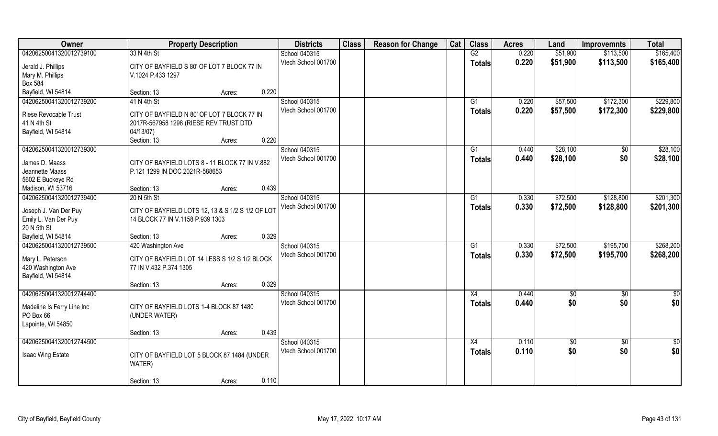| Owner                                         | <b>Property Description</b>                       | <b>Districts</b>    | <b>Class</b> | <b>Reason for Change</b> | Cat | <b>Class</b>  | <b>Acres</b> | Land     | <b>Improvemnts</b> | <b>Total</b>  |
|-----------------------------------------------|---------------------------------------------------|---------------------|--------------|--------------------------|-----|---------------|--------------|----------|--------------------|---------------|
| 04206250041320012739100                       | 33 N 4th St                                       | School 040315       |              |                          |     | G2            | 0.220        | \$51,900 | \$113,500          | \$165,400     |
| Jerald J. Phillips                            | CITY OF BAYFIELD S 80' OF LOT 7 BLOCK 77 IN       | Vtech School 001700 |              |                          |     | <b>Totals</b> | 0.220        | \$51,900 | \$113,500          | \$165,400     |
| Mary M. Phillips                              | V.1024 P.433 1297                                 |                     |              |                          |     |               |              |          |                    |               |
| <b>Box 584</b>                                |                                                   |                     |              |                          |     |               |              |          |                    |               |
| Bayfield, WI 54814                            | 0.220<br>Section: 13<br>Acres:                    |                     |              |                          |     |               |              |          |                    |               |
| 04206250041320012739200                       | 41 N 4th St                                       | School 040315       |              |                          |     | G1            | 0.220        | \$57,500 | \$172,300          | \$229,800     |
|                                               |                                                   | Vtech School 001700 |              |                          |     | <b>Totals</b> | 0.220        | \$57,500 | \$172,300          | \$229,800     |
| <b>Riese Revocable Trust</b>                  | CITY OF BAYFIELD N 80' OF LOT 7 BLOCK 77 IN       |                     |              |                          |     |               |              |          |                    |               |
| 41 N 4th St                                   | 2017R-567958 1298 (RIESE REV TRUST DTD            |                     |              |                          |     |               |              |          |                    |               |
| Bayfield, WI 54814                            | 04/13/07)                                         |                     |              |                          |     |               |              |          |                    |               |
|                                               | 0.220<br>Section: 13<br>Acres:                    |                     |              |                          |     |               |              |          |                    |               |
| 04206250041320012739300                       |                                                   | School 040315       |              |                          |     | G1            | 0.440        | \$28,100 | $\sqrt[6]{}$       | \$28,100      |
| James D. Maass                                | CITY OF BAYFIELD LOTS 8 - 11 BLOCK 77 IN V.882    | Vtech School 001700 |              |                          |     | <b>Totals</b> | 0.440        | \$28,100 | \$0                | \$28,100      |
| Jeannette Maass                               | P.121 1299 IN DOC 2021R-588653                    |                     |              |                          |     |               |              |          |                    |               |
| 5602 E Buckeye Rd                             |                                                   |                     |              |                          |     |               |              |          |                    |               |
| Madison, WI 53716                             | 0.439<br>Section: 13<br>Acres:                    |                     |              |                          |     |               |              |          |                    |               |
| 04206250041320012739400                       | 20 N 5th St                                       | School 040315       |              |                          |     | G1            | 0.330        | \$72,500 | \$128,800          | \$201,300     |
|                                               |                                                   | Vtech School 001700 |              |                          |     | <b>Totals</b> | 0.330        | \$72,500 | \$128,800          | \$201,300     |
| Joseph J. Van Der Puy                         | CITY OF BAYFIELD LOTS 12, 13 & S 1/2 S 1/2 OF LOT |                     |              |                          |     |               |              |          |                    |               |
| Emily L. Van Der Puy                          | 14 BLOCK 77 IN V.1158 P.939 1303                  |                     |              |                          |     |               |              |          |                    |               |
| 20 N 5th St                                   | 0.329                                             |                     |              |                          |     |               |              |          |                    |               |
| Bayfield, WI 54814<br>04206250041320012739500 | Section: 13<br>Acres:                             |                     |              |                          |     | G1            | 0.330        | \$72,500 | \$195,700          | \$268,200     |
|                                               | 420 Washington Ave                                | School 040315       |              |                          |     |               |              |          |                    |               |
| Mary L. Peterson                              | CITY OF BAYFIELD LOT 14 LESS S 1/2 S 1/2 BLOCK    | Vtech School 001700 |              |                          |     | <b>Totals</b> | 0.330        | \$72,500 | \$195,700          | \$268,200     |
| 420 Washington Ave                            | 77 IN V.432 P.374 1305                            |                     |              |                          |     |               |              |          |                    |               |
| Bayfield, WI 54814                            |                                                   |                     |              |                          |     |               |              |          |                    |               |
|                                               | 0.329<br>Section: 13<br>Acres:                    |                     |              |                          |     |               |              |          |                    |               |
| 04206250041320012744400                       |                                                   | School 040315       |              |                          |     | X4            | 0.440        | \$0      | $\overline{50}$    | $\frac{6}{3}$ |
| Madeline Is Ferry Line Inc                    | CITY OF BAYFIELD LOTS 1-4 BLOCK 87 1480           | Vtech School 001700 |              |                          |     | <b>Totals</b> | 0.440        | \$0      | \$0                | \$0           |
| PO Box 66                                     | (UNDER WATER)                                     |                     |              |                          |     |               |              |          |                    |               |
| Lapointe, WI 54850                            |                                                   |                     |              |                          |     |               |              |          |                    |               |
|                                               | 0.439<br>Section: 13<br>Acres:                    |                     |              |                          |     |               |              |          |                    |               |
| 04206250041320012744500                       |                                                   | School 040315       |              |                          |     | X4            | 0.110        | \$0      | $\sqrt[6]{}$       | \$0           |
|                                               |                                                   | Vtech School 001700 |              |                          |     | <b>Totals</b> | 0.110        | \$0      | \$0                | \$0           |
| Isaac Wing Estate                             | CITY OF BAYFIELD LOT 5 BLOCK 87 1484 (UNDER       |                     |              |                          |     |               |              |          |                    |               |
|                                               | WATER)                                            |                     |              |                          |     |               |              |          |                    |               |
|                                               |                                                   |                     |              |                          |     |               |              |          |                    |               |
|                                               | 0.110<br>Section: 13<br>Acres:                    |                     |              |                          |     |               |              |          |                    |               |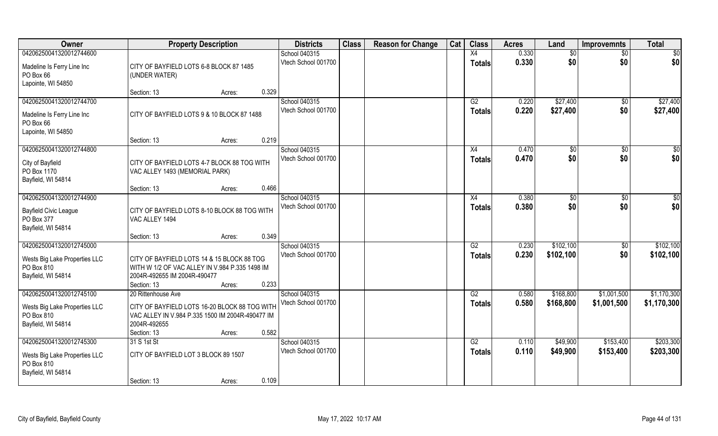| Owner                                                                                        | <b>Property Description</b>                                                                                                                           |       | <b>Districts</b>                     | <b>Class</b> | <b>Reason for Change</b> | Cat | <b>Class</b>                     | <b>Acres</b>   | Land                   | <b>Improvemnts</b>     | <b>Total</b>           |
|----------------------------------------------------------------------------------------------|-------------------------------------------------------------------------------------------------------------------------------------------------------|-------|--------------------------------------|--------------|--------------------------|-----|----------------------------------|----------------|------------------------|------------------------|------------------------|
| 04206250041320012744600                                                                      |                                                                                                                                                       |       | School 040315                        |              |                          |     | X4                               | 0.330          | \$0                    | $\sqrt{6}$             | \$0                    |
| Madeline Is Ferry Line Inc<br>PO Box 66<br>Lapointe, WI 54850                                | CITY OF BAYFIELD LOTS 6-8 BLOCK 87 1485<br>(UNDER WATER)                                                                                              |       | Vtech School 001700                  |              |                          |     | <b>Totals</b>                    | 0.330          | \$0                    | \$0                    | \$0                    |
|                                                                                              | Section: 13<br>Acres:                                                                                                                                 | 0.329 |                                      |              |                          |     |                                  |                |                        |                        |                        |
| 04206250041320012744700<br>Madeline Is Ferry Line Inc<br>PO Box 66<br>Lapointe, WI 54850     | CITY OF BAYFIELD LOTS 9 & 10 BLOCK 87 1488                                                                                                            |       | School 040315<br>Vtech School 001700 |              |                          |     | G2<br><b>Totals</b>              | 0.220<br>0.220 | \$27,400<br>\$27,400   | $\sqrt{$0}$<br>\$0     | \$27,400<br>\$27,400   |
|                                                                                              | Section: 13<br>Acres:                                                                                                                                 | 0.219 |                                      |              |                          |     |                                  |                |                        |                        |                        |
| 04206250041320012744800<br>City of Bayfield<br>PO Box 1170<br>Bayfield, WI 54814             | CITY OF BAYFIELD LOTS 4-7 BLOCK 88 TOG WITH<br>VAC ALLEY 1493 (MEMORIAL PARK)                                                                         |       | School 040315<br>Vtech School 001700 |              |                          |     | X4<br><b>Totals</b>              | 0.470<br>0.470 | \$0<br>\$0             | $\sqrt{50}$<br>\$0     | $\sqrt{50}$<br>\$0     |
|                                                                                              | Section: 13<br>Acres:                                                                                                                                 | 0.466 |                                      |              |                          |     |                                  |                |                        |                        |                        |
| 04206250041320012744900<br><b>Bayfield Civic League</b><br>PO Box 377<br>Bayfield, WI 54814  | CITY OF BAYFIELD LOTS 8-10 BLOCK 88 TOG WITH<br>VAC ALLEY 1494                                                                                        |       | School 040315<br>Vtech School 001700 |              |                          |     | X4<br><b>Totals</b>              | 0.380<br>0.380 | $\sqrt[6]{3}$<br>\$0   | $\sqrt[6]{3}$<br>\$0   | \$0<br>\$0             |
|                                                                                              | Section: 13<br>Acres:                                                                                                                                 | 0.349 |                                      |              |                          |     |                                  |                |                        |                        |                        |
| 04206250041320012745000<br>Wests Big Lake Properties LLC<br>PO Box 810<br>Bayfield, WI 54814 | CITY OF BAYFIELD LOTS 14 & 15 BLOCK 88 TOG<br>WITH W 1/2 OF VAC ALLEY IN V.984 P.335 1498 IM<br>2004R-492655 IM 2004R-490477<br>Section: 13<br>Acres: | 0.233 | School 040315<br>Vtech School 001700 |              |                          |     | $\overline{G2}$<br><b>Totals</b> | 0.230<br>0.230 | \$102,100<br>\$102,100 | $\overline{50}$<br>\$0 | \$102,100<br>\$102,100 |
| 04206250041320012745100                                                                      | 20 Rittenhouse Ave                                                                                                                                    |       | School 040315                        |              |                          |     | G2                               | 0.580          | \$168,800              | \$1,001,500            | \$1,170,300            |
| Wests Big Lake Properties LLC<br>PO Box 810<br>Bayfield, WI 54814                            | CITY OF BAYFIELD LOTS 16-20 BLOCK 88 TOG WITH<br>VAC ALLEY IN V.984 P.335 1500 IM 2004R-490477 IM<br>2004R-492655<br>Section: 13<br>Acres:            | 0.582 | Vtech School 001700                  |              |                          |     | <b>Totals</b>                    | 0.580          | \$168,800              | \$1,001,500            | \$1,170,300            |
| 04206250041320012745300                                                                      | 31 S 1st St                                                                                                                                           |       | School 040315                        |              |                          |     | G2                               | 0.110          | \$49,900               | \$153,400              | \$203,300              |
| Wests Big Lake Properties LLC<br>PO Box 810<br>Bayfield, WI 54814                            | CITY OF BAYFIELD LOT 3 BLOCK 89 1507                                                                                                                  |       | Vtech School 001700                  |              |                          |     | <b>Totals</b>                    | 0.110          | \$49,900               | \$153,400              | \$203,300              |
|                                                                                              | Section: 13<br>Acres:                                                                                                                                 | 0.109 |                                      |              |                          |     |                                  |                |                        |                        |                        |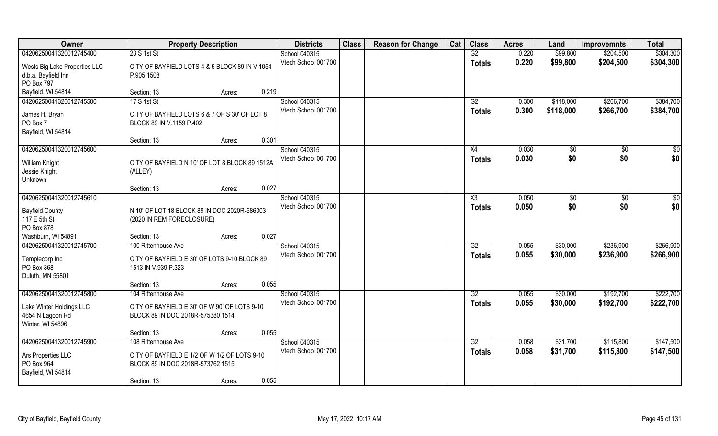| Owner                         | <b>Property Description</b>                    | <b>Districts</b>    | <b>Class</b> | <b>Reason for Change</b> | Cat | <b>Class</b>    | <b>Acres</b> | Land      | <b>Improvemnts</b> | <b>Total</b> |
|-------------------------------|------------------------------------------------|---------------------|--------------|--------------------------|-----|-----------------|--------------|-----------|--------------------|--------------|
| 04206250041320012745400       | 23 S 1st St                                    | School 040315       |              |                          |     | G2              | 0.220        | \$99,800  | \$204,500          | \$304,300    |
| Wests Big Lake Properties LLC | CITY OF BAYFIELD LOTS 4 & 5 BLOCK 89 IN V.1054 | Vtech School 001700 |              |                          |     | <b>Totals</b>   | 0.220        | \$99,800  | \$204,500          | \$304,300    |
| d.b.a. Bayfield Inn           | P.905 1508                                     |                     |              |                          |     |                 |              |           |                    |              |
| PO Box 797                    |                                                |                     |              |                          |     |                 |              |           |                    |              |
| Bayfield, WI 54814            | 0.219<br>Section: 13<br>Acres:                 |                     |              |                          |     |                 |              |           |                    |              |
| 04206250041320012745500       | 17 S 1st St                                    | School 040315       |              |                          |     | G2              | 0.300        | \$118,000 | \$266,700          | \$384,700    |
| James H. Bryan                | CITY OF BAYFIELD LOTS 6 & 7 OF S 30' OF LOT 8  | Vtech School 001700 |              |                          |     | <b>Totals</b>   | 0.300        | \$118,000 | \$266,700          | \$384,700    |
| PO Box 7                      | BLOCK 89 IN V.1159 P.402                       |                     |              |                          |     |                 |              |           |                    |              |
| Bayfield, WI 54814            |                                                |                     |              |                          |     |                 |              |           |                    |              |
|                               | 0.301<br>Section: 13<br>Acres:                 |                     |              |                          |     |                 |              |           |                    |              |
| 04206250041320012745600       |                                                | School 040315       |              |                          |     | X4              | 0.030        | \$0       | \$0                | \$0          |
| William Knight                | CITY OF BAYFIELD N 10' OF LOT 8 BLOCK 89 1512A | Vtech School 001700 |              |                          |     | <b>Totals</b>   | 0.030        | \$0       | \$0                | \$0          |
| Jessie Knight                 | (ALLEY)                                        |                     |              |                          |     |                 |              |           |                    |              |
| Unknown                       |                                                |                     |              |                          |     |                 |              |           |                    |              |
|                               | 0.027<br>Section: 13<br>Acres:                 |                     |              |                          |     |                 |              |           |                    |              |
| 04206250041320012745610       |                                                | School 040315       |              |                          |     | X3              | 0.050        | \$0       | $\frac{1}{30}$     | $rac{1}{2}$  |
| <b>Bayfield County</b>        | N 10' OF LOT 18 BLOCK 89 IN DOC 2020R-586303   | Vtech School 001700 |              |                          |     | <b>Totals</b>   | 0.050        | \$0       | \$0                | \$0          |
| 117 E 5th St                  | (2020 IN REM FORECLOSURE)                      |                     |              |                          |     |                 |              |           |                    |              |
| PO Box 878                    |                                                |                     |              |                          |     |                 |              |           |                    |              |
| Washburn, WI 54891            | 0.027<br>Section: 13<br>Acres:                 |                     |              |                          |     |                 |              |           |                    |              |
| 04206250041320012745700       | 100 Rittenhouse Ave                            | School 040315       |              |                          |     | $\overline{G2}$ | 0.055        | \$30,000  | \$236,900          | \$266,900    |
| Templecorp Inc                | CITY OF BAYFIELD E 30' OF LOTS 9-10 BLOCK 89   | Vtech School 001700 |              |                          |     | <b>Totals</b>   | 0.055        | \$30,000  | \$236,900          | \$266,900    |
| PO Box 368                    | 1513 IN V.939 P.323                            |                     |              |                          |     |                 |              |           |                    |              |
| Duluth, MN 55801              |                                                |                     |              |                          |     |                 |              |           |                    |              |
|                               | 0.055<br>Section: 13<br>Acres:                 |                     |              |                          |     |                 |              |           |                    |              |
| 04206250041320012745800       | 104 Rittenhouse Ave                            | School 040315       |              |                          |     | G2              | 0.055        | \$30,000  | \$192,700          | \$222,700    |
| Lake Winter Holdings LLC      | CITY OF BAYFIELD E 30' OF W 90' OF LOTS 9-10   | Vtech School 001700 |              |                          |     | <b>Totals</b>   | 0.055        | \$30,000  | \$192,700          | \$222,700    |
| 4654 N Lagoon Rd              | BLOCK 89 IN DOC 2018R-575380 1514              |                     |              |                          |     |                 |              |           |                    |              |
| Winter, WI 54896              |                                                |                     |              |                          |     |                 |              |           |                    |              |
|                               | 0.055<br>Section: 13<br>Acres:                 |                     |              |                          |     |                 |              |           |                    |              |
| 04206250041320012745900       | 108 Rittenhouse Ave                            | School 040315       |              |                          |     | G2              | 0.058        | \$31,700  | \$115,800          | \$147,500    |
| Ars Properties LLC            | CITY OF BAYFIELD E 1/2 OF W 1/2 OF LOTS 9-10   | Vtech School 001700 |              |                          |     | <b>Totals</b>   | 0.058        | \$31,700  | \$115,800          | \$147,500    |
| PO Box 964                    | BLOCK 89 IN DOC 2018R-573762 1515              |                     |              |                          |     |                 |              |           |                    |              |
| Bayfield, WI 54814            |                                                |                     |              |                          |     |                 |              |           |                    |              |
|                               | 0.055<br>Section: 13<br>Acres:                 |                     |              |                          |     |                 |              |           |                    |              |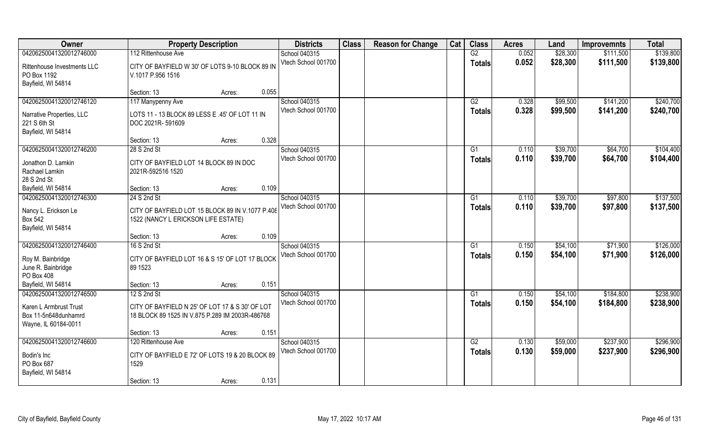| Owner                                                                  | <b>Property Description</b>                                                                        |        |       | <b>Districts</b>    | <b>Class</b> | <b>Reason for Change</b> | Cat | <b>Class</b>  | <b>Acres</b> | Land     | <b>Improvemnts</b> | <b>Total</b> |
|------------------------------------------------------------------------|----------------------------------------------------------------------------------------------------|--------|-------|---------------------|--------------|--------------------------|-----|---------------|--------------|----------|--------------------|--------------|
| 04206250041320012746000                                                | 112 Rittenhouse Ave                                                                                |        |       | School 040315       |              |                          |     | G2            | 0.052        | \$28,300 | \$111,500          | \$139,800    |
| Rittenhouse Investments LLC<br>PO Box 1192<br>Bayfield, WI 54814       | CITY OF BAYFIELD W 30' OF LOTS 9-10 BLOCK 89 IN<br>V.1017 P.956 1516                               |        |       | Vtech School 001700 |              |                          |     | <b>Totals</b> | 0.052        | \$28,300 | \$111,500          | \$139,800    |
|                                                                        | Section: 13                                                                                        | Acres: | 0.055 |                     |              |                          |     |               |              |          |                    |              |
| 04206250041320012746120                                                | 117 Manypenny Ave                                                                                  |        |       | School 040315       |              |                          |     | G2            | 0.328        | \$99,500 | \$141,200          | \$240,700    |
| Narrative Properties, LLC<br>221 S 6th St<br>Bayfield, WI 54814        | LOTS 11 - 13 BLOCK 89 LESS E .45' OF LOT 11 IN<br>DOC 2021R-591609                                 |        |       | Vtech School 001700 |              |                          |     | <b>Totals</b> | 0.328        | \$99,500 | \$141,200          | \$240,700    |
|                                                                        | Section: 13                                                                                        | Acres: | 0.328 |                     |              |                          |     |               |              |          |                    |              |
| 04206250041320012746200                                                | 28 S 2nd St                                                                                        |        |       | School 040315       |              |                          |     | G1            | 0.110        | \$39,700 | \$64,700           | \$104,400    |
| Jonathon D. Lamkin<br>Rachael Lamkin<br>28 S 2nd St                    | CITY OF BAYFIELD LOT 14 BLOCK 89 IN DOC<br>2021R-592516 1520                                       |        |       | Vtech School 001700 |              |                          |     | <b>Totals</b> | 0.110        | \$39,700 | \$64,700           | \$104,400    |
| Bayfield, WI 54814                                                     | Section: 13                                                                                        | Acres: | 0.109 |                     |              |                          |     |               |              |          |                    |              |
| 04206250041320012746300                                                | 24 S 2nd St                                                                                        |        |       | School 040315       |              |                          |     | G1            | 0.110        | \$39,700 | \$97,800           | \$137,500    |
| Nancy L. Erickson Le<br><b>Box 542</b><br>Bayfield, WI 54814           | CITY OF BAYFIELD LOT 15 BLOCK 89 IN V.1077 P.408<br>1522 (NANCY L ERICKSON LIFE ESTATE)            |        |       | Vtech School 001700 |              |                          |     | <b>Totals</b> | 0.110        | \$39,700 | \$97,800           | \$137,500    |
|                                                                        | Section: 13                                                                                        | Acres: | 0.109 |                     |              |                          |     |               |              |          |                    |              |
| 04206250041320012746400                                                | 16 S 2nd St                                                                                        |        |       | School 040315       |              |                          |     | G1            | 0.150        | \$54,100 | \$71,900           | \$126,000    |
| Roy M. Bainbridge<br>June R. Bainbridge<br>PO Box 408                  | CITY OF BAYFIELD LOT 16 & S 15' OF LOT 17 BLOCK<br>89 1523                                         |        |       | Vtech School 001700 |              |                          |     | <b>Totals</b> | 0.150        | \$54,100 | \$71,900           | \$126,000    |
| Bayfield, WI 54814                                                     | Section: 13                                                                                        | Acres: | 0.151 |                     |              |                          |     |               |              |          |                    |              |
| 04206250041320012746500                                                | 12 S 2nd St                                                                                        |        |       | School 040315       |              |                          |     | G1            | 0.150        | \$54,100 | \$184,800          | \$238,900    |
| Karen L Armbrust Trust<br>Box 11-5n648dunhamrd<br>Wayne, IL 60184-0011 | CITY OF BAYFIELD N 25' OF LOT 17 & S 30' OF LOT<br>18 BLOCK 89 1525 IN V.875 P.289 IM 2003R-486768 |        |       | Vtech School 001700 |              |                          |     | <b>Totals</b> | 0.150        | \$54,100 | \$184,800          | \$238,900    |
|                                                                        | Section: 13                                                                                        | Acres: | 0.151 |                     |              |                          |     |               |              |          |                    |              |
| 04206250041320012746600                                                | 120 Rittenhouse Ave                                                                                |        |       | School 040315       |              |                          |     | G2            | 0.130        | \$59,000 | \$237,900          | \$296,900    |
| Bodin's Inc<br>PO Box 687<br>Bayfield, WI 54814                        | CITY OF BAYFIELD E 72' OF LOTS 19 & 20 BLOCK 89<br>1529                                            |        |       | Vtech School 001700 |              |                          |     | <b>Totals</b> | 0.130        | \$59,000 | \$237,900          | \$296,900    |
|                                                                        | Section: 13                                                                                        | Acres: | 0.131 |                     |              |                          |     |               |              |          |                    |              |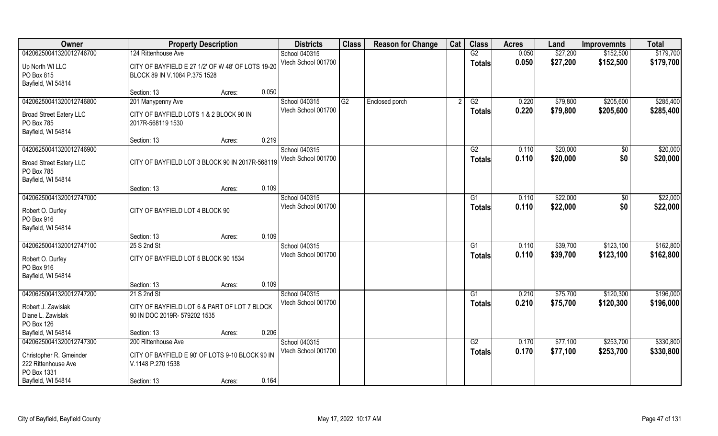| Owner                                                                                                          | <b>Property Description</b>                                                                                          |       | <b>Districts</b>                     | <b>Class</b> | <b>Reason for Change</b> | Cat | <b>Class</b>        | <b>Acres</b>   | Land                 | <b>Improvemnts</b>     | <b>Total</b>           |
|----------------------------------------------------------------------------------------------------------------|----------------------------------------------------------------------------------------------------------------------|-------|--------------------------------------|--------------|--------------------------|-----|---------------------|----------------|----------------------|------------------------|------------------------|
| 04206250041320012746700                                                                                        | 124 Rittenhouse Ave                                                                                                  |       | School 040315                        |              |                          |     | G2                  | 0.050          | \$27,200             | \$152,500              | \$179,700              |
| Up North WI LLC<br>PO Box 815<br>Bayfield, WI 54814                                                            | CITY OF BAYFIELD E 27 1/2' OF W 48' OF LOTS 19-20<br>BLOCK 89 IN V.1084 P.375 1528                                   |       | Vtech School 001700                  |              |                          |     | <b>Totals</b>       | 0.050          | \$27,200             | \$152,500              | \$179,700              |
|                                                                                                                | Section: 13<br>Acres:                                                                                                | 0.050 |                                      |              |                          |     |                     |                |                      |                        |                        |
| 04206250041320012746800<br><b>Broad Street Eatery LLC</b><br>PO Box 785<br>Bayfield, WI 54814                  | 201 Manypenny Ave<br>CITY OF BAYFIELD LOTS 1 & 2 BLOCK 90 IN<br>2017R-568119 1530                                    |       | School 040315<br>Vtech School 001700 | G2           | Enclosed porch           |     | G2<br>Totals        | 0.220<br>0.220 | \$79,800<br>\$79,800 | \$205,600<br>\$205,600 | \$285,400<br>\$285,400 |
|                                                                                                                | Section: 13<br>Acres:                                                                                                | 0.219 |                                      |              |                          |     |                     |                |                      |                        |                        |
| 04206250041320012746900<br><b>Broad Street Eatery LLC</b><br>PO Box 785<br>Bayfield, WI 54814                  | CITY OF BAYFIELD LOT 3 BLOCK 90 IN 2017R-568119                                                                      |       | School 040315<br>Vtech School 001700 |              |                          |     | G2<br><b>Totals</b> | 0.110<br>0.110 | \$20,000<br>\$20,000 | \$0<br>\$0             | \$20,000<br>\$20,000   |
|                                                                                                                | Section: 13<br>Acres:                                                                                                | 0.109 |                                      |              |                          |     |                     |                |                      |                        |                        |
| 04206250041320012747000<br>Robert O. Durfey<br>PO Box 916<br>Bayfield, WI 54814                                | CITY OF BAYFIELD LOT 4 BLOCK 90                                                                                      |       | School 040315<br>Vtech School 001700 |              |                          |     | G1<br><b>Totals</b> | 0.110<br>0.110 | \$22,000<br>\$22,000 | \$0<br>\$0             | \$22,000<br>\$22,000   |
|                                                                                                                | Section: 13<br>Acres:                                                                                                | 0.109 |                                      |              |                          |     |                     |                |                      |                        |                        |
| 04206250041320012747100<br>Robert O. Durfey<br>PO Box 916<br>Bayfield, WI 54814                                | 25 S 2nd St<br>CITY OF BAYFIELD LOT 5 BLOCK 90 1534                                                                  |       | School 040315<br>Vtech School 001700 |              |                          |     | G1<br><b>Totals</b> | 0.110<br>0.110 | \$39,700<br>\$39,700 | \$123,100<br>\$123,100 | \$162,800<br>\$162,800 |
|                                                                                                                | Section: 13<br>Acres:                                                                                                | 0.109 |                                      |              |                          |     |                     |                |                      |                        |                        |
| 04206250041320012747200<br>Robert J. Zawislak<br>Diane L. Zawislak<br>PO Box 126                               | 21 S 2nd St<br>CITY OF BAYFIELD LOT 6 & PART OF LOT 7 BLOCK<br>90 IN DOC 2019R-579202 1535                           |       | School 040315<br>Vtech School 001700 |              |                          |     | G1<br><b>Totals</b> | 0.210<br>0.210 | \$75,700<br>\$75,700 | \$120,300<br>\$120,300 | \$196,000<br>\$196,000 |
| Bayfield, WI 54814                                                                                             | Section: 13<br>Acres:                                                                                                | 0.206 |                                      |              |                          |     |                     |                |                      |                        |                        |
| 04206250041320012747300<br>Christopher R. Gmeinder<br>222 Rittenhouse Ave<br>PO Box 1331<br>Bayfield, WI 54814 | 200 Rittenhouse Ave<br>CITY OF BAYFIELD E 90' OF LOTS 9-10 BLOCK 90 IN<br>V.1148 P.270 1538<br>Section: 13<br>Acres: | 0.164 | School 040315<br>Vtech School 001700 |              |                          |     | G2<br><b>Totals</b> | 0.170<br>0.170 | \$77,100<br>\$77,100 | \$253,700<br>\$253,700 | \$330,800<br>\$330,800 |
|                                                                                                                |                                                                                                                      |       |                                      |              |                          |     |                     |                |                      |                        |                        |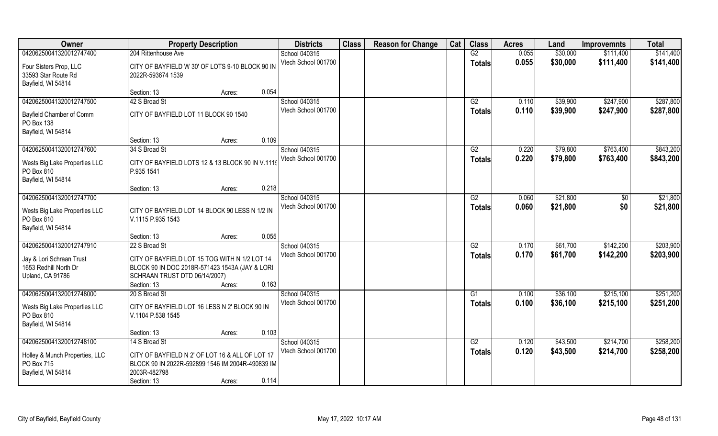| Owner                                                                 | <b>Property Description</b>                                                                                                                                        | <b>Districts</b>                     | <b>Class</b> | <b>Reason for Change</b> | Cat | <b>Class</b>    | <b>Acres</b>   | Land                 | <b>Improvemnts</b> | <b>Total</b> |
|-----------------------------------------------------------------------|--------------------------------------------------------------------------------------------------------------------------------------------------------------------|--------------------------------------|--------------|--------------------------|-----|-----------------|----------------|----------------------|--------------------|--------------|
| 04206250041320012747400                                               | 204 Rittenhouse Ave                                                                                                                                                | School 040315                        |              |                          |     | G2              | 0.055          | \$30,000             | \$111,400          | \$141,400    |
| Four Sisters Prop, LLC<br>33593 Star Route Rd<br>Bayfield, WI 54814   | CITY OF BAYFIELD W 30' OF LOTS 9-10 BLOCK 90 IN<br>2022R-593674 1539                                                                                               | Vtech School 001700                  |              |                          |     | <b>Totals</b>   | 0.055          | \$30,000             | \$111,400          | \$141,400    |
|                                                                       | 0.054<br>Section: 13<br>Acres:                                                                                                                                     |                                      |              |                          |     |                 |                |                      |                    |              |
| 04206250041320012747500                                               | 42 S Broad St                                                                                                                                                      | School 040315                        |              |                          |     | G2              | 0.110          | \$39,900             | \$247,900          | \$287,800    |
| Bayfield Chamber of Comm<br>PO Box 138<br>Bayfield, WI 54814          | CITY OF BAYFIELD LOT 11 BLOCK 90 1540                                                                                                                              | Vtech School 001700                  |              |                          |     | <b>Totals</b>   | 0.110          | \$39,900             | \$247,900          | \$287,800    |
|                                                                       | 0.109<br>Section: 13<br>Acres:                                                                                                                                     |                                      |              |                          |     |                 |                |                      |                    |              |
| 04206250041320012747600                                               | 34 S Broad St                                                                                                                                                      | School 040315                        |              |                          |     | G2              | 0.220          | \$79,800             | \$763,400          | \$843,200    |
| Wests Big Lake Properties LLC<br>PO Box 810<br>Bayfield, WI 54814     | CITY OF BAYFIELD LOTS 12 & 13 BLOCK 90 IN V.1115<br>P.935 1541                                                                                                     | Vtech School 001700                  |              |                          |     | <b>Totals</b>   | 0.220          | \$79,800             | \$763,400          | \$843,200    |
|                                                                       | 0.218<br>Section: 13<br>Acres:                                                                                                                                     |                                      |              |                          |     |                 |                |                      |                    |              |
| 04206250041320012747700                                               |                                                                                                                                                                    | School 040315                        |              |                          |     | G2              | 0.060          | \$21,800             | \$0                | \$21,800     |
| Wests Big Lake Properties LLC<br>PO Box 810<br>Bayfield, WI 54814     | CITY OF BAYFIELD LOT 14 BLOCK 90 LESS N 1/2 IN<br>V.1115 P.935 1543                                                                                                | Vtech School 001700                  |              |                          |     | <b>Totals</b>   | 0.060          | \$21,800             | \$0                | \$21,800     |
|                                                                       | 0.055<br>Section: 13<br>Acres:                                                                                                                                     |                                      |              |                          |     |                 |                |                      |                    |              |
| 04206250041320012747910                                               | 22 S Broad St                                                                                                                                                      | School 040315<br>Vtech School 001700 |              |                          |     | $\overline{G2}$ | 0.170<br>0.170 | \$61,700<br>\$61,700 | \$142,200          | \$203,900    |
| Jay & Lori Schraan Trust<br>1653 Redhill North Dr<br>Upland, CA 91786 | CITY OF BAYFIELD LOT 15 TOG WITH N 1/2 LOT 14<br>BLOCK 90 IN DOC 2018R-571423 1543A (JAY & LORI<br>SCHRAAN TRUST DTD 06/14/2007)<br>0.163<br>Section: 13<br>Acres: |                                      |              |                          |     | <b>Totals</b>   |                |                      | \$142,200          | \$203,900    |
| 04206250041320012748000                                               | 20 S Broad St                                                                                                                                                      | School 040315                        |              |                          |     | G1              | 0.100          | \$36,100             | \$215,100          | \$251,200    |
| Wests Big Lake Properties LLC<br>PO Box 810<br>Bayfield, WI 54814     | CITY OF BAYFIELD LOT 16 LESS N 2' BLOCK 90 IN<br>V.1104 P.538 1545                                                                                                 | Vtech School 001700                  |              |                          |     | <b>Totals</b>   | 0.100          | \$36,100             | \$215,100          | \$251,200    |
|                                                                       | 0.103<br>Section: 13<br>Acres:                                                                                                                                     |                                      |              |                          |     |                 |                |                      |                    |              |
| 04206250041320012748100                                               | 14 S Broad St                                                                                                                                                      | School 040315                        |              |                          |     | G2              | 0.120          | \$43,500             | \$214,700          | \$258,200    |
| Holley & Munch Properties, LLC<br>PO Box 715<br>Bayfield, WI 54814    | CITY OF BAYFIELD N 2' OF LOT 16 & ALL OF LOT 17<br>BLOCK 90 IN 2022R-592899 1546 IM 2004R-490839 IM<br>2003R-482798                                                | Vtech School 001700                  |              |                          |     | <b>Totals</b>   | 0.120          | \$43,500             | \$214,700          | \$258,200    |
|                                                                       | 0.114<br>Section: 13<br>Acres:                                                                                                                                     |                                      |              |                          |     |                 |                |                      |                    |              |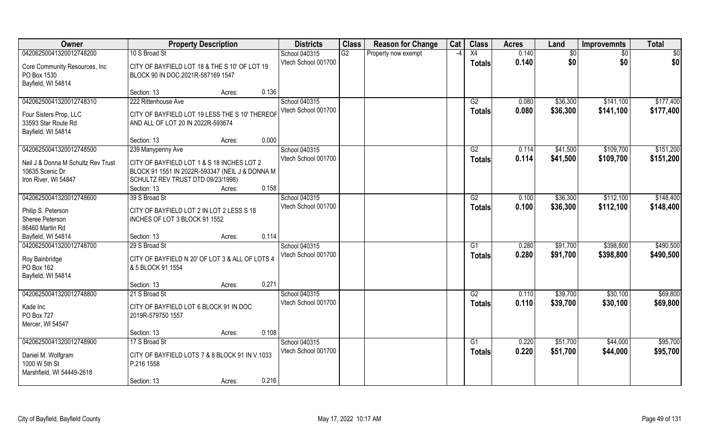| 04206250041320012748200<br>10 S Broad St<br>G2<br>X4<br>0.140<br>School 040315<br>Property now exempt<br>\$0<br>\$0<br>\$0<br>-4<br>\$0<br>Vtech School 001700<br>0.140<br>\$0<br>\$0<br><b>Totals</b><br>Core Community Resources, Inc.<br>CITY OF BAYFIELD LOT 18 & THE S 10' OF LOT 19<br>PO Box 1530<br>BLOCK 90 IN DOC 2021R-587169 1547<br>Bayfield, WI 54814<br>0.136<br>Section: 13<br>Acres:<br>04206250041320012748310<br>222 Rittenhouse Ave<br>School 040315<br>G2<br>\$36,300<br>\$141,100<br>0.080<br>Vtech School 001700<br>\$36,300<br>0.080<br>\$141,100<br><b>Totals</b><br>CITY OF BAYFIELD LOT 19 LESS THE S 10' THEREOF<br>Four Sisters Prop, LLC<br>33593 Star Route Rd<br>AND ALL OF LOT 20 IN 2022R-593674<br>Bayfield, WI 54814<br>0.000<br>Section: 13<br>Acres:<br>04206250041320012748500<br>School 040315<br>G2<br>0.114<br>\$41,500<br>\$109,700<br>239 Manypenny Ave<br>Vtech School 001700<br>0.114<br>\$41,500<br>\$109,700<br><b>Totals</b><br>CITY OF BAYFIELD LOT 1 & S 18 INCHES LOT 2<br>Neil J & Donna M Schultz Rev Trust<br>10635 Scenic Dr<br>BLOCK 91 1551 IN 2022R-593347 (NEIL J & DONNA M<br>SCHULTZ REV TRUST DTD 09/23/1998)<br>Iron River, WI 54847<br>0.158<br>Section: 13<br>Acres:<br>04206250041320012748600<br>School 040315<br>\$112,100<br>\$36,300<br>39 S Broad St<br>G2<br>0.100<br>Vtech School 001700<br>0.100<br>\$36,300<br>\$112,100<br><b>Totals</b><br>Philip S. Peterson<br>CITY OF BAYFIELD LOT 2 IN LOT 2 LESS S 18<br>Sheree Peterson<br>INCHES OF LOT 3 BLOCK 91 1552<br>86460 Martin Rd<br>0.114<br>Bayfield, WI 54814<br>Section: 13<br>Acres:<br>04206250041320012748700<br>0.280<br>\$91,700<br>\$398,800<br>29 S Broad St<br>School 040315<br>G1<br>\$91,700<br>Vtech School 001700<br>0.280<br>\$398,800<br><b>Totals</b><br>Roy Bainbridge<br>CITY OF BAYFIELD N 20' OF LOT 3 & ALL OF LOTS 4<br>PO Box 162<br>& 5 BLOCK 91 1554<br>Bayfield, WI 54814<br>0.271<br>Section: 13<br>Acres:<br>\$39,700<br>04206250041320012748800<br>School 040315<br>G2<br>\$30,100<br>21 S Broad St<br>0.110<br>Vtech School 001700<br>0.110<br>\$39,700<br>\$30,100<br><b>Totals</b><br>CITY OF BAYFIELD LOT 6 BLOCK 91 IN DOC<br>Kade Inc<br>PO Box 727<br>2019R-579750 1557<br>Mercer, WI 54547<br>0.108<br>Section: 13<br>Acres:<br>04206250041320012748900<br>\$44,000<br>17 S Broad St<br>School 040315<br>G1<br>0.220<br>\$51,700<br>Vtech School 001700<br>0.220<br>\$51,700<br>\$44,000<br><b>Totals</b><br>Daniel M. Wolfgram<br>CITY OF BAYFIELD LOTS 7 & 8 BLOCK 91 IN V.1033<br>1000 W 5th St<br>P.216 1558<br>Marshfield, WI 54449-2618 | Owner | <b>Property Description</b> | <b>Districts</b> | <b>Class</b> | <b>Reason for Change</b> | Cat | <b>Class</b> | <b>Acres</b> | Land | <b>Improvemnts</b> | <b>Total</b> |
|---------------------------------------------------------------------------------------------------------------------------------------------------------------------------------------------------------------------------------------------------------------------------------------------------------------------------------------------------------------------------------------------------------------------------------------------------------------------------------------------------------------------------------------------------------------------------------------------------------------------------------------------------------------------------------------------------------------------------------------------------------------------------------------------------------------------------------------------------------------------------------------------------------------------------------------------------------------------------------------------------------------------------------------------------------------------------------------------------------------------------------------------------------------------------------------------------------------------------------------------------------------------------------------------------------------------------------------------------------------------------------------------------------------------------------------------------------------------------------------------------------------------------------------------------------------------------------------------------------------------------------------------------------------------------------------------------------------------------------------------------------------------------------------------------------------------------------------------------------------------------------------------------------------------------------------------------------------------------------------------------------------------------------------------------------------------------------------------------------------------------------------------------------------------------------------------------------------------------------------------------------------------------------------------------------------------------------------------------------------------------------------------------------------------------------------------------------------------------------------------------------------------------------------------------------------------------------------------------------------------|-------|-----------------------------|------------------|--------------|--------------------------|-----|--------------|--------------|------|--------------------|--------------|
|                                                                                                                                                                                                                                                                                                                                                                                                                                                                                                                                                                                                                                                                                                                                                                                                                                                                                                                                                                                                                                                                                                                                                                                                                                                                                                                                                                                                                                                                                                                                                                                                                                                                                                                                                                                                                                                                                                                                                                                                                                                                                                                                                                                                                                                                                                                                                                                                                                                                                                                                                                                                                     |       |                             |                  |              |                          |     |              |              |      |                    |              |
|                                                                                                                                                                                                                                                                                                                                                                                                                                                                                                                                                                                                                                                                                                                                                                                                                                                                                                                                                                                                                                                                                                                                                                                                                                                                                                                                                                                                                                                                                                                                                                                                                                                                                                                                                                                                                                                                                                                                                                                                                                                                                                                                                                                                                                                                                                                                                                                                                                                                                                                                                                                                                     |       |                             |                  |              |                          |     |              |              |      |                    |              |
|                                                                                                                                                                                                                                                                                                                                                                                                                                                                                                                                                                                                                                                                                                                                                                                                                                                                                                                                                                                                                                                                                                                                                                                                                                                                                                                                                                                                                                                                                                                                                                                                                                                                                                                                                                                                                                                                                                                                                                                                                                                                                                                                                                                                                                                                                                                                                                                                                                                                                                                                                                                                                     |       |                             |                  |              |                          |     |              |              |      |                    |              |
| \$177,400<br>\$177,400<br>\$151,200<br>\$151,200<br>\$148,400<br>\$148,400<br>\$490,500<br>\$490,500<br>\$69,800<br>\$69,800<br>\$95,700<br>\$95,700                                                                                                                                                                                                                                                                                                                                                                                                                                                                                                                                                                                                                                                                                                                                                                                                                                                                                                                                                                                                                                                                                                                                                                                                                                                                                                                                                                                                                                                                                                                                                                                                                                                                                                                                                                                                                                                                                                                                                                                                                                                                                                                                                                                                                                                                                                                                                                                                                                                                |       |                             |                  |              |                          |     |              |              |      |                    |              |
|                                                                                                                                                                                                                                                                                                                                                                                                                                                                                                                                                                                                                                                                                                                                                                                                                                                                                                                                                                                                                                                                                                                                                                                                                                                                                                                                                                                                                                                                                                                                                                                                                                                                                                                                                                                                                                                                                                                                                                                                                                                                                                                                                                                                                                                                                                                                                                                                                                                                                                                                                                                                                     |       |                             |                  |              |                          |     |              |              |      |                    |              |
|                                                                                                                                                                                                                                                                                                                                                                                                                                                                                                                                                                                                                                                                                                                                                                                                                                                                                                                                                                                                                                                                                                                                                                                                                                                                                                                                                                                                                                                                                                                                                                                                                                                                                                                                                                                                                                                                                                                                                                                                                                                                                                                                                                                                                                                                                                                                                                                                                                                                                                                                                                                                                     |       |                             |                  |              |                          |     |              |              |      |                    |              |
|                                                                                                                                                                                                                                                                                                                                                                                                                                                                                                                                                                                                                                                                                                                                                                                                                                                                                                                                                                                                                                                                                                                                                                                                                                                                                                                                                                                                                                                                                                                                                                                                                                                                                                                                                                                                                                                                                                                                                                                                                                                                                                                                                                                                                                                                                                                                                                                                                                                                                                                                                                                                                     |       |                             |                  |              |                          |     |              |              |      |                    |              |
|                                                                                                                                                                                                                                                                                                                                                                                                                                                                                                                                                                                                                                                                                                                                                                                                                                                                                                                                                                                                                                                                                                                                                                                                                                                                                                                                                                                                                                                                                                                                                                                                                                                                                                                                                                                                                                                                                                                                                                                                                                                                                                                                                                                                                                                                                                                                                                                                                                                                                                                                                                                                                     |       |                             |                  |              |                          |     |              |              |      |                    |              |
|                                                                                                                                                                                                                                                                                                                                                                                                                                                                                                                                                                                                                                                                                                                                                                                                                                                                                                                                                                                                                                                                                                                                                                                                                                                                                                                                                                                                                                                                                                                                                                                                                                                                                                                                                                                                                                                                                                                                                                                                                                                                                                                                                                                                                                                                                                                                                                                                                                                                                                                                                                                                                     |       |                             |                  |              |                          |     |              |              |      |                    |              |
|                                                                                                                                                                                                                                                                                                                                                                                                                                                                                                                                                                                                                                                                                                                                                                                                                                                                                                                                                                                                                                                                                                                                                                                                                                                                                                                                                                                                                                                                                                                                                                                                                                                                                                                                                                                                                                                                                                                                                                                                                                                                                                                                                                                                                                                                                                                                                                                                                                                                                                                                                                                                                     |       |                             |                  |              |                          |     |              |              |      |                    |              |
|                                                                                                                                                                                                                                                                                                                                                                                                                                                                                                                                                                                                                                                                                                                                                                                                                                                                                                                                                                                                                                                                                                                                                                                                                                                                                                                                                                                                                                                                                                                                                                                                                                                                                                                                                                                                                                                                                                                                                                                                                                                                                                                                                                                                                                                                                                                                                                                                                                                                                                                                                                                                                     |       |                             |                  |              |                          |     |              |              |      |                    |              |
|                                                                                                                                                                                                                                                                                                                                                                                                                                                                                                                                                                                                                                                                                                                                                                                                                                                                                                                                                                                                                                                                                                                                                                                                                                                                                                                                                                                                                                                                                                                                                                                                                                                                                                                                                                                                                                                                                                                                                                                                                                                                                                                                                                                                                                                                                                                                                                                                                                                                                                                                                                                                                     |       |                             |                  |              |                          |     |              |              |      |                    |              |
|                                                                                                                                                                                                                                                                                                                                                                                                                                                                                                                                                                                                                                                                                                                                                                                                                                                                                                                                                                                                                                                                                                                                                                                                                                                                                                                                                                                                                                                                                                                                                                                                                                                                                                                                                                                                                                                                                                                                                                                                                                                                                                                                                                                                                                                                                                                                                                                                                                                                                                                                                                                                                     |       |                             |                  |              |                          |     |              |              |      |                    |              |
|                                                                                                                                                                                                                                                                                                                                                                                                                                                                                                                                                                                                                                                                                                                                                                                                                                                                                                                                                                                                                                                                                                                                                                                                                                                                                                                                                                                                                                                                                                                                                                                                                                                                                                                                                                                                                                                                                                                                                                                                                                                                                                                                                                                                                                                                                                                                                                                                                                                                                                                                                                                                                     |       |                             |                  |              |                          |     |              |              |      |                    |              |
|                                                                                                                                                                                                                                                                                                                                                                                                                                                                                                                                                                                                                                                                                                                                                                                                                                                                                                                                                                                                                                                                                                                                                                                                                                                                                                                                                                                                                                                                                                                                                                                                                                                                                                                                                                                                                                                                                                                                                                                                                                                                                                                                                                                                                                                                                                                                                                                                                                                                                                                                                                                                                     |       |                             |                  |              |                          |     |              |              |      |                    |              |
|                                                                                                                                                                                                                                                                                                                                                                                                                                                                                                                                                                                                                                                                                                                                                                                                                                                                                                                                                                                                                                                                                                                                                                                                                                                                                                                                                                                                                                                                                                                                                                                                                                                                                                                                                                                                                                                                                                                                                                                                                                                                                                                                                                                                                                                                                                                                                                                                                                                                                                                                                                                                                     |       |                             |                  |              |                          |     |              |              |      |                    |              |
|                                                                                                                                                                                                                                                                                                                                                                                                                                                                                                                                                                                                                                                                                                                                                                                                                                                                                                                                                                                                                                                                                                                                                                                                                                                                                                                                                                                                                                                                                                                                                                                                                                                                                                                                                                                                                                                                                                                                                                                                                                                                                                                                                                                                                                                                                                                                                                                                                                                                                                                                                                                                                     |       |                             |                  |              |                          |     |              |              |      |                    |              |
|                                                                                                                                                                                                                                                                                                                                                                                                                                                                                                                                                                                                                                                                                                                                                                                                                                                                                                                                                                                                                                                                                                                                                                                                                                                                                                                                                                                                                                                                                                                                                                                                                                                                                                                                                                                                                                                                                                                                                                                                                                                                                                                                                                                                                                                                                                                                                                                                                                                                                                                                                                                                                     |       |                             |                  |              |                          |     |              |              |      |                    |              |
|                                                                                                                                                                                                                                                                                                                                                                                                                                                                                                                                                                                                                                                                                                                                                                                                                                                                                                                                                                                                                                                                                                                                                                                                                                                                                                                                                                                                                                                                                                                                                                                                                                                                                                                                                                                                                                                                                                                                                                                                                                                                                                                                                                                                                                                                                                                                                                                                                                                                                                                                                                                                                     |       |                             |                  |              |                          |     |              |              |      |                    |              |
|                                                                                                                                                                                                                                                                                                                                                                                                                                                                                                                                                                                                                                                                                                                                                                                                                                                                                                                                                                                                                                                                                                                                                                                                                                                                                                                                                                                                                                                                                                                                                                                                                                                                                                                                                                                                                                                                                                                                                                                                                                                                                                                                                                                                                                                                                                                                                                                                                                                                                                                                                                                                                     |       |                             |                  |              |                          |     |              |              |      |                    |              |
|                                                                                                                                                                                                                                                                                                                                                                                                                                                                                                                                                                                                                                                                                                                                                                                                                                                                                                                                                                                                                                                                                                                                                                                                                                                                                                                                                                                                                                                                                                                                                                                                                                                                                                                                                                                                                                                                                                                                                                                                                                                                                                                                                                                                                                                                                                                                                                                                                                                                                                                                                                                                                     |       |                             |                  |              |                          |     |              |              |      |                    |              |
|                                                                                                                                                                                                                                                                                                                                                                                                                                                                                                                                                                                                                                                                                                                                                                                                                                                                                                                                                                                                                                                                                                                                                                                                                                                                                                                                                                                                                                                                                                                                                                                                                                                                                                                                                                                                                                                                                                                                                                                                                                                                                                                                                                                                                                                                                                                                                                                                                                                                                                                                                                                                                     |       |                             |                  |              |                          |     |              |              |      |                    |              |
|                                                                                                                                                                                                                                                                                                                                                                                                                                                                                                                                                                                                                                                                                                                                                                                                                                                                                                                                                                                                                                                                                                                                                                                                                                                                                                                                                                                                                                                                                                                                                                                                                                                                                                                                                                                                                                                                                                                                                                                                                                                                                                                                                                                                                                                                                                                                                                                                                                                                                                                                                                                                                     |       |                             |                  |              |                          |     |              |              |      |                    |              |
|                                                                                                                                                                                                                                                                                                                                                                                                                                                                                                                                                                                                                                                                                                                                                                                                                                                                                                                                                                                                                                                                                                                                                                                                                                                                                                                                                                                                                                                                                                                                                                                                                                                                                                                                                                                                                                                                                                                                                                                                                                                                                                                                                                                                                                                                                                                                                                                                                                                                                                                                                                                                                     |       |                             |                  |              |                          |     |              |              |      |                    |              |
|                                                                                                                                                                                                                                                                                                                                                                                                                                                                                                                                                                                                                                                                                                                                                                                                                                                                                                                                                                                                                                                                                                                                                                                                                                                                                                                                                                                                                                                                                                                                                                                                                                                                                                                                                                                                                                                                                                                                                                                                                                                                                                                                                                                                                                                                                                                                                                                                                                                                                                                                                                                                                     |       |                             |                  |              |                          |     |              |              |      |                    |              |
|                                                                                                                                                                                                                                                                                                                                                                                                                                                                                                                                                                                                                                                                                                                                                                                                                                                                                                                                                                                                                                                                                                                                                                                                                                                                                                                                                                                                                                                                                                                                                                                                                                                                                                                                                                                                                                                                                                                                                                                                                                                                                                                                                                                                                                                                                                                                                                                                                                                                                                                                                                                                                     |       |                             |                  |              |                          |     |              |              |      |                    |              |
|                                                                                                                                                                                                                                                                                                                                                                                                                                                                                                                                                                                                                                                                                                                                                                                                                                                                                                                                                                                                                                                                                                                                                                                                                                                                                                                                                                                                                                                                                                                                                                                                                                                                                                                                                                                                                                                                                                                                                                                                                                                                                                                                                                                                                                                                                                                                                                                                                                                                                                                                                                                                                     |       |                             |                  |              |                          |     |              |              |      |                    |              |
|                                                                                                                                                                                                                                                                                                                                                                                                                                                                                                                                                                                                                                                                                                                                                                                                                                                                                                                                                                                                                                                                                                                                                                                                                                                                                                                                                                                                                                                                                                                                                                                                                                                                                                                                                                                                                                                                                                                                                                                                                                                                                                                                                                                                                                                                                                                                                                                                                                                                                                                                                                                                                     |       |                             |                  |              |                          |     |              |              |      |                    |              |
|                                                                                                                                                                                                                                                                                                                                                                                                                                                                                                                                                                                                                                                                                                                                                                                                                                                                                                                                                                                                                                                                                                                                                                                                                                                                                                                                                                                                                                                                                                                                                                                                                                                                                                                                                                                                                                                                                                                                                                                                                                                                                                                                                                                                                                                                                                                                                                                                                                                                                                                                                                                                                     |       |                             |                  |              |                          |     |              |              |      |                    |              |
|                                                                                                                                                                                                                                                                                                                                                                                                                                                                                                                                                                                                                                                                                                                                                                                                                                                                                                                                                                                                                                                                                                                                                                                                                                                                                                                                                                                                                                                                                                                                                                                                                                                                                                                                                                                                                                                                                                                                                                                                                                                                                                                                                                                                                                                                                                                                                                                                                                                                                                                                                                                                                     |       |                             |                  |              |                          |     |              |              |      |                    |              |
|                                                                                                                                                                                                                                                                                                                                                                                                                                                                                                                                                                                                                                                                                                                                                                                                                                                                                                                                                                                                                                                                                                                                                                                                                                                                                                                                                                                                                                                                                                                                                                                                                                                                                                                                                                                                                                                                                                                                                                                                                                                                                                                                                                                                                                                                                                                                                                                                                                                                                                                                                                                                                     |       |                             |                  |              |                          |     |              |              |      |                    |              |
|                                                                                                                                                                                                                                                                                                                                                                                                                                                                                                                                                                                                                                                                                                                                                                                                                                                                                                                                                                                                                                                                                                                                                                                                                                                                                                                                                                                                                                                                                                                                                                                                                                                                                                                                                                                                                                                                                                                                                                                                                                                                                                                                                                                                                                                                                                                                                                                                                                                                                                                                                                                                                     |       |                             |                  |              |                          |     |              |              |      |                    |              |
|                                                                                                                                                                                                                                                                                                                                                                                                                                                                                                                                                                                                                                                                                                                                                                                                                                                                                                                                                                                                                                                                                                                                                                                                                                                                                                                                                                                                                                                                                                                                                                                                                                                                                                                                                                                                                                                                                                                                                                                                                                                                                                                                                                                                                                                                                                                                                                                                                                                                                                                                                                                                                     |       |                             |                  |              |                          |     |              |              |      |                    |              |
|                                                                                                                                                                                                                                                                                                                                                                                                                                                                                                                                                                                                                                                                                                                                                                                                                                                                                                                                                                                                                                                                                                                                                                                                                                                                                                                                                                                                                                                                                                                                                                                                                                                                                                                                                                                                                                                                                                                                                                                                                                                                                                                                                                                                                                                                                                                                                                                                                                                                                                                                                                                                                     |       |                             |                  |              |                          |     |              |              |      |                    |              |
| 0.216<br>Acres:                                                                                                                                                                                                                                                                                                                                                                                                                                                                                                                                                                                                                                                                                                                                                                                                                                                                                                                                                                                                                                                                                                                                                                                                                                                                                                                                                                                                                                                                                                                                                                                                                                                                                                                                                                                                                                                                                                                                                                                                                                                                                                                                                                                                                                                                                                                                                                                                                                                                                                                                                                                                     |       | Section: 13                 |                  |              |                          |     |              |              |      |                    |              |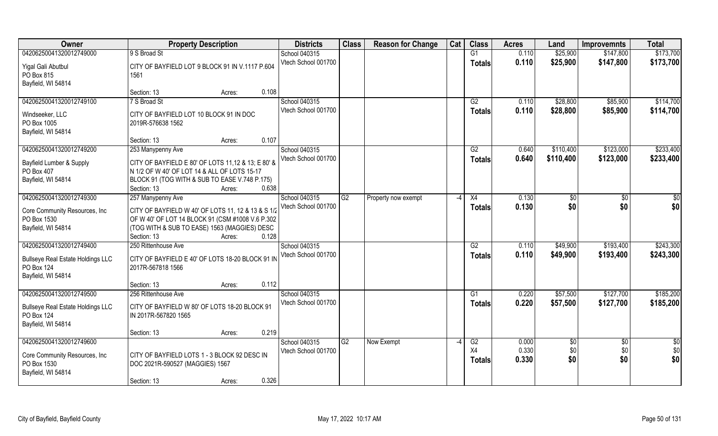| Owner                                    | <b>Property Description</b>                        |                 | <b>Districts</b>    | <b>Class</b> | <b>Reason for Change</b> | Cat  | <b>Class</b>    | <b>Acres</b> | Land      | <b>Improvemnts</b> | <b>Total</b>  |
|------------------------------------------|----------------------------------------------------|-----------------|---------------------|--------------|--------------------------|------|-----------------|--------------|-----------|--------------------|---------------|
| 04206250041320012749000                  | 9 S Broad St                                       |                 | School 040315       |              |                          |      | $\overline{G1}$ | 0.110        | \$25,900  | \$147,800          | \$173,700     |
| Yigal Gali Abutbul                       | CITY OF BAYFIELD LOT 9 BLOCK 91 IN V.1117 P.604    |                 | Vtech School 001700 |              |                          |      | <b>Totals</b>   | 0.110        | \$25,900  | \$147,800          | \$173,700     |
| PO Box 815                               | 1561                                               |                 |                     |              |                          |      |                 |              |           |                    |               |
| Bayfield, WI 54814                       |                                                    |                 |                     |              |                          |      |                 |              |           |                    |               |
|                                          | Section: 13                                        | 0.108<br>Acres: |                     |              |                          |      |                 |              |           |                    |               |
| 04206250041320012749100                  | 7 S Broad St                                       |                 | School 040315       |              |                          |      | G2              | 0.110        | \$28,800  | \$85,900           | \$114,700     |
| Windseeker, LLC                          | CITY OF BAYFIELD LOT 10 BLOCK 91 IN DOC            |                 | Vtech School 001700 |              |                          |      | <b>Totals</b>   | 0.110        | \$28,800  | \$85,900           | \$114,700     |
| PO Box 1005                              | 2019R-576638 1562                                  |                 |                     |              |                          |      |                 |              |           |                    |               |
| Bayfield, WI 54814                       |                                                    |                 |                     |              |                          |      |                 |              |           |                    |               |
|                                          | Section: 13                                        | 0.107<br>Acres: |                     |              |                          |      |                 |              |           |                    |               |
| 04206250041320012749200                  | 253 Manypenny Ave                                  |                 | School 040315       |              |                          |      | G2              | 0.640        | \$110,400 | \$123,000          | \$233,400     |
| Bayfield Lumber & Supply                 | CITY OF BAYFIELD E 80' OF LOTS 11,12 & 13; E 80' & |                 | Vtech School 001700 |              |                          |      | <b>Totals</b>   | 0.640        | \$110,400 | \$123,000          | \$233,400     |
| PO Box 407                               | N 1/2 OF W 40' OF LOT 14 & ALL OF LOTS 15-17       |                 |                     |              |                          |      |                 |              |           |                    |               |
| Bayfield, WI 54814                       | BLOCK 91 (TOG WITH & SUB TO EASE V.748 P.175)      |                 |                     |              |                          |      |                 |              |           |                    |               |
|                                          | Section: 13                                        | 0.638<br>Acres: |                     |              |                          |      |                 |              |           |                    |               |
| 04206250041320012749300                  | 257 Manypenny Ave                                  |                 | School 040315       | G2           | Property now exempt      | $-4$ | X4              | 0.130        | \$0       | $\sqrt{50}$        | \$0           |
| Core Community Resources, Inc.           | CITY OF BAYFIELD W 40' OF LOTS 11, 12 & 13 & S 1/2 |                 | Vtech School 001700 |              |                          |      | <b>Totals</b>   | 0.130        | \$0       | \$0                | \$0           |
| PO Box 1530                              | OF W 40' OF LOT 14 BLOCK 91 (CSM #1008 V.6 P.302)  |                 |                     |              |                          |      |                 |              |           |                    |               |
| Bayfield, WI 54814                       | (TOG WITH & SUB TO EASE) 1563 (MAGGIES) DESC       |                 |                     |              |                          |      |                 |              |           |                    |               |
|                                          | Section: 13                                        | 0.128<br>Acres: |                     |              |                          |      |                 |              |           |                    |               |
| 04206250041320012749400                  | 250 Rittenhouse Ave                                |                 | School 040315       |              |                          |      | $\overline{G2}$ | 0.110        | \$49,900  | \$193,400          | \$243,300     |
| <b>Bullseye Real Estate Holdings LLC</b> | CITY OF BAYFIELD E 40' OF LOTS 18-20 BLOCK 91 IN   |                 | Vtech School 001700 |              |                          |      | <b>Totals</b>   | 0.110        | \$49,900  | \$193,400          | \$243,300     |
| PO Box 124                               | 2017R-567818 1566                                  |                 |                     |              |                          |      |                 |              |           |                    |               |
| Bayfield, WI 54814                       |                                                    |                 |                     |              |                          |      |                 |              |           |                    |               |
|                                          | Section: 13                                        | 0.112<br>Acres: |                     |              |                          |      |                 |              |           |                    |               |
| 04206250041320012749500                  | 256 Rittenhouse Ave                                |                 | School 040315       |              |                          |      | G1              | 0.220        | \$57,500  | \$127,700          | \$185,200     |
| <b>Bullseye Real Estate Holdings LLC</b> | CITY OF BAYFIELD W 80' OF LOTS 18-20 BLOCK 91      |                 | Vtech School 001700 |              |                          |      | <b>Totals</b>   | 0.220        | \$57,500  | \$127,700          | \$185,200     |
| PO Box 124                               | IN 2017R-567820 1565                               |                 |                     |              |                          |      |                 |              |           |                    |               |
| Bayfield, WI 54814                       |                                                    |                 |                     |              |                          |      |                 |              |           |                    |               |
|                                          | Section: 13                                        | 0.219<br>Acres: |                     |              |                          |      |                 |              |           |                    |               |
| 04206250041320012749600                  |                                                    |                 | School 040315       | G2           | Now Exempt               | $-4$ | G2              | 0.000        | \$0       | $\sqrt[6]{}$       | $\frac{1}{6}$ |
| Core Community Resources, Inc.           | CITY OF BAYFIELD LOTS 1 - 3 BLOCK 92 DESC IN       |                 | Vtech School 001700 |              |                          |      | X4              | 0.330        | \$0       | \$0                | \$0           |
| PO Box 1530                              | DOC 2021R-590527 (MAGGIES) 1567                    |                 |                     |              |                          |      | <b>Totals</b>   | 0.330        | \$0       | \$0                | \$0           |
| Bayfield, WI 54814                       |                                                    |                 |                     |              |                          |      |                 |              |           |                    |               |
|                                          | Section: 13                                        | 0.326<br>Acres: |                     |              |                          |      |                 |              |           |                    |               |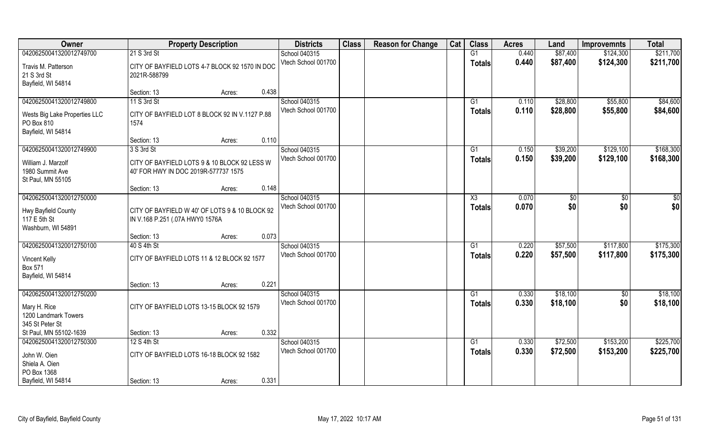| Owner                                                                              |                                                                                      | <b>Property Description</b> |       | <b>Districts</b>                     | <b>Class</b> | <b>Reason for Change</b> | Cat | <b>Class</b>        | <b>Acres</b>   | Land                 | <b>Improvemnts</b> | <b>Total</b>         |
|------------------------------------------------------------------------------------|--------------------------------------------------------------------------------------|-----------------------------|-------|--------------------------------------|--------------|--------------------------|-----|---------------------|----------------|----------------------|--------------------|----------------------|
| 04206250041320012749700                                                            | 21 S 3rd St                                                                          |                             |       | School 040315                        |              |                          |     | G1                  | 0.440          | \$87,400             | \$124,300          | \$211,700            |
| Travis M. Patterson<br>21 S 3rd St                                                 | CITY OF BAYFIELD LOTS 4-7 BLOCK 92 1570 IN DOC<br>2021R-588799                       |                             |       | Vtech School 001700                  |              |                          |     | <b>Totals</b>       | 0.440          | \$87,400             | \$124,300          | \$211,700            |
| Bayfield, WI 54814                                                                 | Section: 13                                                                          | Acres:                      | 0.438 |                                      |              |                          |     |                     |                |                      |                    |                      |
| 04206250041320012749800                                                            | 11 S 3rd St                                                                          |                             |       | School 040315                        |              |                          |     | G1                  | 0.110          | \$28,800             | \$55,800           | \$84,600             |
| Wests Big Lake Properties LLC<br>PO Box 810<br>Bayfield, WI 54814                  | CITY OF BAYFIELD LOT 8 BLOCK 92 IN V.1127 P.88<br>1574                               |                             |       | Vtech School 001700                  |              |                          |     | <b>Totals</b>       | 0.110          | \$28,800             | \$55,800           | \$84,600             |
|                                                                                    | Section: 13                                                                          | Acres:                      | 0.110 |                                      |              |                          |     |                     |                |                      |                    |                      |
| 04206250041320012749900                                                            | 3 S 3rd St                                                                           |                             |       | School 040315                        |              |                          |     | G1                  | 0.150          | \$39,200             | \$129,100          | \$168,300            |
| William J. Marzolf<br>1980 Summit Ave<br>St Paul, MN 55105                         | CITY OF BAYFIELD LOTS 9 & 10 BLOCK 92 LESS W<br>40' FOR HWY IN DOC 2019R-577737 1575 |                             |       | Vtech School 001700                  |              |                          |     | <b>Totals</b>       | 0.150          | \$39,200             | \$129,100          | \$168,300            |
|                                                                                    | Section: 13                                                                          | Acres:                      | 0.148 |                                      |              |                          |     |                     |                |                      |                    |                      |
| 04206250041320012750000<br>Hwy Bayfield County<br>117 E 5th St                     | CITY OF BAYFIELD W 40' OF LOTS 9 & 10 BLOCK 92<br>IN V.168 P.251 (.07A HWY0 1576A    |                             |       | School 040315<br>Vtech School 001700 |              |                          |     | X3<br><b>Totals</b> | 0.070<br>0.070 | \$0<br>\$0           | \$0<br>\$0         | $rac{1}{2}$<br>\$0   |
| Washburn, WI 54891                                                                 | Section: 13                                                                          | Acres:                      | 0.073 |                                      |              |                          |     |                     |                |                      |                    |                      |
| 04206250041320012750100                                                            | 40 S 4th St                                                                          |                             |       | School 040315                        |              |                          |     | $\overline{G1}$     | 0.220          | \$57,500             | \$117,800          | \$175,300            |
| <b>Vincent Kelly</b><br>Box 571<br>Bayfield, WI 54814                              | CITY OF BAYFIELD LOTS 11 & 12 BLOCK 92 1577                                          |                             |       | Vtech School 001700                  |              |                          |     | <b>Totals</b>       | 0.220          | \$57,500             | \$117,800          | \$175,300            |
|                                                                                    | Section: 13                                                                          | Acres:                      | 0.221 |                                      |              |                          |     |                     |                |                      |                    |                      |
| 04206250041320012750200<br>Mary H. Rice<br>1200 Landmark Towers<br>345 St Peter St | CITY OF BAYFIELD LOTS 13-15 BLOCK 92 1579                                            |                             |       | School 040315<br>Vtech School 001700 |              |                          |     | G1<br><b>Totals</b> | 0.330<br>0.330 | \$18,100<br>\$18,100 | \$0<br>\$0         | \$18,100<br>\$18,100 |
| St Paul, MN 55102-1639                                                             | Section: 13                                                                          | Acres:                      | 0.332 |                                      |              |                          |     |                     |                |                      |                    |                      |
| 04206250041320012750300                                                            | 12 S 4th St                                                                          |                             |       | School 040315                        |              |                          |     | G1                  | 0.330          | \$72,500             | \$153,200          | \$225,700            |
| John W. Oien<br>Shiela A. Oien<br>PO Box 1368                                      | CITY OF BAYFIELD LOTS 16-18 BLOCK 92 1582                                            |                             | 0.331 | Vtech School 001700                  |              |                          |     | Totals              | 0.330          | \$72,500             | \$153,200          | \$225,700            |
| Bayfield, WI 54814                                                                 | Section: 13                                                                          | Acres:                      |       |                                      |              |                          |     |                     |                |                      |                    |                      |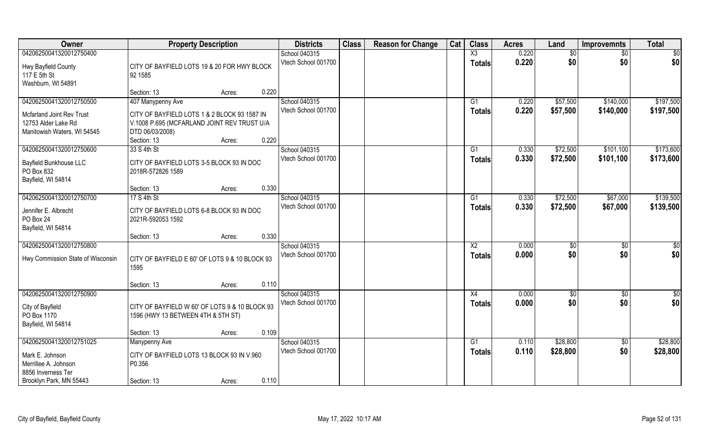| Owner                             | <b>Property Description</b>                    | <b>Districts</b>    | <b>Class</b> | <b>Reason for Change</b> | Cat | <b>Class</b>           | <b>Acres</b> | Land     | <b>Improvemnts</b> | <b>Total</b>  |
|-----------------------------------|------------------------------------------------|---------------------|--------------|--------------------------|-----|------------------------|--------------|----------|--------------------|---------------|
| 04206250041320012750400           |                                                | School 040315       |              |                          |     | $\overline{X3}$        | 0.220        | \$0      | \$0                | \$0           |
| Hwy Bayfield County               | CITY OF BAYFIELD LOTS 19 & 20 FOR HWY BLOCK    | Vtech School 001700 |              |                          |     | <b>Totals</b>          | 0.220        | \$0      | \$0                | \$0           |
| 117 E 5th St                      | 92 1585                                        |                     |              |                          |     |                        |              |          |                    |               |
| Washburn, WI 54891                |                                                |                     |              |                          |     |                        |              |          |                    |               |
|                                   | 0.220<br>Section: 13<br>Acres:                 |                     |              |                          |     |                        |              |          |                    |               |
| 04206250041320012750500           | 407 Manypenny Ave                              | School 040315       |              |                          |     | G1                     | 0.220        | \$57,500 | \$140,000          | \$197,500     |
| Mcfarland Joint Rev Trust         | CITY OF BAYFIELD LOTS 1 & 2 BLOCK 93 1587 IN   | Vtech School 001700 |              |                          |     | <b>Totals</b>          | 0.220        | \$57,500 | \$140,000          | \$197,500     |
| 12753 Alder Lake Rd               | V.1008 P.695 (MCFARLAND JOINT REV TRUST U/A    |                     |              |                          |     |                        |              |          |                    |               |
| Manitowish Waters, WI 54545       | DTD 06/03/2008)                                |                     |              |                          |     |                        |              |          |                    |               |
|                                   | 0.220<br>Section: 13<br>Acres:                 |                     |              |                          |     |                        |              |          |                    |               |
| 04206250041320012750600           | 33 S 4th St                                    | School 040315       |              |                          |     | G1                     | 0.330        | \$72,500 | \$101,100          | \$173,600     |
| <b>Bayfield Bunkhouse LLC</b>     | CITY OF BAYFIELD LOTS 3-5 BLOCK 93 IN DOC      | Vtech School 001700 |              |                          |     | <b>Totals</b>          | 0.330        | \$72,500 | \$101,100          | \$173,600     |
| PO Box 832                        | 2018R-572826 1589                              |                     |              |                          |     |                        |              |          |                    |               |
| Bayfield, WI 54814                |                                                |                     |              |                          |     |                        |              |          |                    |               |
|                                   | 0.330<br>Section: 13<br>Acres:                 |                     |              |                          |     |                        |              |          |                    |               |
| 04206250041320012750700           | 17 S 4th St                                    | School 040315       |              |                          |     | G1                     | 0.330        | \$72,500 | \$67,000           | \$139,500     |
| Jennifer E. Albrecht              | CITY OF BAYFIELD LOTS 6-8 BLOCK 93 IN DOC      | Vtech School 001700 |              |                          |     | <b>Totals</b>          | 0.330        | \$72,500 | \$67,000           | \$139,500     |
| PO Box 24                         | 2021R-592053 1592                              |                     |              |                          |     |                        |              |          |                    |               |
| Bayfield, WI 54814                |                                                |                     |              |                          |     |                        |              |          |                    |               |
|                                   | 0.330<br>Section: 13<br>Acres:                 |                     |              |                          |     |                        |              |          |                    |               |
| 04206250041320012750800           |                                                | School 040315       |              |                          |     | $\overline{\text{X2}}$ | 0.000        | \$       | \$0                | \$0           |
| Hwy Commission State of Wisconsin | CITY OF BAYFIELD E 60' OF LOTS 9 & 10 BLOCK 93 | Vtech School 001700 |              |                          |     | <b>Totals</b>          | 0.000        | \$0      | \$0                | \$0           |
|                                   | 1595                                           |                     |              |                          |     |                        |              |          |                    |               |
|                                   |                                                |                     |              |                          |     |                        |              |          |                    |               |
|                                   | 0.110<br>Section: 13<br>Acres:                 |                     |              |                          |     |                        |              |          |                    |               |
| 04206250041320012750900           |                                                | School 040315       |              |                          |     | X4                     | 0.000        | \$0      | \$0                | $\frac{1}{2}$ |
| City of Bayfield                  | CITY OF BAYFIELD W 60' OF LOTS 9 & 10 BLOCK 93 | Vtech School 001700 |              |                          |     | <b>Totals</b>          | 0.000        | \$0      | \$0                | \$0           |
| PO Box 1170                       | 1596 (HWY 13 BETWEEN 4TH & 5TH ST)             |                     |              |                          |     |                        |              |          |                    |               |
| Bayfield, WI 54814                |                                                |                     |              |                          |     |                        |              |          |                    |               |
|                                   | 0.109<br>Section: 13<br>Acres:                 |                     |              |                          |     |                        |              |          |                    |               |
| 04206250041320012751025           | <b>Manypenny Ave</b>                           | School 040315       |              |                          |     | G1                     | 0.110        | \$28,800 | $\overline{50}$    | \$28,800      |
| Mark E. Johnson                   | CITY OF BAYFIELD LOTS 13 BLOCK 93 IN V.960     | Vtech School 001700 |              |                          |     | <b>Totals</b>          | 0.110        | \$28,800 | \$0                | \$28,800      |
| Merrillee A. Johnson              | P0.356                                         |                     |              |                          |     |                        |              |          |                    |               |
| 8856 Inverness Ter                |                                                |                     |              |                          |     |                        |              |          |                    |               |
| Brooklyn Park, MN 55443           | 0.110<br>Section: 13<br>Acres:                 |                     |              |                          |     |                        |              |          |                    |               |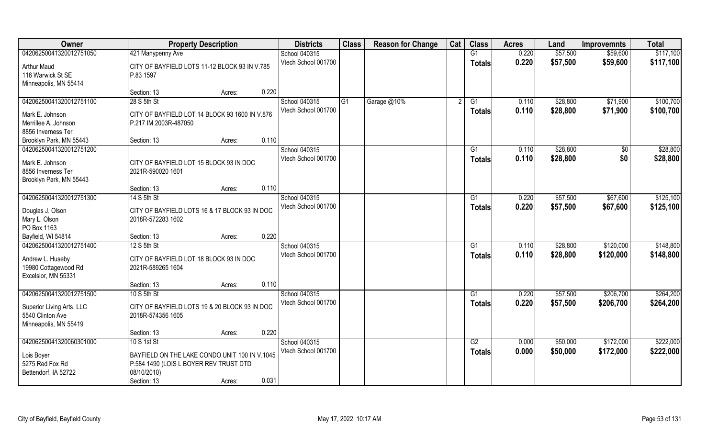| Owner                        | <b>Property Description</b>                    | <b>Districts</b>    | <b>Class</b>   | <b>Reason for Change</b> | Cat | <b>Class</b>    | <b>Acres</b> | Land     | <b>Improvemnts</b> | <b>Total</b> |
|------------------------------|------------------------------------------------|---------------------|----------------|--------------------------|-----|-----------------|--------------|----------|--------------------|--------------|
| 04206250041320012751050      | 421 Manypenny Ave                              | School 040315       |                |                          |     | G1              | 0.220        | \$57,500 | \$59,600           | \$117,100    |
| Arthur Maud                  | CITY OF BAYFIELD LOTS 11-12 BLOCK 93 IN V.785  | Vtech School 001700 |                |                          |     | <b>Totals</b>   | 0.220        | \$57,500 | \$59,600           | \$117,100    |
| 116 Warwick St SE            | P.83 1597                                      |                     |                |                          |     |                 |              |          |                    |              |
| Minneapolis, MN 55414        |                                                |                     |                |                          |     |                 |              |          |                    |              |
|                              | 0.220<br>Section: 13<br>Acres:                 |                     |                |                          |     |                 |              |          |                    |              |
| 04206250041320012751100      | 28 S 5th St                                    | School 040315       | G <sub>1</sub> | Garage @10%              |     | $\overline{G1}$ | 0.110        | \$28,800 | \$71,900           | \$100,700    |
|                              |                                                | Vtech School 001700 |                |                          |     | Totals          | 0.110        | \$28,800 | \$71,900           | \$100,700    |
| Mark E. Johnson              | CITY OF BAYFIELD LOT 14 BLOCK 93 1600 IN V.876 |                     |                |                          |     |                 |              |          |                    |              |
| Merrillee A. Johnson         | P.217 IM 2003R-487050                          |                     |                |                          |     |                 |              |          |                    |              |
| 8856 Inverness Ter           |                                                |                     |                |                          |     |                 |              |          |                    |              |
| Brooklyn Park, MN 55443      | 0.110<br>Section: 13<br>Acres:                 |                     |                |                          |     |                 |              |          |                    |              |
| 04206250041320012751200      |                                                | School 040315       |                |                          |     | G1              | 0.110        | \$28,800 | \$0                | \$28,800     |
| Mark E. Johnson              | CITY OF BAYFIELD LOT 15 BLOCK 93 IN DOC        | Vtech School 001700 |                |                          |     | <b>Totals</b>   | 0.110        | \$28,800 | \$0                | \$28,800     |
| 8856 Inverness Ter           | 2021R-590020 1601                              |                     |                |                          |     |                 |              |          |                    |              |
| Brooklyn Park, MN 55443      |                                                |                     |                |                          |     |                 |              |          |                    |              |
|                              | 0.110<br>Section: 13<br>Acres:                 |                     |                |                          |     |                 |              |          |                    |              |
| 04206250041320012751300      | 14 S 5th St                                    | School 040315       |                |                          |     | G1              | 0.220        | \$57,500 | \$67,600           | \$125,100    |
|                              |                                                | Vtech School 001700 |                |                          |     | <b>Totals</b>   | 0.220        | \$57,500 | \$67,600           | \$125,100    |
| Douglas J. Olson             | CITY OF BAYFIELD LOTS 16 & 17 BLOCK 93 IN DOC  |                     |                |                          |     |                 |              |          |                    |              |
| Mary L. Olson<br>PO Box 1163 | 2018R-572283 1602                              |                     |                |                          |     |                 |              |          |                    |              |
| Bayfield, WI 54814           | 0.220                                          |                     |                |                          |     |                 |              |          |                    |              |
| 04206250041320012751400      | Section: 13<br>Acres:<br>12 S 5th St           | School 040315       |                |                          |     | G1              | 0.110        | \$28,800 | \$120,000          | \$148,800    |
|                              |                                                |                     |                |                          |     |                 |              |          |                    |              |
| Andrew L. Huseby             | CITY OF BAYFIELD LOT 18 BLOCK 93 IN DOC        | Vtech School 001700 |                |                          |     | Totals          | 0.110        | \$28,800 | \$120,000          | \$148,800    |
| 19980 Cottagewood Rd         | 2021R-589265 1604                              |                     |                |                          |     |                 |              |          |                    |              |
| Excelsior, MN 55331          |                                                |                     |                |                          |     |                 |              |          |                    |              |
|                              | 0.110<br>Section: 13<br>Acres:                 |                     |                |                          |     |                 |              |          |                    |              |
| 04206250041320012751500      | 10 S 5th St                                    | School 040315       |                |                          |     | G1              | 0.220        | \$57,500 | \$206,700          | \$264,200    |
| Superior Living Arts, LLC    | CITY OF BAYFIELD LOTS 19 & 20 BLOCK 93 IN DOC  | Vtech School 001700 |                |                          |     | <b>Totals</b>   | 0.220        | \$57,500 | \$206,700          | \$264,200    |
| 5540 Clinton Ave             | 2018R-574356 1605                              |                     |                |                          |     |                 |              |          |                    |              |
| Minneapolis, MN 55419        |                                                |                     |                |                          |     |                 |              |          |                    |              |
|                              | 0.220<br>Section: 13<br>Acres:                 |                     |                |                          |     |                 |              |          |                    |              |
| 04206250041320060301000      | 10 S 1st St                                    | School 040315       |                |                          |     | G2              | 0.000        | \$50,000 | \$172,000          | \$222,000    |
|                              |                                                | Vtech School 001700 |                |                          |     |                 | 0.000        | \$50,000 | \$172,000          | \$222,000    |
| Lois Boyer                   | BAYFIELD ON THE LAKE CONDO UNIT 100 IN V.1045  |                     |                |                          |     | <b>Totals</b>   |              |          |                    |              |
| 5275 Red Fox Rd              | P.584 1490 (LOIS L BOYER REV TRUST DTD         |                     |                |                          |     |                 |              |          |                    |              |
| Bettendorf, IA 52722         | 08/10/2010)                                    |                     |                |                          |     |                 |              |          |                    |              |
|                              | 0.031<br>Section: 13<br>Acres:                 |                     |                |                          |     |                 |              |          |                    |              |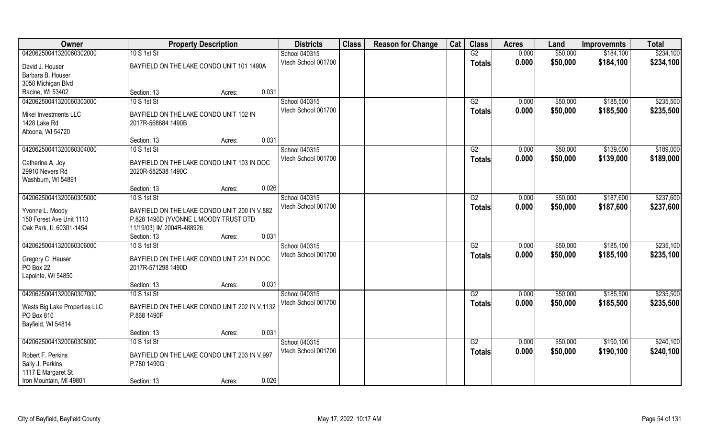| Owner                         | <b>Property Description</b>                   |                 | <b>Districts</b>    | <b>Class</b> | <b>Reason for Change</b> | Cat | <b>Class</b>    | <b>Acres</b> | Land     | <b>Improvemnts</b> | <b>Total</b> |
|-------------------------------|-----------------------------------------------|-----------------|---------------------|--------------|--------------------------|-----|-----------------|--------------|----------|--------------------|--------------|
| 04206250041320060302000       | 10 S 1st St                                   |                 | School 040315       |              |                          |     | G2              | 0.000        | \$50,000 | \$184,100          | \$234,100    |
| David J. Houser               | BAYFIELD ON THE LAKE CONDO UNIT 101 1490A     |                 | Vtech School 001700 |              |                          |     | <b>Totals</b>   | 0.000        | \$50,000 | \$184,100          | \$234,100    |
| Barbara B. Houser             |                                               |                 |                     |              |                          |     |                 |              |          |                    |              |
| 3050 Michigan Blvd            |                                               |                 |                     |              |                          |     |                 |              |          |                    |              |
| Racine, WI 53402              | Section: 13                                   | 0.031<br>Acres: |                     |              |                          |     |                 |              |          |                    |              |
| 04206250041320060303000       | 10 S 1st St                                   |                 | School 040315       |              |                          |     | G2              | 0.000        | \$50,000 | \$185,500          | \$235,500    |
| Mikel Investments LLC         | BAYFIELD ON THE LAKE CONDO UNIT 102 IN        |                 | Vtech School 001700 |              |                          |     | Totals          | 0.000        | \$50,000 | \$185,500          | \$235,500    |
| 1428 Lake Rd                  | 2017R-568884 1490B                            |                 |                     |              |                          |     |                 |              |          |                    |              |
| Altoona, WI 54720             |                                               |                 |                     |              |                          |     |                 |              |          |                    |              |
|                               | Section: 13                                   | 0.031<br>Acres: |                     |              |                          |     |                 |              |          |                    |              |
| 04206250041320060304000       | 10 S 1st St                                   |                 | School 040315       |              |                          |     | G2              | 0.000        | \$50,000 | \$139,000          | \$189,000    |
|                               |                                               |                 | Vtech School 001700 |              |                          |     | <b>Totals</b>   | 0.000        | \$50,000 | \$139,000          | \$189,000    |
| Catherine A. Joy              | BAYFIELD ON THE LAKE CONDO UNIT 103 IN DOC    |                 |                     |              |                          |     |                 |              |          |                    |              |
| 29910 Nevers Rd               | 2020R-582538 1490C                            |                 |                     |              |                          |     |                 |              |          |                    |              |
| Washburn, WI 54891            |                                               |                 |                     |              |                          |     |                 |              |          |                    |              |
|                               | Section: 13                                   | 0.026<br>Acres: |                     |              |                          |     |                 |              |          |                    |              |
| 04206250041320060305000       | 10 S 1st St                                   |                 | School 040315       |              |                          |     | G2              | 0.000        | \$50,000 | \$187,600          | \$237,600    |
| Yvonne L. Moody               | BAYFIELD ON THE LAKE CONDO UNIT 200 IN V.882  |                 | Vtech School 001700 |              |                          |     | <b>Totals</b>   | 0.000        | \$50,000 | \$187,600          | \$237,600    |
| 150 Forest Ave Unit 1113      | P.828 1490D (YVONNE L MOODY TRUST DTD         |                 |                     |              |                          |     |                 |              |          |                    |              |
| Oak Park, IL 60301-1454       | 11/19/03) IM 2004R-488926                     |                 |                     |              |                          |     |                 |              |          |                    |              |
|                               | Section: 13                                   | 0.031<br>Acres: |                     |              |                          |     |                 |              |          |                    |              |
| 04206250041320060306000       | 10 S 1st St                                   |                 | School 040315       |              |                          |     | $\overline{G2}$ | 0.000        | \$50,000 | \$185,100          | \$235,100    |
|                               |                                               |                 | Vtech School 001700 |              |                          |     | <b>Totals</b>   | 0.000        | \$50,000 | \$185,100          | \$235,100    |
| Gregory C. Hauser             | BAYFIELD ON THE LAKE CONDO UNIT 201 IN DOC    |                 |                     |              |                          |     |                 |              |          |                    |              |
| PO Box 22                     | 2017R-571298 1490D                            |                 |                     |              |                          |     |                 |              |          |                    |              |
| Lapointe, WI 54850            |                                               |                 |                     |              |                          |     |                 |              |          |                    |              |
|                               | Section: 13                                   | 0.031<br>Acres: |                     |              |                          |     |                 |              |          |                    |              |
| 04206250041320060307000       | 10 S 1st St                                   |                 | School 040315       |              |                          |     | G2              | 0.000        | \$50,000 | \$185,500          | \$235,500    |
| Wests Big Lake Properties LLC | BAYFIELD ON THE LAKE CONDO UNIT 202 IN V.1132 |                 | Vtech School 001700 |              |                          |     | <b>Totals</b>   | 0.000        | \$50,000 | \$185,500          | \$235,500    |
| PO Box 810                    | P.868 1490F                                   |                 |                     |              |                          |     |                 |              |          |                    |              |
| Bayfield, WI 54814            |                                               |                 |                     |              |                          |     |                 |              |          |                    |              |
|                               | Section: 13                                   | 0.031<br>Acres: |                     |              |                          |     |                 |              |          |                    |              |
| 04206250041320060308000       | 10 S 1st St                                   |                 | School 040315       |              |                          |     | G2              | 0.000        | \$50,000 | \$190,100          | \$240,100    |
|                               |                                               |                 | Vtech School 001700 |              |                          |     | <b>Totals</b>   | 0.000        | \$50,000 | \$190,100          | \$240,100    |
| Robert F. Perkins             | BAYFIELD ON THE LAKE CONDO UNIT 203 IN V.997  |                 |                     |              |                          |     |                 |              |          |                    |              |
| Sally J. Perkins              | P.780 1490G                                   |                 |                     |              |                          |     |                 |              |          |                    |              |
| 1117 E Margaret St            |                                               |                 |                     |              |                          |     |                 |              |          |                    |              |
| Iron Mountain, MI 49801       | Section: 13                                   | 0.026<br>Acres: |                     |              |                          |     |                 |              |          |                    |              |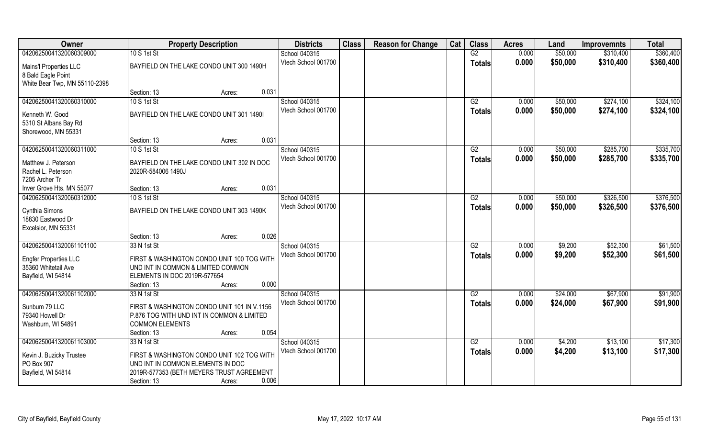| Owner                                               |                                             | <b>Property Description</b> |       | <b>Districts</b>    | <b>Class</b> | <b>Reason for Change</b> | Cat | <b>Class</b>    | <b>Acres</b> | Land     | <b>Improvemnts</b> | <b>Total</b> |
|-----------------------------------------------------|---------------------------------------------|-----------------------------|-------|---------------------|--------------|--------------------------|-----|-----------------|--------------|----------|--------------------|--------------|
| 04206250041320060309000                             | 10 S 1st St                                 |                             |       | School 040315       |              |                          |     | G2              | 0.000        | \$50,000 | \$310,400          | \$360,400    |
| Mains'l Properties LLC                              | BAYFIELD ON THE LAKE CONDO UNIT 300 1490H   |                             |       | Vtech School 001700 |              |                          |     | <b>Totals</b>   | 0.000        | \$50,000 | \$310,400          | \$360,400    |
| 8 Bald Eagle Point<br>White Bear Twp, MN 55110-2398 |                                             |                             |       |                     |              |                          |     |                 |              |          |                    |              |
|                                                     | Section: 13                                 | Acres:                      | 0.031 |                     |              |                          |     |                 |              |          |                    |              |
| 04206250041320060310000                             | 10 S 1st St                                 |                             |       | School 040315       |              |                          |     | G2              | 0.000        | \$50,000 | \$274,100          | \$324,100    |
| Kenneth W. Good                                     | BAYFIELD ON THE LAKE CONDO UNIT 301 1490I   |                             |       | Vtech School 001700 |              |                          |     | Totals          | 0.000        | \$50,000 | \$274,100          | \$324,100    |
| 5310 St Albans Bay Rd                               |                                             |                             |       |                     |              |                          |     |                 |              |          |                    |              |
| Shorewood, MN 55331                                 |                                             |                             |       |                     |              |                          |     |                 |              |          |                    |              |
|                                                     | Section: 13                                 | Acres:                      | 0.031 |                     |              |                          |     |                 |              |          |                    |              |
| 04206250041320060311000                             | 10 S 1st St                                 |                             |       | School 040315       |              |                          |     | G2              | 0.000        | \$50,000 | \$285,700          | \$335,700    |
| Matthew J. Peterson                                 | BAYFIELD ON THE LAKE CONDO UNIT 302 IN DOC  |                             |       | Vtech School 001700 |              |                          |     | <b>Totals</b>   | 0.000        | \$50,000 | \$285,700          | \$335,700    |
| Rachel L. Peterson                                  | 2020R-584006 1490J                          |                             |       |                     |              |                          |     |                 |              |          |                    |              |
| 7205 Archer Tr                                      |                                             |                             |       |                     |              |                          |     |                 |              |          |                    |              |
| Inver Grove Hts, MN 55077                           | Section: 13                                 | Acres:                      | 0.031 |                     |              |                          |     |                 |              |          |                    |              |
| 04206250041320060312000                             | 10 S 1st St                                 |                             |       | School 040315       |              |                          |     | G2              | 0.000        | \$50,000 | \$326,500          | \$376,500    |
| Cynthia Simons                                      | BAYFIELD ON THE LAKE CONDO UNIT 303 1490K   |                             |       | Vtech School 001700 |              |                          |     | <b>Totals</b>   | 0.000        | \$50,000 | \$326,500          | \$376,500    |
| 18830 Eastwood Dr                                   |                                             |                             |       |                     |              |                          |     |                 |              |          |                    |              |
| Excelsior, MN 55331                                 |                                             |                             |       |                     |              |                          |     |                 |              |          |                    |              |
|                                                     | Section: 13                                 | Acres:                      | 0.026 |                     |              |                          |     |                 |              |          |                    |              |
| 04206250041320061101100                             | 33 N 1st St                                 |                             |       | School 040315       |              |                          |     | $\overline{G2}$ | 0.000        | \$9,200  | \$52,300           | \$61,500     |
| <b>Engfer Properties LLC</b>                        | FIRST & WASHINGTON CONDO UNIT 100 TOG WITH  |                             |       | Vtech School 001700 |              |                          |     | <b>Totals</b>   | 0.000        | \$9,200  | \$52,300           | \$61,500     |
| 35360 Whitetail Ave                                 | UND INT IN COMMON & LIMITED COMMON          |                             |       |                     |              |                          |     |                 |              |          |                    |              |
| Bayfield, WI 54814                                  | ELEMENTS IN DOC 2019R-577654                |                             |       |                     |              |                          |     |                 |              |          |                    |              |
|                                                     | Section: 13                                 | Acres:                      | 0.000 |                     |              |                          |     |                 |              |          |                    |              |
| 04206250041320061102000                             | 33 N 1st St                                 |                             |       | School 040315       |              |                          |     | G2              | 0.000        | \$24,000 | \$67,900           | \$91,900     |
| Sunbum 79 LLC                                       | FIRST & WASHINGTON CONDO UNIT 101 IN V.1156 |                             |       | Vtech School 001700 |              |                          |     | <b>Totals</b>   | 0.000        | \$24,000 | \$67,900           | \$91,900     |
| 79340 Howell Dr                                     | P.876 TOG WITH UND INT IN COMMON & LIMITED  |                             |       |                     |              |                          |     |                 |              |          |                    |              |
| Washburn, WI 54891                                  | <b>COMMON ELEMENTS</b>                      |                             |       |                     |              |                          |     |                 |              |          |                    |              |
|                                                     | Section: 13                                 | Acres:                      | 0.054 |                     |              |                          |     |                 |              |          |                    |              |
| 04206250041320061103000                             | 33 N 1st St                                 |                             |       | School 040315       |              |                          |     | G2              | 0.000        | \$4,200  | \$13,100           | \$17,300     |
|                                                     | FIRST & WASHINGTON CONDO UNIT 102 TOG WITH  |                             |       | Vtech School 001700 |              |                          |     | Totals          | 0.000        | \$4,200  | \$13,100           | \$17,300     |
| Kevin J. Buzicky Trustee<br>PO Box 907              | UND INT IN COMMON ELEMENTS IN DOC           |                             |       |                     |              |                          |     |                 |              |          |                    |              |
| Bayfield, WI 54814                                  | 2019R-577353 (BETH MEYERS TRUST AGREEMENT   |                             |       |                     |              |                          |     |                 |              |          |                    |              |
|                                                     | Section: 13                                 | Acres:                      | 0.006 |                     |              |                          |     |                 |              |          |                    |              |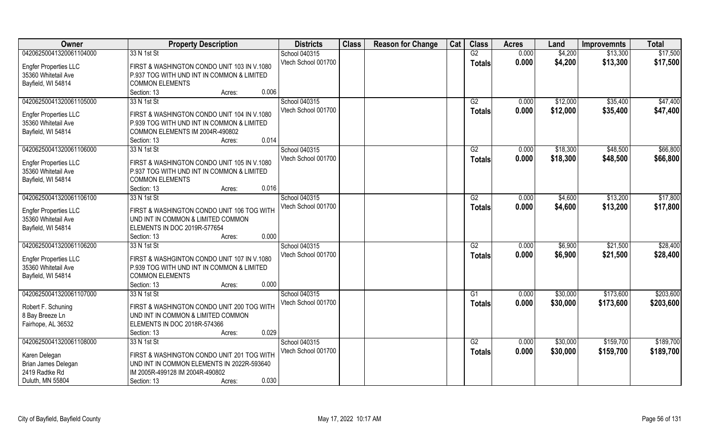| Owner                                               | <b>Property Description</b>                 | <b>Districts</b>    | <b>Class</b> | <b>Reason for Change</b> | Cat | <b>Class</b>    | <b>Acres</b> | Land     | <b>Improvemnts</b> | <b>Total</b> |
|-----------------------------------------------------|---------------------------------------------|---------------------|--------------|--------------------------|-----|-----------------|--------------|----------|--------------------|--------------|
| 04206250041320061104000                             | 33 N 1st St                                 | School 040315       |              |                          |     | G2              | 0.000        | \$4,200  | \$13,300           | \$17,500     |
| <b>Engfer Properties LLC</b>                        | FIRST & WASHINGTON CONDO UNIT 103 IN V.1080 | Vtech School 001700 |              |                          |     | <b>Totals</b>   | 0.000        | \$4,200  | \$13,300           | \$17,500     |
| 35360 Whitetail Ave                                 | P.937 TOG WITH UND INT IN COMMON & LIMITED  |                     |              |                          |     |                 |              |          |                    |              |
| Bayfield, WI 54814                                  | <b>COMMON ELEMENTS</b>                      |                     |              |                          |     |                 |              |          |                    |              |
|                                                     | 0.006<br>Section: 13<br>Acres:              |                     |              |                          |     |                 |              |          |                    |              |
| 04206250041320061105000                             | 33 N 1st St                                 | School 040315       |              |                          |     | G2              | 0.000        | \$12,000 | \$35,400           | \$47,400     |
|                                                     |                                             | Vtech School 001700 |              |                          |     |                 | 0.000        | \$12,000 | \$35,400           | \$47,400     |
| <b>Engfer Properties LLC</b>                        | FIRST & WASHINGTON CONDO UNIT 104 IN V.1080 |                     |              |                          |     | <b>Totals</b>   |              |          |                    |              |
| 35360 Whitetail Ave                                 | P.939 TOG WITH UND INT IN COMMON & LIMITED  |                     |              |                          |     |                 |              |          |                    |              |
| Bayfield, WI 54814                                  | COMMON ELEMENTS IM 2004R-490802             |                     |              |                          |     |                 |              |          |                    |              |
|                                                     | 0.014<br>Section: 13<br>Acres:              |                     |              |                          |     |                 |              |          |                    |              |
| 04206250041320061106000                             | 33 N 1st St                                 | School 040315       |              |                          |     | G2              | 0.000        | \$18,300 | \$48,500           | \$66,800     |
|                                                     | FIRST & WASHINGTON CONDO UNIT 105 IN V.1080 | Vtech School 001700 |              |                          |     | <b>Totals</b>   | 0.000        | \$18,300 | \$48,500           | \$66,800     |
| <b>Engfer Properties LLC</b><br>35360 Whitetail Ave | P.937 TOG WITH UND INT IN COMMON & LIMITED  |                     |              |                          |     |                 |              |          |                    |              |
|                                                     | <b>COMMON ELEMENTS</b>                      |                     |              |                          |     |                 |              |          |                    |              |
| Bayfield, WI 54814                                  | 0.016<br>Section: 13<br>Acres:              |                     |              |                          |     |                 |              |          |                    |              |
| 04206250041320061106100                             |                                             | School 040315       |              |                          |     |                 |              |          |                    | \$17,800     |
|                                                     | 33 N 1st St                                 |                     |              |                          |     | G2              | 0.000        | \$4,600  | \$13,200           |              |
| <b>Engfer Properties LLC</b>                        | FIRST & WASHINGTON CONDO UNIT 106 TOG WITH  | Vtech School 001700 |              |                          |     | <b>Totals</b>   | 0.000        | \$4,600  | \$13,200           | \$17,800     |
| 35360 Whitetail Ave                                 | UND INT IN COMMON & LIMITED COMMON          |                     |              |                          |     |                 |              |          |                    |              |
| Bayfield, WI 54814                                  | ELEMENTS IN DOC 2019R-577654                |                     |              |                          |     |                 |              |          |                    |              |
|                                                     | 0.000<br>Section: 13<br>Acres:              |                     |              |                          |     |                 |              |          |                    |              |
| 04206250041320061106200                             | 33 N 1st St                                 | School 040315       |              |                          |     | $\overline{G2}$ | 0.000        | \$6,900  | \$21,500           | \$28,400     |
|                                                     |                                             | Vtech School 001700 |              |                          |     | <b>Totals</b>   | 0.000        | \$6,900  | \$21,500           | \$28,400     |
| <b>Engfer Properties LLC</b>                        | FIRST & WASHGINTON CONDO UNIT 107 IN V.1080 |                     |              |                          |     |                 |              |          |                    |              |
| 35360 Whitetail Ave                                 | P.939 TOG WITH UND INT IN COMMON & LIMITED  |                     |              |                          |     |                 |              |          |                    |              |
| Bayfield, WI 54814                                  | <b>COMMON ELEMENTS</b>                      |                     |              |                          |     |                 |              |          |                    |              |
|                                                     | 0.000<br>Section: 13<br>Acres:              |                     |              |                          |     |                 |              |          |                    |              |
| 04206250041320061107000                             | 33 N 1st St                                 | School 040315       |              |                          |     | $\overline{G1}$ | 0.000        | \$30,000 | \$173,600          | \$203,600    |
| Robert F. Schuning                                  | FIRST & WASHINGTON CONDO UNIT 200 TOG WITH  | Vtech School 001700 |              |                          |     | <b>Totals</b>   | 0.000        | \$30,000 | \$173,600          | \$203,600    |
| 8 Bay Breeze Ln                                     | UND INT IN COMMON & LIMITED COMMON          |                     |              |                          |     |                 |              |          |                    |              |
| Fairhope, AL 36532                                  | ELEMENTS IN DOC 2018R-574366                |                     |              |                          |     |                 |              |          |                    |              |
|                                                     | 0.029<br>Section: 13<br>Acres:              |                     |              |                          |     |                 |              |          |                    |              |
| 04206250041320061108000                             | 33 N 1st St                                 | School 040315       |              |                          |     | G2              | 0.000        | \$30,000 | \$159,700          | \$189,700    |
|                                                     |                                             | Vtech School 001700 |              |                          |     | <b>Totals</b>   | 0.000        | \$30,000 | \$159,700          | \$189,700    |
| Karen Delegan                                       | FIRST & WASHINGTON CONDO UNIT 201 TOG WITH  |                     |              |                          |     |                 |              |          |                    |              |
| Brian James Delegan                                 | UND INT IN COMMON ELEMENTS IN 2022R-593640  |                     |              |                          |     |                 |              |          |                    |              |
| 2419 Radtke Rd                                      | IM 2005R-499128 IM 2004R-490802             |                     |              |                          |     |                 |              |          |                    |              |
| Duluth, MN 55804                                    | 0.030<br>Section: 13<br>Acres:              |                     |              |                          |     |                 |              |          |                    |              |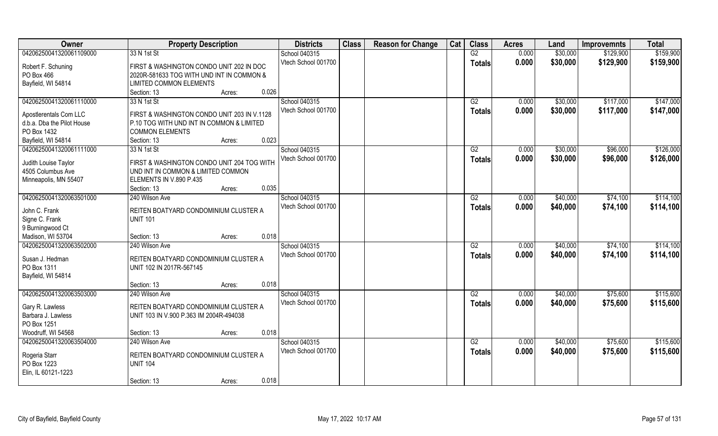| Owner                           | <b>Property Description</b>                 | <b>Districts</b>    | <b>Class</b> | <b>Reason for Change</b> | Cat | <b>Class</b>    | <b>Acres</b> | Land     | <b>Improvemnts</b> | <b>Total</b> |
|---------------------------------|---------------------------------------------|---------------------|--------------|--------------------------|-----|-----------------|--------------|----------|--------------------|--------------|
| 04206250041320061109000         | 33 N 1st St                                 | School 040315       |              |                          |     | G2              | 0.000        | \$30,000 | \$129,900          | \$159,900    |
| Robert F. Schuning              | FIRST & WASHINGTON CONDO UNIT 202 IN DOC    | Vtech School 001700 |              |                          |     | <b>Totals</b>   | 0.000        | \$30,000 | \$129,900          | \$159,900    |
| PO Box 466                      | 2020R-581633 TOG WITH UND INT IN COMMON &   |                     |              |                          |     |                 |              |          |                    |              |
| Bayfield, WI 54814              | LIMITED COMMON ELEMENTS                     |                     |              |                          |     |                 |              |          |                    |              |
|                                 | 0.026<br>Section: 13<br>Acres:              |                     |              |                          |     |                 |              |          |                    |              |
| 04206250041320061110000         | 33 N 1st St                                 | School 040315       |              |                          |     | G2              | 0.000        | \$30,000 | \$117,000          | \$147,000    |
|                                 |                                             | Vtech School 001700 |              |                          |     | <b>Totals</b>   | 0.000        | \$30,000 | \$117,000          | \$147,000    |
| Apostlerentals Com LLC          | FIRST & WASHINGTON CONDO UNIT 203 IN V.1128 |                     |              |                          |     |                 |              |          |                    |              |
| d.b.a. Dba the Pilot House      | P.10 TOG WITH UND INT IN COMMON & LIMITED   |                     |              |                          |     |                 |              |          |                    |              |
| PO Box 1432                     | <b>COMMON ELEMENTS</b>                      |                     |              |                          |     |                 |              |          |                    |              |
| Bayfield, WI 54814              | 0.023<br>Section: 13<br>Acres:              |                     |              |                          |     |                 |              |          |                    |              |
| 04206250041320061111000         | 33 N 1st St                                 | School 040315       |              |                          |     | G2              | 0.000        | \$30,000 | \$96,000           | \$126,000    |
| Judith Louise Taylor            | FIRST & WASHINGTON CONDO UNIT 204 TOG WITH  | Vtech School 001700 |              |                          |     | <b>Totals</b>   | 0.000        | \$30,000 | \$96,000           | \$126,000    |
| 4505 Columbus Ave               | UND INT IN COMMON & LIMITED COMMON          |                     |              |                          |     |                 |              |          |                    |              |
| Minneapolis, MN 55407           | ELEMENTS IN V.890 P.435                     |                     |              |                          |     |                 |              |          |                    |              |
|                                 | 0.035<br>Section: 13<br>Acres:              |                     |              |                          |     |                 |              |          |                    |              |
| 04206250041320063501000         | 240 Wilson Ave                              | School 040315       |              |                          |     | G2              | 0.000        | \$40,000 | \$74,100           | \$114,100    |
|                                 | REITEN BOATYARD CONDOMINIUM CLUSTER A       | Vtech School 001700 |              |                          |     | <b>Totals</b>   | 0.000        | \$40,000 | \$74,100           | \$114,100    |
| John C. Frank<br>Signe C. Frank | <b>UNIT 101</b>                             |                     |              |                          |     |                 |              |          |                    |              |
| 9 Burningwood Ct                |                                             |                     |              |                          |     |                 |              |          |                    |              |
| Madison, WI 53704               | 0.018<br>Section: 13<br>Acres:              |                     |              |                          |     |                 |              |          |                    |              |
| 04206250041320063502000         | 240 Wilson Ave                              | School 040315       |              |                          |     | $\overline{G2}$ | 0.000        | \$40,000 | \$74,100           | \$114,100    |
|                                 |                                             | Vtech School 001700 |              |                          |     |                 | 0.000        | \$40,000 | \$74,100           | \$114,100    |
| Susan J. Hedman                 | REITEN BOATYARD CONDOMINIUM CLUSTER A       |                     |              |                          |     | <b>Totals</b>   |              |          |                    |              |
| PO Box 1311                     | UNIT 102 IN 2017R-567145                    |                     |              |                          |     |                 |              |          |                    |              |
| Bayfield, WI 54814              |                                             |                     |              |                          |     |                 |              |          |                    |              |
|                                 | 0.018<br>Section: 13<br>Acres:              |                     |              |                          |     |                 |              |          |                    |              |
| 04206250041320063503000         | 240 Wilson Ave                              | School 040315       |              |                          |     | G2              | 0.000        | \$40,000 | \$75,600           | \$115,600    |
| Gary R. Lawless                 | REITEN BOATYARD CONDOMINIUM CLUSTER A       | Vtech School 001700 |              |                          |     | <b>Totals</b>   | 0.000        | \$40,000 | \$75,600           | \$115,600    |
| Barbara J. Lawless              | UNIT 103 IN V.900 P.363 IM 2004R-494038     |                     |              |                          |     |                 |              |          |                    |              |
| PO Box 1251                     |                                             |                     |              |                          |     |                 |              |          |                    |              |
| Woodruff, WI 54568              | 0.018<br>Section: 13<br>Acres:              |                     |              |                          |     |                 |              |          |                    |              |
| 04206250041320063504000         | 240 Wilson Ave                              | School 040315       |              |                          |     | G2              | 0.000        | \$40,000 | \$75,600           | \$115,600    |
|                                 |                                             | Vtech School 001700 |              |                          |     | <b>Totals</b>   | 0.000        | \$40,000 | \$75,600           | \$115,600    |
| Rogeria Starr                   | REITEN BOATYARD CONDOMINIUM CLUSTER A       |                     |              |                          |     |                 |              |          |                    |              |
| PO Box 1223                     | <b>UNIT 104</b>                             |                     |              |                          |     |                 |              |          |                    |              |
| Elin, IL 60121-1223             |                                             |                     |              |                          |     |                 |              |          |                    |              |
|                                 | 0.018<br>Section: 13<br>Acres:              |                     |              |                          |     |                 |              |          |                    |              |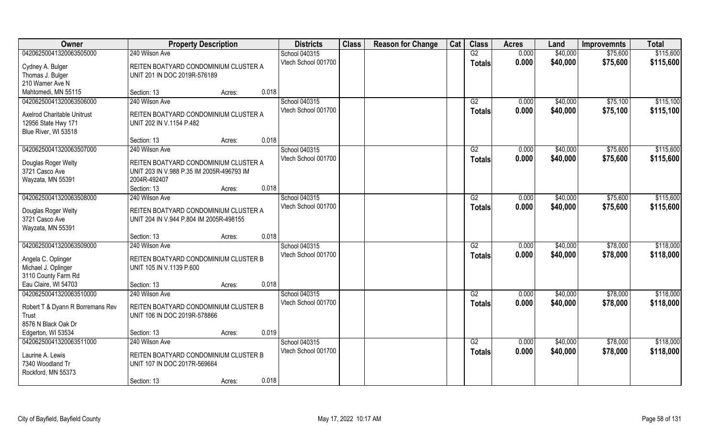| Owner                            | <b>Property Description</b>               | <b>Districts</b>    | <b>Class</b> | <b>Reason for Change</b> | Cat | <b>Class</b>    | <b>Acres</b> | Land     | <b>Improvemnts</b> | <b>Total</b> |
|----------------------------------|-------------------------------------------|---------------------|--------------|--------------------------|-----|-----------------|--------------|----------|--------------------|--------------|
| 04206250041320063505000          | 240 Wilson Ave                            | School 040315       |              |                          |     | G2              | 0.000        | \$40,000 | \$75,600           | \$115,600    |
| Cydney A. Bulger                 | REITEN BOATYARD CONDOMINIUM CLUSTER A     | Vtech School 001700 |              |                          |     | <b>Totals</b>   | 0.000        | \$40,000 | \$75,600           | \$115,600    |
| Thomas J. Bulger                 | UNIT 201 IN DOC 2019R-576189              |                     |              |                          |     |                 |              |          |                    |              |
| 210 Wamer Ave N                  |                                           |                     |              |                          |     |                 |              |          |                    |              |
| Mahtomedi, MN 55115              | 0.018<br>Section: 13<br>Acres:            |                     |              |                          |     |                 |              |          |                    |              |
| 04206250041320063506000          | 240 Wilson Ave                            | School 040315       |              |                          |     | G2              | 0.000        | \$40,000 | \$75,100           | \$115,100    |
| Axelrod Charitable Unitrust      | REITEN BOATYARD CONDOMINIUM CLUSTER A     | Vtech School 001700 |              |                          |     | <b>Totals</b>   | 0.000        | \$40,000 | \$75,100           | \$115,100    |
| 12956 State Hwy 171              | UNIT 202 IN V.1154 P.482                  |                     |              |                          |     |                 |              |          |                    |              |
| Blue River, WI 53518             |                                           |                     |              |                          |     |                 |              |          |                    |              |
|                                  | 0.018<br>Section: 13<br>Acres:            |                     |              |                          |     |                 |              |          |                    |              |
| 04206250041320063507000          | 240 Wilson Ave                            | School 040315       |              |                          |     | G2              | 0.000        | \$40,000 | \$75,600           | \$115,600    |
|                                  |                                           | Vtech School 001700 |              |                          |     | <b>Totals</b>   | 0.000        | \$40,000 | \$75,600           | \$115,600    |
| Douglas Roger Welty              | REITEN BOATYARD CONDOMINIUM CLUSTER A     |                     |              |                          |     |                 |              |          |                    |              |
| 3721 Casco Ave                   | UNIT 203 IN V.988 P.35 IM 2005R-496793 IM |                     |              |                          |     |                 |              |          |                    |              |
| Wayzata, MN 55391                | 2004R-492407                              |                     |              |                          |     |                 |              |          |                    |              |
|                                  | 0.018<br>Section: 13<br>Acres:            |                     |              |                          |     |                 |              |          |                    |              |
| 04206250041320063508000          | 240 Wilson Ave                            | School 040315       |              |                          |     | G2              | 0.000        | \$40,000 | \$75,600           | \$115,600    |
| Douglas Roger Welty              | REITEN BOATYARD CONDOMINIUM CLUSTER A     | Vtech School 001700 |              |                          |     | <b>Totals</b>   | 0.000        | \$40,000 | \$75,600           | \$115,600    |
| 3721 Casco Ave                   | UNIT 204 IN V.944 P.804 IM 2005R-498155   |                     |              |                          |     |                 |              |          |                    |              |
| Wayzata, MN 55391                |                                           |                     |              |                          |     |                 |              |          |                    |              |
|                                  | 0.018<br>Section: 13<br>Acres:            |                     |              |                          |     |                 |              |          |                    |              |
| 04206250041320063509000          | 240 Wilson Ave                            | School 040315       |              |                          |     | $\overline{G2}$ | 0.000        | \$40,000 | \$78,000           | \$118,000    |
| Angela C. Oplinger               | REITEN BOATYARD CONDOMINIUM CLUSTER B     | Vtech School 001700 |              |                          |     | <b>Totals</b>   | 0.000        | \$40,000 | \$78,000           | \$118,000    |
| Michael J. Oplinger              | UNIT 105 IN V.1139 P.600                  |                     |              |                          |     |                 |              |          |                    |              |
| 3110 County Farm Rd              |                                           |                     |              |                          |     |                 |              |          |                    |              |
| Eau Claire, WI 54703             | 0.018<br>Section: 13<br>Acres:            |                     |              |                          |     |                 |              |          |                    |              |
| 04206250041320063510000          | 240 Wilson Ave                            | School 040315       |              |                          |     | G2              | 0.000        | \$40,000 | \$78,000           | \$118,000    |
|                                  |                                           | Vtech School 001700 |              |                          |     | <b>Totals</b>   | 0.000        | \$40,000 | \$78,000           | \$118,000    |
| Robert T & Dyann R Borremans Rev | REITEN BOATYARD CONDOMINIUM CLUSTER B     |                     |              |                          |     |                 |              |          |                    |              |
| Trust<br>8576 N Black Oak Dr     | UNIT 106 IN DOC 2019R-578866              |                     |              |                          |     |                 |              |          |                    |              |
| Edgerton, WI 53534               | 0.019<br>Section: 13<br>Acres:            |                     |              |                          |     |                 |              |          |                    |              |
| 04206250041320063511000          | 240 Wilson Ave                            | School 040315       |              |                          |     | G2              | 0.000        | \$40,000 | \$78,000           | \$118,000    |
|                                  |                                           | Vtech School 001700 |              |                          |     |                 | 0.000        | \$40,000 | \$78,000           | \$118,000    |
| Laurine A. Lewis                 | REITEN BOATYARD CONDOMINIUM CLUSTER B     |                     |              |                          |     | <b>Totals</b>   |              |          |                    |              |
| 7340 Woodland Tr                 | UNIT 107 IN DOC 2017R-569664              |                     |              |                          |     |                 |              |          |                    |              |
| Rockford, MN 55373               |                                           |                     |              |                          |     |                 |              |          |                    |              |
|                                  | 0.018<br>Section: 13<br>Acres:            |                     |              |                          |     |                 |              |          |                    |              |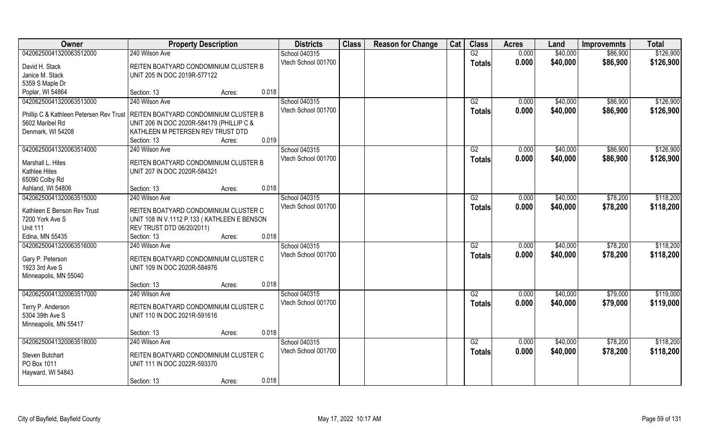| Owner                                                                           | <b>Property Description</b>                 |        |       | <b>Districts</b>    | <b>Class</b> | <b>Reason for Change</b> | Cat | <b>Class</b>    | <b>Acres</b> | Land     | <b>Improvemnts</b> | <b>Total</b> |
|---------------------------------------------------------------------------------|---------------------------------------------|--------|-------|---------------------|--------------|--------------------------|-----|-----------------|--------------|----------|--------------------|--------------|
| 04206250041320063512000                                                         | 240 Wilson Ave                              |        |       | School 040315       |              |                          |     | G2              | 0.000        | \$40,000 | \$86,900           | \$126,900    |
| David H. Stack                                                                  | REITEN BOATYARD CONDOMINIUM CLUSTER B       |        |       | Vtech School 001700 |              |                          |     | <b>Totals</b>   | 0.000        | \$40,000 | \$86,900           | \$126,900    |
| Janice M. Stack                                                                 | UNIT 205 IN DOC 2019R-577122                |        |       |                     |              |                          |     |                 |              |          |                    |              |
| 5359 S Maple Dr                                                                 |                                             |        |       |                     |              |                          |     |                 |              |          |                    |              |
| Poplar, WI 54864                                                                | Section: 13                                 | Acres: | 0.018 |                     |              |                          |     |                 |              |          |                    |              |
| 04206250041320063513000                                                         | 240 Wilson Ave                              |        |       | School 040315       |              |                          |     | G2              | 0.000        | \$40,000 | \$86,900           | \$126,900    |
| Phillip C & Kathleen Petersen Rev Trust   REITEN BOATYARD CONDOMINIUM CLUSTER B |                                             |        |       | Vtech School 001700 |              |                          |     | <b>Totals</b>   | 0.000        | \$40,000 | \$86,900           | \$126,900    |
| 5602 Maribel Rd                                                                 | UNIT 206 IN DOC 2020R-584179 (PHILLIP C &   |        |       |                     |              |                          |     |                 |              |          |                    |              |
| Denmark, WI 54208                                                               | KATHLEEN M PETERSEN REV TRUST DTD           |        |       |                     |              |                          |     |                 |              |          |                    |              |
|                                                                                 | Section: 13                                 | Acres: | 0.019 |                     |              |                          |     |                 |              |          |                    |              |
| 04206250041320063514000                                                         | 240 Wilson Ave                              |        |       | School 040315       |              |                          |     | G2              | 0.000        | \$40,000 | \$86,900           | \$126,900    |
| Marshall L. Hites                                                               | REITEN BOATYARD CONDOMINIUM CLUSTER B       |        |       | Vtech School 001700 |              |                          |     | <b>Totals</b>   | 0.000        | \$40,000 | \$86,900           | \$126,900    |
| Kathlee Hites                                                                   | UNIT 207 IN DOC 2020R-584321                |        |       |                     |              |                          |     |                 |              |          |                    |              |
| 65090 Colby Rd                                                                  |                                             |        |       |                     |              |                          |     |                 |              |          |                    |              |
| Ashland, WI 54806                                                               | Section: 13                                 | Acres: | 0.018 |                     |              |                          |     |                 |              |          |                    |              |
| 04206250041320063515000                                                         | 240 Wilson Ave                              |        |       | School 040315       |              |                          |     | G2              | 0.000        | \$40,000 | \$78,200           | \$118,200    |
| Kathleen E Benson Rev Trust                                                     | REITEN BOATYARD CONDOMINIUM CLUSTER C       |        |       | Vtech School 001700 |              |                          |     | <b>Totals</b>   | 0.000        | \$40,000 | \$78,200           | \$118,200    |
| 7200 York Ave S                                                                 | UNIT 108 IN V.1112 P.133 (KATHLEEN E BENSON |        |       |                     |              |                          |     |                 |              |          |                    |              |
| <b>Unit 111</b>                                                                 | REV TRUST DTD 06/20/2011)                   |        |       |                     |              |                          |     |                 |              |          |                    |              |
| Edina, MN 55435                                                                 | Section: 13                                 | Acres: | 0.018 |                     |              |                          |     |                 |              |          |                    |              |
| 04206250041320063516000                                                         | 240 Wilson Ave                              |        |       | School 040315       |              |                          |     | $\overline{G2}$ | 0.000        | \$40,000 | \$78,200           | \$118,200    |
|                                                                                 |                                             |        |       | Vtech School 001700 |              |                          |     | <b>Totals</b>   | 0.000        | \$40,000 | \$78,200           | \$118,200    |
| Gary P. Peterson                                                                | REITEN BOATYARD CONDOMINIUM CLUSTER C       |        |       |                     |              |                          |     |                 |              |          |                    |              |
| 1923 3rd Ave S                                                                  | UNIT 109 IN DOC 2020R-584976                |        |       |                     |              |                          |     |                 |              |          |                    |              |
| Minneapolis, MN 55040                                                           |                                             |        |       |                     |              |                          |     |                 |              |          |                    |              |
|                                                                                 | Section: 13                                 | Acres: | 0.018 |                     |              |                          |     |                 |              |          |                    |              |
| 04206250041320063517000                                                         | 240 Wilson Ave                              |        |       | School 040315       |              |                          |     | G2              | 0.000        | \$40,000 | \$79,000           | \$119,000    |
| Terry P. Anderson                                                               | REITEN BOATYARD CONDOMINIUM CLUSTER C       |        |       | Vtech School 001700 |              |                          |     | <b>Totals</b>   | 0.000        | \$40,000 | \$79,000           | \$119,000    |
| 5304 39th Ave S                                                                 | UNIT 110 IN DOC 2021R-591616                |        |       |                     |              |                          |     |                 |              |          |                    |              |
| Minneapolis, MN 55417                                                           |                                             |        |       |                     |              |                          |     |                 |              |          |                    |              |
|                                                                                 | Section: 13                                 | Acres: | 0.018 |                     |              |                          |     |                 |              |          |                    |              |
| 04206250041320063518000                                                         | 240 Wilson Ave                              |        |       | School 040315       |              |                          |     | G2              | 0.000        | \$40,000 | \$78,200           | \$118,200    |
|                                                                                 |                                             |        |       | Vtech School 001700 |              |                          |     | <b>Totals</b>   | 0.000        | \$40,000 | \$78,200           | \$118,200    |
| Steven Butchart                                                                 | REITEN BOATYARD CONDOMINIUM CLUSTER C       |        |       |                     |              |                          |     |                 |              |          |                    |              |
| PO Box 1011                                                                     | UNIT 111 IN DOC 2022R-593370                |        |       |                     |              |                          |     |                 |              |          |                    |              |
| Hayward, WI 54843                                                               |                                             |        |       |                     |              |                          |     |                 |              |          |                    |              |
|                                                                                 | Section: 13                                 | Acres: | 0.018 |                     |              |                          |     |                 |              |          |                    |              |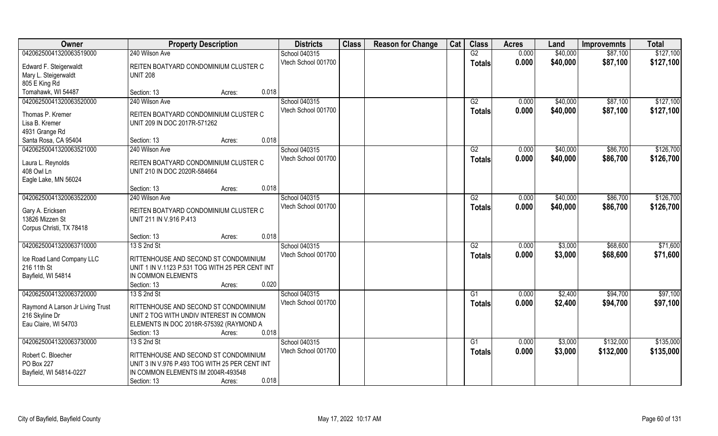| Owner                            | <b>Property Description</b>                                                          | <b>Districts</b>    | <b>Class</b> | <b>Reason for Change</b> | Cat | <b>Class</b>    | <b>Acres</b> | Land     | <b>Improvemnts</b> | <b>Total</b> |
|----------------------------------|--------------------------------------------------------------------------------------|---------------------|--------------|--------------------------|-----|-----------------|--------------|----------|--------------------|--------------|
| 04206250041320063519000          | 240 Wilson Ave                                                                       | School 040315       |              |                          |     | G2              | 0.000        | \$40,000 | \$87,100           | \$127,100    |
| Edward F. Steigerwaldt           | REITEN BOATYARD CONDOMINIUM CLUSTER C                                                | Vtech School 001700 |              |                          |     | <b>Totals</b>   | 0.000        | \$40,000 | \$87,100           | \$127,100    |
| Mary L. Steigerwaldt             | <b>UNIT 208</b>                                                                      |                     |              |                          |     |                 |              |          |                    |              |
| 805 E King Rd                    |                                                                                      |                     |              |                          |     |                 |              |          |                    |              |
| Tomahawk, WI 54487               | 0.018<br>Section: 13<br>Acres:                                                       |                     |              |                          |     |                 |              |          |                    |              |
| 04206250041320063520000          | 240 Wilson Ave                                                                       | School 040315       |              |                          |     | G2              | 0.000        | \$40,000 | \$87,100           | \$127,100    |
| Thomas P. Kremer                 | REITEN BOATYARD CONDOMINIUM CLUSTER C                                                | Vtech School 001700 |              |                          |     | <b>Totals</b>   | 0.000        | \$40,000 | \$87,100           | \$127,100    |
| Lisa B. Kremer                   | UNIT 209 IN DOC 2017R-571262                                                         |                     |              |                          |     |                 |              |          |                    |              |
| 4931 Grange Rd                   |                                                                                      |                     |              |                          |     |                 |              |          |                    |              |
| Santa Rosa, CA 95404             | 0.018<br>Section: 13<br>Acres:                                                       |                     |              |                          |     |                 |              |          |                    |              |
| 04206250041320063521000          | 240 Wilson Ave                                                                       | School 040315       |              |                          |     | G2              | 0.000        | \$40,000 | \$86,700           | \$126,700    |
|                                  |                                                                                      | Vtech School 001700 |              |                          |     | <b>Totals</b>   | 0.000        | \$40,000 | \$86,700           | \$126,700    |
| Laura L. Reynolds                | REITEN BOATYARD CONDOMINIUM CLUSTER C                                                |                     |              |                          |     |                 |              |          |                    |              |
| 408 Owl Ln                       | UNIT 210 IN DOC 2020R-584664                                                         |                     |              |                          |     |                 |              |          |                    |              |
| Eagle Lake, MN 56024             | 0.018<br>Section: 13<br>Acres:                                                       |                     |              |                          |     |                 |              |          |                    |              |
| 04206250041320063522000          | 240 Wilson Ave                                                                       | School 040315       |              |                          |     | G2              | 0.000        | \$40,000 | \$86,700           | \$126,700    |
|                                  |                                                                                      | Vtech School 001700 |              |                          |     | <b>Totals</b>   | 0.000        | \$40,000 | \$86,700           | \$126,700    |
| Gary A. Ericksen                 | REITEN BOATYARD CONDOMINIUM CLUSTER C                                                |                     |              |                          |     |                 |              |          |                    |              |
| 13826 Mizzen St                  | UNIT 211 IN V.916 P.413                                                              |                     |              |                          |     |                 |              |          |                    |              |
| Corpus Christi, TX 78418         |                                                                                      |                     |              |                          |     |                 |              |          |                    |              |
|                                  | 0.018<br>Section: 13<br>Acres:                                                       |                     |              |                          |     |                 |              |          |                    |              |
| 04206250041320063710000          | 13 S 2nd St                                                                          | School 040315       |              |                          |     | $\overline{G2}$ | 0.000        | \$3,000  | \$68,600           | \$71,600     |
| Ice Road Land Company LLC        | RITTENHOUSE AND SECOND ST CONDOMINIUM                                                | Vtech School 001700 |              |                          |     | <b>Totals</b>   | 0.000        | \$3,000  | \$68,600           | \$71,600     |
| 216 11th St                      | UNIT 1 IN V.1123 P.531 TOG WITH 25 PER CENT INT                                      |                     |              |                          |     |                 |              |          |                    |              |
| Bayfield, WI 54814               | IN COMMON ELEMENTS                                                                   |                     |              |                          |     |                 |              |          |                    |              |
|                                  | 0.020<br>Section: 13<br>Acres:                                                       |                     |              |                          |     |                 |              |          |                    |              |
| 04206250041320063720000          | 13 S 2nd St                                                                          | School 040315       |              |                          |     | $\overline{G1}$ | 0.000        | \$2,400  | \$94,700           | \$97,100     |
| Raymond A Larson Jr Living Trust | RITTENHOUSE AND SECOND ST CONDOMINIUM                                                | Vtech School 001700 |              |                          |     | <b>Totals</b>   | 0.000        | \$2,400  | \$94,700           | \$97,100     |
| 216 Skyline Dr                   | UNIT 2 TOG WITH UNDIV INTEREST IN COMMON                                             |                     |              |                          |     |                 |              |          |                    |              |
| Eau Claire, WI 54703             | ELEMENTS IN DOC 2018R-575392 (RAYMOND A                                              |                     |              |                          |     |                 |              |          |                    |              |
|                                  | 0.018<br>Section: 13<br>Acres:                                                       |                     |              |                          |     |                 |              |          |                    |              |
| 04206250041320063730000          | 13 S 2nd St                                                                          | School 040315       |              |                          |     | G1              | 0.000        | \$3,000  | \$132,000          | \$135,000    |
|                                  |                                                                                      | Vtech School 001700 |              |                          |     | <b>Totals</b>   | 0.000        | \$3,000  | \$132,000          | \$135,000    |
| Robert C. Bloecher<br>PO Box 227 | RITTENHOUSE AND SECOND ST CONDOMINIUM                                                |                     |              |                          |     |                 |              |          |                    |              |
| Bayfield, WI 54814-0227          | UNIT 3 IN V.976 P.493 TOG WITH 25 PER CENT INT<br>IN COMMON ELEMENTS IM 2004R-493548 |                     |              |                          |     |                 |              |          |                    |              |
|                                  |                                                                                      |                     |              |                          |     |                 |              |          |                    |              |
|                                  | 0.018<br>Section: 13<br>Acres:                                                       |                     |              |                          |     |                 |              |          |                    |              |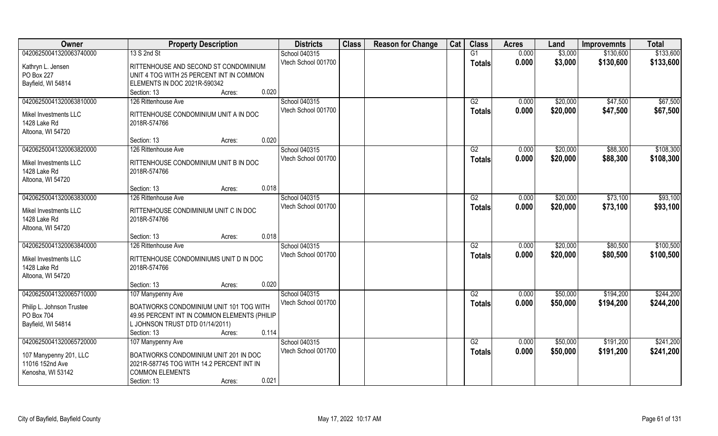| Owner                     | <b>Property Description</b>                  | <b>Districts</b>    | <b>Class</b> | <b>Reason for Change</b> | Cat | <b>Class</b>    | <b>Acres</b> | Land     | <b>Improvemnts</b> | <b>Total</b> |
|---------------------------|----------------------------------------------|---------------------|--------------|--------------------------|-----|-----------------|--------------|----------|--------------------|--------------|
| 04206250041320063740000   | 13 S 2nd St                                  | School 040315       |              |                          |     | G1              | 0.000        | \$3,000  | \$130,600          | \$133,600    |
| Kathryn L. Jensen         | RITTENHOUSE AND SECOND ST CONDOMINIUM        | Vtech School 001700 |              |                          |     | <b>Totals</b>   | 0.000        | \$3,000  | \$130,600          | \$133,600    |
| PO Box 227                | UNIT 4 TOG WITH 25 PERCENT INT IN COMMON     |                     |              |                          |     |                 |              |          |                    |              |
| Bayfield, WI 54814        | ELEMENTS IN DOC 2021R-590342                 |                     |              |                          |     |                 |              |          |                    |              |
|                           | 0.020<br>Section: 13<br>Acres:               |                     |              |                          |     |                 |              |          |                    |              |
| 04206250041320063810000   | 126 Rittenhouse Ave                          | School 040315       |              |                          |     | G2              | 0.000        | \$20,000 | \$47,500           | \$67,500     |
| Mikel Investments LLC     | RITTENHOUSE CONDOMINIUM UNIT A IN DOC        | Vtech School 001700 |              |                          |     | <b>Totals</b>   | 0.000        | \$20,000 | \$47,500           | \$67,500     |
| 1428 Lake Rd              | 2018R-574766                                 |                     |              |                          |     |                 |              |          |                    |              |
| Altoona, WI 54720         |                                              |                     |              |                          |     |                 |              |          |                    |              |
|                           | 0.020<br>Section: 13<br>Acres:               |                     |              |                          |     |                 |              |          |                    |              |
| 04206250041320063820000   | 126 Rittenhouse Ave                          | School 040315       |              |                          |     | G2              | 0.000        | \$20,000 | \$88,300           | \$108,300    |
| Mikel Investments LLC     | RITTENHOUSE CONDOMINIUM UNIT B IN DOC        | Vtech School 001700 |              |                          |     | <b>Totals</b>   | 0.000        | \$20,000 | \$88,300           | \$108,300    |
| 1428 Lake Rd              | 2018R-574766                                 |                     |              |                          |     |                 |              |          |                    |              |
| Altoona, WI 54720         |                                              |                     |              |                          |     |                 |              |          |                    |              |
|                           | 0.018<br>Section: 13<br>Acres:               |                     |              |                          |     |                 |              |          |                    |              |
| 04206250041320063830000   | 126 Rittenhouse Ave                          | School 040315       |              |                          |     | G2              | 0.000        | \$20,000 | \$73,100           | \$93,100     |
| Mikel Investments LLC     | RITTENHOUSE CONDIMINIUM UNIT C IN DOC        | Vtech School 001700 |              |                          |     | <b>Totals</b>   | 0.000        | \$20,000 | \$73,100           | \$93,100     |
| 1428 Lake Rd              | 2018R-574766                                 |                     |              |                          |     |                 |              |          |                    |              |
| Altoona, WI 54720         |                                              |                     |              |                          |     |                 |              |          |                    |              |
|                           | 0.018<br>Section: 13<br>Acres:               |                     |              |                          |     |                 |              |          |                    |              |
| 04206250041320063840000   | 126 Rittenhouse Ave                          | School 040315       |              |                          |     | $\overline{G2}$ | 0.000        | \$20,000 | \$80,500           | \$100,500    |
| Mikel Investments LLC     | RITTENHOUSE CONDOMINIUMS UNIT D IN DOC       | Vtech School 001700 |              |                          |     | <b>Totals</b>   | 0.000        | \$20,000 | \$80,500           | \$100,500    |
| 1428 Lake Rd              | 2018R-574766                                 |                     |              |                          |     |                 |              |          |                    |              |
| Altoona, WI 54720         |                                              |                     |              |                          |     |                 |              |          |                    |              |
|                           | 0.020<br>Section: 13<br>Acres:               |                     |              |                          |     |                 |              |          |                    |              |
| 04206250041320065710000   | 107 Manypenny Ave                            | School 040315       |              |                          |     | G2              | 0.000        | \$50,000 | \$194,200          | \$244,200    |
| Philip L. Johnson Trustee | BOATWORKS CONDOMINIUM UNIT 101 TOG WITH      | Vtech School 001700 |              |                          |     | <b>Totals</b>   | 0.000        | \$50,000 | \$194,200          | \$244,200    |
| PO Box 704                | 49.95 PERCENT INT IN COMMON ELEMENTS (PHILIP |                     |              |                          |     |                 |              |          |                    |              |
| Bayfield, WI 54814        | L JOHNSON TRUST DTD 01/14/2011)              |                     |              |                          |     |                 |              |          |                    |              |
|                           | 0.114<br>Section: 13<br>Acres:               |                     |              |                          |     |                 |              |          |                    |              |
| 04206250041320065720000   | 107 Manypenny Ave                            | School 040315       |              |                          |     | G2              | 0.000        | \$50,000 | \$191,200          | \$241,200    |
| 107 Manypenny 201, LLC    | BOATWORKS CONDOMINIUM UNIT 201 IN DOC        | Vtech School 001700 |              |                          |     | <b>Totals</b>   | 0.000        | \$50,000 | \$191,200          | \$241,200    |
| 11016 152nd Ave           | 2021R-587745 TOG WITH 14.2 PERCENT INT IN    |                     |              |                          |     |                 |              |          |                    |              |
| Kenosha, WI 53142         | <b>COMMON ELEMENTS</b>                       |                     |              |                          |     |                 |              |          |                    |              |
|                           | 0.021<br>Section: 13<br>Acres:               |                     |              |                          |     |                 |              |          |                    |              |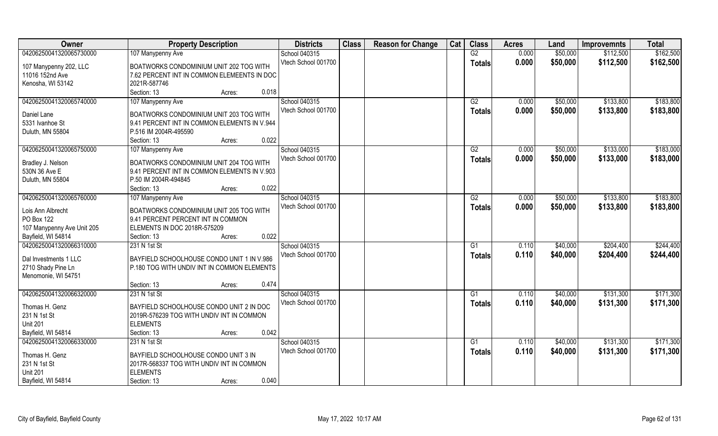| Owner                           | <b>Property Description</b>                                  | <b>Districts</b>    | <b>Class</b> | <b>Reason for Change</b> | Cat | <b>Class</b>  | <b>Acres</b> | Land     | <b>Improvemnts</b> | <b>Total</b> |
|---------------------------------|--------------------------------------------------------------|---------------------|--------------|--------------------------|-----|---------------|--------------|----------|--------------------|--------------|
| 04206250041320065730000         | 107 Manypenny Ave                                            | School 040315       |              |                          |     | G2            | 0.000        | \$50,000 | \$112,500          | \$162,500    |
| 107 Manypenny 202, LLC          | BOATWORKS CONDOMINIUM UNIT 202 TOG WITH                      | Vtech School 001700 |              |                          |     | <b>Totals</b> | 0.000        | \$50,000 | \$112,500          | \$162,500    |
| 11016 152nd Ave                 | 7.62 PERCENT INT IN COMMON ELEMEENTS IN DOC                  |                     |              |                          |     |               |              |          |                    |              |
| Kenosha, WI 53142               | 2021R-587746                                                 |                     |              |                          |     |               |              |          |                    |              |
|                                 | 0.018<br>Section: 13<br>Acres:                               |                     |              |                          |     |               |              |          |                    |              |
| 04206250041320065740000         | 107 Manypenny Ave                                            | School 040315       |              |                          |     | G2            | 0.000        | \$50,000 | \$133,800          | \$183,800    |
|                                 |                                                              | Vtech School 001700 |              |                          |     | Totals        | 0.000        | \$50,000 | \$133,800          | \$183,800    |
| Daniel Lane                     | BOATWORKS CONDOMINIUM UNIT 203 TOG WITH                      |                     |              |                          |     |               |              |          |                    |              |
| 5331 Ivanhoe St                 | 9.41 PERCENT INT IN COMMON ELEMENTS IN V.944                 |                     |              |                          |     |               |              |          |                    |              |
| Duluth, MN 55804                | P.516 IM 2004R-495590                                        |                     |              |                          |     |               |              |          |                    |              |
|                                 | 0.022<br>Section: 13<br>Acres:                               |                     |              |                          |     |               |              |          |                    |              |
| 04206250041320065750000         | 107 Manypenny Ave                                            | School 040315       |              |                          |     | G2            | 0.000        | \$50,000 | \$133,000          | \$183,000    |
| Bradley J. Nelson               | BOATWORKS CONDOMINIUM UNIT 204 TOG WITH                      | Vtech School 001700 |              |                          |     | <b>Totals</b> | 0.000        | \$50,000 | \$133,000          | \$183,000    |
| 530N 36 Ave E                   | 9.41 PERCENT INT IN COMMON ELEMENTS IN V.903                 |                     |              |                          |     |               |              |          |                    |              |
| Duluth, MN 55804                | P.50 IM 2004R-494845                                         |                     |              |                          |     |               |              |          |                    |              |
|                                 | 0.022<br>Section: 13<br>Acres:                               |                     |              |                          |     |               |              |          |                    |              |
| 04206250041320065760000         | 107 Manypenny Ave                                            | School 040315       |              |                          |     | G2            | 0.000        | \$50,000 | \$133,800          | \$183,800    |
|                                 |                                                              | Vtech School 001700 |              |                          |     | <b>Totals</b> | 0.000        | \$50,000 | \$133,800          | \$183,800    |
| Lois Ann Albrecht               | BOATWORKS CONDOMINIUM UNIT 205 TOG WITH                      |                     |              |                          |     |               |              |          |                    |              |
| PO Box 122                      | 9.41 PERCENT PERCENT INT IN COMMON                           |                     |              |                          |     |               |              |          |                    |              |
| 107 Manypenny Ave Unit 205      | ELEMENTS IN DOC 2018R-575209                                 |                     |              |                          |     |               |              |          |                    |              |
| Bayfield, WI 54814              | 0.022<br>Section: 13<br>Acres:                               |                     |              |                          |     |               |              |          |                    |              |
| 04206250041320066310000         | 231 N 1st St                                                 | School 040315       |              |                          |     | G1            | 0.110        | \$40,000 | \$204,400          | \$244,400    |
| Dal Investments 1 LLC           | BAYFIELD SCHOOLHOUSE CONDO UNIT 1 IN V.986                   | Vtech School 001700 |              |                          |     | <b>Totals</b> | 0.110        | \$40,000 | \$204,400          | \$244,400    |
| 2710 Shady Pine Ln              | P.180 TOG WITH UNDIV INT IN COMMON ELEMENTS                  |                     |              |                          |     |               |              |          |                    |              |
| Menomonie, WI 54751             |                                                              |                     |              |                          |     |               |              |          |                    |              |
|                                 | 0.474<br>Section: 13<br>Acres:                               |                     |              |                          |     |               |              |          |                    |              |
| 04206250041320066320000         | 231 N 1st St                                                 | School 040315       |              |                          |     | G1            | 0.110        | \$40,000 | \$131,300          | \$171,300    |
|                                 |                                                              | Vtech School 001700 |              |                          |     | <b>Totals</b> | 0.110        | \$40,000 | \$131,300          | \$171,300    |
| Thomas H. Genz                  | BAYFIELD SCHOOLHOUSE CONDO UNIT 2 IN DOC                     |                     |              |                          |     |               |              |          |                    |              |
| 231 N 1st St<br><b>Unit 201</b> | 2019R-576239 TOG WITH UNDIV INT IN COMMON<br><b>ELEMENTS</b> |                     |              |                          |     |               |              |          |                    |              |
|                                 | 0.042                                                        |                     |              |                          |     |               |              |          |                    |              |
| Bayfield, WI 54814              | Section: 13<br>Acres:                                        |                     |              |                          |     |               |              |          |                    |              |
| 04206250041320066330000         | 231 N 1st St                                                 | School 040315       |              |                          |     | G1            | 0.110        | \$40,000 | \$131,300          | \$171,300    |
| Thomas H. Genz                  | BAYFIELD SCHOOLHOUSE CONDO UNIT 3 IN                         | Vtech School 001700 |              |                          |     | <b>Totals</b> | 0.110        | \$40,000 | \$131,300          | \$171,300    |
| 231 N 1st St                    | 2017R-568337 TOG WITH UNDIV INT IN COMMON                    |                     |              |                          |     |               |              |          |                    |              |
| <b>Unit 201</b>                 | <b>ELEMENTS</b>                                              |                     |              |                          |     |               |              |          |                    |              |
| Bayfield, WI 54814              | 0.040<br>Section: 13<br>Acres:                               |                     |              |                          |     |               |              |          |                    |              |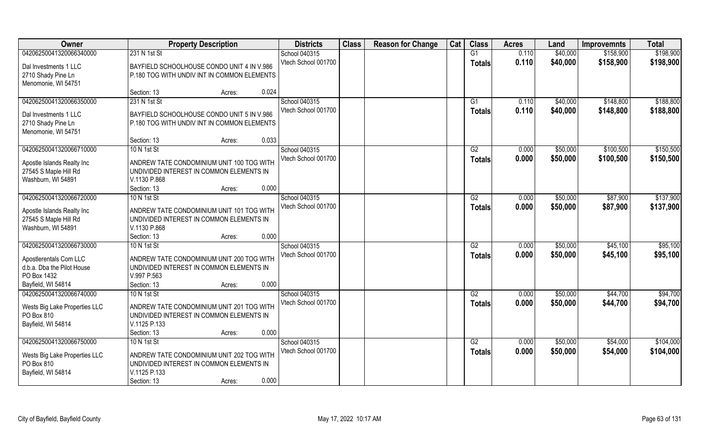| Owner                         | <b>Property Description</b>                              | <b>Districts</b>    | <b>Class</b> | <b>Reason for Change</b> | Cat | <b>Class</b>    | <b>Acres</b> | Land     | <b>Improvemnts</b> | <b>Total</b> |
|-------------------------------|----------------------------------------------------------|---------------------|--------------|--------------------------|-----|-----------------|--------------|----------|--------------------|--------------|
| 04206250041320066340000       | 231 N 1st St                                             | School 040315       |              |                          |     | G1              | 0.110        | \$40,000 | \$158,900          | \$198,900    |
| Dal Investments 1 LLC         | BAYFIELD SCHOOLHOUSE CONDO UNIT 4 IN V.986               | Vtech School 001700 |              |                          |     | <b>Totals</b>   | 0.110        | \$40,000 | \$158,900          | \$198,900    |
| 2710 Shady Pine Ln            | P.180 TOG WITH UNDIV INT IN COMMON ELEMENTS              |                     |              |                          |     |                 |              |          |                    |              |
| Menomonie, WI 54751           |                                                          |                     |              |                          |     |                 |              |          |                    |              |
|                               | 0.024<br>Section: 13<br>Acres:                           |                     |              |                          |     |                 |              |          |                    |              |
| 04206250041320066350000       | 231 N 1st St                                             | School 040315       |              |                          |     | G1              | 0.110        | \$40,000 | \$148,800          | \$188,800    |
| Dal Investments 1 LLC         | BAYFIELD SCHOOLHOUSE CONDO UNIT 5 IN V.986               | Vtech School 001700 |              |                          |     | Totals          | 0.110        | \$40,000 | \$148,800          | \$188,800    |
| 2710 Shady Pine Ln            | P.180 TOG WITH UNDIV INT IN COMMON ELEMENTS              |                     |              |                          |     |                 |              |          |                    |              |
| Menomonie, WI 54751           |                                                          |                     |              |                          |     |                 |              |          |                    |              |
|                               | 0.033<br>Section: 13<br>Acres:                           |                     |              |                          |     |                 |              |          |                    |              |
| 04206250041320066710000       | 10 N 1st St                                              | School 040315       |              |                          |     | G2              | 0.000        | \$50,000 | \$100,500          | \$150,500    |
|                               |                                                          | Vtech School 001700 |              |                          |     | <b>Totals</b>   | 0.000        | \$50,000 | \$100,500          | \$150,500    |
| Apostle Islands Realty Inc    | ANDREW TATE CONDOMINIUM UNIT 100 TOG WITH                |                     |              |                          |     |                 |              |          |                    |              |
| 27545 S Maple Hill Rd         | UNDIVIDED INTEREST IN COMMON ELEMENTS IN                 |                     |              |                          |     |                 |              |          |                    |              |
| Washburn, WI 54891            | V.1130 P.868                                             |                     |              |                          |     |                 |              |          |                    |              |
|                               | 0.000<br>Section: 13<br>Acres:                           |                     |              |                          |     |                 |              |          |                    |              |
| 04206250041320066720000       | 10 N 1st St                                              | School 040315       |              |                          |     | G2              | 0.000        | \$50,000 | \$87,900           | \$137,900    |
| Apostle Islands Realty Inc    | ANDREW TATE CONDOMINIUM UNIT 101 TOG WITH                | Vtech School 001700 |              |                          |     | <b>Totals</b>   | 0.000        | \$50,000 | \$87,900           | \$137,900    |
| 27545 S Maple Hill Rd         | UNDIVIDED INTEREST IN COMMON ELEMENTS IN                 |                     |              |                          |     |                 |              |          |                    |              |
| Washburn, WI 54891            | V.1130 P.868                                             |                     |              |                          |     |                 |              |          |                    |              |
|                               | 0.000<br>Section: 13<br>Acres:                           |                     |              |                          |     |                 |              |          |                    |              |
| 04206250041320066730000       | 10 N 1st St                                              | School 040315       |              |                          |     | $\overline{G2}$ | 0.000        | \$50,000 | \$45,100           | \$95,100     |
| Apostlerentals Com LLC        | ANDREW TATE CONDOMINIUM UNIT 200 TOG WITH                | Vtech School 001700 |              |                          |     | <b>Totals</b>   | 0.000        | \$50,000 | \$45,100           | \$95,100     |
| d.b.a. Dba the Pilot House    | UNDIVIDED INTEREST IN COMMON ELEMENTS IN                 |                     |              |                          |     |                 |              |          |                    |              |
| PO Box 1432                   | V.997 P.563                                              |                     |              |                          |     |                 |              |          |                    |              |
| Bayfield, WI 54814            | 0.000<br>Section: 13<br>Acres:                           |                     |              |                          |     |                 |              |          |                    |              |
| 04206250041320066740000       | 10 N 1st St                                              | School 040315       |              |                          |     | $\overline{G2}$ | 0.000        | \$50,000 | \$44,700           | \$94,700     |
|                               |                                                          | Vtech School 001700 |              |                          |     | <b>Totals</b>   | 0.000        | \$50,000 | \$44,700           | \$94,700     |
| Wests Big Lake Properties LLC | ANDREW TATE CONDOMINIUM UNIT 201 TOG WITH                |                     |              |                          |     |                 |              |          |                    |              |
| PO Box 810                    | UNDIVIDED INTEREST IN COMMON ELEMENTS IN<br>V.1125 P.133 |                     |              |                          |     |                 |              |          |                    |              |
| Bayfield, WI 54814            | 0.000<br>Section: 13<br>Acres:                           |                     |              |                          |     |                 |              |          |                    |              |
| 04206250041320066750000       | 10 N 1st St                                              | School 040315       |              |                          |     | G2              | 0.000        | \$50,000 | \$54,000           | \$104,000    |
|                               |                                                          | Vtech School 001700 |              |                          |     |                 | 0.000        | \$50,000 | \$54,000           | \$104,000    |
| Wests Big Lake Properties LLC | ANDREW TATE CONDOMINIUM UNIT 202 TOG WITH                |                     |              |                          |     | Totals          |              |          |                    |              |
| PO Box 810                    | UNDIVIDED INTEREST IN COMMON ELEMENTS IN                 |                     |              |                          |     |                 |              |          |                    |              |
| Bayfield, WI 54814            | V.1125 P.133                                             |                     |              |                          |     |                 |              |          |                    |              |
|                               | 0.000<br>Section: 13<br>Acres:                           |                     |              |                          |     |                 |              |          |                    |              |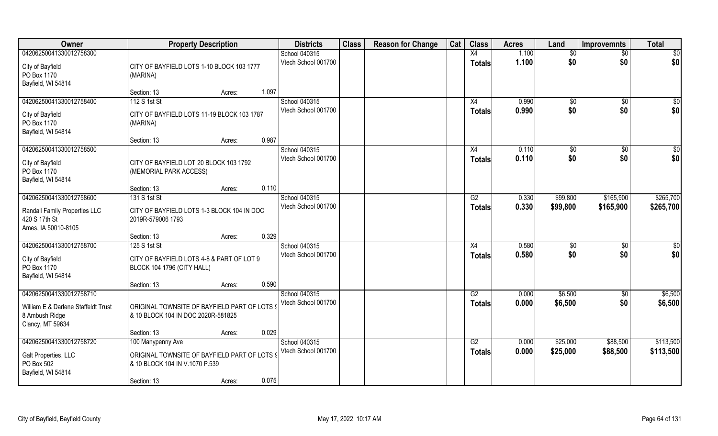| <b>Owner</b>                                                              | <b>Property Description</b>                                                             |                 | <b>Districts</b>                     | <b>Class</b> | <b>Reason for Change</b> | Cat | <b>Class</b>        | <b>Acres</b>   | Land                 | <b>Improvemnts</b>     | <b>Total</b>       |
|---------------------------------------------------------------------------|-----------------------------------------------------------------------------------------|-----------------|--------------------------------------|--------------|--------------------------|-----|---------------------|----------------|----------------------|------------------------|--------------------|
| 04206250041330012758300                                                   |                                                                                         |                 | School 040315                        |              |                          |     | X4                  | 1.100          | \$0                  | $\overline{50}$        | $\overline{50}$    |
| City of Bayfield<br>PO Box 1170<br>Bayfield, WI 54814                     | CITY OF BAYFIELD LOTS 1-10 BLOCK 103 1777<br>(MARINA)                                   |                 | Vtech School 001700                  |              |                          |     | <b>Totals</b>       | 1.100          | \$0                  | \$0                    | \$0                |
|                                                                           | Section: 13                                                                             | 1.097<br>Acres: |                                      |              |                          |     |                     |                |                      |                        |                    |
| 04206250041330012758400<br>City of Bayfield<br>PO Box 1170                | 112 S 1st St<br>CITY OF BAYFIELD LOTS 11-19 BLOCK 103 1787<br>(MARINA)                  |                 | School 040315<br>Vtech School 001700 |              |                          |     | X4<br><b>Totals</b> | 0.990<br>0.990 | $\sqrt[6]{}$<br>\$0  | $\overline{50}$<br>\$0 | $\sqrt{50}$<br>\$0 |
| Bayfield, WI 54814                                                        | Section: 13                                                                             | 0.987<br>Acres: |                                      |              |                          |     |                     |                |                      |                        |                    |
| 04206250041330012758500                                                   |                                                                                         |                 | School 040315                        |              |                          |     | X4                  | 0.110          | \$0                  | $\sqrt[6]{30}$         | \$0                |
| City of Bayfield<br>PO Box 1170<br>Bayfield, WI 54814                     | CITY OF BAYFIELD LOT 20 BLOCK 103 1792<br>(MEMORIAL PARK ACCESS)                        |                 | Vtech School 001700                  |              |                          |     | <b>Totals</b>       | 0.110          | \$0                  | \$0                    | \$0                |
|                                                                           | Section: 13                                                                             | 0.110<br>Acres: |                                      |              |                          |     |                     |                |                      |                        |                    |
| 04206250041330012758600                                                   | 131 S 1st St                                                                            |                 | School 040315                        |              |                          |     | G2                  | 0.330          | \$99,800             | \$165,900              | \$265,700          |
| Randall Family Properties LLC<br>420 S 17th St<br>Ames, IA 50010-8105     | CITY OF BAYFIELD LOTS 1-3 BLOCK 104 IN DOC<br>2019R-579006 1793                         |                 | Vtech School 001700                  |              |                          |     | <b>Totals</b>       | 0.330          | \$99,800             | \$165,900              | \$265,700          |
|                                                                           | Section: 13                                                                             | 0.329<br>Acres: |                                      |              |                          |     |                     |                |                      |                        |                    |
| 04206250041330012758700<br>City of Bayfield<br>PO Box 1170                | 125 S 1st St<br>CITY OF BAYFIELD LOTS 4-8 & PART OF LOT 9<br>BLOCK 104 1796 (CITY HALL) |                 | School 040315<br>Vtech School 001700 |              |                          |     | X4<br><b>Totals</b> | 0.580<br>0.580 | $\sqrt[6]{3}$<br>\$0 | $\sqrt[6]{30}$<br>\$0  | \$0<br>\$0         |
| Bayfield, WI 54814                                                        |                                                                                         |                 |                                      |              |                          |     |                     |                |                      |                        |                    |
| 04206250041330012758710                                                   | Section: 13                                                                             | 0.590<br>Acres: | School 040315                        |              |                          |     | G2                  | 0.000          | \$6,500              | \$0                    | \$6,500            |
| William E & Darlene Staffeldt Trust<br>8 Ambush Ridge<br>Clancy, MT 59634 | ORIGINAL TOWNSITE OF BAYFIELD PART OF LOTS 9<br>& 10 BLOCK 104 IN DOC 2020R-581825      |                 | Vtech School 001700                  |              |                          |     | <b>Totals</b>       | 0.000          | \$6,500              | \$0                    | \$6,500            |
|                                                                           | Section: 13                                                                             | 0.029<br>Acres: |                                      |              |                          |     |                     |                |                      |                        |                    |
| 04206250041330012758720                                                   | 100 Manypenny Ave                                                                       |                 | School 040315                        |              |                          |     | G2                  | 0.000          | \$25,000             | \$88,500               | \$113,500          |
| Galt Properties, LLC<br>PO Box 502<br>Bayfield, WI 54814                  | ORIGINAL TOWNSITE OF BAYFIELD PART OF LOTS 9<br>& 10 BLOCK 104 IN V.1070 P.539          |                 | Vtech School 001700                  |              |                          |     | <b>Totals</b>       | 0.000          | \$25,000             | \$88,500               | \$113,500          |
|                                                                           | Section: 13                                                                             | 0.075<br>Acres: |                                      |              |                          |     |                     |                |                      |                        |                    |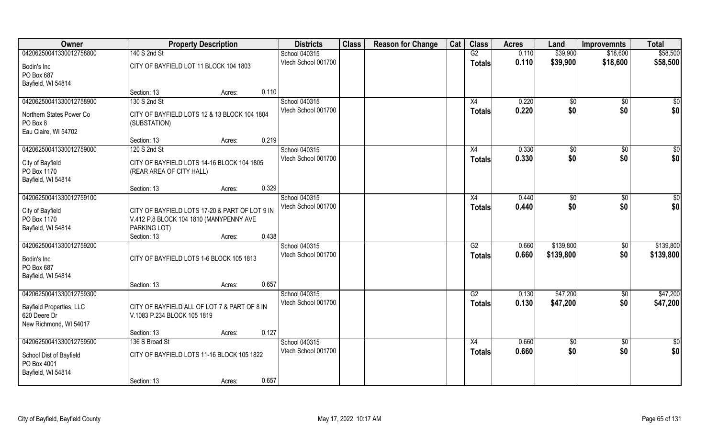| Owner                                                                      | <b>Property Description</b>                                                                               |       | <b>Districts</b>                     | <b>Class</b> | <b>Reason for Change</b> | Cat | <b>Class</b>                     | <b>Acres</b>   | Land                   | <b>Improvemnts</b>     | <b>Total</b>           |
|----------------------------------------------------------------------------|-----------------------------------------------------------------------------------------------------------|-------|--------------------------------------|--------------|--------------------------|-----|----------------------------------|----------------|------------------------|------------------------|------------------------|
| 04206250041330012758800                                                    | 140 S 2nd St                                                                                              |       | School 040315                        |              |                          |     | G2                               | 0.110          | \$39,900               | \$18,600               | \$58,500               |
| Bodin's Inc<br>PO Box 687                                                  | CITY OF BAYFIELD LOT 11 BLOCK 104 1803                                                                    |       | Vtech School 001700                  |              |                          |     | <b>Totals</b>                    | 0.110          | \$39,900               | \$18,600               | \$58,500               |
| Bayfield, WI 54814                                                         |                                                                                                           |       |                                      |              |                          |     |                                  |                |                        |                        |                        |
|                                                                            | Section: 13<br>Acres:                                                                                     | 0.110 |                                      |              |                          |     |                                  |                |                        |                        |                        |
| 04206250041330012758900                                                    | 130 S 2nd St                                                                                              |       | School 040315                        |              |                          |     | X4                               | 0.220          | \$0                    | $\sqrt{$0}$            | \$0                    |
| Northern States Power Co<br>PO Box 8<br>Eau Claire, WI 54702               | CITY OF BAYFIELD LOTS 12 & 13 BLOCK 104 1804<br>(SUBSTATION)                                              |       | Vtech School 001700                  |              |                          |     | <b>Totals</b>                    | 0.220          | \$0                    | \$0                    | \$0                    |
|                                                                            | Section: 13<br>Acres:                                                                                     | 0.219 |                                      |              |                          |     |                                  |                |                        |                        |                        |
| 04206250041330012759000                                                    | 120 S 2nd St                                                                                              |       | School 040315                        |              |                          |     | X4                               | 0.330          | \$0                    | $\overline{50}$        | $\sqrt{50}$            |
| City of Bayfield<br>PO Box 1170                                            | CITY OF BAYFIELD LOTS 14-16 BLOCK 104 1805<br>(REAR AREA OF CITY HALL)                                    |       | Vtech School 001700                  |              |                          |     | <b>Totals</b>                    | 0.330          | \$0                    | \$0                    | \$0                    |
| Bayfield, WI 54814                                                         | Section: 13<br>Acres:                                                                                     | 0.329 |                                      |              |                          |     |                                  |                |                        |                        |                        |
| 04206250041330012759100                                                    |                                                                                                           |       | School 040315                        |              |                          |     | X4                               | 0.440          | \$0                    | $\sqrt[6]{3}$          | $\sqrt{50}$            |
| City of Bayfield<br>PO Box 1170<br>Bayfield, WI 54814                      | CITY OF BAYFIELD LOTS 17-20 & PART OF LOT 9 IN<br>V.412 P.8 BLOCK 104 1810 (MANYPENNY AVE<br>PARKING LOT) |       | Vtech School 001700                  |              |                          |     | <b>Totals</b>                    | 0.440          | \$0                    | \$0                    | \$0                    |
|                                                                            | Section: 13<br>Acres:                                                                                     | 0.438 |                                      |              |                          |     |                                  |                |                        |                        |                        |
| 04206250041330012759200<br>Bodin's Inc<br>PO Box 687<br>Bayfield, WI 54814 | CITY OF BAYFIELD LOTS 1-6 BLOCK 105 1813                                                                  |       | School 040315<br>Vtech School 001700 |              |                          |     | $\overline{G2}$<br><b>Totals</b> | 0.660<br>0.660 | \$139,800<br>\$139,800 | $\overline{50}$<br>\$0 | \$139,800<br>\$139,800 |
|                                                                            | Section: 13<br>Acres:                                                                                     | 0.657 |                                      |              |                          |     |                                  |                |                        |                        |                        |
| 04206250041330012759300                                                    |                                                                                                           |       | School 040315                        |              |                          |     | G2                               | 0.130          | \$47,200               | $\sqrt{$0}$            | \$47,200               |
| <b>Bayfield Properties, LLC</b><br>620 Deere Dr<br>New Richmond, WI 54017  | CITY OF BAYFIELD ALL OF LOT 7 & PART OF 8 IN<br>V.1083 P.234 BLOCK 105 1819                               |       | Vtech School 001700                  |              |                          |     | <b>Totals</b>                    | 0.130          | \$47,200               | \$0                    | \$47,200               |
|                                                                            | Section: 13<br>Acres:                                                                                     | 0.127 |                                      |              |                          |     |                                  |                |                        |                        |                        |
| 04206250041330012759500                                                    | 136 S Broad St                                                                                            |       | School 040315                        |              |                          |     | $\overline{X4}$                  | 0.660          | $\sqrt{50}$            | $\sqrt{$0}$            | $\overline{50}$        |
| School Dist of Bayfield<br>PO Box 4001<br>Bayfield, WI 54814               | CITY OF BAYFIELD LOTS 11-16 BLOCK 105 1822                                                                |       | Vtech School 001700                  |              |                          |     | <b>Totals</b>                    | 0.660          | \$0                    | \$0                    | \$0                    |
|                                                                            | Section: 13<br>Acres:                                                                                     | 0.657 |                                      |              |                          |     |                                  |                |                        |                        |                        |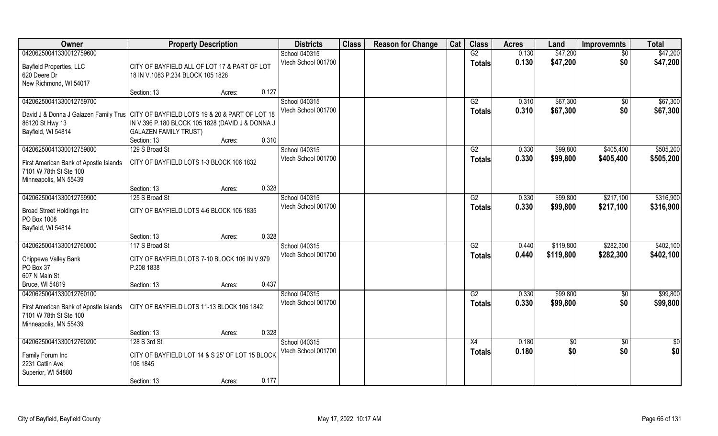| Owner                                                                                  | <b>Property Description</b>                      |        |       | <b>Districts</b>    | <b>Class</b> | <b>Reason for Change</b> | Cat | <b>Class</b>    | <b>Acres</b>   | Land       | <b>Improvemnts</b> | <b>Total</b> |
|----------------------------------------------------------------------------------------|--------------------------------------------------|--------|-------|---------------------|--------------|--------------------------|-----|-----------------|----------------|------------|--------------------|--------------|
| 04206250041330012759600                                                                |                                                  |        |       | School 040315       |              |                          |     | G2              | 0.130          | \$47,200   | \$0                | \$47,200     |
| Bayfield Properties, LLC                                                               | CITY OF BAYFIELD ALL OF LOT 17 & PART OF LOT     |        |       | Vtech School 001700 |              |                          |     | <b>Totals</b>   | 0.130          | \$47,200   | \$0                | \$47,200     |
| 620 Deere Dr                                                                           | 18 IN V.1083 P.234 BLOCK 105 1828                |        |       |                     |              |                          |     |                 |                |            |                    |              |
| New Richmond, WI 54017                                                                 |                                                  |        |       |                     |              |                          |     |                 |                |            |                    |              |
|                                                                                        | Section: 13                                      | Acres: | 0.127 |                     |              |                          |     |                 |                |            |                    |              |
| 04206250041330012759700                                                                |                                                  |        |       | School 040315       |              |                          |     | G2              | 0.310          | \$67,300   | $\overline{50}$    | \$67,300     |
| David J & Donna J Galazen Family Trus   CITY OF BAYFIELD LOTS 19 & 20 & PART OF LOT 18 |                                                  |        |       | Vtech School 001700 |              |                          |     | <b>Totals</b>   | 0.310          | \$67,300   | \$0                | \$67,300     |
| 86120 St Hwy 13                                                                        | IN V.396 P.180 BLOCK 105 1828 (DAVID J & DONNA J |        |       |                     |              |                          |     |                 |                |            |                    |              |
| Bayfield, WI 54814                                                                     | <b>GALAZEN FAMILY TRUST)</b>                     |        |       |                     |              |                          |     |                 |                |            |                    |              |
|                                                                                        | Section: 13                                      | Acres: | 0.310 |                     |              |                          |     |                 |                |            |                    |              |
| 04206250041330012759800                                                                | 129 S Broad St                                   |        |       | School 040315       |              |                          |     | G2              | 0.330          | \$99,800   | \$405,400          | \$505,200    |
|                                                                                        | CITY OF BAYFIELD LOTS 1-3 BLOCK 106 1832         |        |       | Vtech School 001700 |              |                          |     | <b>Totals</b>   | 0.330          | \$99,800   | \$405,400          | \$505,200    |
| First American Bank of Apostle Islands<br>7101 W 78th St Ste 100                       |                                                  |        |       |                     |              |                          |     |                 |                |            |                    |              |
| Minneapolis, MN 55439                                                                  |                                                  |        |       |                     |              |                          |     |                 |                |            |                    |              |
|                                                                                        | Section: 13                                      | Acres: | 0.328 |                     |              |                          |     |                 |                |            |                    |              |
| 04206250041330012759900                                                                | 125 S Broad St                                   |        |       | School 040315       |              |                          |     | G2              | 0.330          | \$99,800   | \$217,100          | \$316,900    |
|                                                                                        |                                                  |        |       | Vtech School 001700 |              |                          |     | <b>Totals</b>   | 0.330          | \$99,800   | \$217,100          | \$316,900    |
| <b>Broad Street Holdings Inc</b><br>PO Box 1008                                        | CITY OF BAYFIELD LOTS 4-6 BLOCK 106 1835         |        |       |                     |              |                          |     |                 |                |            |                    |              |
| Bayfield, WI 54814                                                                     |                                                  |        |       |                     |              |                          |     |                 |                |            |                    |              |
|                                                                                        | Section: 13                                      | Acres: | 0.328 |                     |              |                          |     |                 |                |            |                    |              |
| 04206250041330012760000                                                                | 117 S Broad St                                   |        |       | School 040315       |              |                          |     | $\overline{G2}$ | 0.440          | \$119,800  | \$282,300          | \$402,100    |
|                                                                                        |                                                  |        |       | Vtech School 001700 |              |                          |     | <b>Totals</b>   | 0.440          | \$119,800  | \$282,300          | \$402,100    |
| Chippewa Valley Bank                                                                   | CITY OF BAYFIELD LOTS 7-10 BLOCK 106 IN V.979    |        |       |                     |              |                          |     |                 |                |            |                    |              |
| PO Box 37                                                                              | P.208 1838                                       |        |       |                     |              |                          |     |                 |                |            |                    |              |
| 607 N Main St                                                                          |                                                  |        | 0.437 |                     |              |                          |     |                 |                |            |                    |              |
| Bruce, WI 54819<br>04206250041330012760100                                             | Section: 13                                      | Acres: |       | School 040315       |              |                          |     | G2              |                | \$99,800   |                    | \$99,800     |
|                                                                                        |                                                  |        |       | Vtech School 001700 |              |                          |     |                 | 0.330<br>0.330 |            | \$0<br>\$0         |              |
| First American Bank of Apostle Islands                                                 | CITY OF BAYFIELD LOTS 11-13 BLOCK 106 1842       |        |       |                     |              |                          |     | <b>Totals</b>   |                | \$99,800   |                    | \$99,800     |
| 7101 W 78th St Ste 100                                                                 |                                                  |        |       |                     |              |                          |     |                 |                |            |                    |              |
| Minneapolis, MN 55439                                                                  |                                                  |        |       |                     |              |                          |     |                 |                |            |                    |              |
|                                                                                        | Section: 13                                      | Acres: | 0.328 |                     |              |                          |     |                 |                |            |                    |              |
| 04206250041330012760200                                                                | 128 S 3rd St                                     |        |       | School 040315       |              |                          |     | X4              | 0.180          | $\sqrt{6}$ | $\overline{50}$    | $rac{1}{2}$  |
| Family Forum Inc                                                                       | CITY OF BAYFIELD LOT 14 & S 25' OF LOT 15 BLOCK  |        |       | Vtech School 001700 |              |                          |     | <b>Totals</b>   | 0.180          | \$0        | \$0                | \$0          |
| 2231 Catlin Ave                                                                        | 106 1845                                         |        |       |                     |              |                          |     |                 |                |            |                    |              |
| Superior, WI 54880                                                                     |                                                  |        |       |                     |              |                          |     |                 |                |            |                    |              |
|                                                                                        | Section: 13                                      | Acres: | 0.177 |                     |              |                          |     |                 |                |            |                    |              |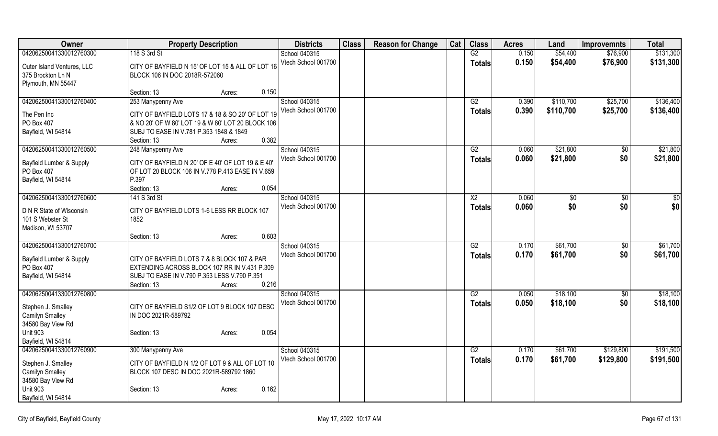| Owner                                 | <b>Property Description</b>                       |       | <b>Districts</b>                     | <b>Class</b> | <b>Reason for Change</b> | Cat | <b>Class</b>    | <b>Acres</b>   | Land           | <b>Improvemnts</b> | <b>Total</b> |
|---------------------------------------|---------------------------------------------------|-------|--------------------------------------|--------------|--------------------------|-----|-----------------|----------------|----------------|--------------------|--------------|
| 04206250041330012760300               | 118 S 3rd St                                      |       | School 040315                        |              |                          |     | $\overline{G2}$ | 0.150          | \$54,400       | \$76,900           | \$131,300    |
| Outer Island Ventures, LLC            | CITY OF BAYFIELD N 15' OF LOT 15 & ALL OF LOT 16  |       | Vtech School 001700                  |              |                          |     | <b>Totals</b>   | 0.150          | \$54,400       | \$76,900           | \$131,300    |
| 375 Brockton Ln N                     | BLOCK 106 IN DOC 2018R-572060                     |       |                                      |              |                          |     |                 |                |                |                    |              |
| Plymouth, MN 55447                    |                                                   |       |                                      |              |                          |     |                 |                |                |                    |              |
|                                       | Section: 13<br>Acres:                             | 0.150 |                                      |              |                          |     |                 |                |                |                    |              |
| 04206250041330012760400               | 253 Manypenny Ave                                 |       | School 040315                        |              |                          |     | G2              | 0.390          | \$110,700      | \$25,700           | \$136,400    |
| The Pen Inc                           | CITY OF BAYFIELD LOTS 17 & 18 & SO 20' OF LOT 19  |       | Vtech School 001700                  |              |                          |     | <b>Totals</b>   | 0.390          | \$110,700      | \$25,700           | \$136,400    |
| PO Box 407                            | & NO 20' OF W 80' LOT 19 & W 80' LOT 20 BLOCK 106 |       |                                      |              |                          |     |                 |                |                |                    |              |
| Bayfield, WI 54814                    | SUBJ TO EASE IN V.781 P.353 1848 & 1849           |       |                                      |              |                          |     |                 |                |                |                    |              |
|                                       | Section: 13<br>Acres:                             | 0.382 |                                      |              |                          |     |                 |                |                |                    |              |
| 04206250041330012760500               | 248 Manypenny Ave                                 |       | School 040315                        |              |                          |     | G2              | 0.060          | \$21,800       | \$0                | \$21,800     |
| Bayfield Lumber & Supply              | CITY OF BAYFIELD N 20' OF E 40' OF LOT 19 & E 40' |       | Vtech School 001700                  |              |                          |     | <b>Totals</b>   | 0.060          | \$21,800       | \$0                | \$21,800     |
| PO Box 407                            | OF LOT 20 BLOCK 106 IN V.778 P.413 EASE IN V.659  |       |                                      |              |                          |     |                 |                |                |                    |              |
| Bayfield, WI 54814                    | P.397                                             |       |                                      |              |                          |     |                 |                |                |                    |              |
|                                       | Section: 13<br>Acres:                             | 0.054 |                                      |              |                          |     |                 |                |                |                    |              |
| 04206250041330012760600               | 141 S 3rd St                                      |       | School 040315                        |              |                          |     | $\overline{X2}$ | 0.060          | $\sqrt[6]{30}$ | \$0                | \$0          |
| D N R State of Wisconsin              | CITY OF BAYFIELD LOTS 1-6 LESS RR BLOCK 107       |       | Vtech School 001700                  |              |                          |     | <b>Totals</b>   | 0.060          | \$0            | \$0                | \$0          |
| 101 S Webster St                      | 1852                                              |       |                                      |              |                          |     |                 |                |                |                    |              |
| Madison, WI 53707                     |                                                   |       |                                      |              |                          |     |                 |                |                |                    |              |
|                                       | Section: 13<br>Acres:                             | 0.603 |                                      |              |                          |     |                 |                |                |                    |              |
| 04206250041330012760700               |                                                   |       | School 040315                        |              |                          |     | $\overline{G2}$ | 0.170          | \$61,700       | \$0                | \$61,700     |
| Bayfield Lumber & Supply              | CITY OF BAYFIELD LOTS 7 & 8 BLOCK 107 & PAR       |       | Vtech School 001700                  |              |                          |     | <b>Totals</b>   | 0.170          | \$61,700       | \$0                | \$61,700     |
| PO Box 407                            | EXTENDING ACROSS BLOCK 107 RR IN V.431 P.309      |       |                                      |              |                          |     |                 |                |                |                    |              |
| Bayfield, WI 54814                    | SUBJ TO EASE IN V.790 P.353 LESS V.790 P.351      |       |                                      |              |                          |     |                 |                |                |                    |              |
|                                       | Section: 13<br>Acres:                             | 0.216 |                                      |              |                          |     |                 |                |                |                    |              |
| 04206250041330012760800               |                                                   |       | School 040315                        |              |                          |     | G2              | 0.050          | \$18,100       | $\overline{50}$    | \$18,100     |
| Stephen J. Smalley                    | CITY OF BAYFIELD S1/2 OF LOT 9 BLOCK 107 DESC     |       | Vtech School 001700                  |              |                          |     | <b>Totals</b>   | 0.050          | \$18,100       | \$0                | \$18,100     |
| <b>Camilyn Smalley</b>                | IN DOC 2021R-589792                               |       |                                      |              |                          |     |                 |                |                |                    |              |
| 34580 Bay View Rd                     |                                                   |       |                                      |              |                          |     |                 |                |                |                    |              |
| <b>Unit 903</b>                       | Section: 13<br>Acres:                             | 0.054 |                                      |              |                          |     |                 |                |                |                    |              |
| Bayfield, WI 54814                    |                                                   |       |                                      |              |                          |     |                 |                |                |                    |              |
| 04206250041330012760900               | 300 Manypenny Ave                                 |       | School 040315<br>Vtech School 001700 |              |                          |     | G2              | 0.170<br>0.170 | \$61,700       | \$129,800          | \$191,500    |
| Stephen J. Smalley                    | CITY OF BAYFIELD N 1/2 OF LOT 9 & ALL OF LOT 10   |       |                                      |              |                          |     | <b>Totals</b>   |                | \$61,700       | \$129,800          | \$191,500    |
| <b>Camilyn Smalley</b>                | BLOCK 107 DESC IN DOC 2021R-589792 1860           |       |                                      |              |                          |     |                 |                |                |                    |              |
| 34580 Bay View Rd                     |                                                   |       |                                      |              |                          |     |                 |                |                |                    |              |
| <b>Unit 903</b><br>Bayfield, WI 54814 | Section: 13<br>Acres:                             | 0.162 |                                      |              |                          |     |                 |                |                |                    |              |
|                                       |                                                   |       |                                      |              |                          |     |                 |                |                |                    |              |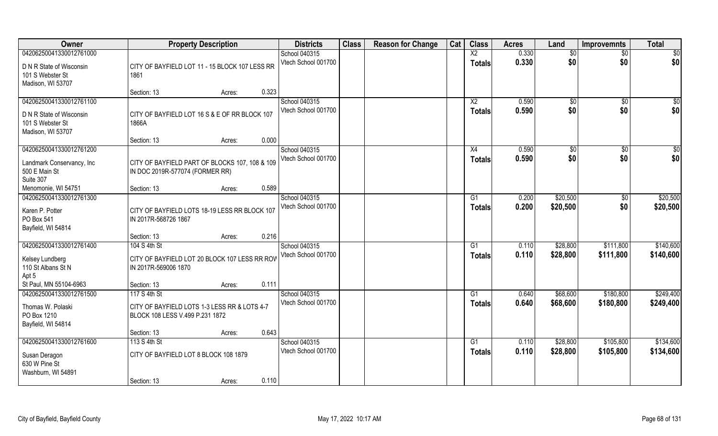| Owner                                                                                        | <b>Property Description</b>                                                             | <b>Districts</b>                     | <b>Class</b> | <b>Reason for Change</b> | Cat | <b>Class</b>                     | <b>Acres</b>   | Land                 | <b>Improvemnts</b>     | <b>Total</b>           |
|----------------------------------------------------------------------------------------------|-----------------------------------------------------------------------------------------|--------------------------------------|--------------|--------------------------|-----|----------------------------------|----------------|----------------------|------------------------|------------------------|
| 04206250041330012761000                                                                      |                                                                                         | School 040315                        |              |                          |     | $\overline{X2}$                  | 0.330          | \$0                  | $\sqrt{6}$             | \$0                    |
| D N R State of Wisconsin<br>101 S Webster St<br>Madison, WI 53707                            | CITY OF BAYFIELD LOT 11 - 15 BLOCK 107 LESS RR<br>1861                                  | Vtech School 001700                  |              |                          |     | <b>Totals</b>                    | 0.330          | \$0                  | \$0                    | \$0                    |
|                                                                                              | 0.323<br>Section: 13<br>Acres:                                                          |                                      |              |                          |     |                                  |                |                      |                        |                        |
| 04206250041330012761100<br>D N R State of Wisconsin<br>101 S Webster St<br>Madison, WI 53707 | CITY OF BAYFIELD LOT 16 S & E OF RR BLOCK 107<br>1866A                                  | School 040315<br>Vtech School 001700 |              |                          |     | $\overline{X2}$<br><b>Totals</b> | 0.590<br>0.590 | $\sqrt[6]{}$<br>\$0  | $\sqrt{$0}$<br>\$0     | \$0<br>\$0             |
|                                                                                              | 0.000<br>Section: 13<br>Acres:                                                          |                                      |              |                          |     |                                  |                |                      |                        |                        |
| 04206250041330012761200<br>Landmark Conservancy, Inc<br>500 E Main St<br>Suite 307           | CITY OF BAYFIELD PART OF BLOCKS 107, 108 & 109<br>IN DOC 2019R-577074 (FORMER RR)       | School 040315<br>Vtech School 001700 |              |                          |     | X4<br><b>Totals</b>              | 0.590<br>0.590 | \$0<br>\$0           | $\overline{50}$<br>\$0 | $\sqrt{50}$<br>\$0     |
| Menomonie, WI 54751                                                                          | 0.589<br>Section: 13<br>Acres:                                                          |                                      |              |                          |     |                                  |                |                      |                        |                        |
| 04206250041330012761300<br>Karen P. Potter<br>PO Box 541<br>Bayfield, WI 54814               | CITY OF BAYFIELD LOTS 18-19 LESS RR BLOCK 107<br>IN 2017R-568726 1867                   | School 040315<br>Vtech School 001700 |              |                          |     | G1<br><b>Totals</b>              | 0.200<br>0.200 | \$20,500<br>\$20,500 | $\sqrt[6]{3}$<br>\$0   | \$20,500<br>\$20,500   |
|                                                                                              | 0.216<br>Section: 13<br>Acres:                                                          |                                      |              |                          |     |                                  |                |                      |                        |                        |
| 04206250041330012761400<br>Kelsey Lundberg<br>110 St Albans St N<br>Apt 5                    | 104 S 4th St<br>CITY OF BAYFIELD LOT 20 BLOCK 107 LESS RR ROV<br>IN 2017R-569006 1870   | School 040315<br>Vtech School 001700 |              |                          |     | G1<br><b>Totals</b>              | 0.110<br>0.110 | \$28,800<br>\$28,800 | \$111,800<br>\$111,800 | \$140,600<br>\$140,600 |
| St Paul, MN 55104-6963                                                                       | 0.111<br>Section: 13<br>Acres:                                                          |                                      |              |                          |     |                                  |                |                      |                        |                        |
| 04206250041330012761500                                                                      | 117 S 4th St                                                                            | School 040315                        |              |                          |     | G1                               | 0.640          | \$68,600             | \$180,800              | \$249,400              |
| Thomas W. Polaski<br>PO Box 1210<br>Bayfield, WI 54814                                       | CITY OF BAYFIELD LOTS 1-3 LESS RR & LOTS 4-7<br>BLOCK 108 LESS V.499 P.231 1872         | Vtech School 001700                  |              |                          |     | <b>Totals</b>                    | 0.640          | \$68,600             | \$180,800              | \$249,400              |
|                                                                                              | 0.643<br>Section: 13<br>Acres:                                                          |                                      |              |                          |     |                                  |                |                      |                        |                        |
| 04206250041330012761600<br>Susan Deragon<br>630 W Pine St<br>Washburn, WI 54891              | 113 S 4th St<br>CITY OF BAYFIELD LOT 8 BLOCK 108 1879<br>0.110<br>Section: 13<br>Acres: | School 040315<br>Vtech School 001700 |              |                          |     | $\overline{G1}$<br><b>Totals</b> | 0.110<br>0.110 | \$28,800<br>\$28,800 | \$105,800<br>\$105,800 | \$134,600<br>\$134,600 |
|                                                                                              |                                                                                         |                                      |              |                          |     |                                  |                |                      |                        |                        |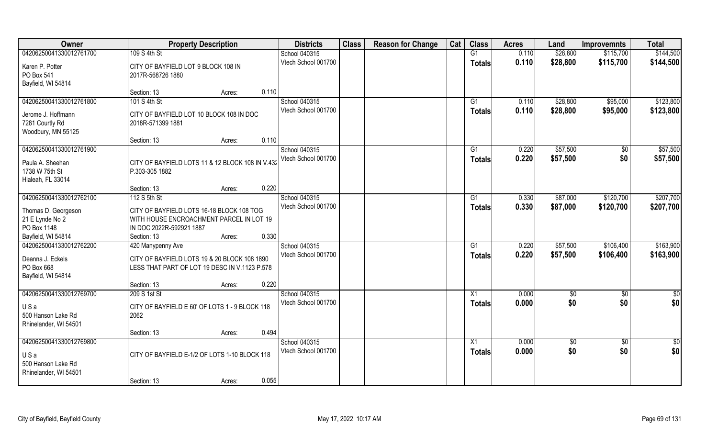| Owner                          | <b>Property Description</b>                                                                   | <b>Districts</b>    | <b>Class</b> | <b>Reason for Change</b> | Cat | <b>Class</b>    | <b>Acres</b> | Land       | <b>Improvemnts</b> | <b>Total</b>  |
|--------------------------------|-----------------------------------------------------------------------------------------------|---------------------|--------------|--------------------------|-----|-----------------|--------------|------------|--------------------|---------------|
| 04206250041330012761700        | 109 S 4th St                                                                                  | School 040315       |              |                          |     | G1              | 0.110        | \$28,800   | \$115,700          | \$144,500     |
| Karen P. Potter                | CITY OF BAYFIELD LOT 9 BLOCK 108 IN                                                           | Vtech School 001700 |              |                          |     | <b>Totals</b>   | 0.110        | \$28,800   | \$115,700          | \$144,500     |
| PO Box 541                     | 2017R-568726 1880                                                                             |                     |              |                          |     |                 |              |            |                    |               |
| Bayfield, WI 54814             |                                                                                               |                     |              |                          |     |                 |              |            |                    |               |
|                                | 0.110<br>Section: 13<br>Acres:                                                                |                     |              |                          |     |                 |              |            |                    |               |
| 04206250041330012761800        | 101 S 4th St                                                                                  | School 040315       |              |                          |     | G1              | 0.110        | \$28,800   | \$95,000           | \$123,800     |
|                                |                                                                                               | Vtech School 001700 |              |                          |     | <b>Totals</b>   | 0.110        | \$28,800   | \$95,000           | \$123,800     |
| Jerome J. Hoffmann             | CITY OF BAYFIELD LOT 10 BLOCK 108 IN DOC                                                      |                     |              |                          |     |                 |              |            |                    |               |
| 7281 Courtly Rd                | 2018R-571399 1881                                                                             |                     |              |                          |     |                 |              |            |                    |               |
| Woodbury, MN 55125             | 0.110<br>Section: 13<br>Acres:                                                                |                     |              |                          |     |                 |              |            |                    |               |
| 04206250041330012761900        |                                                                                               | School 040315       |              |                          |     | G1              | 0.220        | \$57,500   | \$0                | \$57,500      |
|                                |                                                                                               | Vtech School 001700 |              |                          |     |                 | 0.220        | \$57,500   | \$0                | \$57,500      |
| Paula A. Sheehan               | CITY OF BAYFIELD LOTS 11 & 12 BLOCK 108 IN V.432                                              |                     |              |                          |     | <b>Totals</b>   |              |            |                    |               |
| 1738 W 75th St                 | P.303-305 1882                                                                                |                     |              |                          |     |                 |              |            |                    |               |
| Hialeah, FL 33014              |                                                                                               |                     |              |                          |     |                 |              |            |                    |               |
|                                | 0.220<br>Section: 13<br>Acres:                                                                |                     |              |                          |     |                 |              |            |                    |               |
| 04206250041330012762100        | 112 S 5th St                                                                                  | School 040315       |              |                          |     | G1              | 0.330        | \$87,000   | \$120,700          | \$207,700     |
| Thomas D. Georgeson            | CITY OF BAYFIELD LOTS 16-18 BLOCK 108 TOG                                                     | Vtech School 001700 |              |                          |     | <b>Totals</b>   | 0.330        | \$87,000   | \$120,700          | \$207,700     |
| 21 E Lynde No 2                | WITH HOUSE ENCROACHMENT PARCEL IN LOT 19                                                      |                     |              |                          |     |                 |              |            |                    |               |
| PO Box 1148                    | IN DOC 2022R-592921 1887                                                                      |                     |              |                          |     |                 |              |            |                    |               |
| Bayfield, WI 54814             | 0.330<br>Section: 13<br>Acres:                                                                |                     |              |                          |     |                 |              |            |                    |               |
| 04206250041330012762200        | 420 Manypenny Ave                                                                             | School 040315       |              |                          |     | $\overline{G1}$ | 0.220        | \$57,500   | \$106,400          | \$163,900     |
|                                |                                                                                               | Vtech School 001700 |              |                          |     | <b>Totals</b>   | 0.220        | \$57,500   | \$106,400          | \$163,900     |
| Deanna J. Eckels<br>PO Box 668 | CITY OF BAYFIELD LOTS 19 & 20 BLOCK 108 1890<br>LESS THAT PART OF LOT 19 DESC IN V.1123 P.578 |                     |              |                          |     |                 |              |            |                    |               |
| Bayfield, WI 54814             |                                                                                               |                     |              |                          |     |                 |              |            |                    |               |
|                                | 0.220<br>Section: 13<br>Acres:                                                                |                     |              |                          |     |                 |              |            |                    |               |
| 04206250041330012769700        | 209 S 1st St                                                                                  | School 040315       |              |                          |     | $\overline{X1}$ | 0.000        | \$0        | \$0                | $\frac{1}{2}$ |
|                                |                                                                                               | Vtech School 001700 |              |                          |     |                 | 0.000        | \$0        | \$0                | \$0           |
| USa                            | CITY OF BAYFIELD E 60' OF LOTS 1 - 9 BLOCK 118                                                |                     |              |                          |     | <b>Totals</b>   |              |            |                    |               |
| 500 Hanson Lake Rd             | 2062                                                                                          |                     |              |                          |     |                 |              |            |                    |               |
| Rhinelander, WI 54501          |                                                                                               |                     |              |                          |     |                 |              |            |                    |               |
|                                | 0.494<br>Section: 13<br>Acres:                                                                |                     |              |                          |     |                 |              |            |                    |               |
| 04206250041330012769800        |                                                                                               | School 040315       |              |                          |     | $\overline{X1}$ | 0.000        | $\sqrt{6}$ | $\overline{60}$    | $\frac{1}{2}$ |
| USa                            | CITY OF BAYFIELD E-1/2 OF LOTS 1-10 BLOCK 118                                                 | Vtech School 001700 |              |                          |     | <b>Totals</b>   | 0.000        | \$0        | \$0                | \$0           |
| 500 Hanson Lake Rd             |                                                                                               |                     |              |                          |     |                 |              |            |                    |               |
| Rhinelander, WI 54501          |                                                                                               |                     |              |                          |     |                 |              |            |                    |               |
|                                | 0.055<br>Section: 13<br>Acres:                                                                |                     |              |                          |     |                 |              |            |                    |               |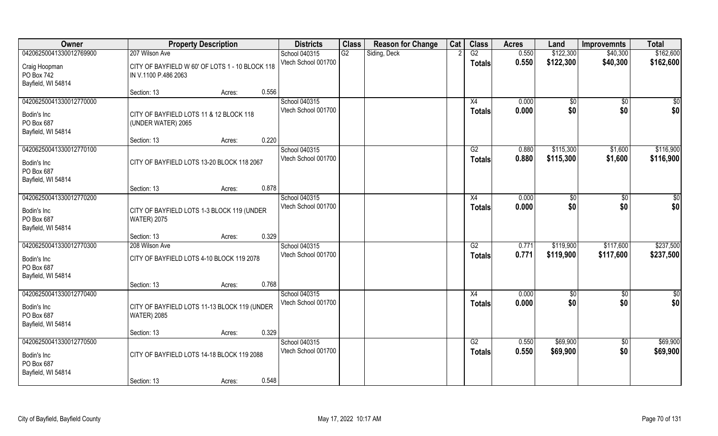| Owner                                                                      | <b>Property Description</b>                                             | <b>Districts</b>                     | <b>Class</b> | <b>Reason for Change</b> | Cat | <b>Class</b>                     | <b>Acres</b>   | Land                   | <b>Improvemnts</b>     | <b>Total</b>           |
|----------------------------------------------------------------------------|-------------------------------------------------------------------------|--------------------------------------|--------------|--------------------------|-----|----------------------------------|----------------|------------------------|------------------------|------------------------|
| 04206250041330012769900                                                    | 207 Wilson Ave                                                          | School 040315                        | G2           | Siding, Deck             |     | G2                               | 0.550          | \$122,300              | \$40,300               | \$162,600              |
| Craig Hoopman<br>PO Box 742<br>Bayfield, WI 54814                          | CITY OF BAYFIELD W 60' OF LOTS 1 - 10 BLOCK 118<br>IN V.1100 P.486 2063 | Vtech School 001700                  |              |                          |     | <b>Totals</b>                    | 0.550          | \$122,300              | \$40,300               | \$162,600              |
|                                                                            | 0.556<br>Section: 13<br>Acres:                                          |                                      |              |                          |     |                                  |                |                        |                        |                        |
| 04206250041330012770000<br>Bodin's Inc<br>PO Box 687<br>Bayfield, WI 54814 | CITY OF BAYFIELD LOTS 11 & 12 BLOCK 118<br>(UNDER WATER) 2065           | School 040315<br>Vtech School 001700 |              |                          |     | X4<br><b>Totals</b>              | 0.000<br>0.000 | \$0<br>\$0             | $\sqrt{$0}$<br>\$0     | \$0<br>\$0             |
|                                                                            | 0.220<br>Section: 13<br>Acres:                                          |                                      |              |                          |     |                                  |                |                        |                        |                        |
| 04206250041330012770100<br>Bodin's Inc<br>PO Box 687<br>Bayfield, WI 54814 | CITY OF BAYFIELD LOTS 13-20 BLOCK 118 2067                              | School 040315<br>Vtech School 001700 |              |                          |     | G2<br><b>Totals</b>              | 0.880<br>0.880 | \$115,300<br>\$115,300 | \$1,600<br>\$1,600     | \$116,900<br>\$116,900 |
|                                                                            | 0.878<br>Section: 13<br>Acres:                                          |                                      |              |                          |     |                                  |                |                        |                        |                        |
| 04206250041330012770200<br>Bodin's Inc<br>PO Box 687<br>Bayfield, WI 54814 | CITY OF BAYFIELD LOTS 1-3 BLOCK 119 (UNDER<br><b>WATER) 2075</b>        | School 040315<br>Vtech School 001700 |              |                          |     | X4<br><b>Totals</b>              | 0.000<br>0.000 | \$0<br>\$0             | $\sqrt[6]{3}$<br>\$0   | $\sqrt{50}$<br>\$0     |
|                                                                            | 0.329<br>Section: 13<br>Acres:                                          |                                      |              |                          |     |                                  |                |                        |                        |                        |
| 04206250041330012770300<br>Bodin's Inc<br>PO Box 687<br>Bayfield, WI 54814 | 208 Wilson Ave<br>CITY OF BAYFIELD LOTS 4-10 BLOCK 119 2078             | School 040315<br>Vtech School 001700 |              |                          |     | $\overline{G2}$<br><b>Totals</b> | 0.771<br>0.771 | \$119,900<br>\$119,900 | \$117,600<br>\$117,600 | \$237,500<br>\$237,500 |
|                                                                            | 0.768<br>Section: 13<br>Acres:                                          |                                      |              |                          |     |                                  |                |                        |                        |                        |
| 04206250041330012770400<br>Bodin's Inc<br>PO Box 687<br>Bayfield, WI 54814 | CITY OF BAYFIELD LOTS 11-13 BLOCK 119 (UNDER<br><b>WATER) 2085</b>      | School 040315<br>Vtech School 001700 |              |                          |     | $\overline{X4}$<br><b>Totals</b> | 0.000<br>0.000 | \$0<br>\$0             | $\sqrt{$0}$<br>\$0     | \$0<br>\$0             |
|                                                                            | 0.329<br>Section: 13<br>Acres:                                          |                                      |              |                          |     |                                  |                |                        |                        |                        |
| 04206250041330012770500<br>Bodin's Inc<br>PO Box 687<br>Bayfield, WI 54814 | CITY OF BAYFIELD LOTS 14-18 BLOCK 119 2088                              | School 040315<br>Vtech School 001700 |              |                          |     | G2<br><b>Totals</b>              | 0.550<br>0.550 | \$69,900<br>\$69,900   | $\sqrt{$0}$<br>\$0     | \$69,900<br>\$69,900   |
|                                                                            | 0.548<br>Section: 13<br>Acres:                                          |                                      |              |                          |     |                                  |                |                        |                        |                        |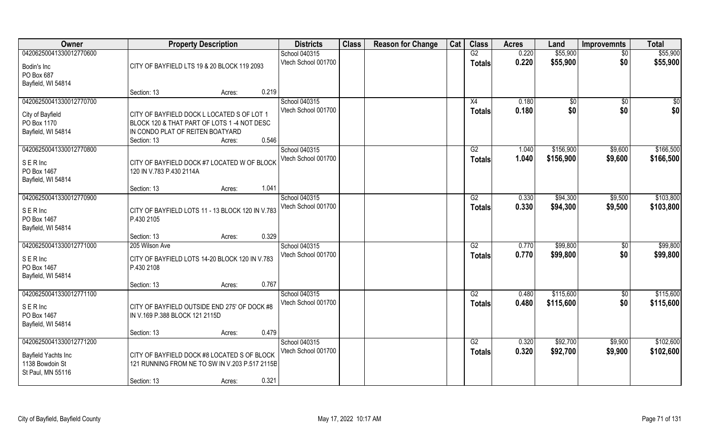| Owner                                  | <b>Property Description</b>                      |                 | <b>Districts</b>    | <b>Class</b> | <b>Reason for Change</b> | Cat | <b>Class</b>  | <b>Acres</b> | Land         | <b>Improvemnts</b> | <b>Total</b> |
|----------------------------------------|--------------------------------------------------|-----------------|---------------------|--------------|--------------------------|-----|---------------|--------------|--------------|--------------------|--------------|
| 04206250041330012770600                |                                                  |                 | School 040315       |              |                          |     | G2            | 0.220        | \$55,900     | $\overline{50}$    | \$55,900     |
| Bodin's Inc                            | CITY OF BAYFIELD LTS 19 & 20 BLOCK 119 2093      |                 | Vtech School 001700 |              |                          |     | <b>Totals</b> | 0.220        | \$55,900     | \$0                | \$55,900     |
| PO Box 687                             |                                                  |                 |                     |              |                          |     |               |              |              |                    |              |
| Bayfield, WI 54814                     |                                                  |                 |                     |              |                          |     |               |              |              |                    |              |
|                                        | Section: 13                                      | Acres:          | 0.219               |              |                          |     |               |              |              |                    |              |
| 04206250041330012770700                |                                                  |                 | School 040315       |              |                          |     | X4            | 0.180        | $\sqrt[6]{}$ | $\overline{50}$    | \$0          |
| City of Bayfield                       | CITY OF BAYFIELD DOCK L LOCATED S OF LOT 1       |                 | Vtech School 001700 |              |                          |     | Totals        | 0.180        | \$0          | \$0                | \$0          |
| PO Box 1170                            | BLOCK 120 & THAT PART OF LOTS 1 -4 NOT DESC      |                 |                     |              |                          |     |               |              |              |                    |              |
| Bayfield, WI 54814                     | IN CONDO PLAT OF REITEN BOATYARD                 |                 |                     |              |                          |     |               |              |              |                    |              |
|                                        | Section: 13                                      | Acres:          | 0.546               |              |                          |     |               |              |              |                    |              |
| 04206250041330012770800                |                                                  |                 | School 040315       |              |                          |     | G2            | 1.040        | \$156,900    | \$9,600            | \$166,500    |
| SERInc                                 | CITY OF BAYFIELD DOCK #7 LOCATED W OF BLOCK      |                 | Vtech School 001700 |              |                          |     | <b>Totals</b> | 1.040        | \$156,900    | \$9,600            | \$166,500    |
| PO Box 1467                            | 120 IN V.783 P.430 2114A                         |                 |                     |              |                          |     |               |              |              |                    |              |
| Bayfield, WI 54814                     |                                                  |                 |                     |              |                          |     |               |              |              |                    |              |
|                                        | Section: 13                                      | 1.041<br>Acres: |                     |              |                          |     |               |              |              |                    |              |
| 04206250041330012770900                |                                                  |                 | School 040315       |              |                          |     | G2            | 0.330        | \$94,300     | \$9,500            | \$103,800    |
| SERInc                                 | CITY OF BAYFIELD LOTS 11 - 13 BLOCK 120 IN V.783 |                 | Vtech School 001700 |              |                          |     | <b>Totals</b> | 0.330        | \$94,300     | \$9,500            | \$103,800    |
| PO Box 1467                            | P.430 2105                                       |                 |                     |              |                          |     |               |              |              |                    |              |
| Bayfield, WI 54814                     |                                                  |                 |                     |              |                          |     |               |              |              |                    |              |
|                                        | Section: 13                                      | 0.329<br>Acres: |                     |              |                          |     |               |              |              |                    |              |
| 04206250041330012771000                | 205 Wilson Ave                                   |                 | School 040315       |              |                          |     | G2            | 0.770        | \$99,800     | \$0                | \$99,800     |
| <b>SERInc</b>                          | CITY OF BAYFIELD LOTS 14-20 BLOCK 120 IN V.783   |                 | Vtech School 001700 |              |                          |     | Totals        | 0.770        | \$99,800     | \$0                | \$99,800     |
| PO Box 1467                            | P.430 2108                                       |                 |                     |              |                          |     |               |              |              |                    |              |
| Bayfield, WI 54814                     |                                                  |                 |                     |              |                          |     |               |              |              |                    |              |
|                                        | Section: 13                                      | 0.767<br>Acres: |                     |              |                          |     |               |              |              |                    |              |
| 04206250041330012771100                |                                                  |                 | School 040315       |              |                          |     | G2            | 0.480        | \$115,600    | \$0                | \$115,600    |
| SERInc                                 | CITY OF BAYFIELD OUTSIDE END 275' OF DOCK #8     |                 | Vtech School 001700 |              |                          |     | <b>Totals</b> | 0.480        | \$115,600    | \$0                | \$115,600    |
| PO Box 1467                            | IN V.169 P.388 BLOCK 121 2115D                   |                 |                     |              |                          |     |               |              |              |                    |              |
| Bayfield, WI 54814                     |                                                  |                 |                     |              |                          |     |               |              |              |                    |              |
|                                        | Section: 13                                      | Acres:          | 0.479               |              |                          |     |               |              |              |                    |              |
| 04206250041330012771200                |                                                  |                 | School 040315       |              |                          |     | G2            | 0.320        | \$92,700     | \$9,900            | \$102,600    |
|                                        | CITY OF BAYFIELD DOCK #8 LOCATED S OF BLOCK      |                 | Vtech School 001700 |              |                          |     | <b>Totals</b> | 0.320        | \$92,700     | \$9,900            | \$102,600    |
| Bayfield Yachts Inc<br>1138 Bowdoin St | 121 RUNNING FROM NE TO SW IN V.203 P.517 2115B   |                 |                     |              |                          |     |               |              |              |                    |              |
| St Paul, MN 55116                      |                                                  |                 |                     |              |                          |     |               |              |              |                    |              |
|                                        | Section: 13                                      | 0.321<br>Acres: |                     |              |                          |     |               |              |              |                    |              |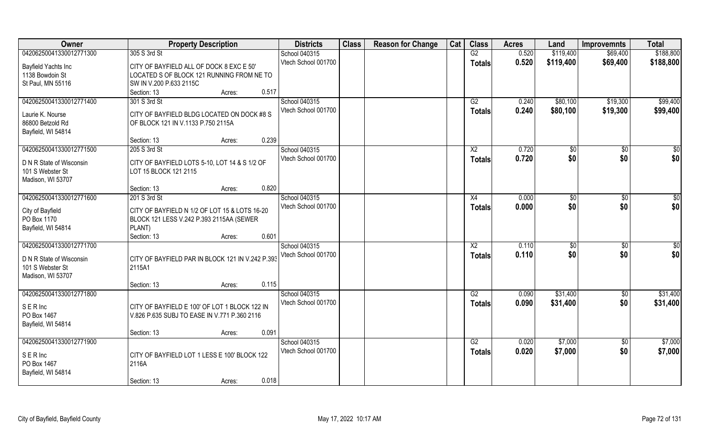| 04206250041330012771300<br>305 S 3rd St<br>School 040315<br>G2<br>0.520<br>\$119,400<br>\$69,400                                          | \$188,800       |
|-------------------------------------------------------------------------------------------------------------------------------------------|-----------------|
|                                                                                                                                           |                 |
| Vtech School 001700<br>0.520<br>\$119,400<br>\$69,400<br><b>Totals</b><br>Bayfield Yachts Inc<br>CITY OF BAYFIELD ALL OF DOCK 8 EXC E 50' | \$188,800       |
| 1138 Bowdoin St<br>LOCATED S OF BLOCK 121 RUNNING FROM NE TO                                                                              |                 |
| St Paul, MN 55116<br>SW IN V.200 P.633 2115C                                                                                              |                 |
| 0.517<br>Section: 13<br>Acres:                                                                                                            |                 |
| 04206250041330012771400<br>301 S 3rd St<br>School 040315<br>\$80,100<br>\$19,300<br>G2<br>0.240                                           | \$99,400        |
| Vtech School 001700<br>0.240<br>\$80,100<br>\$19,300<br><b>Totals</b>                                                                     | \$99,400        |
| Laurie K. Nourse<br>CITY OF BAYFIELD BLDG LOCATED ON DOCK #8 S                                                                            |                 |
| 86800 Betzold Rd<br>OF BLOCK 121 IN V.1133 P.750 2115A                                                                                    |                 |
| Bayfield, WI 54814<br>0.239<br>Section: 13                                                                                                |                 |
| Acres:<br>04206250041330012771500<br>School 040315<br>$\overline{X2}$<br>0.720<br>205 S 3rd St                                            | $\sqrt{50}$     |
| \$0<br>$\sqrt[6]{30}$<br>Vtech School 001700                                                                                              |                 |
| \$0<br>\$0<br>0.720<br><b>Totals</b><br>D N R State of Wisconsin<br>CITY OF BAYFIELD LOTS 5-10, LOT 14 & S 1/2 OF                         | \$0             |
| 101 S Webster St<br>LOT 15 BLOCK 121 2115                                                                                                 |                 |
| Madison, WI 53707                                                                                                                         |                 |
| 0.820<br>Section: 13<br>Acres:                                                                                                            |                 |
| 04206250041330012771600<br>School 040315<br>0.000<br>201 S 3rd St<br>X4<br>$\sqrt[6]{30}$<br>$\sqrt[6]{3}$                                | \$0             |
| \$0<br>Vtech School 001700<br>\$0<br>0.000<br><b>Totals</b><br>City of Bayfield<br>CITY OF BAYFIELD N 1/2 OF LOT 15 & LOTS 16-20          | \$0             |
| PO Box 1170<br>BLOCK 121 LESS V.242 P.393 2115AA (SEWER                                                                                   |                 |
| Bayfield, WI 54814<br>PLANT)                                                                                                              |                 |
| 0.601<br>Section: 13<br>Acres:                                                                                                            |                 |
| 04206250041330012771700<br>School 040315<br>$\overline{X2}$<br>0.110<br>\$0<br>\$0                                                        | $\overline{50}$ |
| 0.110<br>\$0<br>Vtech School 001700<br>\$0<br><b>Totals</b>                                                                               | \$0             |
| CITY OF BAYFIELD PAR IN BLOCK 121 IN V.242 P.393<br>D N R State of Wisconsin                                                              |                 |
| 101 S Webster St<br>2115A1                                                                                                                |                 |
| Madison, WI 53707                                                                                                                         |                 |
| 0.115<br>Section: 13<br>Acres:                                                                                                            |                 |
| \$31,400<br>04206250041330012771800<br>School 040315<br>G2<br>0.090<br>$\sqrt{$0}$                                                        | \$31,400        |
| \$0<br>Vtech School 001700<br>0.090<br>\$31,400<br><b>Totals</b><br>SERInc<br>CITY OF BAYFIELD E 100' OF LOT 1 BLOCK 122 IN               | \$31,400        |
| PO Box 1467<br>V.826 P.635 SUBJ TO EASE IN V.771 P.360 2116                                                                               |                 |
| Bayfield, WI 54814                                                                                                                        |                 |
| 0.091<br>Section: 13<br>Acres:                                                                                                            |                 |
| 04206250041330012771900<br>\$7,000<br>School 040315<br>G2<br>0.020<br>$\sqrt{$0}$                                                         | \$7,000         |
| Vtech School 001700<br>0.020<br>\$7,000<br>\$0<br><b>Totals</b><br><b>SER</b> Inc<br>CITY OF BAYFIELD LOT 1 LESS E 100' BLOCK 122         | \$7,000         |
| PO Box 1467<br>2116A                                                                                                                      |                 |
| Bayfield, WI 54814                                                                                                                        |                 |
| 0.018<br>Section: 13<br>Acres:                                                                                                            |                 |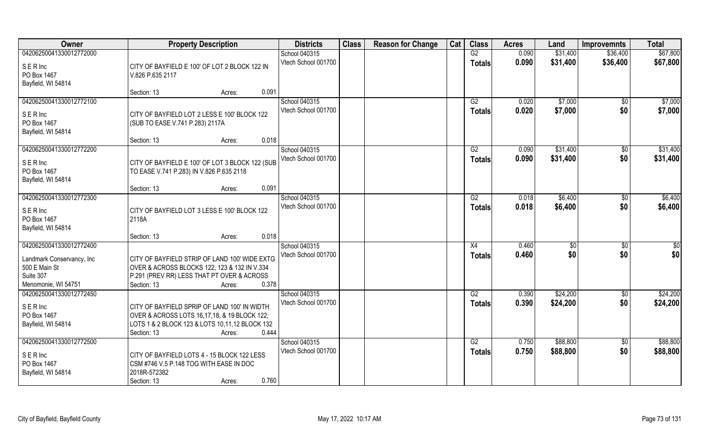| Owner                                                                                                     | <b>Property Description</b>                                                                                                                                                      | <b>Districts</b>                     | <b>Class</b> | <b>Reason for Change</b> | Cat | <b>Class</b>        | <b>Acres</b>   | Land                 | <b>Improvemnts</b>     | <b>Total</b>           |
|-----------------------------------------------------------------------------------------------------------|----------------------------------------------------------------------------------------------------------------------------------------------------------------------------------|--------------------------------------|--------------|--------------------------|-----|---------------------|----------------|----------------------|------------------------|------------------------|
| 04206250041330012772000<br>SERInc<br>PO Box 1467<br>Bayfield, WI 54814                                    | CITY OF BAYFIELD E 100' OF LOT 2 BLOCK 122 IN<br>V.826 P.635 2117                                                                                                                | School 040315<br>Vtech School 001700 |              |                          |     | G2<br><b>Totals</b> | 0.090<br>0.090 | \$31,400<br>\$31,400 | \$36,400<br>\$36,400   | \$67,800<br>\$67,800   |
|                                                                                                           | 0.091<br>Section: 13<br>Acres:                                                                                                                                                   |                                      |              |                          |     |                     |                |                      |                        |                        |
| 04206250041330012772100<br>SERInc<br>PO Box 1467<br>Bayfield, WI 54814                                    | CITY OF BAYFIELD LOT 2 LESS E 100' BLOCK 122<br>(SUB TO EASE V.741 P.283) 2117A<br>0.018                                                                                         | School 040315<br>Vtech School 001700 |              |                          |     | G2<br><b>Totals</b> | 0.020<br>0.020 | \$7,000<br>\$7,000   | \$0<br>\$0             | \$7,000<br>\$7,000     |
| 04206250041330012772200                                                                                   | Section: 13<br>Acres:                                                                                                                                                            | School 040315                        |              |                          |     | G2                  | 0.090          | \$31,400             | $\sqrt[6]{30}$         | \$31,400               |
| SERInc<br>PO Box 1467<br>Bayfield, WI 54814                                                               | CITY OF BAYFIELD E 100' OF LOT 3 BLOCK 122 (SUB<br>TO EASE V.741 P.283) IN V.826 P.635 2118                                                                                      | Vtech School 001700                  |              |                          |     | <b>Totals</b>       | 0.090          | \$31,400             | \$0                    | \$31,400               |
|                                                                                                           | 0.091<br>Section: 13<br>Acres:                                                                                                                                                   |                                      |              |                          |     |                     |                |                      |                        |                        |
| 04206250041330012772300<br>SERInc<br>PO Box 1467<br>Bayfield, WI 54814                                    | CITY OF BAYFIELD LOT 3 LESS E 100' BLOCK 122<br>2118A                                                                                                                            | School 040315<br>Vtech School 001700 |              |                          |     | G2<br><b>Totals</b> | 0.018<br>0.018 | \$6,400<br>\$6,400   | $\sqrt[6]{3}$<br>\$0   | \$6,400<br>\$6,400     |
|                                                                                                           | 0.018<br>Section: 13<br>Acres:                                                                                                                                                   |                                      |              |                          |     |                     |                |                      |                        |                        |
| 04206250041330012772400<br>Landmark Conservancy, Inc<br>500 E Main St<br>Suite 307<br>Menomonie, WI 54751 | CITY OF BAYFIELD STRIP OF LAND 100' WIDE EXTG<br>OVER & ACROSS BLOCKS 122, 123 & 132 IN V.334<br>P.291 (PREV RR) LESS THAT PT OVER & ACROSS<br>0.378<br>Section: 13<br>Acres:    | School 040315<br>Vtech School 001700 |              |                          |     | X4<br><b>Totals</b> | 0.460<br>0.460 | $\sqrt[6]{3}$<br>\$0 | $\sqrt[6]{30}$<br>\$0  | $\overline{50}$<br>\$0 |
| 04206250041330012772450<br>SERInc<br>PO Box 1467<br>Bayfield, WI 54814                                    | CITY OF BAYFIELD SPRIP OF LAND 100' IN WIDTH<br>OVER & ACROSS LOTS 16,17,18, & 19 BLOCK 122;<br>LOTS 1 & 2 BLOCK 123 & LOTS 10,11,12 BLOCK 132<br>Section: 13<br>0.444<br>Acres: | School 040315<br>Vtech School 001700 |              |                          |     | G2<br><b>Totals</b> | 0.390<br>0.390 | \$24,200<br>\$24,200 | \$0<br>\$0             | \$24,200<br>\$24,200   |
| 04206250041330012772500<br>SERInc<br>PO Box 1467<br>Bayfield, WI 54814                                    | CITY OF BAYFIELD LOTS 4 - 15 BLOCK 122 LESS<br>CSM #746 V.5 P.148 TOG WITH EASE IN DOC<br>2018R-572382<br>0.760<br>Section: 13<br>Acres:                                         | School 040315<br>Vtech School 001700 |              |                          |     | G2<br><b>Totals</b> | 0.750<br>0.750 | \$88,800<br>\$88,800 | $\overline{50}$<br>\$0 | \$88,800<br>\$88,800   |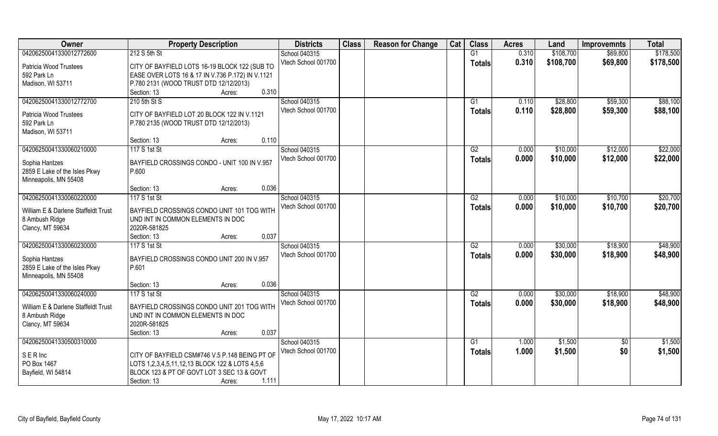| Owner                               | <b>Property Description</b>                       | <b>Districts</b>    | <b>Class</b> | <b>Reason for Change</b> | Cat | <b>Class</b>    | <b>Acres</b> | Land      | <b>Improvemnts</b> | <b>Total</b> |
|-------------------------------------|---------------------------------------------------|---------------------|--------------|--------------------------|-----|-----------------|--------------|-----------|--------------------|--------------|
| 04206250041330012772600             | 212 S 5th St                                      | School 040315       |              |                          |     | G1              | 0.310        | \$108,700 | \$69,800           | \$178,500    |
| Patricia Wood Trustees              | CITY OF BAYFIELD LOTS 16-19 BLOCK 122 (SUB TO     | Vtech School 001700 |              |                          |     | <b>Totals</b>   | 0.310        | \$108,700 | \$69,800           | \$178,500    |
| 592 Park Ln                         | EASE OVER LOTS 16 & 17 IN V.736 P.172) IN V.1121  |                     |              |                          |     |                 |              |           |                    |              |
| Madison, WI 53711                   | P.780 2131 (WOOD TRUST DTD 12/12/2013)            |                     |              |                          |     |                 |              |           |                    |              |
|                                     | 0.310<br>Section: 13<br>Acres:                    |                     |              |                          |     |                 |              |           |                    |              |
| 04206250041330012772700             | 210 5th St S                                      | School 040315       |              |                          |     | G1              | 0.110        | \$28,800  | \$59,300           | \$88,100     |
|                                     |                                                   | Vtech School 001700 |              |                          |     | <b>Totals</b>   | 0.110        | \$28,800  | \$59,300           | \$88,100     |
| Patricia Wood Trustees              | CITY OF BAYFIELD LOT 20 BLOCK 122 IN V.1121       |                     |              |                          |     |                 |              |           |                    |              |
| 592 Park Ln                         | P.780 2135 (WOOD TRUST DTD 12/12/2013)            |                     |              |                          |     |                 |              |           |                    |              |
| Madison, WI 53711                   |                                                   |                     |              |                          |     |                 |              |           |                    |              |
|                                     | 0.110<br>Section: 13<br>Acres:                    |                     |              |                          |     |                 |              |           |                    |              |
| 04206250041330060210000             | 117 S 1st St                                      | School 040315       |              |                          |     | G2              | 0.000        | \$10,000  | \$12,000           | \$22,000     |
| Sophia Hantzes                      | BAYFIELD CROSSINGS CONDO - UNIT 100 IN V.957      | Vtech School 001700 |              |                          |     | <b>Totals</b>   | 0.000        | \$10,000  | \$12,000           | \$22,000     |
| 2859 E Lake of the Isles Pkwy       | P.600                                             |                     |              |                          |     |                 |              |           |                    |              |
| Minneapolis, MN 55408               |                                                   |                     |              |                          |     |                 |              |           |                    |              |
|                                     | 0.036<br>Section: 13<br>Acres:                    |                     |              |                          |     |                 |              |           |                    |              |
| 04206250041330060220000             | 117 S 1st St                                      | School 040315       |              |                          |     | G2              | 0.000        | \$10,000  | \$10,700           | \$20,700     |
|                                     |                                                   | Vtech School 001700 |              |                          |     | <b>Totals</b>   | 0.000        | \$10,000  | \$10,700           | \$20,700     |
| William E & Darlene Staffeldt Trust | BAYFIELD CROSSINGS CONDO UNIT 101 TOG WITH        |                     |              |                          |     |                 |              |           |                    |              |
| 8 Ambush Ridge                      | UND INT IN COMMON ELEMENTS IN DOC<br>2020R-581825 |                     |              |                          |     |                 |              |           |                    |              |
| Clancy, MT 59634                    | 0.037<br>Section: 13                              |                     |              |                          |     |                 |              |           |                    |              |
| 04206250041330060230000             | Acres:<br>117 S 1st St                            | School 040315       |              |                          |     | $\overline{G2}$ | 0.000        | \$30,000  | \$18,900           | \$48,900     |
|                                     |                                                   | Vtech School 001700 |              |                          |     |                 | 0.000        |           |                    |              |
| Sophia Hantzes                      | BAYFIELD CROSSINGS CONDO UNIT 200 IN V.957        |                     |              |                          |     | <b>Totals</b>   |              | \$30,000  | \$18,900           | \$48,900     |
| 2859 E Lake of the Isles Pkwy       | P.601                                             |                     |              |                          |     |                 |              |           |                    |              |
| Minneapolis, MN 55408               |                                                   |                     |              |                          |     |                 |              |           |                    |              |
|                                     | 0.036<br>Section: 13<br>Acres:                    |                     |              |                          |     |                 |              |           |                    |              |
| 04206250041330060240000             | 117 S 1st St                                      | School 040315       |              |                          |     | G2              | 0.000        | \$30,000  | \$18,900           | \$48,900     |
| William E & Darlene Staffeldt Trust | BAYFIELD CROSSINGS CONDO UNIT 201 TOG WITH        | Vtech School 001700 |              |                          |     | <b>Totals</b>   | 0.000        | \$30,000  | \$18,900           | \$48,900     |
| 8 Ambush Ridge                      | UND INT IN COMMON ELEMENTS IN DOC                 |                     |              |                          |     |                 |              |           |                    |              |
| Clancy, MT 59634                    | 2020R-581825                                      |                     |              |                          |     |                 |              |           |                    |              |
|                                     | 0.037<br>Section: 13<br>Acres:                    |                     |              |                          |     |                 |              |           |                    |              |
| 04206250041330500310000             |                                                   | School 040315       |              |                          |     | G1              | 1.000        | \$1,500   | $\overline{60}$    | \$1,500      |
|                                     |                                                   | Vtech School 001700 |              |                          |     | <b>Totals</b>   | 1.000        | \$1,500   | \$0                | \$1,500      |
| <b>SERInc</b>                       | CITY OF BAYFIELD CSM#746 V.5 P.148 BEING PT OF    |                     |              |                          |     |                 |              |           |                    |              |
| PO Box 1467                         | LOTS 1,2,3,4,5,11,12,13 BLOCK 122 & LOTS 4,5,6    |                     |              |                          |     |                 |              |           |                    |              |
| Bayfield, WI 54814                  | BLOCK 123 & PT OF GOVT LOT 3 SEC 13 & GOVT        |                     |              |                          |     |                 |              |           |                    |              |
|                                     | 1.111<br>Section: 13<br>Acres:                    |                     |              |                          |     |                 |              |           |                    |              |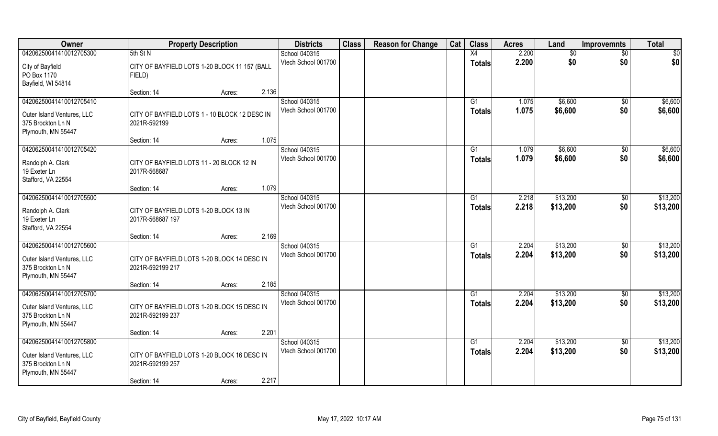| Owner                                   | <b>Property Description</b>                                | <b>Districts</b>                     | <b>Class</b> | <b>Reason for Change</b> | Cat | <b>Class</b>  | <b>Acres</b> | Land     | <b>Improvemnts</b> | <b>Total</b>    |
|-----------------------------------------|------------------------------------------------------------|--------------------------------------|--------------|--------------------------|-----|---------------|--------------|----------|--------------------|-----------------|
| 04206250041410012705300                 | 5th St N                                                   | School 040315                        |              |                          |     | X4            | 2.200        | \$0      | $\sqrt{6}$         | $\overline{50}$ |
| City of Bayfield                        | CITY OF BAYFIELD LOTS 1-20 BLOCK 11 157 (BALL              | Vtech School 001700                  |              |                          |     | <b>Totals</b> | 2.200        | \$0      | \$0                | \$0             |
| PO Box 1170                             | FIELD)                                                     |                                      |              |                          |     |               |              |          |                    |                 |
| Bayfield, WI 54814                      |                                                            |                                      |              |                          |     |               |              |          |                    |                 |
|                                         | 2.136<br>Section: 14<br>Acres:                             |                                      |              |                          |     |               |              |          |                    |                 |
| 04206250041410012705410                 |                                                            | School 040315<br>Vtech School 001700 |              |                          |     | G1            | 1.075        | \$6,600  | \$0                | \$6,600         |
| Outer Island Ventures, LLC              | CITY OF BAYFIELD LOTS 1 - 10 BLOCK 12 DESC IN              |                                      |              |                          |     | Totals        | 1.075        | \$6,600  | \$0                | \$6,600         |
| 375 Brockton Ln N                       | 2021R-592199                                               |                                      |              |                          |     |               |              |          |                    |                 |
| Plymouth, MN 55447                      | 1.075                                                      |                                      |              |                          |     |               |              |          |                    |                 |
| 04206250041410012705420                 | Section: 14<br>Acres:                                      | School 040315                        |              |                          |     | G1            | 1.079        | \$6,600  | \$0                | \$6,600         |
|                                         |                                                            | Vtech School 001700                  |              |                          |     | <b>Totals</b> | 1.079        | \$6,600  | \$0                | \$6,600         |
| Randolph A. Clark                       | CITY OF BAYFIELD LOTS 11 - 20 BLOCK 12 IN                  |                                      |              |                          |     |               |              |          |                    |                 |
| 19 Exeter Ln                            | 2017R-568687                                               |                                      |              |                          |     |               |              |          |                    |                 |
| Stafford, VA 22554                      | 1.079<br>Section: 14<br>Acres:                             |                                      |              |                          |     |               |              |          |                    |                 |
| 04206250041410012705500                 |                                                            | School 040315                        |              |                          |     | G1            | 2.218        | \$13,200 | $\sqrt[6]{3}$      | \$13,200        |
|                                         |                                                            | Vtech School 001700                  |              |                          |     | <b>Totals</b> | 2.218        | \$13,200 | \$0                | \$13,200        |
| Randolph A. Clark<br>19 Exeter Ln       | CITY OF BAYFIELD LOTS 1-20 BLOCK 13 IN<br>2017R-568687 197 |                                      |              |                          |     |               |              |          |                    |                 |
| Stafford, VA 22554                      |                                                            |                                      |              |                          |     |               |              |          |                    |                 |
|                                         | 2.169<br>Section: 14<br>Acres:                             |                                      |              |                          |     |               |              |          |                    |                 |
| 04206250041410012705600                 |                                                            | School 040315                        |              |                          |     | G1            | 2.204        | \$13,200 | \$0                | \$13,200        |
| Outer Island Ventures, LLC              | CITY OF BAYFIELD LOTS 1-20 BLOCK 14 DESC IN                | Vtech School 001700                  |              |                          |     | <b>Totals</b> | 2.204        | \$13,200 | \$0                | \$13,200        |
| 375 Brockton Ln N                       | 2021R-592199 217                                           |                                      |              |                          |     |               |              |          |                    |                 |
| Plymouth, MN 55447                      |                                                            |                                      |              |                          |     |               |              |          |                    |                 |
|                                         | 2.185<br>Section: 14<br>Acres:                             |                                      |              |                          |     |               |              |          |                    |                 |
| 04206250041410012705700                 |                                                            | School 040315                        |              |                          |     | G1            | 2.204        | \$13,200 | $\overline{60}$    | \$13,200        |
| Outer Island Ventures, LLC              | CITY OF BAYFIELD LOTS 1-20 BLOCK 15 DESC IN                | Vtech School 001700                  |              |                          |     | <b>Totals</b> | 2.204        | \$13,200 | \$0                | \$13,200        |
| 375 Brockton Ln N                       | 2021R-592199 237                                           |                                      |              |                          |     |               |              |          |                    |                 |
| Plymouth, MN 55447                      |                                                            |                                      |              |                          |     |               |              |          |                    |                 |
| 04206250041410012705800                 | 2.201<br>Section: 14<br>Acres:                             | School 040315                        |              |                          |     | G1            | 2.204        | \$13,200 | $\overline{50}$    | \$13,200        |
|                                         |                                                            | Vtech School 001700                  |              |                          |     | Totals        | 2.204        | \$13,200 | \$0                | \$13,200        |
| Outer Island Ventures, LLC              | CITY OF BAYFIELD LOTS 1-20 BLOCK 16 DESC IN                |                                      |              |                          |     |               |              |          |                    |                 |
| 375 Brockton Ln N<br>Plymouth, MN 55447 | 2021R-592199 257                                           |                                      |              |                          |     |               |              |          |                    |                 |
|                                         | 2.217<br>Section: 14<br>Acres:                             |                                      |              |                          |     |               |              |          |                    |                 |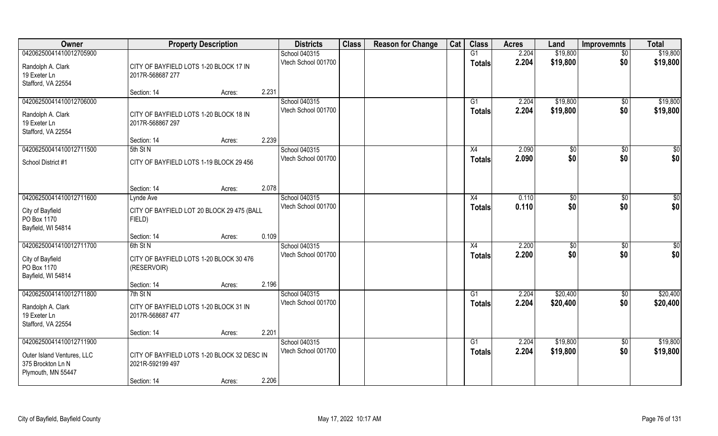| Owner                             | <b>Property Description</b>                                |        |       | <b>Districts</b>    | <b>Class</b> | <b>Reason for Change</b> | Cat | <b>Class</b>    | <b>Acres</b> | Land           | <b>Improvemnts</b> | <b>Total</b> |
|-----------------------------------|------------------------------------------------------------|--------|-------|---------------------|--------------|--------------------------|-----|-----------------|--------------|----------------|--------------------|--------------|
| 04206250041410012705900           |                                                            |        |       | School 040315       |              |                          |     | $\overline{G1}$ | 2.204        | \$19,800       | $\overline{50}$    | \$19,800     |
| Randolph A. Clark<br>19 Exeter Ln | CITY OF BAYFIELD LOTS 1-20 BLOCK 17 IN<br>2017R-568687 277 |        |       | Vtech School 001700 |              |                          |     | <b>Totals</b>   | 2.204        | \$19,800       | \$0                | \$19,800     |
| Stafford, VA 22554                |                                                            |        | 2.231 |                     |              |                          |     |                 |              |                |                    |              |
| 04206250041410012706000           | Section: 14                                                | Acres: |       | School 040315       |              |                          |     | G1              | 2.204        | \$19,800       |                    | \$19,800     |
|                                   |                                                            |        |       | Vtech School 001700 |              |                          |     |                 | 2.204        | \$19,800       | \$0<br>\$0         | \$19,800     |
| Randolph A. Clark                 | CITY OF BAYFIELD LOTS 1-20 BLOCK 18 IN                     |        |       |                     |              |                          |     | Totals          |              |                |                    |              |
| 19 Exeter Ln                      | 2017R-568867 297                                           |        |       |                     |              |                          |     |                 |              |                |                    |              |
| Stafford, VA 22554                | Section: 14                                                |        | 2.239 |                     |              |                          |     |                 |              |                |                    |              |
| 04206250041410012711500           | 5th St N                                                   | Acres: |       | School 040315       |              |                          |     | X4              | 2.090        | $\sqrt[6]{3}$  | $\sqrt[6]{30}$     | \$0          |
|                                   |                                                            |        |       | Vtech School 001700 |              |                          |     | <b>Totals</b>   | 2.090        | \$0            | \$0                | \$0          |
| School District #1                | CITY OF BAYFIELD LOTS 1-19 BLOCK 29 456                    |        |       |                     |              |                          |     |                 |              |                |                    |              |
|                                   |                                                            |        |       |                     |              |                          |     |                 |              |                |                    |              |
|                                   | Section: 14                                                |        | 2.078 |                     |              |                          |     |                 |              |                |                    |              |
| 04206250041410012711600           | Lynde Ave                                                  | Acres: |       | School 040315       |              |                          |     | X4              | 0.110        | $\frac{1}{20}$ | $\sqrt[6]{3}$      | \$0          |
|                                   |                                                            |        |       | Vtech School 001700 |              |                          |     | <b>Totals</b>   | 0.110        | \$0            | \$0                | \$0          |
| City of Bayfield                  | CITY OF BAYFIELD LOT 20 BLOCK 29 475 (BALL                 |        |       |                     |              |                          |     |                 |              |                |                    |              |
| PO Box 1170                       | FIELD)                                                     |        |       |                     |              |                          |     |                 |              |                |                    |              |
| Bayfield, WI 54814                |                                                            |        | 0.109 |                     |              |                          |     |                 |              |                |                    |              |
| 04206250041410012711700           | Section: 14<br>6th St N                                    | Acres: |       | School 040315       |              |                          |     | X4              | 2.200        | $\sqrt[6]{3}$  | $\sqrt[6]{30}$     | \$0          |
|                                   |                                                            |        |       | Vtech School 001700 |              |                          |     | <b>Totals</b>   | 2.200        | \$0            | \$0                | \$0          |
| City of Bayfield                  | CITY OF BAYFIELD LOTS 1-20 BLOCK 30 476                    |        |       |                     |              |                          |     |                 |              |                |                    |              |
| PO Box 1170                       | (RESERVOIR)                                                |        |       |                     |              |                          |     |                 |              |                |                    |              |
| Bayfield, WI 54814                | Section: 14                                                |        | 2.196 |                     |              |                          |     |                 |              |                |                    |              |
| 04206250041410012711800           | 7th St N                                                   | Acres: |       | School 040315       |              |                          |     | G1              | 2.204        | \$20,400       | \$0                | \$20,400     |
|                                   |                                                            |        |       | Vtech School 001700 |              |                          |     | <b>Totals</b>   | 2.204        | \$20,400       | \$0                | \$20,400     |
| Randolph A. Clark                 | CITY OF BAYFIELD LOTS 1-20 BLOCK 31 IN                     |        |       |                     |              |                          |     |                 |              |                |                    |              |
| 19 Exeter Ln                      | 2017R-568687 477                                           |        |       |                     |              |                          |     |                 |              |                |                    |              |
| Stafford, VA 22554                |                                                            |        | 2.201 |                     |              |                          |     |                 |              |                |                    |              |
| 04206250041410012711900           | Section: 14                                                | Acres: |       | School 040315       |              |                          |     | $\overline{G1}$ | 2.204        | \$19,800       | $\sqrt{$0}$        | \$19,800     |
|                                   |                                                            |        |       | Vtech School 001700 |              |                          |     | Totals          | 2.204        | \$19,800       | \$0                | \$19,800     |
| Outer Island Ventures, LLC        | CITY OF BAYFIELD LOTS 1-20 BLOCK 32 DESC IN                |        |       |                     |              |                          |     |                 |              |                |                    |              |
| 375 Brockton Ln N                 | 2021R-592199 497                                           |        |       |                     |              |                          |     |                 |              |                |                    |              |
| Plymouth, MN 55447                |                                                            |        | 2.206 |                     |              |                          |     |                 |              |                |                    |              |
|                                   | Section: 14                                                | Acres: |       |                     |              |                          |     |                 |              |                |                    |              |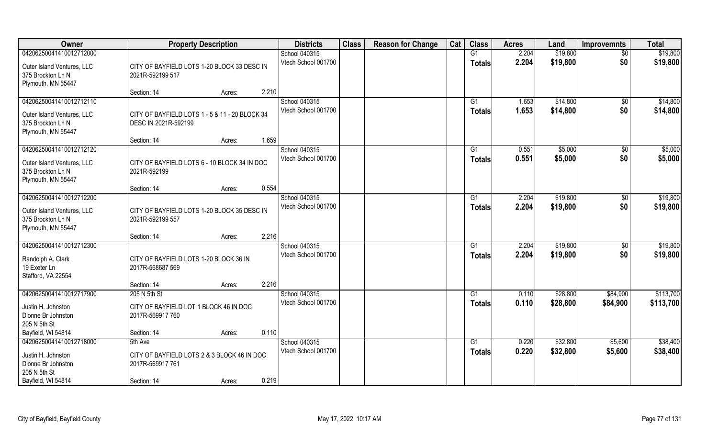| Owner                                                                                            | <b>Property Description</b>                                                         | <b>Districts</b>                     | <b>Class</b> | <b>Reason for Change</b> | Cat | <b>Class</b>        | <b>Acres</b>   | Land                 | <b>Improvemnts</b>   | <b>Total</b>           |
|--------------------------------------------------------------------------------------------------|-------------------------------------------------------------------------------------|--------------------------------------|--------------|--------------------------|-----|---------------------|----------------|----------------------|----------------------|------------------------|
| 04206250041410012712000                                                                          |                                                                                     | School 040315                        |              |                          |     | G1                  | 2.204          | \$19,800             | $\sqrt{6}$           | \$19,800               |
| Outer Island Ventures, LLC<br>375 Brockton Ln N<br>Plymouth, MN 55447                            | CITY OF BAYFIELD LOTS 1-20 BLOCK 33 DESC IN<br>2021R-592199 517                     | Vtech School 001700                  |              |                          |     | <b>Totals</b>       | 2.204          | \$19,800             | \$0                  | \$19,800               |
|                                                                                                  | 2.210<br>Section: 14<br>Acres:                                                      |                                      |              |                          |     |                     |                |                      |                      |                        |
| 04206250041410012712110<br>Outer Island Ventures, LLC<br>375 Brockton Ln N<br>Plymouth, MN 55447 | CITY OF BAYFIELD LOTS 1 - 5 & 11 - 20 BLOCK 34<br>DESC IN 2021R-592199              | School 040315<br>Vtech School 001700 |              |                          |     | G1<br>Totals        | 1.653<br>1.653 | \$14,800<br>\$14,800 | \$0<br>\$0           | \$14,800<br>\$14,800   |
|                                                                                                  | 1.659<br>Section: 14<br>Acres:                                                      |                                      |              |                          |     |                     |                |                      |                      |                        |
| 04206250041410012712120                                                                          |                                                                                     | School 040315                        |              |                          |     | G1                  | 0.551          | \$5,000              | \$0                  | \$5,000                |
| Outer Island Ventures, LLC<br>375 Brockton Ln N<br>Plymouth, MN 55447                            | CITY OF BAYFIELD LOTS 6 - 10 BLOCK 34 IN DOC<br>2021R-592199                        | Vtech School 001700                  |              |                          |     | <b>Totals</b>       | 0.551          | \$5,000              | \$0                  | \$5,000                |
|                                                                                                  | 0.554<br>Section: 14<br>Acres:                                                      |                                      |              |                          |     |                     |                |                      |                      |                        |
| 04206250041410012712200<br>Outer Island Ventures, LLC<br>375 Brockton Ln N<br>Plymouth, MN 55447 | CITY OF BAYFIELD LOTS 1-20 BLOCK 35 DESC IN<br>2021R-592199 557                     | School 040315<br>Vtech School 001700 |              |                          |     | G1<br><b>Totals</b> | 2.204<br>2.204 | \$19,800<br>\$19,800 | $\sqrt[6]{3}$<br>\$0 | \$19,800<br>\$19,800   |
|                                                                                                  | 2.216<br>Section: 14<br>Acres:                                                      |                                      |              |                          |     |                     |                |                      |                      |                        |
| 04206250041410012712300<br>Randolph A. Clark<br>19 Exeter Ln<br>Stafford, VA 22554               | CITY OF BAYFIELD LOTS 1-20 BLOCK 36 IN<br>2017R-568687 569                          | School 040315<br>Vtech School 001700 |              |                          |     | G1<br><b>Totals</b> | 2.204<br>2.204 | \$19,800<br>\$19,800 | \$0<br>\$0           | \$19,800<br>\$19,800   |
|                                                                                                  | 2.216<br>Section: 14<br>Acres:                                                      |                                      |              |                          |     |                     |                |                      |                      |                        |
| 04206250041410012717900<br>Justin H. Johnston<br>Dionne Br Johnston<br>205 N 5th St              | 205 N 5th St<br>CITY OF BAYFIELD LOT 1 BLOCK 46 IN DOC<br>2017R-569917 760          | School 040315<br>Vtech School 001700 |              |                          |     | G1<br><b>Totals</b> | 0.110<br>0.110 | \$28,800<br>\$28,800 | \$84,900<br>\$84,900 | \$113,700<br>\$113,700 |
| Bayfield, WI 54814                                                                               | 0.110<br>Section: 14<br>Acres:                                                      |                                      |              |                          |     |                     |                |                      |                      |                        |
| 04206250041410012718000<br>Justin H. Johnston<br>Dionne Br Johnston<br>205 N 5th St              | 5th Ave<br>CITY OF BAYFIELD LOTS 2 & 3 BLOCK 46 IN DOC<br>2017R-569917 761<br>0.219 | School 040315<br>Vtech School 001700 |              |                          |     | G1<br>Totals        | 0.220<br>0.220 | \$32,800<br>\$32,800 | \$5,600<br>\$5,600   | \$38,400<br>\$38,400   |
| Bayfield, WI 54814                                                                               | Section: 14<br>Acres:                                                               |                                      |              |                          |     |                     |                |                      |                      |                        |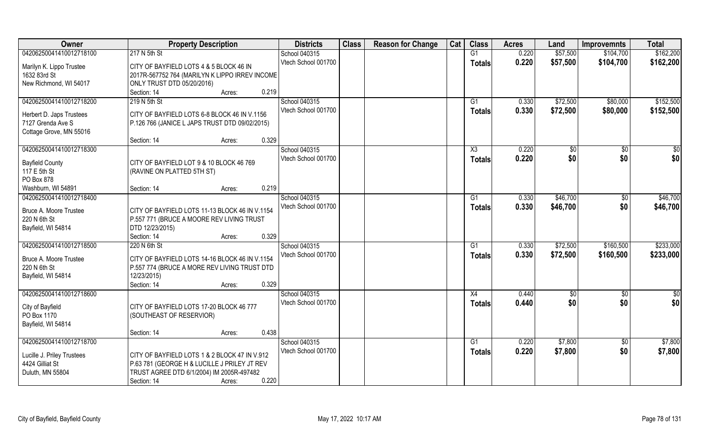| Owner                      | <b>Property Description</b>                    | <b>Districts</b>    | <b>Class</b> | <b>Reason for Change</b> | Cat | <b>Class</b>   | <b>Acres</b> | Land     | <b>Improvemnts</b> | <b>Total</b>  |
|----------------------------|------------------------------------------------|---------------------|--------------|--------------------------|-----|----------------|--------------|----------|--------------------|---------------|
| 04206250041410012718100    | 217 N 5th St                                   | School 040315       |              |                          |     | G1             | 0.220        | \$57,500 | \$104,700          | \$162,200     |
| Marilyn K. Lippo Trustee   | CITY OF BAYFIELD LOTS 4 & 5 BLOCK 46 IN        | Vtech School 001700 |              |                          |     | <b>Totals</b>  | 0.220        | \$57,500 | \$104,700          | \$162,200     |
| 1632 83rd St               | 2017R-567752 764 (MARILYN K LIPPO IRREV INCOME |                     |              |                          |     |                |              |          |                    |               |
| New Richmond, WI 54017     | ONLY TRUST DTD 05/20/2016)                     |                     |              |                          |     |                |              |          |                    |               |
|                            | 0.219<br>Section: 14<br>Acres:                 |                     |              |                          |     |                |              |          |                    |               |
| 04206250041410012718200    | 219 N 5th St                                   | School 040315       |              |                          |     | G <sub>1</sub> | 0.330        | \$72,500 | \$80,000           | \$152,500     |
|                            |                                                | Vtech School 001700 |              |                          |     | Totals         | 0.330        | \$72,500 | \$80,000           | \$152,500     |
| Herbert D. Japs Trustees   | CITY OF BAYFIELD LOTS 6-8 BLOCK 46 IN V.1156   |                     |              |                          |     |                |              |          |                    |               |
| 7127 Grenda Ave S          | P.126 766 (JANICE L JAPS TRUST DTD 09/02/2015) |                     |              |                          |     |                |              |          |                    |               |
| Cottage Grove, MN 55016    |                                                |                     |              |                          |     |                |              |          |                    |               |
|                            | 0.329<br>Section: 14<br>Acres:                 |                     |              |                          |     |                |              |          |                    |               |
| 04206250041410012718300    |                                                | School 040315       |              |                          |     | X3             | 0.220        | \$0      | \$0                | \$0           |
| <b>Bayfield County</b>     | CITY OF BAYFIELD LOT 9 & 10 BLOCK 46 769       | Vtech School 001700 |              |                          |     | <b>Totals</b>  | 0.220        | \$0      | \$0                | \$0           |
| 117 E 5th St               | (RAVINE ON PLATTED 5TH ST)                     |                     |              |                          |     |                |              |          |                    |               |
| PO Box 878                 |                                                |                     |              |                          |     |                |              |          |                    |               |
| Washburn, WI 54891         | 0.219<br>Section: 14<br>Acres:                 |                     |              |                          |     |                |              |          |                    |               |
| 04206250041410012718400    |                                                | School 040315       |              |                          |     | G1             | 0.330        | \$46,700 | \$0                | \$46,700      |
|                            |                                                | Vtech School 001700 |              |                          |     | <b>Totals</b>  | 0.330        | \$46,700 | \$0                | \$46,700      |
| Bruce A. Moore Trustee     | CITY OF BAYFIELD LOTS 11-13 BLOCK 46 IN V.1154 |                     |              |                          |     |                |              |          |                    |               |
| 220 N 6th St               | P.557 771 (BRUCE A MOORE REV LIVING TRUST      |                     |              |                          |     |                |              |          |                    |               |
| Bayfield, WI 54814         | DTD 12/23/2015)<br>0.329                       |                     |              |                          |     |                |              |          |                    |               |
|                            | Section: 14<br>Acres:                          |                     |              |                          |     |                |              |          |                    |               |
| 04206250041410012718500    | 220 N 6th St                                   | School 040315       |              |                          |     | G1             | 0.330        | \$72,500 | \$160,500          | \$233,000     |
| Bruce A. Moore Trustee     | CITY OF BAYFIELD LOTS 14-16 BLOCK 46 IN V.1154 | Vtech School 001700 |              |                          |     | <b>Totals</b>  | 0.330        | \$72,500 | \$160,500          | \$233,000     |
| 220 N 6th St               | P.557 774 (BRUCE A MORE REV LIVING TRUST DTD   |                     |              |                          |     |                |              |          |                    |               |
| Bayfield, WI 54814         | 12/23/2015)                                    |                     |              |                          |     |                |              |          |                    |               |
|                            | 0.329<br>Section: 14<br>Acres:                 |                     |              |                          |     |                |              |          |                    |               |
| 04206250041410012718600    |                                                | School 040315       |              |                          |     | X4             | 0.440        | \$0      | $\overline{50}$    | $\frac{1}{2}$ |
| City of Bayfield           | CITY OF BAYFIELD LOTS 17-20 BLOCK 46 777       | Vtech School 001700 |              |                          |     | <b>Totals</b>  | 0.440        | \$0      | \$0                | \$0           |
| PO Box 1170                |                                                |                     |              |                          |     |                |              |          |                    |               |
| Bayfield, WI 54814         | (SOUTHEAST OF RESERVIOR)                       |                     |              |                          |     |                |              |          |                    |               |
|                            | 0.438<br>Section: 14<br>Acres:                 |                     |              |                          |     |                |              |          |                    |               |
| 04206250041410012718700    |                                                | School 040315       |              |                          |     | G1             | 0.220        | \$7,800  | $\overline{60}$    | \$7,800       |
|                            |                                                | Vtech School 001700 |              |                          |     |                | 0.220        | \$7,800  | \$0                | \$7,800       |
| Lucille J. Priley Trustees | CITY OF BAYFIELD LOTS 1 & 2 BLOCK 47 IN V.912  |                     |              |                          |     | <b>Totals</b>  |              |          |                    |               |
| 4424 Gilliat St            | P.63 781 (GEORGE H & LUCILLE J PRILEY JT REV   |                     |              |                          |     |                |              |          |                    |               |
| Duluth, MN 55804           | TRUST AGREE DTD 6/1/2004) IM 2005R-497482      |                     |              |                          |     |                |              |          |                    |               |
|                            | 0.220<br>Section: 14<br>Acres:                 |                     |              |                          |     |                |              |          |                    |               |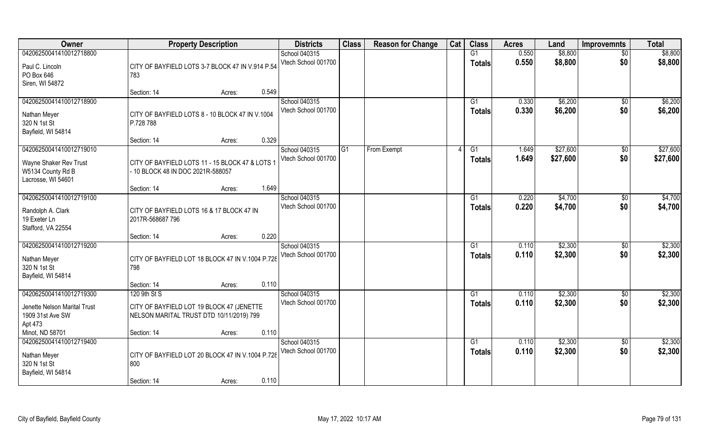| Owner                                                                                        | <b>Property Description</b>                                                                           | <b>Districts</b>                     | <b>Class</b> | <b>Reason for Change</b> | Cat | <b>Class</b>                     | <b>Acres</b>   | Land                 | <b>Improvemnts</b>     | <b>Total</b>         |
|----------------------------------------------------------------------------------------------|-------------------------------------------------------------------------------------------------------|--------------------------------------|--------------|--------------------------|-----|----------------------------------|----------------|----------------------|------------------------|----------------------|
| 04206250041410012718800                                                                      |                                                                                                       | School 040315                        |              |                          |     | G1                               | 0.550          | \$8,800              | $\overline{50}$        | \$8,800              |
| Paul C. Lincoln<br>PO Box 646<br>Siren, WI 54872                                             | CITY OF BAYFIELD LOTS 3-7 BLOCK 47 IN V.914 P.54<br>783                                               | Vtech School 001700                  |              |                          |     | <b>Totals</b>                    | 0.550          | \$8,800              | \$0                    | \$8,800              |
|                                                                                              | 0.549<br>Section: 14<br>Acres:                                                                        |                                      |              |                          |     |                                  |                |                      |                        |                      |
| 04206250041410012718900<br>Nathan Meyer<br>320 N 1st St<br>Bayfield, WI 54814                | CITY OF BAYFIELD LOTS 8 - 10 BLOCK 47 IN V.1004<br>P.728 788                                          | School 040315<br>Vtech School 001700 |              |                          |     | G1<br><b>Totals</b>              | 0.330<br>0.330 | \$6,200<br>\$6,200   | $\overline{50}$<br>\$0 | \$6,200<br>\$6,200   |
|                                                                                              | 0.329<br>Section: 14<br>Acres:                                                                        |                                      |              |                          |     |                                  |                |                      |                        |                      |
| 04206250041410012719010<br>Wayne Shaker Rev Trust<br>W5134 County Rd B<br>Lacrosse, WI 54601 | CITY OF BAYFIELD LOTS 11 - 15 BLOCK 47 & LOTS 1<br>- 10 BLOCK 48 IN DOC 2021R-588057                  | School 040315<br>Vtech School 001700 | G1           | From Exempt              |     | G1<br><b>Totals</b>              | 1.649<br>1.649 | \$27,600<br>\$27,600 | $\sqrt[6]{30}$<br>\$0  | \$27,600<br>\$27,600 |
|                                                                                              | 1.649<br>Section: 14<br>Acres:                                                                        |                                      |              |                          |     |                                  |                |                      |                        |                      |
| 04206250041410012719100<br>Randolph A. Clark<br>19 Exeter Ln<br>Stafford, VA 22554           | CITY OF BAYFIELD LOTS 16 & 17 BLOCK 47 IN<br>2017R-568687 796                                         | School 040315<br>Vtech School 001700 |              |                          |     | G1<br><b>Totals</b>              | 0.220<br>0.220 | \$4,700<br>\$4,700   | $\sqrt[6]{3}$<br>\$0   | \$4,700<br>\$4,700   |
|                                                                                              | 0.220<br>Section: 14<br>Acres:                                                                        |                                      |              |                          |     |                                  |                |                      |                        |                      |
| 04206250041410012719200<br>Nathan Meyer<br>320 N 1st St<br>Bayfield, WI 54814                | CITY OF BAYFIELD LOT 18 BLOCK 47 IN V.1004 P.728<br>798                                               | School 040315<br>Vtech School 001700 |              |                          |     | G1<br><b>Totals</b>              | 0.110<br>0.110 | \$2,300<br>\$2,300   | $\sqrt[6]{30}$<br>\$0  | \$2,300<br>\$2,300   |
|                                                                                              | 0.110<br>Section: 14<br>Acres:                                                                        |                                      |              |                          |     |                                  |                |                      |                        |                      |
| 04206250041410012719300<br>Jenette Nelson Marital Trust<br>1909 31st Ave SW<br>Apt 473       | 120 9th St S<br>CITY OF BAYFIELD LOT 19 BLOCK 47 (JENETTE<br>NELSON MARITAL TRUST DTD 10/11/2019) 799 | School 040315<br>Vtech School 001700 |              |                          |     | G1<br><b>Totals</b>              | 0.110<br>0.110 | \$2,300<br>\$2,300   | \$0<br>\$0             | \$2,300<br>\$2,300   |
| Minot, ND 58701                                                                              | 0.110<br>Section: 14<br>Acres:                                                                        |                                      |              |                          |     |                                  |                |                      |                        |                      |
| 04206250041410012719400<br>Nathan Meyer<br>320 N 1st St<br>Bayfield, WI 54814                | CITY OF BAYFIELD LOT 20 BLOCK 47 IN V.1004 P.728<br>800<br>0.110<br>Section: 14<br>Acres:             | School 040315<br>Vtech School 001700 |              |                          |     | $\overline{G1}$<br><b>Totals</b> | 0.110<br>0.110 | \$2,300<br>\$2,300   | $\overline{50}$<br>\$0 | \$2,300<br>\$2,300   |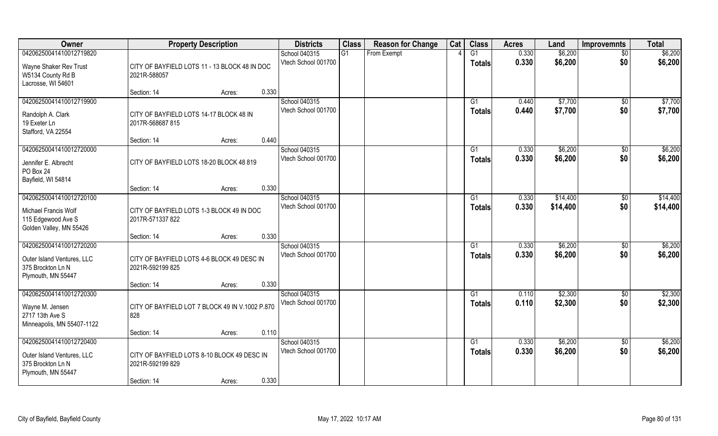| Owner                                                                                            | <b>Property Description</b>                                                                       | <b>Districts</b>                     | <b>Class</b> | <b>Reason for Change</b> | Cat | <b>Class</b>        | <b>Acres</b>   | Land                 | <b>Improvemnts</b>     | <b>Total</b>         |
|--------------------------------------------------------------------------------------------------|---------------------------------------------------------------------------------------------------|--------------------------------------|--------------|--------------------------|-----|---------------------|----------------|----------------------|------------------------|----------------------|
| 04206250041410012719820                                                                          |                                                                                                   | School 040315                        | G1           | From Exempt              |     | G1                  | 0.330          | \$6,200              | $\overline{50}$        | \$6,200              |
| Wayne Shaker Rev Trust<br>W5134 County Rd B<br>Lacrosse, WI 54601                                | CITY OF BAYFIELD LOTS 11 - 13 BLOCK 48 IN DOC<br>2021R-588057                                     | Vtech School 001700                  |              |                          |     | <b>Totals</b>       | 0.330          | \$6,200              | \$0                    | \$6,200              |
|                                                                                                  | 0.330<br>Section: 14<br>Acres:                                                                    |                                      |              |                          |     |                     |                |                      |                        |                      |
| 04206250041410012719900<br>Randolph A. Clark<br>19 Exeter Ln<br>Stafford, VA 22554               | CITY OF BAYFIELD LOTS 14-17 BLOCK 48 IN<br>2017R-568687 815                                       | School 040315<br>Vtech School 001700 |              |                          |     | G1<br><b>Totals</b> | 0.440<br>0.440 | \$7,700<br>\$7,700   | \$0<br>\$0             | \$7,700<br>\$7,700   |
|                                                                                                  | 0.440<br>Section: 14<br>Acres:                                                                    |                                      |              |                          |     |                     |                |                      |                        |                      |
| 04206250041410012720000<br>Jennifer E. Albrecht<br>PO Box 24<br>Bayfield, WI 54814               | CITY OF BAYFIELD LOTS 18-20 BLOCK 48 819                                                          | School 040315<br>Vtech School 001700 |              |                          |     | G1<br><b>Totals</b> | 0.330<br>0.330 | \$6,200<br>\$6,200   | $\sqrt[6]{3}$<br>\$0   | \$6,200<br>\$6,200   |
|                                                                                                  | 0.330<br>Section: 14<br>Acres:                                                                    |                                      |              |                          |     |                     |                |                      |                        |                      |
| 04206250041410012720100<br>Michael Francis Wolf<br>115 Edgewood Ave S<br>Golden Valley, MN 55426 | CITY OF BAYFIELD LOTS 1-3 BLOCK 49 IN DOC<br>2017R-571337 822                                     | School 040315<br>Vtech School 001700 |              |                          |     | G1<br><b>Totals</b> | 0.330<br>0.330 | \$14,400<br>\$14,400 | \$0<br>\$0             | \$14,400<br>\$14,400 |
|                                                                                                  | 0.330<br>Section: 14<br>Acres:                                                                    |                                      |              |                          |     |                     |                |                      |                        |                      |
| 04206250041410012720200<br>Outer Island Ventures, LLC<br>375 Brockton Ln N<br>Plymouth, MN 55447 | CITY OF BAYFIELD LOTS 4-6 BLOCK 49 DESC IN<br>2021R-592199 825                                    | School 040315<br>Vtech School 001700 |              |                          |     | G1<br><b>Totals</b> | 0.330<br>0.330 | \$6,200<br>\$6,200   | $\sqrt[6]{30}$<br>\$0  | \$6,200<br>\$6,200   |
| 04206250041410012720300                                                                          | 0.330<br>Section: 14<br>Acres:                                                                    | School 040315                        |              |                          |     | G1                  | 0.110          | \$2,300              |                        | \$2,300              |
| Wayne M. Jensen<br>2717 13th Ave S<br>Minneapolis, MN 55407-1122                                 | CITY OF BAYFIELD LOT 7 BLOCK 49 IN V.1002 P.870<br>828                                            | Vtech School 001700                  |              |                          |     | <b>Totals</b>       | 0.110          | \$2,300              | $\sqrt{$0}$<br>\$0     | \$2,300              |
|                                                                                                  | 0.110<br>Section: 14<br>Acres:                                                                    |                                      |              |                          |     |                     |                |                      |                        |                      |
| 04206250041410012720400<br>Outer Island Ventures, LLC<br>375 Brockton Ln N<br>Plymouth, MN 55447 | CITY OF BAYFIELD LOTS 8-10 BLOCK 49 DESC IN<br>2021R-592199 829<br>0.330<br>Section: 14<br>Acres: | School 040315<br>Vtech School 001700 |              |                          |     | G1<br>Totals        | 0.330<br>0.330 | \$6,200<br>\$6,200   | $\overline{50}$<br>\$0 | \$6,200<br>\$6,200   |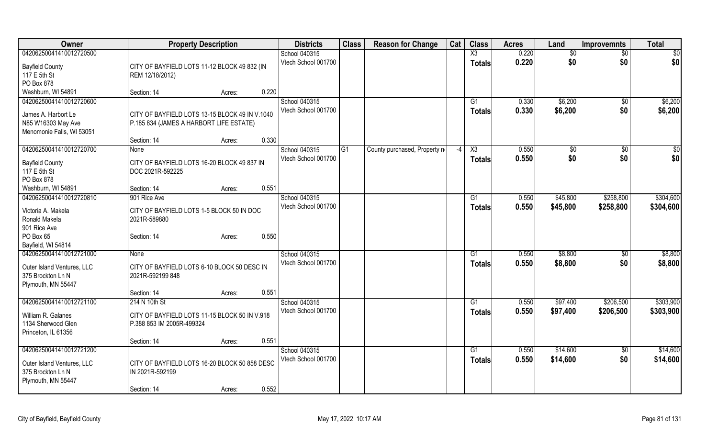| Owner                                           | <b>Property Description</b>                    |                 | <b>Districts</b>                     | <b>Class</b> | <b>Reason for Change</b>      | Cat  | <b>Class</b>           | <b>Acres</b> | Land     | <b>Improvemnts</b> | <b>Total</b>    |
|-------------------------------------------------|------------------------------------------------|-----------------|--------------------------------------|--------------|-------------------------------|------|------------------------|--------------|----------|--------------------|-----------------|
| 04206250041410012720500                         |                                                |                 | School 040315                        |              |                               |      | $\overline{\text{X3}}$ | 0.220        | \$0      | $\overline{50}$    | $\overline{50}$ |
| <b>Bayfield County</b>                          | CITY OF BAYFIELD LOTS 11-12 BLOCK 49 832 (IN   |                 | Vtech School 001700                  |              |                               |      | <b>Totals</b>          | 0.220        | \$0      | \$0                | \$0             |
| 117 E 5th St                                    | REM 12/18/2012)                                |                 |                                      |              |                               |      |                        |              |          |                    |                 |
| PO Box 878                                      |                                                |                 |                                      |              |                               |      |                        |              |          |                    |                 |
| Washburn, WI 54891                              | Section: 14                                    | 0.220<br>Acres: |                                      |              |                               |      |                        |              |          |                    |                 |
| 04206250041410012720600                         |                                                |                 | School 040315                        |              |                               |      | G1                     | 0.330        | \$6,200  | $\sqrt{$0}$        | \$6,200         |
|                                                 |                                                |                 | Vtech School 001700                  |              |                               |      | <b>Totals</b>          | 0.330        | \$6,200  | \$0                | \$6,200         |
| James A. Harbort Le                             | CITY OF BAYFIELD LOTS 13-15 BLOCK 49 IN V.1040 |                 |                                      |              |                               |      |                        |              |          |                    |                 |
| N85 W16303 May Ave                              | P.185 834 (JAMES A HARBORT LIFE ESTATE)        |                 |                                      |              |                               |      |                        |              |          |                    |                 |
| Menomonie Falls, WI 53051                       | Section: 14                                    | 0.330           |                                      |              |                               |      |                        |              |          |                    |                 |
|                                                 |                                                | Acres:          |                                      |              |                               |      |                        |              |          |                    |                 |
| 04206250041410012720700                         | None                                           |                 | School 040315<br>Vtech School 001700 | G1           | County purchased, Property no | $-4$ | X3                     | 0.550        | \$0      | \$0                | \$0             |
| <b>Bayfield County</b>                          | CITY OF BAYFIELD LOTS 16-20 BLOCK 49 837 IN    |                 |                                      |              |                               |      | <b>Totals</b>          | 0.550        | \$0      | \$0                | \$0             |
| 117 E 5th St                                    | DOC 2021R-592225                               |                 |                                      |              |                               |      |                        |              |          |                    |                 |
| PO Box 878                                      |                                                |                 |                                      |              |                               |      |                        |              |          |                    |                 |
| Washburn, WI 54891                              | Section: 14                                    | 0.551<br>Acres: |                                      |              |                               |      |                        |              |          |                    |                 |
| 04206250041410012720810                         | 901 Rice Ave                                   |                 | School 040315                        |              |                               |      | G1                     | 0.550        | \$45,800 | \$258,800          | \$304,600       |
| Victoria A. Makela                              | CITY OF BAYFIELD LOTS 1-5 BLOCK 50 IN DOC      |                 | Vtech School 001700                  |              |                               |      | Totals                 | 0.550        | \$45,800 | \$258,800          | \$304,600       |
| Ronald Makela                                   | 2021R-589880                                   |                 |                                      |              |                               |      |                        |              |          |                    |                 |
| 901 Rice Ave                                    |                                                |                 |                                      |              |                               |      |                        |              |          |                    |                 |
| PO Box 65                                       | Section: 14                                    | 0.550<br>Acres: |                                      |              |                               |      |                        |              |          |                    |                 |
| Bayfield, WI 54814                              |                                                |                 |                                      |              |                               |      |                        |              |          |                    |                 |
| 04206250041410012721000                         | None                                           |                 | School 040315                        |              |                               |      | G1                     | 0.550        | \$8,800  | $\sqrt[6]{3}$      | \$8,800         |
|                                                 | CITY OF BAYFIELD LOTS 6-10 BLOCK 50 DESC IN    |                 | Vtech School 001700                  |              |                               |      | <b>Totals</b>          | 0.550        | \$8,800  | \$0                | \$8,800         |
| Outer Island Ventures, LLC<br>375 Brockton Ln N | 2021R-592199 848                               |                 |                                      |              |                               |      |                        |              |          |                    |                 |
| Plymouth, MN 55447                              |                                                |                 |                                      |              |                               |      |                        |              |          |                    |                 |
|                                                 | Section: 14                                    | 0.551<br>Acres: |                                      |              |                               |      |                        |              |          |                    |                 |
| 04206250041410012721100                         | 214 N 10th St                                  |                 | School 040315                        |              |                               |      | G1                     | 0.550        | \$97,400 | \$206,500          | \$303,900       |
|                                                 |                                                |                 | Vtech School 001700                  |              |                               |      | <b>Totals</b>          | 0.550        | \$97,400 | \$206,500          | \$303,900       |
| William R. Galanes                              | CITY OF BAYFIELD LOTS 11-15 BLOCK 50 IN V.918  |                 |                                      |              |                               |      |                        |              |          |                    |                 |
| 1134 Sherwood Glen                              | P.388 853 IM 2005R-499324                      |                 |                                      |              |                               |      |                        |              |          |                    |                 |
| Princeton, IL 61356                             |                                                |                 |                                      |              |                               |      |                        |              |          |                    |                 |
|                                                 | Section: 14                                    | 0.551<br>Acres: |                                      |              |                               |      |                        |              |          |                    |                 |
| 04206250041410012721200                         |                                                |                 | School 040315                        |              |                               |      | $\overline{G1}$        | 0.550        | \$14,600 | $\sqrt{$0}$        | \$14,600        |
| Outer Island Ventures, LLC                      | CITY OF BAYFIELD LOTS 16-20 BLOCK 50 858 DESC  |                 | Vtech School 001700                  |              |                               |      | <b>Totals</b>          | 0.550        | \$14,600 | \$0                | \$14,600        |
| 375 Brockton Ln N                               | IN 2021R-592199                                |                 |                                      |              |                               |      |                        |              |          |                    |                 |
| Plymouth, MN 55447                              |                                                |                 |                                      |              |                               |      |                        |              |          |                    |                 |
|                                                 | Section: 14                                    | 0.552<br>Acres: |                                      |              |                               |      |                        |              |          |                    |                 |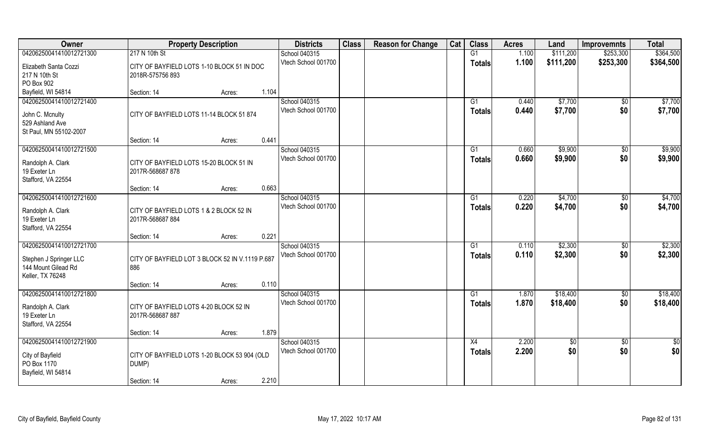| Owner                             | <b>Property Description</b>                     |       | <b>Districts</b>    | <b>Class</b> | <b>Reason for Change</b> | Cat | <b>Class</b>    | <b>Acres</b> | Land       | <b>Improvemnts</b> | <b>Total</b>    |
|-----------------------------------|-------------------------------------------------|-------|---------------------|--------------|--------------------------|-----|-----------------|--------------|------------|--------------------|-----------------|
| 04206250041410012721300           | 217 N 10th St                                   |       | School 040315       |              |                          |     | G1              | 1.100        | \$111,200  | \$253,300          | \$364,500       |
| Elizabeth Santa Cozzi             | CITY OF BAYFIELD LOTS 1-10 BLOCK 51 IN DOC      |       | Vtech School 001700 |              |                          |     | <b>Totals</b>   | 1.100        | \$111,200  | \$253,300          | \$364,500       |
| 217 N 10th St                     | 2018R-575756 893                                |       |                     |              |                          |     |                 |              |            |                    |                 |
| PO Box 902                        |                                                 |       |                     |              |                          |     |                 |              |            |                    |                 |
| Bayfield, WI 54814                | Section: 14<br>Acres:                           | 1.104 |                     |              |                          |     |                 |              |            |                    |                 |
| 04206250041410012721400           |                                                 |       | School 040315       |              |                          |     | G1              | 0.440        | \$7,700    | $\sqrt{$0}$        | \$7,700         |
|                                   |                                                 |       | Vtech School 001700 |              |                          |     | <b>Totals</b>   | 0.440        | \$7,700    | \$0                | \$7,700         |
| John C. Mcnulty                   | CITY OF BAYFIELD LOTS 11-14 BLOCK 51 874        |       |                     |              |                          |     |                 |              |            |                    |                 |
| 529 Ashland Ave                   |                                                 |       |                     |              |                          |     |                 |              |            |                    |                 |
| St Paul, MN 55102-2007            |                                                 |       |                     |              |                          |     |                 |              |            |                    |                 |
|                                   | Section: 14<br>Acres:                           | 0.441 |                     |              |                          |     |                 |              |            |                    |                 |
| 04206250041410012721500           |                                                 |       | School 040315       |              |                          |     | G1              | 0.660        | \$9,900    | $\sqrt{50}$        | \$9,900         |
| Randolph A. Clark                 | CITY OF BAYFIELD LOTS 15-20 BLOCK 51 IN         |       | Vtech School 001700 |              |                          |     | <b>Totals</b>   | 0.660        | \$9,900    | \$0                | \$9,900         |
| 19 Exeter Ln                      | 2017R-568687 878                                |       |                     |              |                          |     |                 |              |            |                    |                 |
| Stafford, VA 22554                |                                                 |       |                     |              |                          |     |                 |              |            |                    |                 |
|                                   | Section: 14<br>Acres:                           | 0.663 |                     |              |                          |     |                 |              |            |                    |                 |
| 04206250041410012721600           |                                                 |       | School 040315       |              |                          |     | G1              | 0.220        | \$4,700    | $\sqrt[6]{3}$      | \$4,700         |
|                                   |                                                 |       | Vtech School 001700 |              |                          |     | <b>Totals</b>   | 0.220        | \$4,700    | \$0                | \$4,700         |
| Randolph A. Clark                 | CITY OF BAYFIELD LOTS 1 & 2 BLOCK 52 IN         |       |                     |              |                          |     |                 |              |            |                    |                 |
| 19 Exeter Ln                      | 2017R-568687884                                 |       |                     |              |                          |     |                 |              |            |                    |                 |
| Stafford, VA 22554                |                                                 |       |                     |              |                          |     |                 |              |            |                    |                 |
|                                   | Section: 14<br>Acres:                           | 0.221 |                     |              |                          |     |                 |              |            |                    |                 |
| 04206250041410012721700           |                                                 |       | School 040315       |              |                          |     | G1              | 0.110        | \$2,300    | $\overline{30}$    | \$2,300         |
| Stephen J Springer LLC            | CITY OF BAYFIELD LOT 3 BLOCK 52 IN V.1119 P.687 |       | Vtech School 001700 |              |                          |     | <b>Totals</b>   | 0.110        | \$2,300    | \$0                | \$2,300         |
| 144 Mount Gilead Rd               | 886                                             |       |                     |              |                          |     |                 |              |            |                    |                 |
| Keller, TX 76248                  |                                                 |       |                     |              |                          |     |                 |              |            |                    |                 |
|                                   | Section: 14<br>Acres:                           | 0.110 |                     |              |                          |     |                 |              |            |                    |                 |
| 04206250041410012721800           |                                                 |       | School 040315       |              |                          |     | G1              | 1.870        | \$18,400   | $\sqrt{$0}$        | \$18,400        |
|                                   |                                                 |       | Vtech School 001700 |              |                          |     | <b>Totals</b>   | 1.870        | \$18,400   | \$0                | \$18,400        |
| Randolph A. Clark<br>19 Exeter Ln | CITY OF BAYFIELD LOTS 4-20 BLOCK 52 IN          |       |                     |              |                          |     |                 |              |            |                    |                 |
| Stafford, VA 22554                | 2017R-568687 887                                |       |                     |              |                          |     |                 |              |            |                    |                 |
|                                   | Section: 14<br>Acres:                           | 1.879 |                     |              |                          |     |                 |              |            |                    |                 |
| 04206250041410012721900           |                                                 |       | School 040315       |              |                          |     | $\overline{X4}$ | 2.200        | $\sqrt{6}$ | $\sqrt{$0}$        | $\overline{50}$ |
|                                   |                                                 |       | Vtech School 001700 |              |                          |     |                 | 2.200        |            |                    |                 |
| City of Bayfield                  | CITY OF BAYFIELD LOTS 1-20 BLOCK 53 904 (OLD    |       |                     |              |                          |     | <b>Totals</b>   |              | \$0        | \$0                | \$0             |
| PO Box 1170                       | DUMP)                                           |       |                     |              |                          |     |                 |              |            |                    |                 |
| Bayfield, WI 54814                |                                                 |       |                     |              |                          |     |                 |              |            |                    |                 |
|                                   | Section: 14<br>Acres:                           | 2.210 |                     |              |                          |     |                 |              |            |                    |                 |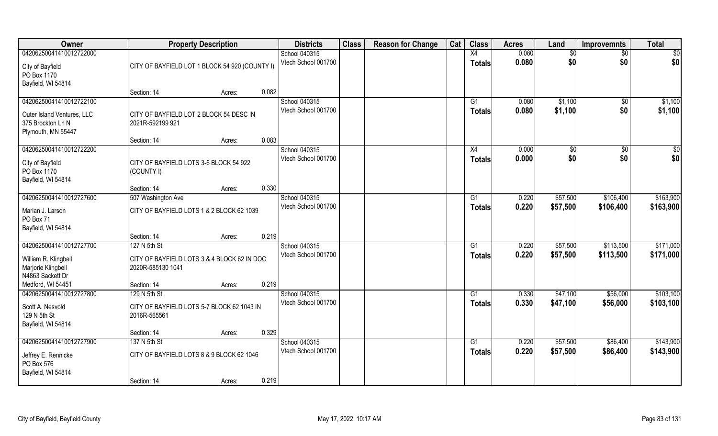| Owner                             |                                                | <b>Property Description</b> |       | <b>Districts</b>                     | <b>Class</b> | <b>Reason for Change</b> | Cat | <b>Class</b>    | <b>Acres</b>   | Land               | <b>Improvemnts</b> | <b>Total</b>       |
|-----------------------------------|------------------------------------------------|-----------------------------|-------|--------------------------------------|--------------|--------------------------|-----|-----------------|----------------|--------------------|--------------------|--------------------|
| 04206250041410012722000           |                                                |                             |       | School 040315                        |              |                          |     | X4              | 0.080          | $\overline{50}$    | $\sqrt{6}$         | \$0                |
| City of Bayfield<br>PO Box 1170   | CITY OF BAYFIELD LOT 1 BLOCK 54 920 (COUNTY I) |                             |       | Vtech School 001700                  |              |                          |     | <b>Totals</b>   | 0.080          | \$0                | \$0                | \$0                |
| Bayfield, WI 54814                |                                                |                             |       |                                      |              |                          |     |                 |                |                    |                    |                    |
|                                   | Section: 14                                    | Acres:                      | 0.082 |                                      |              |                          |     |                 |                |                    |                    |                    |
| 04206250041410012722100           |                                                |                             |       | School 040315<br>Vtech School 001700 |              |                          |     | G1              | 0.080<br>0.080 | \$1,100<br>\$1,100 | \$0<br>\$0         | \$1,100<br>\$1,100 |
| Outer Island Ventures, LLC        | CITY OF BAYFIELD LOT 2 BLOCK 54 DESC IN        |                             |       |                                      |              |                          |     | Totals          |                |                    |                    |                    |
| 375 Brockton Ln N                 | 2021R-592199 921                               |                             |       |                                      |              |                          |     |                 |                |                    |                    |                    |
| Plymouth, MN 55447                | Section: 14                                    | Acres:                      | 0.083 |                                      |              |                          |     |                 |                |                    |                    |                    |
| 04206250041410012722200           |                                                |                             |       | School 040315                        |              |                          |     | X4              | 0.000          | \$0                | \$0                | \$0                |
|                                   |                                                |                             |       | Vtech School 001700                  |              |                          |     | <b>Totals</b>   | 0.000          | \$0                | \$0                | \$0                |
| City of Bayfield                  | CITY OF BAYFIELD LOTS 3-6 BLOCK 54 922         |                             |       |                                      |              |                          |     |                 |                |                    |                    |                    |
| PO Box 1170<br>Bayfield, WI 54814 | (COUNTY I)                                     |                             |       |                                      |              |                          |     |                 |                |                    |                    |                    |
|                                   | Section: 14                                    | Acres:                      | 0.330 |                                      |              |                          |     |                 |                |                    |                    |                    |
| 04206250041410012727600           | 507 Washington Ave                             |                             |       | School 040315                        |              |                          |     | G1              | 0.220          | \$57,500           | \$106,400          | \$163,900          |
| Marian J. Larson<br>PO Box 71     | CITY OF BAYFIELD LOTS 1 & 2 BLOCK 62 1039      |                             |       | Vtech School 001700                  |              |                          |     | <b>Totals</b>   | 0.220          | \$57,500           | \$106,400          | \$163,900          |
| Bayfield, WI 54814                |                                                |                             |       |                                      |              |                          |     |                 |                |                    |                    |                    |
|                                   | Section: 14                                    | Acres:                      | 0.219 |                                      |              |                          |     |                 |                |                    |                    |                    |
| 04206250041410012727700           | 127 N 5th St                                   |                             |       | School 040315                        |              |                          |     | $\overline{G1}$ | 0.220          | \$57,500           | \$113,500          | \$171,000          |
| William R. Klingbeil              | CITY OF BAYFIELD LOTS 3 & 4 BLOCK 62 IN DOC    |                             |       | Vtech School 001700                  |              |                          |     | <b>Totals</b>   | 0.220          | \$57,500           | \$113,500          | \$171,000          |
| Marjorie Klingbeil                | 2020R-585130 1041                              |                             |       |                                      |              |                          |     |                 |                |                    |                    |                    |
| N4863 Sackett Dr                  |                                                |                             |       |                                      |              |                          |     |                 |                |                    |                    |                    |
| Medford, WI 54451                 | Section: 14                                    | Acres:                      | 0.219 |                                      |              |                          |     |                 |                |                    |                    |                    |
| 04206250041410012727800           | 129 N 5th St                                   |                             |       | School 040315                        |              |                          |     | G1              | 0.330          | \$47,100           | \$56,000           | \$103,100          |
| Scott A. Nesvold                  | CITY OF BAYFIELD LOTS 5-7 BLOCK 62 1043 IN     |                             |       | Vtech School 001700                  |              |                          |     | <b>Totals</b>   | 0.330          | \$47,100           | \$56,000           | \$103,100          |
| 129 N 5th St                      | 2016R-565561                                   |                             |       |                                      |              |                          |     |                 |                |                    |                    |                    |
| Bayfield, WI 54814                |                                                |                             |       |                                      |              |                          |     |                 |                |                    |                    |                    |
|                                   | Section: 14                                    | Acres:                      | 0.329 |                                      |              |                          |     |                 |                |                    |                    |                    |
| 04206250041410012727900           | 137 N 5th St                                   |                             |       | School 040315<br>Vtech School 001700 |              |                          |     | $\overline{G1}$ | 0.220          | \$57,500           | \$86,400           | \$143,900          |
| Jeffrey E. Rennicke               | CITY OF BAYFIELD LOTS 8 & 9 BLOCK 62 1046      |                             |       |                                      |              |                          |     | <b>Totals</b>   | 0.220          | \$57,500           | \$86,400           | \$143,900          |
| PO Box 576                        |                                                |                             |       |                                      |              |                          |     |                 |                |                    |                    |                    |
| Bayfield, WI 54814                | Section: 14                                    |                             | 0.219 |                                      |              |                          |     |                 |                |                    |                    |                    |
|                                   |                                                | Acres:                      |       |                                      |              |                          |     |                 |                |                    |                    |                    |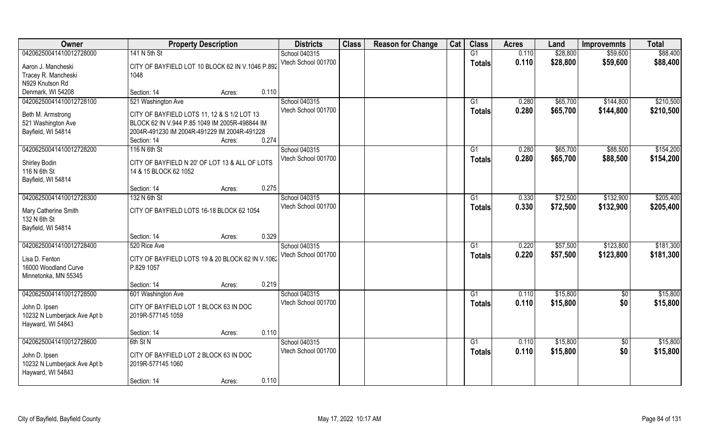| Owner                                | <b>Property Description</b>                      | <b>Districts</b>    | <b>Class</b> | <b>Reason for Change</b> | Cat | <b>Class</b>    | <b>Acres</b> | Land     | <b>Improvemnts</b>     | <b>Total</b> |
|--------------------------------------|--------------------------------------------------|---------------------|--------------|--------------------------|-----|-----------------|--------------|----------|------------------------|--------------|
| 04206250041410012728000              | 141 N 5th St                                     | School 040315       |              |                          |     | G1              | 0.110        | \$28,800 | \$59,600               | \$88,400     |
| Aaron J. Mancheski                   | CITY OF BAYFIELD LOT 10 BLOCK 62 IN V.1046 P.892 | Vtech School 001700 |              |                          |     | <b>Totals</b>   | 0.110        | \$28,800 | \$59,600               | \$88,400     |
| Tracey R. Mancheski                  | 1048                                             |                     |              |                          |     |                 |              |          |                        |              |
| N929 Knutson Rd                      |                                                  |                     |              |                          |     |                 |              |          |                        |              |
| Denmark, WI 54208                    | 0.110<br>Section: 14<br>Acres:                   |                     |              |                          |     |                 |              |          |                        |              |
| 04206250041410012728100              | 521 Washington Ave                               | School 040315       |              |                          |     | G <sub>1</sub>  | 0.280        | \$65,700 | \$144,800              | \$210,500    |
| Beth M. Armstrong                    | CITY OF BAYFIELD LOTS 11, 12 & S 1/2 LOT 13      | Vtech School 001700 |              |                          |     | <b>Totals</b>   | 0.280        | \$65,700 | \$144,800              | \$210,500    |
| 521 Washington Ave                   | BLOCK 62 IN V.944 P.85 1049 IM 2005R-498844 IM   |                     |              |                          |     |                 |              |          |                        |              |
| Bayfield, WI 54814                   | 2004R-491230 IM 2004R-491229 IM 2004R-491228     |                     |              |                          |     |                 |              |          |                        |              |
|                                      | 0.274<br>Section: 14<br>Acres:                   |                     |              |                          |     |                 |              |          |                        |              |
| 04206250041410012728200              | 116 N 6th St                                     | School 040315       |              |                          |     | G1              | 0.280        | \$65,700 | \$88,500               | \$154,200    |
|                                      | CITY OF BAYFIELD N 20' OF LOT 13 & ALL OF LOTS   | Vtech School 001700 |              |                          |     | <b>Totals</b>   | 0.280        | \$65,700 | \$88,500               | \$154,200    |
| <b>Shirley Bodin</b><br>116 N 6th St | 14 & 15 BLOCK 62 1052                            |                     |              |                          |     |                 |              |          |                        |              |
| Bayfield, WI 54814                   |                                                  |                     |              |                          |     |                 |              |          |                        |              |
|                                      | 0.275<br>Section: 14<br>Acres:                   |                     |              |                          |     |                 |              |          |                        |              |
| 04206250041410012728300              | 132 N 6th St                                     | School 040315       |              |                          |     | G1              | 0.330        | \$72,500 | \$132,900              | \$205,400    |
|                                      |                                                  | Vtech School 001700 |              |                          |     | <b>Totals</b>   | 0.330        | \$72,500 | \$132,900              | \$205,400    |
| Mary Catherine Smith<br>132 N 6th St | CITY OF BAYFIELD LOTS 16-18 BLOCK 62 1054        |                     |              |                          |     |                 |              |          |                        |              |
| Bayfield, WI 54814                   |                                                  |                     |              |                          |     |                 |              |          |                        |              |
|                                      | 0.329<br>Section: 14<br>Acres:                   |                     |              |                          |     |                 |              |          |                        |              |
| 04206250041410012728400              | 520 Rice Ave                                     | School 040315       |              |                          |     | G1              | 0.220        | \$57,500 | \$123,800              | \$181,300    |
|                                      |                                                  | Vtech School 001700 |              |                          |     | <b>Totals</b>   | 0.220        | \$57,500 | \$123,800              | \$181,300    |
| Lisa D. Fenton                       | CITY OF BAYFIELD LOTS 19 & 20 BLOCK 62 IN V.1062 |                     |              |                          |     |                 |              |          |                        |              |
| 16000 Woodland Curve                 | P.829 1057                                       |                     |              |                          |     |                 |              |          |                        |              |
| Minnetonka, MN 55345                 | 0.219<br>Section: 14<br>Acres:                   |                     |              |                          |     |                 |              |          |                        |              |
| 04206250041410012728500              | 601 Washington Ave                               | School 040315       |              |                          |     | $\overline{G1}$ | 0.110        | \$15,800 | $\overline{50}$        | \$15,800     |
|                                      |                                                  | Vtech School 001700 |              |                          |     | <b>Totals</b>   | 0.110        | \$15,800 | \$0                    | \$15,800     |
| John D. Ipsen                        | CITY OF BAYFIELD LOT 1 BLOCK 63 IN DOC           |                     |              |                          |     |                 |              |          |                        |              |
| 10232 N Lumberjack Ave Apt b         | 2019R-577145 1059                                |                     |              |                          |     |                 |              |          |                        |              |
| Hayward, WI 54843                    | 0.110                                            |                     |              |                          |     |                 |              |          |                        |              |
| 04206250041410012728600              | Section: 14<br>Acres:<br>6th St N                | School 040315       |              |                          |     | G1              | 0.110        | \$15,800 |                        | \$15,800     |
|                                      |                                                  | Vtech School 001700 |              |                          |     |                 | 0.110        | \$15,800 | $\overline{60}$<br>\$0 | \$15,800     |
| John D. Ipsen                        | CITY OF BAYFIELD LOT 2 BLOCK 63 IN DOC           |                     |              |                          |     | <b>Totals</b>   |              |          |                        |              |
| 10232 N Lumberjack Ave Apt b         | 2019R-577145 1060                                |                     |              |                          |     |                 |              |          |                        |              |
| Hayward, WI 54843                    |                                                  |                     |              |                          |     |                 |              |          |                        |              |
|                                      | 0.110<br>Section: 14<br>Acres:                   |                     |              |                          |     |                 |              |          |                        |              |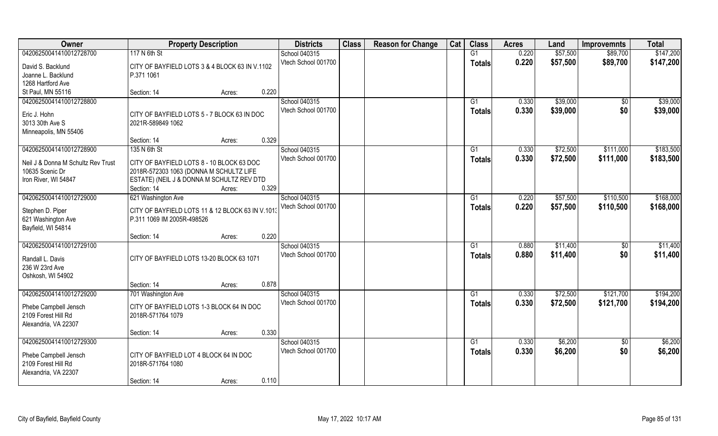| Owner                                  | <b>Property Description</b>                                                    | <b>Districts</b>    | <b>Class</b> | <b>Reason for Change</b> | Cat | <b>Class</b>  | <b>Acres</b> | Land     | <b>Improvemnts</b> | <b>Total</b> |
|----------------------------------------|--------------------------------------------------------------------------------|---------------------|--------------|--------------------------|-----|---------------|--------------|----------|--------------------|--------------|
| 04206250041410012728700                | 117 N 6th St                                                                   | School 040315       |              |                          |     | G1            | 0.220        | \$57,500 | \$89,700           | \$147,200    |
| David S. Backlund                      | CITY OF BAYFIELD LOTS 3 & 4 BLOCK 63 IN V.1102                                 | Vtech School 001700 |              |                          |     | <b>Totals</b> | 0.220        | \$57,500 | \$89,700           | \$147,200    |
| Joanne L. Backlund                     | P.371 1061                                                                     |                     |              |                          |     |               |              |          |                    |              |
| 1268 Hartford Ave                      |                                                                                |                     |              |                          |     |               |              |          |                    |              |
| St Paul, MN 55116                      | 0.220<br>Section: 14<br>Acres:                                                 |                     |              |                          |     |               |              |          |                    |              |
| 04206250041410012728800                |                                                                                | School 040315       |              |                          |     | G1            | 0.330        | \$39,000 | \$0                | \$39,000     |
|                                        |                                                                                | Vtech School 001700 |              |                          |     | Totals        | 0.330        | \$39,000 | \$0                | \$39,000     |
| Eric J. Hohn                           | CITY OF BAYFIELD LOTS 5 - 7 BLOCK 63 IN DOC                                    |                     |              |                          |     |               |              |          |                    |              |
| 3013 30th Ave S                        | 2021R-589849 1062                                                              |                     |              |                          |     |               |              |          |                    |              |
| Minneapolis, MN 55406                  |                                                                                |                     |              |                          |     |               |              |          |                    |              |
|                                        | 0.329<br>Section: 14<br>Acres:                                                 |                     |              |                          |     |               |              |          |                    |              |
| 04206250041410012728900                | 135 N 6th St                                                                   | School 040315       |              |                          |     | G1            | 0.330        | \$72,500 | \$111,000          | \$183,500    |
| Neil J & Donna M Schultz Rev Trust     | CITY OF BAYFIELD LOTS 8 - 10 BLOCK 63 DOC                                      | Vtech School 001700 |              |                          |     | <b>Totals</b> | 0.330        | \$72,500 | \$111,000          | \$183,500    |
| 10635 Scenic Dr                        | 2018R-572303 1063 (DONNA M SCHULTZ LIFE                                        |                     |              |                          |     |               |              |          |                    |              |
| Iron River, WI 54847                   | ESTATE) (NEIL J & DONNA M SCHULTZ REV DTD                                      |                     |              |                          |     |               |              |          |                    |              |
|                                        | 0.329<br>Section: 14<br>Acres:                                                 |                     |              |                          |     |               |              |          |                    |              |
| 04206250041410012729000                | 621 Washington Ave                                                             | School 040315       |              |                          |     | G1            | 0.220        | \$57,500 | \$110,500          | \$168,000    |
|                                        |                                                                                | Vtech School 001700 |              |                          |     | <b>Totals</b> | 0.220        | \$57,500 | \$110,500          | \$168,000    |
| Stephen D. Piper<br>621 Washington Ave | CITY OF BAYFIELD LOTS 11 & 12 BLOCK 63 IN V.1013<br>P.311 1069 IM 2005R-498526 |                     |              |                          |     |               |              |          |                    |              |
| Bayfield, WI 54814                     |                                                                                |                     |              |                          |     |               |              |          |                    |              |
|                                        | 0.220<br>Section: 14<br>Acres:                                                 |                     |              |                          |     |               |              |          |                    |              |
| 04206250041410012729100                |                                                                                | School 040315       |              |                          |     | G1            | 0.880        | \$11,400 | $\overline{50}$    | \$11,400     |
|                                        |                                                                                | Vtech School 001700 |              |                          |     |               | 0.880        | \$11,400 | \$0                | \$11,400     |
| Randall L. Davis                       | CITY OF BAYFIELD LOTS 13-20 BLOCK 63 1071                                      |                     |              |                          |     | Totals        |              |          |                    |              |
| 236 W 23rd Ave                         |                                                                                |                     |              |                          |     |               |              |          |                    |              |
| Oshkosh, WI 54902                      |                                                                                |                     |              |                          |     |               |              |          |                    |              |
|                                        | 0.878<br>Section: 14<br>Acres:                                                 |                     |              |                          |     |               |              |          |                    |              |
| 04206250041410012729200                | 701 Washington Ave                                                             | School 040315       |              |                          |     | G1            | 0.330        | \$72,500 | \$121,700          | \$194,200    |
| Phebe Campbell Jensch                  | CITY OF BAYFIELD LOTS 1-3 BLOCK 64 IN DOC                                      | Vtech School 001700 |              |                          |     | <b>Totals</b> | 0.330        | \$72,500 | \$121,700          | \$194,200    |
| 2109 Forest Hill Rd                    | 2018R-571764 1079                                                              |                     |              |                          |     |               |              |          |                    |              |
| Alexandria, VA 22307                   |                                                                                |                     |              |                          |     |               |              |          |                    |              |
|                                        | 0.330<br>Section: 14<br>Acres:                                                 |                     |              |                          |     |               |              |          |                    |              |
| 04206250041410012729300                |                                                                                | School 040315       |              |                          |     | G1            | 0.330        | \$6,200  | $\sqrt{6}$         | \$6,200      |
|                                        |                                                                                | Vtech School 001700 |              |                          |     | <b>Totals</b> | 0.330        | \$6,200  | \$0                | \$6,200      |
| Phebe Campbell Jensch                  | CITY OF BAYFIELD LOT 4 BLOCK 64 IN DOC                                         |                     |              |                          |     |               |              |          |                    |              |
| 2109 Forest Hill Rd                    | 2018R-571764 1080                                                              |                     |              |                          |     |               |              |          |                    |              |
| Alexandria, VA 22307                   |                                                                                |                     |              |                          |     |               |              |          |                    |              |
|                                        | 0.110<br>Section: 14<br>Acres:                                                 |                     |              |                          |     |               |              |          |                    |              |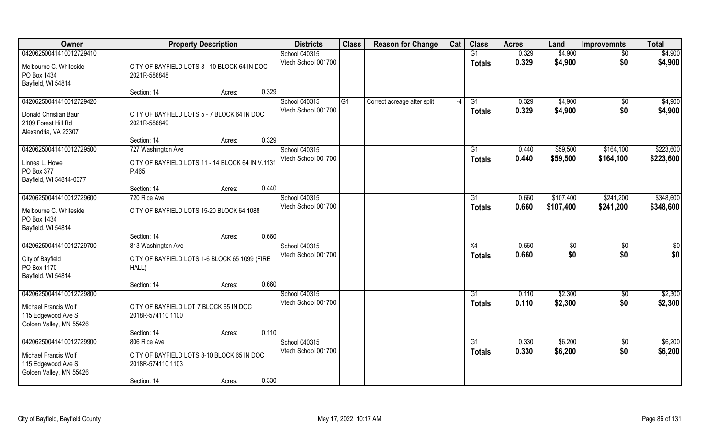| Owner                                                                                            | <b>Property Description</b>                                                     | <b>Districts</b>                     | <b>Class</b>   | <b>Reason for Change</b>    | Cat  | <b>Class</b>        | <b>Acres</b>   | Land               | <b>Improvemnts</b>     | <b>Total</b>       |
|--------------------------------------------------------------------------------------------------|---------------------------------------------------------------------------------|--------------------------------------|----------------|-----------------------------|------|---------------------|----------------|--------------------|------------------------|--------------------|
| 04206250041410012729410                                                                          |                                                                                 | School 040315                        |                |                             |      | G1                  | 0.329          | \$4,900            | $\sqrt{6}$             | \$4,900            |
| Melbourne C. Whiteside<br>PO Box 1434<br>Bayfield, WI 54814                                      | CITY OF BAYFIELD LOTS 8 - 10 BLOCK 64 IN DOC<br>2021R-586848                    | Vtech School 001700                  |                |                             |      | <b>Totals</b>       | 0.329          | \$4,900            | \$0                    | \$4,900            |
|                                                                                                  | 0.329<br>Section: 14<br>Acres:                                                  |                                      |                |                             |      |                     |                |                    |                        |                    |
| 04206250041410012729420<br>Donald Christian Baur<br>2109 Forest Hill Rd<br>Alexandria, VA 22307  | CITY OF BAYFIELD LOTS 5 - 7 BLOCK 64 IN DOC<br>2021R-586849                     | School 040315<br>Vtech School 001700 | G <sub>1</sub> | Correct acreage after split | $-4$ | G1<br>Totals        | 0.329<br>0.329 | \$4,900<br>\$4,900 | \$0<br>\$0             | \$4,900<br>\$4,900 |
|                                                                                                  | 0.329<br>Section: 14<br>Acres:                                                  |                                      |                |                             |      |                     |                |                    |                        |                    |
| 04206250041410012729500                                                                          | 727 Washington Ave                                                              | School 040315                        |                |                             |      | G1                  | 0.440          | \$59,500           | \$164,100              | \$223,600          |
| Linnea L. Howe<br>PO Box 377<br>Bayfield, WI 54814-0377                                          | CITY OF BAYFIELD LOTS 11 - 14 BLOCK 64 IN V.1131<br>P.465                       | Vtech School 001700                  |                |                             |      | <b>Totals</b>       | 0.440          | \$59,500           | \$164,100              | \$223,600          |
|                                                                                                  | 0.440<br>Section: 14<br>Acres:                                                  |                                      |                |                             |      |                     |                |                    |                        |                    |
| 04206250041410012729600                                                                          | 720 Rice Ave                                                                    | School 040315                        |                |                             |      | G1                  | 0.660          | \$107,400          | \$241,200              | \$348,600          |
| Melbourne C. Whiteside<br>PO Box 1434<br>Bayfield, WI 54814                                      | CITY OF BAYFIELD LOTS 15-20 BLOCK 64 1088                                       | Vtech School 001700                  |                |                             |      | <b>Totals</b>       | 0.660          | \$107,400          | \$241,200              | \$348,600          |
|                                                                                                  | 0.660<br>Section: 14<br>Acres:                                                  |                                      |                |                             |      |                     |                |                    |                        |                    |
| 04206250041410012729700                                                                          | 813 Washington Ave                                                              | School 040315                        |                |                             |      | X4                  | 0.660          | \$0                | \$0                    | \$0                |
| City of Bayfield<br>PO Box 1170<br>Bayfield, WI 54814                                            | CITY OF BAYFIELD LOTS 1-6 BLOCK 65 1099 (FIRE<br>HALL)                          | Vtech School 001700                  |                |                             |      | <b>Totals</b>       | 0.660          | \$0                | \$0                    | \$0                |
|                                                                                                  | 0.660<br>Section: 14<br>Acres:                                                  |                                      |                |                             |      |                     |                |                    |                        |                    |
| 04206250041410012729800                                                                          |                                                                                 | School 040315                        |                |                             |      | $\overline{G1}$     | 0.110          | \$2,300            | $\overline{50}$        | \$2,300            |
| Michael Francis Wolf<br>115 Edgewood Ave S<br>Golden Valley, MN 55426                            | CITY OF BAYFIELD LOT 7 BLOCK 65 IN DOC<br>2018R-574110 1100                     | Vtech School 001700                  |                |                             |      | <b>Totals</b>       | 0.110          | \$2,300            | \$0                    | \$2,300            |
|                                                                                                  | 0.110<br>Section: 14<br>Acres:                                                  |                                      |                |                             |      |                     |                |                    |                        |                    |
| 04206250041410012729900<br>Michael Francis Wolf<br>115 Edgewood Ave S<br>Golden Valley, MN 55426 | 806 Rice Ave<br>CITY OF BAYFIELD LOTS 8-10 BLOCK 65 IN DOC<br>2018R-574110 1103 | School 040315<br>Vtech School 001700 |                |                             |      | G1<br><b>Totals</b> | 0.330<br>0.330 | \$6,200<br>\$6,200 | $\overline{60}$<br>\$0 | \$6,200<br>\$6,200 |
|                                                                                                  | 0.330<br>Section: 14<br>Acres:                                                  |                                      |                |                             |      |                     |                |                    |                        |                    |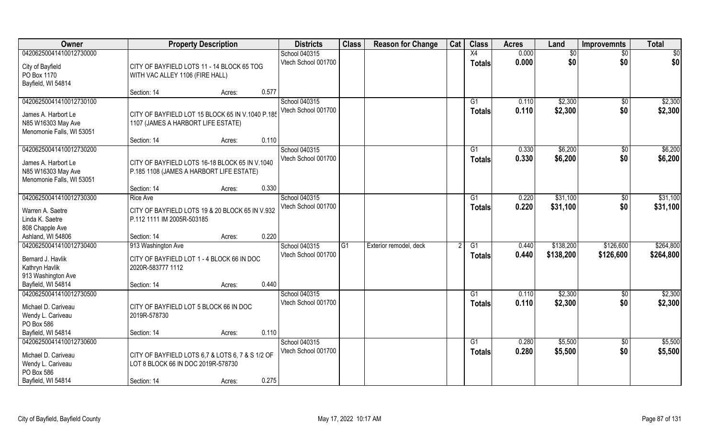| <b>Owner</b>                                                                                            | <b>Property Description</b>                                                                           |                 | <b>Districts</b>                     | <b>Class</b> | <b>Reason for Change</b> | Cat | <b>Class</b>        | <b>Acres</b>   | Land                   | <b>Improvemnts</b>     | <b>Total</b>           |
|---------------------------------------------------------------------------------------------------------|-------------------------------------------------------------------------------------------------------|-----------------|--------------------------------------|--------------|--------------------------|-----|---------------------|----------------|------------------------|------------------------|------------------------|
| 04206250041410012730000                                                                                 |                                                                                                       |                 | School 040315                        |              |                          |     | X4                  | 0.000          | \$0                    | $\overline{30}$        | $\overline{50}$        |
| City of Bayfield<br>PO Box 1170<br>Bayfield, WI 54814                                                   | CITY OF BAYFIELD LOTS 11 - 14 BLOCK 65 TOG<br>WITH VAC ALLEY 1106 (FIRE HALL)                         |                 | Vtech School 001700                  |              |                          |     | <b>Totals</b>       | 0.000          | \$0                    | \$0                    | \$0                    |
|                                                                                                         | Section: 14                                                                                           | 0.577<br>Acres: |                                      |              |                          |     |                     |                |                        |                        |                        |
| 04206250041410012730100<br>James A. Harbort Le<br>N85 W16303 May Ave<br>Menomonie Falls, WI 53051       | CITY OF BAYFIELD LOT 15 BLOCK 65 IN V.1040 P.185<br>1107 (JAMES A HARBORT LIFE ESTATE)                |                 | School 040315<br>Vtech School 001700 |              |                          |     | G1<br><b>Totals</b> | 0.110<br>0.110 | \$2,300<br>\$2,300     | $\overline{50}$<br>\$0 | \$2,300<br>\$2,300     |
|                                                                                                         | Section: 14                                                                                           | 0.110<br>Acres: |                                      |              |                          |     |                     |                |                        |                        |                        |
| 04206250041410012730200                                                                                 |                                                                                                       |                 | School 040315                        |              |                          |     | G1                  | 0.330          | \$6,200                | $\sqrt[6]{30}$         | \$6,200                |
| James A. Harbort Le<br>N85 W16303 May Ave<br>Menomonie Falls, WI 53051                                  | CITY OF BAYFIELD LOTS 16-18 BLOCK 65 IN V.1040<br>P.185 1108 (JAMES A HARBORT LIFE ESTATE)            |                 | Vtech School 001700                  |              |                          |     | <b>Totals</b>       | 0.330          | \$6,200                | \$0                    | \$6,200                |
|                                                                                                         | Section: 14                                                                                           | 0.330<br>Acres: |                                      |              |                          |     |                     |                |                        |                        |                        |
| 04206250041410012730300                                                                                 | <b>Rice Ave</b>                                                                                       |                 | School 040315                        |              |                          |     | G <sub>1</sub>      | 0.220          | \$31,100               | $\sqrt[6]{3}$          | \$31,100               |
| Warren A. Saetre<br>Linda K. Saetre<br>808 Chapple Ave                                                  | CITY OF BAYFIELD LOTS 19 & 20 BLOCK 65 IN V.932<br>P.112 1111 IM 2005R-503185                         |                 | Vtech School 001700                  |              |                          |     | <b>Totals</b>       | 0.220          | \$31,100               | \$0                    | \$31,100               |
| Ashland, WI 54806                                                                                       | Section: 14                                                                                           | 0.220<br>Acres: |                                      |              |                          |     |                     |                |                        |                        |                        |
| 04206250041410012730400<br>Bernard J. Havlik<br>Kathryn Havlik<br>913 Washington Ave                    | 913 Washington Ave<br>CITY OF BAYFIELD LOT 1 - 4 BLOCK 66 IN DOC<br>2020R-583777 1112                 |                 | School 040315<br>Vtech School 001700 | G1           | Exterior remodel, deck   | 2   | G1<br><b>Totals</b> | 0.440<br>0.440 | \$138,200<br>\$138,200 | \$126,600<br>\$126,600 | \$264,800<br>\$264,800 |
| Bayfield, WI 54814                                                                                      | Section: 14                                                                                           | 0.440<br>Acres: |                                      |              |                          |     |                     |                |                        |                        |                        |
| 04206250041410012730500<br>Michael D. Cariveau<br>Wendy L. Cariveau<br>PO Box 586                       | CITY OF BAYFIELD LOT 5 BLOCK 66 IN DOC<br>2019R-578730                                                |                 | School 040315<br>Vtech School 001700 |              |                          |     | G1<br><b>Totals</b> | 0.110<br>0.110 | \$2,300<br>\$2,300     | \$0<br>\$0             | \$2,300<br>\$2,300     |
| Bayfield, WI 54814                                                                                      | Section: 14                                                                                           | 0.110<br>Acres: |                                      |              |                          |     |                     |                |                        |                        |                        |
| 04206250041410012730600<br>Michael D. Cariveau<br>Wendy L. Cariveau<br>PO Box 586<br>Bayfield, WI 54814 | CITY OF BAYFIELD LOTS 6,7 & LOTS 6, 7 & S 1/2 OF<br>LOT 8 BLOCK 66 IN DOC 2019R-578730<br>Section: 14 | 0.275<br>Acres: | School 040315<br>Vtech School 001700 |              |                          |     | G1<br><b>Totals</b> | 0.280<br>0.280 | \$5,500<br>\$5,500     | $\overline{50}$<br>\$0 | \$5,500<br>\$5,500     |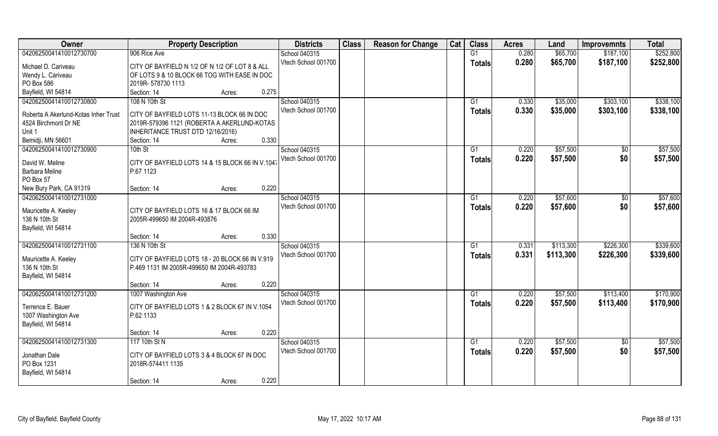| Owner                                | <b>Property Description</b>                      |                 | <b>Districts</b>                     | <b>Class</b> | <b>Reason for Change</b> | Cat | <b>Class</b>  | <b>Acres</b>   | Land      | <b>Improvemnts</b> | <b>Total</b> |
|--------------------------------------|--------------------------------------------------|-----------------|--------------------------------------|--------------|--------------------------|-----|---------------|----------------|-----------|--------------------|--------------|
| 04206250041410012730700              | 906 Rice Ave                                     |                 | School 040315                        |              |                          |     | G1            | 0.280          | \$65,700  | \$187,100          | \$252,800    |
| Michael D. Cariveau                  | CITY OF BAYFIELD N 1/2 OF N 1/2 OF LOT 8 & ALL   |                 | Vtech School 001700                  |              |                          |     | <b>Totals</b> | 0.280          | \$65,700  | \$187,100          | \$252,800    |
| Wendy L. Cariveau                    | OF LOTS 9 & 10 BLOCK 66 TOG WITH EASE IN DOC     |                 |                                      |              |                          |     |               |                |           |                    |              |
| PO Box 586                           | 2019R-578730 1113                                |                 |                                      |              |                          |     |               |                |           |                    |              |
| Bayfield, WI 54814                   | Section: 14                                      | 0.275<br>Acres: |                                      |              |                          |     |               |                |           |                    |              |
| 04206250041410012730800              | 108 N 10th St                                    |                 | School 040315<br>Vtech School 001700 |              |                          |     | G1            | 0.330<br>0.330 | \$35,000  | \$303,100          | \$338,100    |
| Roberta A Akerlund-Kotas Inher Trust | CITY OF BAYFIELD LOTS 11-13 BLOCK 66 IN DOC      |                 |                                      |              |                          |     | Totals        |                | \$35,000  | \$303,100          | \$338,100    |
| 4524 Birchmont Dr NE                 | 2019R-579396 1121 (ROBERTA A AKERLUND-KOTAS      |                 |                                      |              |                          |     |               |                |           |                    |              |
| Unit 1                               | INHERITANCE TRUST DTD 12/16/2016)                |                 |                                      |              |                          |     |               |                |           |                    |              |
| Bemidji, MN 56601                    | Section: 14                                      | 0.330<br>Acres: |                                      |              |                          |     |               |                |           |                    |              |
| 04206250041410012730900              | 10th St                                          |                 | School 040315                        |              |                          |     | G1            | 0.220          | \$57,500  | \$0                | \$57,500     |
| David W. Meline                      | CITY OF BAYFIELD LOTS 14 & 15 BLOCK 66 IN V.1047 |                 | Vtech School 001700                  |              |                          |     | <b>Totals</b> | 0.220          | \$57,500  | \$0                | \$57,500     |
| <b>Barbara Meline</b>                | P.67 1123                                        |                 |                                      |              |                          |     |               |                |           |                    |              |
| PO Box 57                            |                                                  |                 |                                      |              |                          |     |               |                |           |                    |              |
| New Bury Park, CA 91319              | Section: 14                                      | 0.220<br>Acres: |                                      |              |                          |     |               |                |           |                    |              |
| 04206250041410012731000              |                                                  |                 | School 040315                        |              |                          |     | G1            | 0.220          | \$57,600  | $\sqrt{50}$        | \$57,600     |
|                                      |                                                  |                 | Vtech School 001700                  |              |                          |     |               |                |           | \$0                |              |
| Mauricette A. Keeley                 | CITY OF BAYFIELD LOTS 16 & 17 BLOCK 66 IM        |                 |                                      |              |                          |     | <b>Totals</b> | 0.220          | \$57,600  |                    | \$57,600     |
| 136 N 10th St                        | 2005R-499650 IM 2004R-493876                     |                 |                                      |              |                          |     |               |                |           |                    |              |
| Bayfield, WI 54814                   |                                                  |                 |                                      |              |                          |     |               |                |           |                    |              |
|                                      | Section: 14                                      | 0.330<br>Acres: |                                      |              |                          |     |               |                |           |                    |              |
| 04206250041410012731100              | 136 N 10th St                                    |                 | School 040315                        |              |                          |     | G1            | 0.331          | \$113,300 | \$226,300          | \$339,600    |
| Mauricette A. Keeley                 | CITY OF BAYFIELD LOTS 18 - 20 BLOCK 66 IN V.919  |                 | Vtech School 001700                  |              |                          |     | <b>Totals</b> | 0.331          | \$113,300 | \$226,300          | \$339,600    |
| 136 N 10th St                        | P.469 1131 IM 2005R-499650 IM 2004R-493783       |                 |                                      |              |                          |     |               |                |           |                    |              |
| Bayfield, WI 54814                   |                                                  |                 |                                      |              |                          |     |               |                |           |                    |              |
|                                      | Section: 14                                      | 0.220<br>Acres: |                                      |              |                          |     |               |                |           |                    |              |
| 04206250041410012731200              | 1007 Washington Ave                              |                 | School 040315                        |              |                          |     | G1            | 0.220          | \$57,500  | \$113,400          | \$170,900    |
| Terrence E. Bauer                    | CITY OF BAYFIELD LOTS 1 & 2 BLOCK 67 IN V.1054   |                 | Vtech School 001700                  |              |                          |     | <b>Totals</b> | 0.220          | \$57,500  | \$113,400          | \$170,900    |
| 1007 Washington Ave                  | P.62 1133                                        |                 |                                      |              |                          |     |               |                |           |                    |              |
| Bayfield, WI 54814                   |                                                  |                 |                                      |              |                          |     |               |                |           |                    |              |
|                                      | Section: 14                                      | 0.220<br>Acres: |                                      |              |                          |     |               |                |           |                    |              |
| 04206250041410012731300              | 117 10th St N                                    |                 | School 040315                        |              |                          |     | G1            | 0.220          | \$57,500  | $\overline{50}$    | \$57,500     |
| Jonathan Dale                        | CITY OF BAYFIELD LOTS 3 & 4 BLOCK 67 IN DOC      |                 | Vtech School 001700                  |              |                          |     | <b>Totals</b> | 0.220          | \$57,500  | \$0                | \$57,500     |
| PO Box 1231                          | 2018R-574411 1135                                |                 |                                      |              |                          |     |               |                |           |                    |              |
| Bayfield, WI 54814                   |                                                  |                 |                                      |              |                          |     |               |                |           |                    |              |
|                                      | Section: 14                                      | 0.220<br>Acres: |                                      |              |                          |     |               |                |           |                    |              |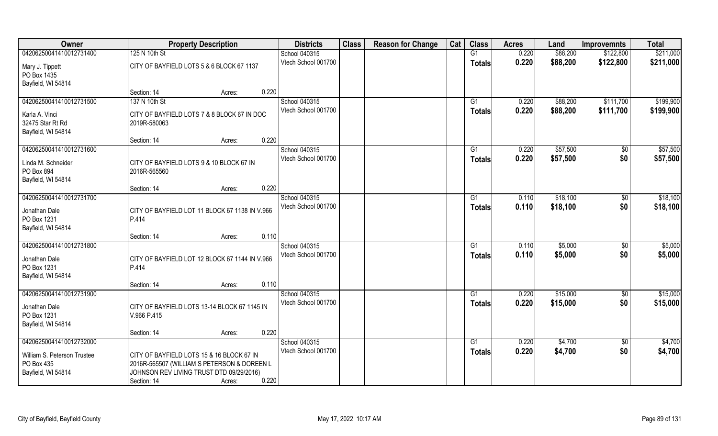| Owner                             | <b>Property Description</b>                    |        |       | <b>Districts</b>    | <b>Class</b> | <b>Reason for Change</b> | Cat | <b>Class</b>  | <b>Acres</b> | Land     | <b>Improvemnts</b> | <b>Total</b> |
|-----------------------------------|------------------------------------------------|--------|-------|---------------------|--------------|--------------------------|-----|---------------|--------------|----------|--------------------|--------------|
| 04206250041410012731400           | 125 N 10th St                                  |        |       | School 040315       |              |                          |     | G1            | 0.220        | \$88,200 | \$122,800          | \$211,000    |
| Mary J. Tippett<br>PO Box 1435    | CITY OF BAYFIELD LOTS 5 & 6 BLOCK 67 1137      |        |       | Vtech School 001700 |              |                          |     | <b>Totals</b> | 0.220        | \$88,200 | \$122,800          | \$211,000    |
| Bayfield, WI 54814                |                                                |        |       |                     |              |                          |     |               |              |          |                    |              |
|                                   | Section: 14                                    | Acres: | 0.220 |                     |              |                          |     |               |              |          |                    |              |
| 04206250041410012731500           | 137 N 10th St                                  |        |       | School 040315       |              |                          |     | G1            | 0.220        | \$88,200 | \$111,700          | \$199,900    |
| Karla A. Vinci                    | CITY OF BAYFIELD LOTS 7 & 8 BLOCK 67 IN DOC    |        |       | Vtech School 001700 |              |                          |     | Totals        | 0.220        | \$88,200 | \$111,700          | \$199,900    |
| 32475 Star Rt Rd                  | 2019R-580063                                   |        |       |                     |              |                          |     |               |              |          |                    |              |
| Bayfield, WI 54814                |                                                |        |       |                     |              |                          |     |               |              |          |                    |              |
|                                   | Section: 14                                    | Acres: | 0.220 |                     |              |                          |     |               |              |          |                    |              |
| 04206250041410012731600           |                                                |        |       | School 040315       |              |                          |     | G1            | 0.220        | \$57,500 | \$0                | \$57,500     |
| Linda M. Schneider                | CITY OF BAYFIELD LOTS 9 & 10 BLOCK 67 IN       |        |       | Vtech School 001700 |              |                          |     | <b>Totals</b> | 0.220        | \$57,500 | \$0                | \$57,500     |
| PO Box 894                        | 2016R-565560                                   |        |       |                     |              |                          |     |               |              |          |                    |              |
| Bayfield, WI 54814                |                                                |        |       |                     |              |                          |     |               |              |          |                    |              |
|                                   | Section: 14                                    | Acres: | 0.220 |                     |              |                          |     |               |              |          |                    |              |
| 04206250041410012731700           |                                                |        |       | School 040315       |              |                          |     | G1            | 0.110        | \$18,100 | $\sqrt[6]{3}$      | \$18,100     |
|                                   |                                                |        |       | Vtech School 001700 |              |                          |     | <b>Totals</b> | 0.110        | \$18,100 | \$0                | \$18,100     |
| Jonathan Dale                     | CITY OF BAYFIELD LOT 11 BLOCK 67 1138 IN V.966 |        |       |                     |              |                          |     |               |              |          |                    |              |
| PO Box 1231<br>Bayfield, WI 54814 | P.414                                          |        |       |                     |              |                          |     |               |              |          |                    |              |
|                                   | Section: 14                                    | Acres: | 0.110 |                     |              |                          |     |               |              |          |                    |              |
| 04206250041410012731800           |                                                |        |       | School 040315       |              |                          |     | G1            | 0.110        | \$5,000  | $\sqrt[6]{3}$      | \$5,000      |
|                                   |                                                |        |       | Vtech School 001700 |              |                          |     |               | 0.110        | \$5,000  | \$0                | \$5,000      |
| Jonathan Dale                     | CITY OF BAYFIELD LOT 12 BLOCK 67 1144 IN V.966 |        |       |                     |              |                          |     | Totals        |              |          |                    |              |
| PO Box 1231                       | P.414                                          |        |       |                     |              |                          |     |               |              |          |                    |              |
| Bayfield, WI 54814                |                                                |        |       |                     |              |                          |     |               |              |          |                    |              |
|                                   | Section: 14                                    | Acres: | 0.110 |                     |              |                          |     |               |              |          |                    |              |
| 04206250041410012731900           |                                                |        |       | School 040315       |              |                          |     | G1            | 0.220        | \$15,000 | $\overline{30}$    | \$15,000     |
| Jonathan Dale                     | CITY OF BAYFIELD LOTS 13-14 BLOCK 67 1145 IN   |        |       | Vtech School 001700 |              |                          |     | <b>Totals</b> | 0.220        | \$15,000 | \$0                | \$15,000     |
| PO Box 1231                       | V.966 P.415                                    |        |       |                     |              |                          |     |               |              |          |                    |              |
| Bayfield, WI 54814                |                                                |        |       |                     |              |                          |     |               |              |          |                    |              |
|                                   | Section: 14                                    | Acres: | 0.220 |                     |              |                          |     |               |              |          |                    |              |
| 04206250041410012732000           |                                                |        |       | School 040315       |              |                          |     | G1            | 0.220        | \$4,700  | $\sqrt{$0}$        | \$4,700      |
| William S. Peterson Trustee       | CITY OF BAYFIELD LOTS 15 & 16 BLOCK 67 IN      |        |       | Vtech School 001700 |              |                          |     | <b>Totals</b> | 0.220        | \$4,700  | \$0                | \$4,700      |
| PO Box 435                        | 2016R-565507 (WILLIAM S PETERSON & DOREEN L    |        |       |                     |              |                          |     |               |              |          |                    |              |
| Bayfield, WI 54814                | JOHNSON REV LIVING TRUST DTD 09/29/2016)       |        |       |                     |              |                          |     |               |              |          |                    |              |
|                                   | Section: 14                                    | Acres: | 0.220 |                     |              |                          |     |               |              |          |                    |              |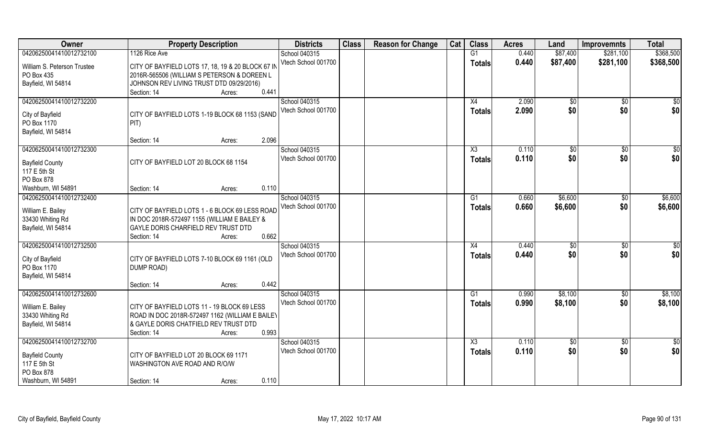| Owner                       | <b>Property Description</b>                       | <b>Districts</b>    | <b>Class</b> | <b>Reason for Change</b> | Cat | <b>Class</b>   | <b>Acres</b> | Land            | <b>Improvemnts</b> | <b>Total</b>    |
|-----------------------------|---------------------------------------------------|---------------------|--------------|--------------------------|-----|----------------|--------------|-----------------|--------------------|-----------------|
| 04206250041410012732100     | 1126 Rice Ave                                     | School 040315       |              |                          |     | G1             | 0.440        | \$87,400        | \$281,100          | \$368,500       |
| William S. Peterson Trustee | CITY OF BAYFIELD LOTS 17, 18, 19 & 20 BLOCK 67 IN | Vtech School 001700 |              |                          |     | <b>Totals</b>  | 0.440        | \$87,400        | \$281,100          | \$368,500       |
| PO Box 435                  | 2016R-565506 (WILLIAM S PETERSON & DOREEN L       |                     |              |                          |     |                |              |                 |                    |                 |
| Bayfield, WI 54814          | JOHNSON REV LIVING TRUST DTD 09/29/2016)          |                     |              |                          |     |                |              |                 |                    |                 |
|                             | 0.441<br>Section: 14<br>Acres:                    |                     |              |                          |     |                |              |                 |                    |                 |
| 04206250041410012732200     |                                                   | School 040315       |              |                          |     | X4             | 2.090        | $\sqrt[6]{}$    | \$0                | \$0             |
|                             |                                                   | Vtech School 001700 |              |                          |     |                | 2.090        |                 |                    | \$0             |
| City of Bayfield            | CITY OF BAYFIELD LOTS 1-19 BLOCK 68 1153 (SAND    |                     |              |                          |     | <b>Totals</b>  |              | \$0             | \$0                |                 |
| PO Box 1170                 | PIT)                                              |                     |              |                          |     |                |              |                 |                    |                 |
| Bayfield, WI 54814          |                                                   |                     |              |                          |     |                |              |                 |                    |                 |
|                             | 2.096<br>Section: 14<br>Acres:                    |                     |              |                          |     |                |              |                 |                    |                 |
| 04206250041410012732300     |                                                   | School 040315       |              |                          |     | X3             | 0.110        | \$0             | $\sqrt[6]{30}$     | \$0             |
|                             |                                                   | Vtech School 001700 |              |                          |     | <b>Totals</b>  | 0.110        | \$0             | \$0                | \$0             |
| <b>Bayfield County</b>      | CITY OF BAYFIELD LOT 20 BLOCK 68 1154             |                     |              |                          |     |                |              |                 |                    |                 |
| 117 E 5th St                |                                                   |                     |              |                          |     |                |              |                 |                    |                 |
| PO Box 878                  | 0.110                                             |                     |              |                          |     |                |              |                 |                    |                 |
| Washburn, WI 54891          | Section: 14<br>Acres:                             |                     |              |                          |     |                |              |                 |                    |                 |
| 04206250041410012732400     |                                                   | School 040315       |              |                          |     | G <sub>1</sub> | 0.660        | \$6,600         | \$0                | \$6,600         |
| William E. Bailey           | CITY OF BAYFIELD LOTS 1 - 6 BLOCK 69 LESS ROAD    | Vtech School 001700 |              |                          |     | <b>Totals</b>  | 0.660        | \$6,600         | \$0                | \$6,600         |
| 33430 Whiting Rd            | IN DOC 2018R-572497 1155 (WILLIAM E BAILEY &      |                     |              |                          |     |                |              |                 |                    |                 |
| Bayfield, WI 54814          | GAYLE DORIS CHARFIELD REV TRUST DTD               |                     |              |                          |     |                |              |                 |                    |                 |
|                             | 0.662<br>Section: 14<br>Acres:                    |                     |              |                          |     |                |              |                 |                    |                 |
| 04206250041410012732500     |                                                   | School 040315       |              |                          |     | X4             | 0.440        | $\sqrt[6]{3}$   | $\sqrt[6]{30}$     | \$0             |
|                             |                                                   | Vtech School 001700 |              |                          |     | <b>Totals</b>  | 0.440        | \$0             | \$0                | \$0             |
| City of Bayfield            | CITY OF BAYFIELD LOTS 7-10 BLOCK 69 1161 (OLD     |                     |              |                          |     |                |              |                 |                    |                 |
| PO Box 1170                 | DUMP ROAD)                                        |                     |              |                          |     |                |              |                 |                    |                 |
| Bayfield, WI 54814          |                                                   |                     |              |                          |     |                |              |                 |                    |                 |
|                             | 0.442<br>Section: 14<br>Acres:                    |                     |              |                          |     |                |              |                 |                    |                 |
| 04206250041410012732600     |                                                   | School 040315       |              |                          |     | G1             | 0.990        | \$8,100         | \$0                | \$8,100         |
| William E. Bailey           | CITY OF BAYFIELD LOTS 11 - 19 BLOCK 69 LESS       | Vtech School 001700 |              |                          |     | <b>Totals</b>  | 0.990        | \$8,100         | \$0                | \$8,100         |
| 33430 Whiting Rd            | ROAD IN DOC 2018R-572497 1162 (WILLIAM E BAILEY   |                     |              |                          |     |                |              |                 |                    |                 |
| Bayfield, WI 54814          | & GAYLE DORIS CHATFIELD REV TRUST DTD             |                     |              |                          |     |                |              |                 |                    |                 |
|                             | 0.993<br>Section: 14<br>Acres:                    |                     |              |                          |     |                |              |                 |                    |                 |
| 04206250041410012732700     |                                                   | School 040315       |              |                          |     | X3             | 0.110        | $\overline{50}$ | $\overline{50}$    | $\overline{50}$ |
|                             |                                                   | Vtech School 001700 |              |                          |     | <b>Totals</b>  | 0.110        | \$0             | \$0                | \$0             |
| <b>Bayfield County</b>      | CITY OF BAYFIELD LOT 20 BLOCK 69 1171             |                     |              |                          |     |                |              |                 |                    |                 |
| 117 E 5th St                | WASHINGTON AVE ROAD AND R/O/W                     |                     |              |                          |     |                |              |                 |                    |                 |
| PO Box 878                  |                                                   |                     |              |                          |     |                |              |                 |                    |                 |
| Washburn, WI 54891          | 0.110<br>Section: 14<br>Acres:                    |                     |              |                          |     |                |              |                 |                    |                 |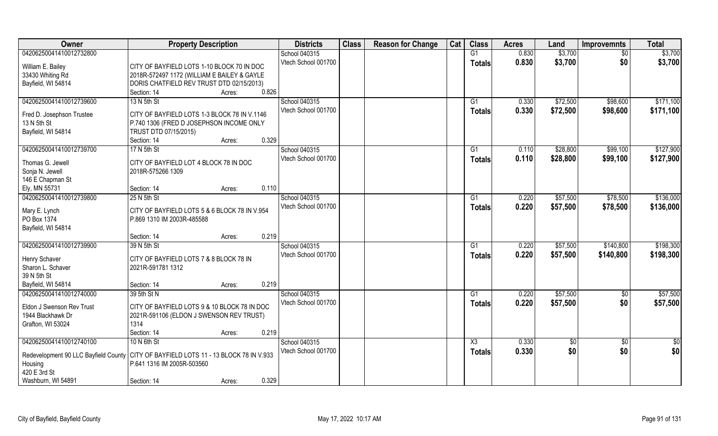| Owner                                                                                  | <b>Property Description</b>                                                              |        | <b>Districts</b>    | <b>Class</b> | <b>Reason for Change</b> | Cat | <b>Class</b>           | <b>Acres</b> | Land       | <b>Improvemnts</b> | <b>Total</b>  |
|----------------------------------------------------------------------------------------|------------------------------------------------------------------------------------------|--------|---------------------|--------------|--------------------------|-----|------------------------|--------------|------------|--------------------|---------------|
| 04206250041410012732800                                                                |                                                                                          |        | School 040315       |              |                          |     | G1                     | 0.830        | \$3,700    | \$0                | \$3,700       |
| William E. Bailey                                                                      | CITY OF BAYFIELD LOTS 1-10 BLOCK 70 IN DOC                                               |        | Vtech School 001700 |              |                          |     | <b>Totals</b>          | 0.830        | \$3,700    | \$0                | \$3,700       |
| 33430 Whiting Rd                                                                       | 2018R-572497 1172 (WILLIAM E BAILEY & GAYLE                                              |        |                     |              |                          |     |                        |              |            |                    |               |
| Bayfield, WI 54814                                                                     | DORIS CHATFIELD REV TRUST DTD 02/15/2013)                                                |        |                     |              |                          |     |                        |              |            |                    |               |
|                                                                                        | Section: 14                                                                              | Acres: | 0.826               |              |                          |     |                        |              |            |                    |               |
| 04206250041410012739600                                                                | 13 N 5th St                                                                              |        | School 040315       |              |                          |     | G1                     | 0.330        | \$72,500   | \$98,600           | \$171,100     |
|                                                                                        |                                                                                          |        | Vtech School 001700 |              |                          |     | <b>Totals</b>          | 0.330        | \$72,500   | \$98,600           | \$171,100     |
| Fred D. Josephson Trustee<br>13 N 5th St                                               | CITY OF BAYFIELD LOTS 1-3 BLOCK 78 IN V.1146<br>P.740 1306 (FRED D JOSEPHSON INCOME ONLY |        |                     |              |                          |     |                        |              |            |                    |               |
| Bayfield, WI 54814                                                                     | TRUST DTD 07/15/2015)                                                                    |        |                     |              |                          |     |                        |              |            |                    |               |
|                                                                                        | Section: 14                                                                              | Acres: | 0.329               |              |                          |     |                        |              |            |                    |               |
| 04206250041410012739700                                                                | 17 N 5th St                                                                              |        | School 040315       |              |                          |     | G1                     | 0.110        | \$28,800   | \$99,100           | \$127,900     |
|                                                                                        |                                                                                          |        | Vtech School 001700 |              |                          |     | <b>Totals</b>          | 0.110        | \$28,800   | \$99,100           | \$127,900     |
| Thomas G. Jewell                                                                       | CITY OF BAYFIELD LOT 4 BLOCK 78 IN DOC                                                   |        |                     |              |                          |     |                        |              |            |                    |               |
| Sonja N. Jewell                                                                        | 2018R-575266 1309                                                                        |        |                     |              |                          |     |                        |              |            |                    |               |
| 146 E Chapman St                                                                       |                                                                                          |        |                     |              |                          |     |                        |              |            |                    |               |
| Ely, MN 55731                                                                          | Section: 14                                                                              | Acres: | 0.110               |              |                          |     |                        |              |            |                    |               |
| 04206250041410012739800                                                                | 25 N 5th St                                                                              |        | School 040315       |              |                          |     | G1                     | 0.220        | \$57,500   | \$78,500           | \$136,000     |
| Mary E. Lynch                                                                          | CITY OF BAYFIELD LOTS 5 & 6 BLOCK 78 IN V.954                                            |        | Vtech School 001700 |              |                          |     | <b>Totals</b>          | 0.220        | \$57,500   | \$78,500           | \$136,000     |
| PO Box 1374                                                                            | P.869 1310 IM 2003R-485588                                                               |        |                     |              |                          |     |                        |              |            |                    |               |
| Bayfield, WI 54814                                                                     |                                                                                          |        |                     |              |                          |     |                        |              |            |                    |               |
|                                                                                        | Section: 14                                                                              | Acres: | 0.219               |              |                          |     |                        |              |            |                    |               |
| 04206250041410012739900                                                                | 39 N 5th St                                                                              |        | School 040315       |              |                          |     | G1                     | 0.220        | \$57,500   | \$140,800          | \$198,300     |
|                                                                                        |                                                                                          |        | Vtech School 001700 |              |                          |     | <b>Totals</b>          | 0.220        | \$57,500   | \$140,800          | \$198,300     |
| Henry Schaver<br>Sharon L. Schaver                                                     | CITY OF BAYFIELD LOTS 7 & 8 BLOCK 78 IN<br>2021R-591781 1312                             |        |                     |              |                          |     |                        |              |            |                    |               |
| 39 N 5th St                                                                            |                                                                                          |        |                     |              |                          |     |                        |              |            |                    |               |
| Bayfield, WI 54814                                                                     | Section: 14                                                                              | Acres: | 0.219               |              |                          |     |                        |              |            |                    |               |
| 04206250041410012740000                                                                | 39 5th St N                                                                              |        | School 040315       |              |                          |     | G1                     | 0.220        | \$57,500   | \$0                | \$57,500      |
|                                                                                        |                                                                                          |        | Vtech School 001700 |              |                          |     |                        | 0.220        | \$57,500   | \$0                | \$57,500      |
| Eldon J Swenson Rev Trust                                                              | CITY OF BAYFIELD LOTS 9 & 10 BLOCK 78 IN DOC                                             |        |                     |              |                          |     | <b>Totals</b>          |              |            |                    |               |
| 1944 Blackhawk Dr                                                                      | 2021R-591106 (ELDON J SWENSON REV TRUST)                                                 |        |                     |              |                          |     |                        |              |            |                    |               |
| Grafton, WI 53024                                                                      | 1314                                                                                     |        |                     |              |                          |     |                        |              |            |                    |               |
|                                                                                        | Section: 14                                                                              | Acres: | 0.219               |              |                          |     |                        |              |            |                    |               |
| 04206250041410012740100                                                                | 10 N 6th St                                                                              |        | School 040315       |              |                          |     | $\overline{\text{X3}}$ | 0.330        | $\sqrt{6}$ | $\overline{50}$    | $\frac{1}{2}$ |
| Redevelopment 90 LLC Bayfield County   CITY OF BAYFIELD LOTS 11 - 13 BLOCK 78 IN V.933 |                                                                                          |        | Vtech School 001700 |              |                          |     | <b>Totals</b>          | 0.330        | \$0        | \$0                | \$0           |
| Housing                                                                                | P.641 1316 IM 2005R-503560                                                               |        |                     |              |                          |     |                        |              |            |                    |               |
| 420 E 3rd St                                                                           |                                                                                          |        |                     |              |                          |     |                        |              |            |                    |               |
| Washburn, WI 54891                                                                     | Section: 14                                                                              | Acres: | 0.329               |              |                          |     |                        |              |            |                    |               |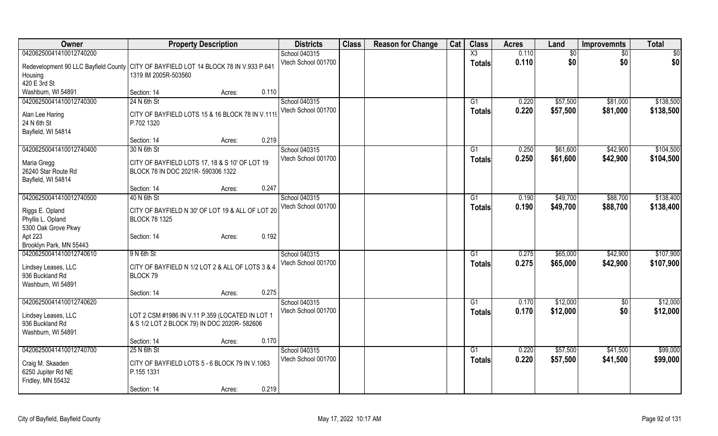| Owner                                                                                                           | <b>Property Description</b>                                                                    |        |       | <b>Districts</b>    | <b>Class</b> | <b>Reason for Change</b> | Cat | <b>Class</b>           | <b>Acres</b> | Land            | <b>Improvemnts</b> | <b>Total</b>  |
|-----------------------------------------------------------------------------------------------------------------|------------------------------------------------------------------------------------------------|--------|-------|---------------------|--------------|--------------------------|-----|------------------------|--------------|-----------------|--------------------|---------------|
| 04206250041410012740200                                                                                         |                                                                                                |        |       | School 040315       |              |                          |     | $\overline{\text{X3}}$ | 0.110        | $\overline{30}$ | $\overline{50}$    | $\frac{1}{2}$ |
| Redevelopment 90 LLC Bayfield County CITY OF BAYFIELD LOT 14 BLOCK 78 IN V.933 P.641<br>Housing<br>420 E 3rd St | 1319 IM 2005R-503560                                                                           |        |       | Vtech School 001700 |              |                          |     | <b>Totals</b>          | 0.110        | \$0             | \$0                | \$0           |
| Washburn, WI 54891                                                                                              | Section: 14                                                                                    | Acres: | 0.110 |                     |              |                          |     |                        |              |                 |                    |               |
| 04206250041410012740300                                                                                         | 24 N 6th St                                                                                    |        |       | School 040315       |              |                          |     | G1                     | 0.220        | \$57,500        | \$81,000           | \$138,500     |
| Alan Lee Haring<br>24 N 6th St<br>Bayfield, WI 54814                                                            | CITY OF BAYFIELD LOTS 15 & 16 BLOCK 78 IN V.1119<br>P.702 1320                                 |        |       | Vtech School 001700 |              |                          |     | <b>Totals</b>          | 0.220        | \$57,500        | \$81,000           | \$138,500     |
|                                                                                                                 | Section: 14                                                                                    | Acres: | 0.219 |                     |              |                          |     |                        |              |                 |                    |               |
| 04206250041410012740400                                                                                         | 30 N 6th St                                                                                    |        |       | School 040315       |              |                          |     | G1                     | 0.250        | \$61,600        | \$42,900           | \$104,500     |
| Maria Gregg<br>26240 Star Route Rd<br>Bayfield, WI 54814                                                        | CITY OF BAYFIELD LOTS 17, 18 & S 10' OF LOT 19<br>BLOCK 78 IN DOC 2021R- 590306 1322           |        |       | Vtech School 001700 |              |                          |     | <b>Totals</b>          | 0.250        | \$61,600        | \$42,900           | \$104,500     |
|                                                                                                                 | Section: 14                                                                                    | Acres: | 0.247 |                     |              |                          |     |                        |              |                 |                    |               |
| 04206250041410012740500                                                                                         | 40 N 6th St                                                                                    |        |       | School 040315       |              |                          |     | G1                     | 0.190        | \$49,700        | \$88,700           | \$138,400     |
| Riggs E. Opland<br>Phyllis L. Opland<br>5300 Oak Grove Pkwy                                                     | CITY OF BAYFIELD N 30' OF LOT 19 & ALL OF LOT 20<br><b>BLOCK 78 1325</b>                       |        |       | Vtech School 001700 |              |                          |     | <b>Totals</b>          | 0.190        | \$49,700        | \$88,700           | \$138,400     |
| Apt 223<br>Brooklyn Park, MN 55443                                                                              | Section: 14                                                                                    | Acres: | 0.192 |                     |              |                          |     |                        |              |                 |                    |               |
| 04206250041410012740610                                                                                         | 9 N 6th St                                                                                     |        |       | School 040315       |              |                          |     | G1                     | 0.275        | \$65,000        | \$42,900           | \$107,900     |
| Lindsey Leases, LLC<br>936 Buckland Rd<br>Washburn, WI 54891                                                    | CITY OF BAYFIELD N 1/2 LOT 2 & ALL OF LOTS 3 & 4<br>BLOCK 79                                   |        |       | Vtech School 001700 |              |                          |     | <b>Totals</b>          | 0.275        | \$65,000        | \$42,900           | \$107,900     |
|                                                                                                                 | Section: 14                                                                                    | Acres: | 0.275 |                     |              |                          |     |                        |              |                 |                    |               |
| 04206250041410012740620                                                                                         |                                                                                                |        |       | School 040315       |              |                          |     | G1                     | 0.170        | \$12,000        | $\overline{50}$    | \$12,000      |
| Lindsey Leases, LLC<br>936 Buckland Rd<br>Washburn, WI 54891                                                    | LOT 2 CSM #1986 IN V.11 P.359 (LOCATED IN LOT 1<br>& S 1/2 LOT 2 BLOCK 79) IN DOC 2020R-582606 |        |       | Vtech School 001700 |              |                          |     | <b>Totals</b>          | 0.170        | \$12,000        | \$0                | \$12,000      |
|                                                                                                                 | Section: 14                                                                                    | Acres: | 0.170 |                     |              |                          |     |                        |              |                 |                    |               |
| 04206250041410012740700                                                                                         | 25 N 6th St                                                                                    |        |       | School 040315       |              |                          |     | $\overline{G1}$        | 0.220        | \$57,500        | \$41,500           | \$99,000      |
| Craig M. Skaaden<br>6250 Jupiter Rd NE<br>Fridley, MN 55432                                                     | CITY OF BAYFIELD LOTS 5 - 6 BLOCK 79 IN V.1063<br>P.155 1331                                   |        |       | Vtech School 001700 |              |                          |     | <b>Totals</b>          | 0.220        | \$57,500        | \$41,500           | \$99,000      |
|                                                                                                                 | Section: 14                                                                                    | Acres: | 0.219 |                     |              |                          |     |                        |              |                 |                    |               |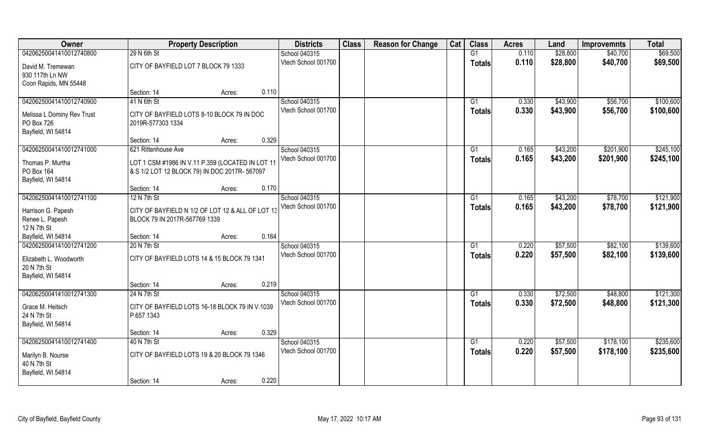| Owner                      | <b>Property Description</b>                      |       | <b>Districts</b>    | <b>Class</b> | <b>Reason for Change</b> | Cat | <b>Class</b>  | <b>Acres</b> | Land     | <b>Improvemnts</b> | <b>Total</b> |
|----------------------------|--------------------------------------------------|-------|---------------------|--------------|--------------------------|-----|---------------|--------------|----------|--------------------|--------------|
| 04206250041410012740800    | 29 N 6th St                                      |       | School 040315       |              |                          |     | G1            | 0.110        | \$28,800 | \$40,700           | \$69,500     |
| David M. Tremewan          | CITY OF BAYFIELD LOT 7 BLOCK 79 1333             |       | Vtech School 001700 |              |                          |     | <b>Totals</b> | 0.110        | \$28,800 | \$40,700           | \$69,500     |
| 930 117th Ln NW            |                                                  |       |                     |              |                          |     |               |              |          |                    |              |
| Coon Rapids, MN 55448      |                                                  |       |                     |              |                          |     |               |              |          |                    |              |
|                            | Section: 14<br>Acres:                            | 0.110 |                     |              |                          |     |               |              |          |                    |              |
| 04206250041410012740900    | 41 N 6th St                                      |       | School 040315       |              |                          |     | G1            | 0.330        | \$43,900 | \$56,700           | \$100,600    |
| Melissa L Dominy Rev Trust | CITY OF BAYFIELD LOTS 8-10 BLOCK 79 IN DOC       |       | Vtech School 001700 |              |                          |     | <b>Totals</b> | 0.330        | \$43,900 | \$56,700           | \$100,600    |
| PO Box 726                 | 2019R-577303 1334                                |       |                     |              |                          |     |               |              |          |                    |              |
| Bayfield, WI 54814         |                                                  |       |                     |              |                          |     |               |              |          |                    |              |
|                            | Section: 14<br>Acres:                            | 0.329 |                     |              |                          |     |               |              |          |                    |              |
| 04206250041410012741000    | 621 Rittenhouse Ave                              |       | School 040315       |              |                          |     | G1            | 0.165        | \$43,200 | \$201,900          | \$245,100    |
| Thomas P. Murtha           | LOT 1 CSM #1986 IN V.11 P.359 (LOCATED IN LOT 11 |       | Vtech School 001700 |              |                          |     | <b>Totals</b> | 0.165        | \$43,200 | \$201,900          | \$245,100    |
| PO Box 164                 | & S 1/2 LOT 12 BLOCK 79) IN DOC 2017R-567097     |       |                     |              |                          |     |               |              |          |                    |              |
| Bayfield, WI 54814         |                                                  |       |                     |              |                          |     |               |              |          |                    |              |
|                            | Section: 14<br>Acres:                            | 0.170 |                     |              |                          |     |               |              |          |                    |              |
| 04206250041410012741100    | 12 N 7th St                                      |       | School 040315       |              |                          |     | G1            | 0.165        | \$43,200 | \$78,700           | \$121,900    |
| Harrison G. Papesh         | CITY OF BAYFIELD N 1/2 OF LOT 12 & ALL OF LOT 13 |       | Vtech School 001700 |              |                          |     | <b>Totals</b> | 0.165        | \$43,200 | \$78,700           | \$121,900    |
| Renee L. Papesh            | BLOCK 79 IN 2017R-567769 1339                    |       |                     |              |                          |     |               |              |          |                    |              |
| 12 N 7th St                |                                                  |       |                     |              |                          |     |               |              |          |                    |              |
| Bayfield, WI 54814         | Section: 14<br>Acres:                            | 0.164 |                     |              |                          |     |               |              |          |                    |              |
| 04206250041410012741200    | 20 N 7th St                                      |       | School 040315       |              |                          |     | G1            | 0.220        | \$57,500 | \$82,100           | \$139,600    |
| Elizabeth L. Woodworth     | CITY OF BAYFIELD LOTS 14 & 15 BLOCK 79 1341      |       | Vtech School 001700 |              |                          |     | <b>Totals</b> | 0.220        | \$57,500 | \$82,100           | \$139,600    |
| 20 N 7th St                |                                                  |       |                     |              |                          |     |               |              |          |                    |              |
| Bayfield, WI 54814         |                                                  |       |                     |              |                          |     |               |              |          |                    |              |
|                            | Section: 14<br>Acres:                            | 0.219 |                     |              |                          |     |               |              |          |                    |              |
| 04206250041410012741300    | 24 N 7th St                                      |       | School 040315       |              |                          |     | G1            | 0.330        | \$72,500 | \$48,800           | \$121,300    |
| Grace M. Heitsch           | CITY OF BAYFIELD LOTS 16-18 BLOCK 79 IN V.1039   |       | Vtech School 001700 |              |                          |     | <b>Totals</b> | 0.330        | \$72,500 | \$48,800           | \$121,300    |
| 24 N 7th St                | P.657 1343                                       |       |                     |              |                          |     |               |              |          |                    |              |
| Bayfield, WI 54814         |                                                  |       |                     |              |                          |     |               |              |          |                    |              |
|                            | Section: 14<br>Acres:                            | 0.329 |                     |              |                          |     |               |              |          |                    |              |
| 04206250041410012741400    | 40 N 7th St                                      |       | School 040315       |              |                          |     | G1            | 0.220        | \$57,500 | \$178,100          | \$235,600    |
| Marilyn B. Nourse          | CITY OF BAYFIELD LOTS 19 & 20 BLOCK 79 1346      |       | Vtech School 001700 |              |                          |     | <b>Totals</b> | 0.220        | \$57,500 | \$178,100          | \$235,600    |
| 40 N 7th St                |                                                  |       |                     |              |                          |     |               |              |          |                    |              |
| Bayfield, WI 54814         |                                                  |       |                     |              |                          |     |               |              |          |                    |              |
|                            | Section: 14<br>Acres:                            | 0.220 |                     |              |                          |     |               |              |          |                    |              |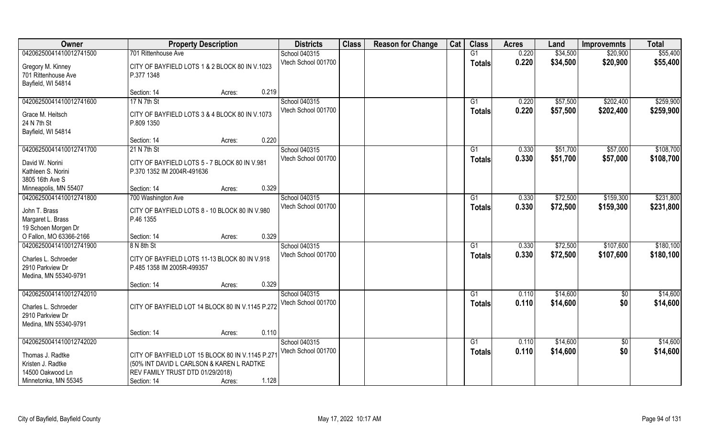| Owner                              | <b>Property Description</b>                                 | <b>Districts</b>    | <b>Class</b> | <b>Reason for Change</b> | Cat | <b>Class</b>  | <b>Acres</b> | Land     | <b>Improvemnts</b> | <b>Total</b> |
|------------------------------------|-------------------------------------------------------------|---------------------|--------------|--------------------------|-----|---------------|--------------|----------|--------------------|--------------|
| 04206250041410012741500            | 701 Rittenhouse Ave                                         | School 040315       |              |                          |     | G1            | 0.220        | \$34,500 | \$20,900           | \$55,400     |
| Gregory M. Kinney                  | CITY OF BAYFIELD LOTS 1 & 2 BLOCK 80 IN V.1023              | Vtech School 001700 |              |                          |     | <b>Totals</b> | 0.220        | \$34,500 | \$20,900           | \$55,400     |
| 701 Rittenhouse Ave                | P.377 1348                                                  |                     |              |                          |     |               |              |          |                    |              |
| Bayfield, WI 54814                 |                                                             |                     |              |                          |     |               |              |          |                    |              |
|                                    | 0.219<br>Section: 14<br>Acres:                              |                     |              |                          |     |               |              |          |                    |              |
| 04206250041410012741600            | 17 N 7th St                                                 | School 040315       |              |                          |     | G1            | 0.220        | \$57,500 | \$202,400          | \$259,900    |
| Grace M. Heitsch                   | CITY OF BAYFIELD LOTS 3 & 4 BLOCK 80 IN V.1073              | Vtech School 001700 |              |                          |     | Totals        | 0.220        | \$57,500 | \$202,400          | \$259,900    |
| 24 N 7th St                        | P.809 1350                                                  |                     |              |                          |     |               |              |          |                    |              |
| Bayfield, WI 54814                 |                                                             |                     |              |                          |     |               |              |          |                    |              |
|                                    | 0.220<br>Section: 14<br>Acres:                              |                     |              |                          |     |               |              |          |                    |              |
| 04206250041410012741700            | 21 N 7th St                                                 | School 040315       |              |                          |     | G1            | 0.330        | \$51,700 | \$57,000           | \$108,700    |
| David W. Norini                    | CITY OF BAYFIELD LOTS 5 - 7 BLOCK 80 IN V.981               | Vtech School 001700 |              |                          |     | <b>Totals</b> | 0.330        | \$51,700 | \$57,000           | \$108,700    |
| Kathleen S. Norini                 | P.370 1352 IM 2004R-491636                                  |                     |              |                          |     |               |              |          |                    |              |
| 3805 16th Ave S                    |                                                             |                     |              |                          |     |               |              |          |                    |              |
| Minneapolis, MN 55407              | 0.329<br>Section: 14<br>Acres:                              |                     |              |                          |     |               |              |          |                    |              |
| 04206250041410012741800            | 700 Washington Ave                                          | School 040315       |              |                          |     | G1            | 0.330        | \$72,500 | \$159,300          | \$231,800    |
|                                    |                                                             | Vtech School 001700 |              |                          |     | <b>Totals</b> | 0.330        | \$72,500 | \$159,300          | \$231,800    |
| John T. Brass<br>Margaret L. Brass | CITY OF BAYFIELD LOTS 8 - 10 BLOCK 80 IN V.980<br>P.46 1355 |                     |              |                          |     |               |              |          |                    |              |
| 19 Schoen Morgen Dr                |                                                             |                     |              |                          |     |               |              |          |                    |              |
| O Fallon, MO 63366-2166            | 0.329<br>Section: 14<br>Acres:                              |                     |              |                          |     |               |              |          |                    |              |
| 04206250041410012741900            | 8 N 8th St                                                  | School 040315       |              |                          |     | G1            | 0.330        | \$72,500 | \$107,600          | \$180,100    |
|                                    |                                                             | Vtech School 001700 |              |                          |     | <b>Totals</b> | 0.330        | \$72,500 | \$107,600          | \$180,100    |
| Charles L. Schroeder               | CITY OF BAYFIELD LOTS 11-13 BLOCK 80 IN V.918               |                     |              |                          |     |               |              |          |                    |              |
| 2910 Parkview Dr                   | P.485 1358 IM 2005R-499357                                  |                     |              |                          |     |               |              |          |                    |              |
| Medina, MN 55340-9791              | 0.329<br>Section: 14<br>Acres:                              |                     |              |                          |     |               |              |          |                    |              |
| 04206250041410012742010            |                                                             | School 040315       |              |                          |     | G1            | 0.110        | \$14,600 | $\overline{30}$    | \$14,600     |
|                                    |                                                             | Vtech School 001700 |              |                          |     | <b>Totals</b> | 0.110        | \$14,600 | \$0                | \$14,600     |
| Charles L. Schroeder               | CITY OF BAYFIELD LOT 14 BLOCK 80 IN V.1145 P.272            |                     |              |                          |     |               |              |          |                    |              |
| 2910 Parkview Dr                   |                                                             |                     |              |                          |     |               |              |          |                    |              |
| Medina, MN 55340-9791              | 0.110                                                       |                     |              |                          |     |               |              |          |                    |              |
| 04206250041410012742020            | Section: 14<br>Acres:                                       | School 040315       |              |                          |     | G1            | 0.110        | \$14,600 |                    | \$14,600     |
|                                    |                                                             | Vtech School 001700 |              |                          |     |               | 0.110        | \$14,600 | $\sqrt{$0}$<br>\$0 | \$14,600     |
| Thomas J. Radtke                   | CITY OF BAYFIELD LOT 15 BLOCK 80 IN V.1145 P.271            |                     |              |                          |     | <b>Totals</b> |              |          |                    |              |
| Kristen J. Radtke                  | (50% INT DAVID L CARLSON & KAREN L RADTKE                   |                     |              |                          |     |               |              |          |                    |              |
| 14500 Oakwood Ln                   | REV FAMILY TRUST DTD 01/29/2018)                            |                     |              |                          |     |               |              |          |                    |              |
| Minnetonka, MN 55345               | 1.128<br>Section: 14<br>Acres:                              |                     |              |                          |     |               |              |          |                    |              |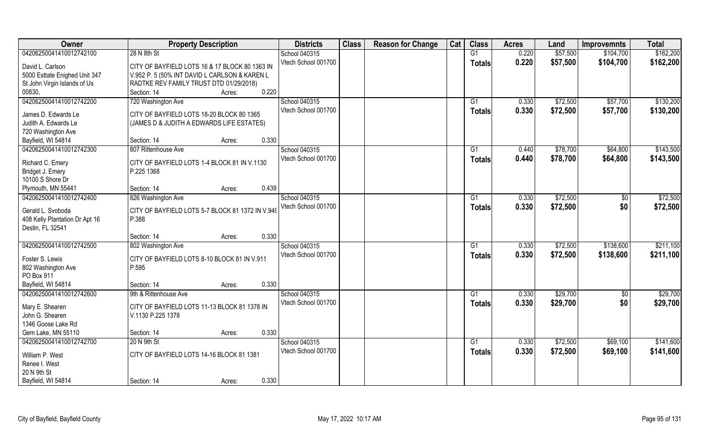| Owner                              | <b>Property Description</b>                      | <b>Districts</b>    | <b>Class</b> | <b>Reason for Change</b> | Cat | <b>Class</b>    | <b>Acres</b> | Land     | <b>Improvemnts</b> | <b>Total</b> |
|------------------------------------|--------------------------------------------------|---------------------|--------------|--------------------------|-----|-----------------|--------------|----------|--------------------|--------------|
| 04206250041410012742100            | 28 N 8th St                                      | School 040315       |              |                          |     | G1              | 0.220        | \$57,500 | \$104,700          | \$162,200    |
| David L. Carlson                   | CITY OF BAYFIELD LOTS 16 & 17 BLOCK 80 1363 IN   | Vtech School 001700 |              |                          |     | <b>Totals</b>   | 0.220        | \$57,500 | \$104,700          | \$162,200    |
| 5000 Esttate Enighed Unit 347      | V.952 P. 5 (50% INT DAVID L CARLSON & KAREN L    |                     |              |                          |     |                 |              |          |                    |              |
| St John Virgin Islands of Us       | RADTKE REV FAMILY TRUST DTD 01/29/2018)          |                     |              |                          |     |                 |              |          |                    |              |
| 00830,                             | 0.220<br>Section: 14<br>Acres:                   |                     |              |                          |     |                 |              |          |                    |              |
| 04206250041410012742200            | 720 Washington Ave                               | School 040315       |              |                          |     | G1              | 0.330        | \$72,500 | \$57,700           | \$130,200    |
| James D. Edwards Le                | CITY OF BAYFIELD LOTS 18-20 BLOCK 80 1365        | Vtech School 001700 |              |                          |     | <b>Totals</b>   | 0.330        | \$72,500 | \$57,700           | \$130,200    |
| Judith A. Edwards Le               | (JAMES D & JUDITH A EDWARDS LIFE ESTATES)        |                     |              |                          |     |                 |              |          |                    |              |
| 720 Washington Ave                 |                                                  |                     |              |                          |     |                 |              |          |                    |              |
| Bayfield, WI 54814                 | 0.330<br>Section: 14<br>Acres:                   |                     |              |                          |     |                 |              |          |                    |              |
| 04206250041410012742300            | 807 Rittenhouse Ave                              | School 040315       |              |                          |     | G1              | 0.440        | \$78,700 | \$64,800           | \$143,500    |
| Richard C. Emery                   | CITY OF BAYFIELD LOTS 1-4 BLOCK 81 IN V.1130     | Vtech School 001700 |              |                          |     | <b>Totals</b>   | 0.440        | \$78,700 | \$64,800           | \$143,500    |
| Bridget J. Emery                   | P.225 1368                                       |                     |              |                          |     |                 |              |          |                    |              |
| 10100 S Shore Dr                   |                                                  |                     |              |                          |     |                 |              |          |                    |              |
| Plymouth, MN 55441                 | 0.439<br>Section: 14<br>Acres:                   |                     |              |                          |     |                 |              |          |                    |              |
| 04206250041410012742400            | 826 Washington Ave                               | School 040315       |              |                          |     | G1              | 0.330        | \$72,500 | \$0                | \$72,500     |
|                                    |                                                  | Vtech School 001700 |              |                          |     | <b>Totals</b>   | 0.330        | \$72,500 | \$0                | \$72,500     |
| Gerald L. Svoboda                  | CITY OF BAYFIELD LOTS 5-7 BLOCK 81 1372 IN V.949 |                     |              |                          |     |                 |              |          |                    |              |
| 408 Kelly Plantation Dr Apt 16     | P.388                                            |                     |              |                          |     |                 |              |          |                    |              |
| Destin, FL 32541                   |                                                  |                     |              |                          |     |                 |              |          |                    |              |
|                                    | 0.330<br>Section: 14<br>Acres:                   |                     |              |                          |     |                 |              |          |                    |              |
| 04206250041410012742500            | 802 Washington Ave                               | School 040315       |              |                          |     | G1              | 0.330        | \$72,500 | \$138,600          | \$211,100    |
| Foster S. Lewis                    | CITY OF BAYFIELD LOTS 8-10 BLOCK 81 IN V.911     | Vtech School 001700 |              |                          |     | <b>Totals</b>   | 0.330        | \$72,500 | \$138,600          | \$211,100    |
| 802 Washington Ave                 | P.595                                            |                     |              |                          |     |                 |              |          |                    |              |
| PO Box 911                         |                                                  |                     |              |                          |     |                 |              |          |                    |              |
| Bayfield, WI 54814                 | 0.330<br>Section: 14<br>Acres:                   |                     |              |                          |     |                 |              |          |                    |              |
| 04206250041410012742600            | 9th & Rittenhouse Ave                            | School 040315       |              |                          |     | G1              | 0.330        | \$29,700 | $\overline{50}$    | \$29,700     |
|                                    |                                                  | Vtech School 001700 |              |                          |     | <b>Totals</b>   | 0.330        | \$29,700 | \$0                | \$29,700     |
| Mary E. Shearen<br>John G. Shearen | CITY OF BAYFIELD LOTS 11-13 BLOCK 81 1378 IN     |                     |              |                          |     |                 |              |          |                    |              |
| 1346 Goose Lake Rd                 | V.1130 P.225 1378                                |                     |              |                          |     |                 |              |          |                    |              |
| Gem Lake, MN 55110                 | 0.330                                            |                     |              |                          |     |                 |              |          |                    |              |
| 04206250041410012742700            | Section: 14<br>Acres:                            |                     |              |                          |     | $\overline{G1}$ |              | \$72,500 |                    | \$141,600    |
|                                    | 20 N 9th St                                      | School 040315       |              |                          |     |                 | 0.330        |          | \$69,100           |              |
| William P. West                    | CITY OF BAYFIELD LOTS 14-16 BLOCK 81 1381        | Vtech School 001700 |              |                          |     | <b>Totals</b>   | 0.330        | \$72,500 | \$69,100           | \$141,600    |
| Renee I. West                      |                                                  |                     |              |                          |     |                 |              |          |                    |              |
| 20 N 9th St                        |                                                  |                     |              |                          |     |                 |              |          |                    |              |
| Bayfield, WI 54814                 | 0.330<br>Section: 14<br>Acres:                   |                     |              |                          |     |                 |              |          |                    |              |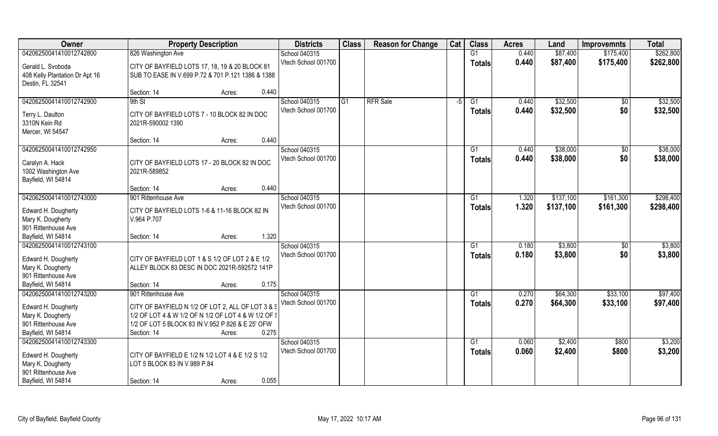| Owner                                                                                                            | <b>Property Description</b>                                                                                                                                                           |       | <b>Districts</b>                     | <b>Class</b> | <b>Reason for Change</b> | Cat  | <b>Class</b>                     | <b>Acres</b>   | Land                 | <b>Improvemnts</b>     | <b>Total</b>         |
|------------------------------------------------------------------------------------------------------------------|---------------------------------------------------------------------------------------------------------------------------------------------------------------------------------------|-------|--------------------------------------|--------------|--------------------------|------|----------------------------------|----------------|----------------------|------------------------|----------------------|
| 04206250041410012742800                                                                                          | 826 Washington Ave                                                                                                                                                                    |       | School 040315                        |              |                          |      | G1                               | 0.440          | \$87,400             | \$175,400              | \$262,800            |
| Gerald L. Svoboda<br>408 Kelly Plantation Dr Apt 16<br>Destin, FL 32541                                          | CITY OF BAYFIELD LOTS 17, 18, 19 & 20 BLOCK 81<br>SUB TO EASE IN V.699 P.72 & 701 P.121 1386 & 1388                                                                                   |       | Vtech School 001700                  |              |                          |      | <b>Totals</b>                    | 0.440          | \$87,400             | \$175,400              | \$262,800            |
|                                                                                                                  | Section: 14<br>Acres:                                                                                                                                                                 | 0.440 |                                      |              |                          |      |                                  |                |                      |                        |                      |
| 04206250041410012742900<br>Terry L. Daulton                                                                      | 9th St<br>CITY OF BAYFIELD LOTS 7 - 10 BLOCK 82 IN DOC                                                                                                                                |       | School 040315<br>Vtech School 001700 | G1           | <b>RFR</b> Sale          | $-5$ | G1<br><b>Totals</b>              | 0.440<br>0.440 | \$32,500<br>\$32,500 | $\overline{50}$<br>\$0 | \$32,500<br>\$32,500 |
| 3310N Kein Rd<br>Mercer, WI 54547                                                                                | 2021R-590002 1390                                                                                                                                                                     |       |                                      |              |                          |      |                                  |                |                      |                        |                      |
|                                                                                                                  | Section: 14<br>Acres:                                                                                                                                                                 | 0.440 |                                      |              |                          |      |                                  |                |                      |                        |                      |
| 04206250041410012742950<br>Caralyn A. Hack<br>1002 Washington Ave<br>Bayfield, WI 54814                          | CITY OF BAYFIELD LOTS 17 - 20 BLOCK 82 IN DOC<br>2021R-589852                                                                                                                         |       | School 040315<br>Vtech School 001700 |              |                          |      | G1<br><b>Totals</b>              | 0.440<br>0.440 | \$38,000<br>\$38,000 | \$0<br>\$0             | \$38,000<br>\$38,000 |
|                                                                                                                  | Section: 14<br>Acres:                                                                                                                                                                 | 0.440 |                                      |              |                          |      |                                  |                |                      |                        |                      |
| 04206250041410012743000                                                                                          | 901 Rittenhouse Ave                                                                                                                                                                   |       | School 040315                        |              |                          |      | G1                               | 1.320          | \$137,100            | \$161,300              | \$298,400            |
| Edward H. Dougherty<br>Mary K. Dougherty<br>901 Rittenhouse Ave                                                  | CITY OF BAYFIELD LOTS 1-6 & 11-16 BLOCK 82 IN<br>V.964 P.707                                                                                                                          |       | Vtech School 001700                  |              |                          |      | <b>Totals</b>                    | 1.320          | \$137,100            | \$161,300              | \$298,400            |
| Bayfield, WI 54814                                                                                               | Section: 14<br>Acres:                                                                                                                                                                 | 1.320 |                                      |              |                          |      |                                  |                |                      |                        |                      |
| 04206250041410012743100<br>Edward H. Dougherty<br>Mary K. Dougherty<br>901 Rittenhouse Ave                       | CITY OF BAYFIELD LOT 1 & S 1/2 OF LOT 2 & E 1/2<br>ALLEY BLOCK 83 DESC IN DOC 2021R-592572 141P                                                                                       |       | School 040315<br>Vtech School 001700 |              |                          |      | G1<br><b>Totals</b>              | 0.180<br>0.180 | \$3,800<br>\$3,800   | $\overline{50}$<br>\$0 | \$3,800<br>\$3,800   |
| Bayfield, WI 54814                                                                                               | Section: 14<br>Acres:                                                                                                                                                                 | 0.175 |                                      |              |                          |      |                                  |                |                      |                        |                      |
| 04206250041410012743200                                                                                          | 901 Rittenhouse Ave                                                                                                                                                                   |       | School 040315                        |              |                          |      | G1                               | 0.270          | \$64,300             | \$33,100               | \$97,400             |
| Edward H. Dougherty<br>Mary K. Dougherty<br>901 Rittenhouse Ave<br>Bayfield, WI 54814                            | CITY OF BAYFIELD N 1/2 OF LOT 2, ALL OF LOT 3 & S<br>1/2 OF LOT 4 & W 1/2 OF N 1/2 OF LOT 4 & W 1/2 OF §<br>1/2 OF LOT 5 BLOCK 83 IN V.952 P.826 & E 25' OFW<br>Section: 14<br>Acres: | 0.275 | Vtech School 001700                  |              |                          |      | <b>Totals</b>                    | 0.270          | \$64,300             | \$33,100               | \$97,400             |
| 04206250041410012743300<br>Edward H. Dougherty<br>Mary K. Dougherty<br>901 Rittenhouse Ave<br>Bayfield, WI 54814 | CITY OF BAYFIELD E 1/2 N 1/2 LOT 4 & E 1/2 S 1/2<br>LOT 5 BLOCK 83 IN V.989 P.84<br>Section: 14<br>Acres:                                                                             | 0.055 | School 040315<br>Vtech School 001700 |              |                          |      | $\overline{G1}$<br><b>Totals</b> | 0.060<br>0.060 | \$2,400<br>\$2,400   | \$800<br>\$800         | \$3,200<br>\$3,200   |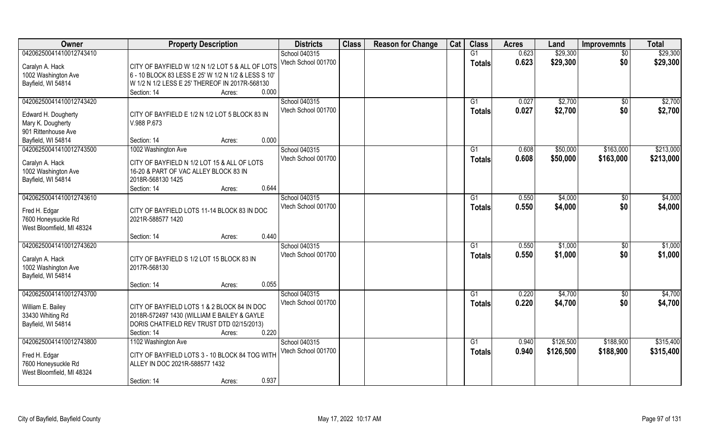| <b>Owner</b>                                  | <b>Property Description</b>                         | <b>Districts</b>    | <b>Class</b> | <b>Reason for Change</b> | Cat | <b>Class</b>   | <b>Acres</b> | Land      | <b>Improvemnts</b> | <b>Total</b> |
|-----------------------------------------------|-----------------------------------------------------|---------------------|--------------|--------------------------|-----|----------------|--------------|-----------|--------------------|--------------|
| 04206250041410012743410                       |                                                     | School 040315       |              |                          |     | G1             | 0.623        | \$29,300  | $\overline{50}$    | \$29,300     |
| Caralyn A. Hack                               | CITY OF BAYFIELD W 1/2 N 1/2 LOT 5 & ALL OF LOTS    | Vtech School 001700 |              |                          |     | <b>Totals</b>  | 0.623        | \$29,300  | \$0                | \$29,300     |
| 1002 Washington Ave                           | 6 - 10 BLOCK 83 LESS E 25' W 1/2 N 1/2 & LESS S 10' |                     |              |                          |     |                |              |           |                    |              |
| Bayfield, WI 54814                            | W 1/2 N 1/2 LESS E 25' THEREOF IN 2017R-568130      |                     |              |                          |     |                |              |           |                    |              |
|                                               | 0.000<br>Section: 14<br>Acres:                      |                     |              |                          |     |                |              |           |                    |              |
| 04206250041410012743420                       |                                                     | School 040315       |              |                          |     | G1             | 0.027        | \$2,700   | \$0                | \$2,700      |
|                                               |                                                     | Vtech School 001700 |              |                          |     | <b>Totals</b>  | 0.027        | \$2,700   | \$0                | \$2,700      |
| Edward H. Dougherty                           | CITY OF BAYFIELD E 1/2 N 1/2 LOT 5 BLOCK 83 IN      |                     |              |                          |     |                |              |           |                    |              |
| Mary K. Dougherty                             | V.988 P.673                                         |                     |              |                          |     |                |              |           |                    |              |
| 901 Rittenhouse Ave                           | 0.000<br>Section: 14                                |                     |              |                          |     |                |              |           |                    |              |
| Bayfield, WI 54814<br>04206250041410012743500 | Acres:                                              | School 040315       |              |                          |     | G1             | 0.608        | \$50,000  | \$163,000          | \$213,000    |
|                                               | 1002 Washington Ave                                 | Vtech School 001700 |              |                          |     |                |              |           |                    |              |
| Caralyn A. Hack                               | CITY OF BAYFIELD N 1/2 LOT 15 & ALL OF LOTS         |                     |              |                          |     | <b>Totals</b>  | 0.608        | \$50,000  | \$163,000          | \$213,000    |
| 1002 Washington Ave                           | 16-20 & PART OF VAC ALLEY BLOCK 83 IN               |                     |              |                          |     |                |              |           |                    |              |
| Bayfield, WI 54814                            | 2018R-568130 1425                                   |                     |              |                          |     |                |              |           |                    |              |
|                                               | 0.644<br>Section: 14<br>Acres:                      |                     |              |                          |     |                |              |           |                    |              |
| 04206250041410012743610                       |                                                     | School 040315       |              |                          |     | G <sub>1</sub> | 0.550        | \$4,000   | $\sqrt[6]{3}$      | \$4,000      |
| Fred H. Edgar                                 | CITY OF BAYFIELD LOTS 11-14 BLOCK 83 IN DOC         | Vtech School 001700 |              |                          |     | <b>Totals</b>  | 0.550        | \$4,000   | \$0                | \$4,000      |
| 7600 Honeysuckle Rd                           | 2021R-588577 1420                                   |                     |              |                          |     |                |              |           |                    |              |
| West Bloomfield, MI 48324                     |                                                     |                     |              |                          |     |                |              |           |                    |              |
|                                               | 0.440<br>Section: 14<br>Acres:                      |                     |              |                          |     |                |              |           |                    |              |
| 04206250041410012743620                       |                                                     | School 040315       |              |                          |     | G1             | 0.550        | \$1,000   | $\sqrt[6]{30}$     | \$1,000      |
|                                               |                                                     | Vtech School 001700 |              |                          |     | <b>Totals</b>  | 0.550        | \$1,000   | \$0                | \$1,000      |
| Caralyn A. Hack                               | CITY OF BAYFIELD S 1/2 LOT 15 BLOCK 83 IN           |                     |              |                          |     |                |              |           |                    |              |
| 1002 Washington Ave                           | 2017R-568130                                        |                     |              |                          |     |                |              |           |                    |              |
| Bayfield, WI 54814                            | 0.055<br>Section: 14                                |                     |              |                          |     |                |              |           |                    |              |
| 04206250041410012743700                       | Acres:                                              | School 040315       |              |                          |     |                | 0.220        | \$4,700   |                    | \$4,700      |
|                                               |                                                     | Vtech School 001700 |              |                          |     | G1             |              |           | \$0                |              |
| William E. Bailey                             | CITY OF BAYFIELD LOTS 1 & 2 BLOCK 84 IN DOC         |                     |              |                          |     | <b>Totals</b>  | 0.220        | \$4,700   | \$0                | \$4,700      |
| 33430 Whiting Rd                              | 2018R-572497 1430 (WILLIAM E BAILEY & GAYLE         |                     |              |                          |     |                |              |           |                    |              |
| Bayfield, WI 54814                            | DORIS CHATFIELD REV TRUST DTD 02/15/2013)           |                     |              |                          |     |                |              |           |                    |              |
|                                               | 0.220<br>Section: 14<br>Acres:                      |                     |              |                          |     |                |              |           |                    |              |
| 04206250041410012743800                       | 1102 Washington Ave                                 | School 040315       |              |                          |     | G1             | 0.940        | \$126,500 | \$188,900          | \$315,400    |
| Fred H. Edgar                                 | CITY OF BAYFIELD LOTS 3 - 10 BLOCK 84 TOG WITH      | Vtech School 001700 |              |                          |     | <b>Totals</b>  | 0.940        | \$126,500 | \$188,900          | \$315,400    |
| 7600 Honeysuckle Rd                           | ALLEY IN DOC 2021R-588577 1432                      |                     |              |                          |     |                |              |           |                    |              |
| West Bloomfield, MI 48324                     |                                                     |                     |              |                          |     |                |              |           |                    |              |
|                                               | 0.937<br>Section: 14<br>Acres:                      |                     |              |                          |     |                |              |           |                    |              |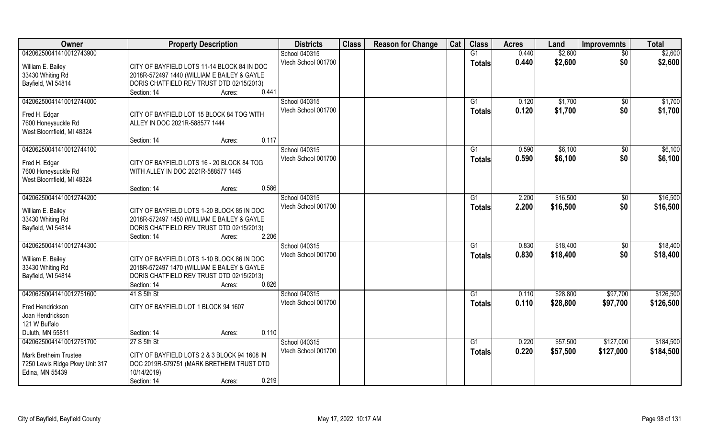| Owner                                                                                                        | <b>Property Description</b>                                                                                                                                               | <b>Districts</b>                     | <b>Class</b> | <b>Reason for Change</b> | Cat | <b>Class</b>                    | <b>Acres</b>   | Land                 | <b>Improvemnts</b>     | <b>Total</b>           |
|--------------------------------------------------------------------------------------------------------------|---------------------------------------------------------------------------------------------------------------------------------------------------------------------------|--------------------------------------|--------------|--------------------------|-----|---------------------------------|----------------|----------------------|------------------------|------------------------|
| 04206250041410012743900                                                                                      |                                                                                                                                                                           | School 040315                        |              |                          |     | $\overline{G1}$                 | 0.440          | \$2,600              | $\overline{50}$        | \$2,600                |
| William E. Bailey<br>33430 Whiting Rd<br>Bayfield, WI 54814                                                  | CITY OF BAYFIELD LOTS 11-14 BLOCK 84 IN DOC<br>2018R-572497 1440 (WILLIAM E BAILEY & GAYLE<br>DORIS CHATFIELD REV TRUST DTD 02/15/2013)<br>0.441<br>Section: 14<br>Acres: | Vtech School 001700                  |              |                          |     | <b>Totals</b>                   | 0.440          | \$2,600              | \$0                    | \$2,600                |
| 04206250041410012744000<br>Fred H. Edgar<br>7600 Honeysuckle Rd<br>West Bloomfield, MI 48324                 | CITY OF BAYFIELD LOT 15 BLOCK 84 TOG WITH<br>ALLEY IN DOC 2021R-588577 1444                                                                                               | School 040315<br>Vtech School 001700 |              |                          |     | G1<br><b>Totals</b>             | 0.120<br>0.120 | \$1,700<br>\$1,700   | \$0<br>\$0             | \$1,700<br>\$1,700     |
|                                                                                                              | 0.117<br>Section: 14<br>Acres:                                                                                                                                            |                                      |              |                          |     |                                 |                |                      |                        |                        |
| 04206250041410012744100<br>Fred H. Edgar<br>7600 Honeysuckle Rd<br>West Bloomfield, MI 48324                 | CITY OF BAYFIELD LOTS 16 - 20 BLOCK 84 TOG<br>WITH ALLEY IN DOC 2021R-588577 1445                                                                                         | School 040315<br>Vtech School 001700 |              |                          |     | G <sub>1</sub><br><b>Totals</b> | 0.590<br>0.590 | \$6,100<br>\$6,100   | \$0<br>\$0             | \$6,100<br>\$6,100     |
|                                                                                                              | 0.586<br>Section: 14<br>Acres:                                                                                                                                            |                                      |              |                          |     |                                 |                |                      |                        |                        |
| 04206250041410012744200<br>William E. Bailey<br>33430 Whiting Rd<br>Bayfield, WI 54814                       | CITY OF BAYFIELD LOTS 1-20 BLOCK 85 IN DOC<br>2018R-572497 1450 (WILLIAM E BAILEY & GAYLE<br>DORIS CHATFIELD REV TRUST DTD 02/15/2013)<br>2.206<br>Section: 14<br>Acres:  | School 040315<br>Vtech School 001700 |              |                          |     | G1<br><b>Totals</b>             | 2.200<br>2.200 | \$16,500<br>\$16,500 | $\sqrt[6]{3}$<br>\$0   | \$16,500<br>\$16,500   |
| 04206250041410012744300                                                                                      |                                                                                                                                                                           | School 040315                        |              |                          |     | G1                              | 0.830          | \$18,400             | $\sqrt[6]{30}$         | \$18,400               |
| William E. Bailey<br>33430 Whiting Rd<br>Bayfield, WI 54814                                                  | CITY OF BAYFIELD LOTS 1-10 BLOCK 86 IN DOC<br>2018R-572497 1470 (WILLIAM E BAILEY & GAYLE<br>DORIS CHATFIELD REV TRUST DTD 02/15/2013)<br>0.826<br>Section: 14<br>Acres:  | Vtech School 001700                  |              |                          |     | <b>Totals</b>                   | 0.830          | \$18,400             | \$0                    | \$18,400               |
| 04206250041410012751600                                                                                      | 41 S 5th St                                                                                                                                                               | School 040315                        |              |                          |     | G1                              | 0.110          | \$28,800             | \$97,700               | \$126,500              |
| Fred Hendrickson<br>Joan Hendrickson<br>121 W Buffalo                                                        | CITY OF BAYFIELD LOT 1 BLOCK 94 1607                                                                                                                                      | Vtech School 001700                  |              |                          |     | <b>Totals</b>                   | 0.110          | \$28,800             | \$97,700               | \$126,500              |
| Duluth, MN 55811                                                                                             | 0.110<br>Section: 14<br>Acres:                                                                                                                                            |                                      |              |                          |     |                                 |                |                      |                        |                        |
| 04206250041410012751700<br><b>Mark Bretheim Trustee</b><br>7250 Lewis Ridge Pkwy Unit 317<br>Edina, MN 55439 | 27 S 5th St<br>CITY OF BAYFIELD LOTS 2 & 3 BLOCK 94 1608 IN<br>DOC 2019R-579751 (MARK BRETHEIM TRUST DTD<br>10/14/2019)<br>0.219<br>Section: 14<br>Acres:                 | School 040315<br>Vtech School 001700 |              |                          |     | G <sub>1</sub><br><b>Totals</b> | 0.220<br>0.220 | \$57,500<br>\$57,500 | \$127,000<br>\$127,000 | \$184,500<br>\$184,500 |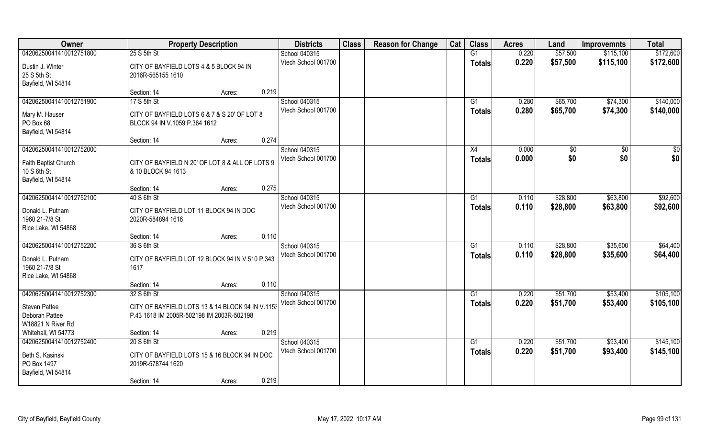| Owner                                                       |                                                              | <b>Property Description</b>                      | <b>Districts</b>    | <b>Class</b> | <b>Reason for Change</b> | Cat | <b>Class</b>  | <b>Acres</b> | Land     | <b>Improvemnts</b> | <b>Total</b> |
|-------------------------------------------------------------|--------------------------------------------------------------|--------------------------------------------------|---------------------|--------------|--------------------------|-----|---------------|--------------|----------|--------------------|--------------|
| 04206250041410012751800                                     | 25 S 5th St                                                  |                                                  | School 040315       |              |                          |     | G1            | 0.220        | \$57,500 | \$115,100          | \$172,600    |
| Dustin J. Winter<br>25 S 5th St<br>Bayfield, WI 54814       | CITY OF BAYFIELD LOTS 4 & 5 BLOCK 94 IN<br>2016R-565155 1610 |                                                  | Vtech School 001700 |              |                          |     | <b>Totals</b> | 0.220        | \$57,500 | \$115,100          | \$172,600    |
|                                                             | Section: 14                                                  | Acres:                                           | 0.219               |              |                          |     |               |              |          |                    |              |
| 04206250041410012751900                                     | 17 S 5th St                                                  |                                                  | School 040315       |              |                          |     | G1            | 0.280        | \$65,700 | \$74,300           | \$140,000    |
| Mary M. Hauser<br>PO Box 68<br>Bayfield, WI 54814           | BLOCK 94 IN V.1059 P.364 1612                                | CITY OF BAYFIELD LOTS 6 & 7 & S 20' OF LOT 8     | Vtech School 001700 |              |                          |     | Totals        | 0.280        | \$65,700 | \$74,300           | \$140,000    |
|                                                             | Section: 14                                                  | Acres:                                           | 0.274               |              |                          |     |               |              |          |                    |              |
| 04206250041410012752000                                     |                                                              |                                                  | School 040315       |              |                          |     | X4            | 0.000        | \$0      | \$0                | \$0          |
| Faith Baptist Church<br>10 S 6th St<br>Bayfield, WI 54814   | & 10 BLOCK 94 1613                                           | CITY OF BAYFIELD N 20' OF LOT 8 & ALL OF LOTS 9  | Vtech School 001700 |              |                          |     | <b>Totals</b> | 0.000        | \$0      | \$0                | \$0          |
|                                                             | Section: 14                                                  | Acres:                                           | 0.275               |              |                          |     |               |              |          |                    |              |
| 04206250041410012752100                                     | 40 S 6th St                                                  |                                                  | School 040315       |              |                          |     | G1            | 0.110        | \$28,800 | \$63,800           | \$92,600     |
| Donald L. Putnam<br>1960 21-7/8 St<br>Rice Lake, WI 54868   | CITY OF BAYFIELD LOT 11 BLOCK 94 IN DOC<br>2020R-584894 1616 |                                                  | Vtech School 001700 |              |                          |     | <b>Totals</b> | 0.110        | \$28,800 | \$63,800           | \$92,600     |
|                                                             | Section: 14                                                  | Acres:                                           | 0.110               |              |                          |     |               |              |          |                    |              |
| 04206250041410012752200                                     | 36 S 6th St                                                  |                                                  | School 040315       |              |                          |     | G1            | 0.110        | \$28,800 | \$35,600           | \$64,400     |
| Donald L. Putnam<br>1960 21-7/8 St<br>Rice Lake, WI 54868   | 1617                                                         | CITY OF BAYFIELD LOT 12 BLOCK 94 IN V.510 P.343  | Vtech School 001700 |              |                          |     | <b>Totals</b> | 0.110        | \$28,800 | \$35,600           | \$64,400     |
|                                                             | Section: 14                                                  | Acres:                                           | 0.110               |              |                          |     |               |              |          |                    |              |
| 04206250041410012752300                                     | 32 S 6th St                                                  |                                                  | School 040315       |              |                          |     | G1            | 0.220        | \$51,700 | \$53,400           | \$105,100    |
| <b>Steven Pattee</b><br>Deborah Pattee<br>W18821 N River Rd | P.43 1618 IM 2005R-502198 IM 2003R-502198                    | CITY OF BAYFIELD LOTS 13 & 14 BLOCK 94 IN V.1153 | Vtech School 001700 |              |                          |     | <b>Totals</b> | 0.220        | \$51,700 | \$53,400           | \$105,100    |
| Whitehall, WI 54773                                         | Section: 14                                                  | Acres:                                           | 0.219               |              |                          |     |               |              |          |                    |              |
| 04206250041410012752400                                     | 20 S 6th St                                                  |                                                  | School 040315       |              |                          |     | G1            | 0.220        | \$51,700 | \$93,400           | \$145,100    |
| Beth S. Kasinski<br>PO Box 1497<br>Bayfield, WI 54814       | 2019R-578744 1620                                            | CITY OF BAYFIELD LOTS 15 & 16 BLOCK 94 IN DOC    | Vtech School 001700 |              |                          |     | <b>Totals</b> | 0.220        | \$51,700 | \$93,400           | \$145,100    |
|                                                             | Section: 14                                                  | Acres:                                           | 0.219               |              |                          |     |               |              |          |                    |              |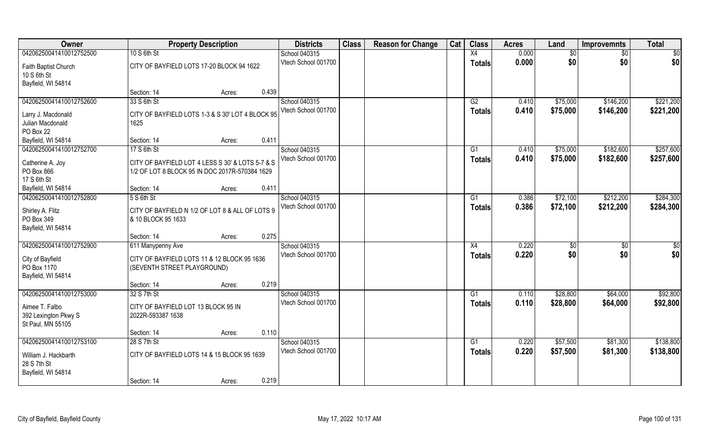| <b>Owner</b>                                                |                                                                                                    | <b>Property Description</b> |       | <b>Districts</b>                     | <b>Class</b> | <b>Reason for Change</b> | Cat | <b>Class</b>    | <b>Acres</b>   | Land                 | <b>Improvemnts</b>     | <b>Total</b>           |
|-------------------------------------------------------------|----------------------------------------------------------------------------------------------------|-----------------------------|-------|--------------------------------------|--------------|--------------------------|-----|-----------------|----------------|----------------------|------------------------|------------------------|
| 04206250041410012752500                                     | 10 S 6th St                                                                                        |                             |       | School 040315                        |              |                          |     | X4              | 0.000          | \$0                  | $\sqrt{6}$             | \$0                    |
| Faith Baptist Church<br>10 S 6th St<br>Bayfield, WI 54814   | CITY OF BAYFIELD LOTS 17-20 BLOCK 94 1622                                                          |                             |       | Vtech School 001700                  |              |                          |     | <b>Totals</b>   | 0.000          | \$0                  | \$0                    | \$0                    |
|                                                             | Section: 14                                                                                        | Acres:                      | 0.439 |                                      |              |                          |     |                 |                |                      |                        |                        |
| 04206250041410012752600                                     | 33 S 6th St                                                                                        |                             |       | School 040315<br>Vtech School 001700 |              |                          |     | G2              | 0.410<br>0.410 | \$75,000<br>\$75,000 | \$146,200<br>\$146,200 | \$221,200<br>\$221,200 |
| Larry J. Macdonald<br>Julian Macdonald<br>PO Box 22         | CITY OF BAYFIELD LOTS 1-3 & S 30' LOT 4 BLOCK 95<br>1625                                           |                             |       |                                      |              |                          |     | Totals          |                |                      |                        |                        |
| Bayfield, WI 54814                                          | Section: 14                                                                                        | Acres:                      | 0.411 |                                      |              |                          |     |                 |                |                      |                        |                        |
| 04206250041410012752700                                     | 17 S 6th St                                                                                        |                             |       | School 040315                        |              |                          |     | G1              | 0.410          | \$75,000             | \$182,600              | \$257,600              |
| Catherine A. Joy<br>PO Box 866<br>17 S 6th St               | CITY OF BAYFIELD LOT 4 LESS S 30' & LOTS 5-7 & S<br>1/2 OF LOT 8 BLOCK 95 IN DOC 2017R-570384 1629 |                             |       | Vtech School 001700                  |              |                          |     | <b>Totals</b>   | 0.410          | \$75,000             | \$182,600              | \$257,600              |
| Bayfield, WI 54814                                          | Section: 14                                                                                        | Acres:                      | 0.411 |                                      |              |                          |     |                 |                |                      |                        |                        |
| 04206250041410012752800                                     | 5 S 6th St                                                                                         |                             |       | School 040315                        |              |                          |     | G1              | 0.386          | \$72,100             | \$212,200              | \$284,300              |
| Shirley A. Flitz<br>PO Box 349<br>Bayfield, WI 54814        | CITY OF BAYFIELD N 1/2 OF LOT 8 & ALL OF LOTS 9<br>& 10 BLOCK 95 1633                              |                             |       | Vtech School 001700                  |              |                          |     | Totals          | 0.386          | \$72,100             | \$212,200              | \$284,300              |
|                                                             | Section: 14                                                                                        | Acres:                      | 0.275 |                                      |              |                          |     |                 |                |                      |                        |                        |
| 04206250041410012752900                                     | 611 Manypenny Ave                                                                                  |                             |       | School 040315                        |              |                          |     | X4              | 0.220          | \$0                  | $\overline{50}$        | \$0                    |
| City of Bayfield<br>PO Box 1170<br>Bayfield, WI 54814       | CITY OF BAYFIELD LOTS 11 & 12 BLOCK 95 1636<br>(SEVENTH STREET PLAYGROUND)                         |                             |       | Vtech School 001700                  |              |                          |     | <b>Totals</b>   | 0.220          | \$0                  | \$0                    | \$0                    |
|                                                             | Section: 14                                                                                        | Acres:                      | 0.219 |                                      |              |                          |     |                 |                |                      |                        |                        |
| 04206250041410012753000                                     | 32 S 7th St                                                                                        |                             |       | School 040315                        |              |                          |     | G1              | 0.110          | \$28,800             | \$64,000               | \$92,800               |
| Aimee T. Falbo<br>392 Lexington Pkwy S<br>St Paul, MN 55105 | CITY OF BAYFIELD LOT 13 BLOCK 95 IN<br>2022R-593387 1638                                           |                             |       | Vtech School 001700                  |              |                          |     | <b>Totals</b>   | 0.110          | \$28,800             | \$64,000               | \$92,800               |
|                                                             | Section: 14                                                                                        | Acres:                      | 0.110 |                                      |              |                          |     |                 |                |                      |                        |                        |
| 04206250041410012753100                                     | 28 S 7th St                                                                                        |                             |       | School 040315                        |              |                          |     | $\overline{G1}$ | 0.220          | \$57,500             | \$81,300               | \$138,800              |
| William J. Hackbarth<br>28 S 7th St<br>Bayfield, WI 54814   | CITY OF BAYFIELD LOTS 14 & 15 BLOCK 95 1639                                                        |                             |       | Vtech School 001700                  |              |                          |     | <b>Totals</b>   | 0.220          | \$57,500             | \$81,300               | \$138,800              |
|                                                             | Section: 14                                                                                        | Acres:                      | 0.219 |                                      |              |                          |     |                 |                |                      |                        |                        |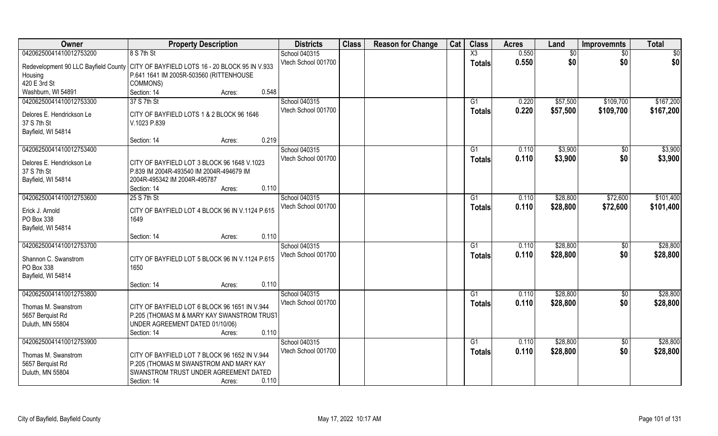| Owner                                    | <b>Property Description</b>                                                   | <b>Districts</b>    | <b>Class</b> | <b>Reason for Change</b> | Cat | <b>Class</b>  | <b>Acres</b> | Land     | <b>Improvemnts</b> | <b>Total</b>    |
|------------------------------------------|-------------------------------------------------------------------------------|---------------------|--------------|--------------------------|-----|---------------|--------------|----------|--------------------|-----------------|
| 04206250041410012753200                  | 8 S 7th St                                                                    | School 040315       |              |                          |     | X3            | 0.550        | \$0      | $\overline{50}$    | $\overline{50}$ |
| Redevelopment 90 LLC Bayfield County     | CITY OF BAYFIELD LOTS 16 - 20 BLOCK 95 IN V.933                               | Vtech School 001700 |              |                          |     | <b>Totals</b> | 0.550        | \$0      | \$0                | \$0             |
| Housing                                  | P.641 1641 IM 2005R-503560 (RITTENHOUSE                                       |                     |              |                          |     |               |              |          |                    |                 |
| 420 E 3rd St                             | COMMONS)                                                                      |                     |              |                          |     |               |              |          |                    |                 |
| Washburn, WI 54891                       | Section: 14<br>0.548<br>Acres:                                                |                     |              |                          |     |               |              |          |                    |                 |
| 04206250041410012753300                  | 37 S 7th St                                                                   | School 040315       |              |                          |     | G1            | 0.220        | \$57,500 | \$109,700          | \$167,200       |
|                                          |                                                                               | Vtech School 001700 |              |                          |     | Totals        | 0.220        | \$57,500 | \$109,700          | \$167,200       |
| Delores E. Hendrickson Le<br>37 S 7th St | CITY OF BAYFIELD LOTS 1 & 2 BLOCK 96 1646<br>V.1023 P.839                     |                     |              |                          |     |               |              |          |                    |                 |
| Bayfield, WI 54814                       |                                                                               |                     |              |                          |     |               |              |          |                    |                 |
|                                          | 0.219<br>Section: 14<br>Acres:                                                |                     |              |                          |     |               |              |          |                    |                 |
| 04206250041410012753400                  |                                                                               | School 040315       |              |                          |     | G1            | 0.110        | \$3,900  | $\sqrt[6]{30}$     | \$3,900         |
|                                          |                                                                               | Vtech School 001700 |              |                          |     | <b>Totals</b> | 0.110        | \$3,900  | \$0                | \$3,900         |
| Delores E. Hendrickson Le                | CITY OF BAYFIELD LOT 3 BLOCK 96 1648 V.1023                                   |                     |              |                          |     |               |              |          |                    |                 |
| 37 S 7th St                              | P.839 IM 2004R-493540 IM 2004R-494679 IM                                      |                     |              |                          |     |               |              |          |                    |                 |
| Bayfield, WI 54814                       | 2004R-495342 IM 2004R-495787                                                  |                     |              |                          |     |               |              |          |                    |                 |
|                                          | 0.110<br>Section: 14<br>Acres:                                                |                     |              |                          |     |               |              |          |                    |                 |
| 04206250041410012753600                  | 25 S 7th St                                                                   | School 040315       |              |                          |     | G1            | 0.110        | \$28,800 | \$72,600           | \$101,400       |
| Erick J. Arnold                          | CITY OF BAYFIELD LOT 4 BLOCK 96 IN V.1124 P.615                               | Vtech School 001700 |              |                          |     | <b>Totals</b> | 0.110        | \$28,800 | \$72,600           | \$101,400       |
| PO Box 338                               | 1649                                                                          |                     |              |                          |     |               |              |          |                    |                 |
| Bayfield, WI 54814                       |                                                                               |                     |              |                          |     |               |              |          |                    |                 |
|                                          | 0.110<br>Section: 14<br>Acres:                                                |                     |              |                          |     |               |              |          |                    |                 |
| 04206250041410012753700                  |                                                                               | School 040315       |              |                          |     | G1            | 0.110        | \$28,800 | $\sqrt[6]{3}$      | \$28,800        |
| Shannon C. Swanstrom                     | CITY OF BAYFIELD LOT 5 BLOCK 96 IN V.1124 P.615                               | Vtech School 001700 |              |                          |     | Totals        | 0.110        | \$28,800 | \$0                | \$28,800        |
| PO Box 338                               | 1650                                                                          |                     |              |                          |     |               |              |          |                    |                 |
| Bayfield, WI 54814                       |                                                                               |                     |              |                          |     |               |              |          |                    |                 |
|                                          | 0.110<br>Section: 14<br>Acres:                                                |                     |              |                          |     |               |              |          |                    |                 |
| 04206250041410012753800                  |                                                                               | School 040315       |              |                          |     | G1            | 0.110        | \$28,800 | $\overline{50}$    | \$28,800        |
|                                          |                                                                               | Vtech School 001700 |              |                          |     | <b>Totals</b> | 0.110        | \$28,800 | \$0                | \$28,800        |
| Thomas M. Swanstrom                      | CITY OF BAYFIELD LOT 6 BLOCK 96 1651 IN V.944                                 |                     |              |                          |     |               |              |          |                    |                 |
| 5657 Berquist Rd<br>Duluth, MN 55804     | P.205 (THOMAS M & MARY KAY SWANSTROM TRUST<br>UNDER AGREEMENT DATED 01/10/06) |                     |              |                          |     |               |              |          |                    |                 |
|                                          | 0.110<br>Section: 14<br>Acres:                                                |                     |              |                          |     |               |              |          |                    |                 |
| 04206250041410012753900                  |                                                                               | School 040315       |              |                          |     | G1            | 0.110        | \$28,800 | \$0                | \$28,800        |
|                                          |                                                                               | Vtech School 001700 |              |                          |     | Totals        | 0.110        | \$28,800 | \$0                | \$28,800        |
| Thomas M. Swanstrom                      | CITY OF BAYFIELD LOT 7 BLOCK 96 1652 IN V.944                                 |                     |              |                          |     |               |              |          |                    |                 |
| 5657 Berquist Rd                         | P.205 (THOMAS M SWANSTROM AND MARY KAY                                        |                     |              |                          |     |               |              |          |                    |                 |
| Duluth, MN 55804                         | SWANSTROM TRUST UNDER AGREEMENT DATED                                         |                     |              |                          |     |               |              |          |                    |                 |
|                                          | 0.110<br>Section: 14<br>Acres:                                                |                     |              |                          |     |               |              |          |                    |                 |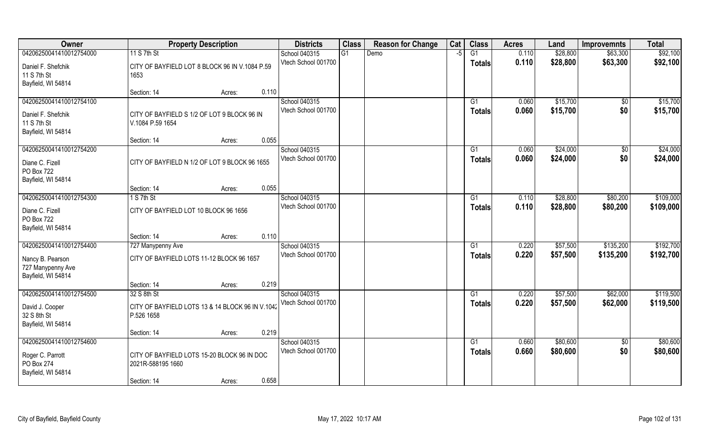| Owner                   | <b>Property Description</b>                      | <b>Districts</b>    | <b>Class</b> | <b>Reason for Change</b> | Cat | <b>Class</b>    | <b>Acres</b> | Land     | <b>Improvemnts</b> | <b>Total</b> |
|-------------------------|--------------------------------------------------|---------------------|--------------|--------------------------|-----|-----------------|--------------|----------|--------------------|--------------|
| 04206250041410012754000 | 11 S 7th St                                      | School 040315       | G1           | Demo                     | -5  | G1              | 0.110        | \$28,800 | \$63,300           | \$92,100     |
| Daniel F. Shefchik      | CITY OF BAYFIELD LOT 8 BLOCK 96 IN V.1084 P.59   | Vtech School 001700 |              |                          |     | <b>Totals</b>   | 0.110        | \$28,800 | \$63,300           | \$92,100     |
| 11 S 7th St             | 1653                                             |                     |              |                          |     |                 |              |          |                    |              |
| Bayfield, WI 54814      |                                                  |                     |              |                          |     |                 |              |          |                    |              |
|                         | 0.110<br>Section: 14<br>Acres:                   |                     |              |                          |     |                 |              |          |                    |              |
| 04206250041410012754100 |                                                  | School 040315       |              |                          |     | G1              | 0.060        | \$15,700 | $\overline{50}$    | \$15,700     |
| Daniel F. Shefchik      | CITY OF BAYFIELD S 1/2 OF LOT 9 BLOCK 96 IN      | Vtech School 001700 |              |                          |     | <b>Totals</b>   | 0.060        | \$15,700 | \$0                | \$15,700     |
| 11 S 7th St             | V.1084 P.59 1654                                 |                     |              |                          |     |                 |              |          |                    |              |
| Bayfield, WI 54814      |                                                  |                     |              |                          |     |                 |              |          |                    |              |
|                         | 0.055<br>Section: 14<br>Acres:                   |                     |              |                          |     |                 |              |          |                    |              |
| 04206250041410012754200 |                                                  | School 040315       |              |                          |     | G1              | 0.060        | \$24,000 | $\overline{50}$    | \$24,000     |
| Diane C. Fizell         | CITY OF BAYFIELD N 1/2 OF LOT 9 BLOCK 96 1655    | Vtech School 001700 |              |                          |     | <b>Totals</b>   | 0.060        | \$24,000 | \$0                | \$24,000     |
| PO Box 722              |                                                  |                     |              |                          |     |                 |              |          |                    |              |
| Bayfield, WI 54814      |                                                  |                     |              |                          |     |                 |              |          |                    |              |
|                         | 0.055<br>Section: 14<br>Acres:                   |                     |              |                          |     |                 |              |          |                    |              |
| 04206250041410012754300 | 1 S 7th St                                       | School 040315       |              |                          |     | G1              | 0.110        | \$28,800 | \$80,200           | \$109,000    |
| Diane C. Fizell         | CITY OF BAYFIELD LOT 10 BLOCK 96 1656            | Vtech School 001700 |              |                          |     | <b>Totals</b>   | 0.110        | \$28,800 | \$80,200           | \$109,000    |
| PO Box 722              |                                                  |                     |              |                          |     |                 |              |          |                    |              |
| Bayfield, WI 54814      |                                                  |                     |              |                          |     |                 |              |          |                    |              |
|                         | 0.110<br>Section: 14<br>Acres:                   |                     |              |                          |     |                 |              |          |                    |              |
| 04206250041410012754400 | 727 Manypenny Ave                                | School 040315       |              |                          |     | G1              | 0.220        | \$57,500 | \$135,200          | \$192,700    |
| Nancy B. Pearson        | CITY OF BAYFIELD LOTS 11-12 BLOCK 96 1657        | Vtech School 001700 |              |                          |     | Totals          | 0.220        | \$57,500 | \$135,200          | \$192,700    |
| 727 Manypenny Ave       |                                                  |                     |              |                          |     |                 |              |          |                    |              |
| Bayfield, WI 54814      |                                                  |                     |              |                          |     |                 |              |          |                    |              |
|                         | 0.219<br>Section: 14<br>Acres:                   |                     |              |                          |     |                 |              |          |                    |              |
| 04206250041410012754500 | 32 S 8th St                                      | School 040315       |              |                          |     | $\overline{G1}$ | 0.220        | \$57,500 | \$62,000           | \$119,500    |
| David J. Cooper         | CITY OF BAYFIELD LOTS 13 & 14 BLOCK 96 IN V.1042 | Vtech School 001700 |              |                          |     | <b>Totals</b>   | 0.220        | \$57,500 | \$62,000           | \$119,500    |
| 32 S 8th St             | P.526 1658                                       |                     |              |                          |     |                 |              |          |                    |              |
| Bayfield, WI 54814      |                                                  |                     |              |                          |     |                 |              |          |                    |              |
|                         | 0.219<br>Section: 14<br>Acres:                   |                     |              |                          |     |                 |              |          |                    |              |
| 04206250041410012754600 |                                                  | School 040315       |              |                          |     | G1              | 0.660        | \$80,600 | $\sqrt{6}$         | \$80,600     |
| Roger C. Parrott        | CITY OF BAYFIELD LOTS 15-20 BLOCK 96 IN DOC      | Vtech School 001700 |              |                          |     | <b>Totals</b>   | 0.660        | \$80,600 | \$0                | \$80,600     |
| PO Box 274              | 2021R-588195 1660                                |                     |              |                          |     |                 |              |          |                    |              |
| Bayfield, WI 54814      |                                                  |                     |              |                          |     |                 |              |          |                    |              |
|                         | 0.658<br>Section: 14<br>Acres:                   |                     |              |                          |     |                 |              |          |                    |              |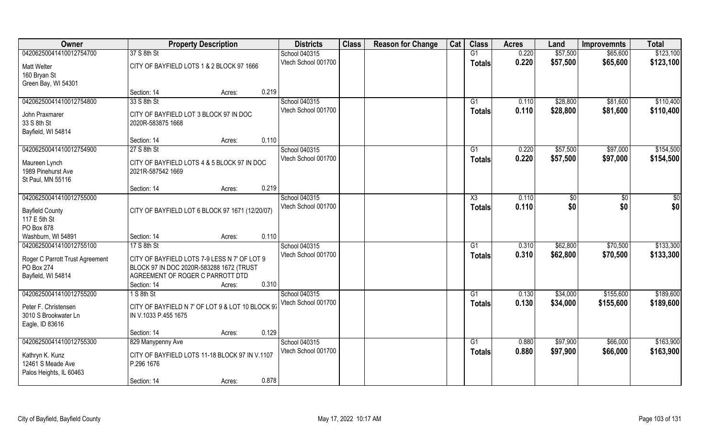| Owner                                        | <b>Property Description</b>                                              |                 | <b>Districts</b>    | <b>Class</b> | <b>Reason for Change</b> | Cat | <b>Class</b>    | <b>Acres</b> | Land     | <b>Improvemnts</b> | <b>Total</b> |
|----------------------------------------------|--------------------------------------------------------------------------|-----------------|---------------------|--------------|--------------------------|-----|-----------------|--------------|----------|--------------------|--------------|
| 04206250041410012754700                      | 37 S 8th St                                                              |                 | School 040315       |              |                          |     | G1              | 0.220        | \$57,500 | \$65,600           | \$123,100    |
| <b>Matt Welter</b>                           | CITY OF BAYFIELD LOTS 1 & 2 BLOCK 97 1666                                |                 | Vtech School 001700 |              |                          |     | <b>Totals</b>   | 0.220        | \$57,500 | \$65,600           | \$123,100    |
| 160 Bryan St<br>Green Bay, WI 54301          |                                                                          |                 |                     |              |                          |     |                 |              |          |                    |              |
|                                              | Section: 14                                                              | 0.219<br>Acres: |                     |              |                          |     |                 |              |          |                    |              |
| 04206250041410012754800                      | 33 S 8th St                                                              |                 | School 040315       |              |                          |     | G1              | 0.110        | \$28,800 | \$81,600           | \$110,400    |
| John Praxmarer                               | CITY OF BAYFIELD LOT 3 BLOCK 97 IN DOC                                   |                 | Vtech School 001700 |              |                          |     | Totals          | 0.110        | \$28,800 | \$81,600           | \$110,400    |
| 33 S 8th St                                  | 2020R-583875 1668                                                        |                 |                     |              |                          |     |                 |              |          |                    |              |
| Bayfield, WI 54814                           |                                                                          |                 |                     |              |                          |     |                 |              |          |                    |              |
|                                              | Section: 14                                                              | 0.110<br>Acres: |                     |              |                          |     |                 |              |          |                    |              |
| 04206250041410012754900                      | 27 S 8th St                                                              |                 | School 040315       |              |                          |     | G1              | 0.220        | \$57,500 | \$97,000           | \$154,500    |
| Maureen Lynch                                | CITY OF BAYFIELD LOTS 4 & 5 BLOCK 97 IN DOC                              |                 | Vtech School 001700 |              |                          |     | <b>Totals</b>   | 0.220        | \$57,500 | \$97,000           | \$154,500    |
| 1989 Pinehurst Ave                           | 2021R-587542 1669                                                        |                 |                     |              |                          |     |                 |              |          |                    |              |
| St Paul, MN 55116                            |                                                                          |                 |                     |              |                          |     |                 |              |          |                    |              |
|                                              | Section: 14                                                              | 0.219<br>Acres: |                     |              |                          |     |                 |              |          |                    |              |
| 04206250041410012755000                      |                                                                          |                 | School 040315       |              |                          |     | X3              | 0.110        | \$0      | \$0                | \$0          |
| <b>Bayfield County</b>                       | CITY OF BAYFIELD LOT 6 BLOCK 97 1671 (12/20/07)                          |                 | Vtech School 001700 |              |                          |     | <b>Totals</b>   | 0.110        | \$0      | \$0                | \$0          |
| 117 E 5th St                                 |                                                                          |                 |                     |              |                          |     |                 |              |          |                    |              |
| PO Box 878                                   |                                                                          |                 |                     |              |                          |     |                 |              |          |                    |              |
| Washburn, WI 54891                           | Section: 14                                                              | 0.110<br>Acres: |                     |              |                          |     |                 |              |          |                    |              |
| 04206250041410012755100                      | 17 S 8th St                                                              |                 | School 040315       |              |                          |     | $\overline{G1}$ | 0.310        | \$62,800 | \$70,500           | \$133,300    |
| Roger C Parrott Trust Agreement              | CITY OF BAYFIELD LOTS 7-9 LESS N 7' OF LOT 9                             |                 | Vtech School 001700 |              |                          |     | <b>Totals</b>   | 0.310        | \$62,800 | \$70,500           | \$133,300    |
| PO Box 274                                   | BLOCK 97 IN DOC 2020R-583288 1672 (TRUST                                 |                 |                     |              |                          |     |                 |              |          |                    |              |
| Bayfield, WI 54814                           | AGREEMENT OF ROGER C PARROTT DTD                                         |                 |                     |              |                          |     |                 |              |          |                    |              |
|                                              | Section: 14                                                              | 0.310<br>Acres: |                     |              |                          |     |                 |              |          |                    |              |
| 04206250041410012755200                      | 1 S 8th St                                                               |                 | School 040315       |              |                          |     | G1              | 0.130        | \$34,000 | \$155,600          | \$189,600    |
|                                              |                                                                          |                 | Vtech School 001700 |              |                          |     | <b>Totals</b>   | 0.130        | \$34,000 | \$155,600          | \$189,600    |
| Peter F. Christensen<br>3010 S Brookwater Ln | CITY OF BAYFIELD N 7' OF LOT 9 & LOT 10 BLOCK 97<br>IN V.1033 P.455 1675 |                 |                     |              |                          |     |                 |              |          |                    |              |
| Eagle, ID 83616                              |                                                                          |                 |                     |              |                          |     |                 |              |          |                    |              |
|                                              | Section: 14                                                              | 0.129<br>Acres: |                     |              |                          |     |                 |              |          |                    |              |
| 04206250041410012755300                      | 829 Manypenny Ave                                                        |                 | School 040315       |              |                          |     | G1              | 0.880        | \$97,900 | \$66,000           | \$163,900    |
|                                              |                                                                          |                 | Vtech School 001700 |              |                          |     | <b>Totals</b>   | 0.880        | \$97,900 | \$66,000           | \$163,900    |
| Kathryn K. Kunz                              | CITY OF BAYFIELD LOTS 11-18 BLOCK 97 IN V.1107                           |                 |                     |              |                          |     |                 |              |          |                    |              |
| 12461 S Meade Ave                            | P.296 1676                                                               |                 |                     |              |                          |     |                 |              |          |                    |              |
| Palos Heights, IL 60463                      | Section: 14                                                              | 0.878<br>Acres: |                     |              |                          |     |                 |              |          |                    |              |
|                                              |                                                                          |                 |                     |              |                          |     |                 |              |          |                    |              |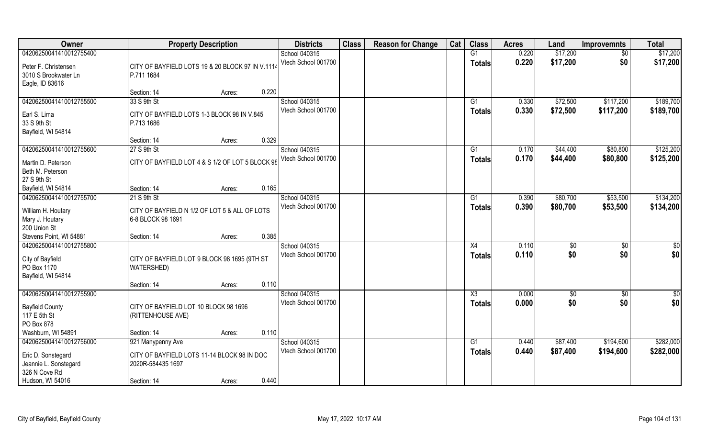| <b>Owner</b>                                                                                                | <b>Property Description</b>                                                                          |        |       | <b>Districts</b>                     | <b>Class</b> | <b>Reason for Change</b> | Cat | <b>Class</b>                            | <b>Acres</b>   | Land                 | <b>Improvemnts</b>     | <b>Total</b>           |
|-------------------------------------------------------------------------------------------------------------|------------------------------------------------------------------------------------------------------|--------|-------|--------------------------------------|--------------|--------------------------|-----|-----------------------------------------|----------------|----------------------|------------------------|------------------------|
| 04206250041410012755400<br>Peter F. Christensen<br>3010 S Brookwater Ln<br>Eagle, ID 83616                  | CITY OF BAYFIELD LOTS 19 & 20 BLOCK 97 IN V.1114<br>P.711 1684                                       |        |       | School 040315<br>Vtech School 001700 |              |                          |     | G1<br><b>Totals</b>                     | 0.220<br>0.220 | \$17,200<br>\$17,200 | \$0<br>\$0             | \$17,200<br>\$17,200   |
|                                                                                                             | Section: 14                                                                                          | Acres: | 0.220 |                                      |              |                          |     |                                         |                |                      |                        |                        |
| 04206250041410012755500<br>Earl S. Lima<br>33 S 9th St<br>Bayfield, WI 54814                                | 33 S 9th St<br>CITY OF BAYFIELD LOTS 1-3 BLOCK 98 IN V.845<br>P.713 1686                             |        |       | School 040315<br>Vtech School 001700 |              |                          |     | G1<br>Totals                            | 0.330<br>0.330 | \$72,500<br>\$72,500 | \$117,200<br>\$117,200 | \$189,700<br>\$189,700 |
|                                                                                                             | Section: 14                                                                                          | Acres: | 0.329 |                                      |              |                          |     |                                         |                |                      |                        |                        |
| 04206250041410012755600                                                                                     | 27 S 9th St                                                                                          |        |       | School 040315                        |              |                          |     | G1                                      | 0.170          | \$44,400             | \$80,800               | \$125,200              |
| Martin D. Peterson<br>Beth M. Peterson<br>27 S 9th St                                                       | CITY OF BAYFIELD LOT 4 & S 1/2 OF LOT 5 BLOCK 98                                                     |        |       | Vtech School 001700                  |              |                          |     | <b>Totals</b>                           | 0.170          | \$44,400             | \$80,800               | \$125,200              |
| Bayfield, WI 54814                                                                                          | Section: 14                                                                                          | Acres: | 0.165 |                                      |              |                          |     |                                         |                |                      |                        |                        |
| 04206250041410012755700                                                                                     | 21 S 9th St                                                                                          |        |       | School 040315                        |              |                          |     | G1                                      | 0.390          | \$80,700             | \$53,500               | \$134,200              |
| William H. Houtary<br>Mary J. Houtary<br>200 Union St                                                       | CITY OF BAYFIELD N 1/2 OF LOT 5 & ALL OF LOTS<br>6-8 BLOCK 98 1691                                   |        |       | Vtech School 001700                  |              |                          |     | <b>Totals</b>                           | 0.390          | \$80,700             | \$53,500               | \$134,200              |
| Stevens Point, WI 54881                                                                                     | Section: 14                                                                                          | Acres: | 0.385 |                                      |              |                          |     |                                         |                |                      |                        |                        |
| 04206250041410012755800<br>City of Bayfield<br>PO Box 1170<br>Bayfield, WI 54814                            | CITY OF BAYFIELD LOT 9 BLOCK 98 1695 (9TH ST<br><b>WATERSHED)</b>                                    |        |       | School 040315<br>Vtech School 001700 |              |                          |     | X4<br><b>Totals</b>                     | 0.110<br>0.110 | \$0<br>\$0           | $\overline{50}$<br>\$0 | \$0<br>\$0             |
|                                                                                                             | Section: 14                                                                                          | Acres: | 0.110 |                                      |              |                          |     |                                         |                |                      |                        |                        |
| 04206250041410012755900<br><b>Bayfield County</b><br>117 E 5th St<br>PO Box 878                             | CITY OF BAYFIELD LOT 10 BLOCK 98 1696<br>(RITTENHOUSE AVE)                                           |        |       | School 040315<br>Vtech School 001700 |              |                          |     | $\overline{\text{X3}}$<br><b>Totals</b> | 0.000<br>0.000 | $\frac{6}{5}$<br>\$0 | $\overline{50}$<br>\$0 | $\overline{50}$<br>\$0 |
| Washburn, WI 54891                                                                                          | Section: 14                                                                                          | Acres: | 0.110 |                                      |              |                          |     |                                         |                |                      |                        |                        |
| 04206250041410012756000<br>Eric D. Sonstegard<br>Jeannie L. Sonstegard<br>326 N Cove Rd<br>Hudson, WI 54016 | 921 Manypenny Ave<br>CITY OF BAYFIELD LOTS 11-14 BLOCK 98 IN DOC<br>2020R-584435 1697<br>Section: 14 |        | 0.440 | School 040315<br>Vtech School 001700 |              |                          |     | G1<br><b>Totals</b>                     | 0.440<br>0.440 | \$87,400<br>\$87,400 | \$194,600<br>\$194,600 | \$282,000<br>\$282,000 |
|                                                                                                             |                                                                                                      | Acres: |       |                                      |              |                          |     |                                         |                |                      |                        |                        |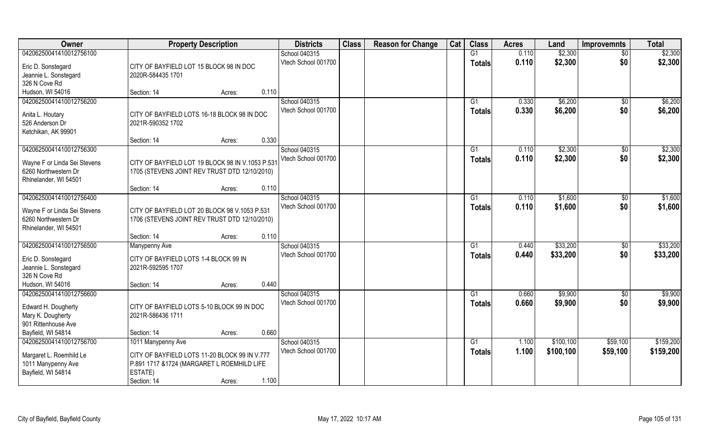| Owner                                  | <b>Property Description</b>                      | <b>Districts</b>    | <b>Class</b> | <b>Reason for Change</b> | Cat | <b>Class</b>   | <b>Acres</b> | Land      | <b>Improvemnts</b> | <b>Total</b> |
|----------------------------------------|--------------------------------------------------|---------------------|--------------|--------------------------|-----|----------------|--------------|-----------|--------------------|--------------|
| 04206250041410012756100                |                                                  | School 040315       |              |                          |     | G1             | 0.110        | \$2,300   | $\overline{50}$    | \$2,300      |
| Eric D. Sonstegard                     | CITY OF BAYFIELD LOT 15 BLOCK 98 IN DOC          | Vtech School 001700 |              |                          |     | <b>Totals</b>  | 0.110        | \$2,300   | \$0                | \$2,300      |
| Jeannie L. Sonstegard                  | 2020R-584435 1701                                |                     |              |                          |     |                |              |           |                    |              |
| 326 N Cove Rd                          |                                                  |                     |              |                          |     |                |              |           |                    |              |
| Hudson, WI 54016                       | 0.110<br>Section: 14<br>Acres:                   |                     |              |                          |     |                |              |           |                    |              |
| 04206250041410012756200                |                                                  | School 040315       |              |                          |     | G1             | 0.330        | \$6,200   | $\overline{50}$    | \$6,200      |
|                                        |                                                  | Vtech School 001700 |              |                          |     | Totals         | 0.330        | \$6,200   | \$0                | \$6,200      |
| Anita L. Houtary                       | CITY OF BAYFIELD LOTS 16-18 BLOCK 98 IN DOC      |                     |              |                          |     |                |              |           |                    |              |
| 526 Anderson Dr<br>Ketchikan, AK 99901 | 2021R-590352 1702                                |                     |              |                          |     |                |              |           |                    |              |
|                                        | 0.330<br>Section: 14<br>Acres:                   |                     |              |                          |     |                |              |           |                    |              |
| 04206250041410012756300                |                                                  | School 040315       |              |                          |     | G1             | 0.110        | \$2,300   | $\sqrt[6]{30}$     | \$2,300      |
|                                        |                                                  | Vtech School 001700 |              |                          |     | <b>Totals</b>  | 0.110        | \$2,300   | \$0                | \$2,300      |
| Wayne F or Linda Sei Stevens           | CITY OF BAYFIELD LOT 19 BLOCK 98 IN V.1053 P.531 |                     |              |                          |     |                |              |           |                    |              |
| 6260 Northwestern Dr                   | 1705 (STEVENS JOINT REV TRUST DTD 12/10/2010)    |                     |              |                          |     |                |              |           |                    |              |
| Rhinelander, WI 54501                  |                                                  |                     |              |                          |     |                |              |           |                    |              |
|                                        | 0.110<br>Section: 14<br>Acres:                   |                     |              |                          |     |                |              |           |                    |              |
| 04206250041410012756400                |                                                  | School 040315       |              |                          |     | G1             | 0.110        | \$1,600   | \$0                | \$1,600      |
| Wayne F or Linda Sei Stevens           | CITY OF BAYFIELD LOT 20 BLOCK 98 V.1053 P.531    | Vtech School 001700 |              |                          |     | <b>Totals</b>  | 0.110        | \$1,600   | \$0                | \$1,600      |
| 6260 Northwestern Dr                   | 1706 (STEVENS JOINT REV TRUST DTD 12/10/2010)    |                     |              |                          |     |                |              |           |                    |              |
| Rhinelander, WI 54501                  |                                                  |                     |              |                          |     |                |              |           |                    |              |
|                                        | 0.110<br>Section: 14<br>Acres:                   |                     |              |                          |     |                |              |           |                    |              |
| 04206250041410012756500                | <b>Manypenny Ave</b>                             | School 040315       |              |                          |     | G <sub>1</sub> | 0.440        | \$33,200  | \$0                | \$33,200     |
| Eric D. Sonstegard                     | CITY OF BAYFIELD LOTS 1-4 BLOCK 99 IN            | Vtech School 001700 |              |                          |     | <b>Totals</b>  | 0.440        | \$33,200  | \$0                | \$33,200     |
| Jeannie L. Sonstegard                  | 2021R-592595 1707                                |                     |              |                          |     |                |              |           |                    |              |
| 326 N Cove Rd                          |                                                  |                     |              |                          |     |                |              |           |                    |              |
| Hudson, WI 54016                       | 0.440<br>Section: 14<br>Acres:                   |                     |              |                          |     |                |              |           |                    |              |
| 04206250041410012756600                |                                                  | School 040315       |              |                          |     | G1             | 0.660        | \$9,900   | \$0                | \$9,900      |
| Edward H. Dougherty                    | CITY OF BAYFIELD LOTS 5-10 BLOCK 99 IN DOC       | Vtech School 001700 |              |                          |     | <b>Totals</b>  | 0.660        | \$9,900   | \$0                | \$9,900      |
| Mary K. Dougherty                      | 2021R-586436 1711                                |                     |              |                          |     |                |              |           |                    |              |
| 901 Rittenhouse Ave                    |                                                  |                     |              |                          |     |                |              |           |                    |              |
| Bayfield, WI 54814                     | 0.660<br>Section: 14<br>Acres:                   |                     |              |                          |     |                |              |           |                    |              |
| 04206250041410012756700                | 1011 Manypenny Ave                               | School 040315       |              |                          |     | G1             | 1.100        | \$100,100 | \$59,100           | \$159,200    |
|                                        |                                                  | Vtech School 001700 |              |                          |     | <b>Totals</b>  | 1.100        | \$100,100 | \$59,100           | \$159,200    |
| Margaret L. Roemhild Le                | CITY OF BAYFIELD LOTS 11-20 BLOCK 99 IN V.777    |                     |              |                          |     |                |              |           |                    |              |
| 1011 Manypenny Ave                     | P.891 1717 & 1724 (MARGARET L ROEMHILD LIFE      |                     |              |                          |     |                |              |           |                    |              |
| Bayfield, WI 54814                     | ESTATE)                                          |                     |              |                          |     |                |              |           |                    |              |
|                                        | 1.100<br>Section: 14<br>Acres:                   |                     |              |                          |     |                |              |           |                    |              |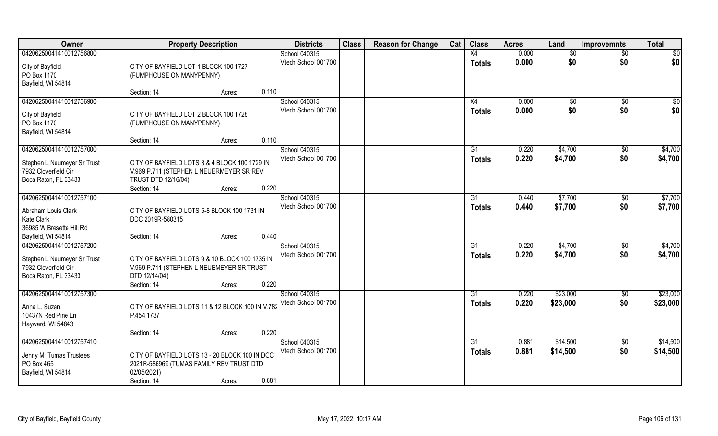| <b>Class</b><br>Cat<br><b>Class</b><br>Owner<br><b>Property Description</b><br><b>Districts</b><br><b>Reason for Change</b><br><b>Acres</b><br>Land<br><b>Improvemnts</b> | <b>Total</b>                   |
|---------------------------------------------------------------------------------------------------------------------------------------------------------------------------|--------------------------------|
| 0.000<br>04206250041410012756800<br>School 040315<br>X4<br>$\sqrt{$0}$                                                                                                    | \$0<br>$\overline{30}$         |
| \$0<br>0.000<br>\$0<br>Vtech School 001700<br><b>Totals</b><br>City of Bayfield<br>CITY OF BAYFIELD LOT 1 BLOCK 100 1727                                                  | \$0                            |
| PO Box 1170<br>(PUMPHOUSE ON MANYPENNY)                                                                                                                                   |                                |
| Bayfield, WI 54814                                                                                                                                                        |                                |
| 0.110<br>Section: 14<br>Acres:                                                                                                                                            |                                |
| 04206250041410012756900<br>School 040315<br>0.000<br>\$0<br>X4                                                                                                            | $\overline{50}$<br>$\sqrt{50}$ |
| 0.000<br>\$0<br>\$0<br>Vtech School 001700<br><b>Totals</b><br>CITY OF BAYFIELD LOT 2 BLOCK 100 1728<br>City of Bayfield                                                  | \$0                            |
| PO Box 1170<br>(PUMPHOUSE ON MANYPENNY)                                                                                                                                   |                                |
| Bayfield, WI 54814                                                                                                                                                        |                                |
| 0.110<br>Section: 14<br>Acres:                                                                                                                                            |                                |
| 04206250041410012757000<br>School 040315<br>0.220<br>\$4,700<br>G1                                                                                                        | \$4,700<br>$\sqrt[6]{30}$      |
| \$0<br>Vtech School 001700<br>\$4,700<br>0.220<br><b>Totals</b><br>CITY OF BAYFIELD LOTS 3 & 4 BLOCK 100 1729 IN<br>Stephen L Neumeyer Sr Trust                           | \$4,700                        |
| 7932 Cloverfield Cir<br>V.969 P.711 (STEPHEN L NEUERMEYER SR REV                                                                                                          |                                |
| <b>TRUST DTD 12/16/04)</b><br>Boca Raton, FL 33433                                                                                                                        |                                |
| 0.220<br>Section: 14<br>Acres:                                                                                                                                            |                                |
| 04206250041410012757100<br>School 040315<br>\$7,700<br>G1<br>0.440                                                                                                        | \$7,700<br>$\sqrt[6]{3}$       |
| Vtech School 001700<br>0.440<br>\$7,700<br>\$0<br><b>Totals</b><br>Abraham Louis Clark<br>CITY OF BAYFIELD LOTS 5-8 BLOCK 100 1731 IN                                     | \$7,700                        |
| Kate Clark<br>DOC 2019R-580315                                                                                                                                            |                                |
| 36985 W Bresette Hill Rd                                                                                                                                                  |                                |
| 0.440<br>Bayfield, WI 54814<br>Section: 14<br>Acres:                                                                                                                      |                                |
| 04206250041410012757200<br>School 040315<br>0.220<br>\$4,700<br>G <sub>1</sub>                                                                                            | \$4,700<br>\$0                 |
| \$4,700<br>Vtech School 001700<br>\$0<br>0.220<br><b>Totals</b>                                                                                                           | \$4,700                        |
| CITY OF BAYFIELD LOTS 9 & 10 BLOCK 100 1735 IN<br>Stephen L Neumeyer Sr Trust<br>7932 Cloverfield Cir<br>V.969 P.711 (STEPHEN L NEUEMEYER SR TRUST                        |                                |
| Boca Raton, FL 33433<br>DTD 12/14/04)                                                                                                                                     |                                |
| 0.220<br>Section: 14<br>Acres:                                                                                                                                            |                                |
| 04206250041410012757300<br>School 040315<br>\$23,000<br>G1<br>0.220                                                                                                       | \$23,000<br>\$0                |
| \$0<br>Vtech School 001700<br>0.220<br>\$23,000<br><b>Totals</b><br>CITY OF BAYFIELD LOTS 11 & 12 BLOCK 100 IN V.782                                                      | \$23,000                       |
| Anna L. Suzan<br>10437N Red Pine Ln<br>P.454 1737                                                                                                                         |                                |
| Hayward, WI 54843                                                                                                                                                         |                                |
| 0.220<br>Section: 14<br>Acres:                                                                                                                                            |                                |
| 04206250041410012757410<br>School 040315<br>\$14,500<br>G1<br>0.881                                                                                                       | \$14,500<br>$\sqrt{$0}$        |
| \$0<br>Vtech School 001700<br>\$14,500<br>0.881<br><b>Totals</b>                                                                                                          | \$14,500                       |
| CITY OF BAYFIELD LOTS 13 - 20 BLOCK 100 IN DOC<br>Jenny M. Tumas Trustees<br>PO Box 465<br>2021R-586969 (TUMAS FAMILY REV TRUST DTD                                       |                                |
| 02/05/2021)<br>Bayfield, WI 54814                                                                                                                                         |                                |
| 0.881<br>Section: 14<br>Acres:                                                                                                                                            |                                |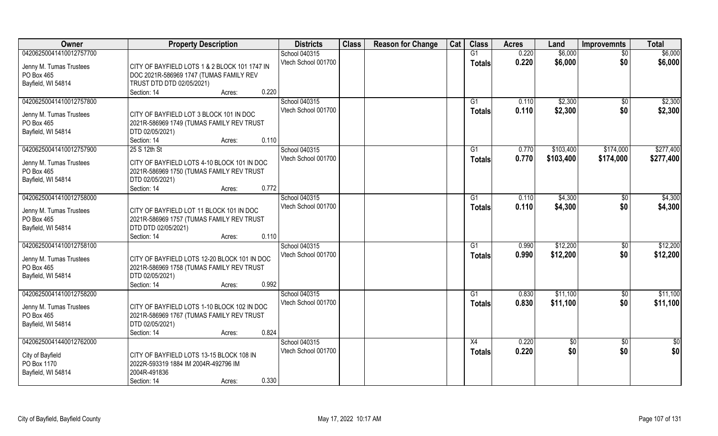| Owner                                 | <b>Property Description</b>                                  | <b>Districts</b>    | <b>Class</b> | <b>Reason for Change</b> | Cat | <b>Class</b>  | <b>Acres</b> | Land      | <b>Improvemnts</b> | <b>Total</b> |
|---------------------------------------|--------------------------------------------------------------|---------------------|--------------|--------------------------|-----|---------------|--------------|-----------|--------------------|--------------|
| 04206250041410012757700               |                                                              | School 040315       |              |                          |     | G1            | 0.220        | \$6,000   | \$0                | \$6,000      |
| Jenny M. Tumas Trustees               | CITY OF BAYFIELD LOTS 1 & 2 BLOCK 101 1747 IN                | Vtech School 001700 |              |                          |     | <b>Totals</b> | 0.220        | \$6,000   | \$0                | \$6,000      |
| PO Box 465                            | DOC 2021R-586969 1747 (TUMAS FAMILY REV                      |                     |              |                          |     |               |              |           |                    |              |
| Bayfield, WI 54814                    | TRUST DTD DTD 02/05/2021)                                    |                     |              |                          |     |               |              |           |                    |              |
|                                       | 0.220<br>Section: 14<br>Acres:                               |                     |              |                          |     |               |              |           |                    |              |
| 04206250041410012757800               |                                                              | School 040315       |              |                          |     | G1            | 0.110        | \$2,300   | \$0                | \$2,300      |
|                                       |                                                              | Vtech School 001700 |              |                          |     | <b>Totals</b> | 0.110        | \$2,300   | \$0                | \$2,300      |
| Jenny M. Tumas Trustees               | CITY OF BAYFIELD LOT 3 BLOCK 101 IN DOC                      |                     |              |                          |     |               |              |           |                    |              |
| PO Box 465                            | 2021R-586969 1749 (TUMAS FAMILY REV TRUST                    |                     |              |                          |     |               |              |           |                    |              |
| Bayfield, WI 54814                    | DTD 02/05/2021)                                              |                     |              |                          |     |               |              |           |                    |              |
|                                       | 0.110<br>Section: 14<br>Acres:                               |                     |              |                          |     |               |              |           |                    |              |
| 04206250041410012757900               | 25 S 12th St                                                 | School 040315       |              |                          |     | G1            | 0.770        | \$103,400 | \$174,000          | \$277,400    |
| Jenny M. Tumas Trustees               | CITY OF BAYFIELD LOTS 4-10 BLOCK 101 IN DOC                  | Vtech School 001700 |              |                          |     | <b>Totals</b> | 0.770        | \$103,400 | \$174,000          | \$277,400    |
| PO Box 465                            | 2021R-586969 1750 (TUMAS FAMILY REV TRUST                    |                     |              |                          |     |               |              |           |                    |              |
| Bayfield, WI 54814                    | DTD 02/05/2021)                                              |                     |              |                          |     |               |              |           |                    |              |
|                                       | 0.772<br>Section: 14<br>Acres:                               |                     |              |                          |     |               |              |           |                    |              |
| 04206250041410012758000               |                                                              | School 040315       |              |                          |     | G1            | 0.110        | \$4,300   | \$0                | \$4,300      |
|                                       |                                                              | Vtech School 001700 |              |                          |     |               |              |           |                    |              |
| Jenny M. Tumas Trustees               | CITY OF BAYFIELD LOT 11 BLOCK 101 IN DOC                     |                     |              |                          |     | <b>Totals</b> | 0.110        | \$4,300   | \$0                | \$4,300      |
| PO Box 465                            | 2021R-586969 1757 (TUMAS FAMILY REV TRUST                    |                     |              |                          |     |               |              |           |                    |              |
| Bayfield, WI 54814                    | DTD DTD 02/05/2021)                                          |                     |              |                          |     |               |              |           |                    |              |
|                                       | 0.110<br>Section: 14<br>Acres:                               |                     |              |                          |     |               |              |           |                    |              |
| 04206250041410012758100               |                                                              | School 040315       |              |                          |     | G1            | 0.990        | \$12,200  | \$0                | \$12,200     |
|                                       | CITY OF BAYFIELD LOTS 12-20 BLOCK 101 IN DOC                 | Vtech School 001700 |              |                          |     | Totals        | 0.990        | \$12,200  | \$0                | \$12,200     |
| Jenny M. Tumas Trustees<br>PO Box 465 |                                                              |                     |              |                          |     |               |              |           |                    |              |
| Bayfield, WI 54814                    | 2021R-586969 1758 (TUMAS FAMILY REV TRUST<br>DTD 02/05/2021) |                     |              |                          |     |               |              |           |                    |              |
|                                       | 0.992<br>Section: 14                                         |                     |              |                          |     |               |              |           |                    |              |
| 04206250041410012758200               | Acres:                                                       | School 040315       |              |                          |     | G1            | 0.830        | \$11,100  |                    | \$11,100     |
|                                       |                                                              | Vtech School 001700 |              |                          |     |               | 0.830        |           | \$0<br>\$0         |              |
| Jenny M. Tumas Trustees               | CITY OF BAYFIELD LOTS 1-10 BLOCK 102 IN DOC                  |                     |              |                          |     | <b>Totals</b> |              | \$11,100  |                    | \$11,100     |
| PO Box 465                            | 2021R-586969 1767 (TUMAS FAMILY REV TRUST                    |                     |              |                          |     |               |              |           |                    |              |
| Bayfield, WI 54814                    | DTD 02/05/2021)                                              |                     |              |                          |     |               |              |           |                    |              |
|                                       | 0.824<br>Section: 14<br>Acres:                               |                     |              |                          |     |               |              |           |                    |              |
| 04206250041440012762000               |                                                              | School 040315       |              |                          |     | X4            | 0.220        | \$0       | $\overline{30}$    | \$0          |
|                                       |                                                              | Vtech School 001700 |              |                          |     | Totals        | 0.220        | \$0       | \$0                | \$0          |
| City of Bayfield<br>PO Box 1170       | CITY OF BAYFIELD LOTS 13-15 BLOCK 108 IN                     |                     |              |                          |     |               |              |           |                    |              |
|                                       | 2022R-593319 1884 IM 2004R-492796 IM<br>2004R-491836         |                     |              |                          |     |               |              |           |                    |              |
| Bayfield, WI 54814                    | 0.330                                                        |                     |              |                          |     |               |              |           |                    |              |
|                                       | Section: 14<br>Acres:                                        |                     |              |                          |     |               |              |           |                    |              |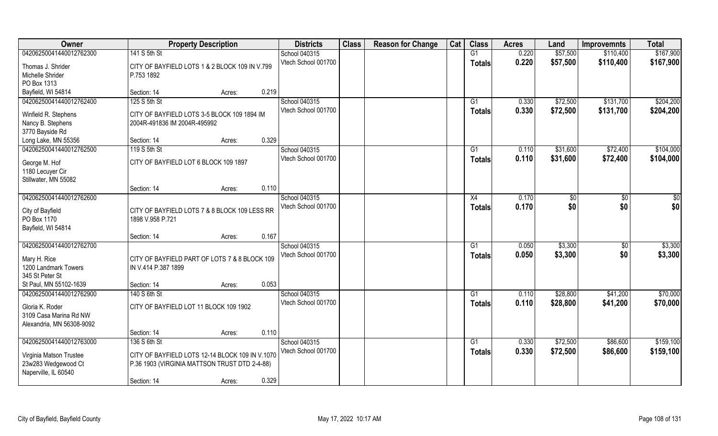| Owner                                                                  |                                                                                                  | <b>Property Description</b> |       | <b>Districts</b>    | <b>Class</b> | <b>Reason for Change</b> | Cat | <b>Class</b>  | <b>Acres</b> | Land     | <b>Improvemnts</b> | <b>Total</b> |
|------------------------------------------------------------------------|--------------------------------------------------------------------------------------------------|-----------------------------|-------|---------------------|--------------|--------------------------|-----|---------------|--------------|----------|--------------------|--------------|
| 04206250041440012762300                                                | 141 S 5th St                                                                                     |                             |       | School 040315       |              |                          |     | G1            | 0.220        | \$57,500 | \$110,400          | \$167,900    |
| Thomas J. Shrider<br>Michelle Shrider                                  | CITY OF BAYFIELD LOTS 1 & 2 BLOCK 109 IN V.799<br>P.753 1892                                     |                             |       | Vtech School 001700 |              |                          |     | <b>Totals</b> | 0.220        | \$57,500 | \$110,400          | \$167,900    |
| PO Box 1313                                                            |                                                                                                  |                             | 0.219 |                     |              |                          |     |               |              |          |                    |              |
| Bayfield, WI 54814                                                     | Section: 14                                                                                      | Acres:                      |       |                     |              |                          |     |               |              |          |                    |              |
| 04206250041440012762400                                                | 125 S 5th St                                                                                     |                             |       | School 040315       |              |                          |     | G1            | 0.330        | \$72,500 | \$131,700          | \$204,200    |
| Winfield R. Stephens                                                   | CITY OF BAYFIELD LOTS 3-5 BLOCK 109 1894 IM                                                      |                             |       | Vtech School 001700 |              |                          |     | Totals        | 0.330        | \$72,500 | \$131,700          | \$204,200    |
| Nancy B. Stephens                                                      | 2004R-491836 IM 2004R-495992                                                                     |                             |       |                     |              |                          |     |               |              |          |                    |              |
| 3770 Bayside Rd                                                        |                                                                                                  |                             |       |                     |              |                          |     |               |              |          |                    |              |
| Long Lake, MN 55356                                                    | Section: 14                                                                                      | Acres:                      | 0.329 |                     |              |                          |     |               |              |          |                    |              |
| 04206250041440012762500                                                | 119 S 5th St                                                                                     |                             |       | School 040315       |              |                          |     | G1            | 0.110        | \$31,600 | \$72,400           | \$104,000    |
| George M. Hof                                                          | CITY OF BAYFIELD LOT 6 BLOCK 109 1897                                                            |                             |       | Vtech School 001700 |              |                          |     | <b>Totals</b> | 0.110        | \$31,600 | \$72,400           | \$104,000    |
| 1180 Lecuyer Cir                                                       |                                                                                                  |                             |       |                     |              |                          |     |               |              |          |                    |              |
| Stillwater, MN 55082                                                   |                                                                                                  |                             |       |                     |              |                          |     |               |              |          |                    |              |
|                                                                        | Section: 14                                                                                      | Acres:                      | 0.110 |                     |              |                          |     |               |              |          |                    |              |
| 04206250041440012762600                                                |                                                                                                  |                             |       | School 040315       |              |                          |     | X4            | 0.170        | \$0      | $\sqrt{50}$        | \$0          |
| City of Bayfield<br>PO Box 1170                                        | CITY OF BAYFIELD LOTS 7 & 8 BLOCK 109 LESS RR<br>1898 V.958 P.721                                |                             |       | Vtech School 001700 |              |                          |     | <b>Totals</b> | 0.170        | \$0      | \$0                | \$0          |
| Bayfield, WI 54814                                                     |                                                                                                  |                             |       |                     |              |                          |     |               |              |          |                    |              |
|                                                                        | Section: 14                                                                                      | Acres:                      | 0.167 |                     |              |                          |     |               |              |          |                    |              |
| 04206250041440012762700                                                |                                                                                                  |                             |       | School 040315       |              |                          |     | G1            | 0.050        | \$3,300  | \$0                | \$3,300      |
| Mary H. Rice<br>1200 Landmark Towers<br>345 St Peter St                | CITY OF BAYFIELD PART OF LOTS 7 & 8 BLOCK 109<br>IN V.414 P.387 1899                             |                             |       | Vtech School 001700 |              |                          |     | <b>Totals</b> | 0.050        | \$3,300  | \$0                | \$3,300      |
| St Paul, MN 55102-1639                                                 | Section: 14                                                                                      | Acres:                      | 0.053 |                     |              |                          |     |               |              |          |                    |              |
| 04206250041440012762900                                                | 140 S 6th St                                                                                     |                             |       | School 040315       |              |                          |     | G1            | 0.110        | \$28,800 | \$41,200           | \$70,000     |
| Gloria K. Roder<br>3109 Casa Marina Rd NW<br>Alexandria, MN 56308-9092 | CITY OF BAYFIELD LOT 11 BLOCK 109 1902                                                           |                             |       | Vtech School 001700 |              |                          |     | <b>Totals</b> | 0.110        | \$28,800 | \$41,200           | \$70,000     |
|                                                                        | Section: 14                                                                                      | Acres:                      | 0.110 |                     |              |                          |     |               |              |          |                    |              |
| 04206250041440012763000                                                | 136 S 6th St                                                                                     |                             |       | School 040315       |              |                          |     | G1            | 0.330        | \$72,500 | \$86,600           | \$159,100    |
| Virginia Matson Trustee<br>23w283 Wedgewood Ct<br>Naperville, IL 60540 | CITY OF BAYFIELD LOTS 12-14 BLOCK 109 IN V.1070<br>P.36 1903 (VIRGINIA MATTSON TRUST DTD 2-4-88) |                             |       | Vtech School 001700 |              |                          |     | <b>Totals</b> | 0.330        | \$72,500 | \$86,600           | \$159,100    |
|                                                                        | Section: 14                                                                                      | Acres:                      | 0.329 |                     |              |                          |     |               |              |          |                    |              |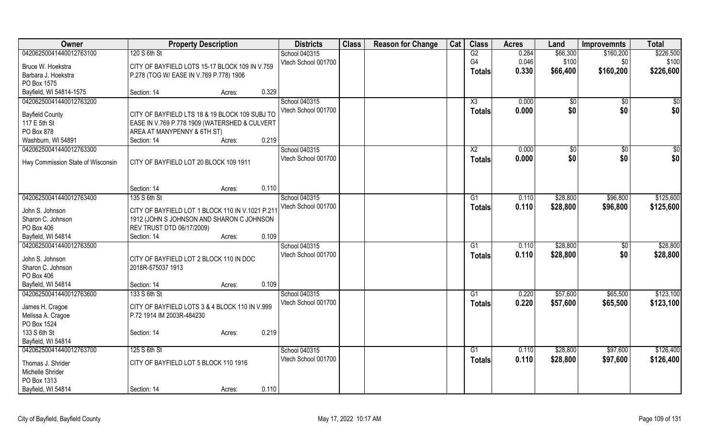| Owner                             | <b>Property Description</b>                      |        |       | <b>Districts</b>    | <b>Class</b> | <b>Reason for Change</b> | Cat | <b>Class</b>    | <b>Acres</b> | Land     | <b>Improvemnts</b> | <b>Total</b> |
|-----------------------------------|--------------------------------------------------|--------|-------|---------------------|--------------|--------------------------|-----|-----------------|--------------|----------|--------------------|--------------|
| 04206250041440012763100           | 120 S 6th St                                     |        |       | School 040315       |              |                          |     | G2              | 0.284        | \$66,300 | \$160,200          | \$226,500    |
| Bruce W. Hoekstra                 | CITY OF BAYFIELD LOTS 15-17 BLOCK 109 IN V.759   |        |       | Vtech School 001700 |              |                          |     | G <sub>4</sub>  | 0.046        | \$100    | \$0                | \$100        |
| Barbara J. Hoekstra               | P.278 (TOG W/ EASE IN V.769 P.778) 1906          |        |       |                     |              |                          |     | <b>Totals</b>   | 0.330        | \$66,400 | \$160,200          | \$226,600    |
| PO Box 1575                       |                                                  |        |       |                     |              |                          |     |                 |              |          |                    |              |
| Bayfield, WI 54814-1575           | Section: 14                                      | Acres: | 0.329 |                     |              |                          |     |                 |              |          |                    |              |
| 04206250041440012763200           |                                                  |        |       | School 040315       |              |                          |     | X3              | 0.000        | \$0      | \$0                | \$0          |
|                                   |                                                  |        |       | Vtech School 001700 |              |                          |     | <b>Totals</b>   | 0.000        | \$0      | \$0                | \$0          |
| <b>Bayfield County</b>            | CITY OF BAYFIELD LTS 18 & 19 BLOCK 109 SUBJ TO   |        |       |                     |              |                          |     |                 |              |          |                    |              |
| 117 E 5th St                      | EASE IN V.769 P.778 1909 (WATERSHED & CULVERT    |        |       |                     |              |                          |     |                 |              |          |                    |              |
| PO Box 878                        | AREA AT MANYPENNY & 6TH ST)                      |        | 0.219 |                     |              |                          |     |                 |              |          |                    |              |
| Washburn, WI 54891                | Section: 14                                      | Acres: |       |                     |              |                          |     |                 |              |          |                    |              |
| 04206250041440012763300           |                                                  |        |       | School 040315       |              |                          |     | $\overline{X2}$ | 0.000        | \$0      | $\sqrt[6]{30}$     | $\sqrt{50}$  |
| Hwy Commission State of Wisconsin | CITY OF BAYFIELD LOT 20 BLOCK 109 1911           |        |       | Vtech School 001700 |              |                          |     | <b>Totals</b>   | 0.000        | \$0      | \$0                | \$0          |
|                                   |                                                  |        |       |                     |              |                          |     |                 |              |          |                    |              |
|                                   |                                                  |        |       |                     |              |                          |     |                 |              |          |                    |              |
|                                   | Section: 14                                      | Acres: | 0.110 |                     |              |                          |     |                 |              |          |                    |              |
| 04206250041440012763400           | 135 S 6th St                                     |        |       | School 040315       |              |                          |     | G1              | 0.110        | \$28,800 | \$96,800           | \$125,600    |
| John S. Johnson                   | CITY OF BAYFIELD LOT 1 BLOCK 110 IN V.1021 P.211 |        |       | Vtech School 001700 |              |                          |     | <b>Totals</b>   | 0.110        | \$28,800 | \$96,800           | \$125,600    |
| Sharon C. Johnson                 | 1912 (JOHN S JOHNSON AND SHARON C JOHNSON        |        |       |                     |              |                          |     |                 |              |          |                    |              |
| PO Box 406                        | <b>REV TRUST DTD 06/17/2009)</b>                 |        |       |                     |              |                          |     |                 |              |          |                    |              |
| Bayfield, WI 54814                | Section: 14                                      | Acres: | 0.109 |                     |              |                          |     |                 |              |          |                    |              |
| 04206250041440012763500           |                                                  |        |       | School 040315       |              |                          |     | G1              | 0.110        | \$28,800 | \$0                | \$28,800     |
|                                   |                                                  |        |       | Vtech School 001700 |              |                          |     | <b>Totals</b>   | 0.110        | \$28,800 | \$0                | \$28,800     |
| John S. Johnson                   | CITY OF BAYFIELD LOT 2 BLOCK 110 IN DOC          |        |       |                     |              |                          |     |                 |              |          |                    |              |
| Sharon C. Johnson                 | 2018R-575037 1913                                |        |       |                     |              |                          |     |                 |              |          |                    |              |
| PO Box 406                        |                                                  |        |       |                     |              |                          |     |                 |              |          |                    |              |
| Bayfield, WI 54814                | Section: 14                                      | Acres: | 0.109 |                     |              |                          |     |                 |              |          |                    |              |
| 04206250041440012763600           | 133 S 6th St                                     |        |       | School 040315       |              |                          |     | G1              | 0.220        | \$57,600 | \$65,500           | \$123,100    |
| James H. Cragoe                   | CITY OF BAYFIELD LOTS 3 & 4 BLOCK 110 IN V.999   |        |       | Vtech School 001700 |              |                          |     | <b>Totals</b>   | 0.220        | \$57,600 | \$65,500           | \$123,100    |
| Melissa A. Cragoe                 | P.72 1914 IM 2003R-484230                        |        |       |                     |              |                          |     |                 |              |          |                    |              |
| PO Box 1524                       |                                                  |        |       |                     |              |                          |     |                 |              |          |                    |              |
| 133 S 6th St                      | Section: 14                                      | Acres: | 0.219 |                     |              |                          |     |                 |              |          |                    |              |
| Bayfield, WI 54814                |                                                  |        |       |                     |              |                          |     |                 |              |          |                    |              |
| 04206250041440012763700           | 125 S 6th St                                     |        |       | School 040315       |              |                          |     | G1              | 0.110        | \$28,800 | \$97,600           | \$126,400    |
| Thomas J. Shrider                 | CITY OF BAYFIELD LOT 5 BLOCK 110 1916            |        |       | Vtech School 001700 |              |                          |     | <b>Totals</b>   | 0.110        | \$28,800 | \$97,600           | \$126,400    |
| Michelle Shrider                  |                                                  |        |       |                     |              |                          |     |                 |              |          |                    |              |
| PO Box 1313                       |                                                  |        |       |                     |              |                          |     |                 |              |          |                    |              |
| Bayfield, WI 54814                | Section: 14                                      | Acres: | 0.110 |                     |              |                          |     |                 |              |          |                    |              |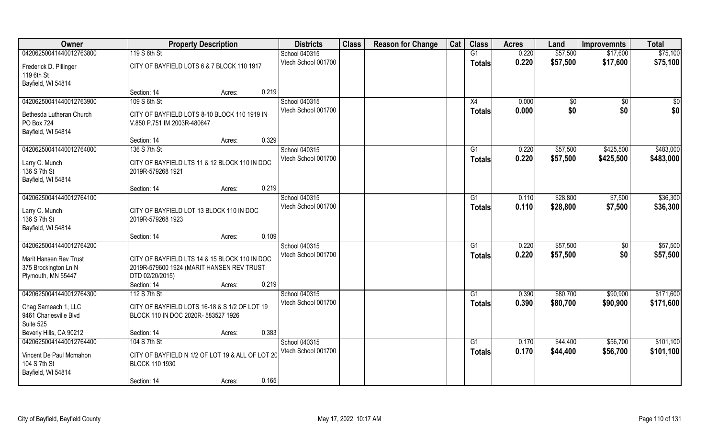| Owner                    | <b>Property Description</b>                      | <b>Districts</b>    | <b>Class</b> | <b>Reason for Change</b> | Cat | <b>Class</b>    | <b>Acres</b> | Land            | <b>Improvemnts</b> | <b>Total</b> |
|--------------------------|--------------------------------------------------|---------------------|--------------|--------------------------|-----|-----------------|--------------|-----------------|--------------------|--------------|
| 04206250041440012763800  | 119 S 6th St                                     | School 040315       |              |                          |     | G1              | 0.220        | \$57,500        | \$17,600           | \$75,100     |
| Frederick D. Pillinger   | CITY OF BAYFIELD LOTS 6 & 7 BLOCK 110 1917       | Vtech School 001700 |              |                          |     | <b>Totals</b>   | 0.220        | \$57,500        | \$17,600           | \$75,100     |
| 119 6th St               |                                                  |                     |              |                          |     |                 |              |                 |                    |              |
| Bayfield, WI 54814       |                                                  |                     |              |                          |     |                 |              |                 |                    |              |
|                          | 0.219<br>Section: 14<br>Acres:                   |                     |              |                          |     |                 |              |                 |                    |              |
| 04206250041440012763900  | 109 S 6th St                                     | School 040315       |              |                          |     | X4              | 0.000        | $\overline{50}$ | \$0                | \$0          |
| Bethesda Lutheran Church | CITY OF BAYFIELD LOTS 8-10 BLOCK 110 1919 IN     | Vtech School 001700 |              |                          |     | Totals          | 0.000        | \$0             | \$0                | \$0          |
| PO Box 724               | V.850 P.751 IM 2003R-480647                      |                     |              |                          |     |                 |              |                 |                    |              |
| Bayfield, WI 54814       |                                                  |                     |              |                          |     |                 |              |                 |                    |              |
|                          | 0.329<br>Section: 14<br>Acres:                   |                     |              |                          |     |                 |              |                 |                    |              |
| 04206250041440012764000  | 136 S 7th St                                     | School 040315       |              |                          |     | G1              | 0.220        | \$57,500        | \$425,500          | \$483,000    |
| Larry C. Munch           | CITY OF BAYFIELD LTS 11 & 12 BLOCK 110 IN DOC    | Vtech School 001700 |              |                          |     | <b>Totals</b>   | 0.220        | \$57,500        | \$425,500          | \$483,000    |
| 136 S 7th St             | 2019R-579268 1921                                |                     |              |                          |     |                 |              |                 |                    |              |
| Bayfield, WI 54814       |                                                  |                     |              |                          |     |                 |              |                 |                    |              |
|                          | 0.219<br>Section: 14<br>Acres:                   |                     |              |                          |     |                 |              |                 |                    |              |
| 04206250041440012764100  |                                                  | School 040315       |              |                          |     | G1              | 0.110        | \$28,800        | \$7,500            | \$36,300     |
| Larry C. Munch           | CITY OF BAYFIELD LOT 13 BLOCK 110 IN DOC         | Vtech School 001700 |              |                          |     | <b>Totals</b>   | 0.110        | \$28,800        | \$7,500            | \$36,300     |
| 136 S 7th St             | 2019R-579268 1923                                |                     |              |                          |     |                 |              |                 |                    |              |
| Bayfield, WI 54814       |                                                  |                     |              |                          |     |                 |              |                 |                    |              |
|                          | 0.109<br>Section: 14<br>Acres:                   |                     |              |                          |     |                 |              |                 |                    |              |
| 04206250041440012764200  |                                                  | School 040315       |              |                          |     | $\overline{G1}$ | 0.220        | \$57,500        | $\overline{50}$    | \$57,500     |
| Marit Hansen Rev Trust   | CITY OF BAYFIELD LTS 14 & 15 BLOCK 110 IN DOC    | Vtech School 001700 |              |                          |     | <b>Totals</b>   | 0.220        | \$57,500        | \$0                | \$57,500     |
| 375 Brockington Ln N     | 2019R-579600 1924 (MARIT HANSEN REV TRUST        |                     |              |                          |     |                 |              |                 |                    |              |
| Plymouth, MN 55447       | DTD 02/20/2015)                                  |                     |              |                          |     |                 |              |                 |                    |              |
|                          | 0.219<br>Section: 14<br>Acres:                   |                     |              |                          |     |                 |              |                 |                    |              |
| 04206250041440012764300  | 112 S 7th St                                     | School 040315       |              |                          |     | G1              | 0.390        | \$80,700        | \$90,900           | \$171,600    |
| Chag Sameach 1, LLC      | CITY OF BAYFIELD LOTS 16-18 & S 1/2 OF LOT 19    | Vtech School 001700 |              |                          |     | <b>Totals</b>   | 0.390        | \$80,700        | \$90,900           | \$171,600    |
| 9461 Charlesville Blvd   | BLOCK 110 IN DOC 2020R- 583527 1926              |                     |              |                          |     |                 |              |                 |                    |              |
| Suite 525                |                                                  |                     |              |                          |     |                 |              |                 |                    |              |
| Beverly Hills, CA 90212  | 0.383<br>Section: 14<br>Acres:                   |                     |              |                          |     |                 |              |                 |                    |              |
| 04206250041440012764400  | 104 S 7th St                                     | School 040315       |              |                          |     | G1              | 0.170        | \$44,400        | \$56,700           | \$101,100    |
| Vincent De Paul Mcmahon  | CITY OF BAYFIELD N 1/2 OF LOT 19 & ALL OF LOT 20 | Vtech School 001700 |              |                          |     | <b>Totals</b>   | 0.170        | \$44,400        | \$56,700           | \$101,100    |
| 104 S 7th St             | <b>BLOCK 110 1930</b>                            |                     |              |                          |     |                 |              |                 |                    |              |
| Bayfield, WI 54814       |                                                  |                     |              |                          |     |                 |              |                 |                    |              |
|                          | 0.165<br>Section: 14<br>Acres:                   |                     |              |                          |     |                 |              |                 |                    |              |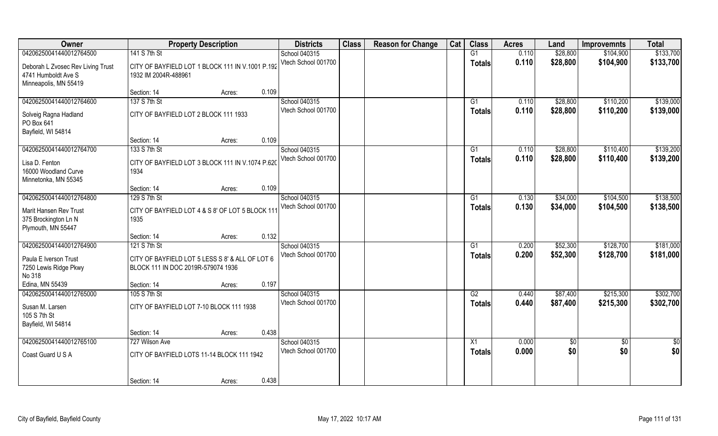| Owner                                                                             |                                                                                       | <b>Property Description</b> |       | <b>Districts</b>    | <b>Class</b> | <b>Reason for Change</b> | Cat | <b>Class</b>    | <b>Acres</b> | Land            | <b>Improvemnts</b> | <b>Total</b>  |
|-----------------------------------------------------------------------------------|---------------------------------------------------------------------------------------|-----------------------------|-------|---------------------|--------------|--------------------------|-----|-----------------|--------------|-----------------|--------------------|---------------|
| 04206250041440012764500                                                           | 141 S 7th St                                                                          |                             |       | School 040315       |              |                          |     | G1              | 0.110        | \$28,800        | \$104,900          | \$133,700     |
| Deborah L Zvosec Rev Living Trust<br>4741 Humboldt Ave S<br>Minneapolis, MN 55419 | CITY OF BAYFIELD LOT 1 BLOCK 111 IN V.1001 P.192<br>1932 IM 2004R-488961              |                             |       | Vtech School 001700 |              |                          |     | <b>Totals</b>   | 0.110        | \$28,800        | \$104,900          | \$133,700     |
|                                                                                   | Section: 14                                                                           | Acres:                      | 0.109 |                     |              |                          |     |                 |              |                 |                    |               |
| 04206250041440012764600                                                           | 137 S 7th St                                                                          |                             |       | School 040315       |              |                          |     | G1              | 0.110        | \$28,800        | \$110,200          | \$139,000     |
| Solveig Ragna Hadland<br>PO Box 641<br>Bayfield, WI 54814                         | CITY OF BAYFIELD LOT 2 BLOCK 111 1933                                                 |                             |       | Vtech School 001700 |              |                          |     | <b>Totals</b>   | 0.110        | \$28,800        | \$110,200          | \$139,000     |
|                                                                                   | Section: 14                                                                           | Acres:                      | 0.109 |                     |              |                          |     |                 |              |                 |                    |               |
| 04206250041440012764700                                                           | 133 S 7th St                                                                          |                             |       | School 040315       |              |                          |     | G1              | 0.110        | \$28,800        | \$110,400          | \$139,200     |
| Lisa D. Fenton<br>16000 Woodland Curve<br>Minnetonka, MN 55345                    | CITY OF BAYFIELD LOT 3 BLOCK 111 IN V.1074 P.620<br>1934                              |                             |       | Vtech School 001700 |              |                          |     | <b>Totals</b>   | 0.110        | \$28,800        | \$110,400          | \$139,200     |
|                                                                                   | Section: 14                                                                           | Acres:                      | 0.109 |                     |              |                          |     |                 |              |                 |                    |               |
| 04206250041440012764800                                                           | 129 S 7th St                                                                          |                             |       | School 040315       |              |                          |     | G1              | 0.130        | \$34,000        | \$104,500          | \$138,500     |
| Marit Hansen Rev Trust<br>375 Brockington Ln N<br>Plymouth, MN 55447              | CITY OF BAYFIELD LOT 4 & S 8' OF LOT 5 BLOCK 111<br>1935                              |                             |       | Vtech School 001700 |              |                          |     | <b>Totals</b>   | 0.130        | \$34,000        | \$104,500          | \$138,500     |
|                                                                                   | Section: 14                                                                           | Acres:                      | 0.132 |                     |              |                          |     |                 |              |                 |                    |               |
| 04206250041440012764900                                                           | 121 S 7th St                                                                          |                             |       | School 040315       |              |                          |     | G1              | 0.200        | \$52,300        | \$128,700          | \$181,000     |
| Paula E Iverson Trust<br>7250 Lewis Ridge Pkwy<br>No 318                          | CITY OF BAYFIELD LOT 5 LESS S 8' & ALL OF LOT 6<br>BLOCK 111 IN DOC 2019R-579074 1936 |                             |       | Vtech School 001700 |              |                          |     | <b>Totals</b>   | 0.200        | \$52,300        | \$128,700          | \$181,000     |
| Edina, MN 55439                                                                   | Section: 14                                                                           | Acres:                      | 0.197 |                     |              |                          |     |                 |              |                 |                    |               |
| 04206250041440012765000                                                           | 105 S 7th St                                                                          |                             |       | School 040315       |              |                          |     | G2              | 0.440        | \$87,400        | \$215,300          | \$302,700     |
| Susan M. Larsen<br>105 S 7th St<br>Bayfield, WI 54814                             | CITY OF BAYFIELD LOT 7-10 BLOCK 111 1938                                              |                             |       | Vtech School 001700 |              |                          |     | <b>Totals</b>   | 0.440        | \$87,400        | \$215,300          | \$302,700     |
|                                                                                   | Section: 14                                                                           | Acres:                      | 0.438 |                     |              |                          |     |                 |              |                 |                    |               |
| 04206250041440012765100                                                           | 727 Wilson Ave                                                                        |                             |       | School 040315       |              |                          |     | $\overline{X1}$ | 0.000        | $\overline{50}$ | $\sqrt[6]{}$       | $\frac{1}{2}$ |
| Coast Guard U S A                                                                 | CITY OF BAYFIELD LOTS 11-14 BLOCK 111 1942                                            |                             |       | Vtech School 001700 |              |                          |     | <b>Totals</b>   | 0.000        | \$0             | \$0                | \$0           |
|                                                                                   | Section: 14                                                                           | Acres:                      | 0.438 |                     |              |                          |     |                 |              |                 |                    |               |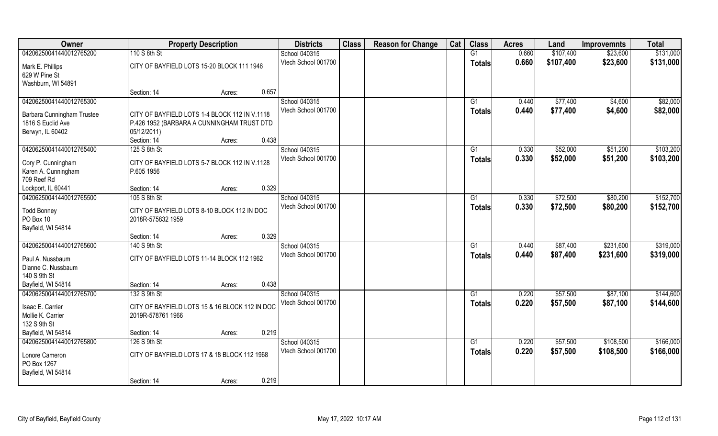| Owner                                  | <b>Property Description</b>                    | <b>Districts</b>    | <b>Class</b> | <b>Reason for Change</b> | Cat | <b>Class</b>  | <b>Acres</b> | Land      | <b>Improvemnts</b> | <b>Total</b> |
|----------------------------------------|------------------------------------------------|---------------------|--------------|--------------------------|-----|---------------|--------------|-----------|--------------------|--------------|
| 04206250041440012765200                | 110 S 8th St                                   | School 040315       |              |                          |     | G1            | 0.660        | \$107,400 | \$23,600           | \$131,000    |
| Mark E. Phillips                       | CITY OF BAYFIELD LOTS 15-20 BLOCK 111 1946     | Vtech School 001700 |              |                          |     | <b>Totals</b> | 0.660        | \$107,400 | \$23,600           | \$131,000    |
| 629 W Pine St                          |                                                |                     |              |                          |     |               |              |           |                    |              |
| Washburn, WI 54891                     |                                                |                     |              |                          |     |               |              |           |                    |              |
|                                        | 0.657<br>Section: 14<br>Acres:                 |                     |              |                          |     |               |              |           |                    |              |
| 04206250041440012765300                |                                                | School 040315       |              |                          |     | G1            | 0.440        | \$77,400  | \$4,600            | \$82,000     |
| <b>Barbara Cunningham Trustee</b>      | CITY OF BAYFIELD LOTS 1-4 BLOCK 112 IN V.1118  | Vtech School 001700 |              |                          |     | <b>Totals</b> | 0.440        | \$77,400  | \$4,600            | \$82,000     |
| 1816 S Euclid Ave                      | P.426 1952 (BARBARA A CUNNINGHAM TRUST DTD     |                     |              |                          |     |               |              |           |                    |              |
| Berwyn, IL 60402                       | 05/12/2011)                                    |                     |              |                          |     |               |              |           |                    |              |
|                                        | 0.438<br>Section: 14<br>Acres:                 |                     |              |                          |     |               |              |           |                    |              |
| 04206250041440012765400                | 125 S 8th St                                   | School 040315       |              |                          |     | G1            | 0.330        | \$52,000  | \$51,200           | \$103,200    |
| Cory P. Cunningham                     | CITY OF BAYFIELD LOTS 5-7 BLOCK 112 IN V.1128  | Vtech School 001700 |              |                          |     | <b>Totals</b> | 0.330        | \$52,000  | \$51,200           | \$103,200    |
| Karen A. Cunningham                    | P.605 1956                                     |                     |              |                          |     |               |              |           |                    |              |
| 709 Reef Rd                            |                                                |                     |              |                          |     |               |              |           |                    |              |
| Lockport, IL 60441                     | 0.329<br>Section: 14<br>Acres:                 |                     |              |                          |     |               |              |           |                    |              |
| 04206250041440012765500                | 105 S 8th St                                   | School 040315       |              |                          |     | G1            | 0.330        | \$72,500  | \$80,200           | \$152,700    |
|                                        | CITY OF BAYFIELD LOTS 8-10 BLOCK 112 IN DOC    | Vtech School 001700 |              |                          |     | <b>Totals</b> | 0.330        | \$72,500  | \$80,200           | \$152,700    |
| <b>Todd Bonney</b><br>PO Box 10        | 2018R-575832 1959                              |                     |              |                          |     |               |              |           |                    |              |
| Bayfield, WI 54814                     |                                                |                     |              |                          |     |               |              |           |                    |              |
|                                        | 0.329<br>Section: 14<br>Acres:                 |                     |              |                          |     |               |              |           |                    |              |
| 04206250041440012765600                | 140 S 9th St                                   | School 040315       |              |                          |     | G1            | 0.440        | \$87,400  | \$231,600          | \$319,000    |
|                                        |                                                | Vtech School 001700 |              |                          |     | <b>Totals</b> | 0.440        | \$87,400  | \$231,600          | \$319,000    |
| Paul A. Nussbaum<br>Dianne C. Nussbaum | CITY OF BAYFIELD LOTS 11-14 BLOCK 112 1962     |                     |              |                          |     |               |              |           |                    |              |
| 140 S 9th St                           |                                                |                     |              |                          |     |               |              |           |                    |              |
| Bayfield, WI 54814                     | 0.438<br>Section: 14<br>Acres:                 |                     |              |                          |     |               |              |           |                    |              |
| 04206250041440012765700                | 132 S 9th St                                   | School 040315       |              |                          |     | G1            | 0.220        | \$57,500  | \$87,100           | \$144,600    |
|                                        |                                                | Vtech School 001700 |              |                          |     | <b>Totals</b> | 0.220        | \$57,500  | \$87,100           | \$144,600    |
| Isaac E. Carrier                       | CITY OF BAYFIELD LOTS 15 & 16 BLOCK 112 IN DOC |                     |              |                          |     |               |              |           |                    |              |
| Mollie K. Carrier<br>132 S 9th St      | 2019R-578761 1966                              |                     |              |                          |     |               |              |           |                    |              |
| Bayfield, WI 54814                     | 0.219<br>Section: 14<br>Acres:                 |                     |              |                          |     |               |              |           |                    |              |
| 04206250041440012765800                | 126 S 9th St                                   | School 040315       |              |                          |     | G1            | 0.220        | \$57,500  | \$108,500          | \$166,000    |
|                                        |                                                | Vtech School 001700 |              |                          |     | <b>Totals</b> | 0.220        | \$57,500  | \$108,500          | \$166,000    |
| Lonore Cameron                         | CITY OF BAYFIELD LOTS 17 & 18 BLOCK 112 1968   |                     |              |                          |     |               |              |           |                    |              |
| PO Box 1267                            |                                                |                     |              |                          |     |               |              |           |                    |              |
| Bayfield, WI 54814                     |                                                |                     |              |                          |     |               |              |           |                    |              |
|                                        | 0.219<br>Section: 14<br>Acres:                 |                     |              |                          |     |               |              |           |                    |              |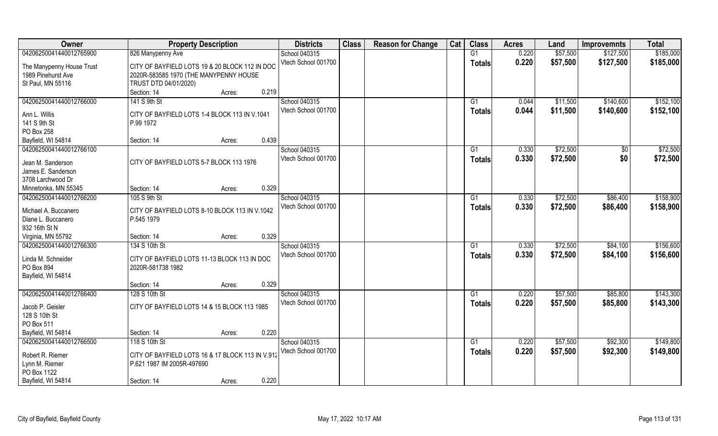| Owner                                   | <b>Property Description</b>                      | <b>Districts</b>    | <b>Class</b> | <b>Reason for Change</b> | Cat | <b>Class</b>  | <b>Acres</b> | Land     | <b>Improvemnts</b> | <b>Total</b> |
|-----------------------------------------|--------------------------------------------------|---------------------|--------------|--------------------------|-----|---------------|--------------|----------|--------------------|--------------|
| 04206250041440012765900                 | 826 Manypenny Ave                                | School 040315       |              |                          |     | G1            | 0.220        | \$57,500 | \$127,500          | \$185,000    |
| The Manypenny House Trust               | CITY OF BAYFIELD LOTS 19 & 20 BLOCK 112 IN DOC   | Vtech School 001700 |              |                          |     | <b>Totals</b> | 0.220        | \$57,500 | \$127,500          | \$185,000    |
| 1989 Pinehurst Ave                      | 2020R-583585 1970 (THE MANYPENNY HOUSE           |                     |              |                          |     |               |              |          |                    |              |
| St Paul, MN 55116                       | TRUST DTD 04/01/2020)                            |                     |              |                          |     |               |              |          |                    |              |
|                                         | 0.219<br>Section: 14<br>Acres:                   |                     |              |                          |     |               |              |          |                    |              |
| 04206250041440012766000                 | 141 S 9th St                                     | School 040315       |              |                          |     | G1            | 0.044        | \$11,500 | \$140,600          | \$152,100    |
|                                         |                                                  | Vtech School 001700 |              |                          |     |               | 0.044        |          |                    |              |
| Ann L. Willis                           | CITY OF BAYFIELD LOTS 1-4 BLOCK 113 IN V.1041    |                     |              |                          |     | <b>Totals</b> |              | \$11,500 | \$140,600          | \$152,100    |
| 141 S 9th St                            | P.99 1972                                        |                     |              |                          |     |               |              |          |                    |              |
| PO Box 258                              |                                                  |                     |              |                          |     |               |              |          |                    |              |
| Bayfield, WI 54814                      | 0.439<br>Section: 14<br>Acres:                   |                     |              |                          |     |               |              |          |                    |              |
| 04206250041440012766100                 |                                                  | School 040315       |              |                          |     | G1            | 0.330        | \$72,500 | $\sqrt[6]{}$       | \$72,500     |
|                                         | CITY OF BAYFIELD LOTS 5-7 BLOCK 113 1976         | Vtech School 001700 |              |                          |     | <b>Totals</b> | 0.330        | \$72,500 | \$0                | \$72,500     |
| Jean M. Sanderson<br>James E. Sanderson |                                                  |                     |              |                          |     |               |              |          |                    |              |
| 3708 Larchwood Dr                       |                                                  |                     |              |                          |     |               |              |          |                    |              |
|                                         | 0.329                                            |                     |              |                          |     |               |              |          |                    |              |
| Minnetonka, MN 55345                    | Section: 14<br>Acres:                            |                     |              |                          |     |               |              |          |                    |              |
| 04206250041440012766200                 | 105 S 9th St                                     | School 040315       |              |                          |     | G1            | 0.330        | \$72,500 | \$86,400           | \$158,900    |
| Michael A. Buccanero                    | CITY OF BAYFIELD LOTS 8-10 BLOCK 113 IN V.1042   | Vtech School 001700 |              |                          |     | <b>Totals</b> | 0.330        | \$72,500 | \$86,400           | \$158,900    |
| Diane L. Buccanero                      | P.545 1979                                       |                     |              |                          |     |               |              |          |                    |              |
| 932 16th St N                           |                                                  |                     |              |                          |     |               |              |          |                    |              |
| Virginia, MN 55792                      | 0.329<br>Section: 14<br>Acres:                   |                     |              |                          |     |               |              |          |                    |              |
| 04206250041440012766300                 | 134 S 10th St                                    | School 040315       |              |                          |     | G1            | 0.330        | \$72,500 | \$84,100           | \$156,600    |
|                                         |                                                  | Vtech School 001700 |              |                          |     | <b>Totals</b> | 0.330        | \$72,500 | \$84,100           | \$156,600    |
| Linda M. Schneider                      | CITY OF BAYFIELD LOTS 11-13 BLOCK 113 IN DOC     |                     |              |                          |     |               |              |          |                    |              |
| PO Box 894                              | 2020R-581738 1982                                |                     |              |                          |     |               |              |          |                    |              |
| Bayfield, WI 54814                      |                                                  |                     |              |                          |     |               |              |          |                    |              |
|                                         | 0.329<br>Section: 14<br>Acres:                   |                     |              |                          |     |               |              |          |                    |              |
| 04206250041440012766400                 | 128 S 10th St                                    | School 040315       |              |                          |     | G1            | 0.220        | \$57,500 | \$85,800           | \$143,300    |
| Jacob P. Geisler                        | CITY OF BAYFIELD LOTS 14 & 15 BLOCK 113 1985     | Vtech School 001700 |              |                          |     | <b>Totals</b> | 0.220        | \$57,500 | \$85,800           | \$143,300    |
| 128 S 10th St                           |                                                  |                     |              |                          |     |               |              |          |                    |              |
| PO Box 511                              |                                                  |                     |              |                          |     |               |              |          |                    |              |
| Bayfield, WI 54814                      | 0.220<br>Section: 14<br>Acres:                   |                     |              |                          |     |               |              |          |                    |              |
| 04206250041440012766500                 | 118 S 10th St                                    | School 040315       |              |                          |     | G1            | 0.220        | \$57,500 | \$92,300           | \$149,800    |
|                                         |                                                  | Vtech School 001700 |              |                          |     | <b>Totals</b> | 0.220        | \$57,500 | \$92,300           | \$149,800    |
| Robert R. Riemer                        | CITY OF BAYFIELD LOTS 16 & 17 BLOCK 113 IN V.912 |                     |              |                          |     |               |              |          |                    |              |
| Lynn M. Riemer                          | P.621 1987 IM 2005R-497690                       |                     |              |                          |     |               |              |          |                    |              |
| PO Box 1122                             |                                                  |                     |              |                          |     |               |              |          |                    |              |
| Bayfield, WI 54814                      | 0.220<br>Section: 14<br>Acres:                   |                     |              |                          |     |               |              |          |                    |              |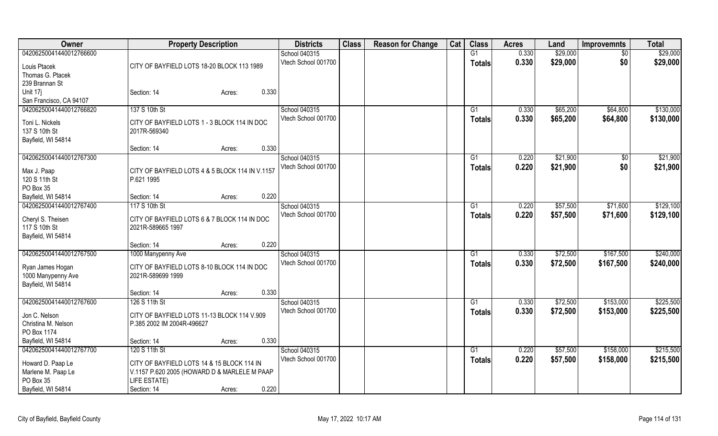| <b>Owner</b>                 | <b>Property Description</b>                                   | <b>Districts</b>    | <b>Class</b> | <b>Reason for Change</b> | Cat | <b>Class</b>  | <b>Acres</b> | Land     | <b>Improvemnts</b> | <b>Total</b> |
|------------------------------|---------------------------------------------------------------|---------------------|--------------|--------------------------|-----|---------------|--------------|----------|--------------------|--------------|
| 04206250041440012766600      |                                                               | School 040315       |              |                          |     | G1            | 0.330        | \$29,000 | $\overline{50}$    | \$29,000     |
| Louis Ptacek                 | CITY OF BAYFIELD LOTS 18-20 BLOCK 113 1989                    | Vtech School 001700 |              |                          |     | <b>Totals</b> | 0.330        | \$29,000 | \$0                | \$29,000     |
| Thomas G. Ptacek             |                                                               |                     |              |                          |     |               |              |          |                    |              |
| 239 Brannan St               |                                                               |                     |              |                          |     |               |              |          |                    |              |
| Unit 17j                     | 0.330<br>Section: 14<br>Acres:                                |                     |              |                          |     |               |              |          |                    |              |
| San Francisco, CA 94107      |                                                               |                     |              |                          |     |               |              |          |                    |              |
| 04206250041440012766820      | 137 S 10th St                                                 | School 040315       |              |                          |     | G1            | 0.330        | \$65,200 | \$64,800           | \$130,000    |
| Toni L. Nickels              | CITY OF BAYFIELD LOTS 1 - 3 BLOCK 114 IN DOC                  | Vtech School 001700 |              |                          |     | <b>Totals</b> | 0.330        | \$65,200 | \$64,800           | \$130,000    |
| 137 S 10th St                | 2017R-569340                                                  |                     |              |                          |     |               |              |          |                    |              |
| Bayfield, WI 54814           |                                                               |                     |              |                          |     |               |              |          |                    |              |
|                              | 0.330<br>Section: 14<br>Acres:                                |                     |              |                          |     |               |              |          |                    |              |
| 04206250041440012767300      |                                                               | School 040315       |              |                          |     | G1            | 0.220        | \$21,900 | $\sqrt{50}$        | \$21,900     |
|                              |                                                               | Vtech School 001700 |              |                          |     | <b>Totals</b> | 0.220        | \$21,900 | \$0                | \$21,900     |
| Max J. Paap<br>120 S 11th St | CITY OF BAYFIELD LOTS 4 & 5 BLOCK 114 IN V.1157<br>P.621 1995 |                     |              |                          |     |               |              |          |                    |              |
| PO Box 35                    |                                                               |                     |              |                          |     |               |              |          |                    |              |
| Bayfield, WI 54814           | 0.220<br>Section: 14<br>Acres:                                |                     |              |                          |     |               |              |          |                    |              |
| 04206250041440012767400      | 117 S 10th St                                                 | School 040315       |              |                          |     | G1            | 0.220        | \$57,500 | \$71,600           | \$129,100    |
|                              |                                                               | Vtech School 001700 |              |                          |     | <b>Totals</b> | 0.220        | \$57,500 | \$71,600           | \$129,100    |
| Cheryl S. Theisen            | CITY OF BAYFIELD LOTS 6 & 7 BLOCK 114 IN DOC                  |                     |              |                          |     |               |              |          |                    |              |
| 117 S 10th St                | 2021R-589665 1997                                             |                     |              |                          |     |               |              |          |                    |              |
| Bayfield, WI 54814           | 0.220                                                         |                     |              |                          |     |               |              |          |                    |              |
| 04206250041440012767500      | Section: 14<br>Acres:                                         | School 040315       |              |                          |     |               |              |          |                    | \$240,000    |
|                              | 1000 Manypenny Ave                                            | Vtech School 001700 |              |                          |     | G1            | 0.330        | \$72,500 | \$167,500          |              |
| Ryan James Hogan             | CITY OF BAYFIELD LOTS 8-10 BLOCK 114 IN DOC                   |                     |              |                          |     | <b>Totals</b> | 0.330        | \$72,500 | \$167,500          | \$240,000    |
| 1000 Manypenny Ave           | 2021R-589699 1999                                             |                     |              |                          |     |               |              |          |                    |              |
| Bayfield, WI 54814           |                                                               |                     |              |                          |     |               |              |          |                    |              |
|                              | 0.330<br>Section: 14<br>Acres:                                |                     |              |                          |     |               |              |          |                    |              |
| 04206250041440012767600      | 126 S 11th St                                                 | School 040315       |              |                          |     | G1            | 0.330        | \$72,500 | \$153,000          | \$225,500    |
| Jon C. Nelson                | CITY OF BAYFIELD LOTS 11-13 BLOCK 114 V.909                   | Vtech School 001700 |              |                          |     | <b>Totals</b> | 0.330        | \$72,500 | \$153,000          | \$225,500    |
| Christina M. Nelson          | P.385 2002 IM 2004R-496627                                    |                     |              |                          |     |               |              |          |                    |              |
| PO Box 1174                  |                                                               |                     |              |                          |     |               |              |          |                    |              |
| Bayfield, WI 54814           | 0.330<br>Section: 14<br>Acres:                                |                     |              |                          |     |               |              |          |                    |              |
| 04206250041440012767700      | 120 S 11th St                                                 | School 040315       |              |                          |     | G1            | 0.220        | \$57,500 | \$158,000          | \$215,500    |
| Howard D. Paap Le            | CITY OF BAYFIELD LOTS 14 & 15 BLOCK 114 IN                    | Vtech School 001700 |              |                          |     | <b>Totals</b> | 0.220        | \$57,500 | \$158,000          | \$215,500    |
| Marlene M. Paap Le           | V.1157 P.620 2005 (HOWARD D & MARLELE M PAAP                  |                     |              |                          |     |               |              |          |                    |              |
| PO Box 35                    | LIFE ESTATE)                                                  |                     |              |                          |     |               |              |          |                    |              |
| Bayfield, WI 54814           | 0.220<br>Section: 14<br>Acres:                                |                     |              |                          |     |               |              |          |                    |              |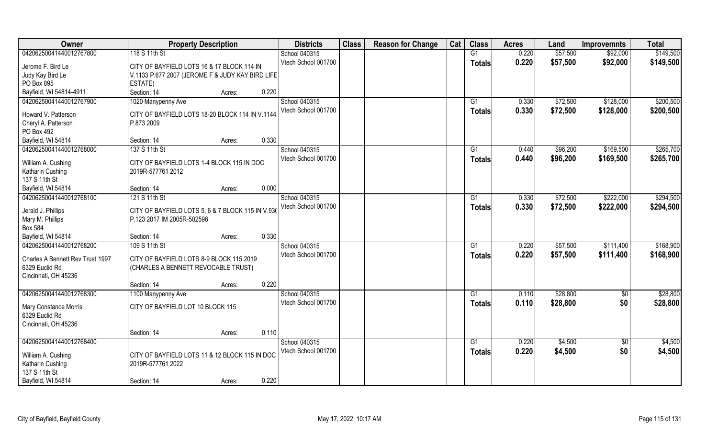| Owner                            | <b>Property Description</b>                       |                 | <b>Districts</b>                     | <b>Class</b> | <b>Reason for Change</b> | Cat | <b>Class</b>              | <b>Acres</b>   | Land                 | <b>Improvemnts</b>     | <b>Total</b>           |
|----------------------------------|---------------------------------------------------|-----------------|--------------------------------------|--------------|--------------------------|-----|---------------------------|----------------|----------------------|------------------------|------------------------|
| 04206250041440012767800          | 118 S 11th St                                     |                 | School 040315                        |              |                          |     | G1                        | 0.220          | \$57,500             | \$92,000               | \$149,500              |
| Jerome F. Bird Le                | CITY OF BAYFIELD LOTS 16 & 17 BLOCK 114 IN        |                 | Vtech School 001700                  |              |                          |     | <b>Totals</b>             | 0.220          | \$57,500             | \$92,000               | \$149,500              |
| Judy Kay Bird Le                 | V.1133 P.677 2007 (JEROME F & JUDY KAY BIRD LIFE  |                 |                                      |              |                          |     |                           |                |                      |                        |                        |
| PO Box 895                       | ESTATE)                                           |                 |                                      |              |                          |     |                           |                |                      |                        |                        |
| Bayfield, WI 54814-4911          | Section: 14                                       | 0.220<br>Acres: |                                      |              |                          |     |                           |                |                      |                        |                        |
| 04206250041440012767900          | 1020 Manypenny Ave                                |                 | School 040315<br>Vtech School 001700 |              |                          |     | $\overline{G1}$<br>Totals | 0.330<br>0.330 | \$72,500<br>\$72,500 | \$128,000<br>\$128,000 | \$200,500<br>\$200,500 |
| Howard V. Patterson              | CITY OF BAYFIELD LOTS 18-20 BLOCK 114 IN V.1144   |                 |                                      |              |                          |     |                           |                |                      |                        |                        |
| Cheryl A. Patterson              | P.873 2009                                        |                 |                                      |              |                          |     |                           |                |                      |                        |                        |
| PO Box 492                       |                                                   |                 |                                      |              |                          |     |                           |                |                      |                        |                        |
| Bayfield, WI 54814               | Section: 14                                       | 0.330<br>Acres: |                                      |              |                          |     |                           |                |                      |                        |                        |
| 04206250041440012768000          | 137 S 11th St                                     |                 | School 040315                        |              |                          |     | G1                        | 0.440          | \$96,200             | \$169,500              | \$265,700              |
| William A. Cushing               | CITY OF BAYFIELD LOTS 1-4 BLOCK 115 IN DOC        |                 | Vtech School 001700                  |              |                          |     | <b>Totals</b>             | 0.440          | \$96,200             | \$169,500              | \$265,700              |
| Katharin Cushing                 | 2019R-577761 2012                                 |                 |                                      |              |                          |     |                           |                |                      |                        |                        |
| 137 S 11th St                    |                                                   |                 |                                      |              |                          |     |                           |                |                      |                        |                        |
| Bayfield, WI 54814               | Section: 14                                       | 0.000<br>Acres: |                                      |              |                          |     |                           |                |                      |                        |                        |
| 04206250041440012768100          | 121 S 11th St                                     |                 | School 040315<br>Vtech School 001700 |              |                          |     | G1<br><b>Totals</b>       | 0.330<br>0.330 | \$72,500<br>\$72,500 | \$222,000<br>\$222,000 | \$294,500<br>\$294,500 |
| Jerald J. Phillips               | CITY OF BAYFIELD LOTS 5, 6 & 7 BLOCK 115 IN V.930 |                 |                                      |              |                          |     |                           |                |                      |                        |                        |
| Mary M. Phillips                 | P.123 2017 IM 2005R-502598                        |                 |                                      |              |                          |     |                           |                |                      |                        |                        |
| <b>Box 584</b>                   |                                                   |                 |                                      |              |                          |     |                           |                |                      |                        |                        |
| Bayfield, WI 54814               | Section: 14                                       | 0.330<br>Acres: |                                      |              |                          |     |                           |                |                      |                        |                        |
| 04206250041440012768200          | 109 S 11th St                                     |                 | School 040315<br>Vtech School 001700 |              |                          |     | $\overline{G1}$           | 0.220<br>0.220 | \$57,500<br>\$57,500 | \$111,400<br>\$111,400 | \$168,900<br>\$168,900 |
| Charles A Bennett Rev Trust 1997 | CITY OF BAYFIELD LOTS 8-9 BLOCK 115 2019          |                 |                                      |              |                          |     | Totals                    |                |                      |                        |                        |
| 6329 Euclid Rd                   | (CHARLES A BENNETT REVOCABLE TRUST)               |                 |                                      |              |                          |     |                           |                |                      |                        |                        |
| Cincinnati, OH 45236             |                                                   |                 |                                      |              |                          |     |                           |                |                      |                        |                        |
|                                  | Section: 14                                       | 0.220<br>Acres: |                                      |              |                          |     |                           |                |                      |                        |                        |
| 04206250041440012768300          | 1100 Manypenny Ave                                |                 | School 040315                        |              |                          |     | G1                        | 0.110          | \$28,800             | $\overline{60}$        | \$28,800               |
| Mary Constance Morris            | CITY OF BAYFIELD LOT 10 BLOCK 115                 |                 | Vtech School 001700                  |              |                          |     | <b>Totals</b>             | 0.110          | \$28,800             | \$0                    | \$28,800               |
| 6329 Euclid Rd                   |                                                   |                 |                                      |              |                          |     |                           |                |                      |                        |                        |
| Cincinnati, OH 45236             |                                                   |                 |                                      |              |                          |     |                           |                |                      |                        |                        |
|                                  | Section: 14                                       | 0.110<br>Acres: |                                      |              |                          |     |                           |                |                      |                        |                        |
| 04206250041440012768400          |                                                   |                 | School 040315                        |              |                          |     | G1                        | 0.220          | \$4,500              | $\sqrt{$0}$            | \$4,500                |
| William A. Cushing               | CITY OF BAYFIELD LOTS 11 & 12 BLOCK 115 IN DOC    |                 | Vtech School 001700                  |              |                          |     | <b>Totals</b>             | 0.220          | \$4,500              | \$0                    | \$4,500                |
| Katharin Cushing                 | 2019R-577761 2022                                 |                 |                                      |              |                          |     |                           |                |                      |                        |                        |
| 137 S 11th St                    |                                                   |                 |                                      |              |                          |     |                           |                |                      |                        |                        |
| Bayfield, WI 54814               | Section: 14                                       | 0.220<br>Acres: |                                      |              |                          |     |                           |                |                      |                        |                        |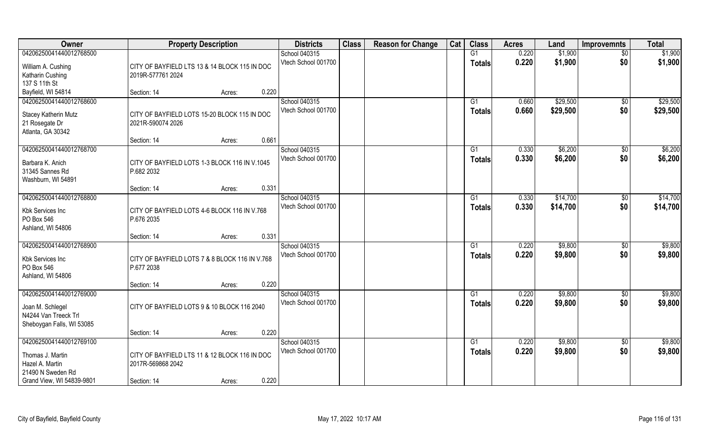| Owner                          | <b>Property Description</b>                                 | <b>Districts</b>                     | <b>Class</b> | <b>Reason for Change</b> | Cat | <b>Class</b>    | <b>Acres</b> | Land     | <b>Improvemnts</b> | <b>Total</b> |
|--------------------------------|-------------------------------------------------------------|--------------------------------------|--------------|--------------------------|-----|-----------------|--------------|----------|--------------------|--------------|
| 04206250041440012768500        |                                                             | School 040315                        |              |                          |     | G1              | 0.220        | \$1,900  | \$0                | \$1,900      |
| William A. Cushing             | CITY OF BAYFIELD LTS 13 & 14 BLOCK 115 IN DOC               | Vtech School 001700                  |              |                          |     | <b>Totals</b>   | 0.220        | \$1,900  | \$0                | \$1,900      |
| Katharin Cushing               | 2019R-577761 2024                                           |                                      |              |                          |     |                 |              |          |                    |              |
| 137 S 11th St                  |                                                             |                                      |              |                          |     |                 |              |          |                    |              |
| Bayfield, WI 54814             | 0.220<br>Section: 14<br>Acres:                              |                                      |              |                          |     |                 |              |          |                    |              |
| 04206250041440012768600        |                                                             | School 040315                        |              |                          |     | G1              | 0.660        | \$29,500 | \$0                | \$29,500     |
| Stacey Katherin Mutz           | CITY OF BAYFIELD LOTS 15-20 BLOCK 115 IN DOC                | Vtech School 001700                  |              |                          |     | <b>Totals</b>   | 0.660        | \$29,500 | \$0                | \$29,500     |
| 21 Rosegate Dr                 | 2021R-590074 2026                                           |                                      |              |                          |     |                 |              |          |                    |              |
| Atlanta, GA 30342              |                                                             |                                      |              |                          |     |                 |              |          |                    |              |
|                                | 0.661<br>Section: 14<br>Acres:                              |                                      |              |                          |     |                 |              |          |                    |              |
| 04206250041440012768700        |                                                             | School 040315                        |              |                          |     | G1              | 0.330        | \$6,200  | $\sqrt[6]{30}$     | \$6,200      |
| Barbara K. Anich               |                                                             | Vtech School 001700                  |              |                          |     | <b>Totals</b>   | 0.330        | \$6,200  | \$0                | \$6,200      |
| 31345 Sannes Rd                | CITY OF BAYFIELD LOTS 1-3 BLOCK 116 IN V.1045<br>P.682 2032 |                                      |              |                          |     |                 |              |          |                    |              |
| Washburn, WI 54891             |                                                             |                                      |              |                          |     |                 |              |          |                    |              |
|                                | 0.331<br>Section: 14<br>Acres:                              |                                      |              |                          |     |                 |              |          |                    |              |
| 04206250041440012768800        |                                                             | School 040315                        |              |                          |     | G <sub>1</sub>  | 0.330        | \$14,700 | $\sqrt[6]{3}$      | \$14,700     |
|                                |                                                             | Vtech School 001700                  |              |                          |     | <b>Totals</b>   | 0.330        | \$14,700 | \$0                | \$14,700     |
| Kbk Services Inc<br>PO Box 546 | CITY OF BAYFIELD LOTS 4-6 BLOCK 116 IN V.768<br>P.676 2035  |                                      |              |                          |     |                 |              |          |                    |              |
| Ashland, WI 54806              |                                                             |                                      |              |                          |     |                 |              |          |                    |              |
|                                | 0.331<br>Section: 14<br>Acres:                              |                                      |              |                          |     |                 |              |          |                    |              |
| 04206250041440012768900        |                                                             | School 040315                        |              |                          |     | G1              | 0.220        | \$9,800  | $\sqrt[6]{3}$      | \$9,800      |
|                                |                                                             | Vtech School 001700                  |              |                          |     | <b>Totals</b>   | 0.220        | \$9,800  | \$0                | \$9,800      |
| Kbk Services Inc               | CITY OF BAYFIELD LOTS 7 & 8 BLOCK 116 IN V.768              |                                      |              |                          |     |                 |              |          |                    |              |
| PO Box 546                     | P.677 2038                                                  |                                      |              |                          |     |                 |              |          |                    |              |
| Ashland, WI 54806              | 0.220<br>Section: 14                                        |                                      |              |                          |     |                 |              |          |                    |              |
| 04206250041440012769000        | Acres:                                                      | School 040315                        |              |                          |     | G1              | 0.220        | \$9,800  | \$0                | \$9,800      |
|                                |                                                             | Vtech School 001700                  |              |                          |     | <b>Totals</b>   | 0.220        | \$9,800  | \$0                | \$9,800      |
| Joan M. Schlegel               | CITY OF BAYFIELD LOTS 9 & 10 BLOCK 116 2040                 |                                      |              |                          |     |                 |              |          |                    |              |
| N4244 Van Treeck Trl           |                                                             |                                      |              |                          |     |                 |              |          |                    |              |
| Sheboygan Falls, WI 53085      |                                                             |                                      |              |                          |     |                 |              |          |                    |              |
| 04206250041440012769100        | 0.220<br>Section: 14<br>Acres:                              |                                      |              |                          |     |                 |              |          |                    |              |
|                                |                                                             | School 040315<br>Vtech School 001700 |              |                          |     | $\overline{G1}$ | 0.220        | \$9,800  | $\overline{50}$    | \$9,800      |
| Thomas J. Martin               | CITY OF BAYFIELD LTS 11 & 12 BLOCK 116 IN DOC               |                                      |              |                          |     | <b>Totals</b>   | 0.220        | \$9,800  | \$0                | \$9,800      |
| Hazel A. Martin                | 2017R-569868 2042                                           |                                      |              |                          |     |                 |              |          |                    |              |
| 21490 N Sweden Rd              |                                                             |                                      |              |                          |     |                 |              |          |                    |              |
| Grand View, WI 54839-9801      | 0.220<br>Section: 14<br>Acres:                              |                                      |              |                          |     |                 |              |          |                    |              |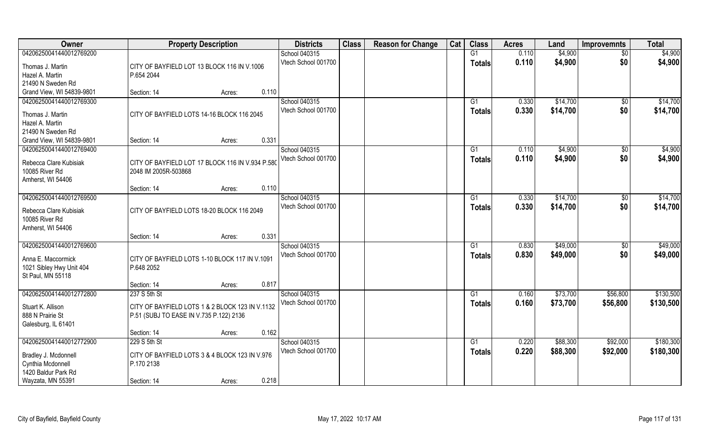| Owner                                | <b>Property Description</b>                      | <b>Districts</b>    | <b>Class</b> | <b>Reason for Change</b> | Cat | <b>Class</b>  | <b>Acres</b> | Land     | <b>Improvemnts</b> | <b>Total</b> |
|--------------------------------------|--------------------------------------------------|---------------------|--------------|--------------------------|-----|---------------|--------------|----------|--------------------|--------------|
| 04206250041440012769200              |                                                  | School 040315       |              |                          |     | G1            | 0.110        | \$4,900  | \$0                | \$4,900      |
| Thomas J. Martin                     | CITY OF BAYFIELD LOT 13 BLOCK 116 IN V.1006      | Vtech School 001700 |              |                          |     | <b>Totals</b> | 0.110        | \$4,900  | \$0                | \$4,900      |
| Hazel A. Martin                      | P.654 2044                                       |                     |              |                          |     |               |              |          |                    |              |
| 21490 N Sweden Rd                    |                                                  |                     |              |                          |     |               |              |          |                    |              |
| Grand View, WI 54839-9801            | 0.110<br>Section: 14<br>Acres:                   |                     |              |                          |     |               |              |          |                    |              |
| 04206250041440012769300              |                                                  | School 040315       |              |                          |     | G1            | 0.330        | \$14,700 | \$0                | \$14,700     |
|                                      |                                                  | Vtech School 001700 |              |                          |     | <b>Totals</b> | 0.330        | \$14,700 | \$0                | \$14,700     |
| Thomas J. Martin                     | CITY OF BAYFIELD LOTS 14-16 BLOCK 116 2045       |                     |              |                          |     |               |              |          |                    |              |
| Hazel A. Martin<br>21490 N Sweden Rd |                                                  |                     |              |                          |     |               |              |          |                    |              |
| Grand View, WI 54839-9801            | 0.331<br>Section: 14<br>Acres:                   |                     |              |                          |     |               |              |          |                    |              |
| 04206250041440012769400              |                                                  | School 040315       |              |                          |     | G1            | 0.110        | \$4,900  | $\sqrt[6]{3}$      | \$4,900      |
|                                      |                                                  | Vtech School 001700 |              |                          |     | <b>Totals</b> | 0.110        | \$4,900  | \$0                | \$4,900      |
| Rebecca Clare Kubisiak               | CITY OF BAYFIELD LOT 17 BLOCK 116 IN V.934 P.580 |                     |              |                          |     |               |              |          |                    |              |
| 10085 River Rd                       | 2048 IM 2005R-503868                             |                     |              |                          |     |               |              |          |                    |              |
| Amherst, WI 54406                    |                                                  |                     |              |                          |     |               |              |          |                    |              |
|                                      | 0.110<br>Section: 14<br>Acres:                   |                     |              |                          |     |               |              |          |                    |              |
| 04206250041440012769500              |                                                  | School 040315       |              |                          |     | G1            | 0.330        | \$14,700 | \$0                | \$14,700     |
| Rebecca Clare Kubisiak               | CITY OF BAYFIELD LOTS 18-20 BLOCK 116 2049       | Vtech School 001700 |              |                          |     | <b>Totals</b> | 0.330        | \$14,700 | \$0                | \$14,700     |
| 10085 River Rd                       |                                                  |                     |              |                          |     |               |              |          |                    |              |
| Amherst, WI 54406                    |                                                  |                     |              |                          |     |               |              |          |                    |              |
|                                      | 0.331<br>Section: 14<br>Acres:                   |                     |              |                          |     |               |              |          |                    |              |
| 04206250041440012769600              |                                                  | School 040315       |              |                          |     | G1            | 0.830        | \$49,000 | \$0                | \$49,000     |
| Anna E. Maccormick                   | CITY OF BAYFIELD LOTS 1-10 BLOCK 117 IN V.1091   | Vtech School 001700 |              |                          |     | <b>Totals</b> | 0.830        | \$49,000 | \$0                | \$49,000     |
| 1021 Sibley Hwy Unit 404             | P.648 2052                                       |                     |              |                          |     |               |              |          |                    |              |
| St Paul, MN 55118                    |                                                  |                     |              |                          |     |               |              |          |                    |              |
|                                      | 0.817<br>Section: 14<br>Acres:                   |                     |              |                          |     |               |              |          |                    |              |
| 04206250041440012772800              | 237 S 5th St                                     | School 040315       |              |                          |     | G1            | 0.160        | \$73,700 | \$56,800           | \$130,500    |
|                                      |                                                  | Vtech School 001700 |              |                          |     | <b>Totals</b> | 0.160        | \$73,700 | \$56,800           | \$130,500    |
| Stuart K. Allison                    | CITY OF BAYFIELD LOTS 1 & 2 BLOCK 123 IN V.1132  |                     |              |                          |     |               |              |          |                    |              |
| 888 N Prairie St                     | P.51 (SUBJ TO EASE IN V.735 P.122) 2136          |                     |              |                          |     |               |              |          |                    |              |
| Galesburg, IL 61401                  | 0.162<br>Section: 14<br>Acres:                   |                     |              |                          |     |               |              |          |                    |              |
| 04206250041440012772900              | 229 S 5th St                                     | School 040315       |              |                          |     | G1            | 0.220        | \$88,300 | \$92,000           | \$180,300    |
|                                      |                                                  | Vtech School 001700 |              |                          |     |               | 0.220        | \$88,300 | \$92,000           | \$180,300    |
| Bradley J. Mcdonnell                 | CITY OF BAYFIELD LOTS 3 & 4 BLOCK 123 IN V.976   |                     |              |                          |     | <b>Totals</b> |              |          |                    |              |
| Cynthia Mcdonnell                    | P.170 2138                                       |                     |              |                          |     |               |              |          |                    |              |
| 1420 Baldur Park Rd                  |                                                  |                     |              |                          |     |               |              |          |                    |              |
| Wayzata, MN 55391                    | 0.218<br>Section: 14<br>Acres:                   |                     |              |                          |     |               |              |          |                    |              |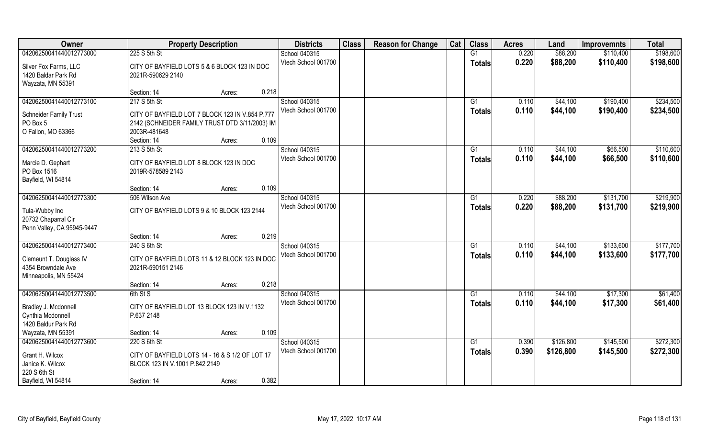| Owner                         | <b>Property Description</b>                     | <b>Districts</b>    | <b>Class</b> | <b>Reason for Change</b> | Cat | <b>Class</b>  | <b>Acres</b> | Land      | <b>Improvemnts</b> | <b>Total</b> |
|-------------------------------|-------------------------------------------------|---------------------|--------------|--------------------------|-----|---------------|--------------|-----------|--------------------|--------------|
| 04206250041440012773000       | 225 S 5th St                                    | School 040315       |              |                          |     | G1            | 0.220        | \$88,200  | \$110,400          | \$198,600    |
| Silver Fox Farms, LLC         | CITY OF BAYFIELD LOTS 5 & 6 BLOCK 123 IN DOC    | Vtech School 001700 |              |                          |     | <b>Totals</b> | 0.220        | \$88,200  | \$110,400          | \$198,600    |
| 1420 Baldar Park Rd           | 2021R-590629 2140                               |                     |              |                          |     |               |              |           |                    |              |
| Wayzata, MN 55391             |                                                 |                     |              |                          |     |               |              |           |                    |              |
|                               | 0.218<br>Section: 14<br>Acres:                  |                     |              |                          |     |               |              |           |                    |              |
| 04206250041440012773100       | 217 S 5th St                                    | School 040315       |              |                          |     | G1            | 0.110        | \$44,100  | \$190,400          | \$234,500    |
|                               |                                                 | Vtech School 001700 |              |                          |     | Totals        | 0.110        | \$44,100  | \$190,400          | \$234,500    |
| <b>Schneider Family Trust</b> | CITY OF BAYFIELD LOT 7 BLOCK 123 IN V.854 P.777 |                     |              |                          |     |               |              |           |                    |              |
| PO Box 5                      | 2142 (SCHNEIDER FAMILY TRUST DTD 3/11/2003) IM  |                     |              |                          |     |               |              |           |                    |              |
| O Fallon, MO 63366            | 2003R-481648<br>0.109<br>Section: 14            |                     |              |                          |     |               |              |           |                    |              |
| 04206250041440012773200       | Acres:<br>213 S 5th St                          | School 040315       |              |                          |     |               | 0.110        | \$44,100  | \$66,500           | \$110,600    |
|                               |                                                 | Vtech School 001700 |              |                          |     | G1            |              |           |                    |              |
| Marcie D. Gephart             | CITY OF BAYFIELD LOT 8 BLOCK 123 IN DOC         |                     |              |                          |     | <b>Totals</b> | 0.110        | \$44,100  | \$66,500           | \$110,600    |
| PO Box 1516                   | 2019R-578589 2143                               |                     |              |                          |     |               |              |           |                    |              |
| Bayfield, WI 54814            |                                                 |                     |              |                          |     |               |              |           |                    |              |
|                               | 0.109<br>Section: 14<br>Acres:                  |                     |              |                          |     |               |              |           |                    |              |
| 04206250041440012773300       | 506 Wilson Ave                                  | School 040315       |              |                          |     | G1            | 0.220        | \$88,200  | \$131,700          | \$219,900    |
| Tula-Wubby Inc                | CITY OF BAYFIELD LOTS 9 & 10 BLOCK 123 2144     | Vtech School 001700 |              |                          |     | <b>Totals</b> | 0.220        | \$88,200  | \$131,700          | \$219,900    |
| 20732 Chaparral Cir           |                                                 |                     |              |                          |     |               |              |           |                    |              |
| Penn Valley, CA 95945-9447    |                                                 |                     |              |                          |     |               |              |           |                    |              |
|                               | 0.219<br>Section: 14<br>Acres:                  |                     |              |                          |     |               |              |           |                    |              |
| 04206250041440012773400       | 240 S 6th St                                    | School 040315       |              |                          |     | G1            | 0.110        | \$44,100  | \$133,600          | \$177,700    |
|                               |                                                 | Vtech School 001700 |              |                          |     | Totals        | 0.110        | \$44,100  | \$133,600          | \$177,700    |
| Clemeunt T. Douglass IV       | CITY OF BAYFIELD LOTS 11 & 12 BLOCK 123 IN DOC  |                     |              |                          |     |               |              |           |                    |              |
| 4354 Browndale Ave            | 2021R-590151 2146                               |                     |              |                          |     |               |              |           |                    |              |
| Minneapolis, MN 55424         |                                                 |                     |              |                          |     |               |              |           |                    |              |
|                               | 0.218<br>Section: 14<br>Acres:                  |                     |              |                          |     |               |              |           |                    |              |
| 04206250041440012773500       | 6th St S                                        | School 040315       |              |                          |     | G1            | 0.110        | \$44,100  | \$17,300           | \$61,400     |
| Bradley J. Mcdonnell          | CITY OF BAYFIELD LOT 13 BLOCK 123 IN V.1132     | Vtech School 001700 |              |                          |     | <b>Totals</b> | 0.110        | \$44,100  | \$17,300           | \$61,400     |
| Cynthia Mcdonnell             | P.637 2148                                      |                     |              |                          |     |               |              |           |                    |              |
| 1420 Baldur Park Rd           |                                                 |                     |              |                          |     |               |              |           |                    |              |
| Wayzata, MN 55391             | 0.109<br>Section: 14<br>Acres:                  |                     |              |                          |     |               |              |           |                    |              |
| 04206250041440012773600       | 220 S 6th St                                    | School 040315       |              |                          |     | G1            | 0.390        | \$126,800 | \$145,500          | \$272,300    |
| Grant H. Wilcox               | CITY OF BAYFIELD LOTS 14 - 16 & S 1/2 OF LOT 17 | Vtech School 001700 |              |                          |     | <b>Totals</b> | 0.390        | \$126,800 | \$145,500          | \$272,300    |
| Janice K. Wilcox              | BLOCK 123 IN V.1001 P.842 2149                  |                     |              |                          |     |               |              |           |                    |              |
| 220 S 6th St                  |                                                 |                     |              |                          |     |               |              |           |                    |              |
| Bayfield, WI 54814            | 0.382<br>Section: 14<br>Acres:                  |                     |              |                          |     |               |              |           |                    |              |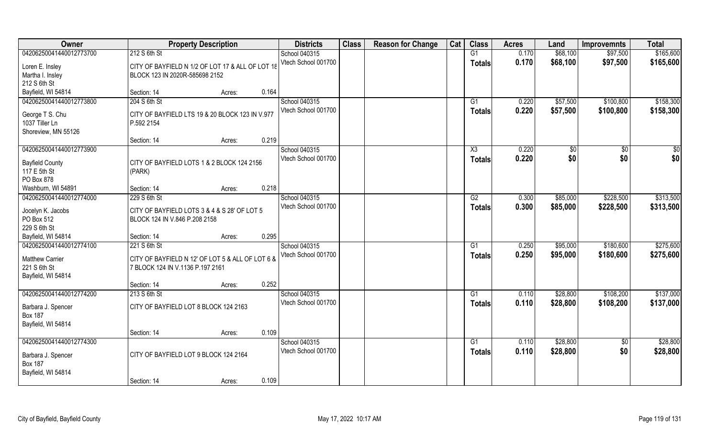| Owner                                |                                                               | <b>Property Description</b> |       | <b>Districts</b>    | <b>Class</b> | <b>Reason for Change</b> | Cat | <b>Class</b>    | <b>Acres</b> | Land     | <b>Improvemnts</b> | <b>Total</b> |
|--------------------------------------|---------------------------------------------------------------|-----------------------------|-------|---------------------|--------------|--------------------------|-----|-----------------|--------------|----------|--------------------|--------------|
| 04206250041440012773700              | 212 S 6th St                                                  |                             |       | School 040315       |              |                          |     | G1              | 0.170        | \$68,100 | \$97,500           | \$165,600    |
| Loren E. Insley                      | CITY OF BAYFIELD N 1/2 OF LOT 17 & ALL OF LOT 18              |                             |       | Vtech School 001700 |              |                          |     | <b>Totals</b>   | 0.170        | \$68,100 | \$97,500           | \$165,600    |
| Martha I. Insley                     | BLOCK 123 IN 2020R-585698 2152                                |                             |       |                     |              |                          |     |                 |              |          |                    |              |
| 212 S 6th St                         |                                                               |                             |       |                     |              |                          |     |                 |              |          |                    |              |
| Bayfield, WI 54814                   | Section: 14                                                   | Acres:                      | 0.164 |                     |              |                          |     |                 |              |          |                    |              |
| 04206250041440012773800              | 204 S 6th St                                                  |                             |       | School 040315       |              |                          |     | G1              | 0.220        | \$57,500 | \$100,800          | \$158,300    |
|                                      |                                                               |                             |       | Vtech School 001700 |              |                          |     | Totals          | 0.220        | \$57,500 | \$100,800          | \$158,300    |
| George T S. Chu<br>1037 Tiller Ln    | CITY OF BAYFIELD LTS 19 & 20 BLOCK 123 IN V.977<br>P.592 2154 |                             |       |                     |              |                          |     |                 |              |          |                    |              |
| Shoreview, MN 55126                  |                                                               |                             |       |                     |              |                          |     |                 |              |          |                    |              |
|                                      | Section: 14                                                   | Acres:                      | 0.219 |                     |              |                          |     |                 |              |          |                    |              |
| 04206250041440012773900              |                                                               |                             |       | School 040315       |              |                          |     | X3              | 0.220        | \$0      | \$0                | \$0          |
|                                      |                                                               |                             |       | Vtech School 001700 |              |                          |     | <b>Totals</b>   | 0.220        | \$0      | \$0                | \$0          |
| <b>Bayfield County</b>               | CITY OF BAYFIELD LOTS 1 & 2 BLOCK 124 2156                    |                             |       |                     |              |                          |     |                 |              |          |                    |              |
| 117 E 5th St                         | (PARK)                                                        |                             |       |                     |              |                          |     |                 |              |          |                    |              |
| PO Box 878                           |                                                               |                             |       |                     |              |                          |     |                 |              |          |                    |              |
| Washburn, WI 54891                   | Section: 14                                                   | Acres:                      | 0.218 |                     |              |                          |     |                 |              |          |                    |              |
| 04206250041440012774000              | 229 S 6th St                                                  |                             |       | School 040315       |              |                          |     | G2              | 0.300        | \$85,000 | \$228,500          | \$313,500    |
| Jocelyn K. Jacobs                    | CITY OF BAYFIELD LOTS 3 & 4 & S 28' OF LOT 5                  |                             |       | Vtech School 001700 |              |                          |     | <b>Totals</b>   | 0.300        | \$85,000 | \$228,500          | \$313,500    |
| PO Box 512                           | BLOCK 124 IN V.846 P.208 2158                                 |                             |       |                     |              |                          |     |                 |              |          |                    |              |
| 229 S 6th St                         |                                                               |                             |       |                     |              |                          |     |                 |              |          |                    |              |
| Bayfield, WI 54814                   | Section: 14                                                   | Acres:                      | 0.295 |                     |              |                          |     |                 |              |          |                    |              |
| 04206250041440012774100              | 221 S 6th St                                                  |                             |       | School 040315       |              |                          |     | $\overline{G1}$ | 0.250        | \$95,000 | \$180,600          | \$275,600    |
| <b>Matthew Carrier</b>               | CITY OF BAYFIELD N 12' OF LOT 5 & ALL OF LOT 6 &              |                             |       | Vtech School 001700 |              |                          |     | <b>Totals</b>   | 0.250        | \$95,000 | \$180,600          | \$275,600    |
| 221 S 6th St                         | 7 BLOCK 124 IN V.1136 P.197 2161                              |                             |       |                     |              |                          |     |                 |              |          |                    |              |
| Bayfield, WI 54814                   |                                                               |                             |       |                     |              |                          |     |                 |              |          |                    |              |
|                                      | Section: 14                                                   | Acres:                      | 0.252 |                     |              |                          |     |                 |              |          |                    |              |
| 04206250041440012774200              | 213 S 6th St                                                  |                             |       | School 040315       |              |                          |     | G1              | 0.110        | \$28,800 | \$108,200          | \$137,000    |
|                                      | CITY OF BAYFIELD LOT 8 BLOCK 124 2163                         |                             |       | Vtech School 001700 |              |                          |     | <b>Totals</b>   | 0.110        | \$28,800 | \$108,200          | \$137,000    |
| Barbara J. Spencer<br><b>Box 187</b> |                                                               |                             |       |                     |              |                          |     |                 |              |          |                    |              |
| Bayfield, WI 54814                   |                                                               |                             |       |                     |              |                          |     |                 |              |          |                    |              |
|                                      | Section: 14                                                   | Acres:                      | 0.109 |                     |              |                          |     |                 |              |          |                    |              |
| 04206250041440012774300              |                                                               |                             |       | School 040315       |              |                          |     | $\overline{G1}$ | 0.110        | \$28,800 | $\overline{50}$    | \$28,800     |
|                                      |                                                               |                             |       | Vtech School 001700 |              |                          |     | <b>Totals</b>   | 0.110        | \$28,800 | \$0                | \$28,800     |
| Barbara J. Spencer                   | CITY OF BAYFIELD LOT 9 BLOCK 124 2164                         |                             |       |                     |              |                          |     |                 |              |          |                    |              |
| <b>Box 187</b>                       |                                                               |                             |       |                     |              |                          |     |                 |              |          |                    |              |
| Bayfield, WI 54814                   |                                                               |                             | 0.109 |                     |              |                          |     |                 |              |          |                    |              |
|                                      | Section: 14                                                   | Acres:                      |       |                     |              |                          |     |                 |              |          |                    |              |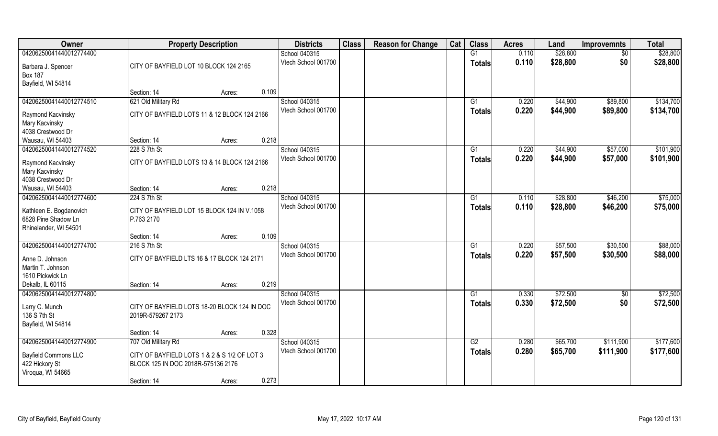| Owner                                         |                                                                                    | <b>Property Description</b> |       | <b>Districts</b>    | <b>Class</b> | <b>Reason for Change</b> | Cat | <b>Class</b>  | <b>Acres</b> | Land     | <b>Improvemnts</b> | <b>Total</b> |
|-----------------------------------------------|------------------------------------------------------------------------------------|-----------------------------|-------|---------------------|--------------|--------------------------|-----|---------------|--------------|----------|--------------------|--------------|
| 04206250041440012774400                       |                                                                                    |                             |       | School 040315       |              |                          |     | G1            | 0.110        | \$28,800 | \$0                | \$28,800     |
| Barbara J. Spencer<br><b>Box 187</b>          | CITY OF BAYFIELD LOT 10 BLOCK 124 2165                                             |                             |       | Vtech School 001700 |              |                          |     | <b>Totals</b> | 0.110        | \$28,800 | \$0                | \$28,800     |
| Bayfield, WI 54814                            |                                                                                    |                             |       |                     |              |                          |     |               |              |          |                    |              |
|                                               | Section: 14                                                                        | Acres:                      | 0.109 |                     |              |                          |     |               |              |          |                    |              |
| 04206250041440012774510                       | 621 Old Military Rd                                                                |                             |       | School 040315       |              |                          |     | G1            | 0.220        | \$44,900 | \$89,800           | \$134,700    |
| Raymond Kacvinsky                             | CITY OF BAYFIELD LOTS 11 & 12 BLOCK 124 2166                                       |                             |       | Vtech School 001700 |              |                          |     | <b>Totals</b> | 0.220        | \$44,900 | \$89,800           | \$134,700    |
| Mary Kacvinsky                                |                                                                                    |                             |       |                     |              |                          |     |               |              |          |                    |              |
| 4038 Crestwood Dr                             |                                                                                    |                             |       |                     |              |                          |     |               |              |          |                    |              |
| Wausau, WI 54403                              | Section: 14                                                                        | Acres:                      | 0.218 |                     |              |                          |     |               |              |          |                    |              |
| 04206250041440012774520                       | 228 S 7th St                                                                       |                             |       | School 040315       |              |                          |     | G1            | 0.220        | \$44,900 | \$57,000           | \$101,900    |
| Raymond Kacvinsky                             | CITY OF BAYFIELD LOTS 13 & 14 BLOCK 124 2166                                       |                             |       | Vtech School 001700 |              |                          |     | <b>Totals</b> | 0.220        | \$44,900 | \$57,000           | \$101,900    |
| Mary Kacvinsky                                |                                                                                    |                             |       |                     |              |                          |     |               |              |          |                    |              |
| 4038 Crestwood Dr                             |                                                                                    |                             |       |                     |              |                          |     |               |              |          |                    |              |
| Wausau, WI 54403                              | Section: 14                                                                        | Acres:                      | 0.218 |                     |              |                          |     |               |              |          |                    |              |
| 04206250041440012774600                       | 224 S 7th St                                                                       |                             |       | School 040315       |              |                          |     | G1            | 0.110        | \$28,800 | \$46,200           | \$75,000     |
| Kathleen E. Bogdanovich                       | CITY OF BAYFIELD LOT 15 BLOCK 124 IN V.1058                                        |                             |       | Vtech School 001700 |              |                          |     | <b>Totals</b> | 0.110        | \$28,800 | \$46,200           | \$75,000     |
| 6828 Pine Shadow Ln                           | P.763 2170                                                                         |                             |       |                     |              |                          |     |               |              |          |                    |              |
| Rhinelander, WI 54501                         |                                                                                    |                             |       |                     |              |                          |     |               |              |          |                    |              |
|                                               | Section: 14                                                                        | Acres:                      | 0.109 |                     |              |                          |     |               |              |          |                    |              |
| 04206250041440012774700                       | 216 S 7th St                                                                       |                             |       | School 040315       |              |                          |     | G1            | 0.220        | \$57,500 | \$30,500           | \$88,000     |
| Anne D. Johnson                               | CITY OF BAYFIELD LTS 16 & 17 BLOCK 124 2171                                        |                             |       | Vtech School 001700 |              |                          |     | <b>Totals</b> | 0.220        | \$57,500 | \$30,500           | \$88,000     |
| Martin T. Johnson                             |                                                                                    |                             |       |                     |              |                          |     |               |              |          |                    |              |
| 1610 Pickwick Ln                              |                                                                                    |                             |       |                     |              |                          |     |               |              |          |                    |              |
| Dekalb, IL 60115                              | Section: 14                                                                        | Acres:                      | 0.219 |                     |              |                          |     |               |              |          |                    |              |
| 04206250041440012774800                       |                                                                                    |                             |       | School 040315       |              |                          |     | G1            | 0.330        | \$72,500 | \$0                | \$72,500     |
|                                               | CITY OF BAYFIELD LOTS 18-20 BLOCK 124 IN DOC                                       |                             |       | Vtech School 001700 |              |                          |     | <b>Totals</b> | 0.330        | \$72,500 | \$0                | \$72,500     |
| Larry C. Munch<br>136 S 7th St                | 2019R-579267 2173                                                                  |                             |       |                     |              |                          |     |               |              |          |                    |              |
| Bayfield, WI 54814                            |                                                                                    |                             |       |                     |              |                          |     |               |              |          |                    |              |
|                                               | Section: 14                                                                        | Acres:                      | 0.328 |                     |              |                          |     |               |              |          |                    |              |
| 04206250041440012774900                       | 707 Old Military Rd                                                                |                             |       | School 040315       |              |                          |     | G2            | 0.280        | \$65,700 | \$111,900          | \$177,600    |
|                                               |                                                                                    |                             |       | Vtech School 001700 |              |                          |     | <b>Totals</b> | 0.280        | \$65,700 | \$111,900          | \$177,600    |
| <b>Bayfield Commons LLC</b><br>422 Hickory St | CITY OF BAYFIELD LOTS 1 & 2 & S 1/2 OF LOT 3<br>BLOCK 125 IN DOC 2018R-575136 2176 |                             |       |                     |              |                          |     |               |              |          |                    |              |
| Viroqua, WI 54665                             |                                                                                    |                             |       |                     |              |                          |     |               |              |          |                    |              |
|                                               | Section: 14                                                                        | Acres:                      | 0.273 |                     |              |                          |     |               |              |          |                    |              |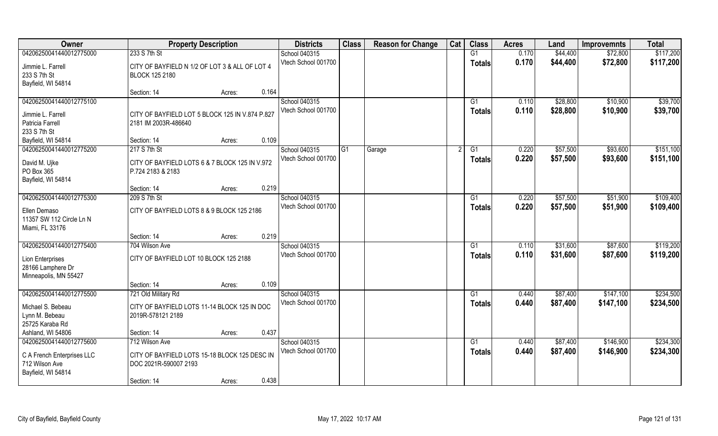| Owner                       | <b>Property Description</b>                                         |        |       | <b>Districts</b>    | <b>Class</b> | <b>Reason for Change</b> | Cat | <b>Class</b>    | <b>Acres</b> | Land     | <b>Improvemnts</b> | <b>Total</b> |
|-----------------------------|---------------------------------------------------------------------|--------|-------|---------------------|--------------|--------------------------|-----|-----------------|--------------|----------|--------------------|--------------|
| 04206250041440012775000     | 233 S 7th St                                                        |        |       | School 040315       |              |                          |     | G1              | 0.170        | \$44,400 | \$72,800           | \$117,200    |
| Jimmie L. Farrell           | CITY OF BAYFIELD N 1/2 OF LOT 3 & ALL OF LOT 4                      |        |       | Vtech School 001700 |              |                          |     | <b>Totals</b>   | 0.170        | \$44,400 | \$72,800           | \$117,200    |
| 233 S 7th St                | <b>BLOCK 125 2180</b>                                               |        |       |                     |              |                          |     |                 |              |          |                    |              |
| Bayfield, WI 54814          |                                                                     |        |       |                     |              |                          |     |                 |              |          |                    |              |
|                             | Section: 14                                                         | Acres: | 0.164 |                     |              |                          |     |                 |              |          |                    |              |
| 04206250041440012775100     |                                                                     |        |       | School 040315       |              |                          |     | G1              | 0.110        | \$28,800 | \$10,900           | \$39,700     |
| Jimmie L. Farrell           | CITY OF BAYFIELD LOT 5 BLOCK 125 IN V.874 P.827                     |        |       | Vtech School 001700 |              |                          |     | Totals          | 0.110        | \$28,800 | \$10,900           | \$39,700     |
| Patricia Farrell            | 2181 IM 2003R-486640                                                |        |       |                     |              |                          |     |                 |              |          |                    |              |
| 233 S 7th St                |                                                                     |        |       |                     |              |                          |     |                 |              |          |                    |              |
| Bayfield, WI 54814          | Section: 14                                                         | Acres: | 0.109 |                     |              |                          |     |                 |              |          |                    |              |
| 04206250041440012775200     | 217 S 7th St                                                        |        |       | School 040315       | G1           | Garage                   |     | G1              | 0.220        | \$57,500 | \$93,600           | \$151,100    |
|                             |                                                                     |        |       | Vtech School 001700 |              |                          |     | <b>Totals</b>   | 0.220        | \$57,500 | \$93,600           | \$151,100    |
| David M. Ujke<br>PO Box 365 | CITY OF BAYFIELD LOTS 6 & 7 BLOCK 125 IN V.972<br>P.724 2183 & 2183 |        |       |                     |              |                          |     |                 |              |          |                    |              |
| Bayfield, WI 54814          |                                                                     |        |       |                     |              |                          |     |                 |              |          |                    |              |
|                             | Section: 14                                                         | Acres: | 0.219 |                     |              |                          |     |                 |              |          |                    |              |
| 04206250041440012775300     | 209 S 7th St                                                        |        |       | School 040315       |              |                          |     | G1              | 0.220        | \$57,500 | \$51,900           | \$109,400    |
|                             |                                                                     |        |       | Vtech School 001700 |              |                          |     | <b>Totals</b>   | 0.220        | \$57,500 | \$51,900           | \$109,400    |
| Ellen Demaso                | CITY OF BAYFIELD LOTS 8 & 9 BLOCK 125 2186                          |        |       |                     |              |                          |     |                 |              |          |                    |              |
| 11357 SW 112 Circle Ln N    |                                                                     |        |       |                     |              |                          |     |                 |              |          |                    |              |
| Miami, FL 33176             | Section: 14                                                         |        | 0.219 |                     |              |                          |     |                 |              |          |                    |              |
| 04206250041440012775400     | 704 Wilson Ave                                                      | Acres: |       | School 040315       |              |                          |     | $\overline{G1}$ | 0.110        | \$31,600 | \$87,600           | \$119,200    |
|                             |                                                                     |        |       | Vtech School 001700 |              |                          |     |                 | 0.110        | \$31,600 | \$87,600           | \$119,200    |
| Lion Enterprises            | CITY OF BAYFIELD LOT 10 BLOCK 125 2188                              |        |       |                     |              |                          |     | <b>Totals</b>   |              |          |                    |              |
| 28166 Lamphere Dr           |                                                                     |        |       |                     |              |                          |     |                 |              |          |                    |              |
| Minneapolis, MN 55427       |                                                                     |        |       |                     |              |                          |     |                 |              |          |                    |              |
|                             | Section: 14                                                         | Acres: | 0.109 |                     |              |                          |     |                 |              |          |                    |              |
| 04206250041440012775500     | 721 Old Military Rd                                                 |        |       | School 040315       |              |                          |     | G1              | 0.440        | \$87,400 | \$147,100          | \$234,500    |
| Michael S. Bebeau           | CITY OF BAYFIELD LOTS 11-14 BLOCK 125 IN DOC                        |        |       | Vtech School 001700 |              |                          |     | <b>Totals</b>   | 0.440        | \$87,400 | \$147,100          | \$234,500    |
| Lynn M. Bebeau              | 2019R-578121 2189                                                   |        |       |                     |              |                          |     |                 |              |          |                    |              |
| 25725 Karaba Rd             |                                                                     |        |       |                     |              |                          |     |                 |              |          |                    |              |
| Ashland, WI 54806           | Section: 14                                                         | Acres: | 0.437 |                     |              |                          |     |                 |              |          |                    |              |
| 04206250041440012775600     | 712 Wilson Ave                                                      |        |       | School 040315       |              |                          |     | G1              | 0.440        | \$87,400 | \$146,900          | \$234,300    |
| C A French Enterprises LLC  | CITY OF BAYFIELD LOTS 15-18 BLOCK 125 DESC IN                       |        |       | Vtech School 001700 |              |                          |     | <b>Totals</b>   | 0.440        | \$87,400 | \$146,900          | \$234,300    |
| 712 Wilson Ave              | DOC 2021R-590007 2193                                               |        |       |                     |              |                          |     |                 |              |          |                    |              |
| Bayfield, WI 54814          |                                                                     |        |       |                     |              |                          |     |                 |              |          |                    |              |
|                             | Section: 14                                                         | Acres: | 0.438 |                     |              |                          |     |                 |              |          |                    |              |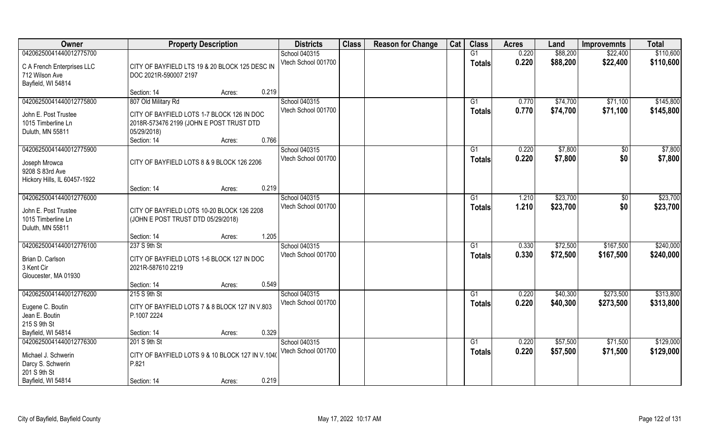| Owner                          | <b>Property Description</b>                                     | <b>Districts</b>    | <b>Class</b> | <b>Reason for Change</b> | Cat | <b>Class</b>   | <b>Acres</b> | Land     | <b>Improvemnts</b> | <b>Total</b> |
|--------------------------------|-----------------------------------------------------------------|---------------------|--------------|--------------------------|-----|----------------|--------------|----------|--------------------|--------------|
| 04206250041440012775700        |                                                                 | School 040315       |              |                          |     | G1             | 0.220        | \$88,200 | \$22,400           | \$110,600    |
| C A French Enterprises LLC     | CITY OF BAYFIELD LTS 19 & 20 BLOCK 125 DESC IN                  | Vtech School 001700 |              |                          |     | <b>Totals</b>  | 0.220        | \$88,200 | \$22,400           | \$110,600    |
| 712 Wilson Ave                 | DOC 2021R-590007 2197                                           |                     |              |                          |     |                |              |          |                    |              |
| Bayfield, WI 54814             |                                                                 |                     |              |                          |     |                |              |          |                    |              |
|                                | 0.219<br>Section: 14<br>Acres:                                  |                     |              |                          |     |                |              |          |                    |              |
| 04206250041440012775800        | 807 Old Military Rd                                             | School 040315       |              |                          |     | G <sub>1</sub> | 0.770        | \$74,700 | \$71,100           | \$145,800    |
|                                |                                                                 | Vtech School 001700 |              |                          |     | <b>Totals</b>  | 0.770        | \$74,700 | \$71,100           | \$145,800    |
| John E. Post Trustee           | CITY OF BAYFIELD LOTS 1-7 BLOCK 126 IN DOC                      |                     |              |                          |     |                |              |          |                    |              |
| 1015 Timberline Ln             | 2018R-573476 2199 (JOHN E POST TRUST DTD                        |                     |              |                          |     |                |              |          |                    |              |
| Duluth, MN 55811               | 05/29/2018)<br>0.766<br>Section: 14<br>Acres:                   |                     |              |                          |     |                |              |          |                    |              |
| 04206250041440012775900        |                                                                 | School 040315       |              |                          |     | G1             | 0.220        | \$7,800  | $\sqrt{50}$        | \$7,800      |
|                                |                                                                 | Vtech School 001700 |              |                          |     |                | 0.220        | \$7,800  | \$0                |              |
| Joseph Mrowca                  | CITY OF BAYFIELD LOTS 8 & 9 BLOCK 126 2206                      |                     |              |                          |     | <b>Totals</b>  |              |          |                    | \$7,800      |
| 9208 S 83rd Ave                |                                                                 |                     |              |                          |     |                |              |          |                    |              |
| Hickory Hills, IL 60457-1922   |                                                                 |                     |              |                          |     |                |              |          |                    |              |
|                                | 0.219<br>Section: 14<br>Acres:                                  |                     |              |                          |     |                |              |          |                    |              |
| 04206250041440012776000        |                                                                 | School 040315       |              |                          |     | G1             | 1.210        | \$23,700 | $\sqrt{50}$        | \$23,700     |
| John E. Post Trustee           | CITY OF BAYFIELD LOTS 10-20 BLOCK 126 2208                      | Vtech School 001700 |              |                          |     | <b>Totals</b>  | 1.210        | \$23,700 | \$0                | \$23,700     |
| 1015 Timberline Ln             | (JOHN E POST TRUST DTD 05/29/2018)                              |                     |              |                          |     |                |              |          |                    |              |
| Duluth, MN 55811               |                                                                 |                     |              |                          |     |                |              |          |                    |              |
|                                | 1.205<br>Section: 14<br>Acres:                                  |                     |              |                          |     |                |              |          |                    |              |
| 04206250041440012776100        | 237 S 9th St                                                    | School 040315       |              |                          |     | G1             | 0.330        | \$72,500 | \$167,500          | \$240,000    |
|                                |                                                                 | Vtech School 001700 |              |                          |     | <b>Totals</b>  | 0.330        | \$72,500 | \$167,500          | \$240,000    |
| Brian D. Carlson<br>3 Kent Cir | CITY OF BAYFIELD LOTS 1-6 BLOCK 127 IN DOC<br>2021R-587610 2219 |                     |              |                          |     |                |              |          |                    |              |
| Gloucester, MA 01930           |                                                                 |                     |              |                          |     |                |              |          |                    |              |
|                                | 0.549<br>Section: 14<br>Acres:                                  |                     |              |                          |     |                |              |          |                    |              |
| 04206250041440012776200        | 215 S 9th St                                                    | School 040315       |              |                          |     | G1             | 0.220        | \$40,300 | \$273,500          | \$313,800    |
|                                |                                                                 | Vtech School 001700 |              |                          |     | <b>Totals</b>  | 0.220        | \$40,300 | \$273,500          | \$313,800    |
| Eugene C. Boutin               | CITY OF BAYFIELD LOTS 7 & 8 BLOCK 127 IN V.803                  |                     |              |                          |     |                |              |          |                    |              |
| Jean E. Boutin                 | P.1007 2224                                                     |                     |              |                          |     |                |              |          |                    |              |
| 215 S 9th St                   |                                                                 |                     |              |                          |     |                |              |          |                    |              |
| Bayfield, WI 54814             | 0.329<br>Section: 14<br>Acres:                                  |                     |              |                          |     |                |              |          |                    |              |
| 04206250041440012776300        | 201 S 9th St                                                    | School 040315       |              |                          |     | G1             | 0.220        | \$57,500 | \$71,500           | \$129,000    |
| Michael J. Schwerin            | CITY OF BAYFIELD LOTS 9 & 10 BLOCK 127 IN V.1040                | Vtech School 001700 |              |                          |     | <b>Totals</b>  | 0.220        | \$57,500 | \$71,500           | \$129,000    |
| Darcy S. Schwerin              | P.821                                                           |                     |              |                          |     |                |              |          |                    |              |
| 201 S 9th St                   |                                                                 |                     |              |                          |     |                |              |          |                    |              |
| Bayfield, WI 54814             | 0.219<br>Section: 14<br>Acres:                                  |                     |              |                          |     |                |              |          |                    |              |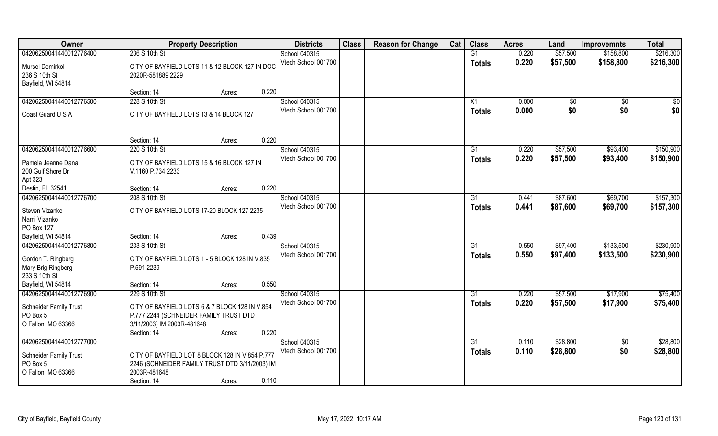| \$57,500<br>04206250041440012776400<br>236 S 10th St<br>G1<br>0.220<br>\$158,800<br>\$216,300<br>School 040315<br>Vtech School 001700<br>0.220<br>\$57,500<br>\$158,800<br>\$216,300<br><b>Totals</b><br>Mursel Demirkol<br>CITY OF BAYFIELD LOTS 11 & 12 BLOCK 127 IN DOC<br>236 S 10th St<br>2020R-581889 2229<br>Bayfield, WI 54814<br>0.220<br>Section: 14<br>Acres:<br>04206250041440012776500<br>228 S 10th St<br>School 040315<br>0.000<br>\$0<br>$\sqrt{50}$<br>X1<br>$\sqrt[6]{}$<br>Vtech School 001700<br>0.000<br>\$0<br>\$0<br>\$0 <br><b>Totals</b><br>Coast Guard U S A<br>CITY OF BAYFIELD LOTS 13 & 14 BLOCK 127<br>0.220<br>Section: 14<br>Acres:<br>\$150,900<br>04206250041440012776600<br>220 S 10th St<br>School 040315<br>0.220<br>\$57,500<br>\$93,400<br>G1<br>Vtech School 001700<br>0.220<br>\$57,500<br>\$93,400<br>\$150,900<br><b>Totals</b><br>CITY OF BAYFIELD LOTS 15 & 16 BLOCK 127 IN<br>Pamela Jeanne Dana<br>200 Gulf Shore Dr<br>V.1160 P.734 2233<br>Apt 323<br>0.220<br>Destin, FL 32541<br>Section: 14<br>Acres:<br>\$157,300<br>04206250041440012776700<br>School 040315<br>\$87,600<br>\$69,700<br>208 S 10th St<br>0.441<br>G1<br>Vtech School 001700<br>0.441<br>\$87,600<br>\$69,700<br>\$157,300<br><b>Totals</b><br>Steven Vizanko<br>CITY OF BAYFIELD LOTS 17-20 BLOCK 127 2235<br>Nami Vizanko<br>PO Box 127<br>0.439<br>Bayfield, WI 54814<br>Section: 14<br>Acres:<br>\$230,900<br>\$133,500<br>04206250041440012776800<br>233 S 10th St<br>School 040315<br>0.550<br>\$97,400<br>G1<br>0.550<br>\$97,400<br>Vtech School 001700<br>\$133,500<br>\$230,900<br><b>Totals</b><br>Gordon T. Ringberg<br>CITY OF BAYFIELD LOTS 1 - 5 BLOCK 128 IN V.835<br>Mary Brig Ringberg<br>P.591 2239<br>233 S 10th St<br>0.550<br>Bayfield, WI 54814<br>Section: 14<br>Acres:<br>School 040315<br>\$57,500<br>\$75,400<br>04206250041440012776900<br>229 S 10th St<br>0.220<br>\$17,900<br>G1<br>\$17,900<br>Vtech School 001700<br>0.220<br>\$57,500<br><b>Totals</b><br>Schneider Family Trust<br>CITY OF BAYFIELD LOTS 6 & 7 BLOCK 128 IN V.854<br>PO Box 5<br>P.777 2244 (SCHNEIDER FAMILY TRUST DTD<br>O Fallon, MO 63366<br>3/11/2003) IM 2003R-481648<br>0.220<br>Section: 14<br>Acres:<br>04206250041440012777000<br>School 040315<br>$\overline{G1}$<br>0.110<br>\$28,800<br>$\sqrt{$0}$<br>Vtech School 001700<br>0.110<br>\$28,800<br>\$0<br>\$28,800<br><b>Totals</b><br>Schneider Family Trust<br>CITY OF BAYFIELD LOT 8 BLOCK 128 IN V.854 P.777<br>PO Box 5<br>2246 (SCHNEIDER FAMILY TRUST DTD 3/11/2003) IM<br>2003R-481648<br>O Fallon, MO 63366<br>0.110 | Owner | <b>Property Description</b> | <b>Districts</b> | <b>Class</b> | <b>Reason for Change</b> | Cat | <b>Class</b> | <b>Acres</b> | Land | <b>Improvemnts</b> | <b>Total</b> |
|--------------------------------------------------------------------------------------------------------------------------------------------------------------------------------------------------------------------------------------------------------------------------------------------------------------------------------------------------------------------------------------------------------------------------------------------------------------------------------------------------------------------------------------------------------------------------------------------------------------------------------------------------------------------------------------------------------------------------------------------------------------------------------------------------------------------------------------------------------------------------------------------------------------------------------------------------------------------------------------------------------------------------------------------------------------------------------------------------------------------------------------------------------------------------------------------------------------------------------------------------------------------------------------------------------------------------------------------------------------------------------------------------------------------------------------------------------------------------------------------------------------------------------------------------------------------------------------------------------------------------------------------------------------------------------------------------------------------------------------------------------------------------------------------------------------------------------------------------------------------------------------------------------------------------------------------------------------------------------------------------------------------------------------------------------------------------------------------------------------------------------------------------------------------------------------------------------------------------------------------------------------------------------------------------------------------------------------------------------------------------------------------------------------------------------------------------------------------------------------------------------------------------------------------------------------------------------------------------------------------|-------|-----------------------------|------------------|--------------|--------------------------|-----|--------------|--------------|------|--------------------|--------------|
|                                                                                                                                                                                                                                                                                                                                                                                                                                                                                                                                                                                                                                                                                                                                                                                                                                                                                                                                                                                                                                                                                                                                                                                                                                                                                                                                                                                                                                                                                                                                                                                                                                                                                                                                                                                                                                                                                                                                                                                                                                                                                                                                                                                                                                                                                                                                                                                                                                                                                                                                                                                                                    |       |                             |                  |              |                          |     |              |              |      |                    |              |
|                                                                                                                                                                                                                                                                                                                                                                                                                                                                                                                                                                                                                                                                                                                                                                                                                                                                                                                                                                                                                                                                                                                                                                                                                                                                                                                                                                                                                                                                                                                                                                                                                                                                                                                                                                                                                                                                                                                                                                                                                                                                                                                                                                                                                                                                                                                                                                                                                                                                                                                                                                                                                    |       |                             |                  |              |                          |     |              |              |      |                    |              |
|                                                                                                                                                                                                                                                                                                                                                                                                                                                                                                                                                                                                                                                                                                                                                                                                                                                                                                                                                                                                                                                                                                                                                                                                                                                                                                                                                                                                                                                                                                                                                                                                                                                                                                                                                                                                                                                                                                                                                                                                                                                                                                                                                                                                                                                                                                                                                                                                                                                                                                                                                                                                                    |       |                             |                  |              |                          |     |              |              |      |                    |              |
|                                                                                                                                                                                                                                                                                                                                                                                                                                                                                                                                                                                                                                                                                                                                                                                                                                                                                                                                                                                                                                                                                                                                                                                                                                                                                                                                                                                                                                                                                                                                                                                                                                                                                                                                                                                                                                                                                                                                                                                                                                                                                                                                                                                                                                                                                                                                                                                                                                                                                                                                                                                                                    |       |                             |                  |              |                          |     |              |              |      |                    |              |
|                                                                                                                                                                                                                                                                                                                                                                                                                                                                                                                                                                                                                                                                                                                                                                                                                                                                                                                                                                                                                                                                                                                                                                                                                                                                                                                                                                                                                                                                                                                                                                                                                                                                                                                                                                                                                                                                                                                                                                                                                                                                                                                                                                                                                                                                                                                                                                                                                                                                                                                                                                                                                    |       |                             |                  |              |                          |     |              |              |      |                    |              |
|                                                                                                                                                                                                                                                                                                                                                                                                                                                                                                                                                                                                                                                                                                                                                                                                                                                                                                                                                                                                                                                                                                                                                                                                                                                                                                                                                                                                                                                                                                                                                                                                                                                                                                                                                                                                                                                                                                                                                                                                                                                                                                                                                                                                                                                                                                                                                                                                                                                                                                                                                                                                                    |       |                             |                  |              |                          |     |              |              |      |                    |              |
|                                                                                                                                                                                                                                                                                                                                                                                                                                                                                                                                                                                                                                                                                                                                                                                                                                                                                                                                                                                                                                                                                                                                                                                                                                                                                                                                                                                                                                                                                                                                                                                                                                                                                                                                                                                                                                                                                                                                                                                                                                                                                                                                                                                                                                                                                                                                                                                                                                                                                                                                                                                                                    |       |                             |                  |              |                          |     |              |              |      |                    |              |
|                                                                                                                                                                                                                                                                                                                                                                                                                                                                                                                                                                                                                                                                                                                                                                                                                                                                                                                                                                                                                                                                                                                                                                                                                                                                                                                                                                                                                                                                                                                                                                                                                                                                                                                                                                                                                                                                                                                                                                                                                                                                                                                                                                                                                                                                                                                                                                                                                                                                                                                                                                                                                    |       |                             |                  |              |                          |     |              |              |      |                    |              |
|                                                                                                                                                                                                                                                                                                                                                                                                                                                                                                                                                                                                                                                                                                                                                                                                                                                                                                                                                                                                                                                                                                                                                                                                                                                                                                                                                                                                                                                                                                                                                                                                                                                                                                                                                                                                                                                                                                                                                                                                                                                                                                                                                                                                                                                                                                                                                                                                                                                                                                                                                                                                                    |       |                             |                  |              |                          |     |              |              |      |                    |              |
|                                                                                                                                                                                                                                                                                                                                                                                                                                                                                                                                                                                                                                                                                                                                                                                                                                                                                                                                                                                                                                                                                                                                                                                                                                                                                                                                                                                                                                                                                                                                                                                                                                                                                                                                                                                                                                                                                                                                                                                                                                                                                                                                                                                                                                                                                                                                                                                                                                                                                                                                                                                                                    |       |                             |                  |              |                          |     |              |              |      |                    |              |
|                                                                                                                                                                                                                                                                                                                                                                                                                                                                                                                                                                                                                                                                                                                                                                                                                                                                                                                                                                                                                                                                                                                                                                                                                                                                                                                                                                                                                                                                                                                                                                                                                                                                                                                                                                                                                                                                                                                                                                                                                                                                                                                                                                                                                                                                                                                                                                                                                                                                                                                                                                                                                    |       |                             |                  |              |                          |     |              |              |      |                    |              |
|                                                                                                                                                                                                                                                                                                                                                                                                                                                                                                                                                                                                                                                                                                                                                                                                                                                                                                                                                                                                                                                                                                                                                                                                                                                                                                                                                                                                                                                                                                                                                                                                                                                                                                                                                                                                                                                                                                                                                                                                                                                                                                                                                                                                                                                                                                                                                                                                                                                                                                                                                                                                                    |       |                             |                  |              |                          |     |              |              |      |                    |              |
|                                                                                                                                                                                                                                                                                                                                                                                                                                                                                                                                                                                                                                                                                                                                                                                                                                                                                                                                                                                                                                                                                                                                                                                                                                                                                                                                                                                                                                                                                                                                                                                                                                                                                                                                                                                                                                                                                                                                                                                                                                                                                                                                                                                                                                                                                                                                                                                                                                                                                                                                                                                                                    |       |                             |                  |              |                          |     |              |              |      |                    |              |
|                                                                                                                                                                                                                                                                                                                                                                                                                                                                                                                                                                                                                                                                                                                                                                                                                                                                                                                                                                                                                                                                                                                                                                                                                                                                                                                                                                                                                                                                                                                                                                                                                                                                                                                                                                                                                                                                                                                                                                                                                                                                                                                                                                                                                                                                                                                                                                                                                                                                                                                                                                                                                    |       |                             |                  |              |                          |     |              |              |      |                    |              |
|                                                                                                                                                                                                                                                                                                                                                                                                                                                                                                                                                                                                                                                                                                                                                                                                                                                                                                                                                                                                                                                                                                                                                                                                                                                                                                                                                                                                                                                                                                                                                                                                                                                                                                                                                                                                                                                                                                                                                                                                                                                                                                                                                                                                                                                                                                                                                                                                                                                                                                                                                                                                                    |       |                             |                  |              |                          |     |              |              |      |                    |              |
|                                                                                                                                                                                                                                                                                                                                                                                                                                                                                                                                                                                                                                                                                                                                                                                                                                                                                                                                                                                                                                                                                                                                                                                                                                                                                                                                                                                                                                                                                                                                                                                                                                                                                                                                                                                                                                                                                                                                                                                                                                                                                                                                                                                                                                                                                                                                                                                                                                                                                                                                                                                                                    |       |                             |                  |              |                          |     |              |              |      |                    |              |
|                                                                                                                                                                                                                                                                                                                                                                                                                                                                                                                                                                                                                                                                                                                                                                                                                                                                                                                                                                                                                                                                                                                                                                                                                                                                                                                                                                                                                                                                                                                                                                                                                                                                                                                                                                                                                                                                                                                                                                                                                                                                                                                                                                                                                                                                                                                                                                                                                                                                                                                                                                                                                    |       |                             |                  |              |                          |     |              |              |      |                    |              |
|                                                                                                                                                                                                                                                                                                                                                                                                                                                                                                                                                                                                                                                                                                                                                                                                                                                                                                                                                                                                                                                                                                                                                                                                                                                                                                                                                                                                                                                                                                                                                                                                                                                                                                                                                                                                                                                                                                                                                                                                                                                                                                                                                                                                                                                                                                                                                                                                                                                                                                                                                                                                                    |       |                             |                  |              |                          |     |              |              |      |                    |              |
|                                                                                                                                                                                                                                                                                                                                                                                                                                                                                                                                                                                                                                                                                                                                                                                                                                                                                                                                                                                                                                                                                                                                                                                                                                                                                                                                                                                                                                                                                                                                                                                                                                                                                                                                                                                                                                                                                                                                                                                                                                                                                                                                                                                                                                                                                                                                                                                                                                                                                                                                                                                                                    |       |                             |                  |              |                          |     |              |              |      |                    |              |
|                                                                                                                                                                                                                                                                                                                                                                                                                                                                                                                                                                                                                                                                                                                                                                                                                                                                                                                                                                                                                                                                                                                                                                                                                                                                                                                                                                                                                                                                                                                                                                                                                                                                                                                                                                                                                                                                                                                                                                                                                                                                                                                                                                                                                                                                                                                                                                                                                                                                                                                                                                                                                    |       |                             |                  |              |                          |     |              |              |      |                    |              |
|                                                                                                                                                                                                                                                                                                                                                                                                                                                                                                                                                                                                                                                                                                                                                                                                                                                                                                                                                                                                                                                                                                                                                                                                                                                                                                                                                                                                                                                                                                                                                                                                                                                                                                                                                                                                                                                                                                                                                                                                                                                                                                                                                                                                                                                                                                                                                                                                                                                                                                                                                                                                                    |       |                             |                  |              |                          |     |              |              |      |                    |              |
|                                                                                                                                                                                                                                                                                                                                                                                                                                                                                                                                                                                                                                                                                                                                                                                                                                                                                                                                                                                                                                                                                                                                                                                                                                                                                                                                                                                                                                                                                                                                                                                                                                                                                                                                                                                                                                                                                                                                                                                                                                                                                                                                                                                                                                                                                                                                                                                                                                                                                                                                                                                                                    |       |                             |                  |              |                          |     |              |              |      |                    |              |
|                                                                                                                                                                                                                                                                                                                                                                                                                                                                                                                                                                                                                                                                                                                                                                                                                                                                                                                                                                                                                                                                                                                                                                                                                                                                                                                                                                                                                                                                                                                                                                                                                                                                                                                                                                                                                                                                                                                                                                                                                                                                                                                                                                                                                                                                                                                                                                                                                                                                                                                                                                                                                    |       |                             |                  |              |                          |     |              |              |      |                    |              |
|                                                                                                                                                                                                                                                                                                                                                                                                                                                                                                                                                                                                                                                                                                                                                                                                                                                                                                                                                                                                                                                                                                                                                                                                                                                                                                                                                                                                                                                                                                                                                                                                                                                                                                                                                                                                                                                                                                                                                                                                                                                                                                                                                                                                                                                                                                                                                                                                                                                                                                                                                                                                                    |       |                             |                  |              |                          |     |              |              |      |                    |              |
|                                                                                                                                                                                                                                                                                                                                                                                                                                                                                                                                                                                                                                                                                                                                                                                                                                                                                                                                                                                                                                                                                                                                                                                                                                                                                                                                                                                                                                                                                                                                                                                                                                                                                                                                                                                                                                                                                                                                                                                                                                                                                                                                                                                                                                                                                                                                                                                                                                                                                                                                                                                                                    |       |                             |                  |              |                          |     |              |              |      |                    |              |
| \$75,400<br>\$28,800                                                                                                                                                                                                                                                                                                                                                                                                                                                                                                                                                                                                                                                                                                                                                                                                                                                                                                                                                                                                                                                                                                                                                                                                                                                                                                                                                                                                                                                                                                                                                                                                                                                                                                                                                                                                                                                                                                                                                                                                                                                                                                                                                                                                                                                                                                                                                                                                                                                                                                                                                                                               |       |                             |                  |              |                          |     |              |              |      |                    |              |
|                                                                                                                                                                                                                                                                                                                                                                                                                                                                                                                                                                                                                                                                                                                                                                                                                                                                                                                                                                                                                                                                                                                                                                                                                                                                                                                                                                                                                                                                                                                                                                                                                                                                                                                                                                                                                                                                                                                                                                                                                                                                                                                                                                                                                                                                                                                                                                                                                                                                                                                                                                                                                    |       |                             |                  |              |                          |     |              |              |      |                    |              |
|                                                                                                                                                                                                                                                                                                                                                                                                                                                                                                                                                                                                                                                                                                                                                                                                                                                                                                                                                                                                                                                                                                                                                                                                                                                                                                                                                                                                                                                                                                                                                                                                                                                                                                                                                                                                                                                                                                                                                                                                                                                                                                                                                                                                                                                                                                                                                                                                                                                                                                                                                                                                                    |       |                             |                  |              |                          |     |              |              |      |                    |              |
|                                                                                                                                                                                                                                                                                                                                                                                                                                                                                                                                                                                                                                                                                                                                                                                                                                                                                                                                                                                                                                                                                                                                                                                                                                                                                                                                                                                                                                                                                                                                                                                                                                                                                                                                                                                                                                                                                                                                                                                                                                                                                                                                                                                                                                                                                                                                                                                                                                                                                                                                                                                                                    |       |                             |                  |              |                          |     |              |              |      |                    |              |
|                                                                                                                                                                                                                                                                                                                                                                                                                                                                                                                                                                                                                                                                                                                                                                                                                                                                                                                                                                                                                                                                                                                                                                                                                                                                                                                                                                                                                                                                                                                                                                                                                                                                                                                                                                                                                                                                                                                                                                                                                                                                                                                                                                                                                                                                                                                                                                                                                                                                                                                                                                                                                    |       |                             |                  |              |                          |     |              |              |      |                    |              |
|                                                                                                                                                                                                                                                                                                                                                                                                                                                                                                                                                                                                                                                                                                                                                                                                                                                                                                                                                                                                                                                                                                                                                                                                                                                                                                                                                                                                                                                                                                                                                                                                                                                                                                                                                                                                                                                                                                                                                                                                                                                                                                                                                                                                                                                                                                                                                                                                                                                                                                                                                                                                                    |       |                             |                  |              |                          |     |              |              |      |                    |              |
|                                                                                                                                                                                                                                                                                                                                                                                                                                                                                                                                                                                                                                                                                                                                                                                                                                                                                                                                                                                                                                                                                                                                                                                                                                                                                                                                                                                                                                                                                                                                                                                                                                                                                                                                                                                                                                                                                                                                                                                                                                                                                                                                                                                                                                                                                                                                                                                                                                                                                                                                                                                                                    |       |                             |                  |              |                          |     |              |              |      |                    |              |
|                                                                                                                                                                                                                                                                                                                                                                                                                                                                                                                                                                                                                                                                                                                                                                                                                                                                                                                                                                                                                                                                                                                                                                                                                                                                                                                                                                                                                                                                                                                                                                                                                                                                                                                                                                                                                                                                                                                                                                                                                                                                                                                                                                                                                                                                                                                                                                                                                                                                                                                                                                                                                    |       |                             |                  |              |                          |     |              |              |      |                    |              |
|                                                                                                                                                                                                                                                                                                                                                                                                                                                                                                                                                                                                                                                                                                                                                                                                                                                                                                                                                                                                                                                                                                                                                                                                                                                                                                                                                                                                                                                                                                                                                                                                                                                                                                                                                                                                                                                                                                                                                                                                                                                                                                                                                                                                                                                                                                                                                                                                                                                                                                                                                                                                                    |       |                             |                  |              |                          |     |              |              |      |                    |              |
|                                                                                                                                                                                                                                                                                                                                                                                                                                                                                                                                                                                                                                                                                                                                                                                                                                                                                                                                                                                                                                                                                                                                                                                                                                                                                                                                                                                                                                                                                                                                                                                                                                                                                                                                                                                                                                                                                                                                                                                                                                                                                                                                                                                                                                                                                                                                                                                                                                                                                                                                                                                                                    |       | Section: 14<br>Acres:       |                  |              |                          |     |              |              |      |                    |              |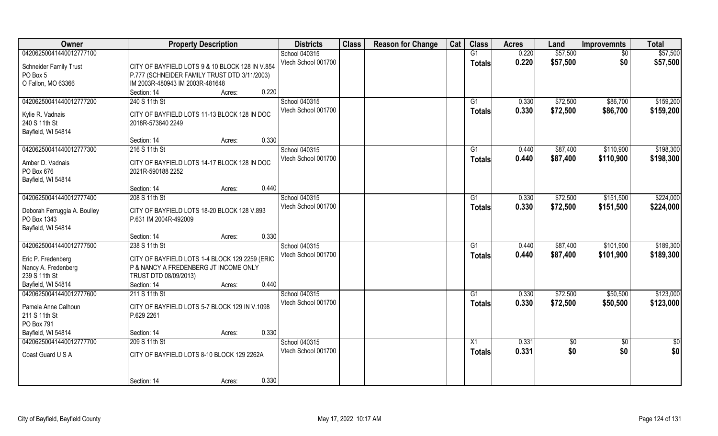| Owner                                | <b>Property Description</b>                     | <b>Districts</b>    | <b>Class</b> | <b>Reason for Change</b> | Cat | <b>Class</b>    | <b>Acres</b> | Land     | <b>Improvemnts</b> | <b>Total</b> |
|--------------------------------------|-------------------------------------------------|---------------------|--------------|--------------------------|-----|-----------------|--------------|----------|--------------------|--------------|
| 04206250041440012777100              |                                                 | School 040315       |              |                          |     | G1              | 0.220        | \$57,500 | \$0                | \$57,500     |
| Schneider Family Trust               | CITY OF BAYFIELD LOTS 9 & 10 BLOCK 128 IN V.854 | Vtech School 001700 |              |                          |     | <b>Totals</b>   | 0.220        | \$57,500 | \$0                | \$57,500     |
| PO Box 5                             | P.777 (SCHNEIDER FAMILY TRUST DTD 3/11/2003)    |                     |              |                          |     |                 |              |          |                    |              |
| O Fallon, MO 63366                   | IM 2003R-480943 IM 2003R-481648                 |                     |              |                          |     |                 |              |          |                    |              |
|                                      | 0.220<br>Section: 14<br>Acres:                  |                     |              |                          |     |                 |              |          |                    |              |
| 04206250041440012777200              | 240 S 11th St                                   | School 040315       |              |                          |     | G1              | 0.330        | \$72,500 | \$86,700           | \$159,200    |
|                                      |                                                 | Vtech School 001700 |              |                          |     | <b>Totals</b>   | 0.330        | \$72,500 | \$86,700           | \$159,200    |
| Kylie R. Vadnais                     | CITY OF BAYFIELD LOTS 11-13 BLOCK 128 IN DOC    |                     |              |                          |     |                 |              |          |                    |              |
| 240 S 11th St                        | 2018R-573840 2249                               |                     |              |                          |     |                 |              |          |                    |              |
| Bayfield, WI 54814                   |                                                 |                     |              |                          |     |                 |              |          |                    |              |
|                                      | 0.330<br>Section: 14<br>Acres:                  |                     |              |                          |     |                 |              |          |                    |              |
| 04206250041440012777300              | 216 S 11th St                                   | School 040315       |              |                          |     | G1              | 0.440        | \$87,400 | \$110,900          | \$198,300    |
| Amber D. Vadnais                     | CITY OF BAYFIELD LOTS 14-17 BLOCK 128 IN DOC    | Vtech School 001700 |              |                          |     | <b>Totals</b>   | 0.440        | \$87,400 | \$110,900          | \$198,300    |
| PO Box 676                           | 2021R-590188 2252                               |                     |              |                          |     |                 |              |          |                    |              |
| Bayfield, WI 54814                   |                                                 |                     |              |                          |     |                 |              |          |                    |              |
|                                      | 0.440<br>Section: 14<br>Acres:                  |                     |              |                          |     |                 |              |          |                    |              |
| 04206250041440012777400              | 208 S 11th St                                   | School 040315       |              |                          |     | G1              | 0.330        | \$72,500 | \$151,500          | \$224,000    |
|                                      |                                                 | Vtech School 001700 |              |                          |     | <b>Totals</b>   | 0.330        | \$72,500 | \$151,500          | \$224,000    |
| Deborah Ferruggia A. Boulley         | CITY OF BAYFIELD LOTS 18-20 BLOCK 128 V.893     |                     |              |                          |     |                 |              |          |                    |              |
| PO Box 1343                          | P.631 IM 2004R-492009                           |                     |              |                          |     |                 |              |          |                    |              |
| Bayfield, WI 54814                   |                                                 |                     |              |                          |     |                 |              |          |                    |              |
|                                      | 0.330<br>Section: 14<br>Acres:                  |                     |              |                          |     |                 |              |          |                    |              |
| 04206250041440012777500              | 238 S 11th St                                   | School 040315       |              |                          |     | G1              | 0.440        | \$87,400 | \$101,900          | \$189,300    |
| Eric P. Fredenberg                   | CITY OF BAYFIELD LOTS 1-4 BLOCK 129 2259 (ERIC  | Vtech School 001700 |              |                          |     | <b>Totals</b>   | 0.440        | \$87,400 | \$101,900          | \$189,300    |
| Nancy A. Fredenberg                  | P & NANCY A FREDENBERG JT INCOME ONLY           |                     |              |                          |     |                 |              |          |                    |              |
| 239 S 11th St                        | TRUST DTD 08/09/2013)                           |                     |              |                          |     |                 |              |          |                    |              |
| Bayfield, WI 54814                   | 0.440<br>Section: 14<br>Acres:                  |                     |              |                          |     |                 |              |          |                    |              |
| 04206250041440012777600              | 211 S 11th St                                   | School 040315       |              |                          |     | G1              | 0.330        | \$72,500 | \$50,500           | \$123,000    |
|                                      |                                                 | Vtech School 001700 |              |                          |     | <b>Totals</b>   | 0.330        | \$72,500 | \$50,500           | \$123,000    |
| Pamela Anne Calhoun<br>211 S 11th St | CITY OF BAYFIELD LOTS 5-7 BLOCK 129 IN V.1098   |                     |              |                          |     |                 |              |          |                    |              |
| PO Box 791                           | P.629 2261                                      |                     |              |                          |     |                 |              |          |                    |              |
| Bayfield, WI 54814                   | 0.330<br>Section: 14<br>Acres:                  |                     |              |                          |     |                 |              |          |                    |              |
| 04206250041440012777700              | 209 S 11th St                                   | School 040315       |              |                          |     | $\overline{X1}$ | 0.331        | \$0      | $\sqrt[6]{}$       | \$0          |
|                                      |                                                 | Vtech School 001700 |              |                          |     |                 | 0.331        | \$0      |                    |              |
| Coast Guard U S A                    | CITY OF BAYFIELD LOTS 8-10 BLOCK 129 2262A      |                     |              |                          |     | <b>Totals</b>   |              |          | \$0                | \$0          |
|                                      |                                                 |                     |              |                          |     |                 |              |          |                    |              |
|                                      |                                                 |                     |              |                          |     |                 |              |          |                    |              |
|                                      | 0.330<br>Section: 14<br>Acres:                  |                     |              |                          |     |                 |              |          |                    |              |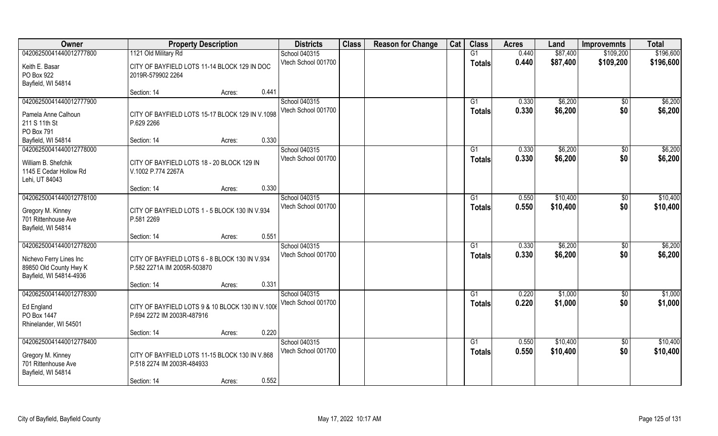| Owner                                                                                                   | <b>Property Description</b>                                                                                     | <b>Districts</b>                     | <b>Class</b> | <b>Reason for Change</b> | Cat | <b>Class</b>        | <b>Acres</b>   | Land                 | <b>Improvemnts</b>     | <b>Total</b>         |
|---------------------------------------------------------------------------------------------------------|-----------------------------------------------------------------------------------------------------------------|--------------------------------------|--------------|--------------------------|-----|---------------------|----------------|----------------------|------------------------|----------------------|
| 04206250041440012777800                                                                                 | 1121 Old Military Rd                                                                                            | School 040315                        |              |                          |     | G1                  | 0.440          | \$87,400             | \$109,200              | \$196,600            |
| Keith E. Basar<br>PO Box 922<br>Bayfield, WI 54814                                                      | CITY OF BAYFIELD LOTS 11-14 BLOCK 129 IN DOC<br>2019R-579902 2264                                               | Vtech School 001700                  |              |                          |     | <b>Totals</b>       | 0.440          | \$87,400             | \$109,200              | \$196,600            |
|                                                                                                         | 0.441<br>Section: 14<br>Acres:                                                                                  |                                      |              |                          |     |                     |                |                      |                        |                      |
| 04206250041440012777900<br>Pamela Anne Calhoun<br>211 S 11th St<br>PO Box 791                           | CITY OF BAYFIELD LOTS 15-17 BLOCK 129 IN V.1098<br>P.629 2266                                                   | School 040315<br>Vtech School 001700 |              |                          |     | G1<br>Totals        | 0.330<br>0.330 | \$6,200<br>\$6,200   | \$0<br>\$0             | \$6,200<br>\$6,200   |
| Bayfield, WI 54814                                                                                      | 0.330<br>Section: 14<br>Acres:                                                                                  |                                      |              |                          |     |                     |                |                      |                        |                      |
| 04206250041440012778000<br>William B. Shefchik<br>1145 E Cedar Hollow Rd<br>Lehi, UT 84043              | CITY OF BAYFIELD LOTS 18 - 20 BLOCK 129 IN<br>V.1002 P.774 2267A                                                | School 040315<br>Vtech School 001700 |              |                          |     | G1<br><b>Totals</b> | 0.330<br>0.330 | \$6,200<br>\$6,200   | $\sqrt[6]{3}$<br>\$0   | \$6,200<br>\$6,200   |
|                                                                                                         | 0.330<br>Section: 14<br>Acres:                                                                                  |                                      |              |                          |     |                     |                |                      |                        |                      |
| 04206250041440012778100<br>Gregory M. Kinney<br>701 Rittenhouse Ave<br>Bayfield, WI 54814               | CITY OF BAYFIELD LOTS 1 - 5 BLOCK 130 IN V.934<br>P.581 2269                                                    | School 040315<br>Vtech School 001700 |              |                          |     | G1<br><b>Totals</b> | 0.550<br>0.550 | \$10,400<br>\$10,400 | \$0<br>\$0             | \$10,400<br>\$10,400 |
|                                                                                                         | 0.551<br>Section: 14<br>Acres:                                                                                  |                                      |              |                          |     |                     |                |                      |                        |                      |
| 04206250041440012778200<br>Nichevo Ferry Lines Inc<br>89850 Old County Hwy K<br>Bayfield, WI 54814-4936 | CITY OF BAYFIELD LOTS 6 - 8 BLOCK 130 IN V.934<br>P.582 2271A IM 2005R-503870<br>0.331<br>Section: 14<br>Acres: | School 040315<br>Vtech School 001700 |              |                          |     | G1<br><b>Totals</b> | 0.330<br>0.330 | \$6,200<br>\$6,200   | \$0<br>\$0             | \$6,200<br>\$6,200   |
| 04206250041440012778300                                                                                 |                                                                                                                 | School 040315                        |              |                          |     | G1                  | 0.220          | \$1,000              | $\sqrt{$0}$            | \$1,000              |
| Ed England<br>PO Box 1447<br>Rhinelander, WI 54501                                                      | CITY OF BAYFIELD LOTS 9 & 10 BLOCK 130 IN V.1006<br>P.694 2272 IM 2003R-487916                                  | Vtech School 001700                  |              |                          |     | <b>Totals</b>       | 0.220          | \$1,000              | \$0                    | \$1,000              |
|                                                                                                         | 0.220<br>Section: 14<br>Acres:                                                                                  |                                      |              |                          |     |                     |                |                      |                        |                      |
| 04206250041440012778400<br>Gregory M. Kinney<br>701 Rittenhouse Ave<br>Bayfield, WI 54814               | CITY OF BAYFIELD LOTS 11-15 BLOCK 130 IN V.868<br>P.518 2274 IM 2003R-484933<br>0.552<br>Section: 14<br>Acres:  | School 040315<br>Vtech School 001700 |              |                          |     | G1<br>Totals        | 0.550<br>0.550 | \$10,400<br>\$10,400 | $\overline{50}$<br>\$0 | \$10,400<br>\$10,400 |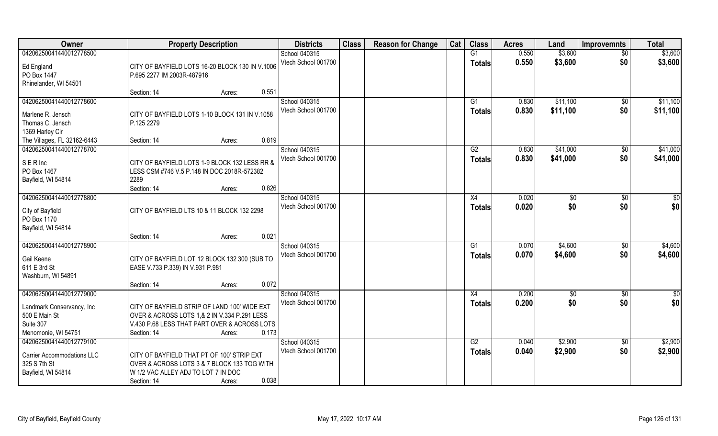| <b>Owner</b>                                                                   | <b>Property Description</b>                                                                                                                                                    | <b>Districts</b>                     | <b>Class</b> | <b>Reason for Change</b> | Cat | <b>Class</b>                    | <b>Acres</b>   | Land                 | <b>Improvemnts</b>    | <b>Total</b>         |
|--------------------------------------------------------------------------------|--------------------------------------------------------------------------------------------------------------------------------------------------------------------------------|--------------------------------------|--------------|--------------------------|-----|---------------------------------|----------------|----------------------|-----------------------|----------------------|
| 04206250041440012778500                                                        |                                                                                                                                                                                | School 040315                        |              |                          |     | G1                              | 0.550          | \$3,600              | $\overline{50}$       | \$3,600              |
| Ed England<br>PO Box 1447<br>Rhinelander, WI 54501                             | CITY OF BAYFIELD LOTS 16-20 BLOCK 130 IN V.1006<br>P.695 2277 IM 2003R-487916                                                                                                  | Vtech School 001700                  |              |                          |     | <b>Totals</b>                   | 0.550          | \$3,600              | \$0                   | \$3,600              |
|                                                                                | 0.551<br>Section: 14<br>Acres:                                                                                                                                                 |                                      |              |                          |     |                                 |                |                      |                       |                      |
| 04206250041440012778600<br>Marlene R. Jensch                                   | CITY OF BAYFIELD LOTS 1-10 BLOCK 131 IN V.1058                                                                                                                                 | School 040315<br>Vtech School 001700 |              |                          |     | G <sub>1</sub><br><b>Totals</b> | 0.830<br>0.830 | \$11,100<br>\$11,100 | \$0<br>\$0            | \$11,100<br>\$11,100 |
| Thomas C. Jensch<br>1369 Harley Cir                                            | P.125 2279                                                                                                                                                                     |                                      |              |                          |     |                                 |                |                      |                       |                      |
| The Villages, FL 32162-6443                                                    | 0.819<br>Section: 14<br>Acres:                                                                                                                                                 |                                      |              |                          |     |                                 |                |                      |                       |                      |
| 04206250041440012778700                                                        |                                                                                                                                                                                | School 040315                        |              |                          |     | G2                              | 0.830          | \$41,000             | $\sqrt[6]{3}$         | \$41,000             |
| SERInc<br>PO Box 1467<br>Bayfield, WI 54814                                    | CITY OF BAYFIELD LOTS 1-9 BLOCK 132 LESS RR &<br>LESS CSM #746 V.5 P.148 IN DOC 2018R-572382<br>2289                                                                           | Vtech School 001700                  |              |                          |     | <b>Totals</b>                   | 0.830          | \$41,000             | \$0                   | \$41,000             |
|                                                                                | 0.826<br>Section: 14<br>Acres:                                                                                                                                                 |                                      |              |                          |     |                                 |                |                      |                       |                      |
| 04206250041440012778800<br>City of Bayfield<br>PO Box 1170                     | CITY OF BAYFIELD LTS 10 & 11 BLOCK 132 2298                                                                                                                                    | School 040315<br>Vtech School 001700 |              |                          |     | X4<br><b>Totals</b>             | 0.020<br>0.020 | $\sqrt[6]{3}$<br>\$0 | \$0<br>\$0            | \$0<br>\$0           |
| Bayfield, WI 54814                                                             | 0.021<br>Section: 14<br>Acres:                                                                                                                                                 |                                      |              |                          |     |                                 |                |                      |                       |                      |
| 04206250041440012778900                                                        |                                                                                                                                                                                | School 040315<br>Vtech School 001700 |              |                          |     | G1<br><b>Totals</b>             | 0.070<br>0.070 | \$4,600<br>\$4,600   | $\sqrt[6]{30}$<br>\$0 | \$4,600<br>\$4,600   |
| Gail Keene<br>611 E 3rd St<br>Washburn, WI 54891                               | CITY OF BAYFIELD LOT 12 BLOCK 132 300 (SUB TO<br>EASE V.733 P.339) IN V.931 P.981                                                                                              |                                      |              |                          |     |                                 |                |                      |                       |                      |
|                                                                                | 0.072<br>Section: 14<br>Acres:                                                                                                                                                 |                                      |              |                          |     |                                 |                |                      |                       |                      |
| 04206250041440012779000                                                        |                                                                                                                                                                                | School 040315                        |              |                          |     | X4                              | 0.200          | $\sqrt{6}$           | \$0                   | \$0                  |
| Landmark Conservancy, Inc<br>500 E Main St<br>Suite 307<br>Menomonie, WI 54751 | CITY OF BAYFIELD STRIP OF LAND 100' WIDE EXT<br>OVER & ACROSS LOTS 1,& 2 IN V.334 P.291 LESS<br>V.430 P.68 LESS THAT PART OVER & ACROSS LOTS<br>0.173<br>Section: 14<br>Acres: | Vtech School 001700                  |              |                          |     | <b>Totals</b>                   | 0.200          | \$0                  | \$0                   | \$0                  |
| 04206250041440012779100                                                        |                                                                                                                                                                                | School 040315                        |              |                          |     | G2                              | 0.040          | \$2,900              | $\overline{50}$       | \$2,900              |
| <b>Carrier Accommodations LLC</b><br>325 S 7th St<br>Bayfield, WI 54814        | CITY OF BAYFIELD THAT PT OF 100' STRIP EXT<br>OVER & ACROSS LOTS 3 & 7 BLOCK 133 TOG WITH<br>W 1/2 VAC ALLEY ADJ TO LOT 7 IN DOC<br>0.038<br>Section: 14<br>Acres:             | Vtech School 001700                  |              |                          |     | <b>Totals</b>                   | 0.040          | \$2,900              | \$0                   | \$2,900              |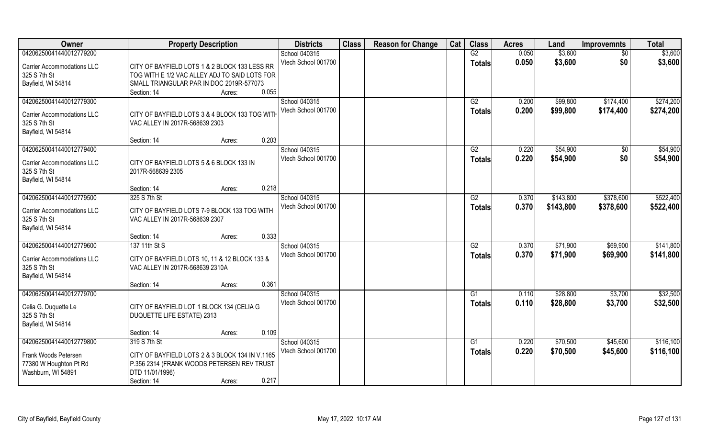| Owner                             | <b>Property Description</b>                     | <b>Districts</b>    | <b>Class</b> | <b>Reason for Change</b> | Cat | <b>Class</b>    | <b>Acres</b> | Land      | <b>Improvemnts</b> | <b>Total</b> |
|-----------------------------------|-------------------------------------------------|---------------------|--------------|--------------------------|-----|-----------------|--------------|-----------|--------------------|--------------|
| 04206250041440012779200           |                                                 | School 040315       |              |                          |     | G2              | 0.050        | \$3,600   | $\overline{50}$    | \$3,600      |
| <b>Carrier Accommodations LLC</b> | CITY OF BAYFIELD LOTS 1 & 2 BLOCK 133 LESS RR   | Vtech School 001700 |              |                          |     | <b>Totals</b>   | 0.050        | \$3,600   | \$0                | \$3,600      |
| 325 S 7th St                      | TOG WITH E 1/2 VAC ALLEY ADJ TO SAID LOTS FOR   |                     |              |                          |     |                 |              |           |                    |              |
| Bayfield, WI 54814                | SMALL TRIANGULAR PAR IN DOC 2019R-577073        |                     |              |                          |     |                 |              |           |                    |              |
|                                   | Section: 14<br>0.055<br>Acres:                  |                     |              |                          |     |                 |              |           |                    |              |
| 04206250041440012779300           |                                                 | School 040315       |              |                          |     | G2              | 0.200        | \$99,800  | \$174,400          | \$274,200    |
|                                   |                                                 | Vtech School 001700 |              |                          |     | <b>Totals</b>   | 0.200        | \$99,800  | \$174,400          | \$274,200    |
| <b>Carrier Accommodations LLC</b> | CITY OF BAYFIELD LOTS 3 & 4 BLOCK 133 TOG WITH  |                     |              |                          |     |                 |              |           |                    |              |
| 325 S 7th St                      | VAC ALLEY IN 2017R-568639 2303                  |                     |              |                          |     |                 |              |           |                    |              |
| Bayfield, WI 54814                |                                                 |                     |              |                          |     |                 |              |           |                    |              |
|                                   | 0.203<br>Section: 14<br>Acres:                  |                     |              |                          |     |                 |              |           |                    |              |
| 04206250041440012779400           |                                                 | School 040315       |              |                          |     | G2              | 0.220        | \$54,900  | \$0                | \$54,900     |
| <b>Carrier Accommodations LLC</b> | CITY OF BAYFIELD LOTS 5 & 6 BLOCK 133 IN        | Vtech School 001700 |              |                          |     | <b>Totals</b>   | 0.220        | \$54,900  | \$0                | \$54,900     |
| 325 S 7th St                      | 2017R-568639 2305                               |                     |              |                          |     |                 |              |           |                    |              |
| Bayfield, WI 54814                |                                                 |                     |              |                          |     |                 |              |           |                    |              |
|                                   | 0.218<br>Section: 14<br>Acres:                  |                     |              |                          |     |                 |              |           |                    |              |
| 04206250041440012779500           | 325 S 7th St                                    | School 040315       |              |                          |     | G2              | 0.370        | \$143,800 | \$378,600          | \$522,400    |
|                                   |                                                 | Vtech School 001700 |              |                          |     | <b>Totals</b>   | 0.370        | \$143,800 | \$378,600          | \$522,400    |
| <b>Carrier Accommodations LLC</b> | CITY OF BAYFIELD LOTS 7-9 BLOCK 133 TOG WITH    |                     |              |                          |     |                 |              |           |                    |              |
| 325 S 7th St                      | VAC ALLEY IN 2017R-568639 2307                  |                     |              |                          |     |                 |              |           |                    |              |
| Bayfield, WI 54814                |                                                 |                     |              |                          |     |                 |              |           |                    |              |
|                                   | 0.333<br>Section: 14<br>Acres:                  |                     |              |                          |     |                 |              |           |                    |              |
| 04206250041440012779600           | 137 11th St S                                   | School 040315       |              |                          |     | $\overline{G2}$ | 0.370        | \$71,900  | \$69,900           | \$141,800    |
| <b>Carrier Accommodations LLC</b> | CITY OF BAYFIELD LOTS 10, 11 & 12 BLOCK 133 &   | Vtech School 001700 |              |                          |     | <b>Totals</b>   | 0.370        | \$71,900  | \$69,900           | \$141,800    |
| 325 S 7th St                      | VAC ALLEY IN 2017R-568639 2310A                 |                     |              |                          |     |                 |              |           |                    |              |
| Bayfield, WI 54814                |                                                 |                     |              |                          |     |                 |              |           |                    |              |
|                                   | 0.361<br>Section: 14<br>Acres:                  |                     |              |                          |     |                 |              |           |                    |              |
| 04206250041440012779700           |                                                 | School 040315       |              |                          |     | G1              | 0.110        | \$28,800  | \$3,700            | \$32,500     |
|                                   |                                                 | Vtech School 001700 |              |                          |     | <b>Totals</b>   | 0.110        | \$28,800  | \$3,700            | \$32,500     |
| Celia G. Duquette Le              | CITY OF BAYFIELD LOT 1 BLOCK 134 (CELIA G       |                     |              |                          |     |                 |              |           |                    |              |
| 325 S 7th St                      | DUQUETTE LIFE ESTATE) 2313                      |                     |              |                          |     |                 |              |           |                    |              |
| Bayfield, WI 54814                |                                                 |                     |              |                          |     |                 |              |           |                    |              |
|                                   | 0.109<br>Section: 14<br>Acres:                  |                     |              |                          |     |                 |              |           |                    |              |
| 04206250041440012779800           | 319 S 7th St                                    | School 040315       |              |                          |     | G1              | 0.220        | \$70,500  | \$45,600           | \$116,100    |
| Frank Woods Petersen              | CITY OF BAYFIELD LOTS 2 & 3 BLOCK 134 IN V.1165 | Vtech School 001700 |              |                          |     | Totals          | 0.220        | \$70,500  | \$45,600           | \$116,100    |
| 77380 W Houghton Pt Rd            | P.356 2314 (FRANK WOODS PETERSEN REV TRUST      |                     |              |                          |     |                 |              |           |                    |              |
| Washburn, WI 54891                | DTD 11/01/1996)                                 |                     |              |                          |     |                 |              |           |                    |              |
|                                   | 0.217<br>Section: 14<br>Acres:                  |                     |              |                          |     |                 |              |           |                    |              |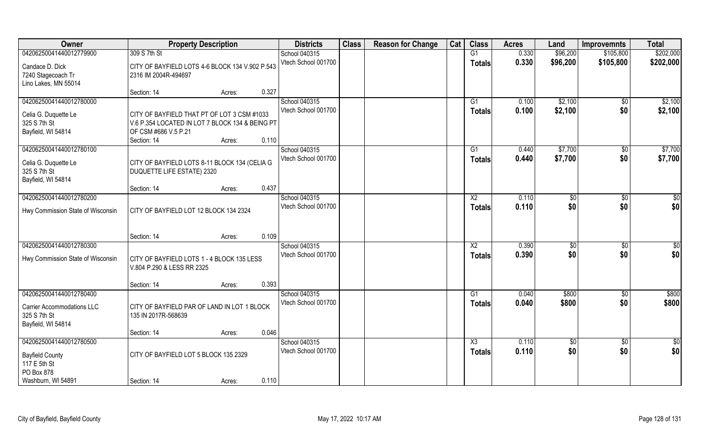| Owner                             | <b>Property Description</b>                     |        |       | <b>Districts</b>    | <b>Class</b> | <b>Reason for Change</b> | Cat | <b>Class</b>           | <b>Acres</b> | Land            | <b>Improvemnts</b> | <b>Total</b>  |
|-----------------------------------|-------------------------------------------------|--------|-------|---------------------|--------------|--------------------------|-----|------------------------|--------------|-----------------|--------------------|---------------|
| 04206250041440012779900           | 309 S 7th St                                    |        |       | School 040315       |              |                          |     | G1                     | 0.330        | \$96,200        | \$105,800          | \$202,000     |
| Candace D. Dick                   | CITY OF BAYFIELD LOTS 4-6 BLOCK 134 V.902 P.543 |        |       | Vtech School 001700 |              |                          |     | <b>Totals</b>          | 0.330        | \$96,200        | \$105,800          | \$202,000     |
| 7240 Stagecoach Tr                | 2316 IM 2004R-494697                            |        |       |                     |              |                          |     |                        |              |                 |                    |               |
| Lino Lakes, MN 55014              |                                                 |        |       |                     |              |                          |     |                        |              |                 |                    |               |
|                                   | Section: 14                                     | Acres: | 0.327 |                     |              |                          |     |                        |              |                 |                    |               |
| 04206250041440012780000           |                                                 |        |       | School 040315       |              |                          |     | G1                     | 0.100        | \$2,100         | $\sqrt{$0}$        | \$2,100       |
| Celia G. Duquette Le              | CITY OF BAYFIELD THAT PT OF LOT 3 CSM #1033     |        |       | Vtech School 001700 |              |                          |     | <b>Totals</b>          | 0.100        | \$2,100         | \$0                | \$2,100       |
| 325 S 7th St                      | V.6 P.354 LOCATED IN LOT 7 BLOCK 134 & BEING PT |        |       |                     |              |                          |     |                        |              |                 |                    |               |
| Bayfield, WI 54814                | OF CSM #686 V.5 P.21                            |        |       |                     |              |                          |     |                        |              |                 |                    |               |
|                                   | Section: 14                                     | Acres: | 0.110 |                     |              |                          |     |                        |              |                 |                    |               |
| 04206250041440012780100           |                                                 |        |       | School 040315       |              |                          |     | G1                     | 0.440        | \$7,700         | $\sqrt[6]{}$       | \$7,700       |
| Celia G. Duquette Le              | CITY OF BAYFIELD LOTS 8-11 BLOCK 134 (CELIA G   |        |       | Vtech School 001700 |              |                          |     | <b>Totals</b>          | 0.440        | \$7,700         | \$0                | \$7,700       |
| 325 S 7th St                      | DUQUETTE LIFE ESTATE) 2320                      |        |       |                     |              |                          |     |                        |              |                 |                    |               |
| Bayfield, WI 54814                |                                                 |        |       |                     |              |                          |     |                        |              |                 |                    |               |
|                                   | Section: 14                                     | Acres: | 0.437 |                     |              |                          |     |                        |              |                 |                    |               |
| 04206250041440012780200           |                                                 |        |       | School 040315       |              |                          |     | X <sub>2</sub>         | 0.110        | $\frac{1}{20}$  | \$0                | \$0           |
| Hwy Commission State of Wisconsin | CITY OF BAYFIELD LOT 12 BLOCK 134 2324          |        |       | Vtech School 001700 |              |                          |     | <b>Totals</b>          | 0.110        | \$0             | \$0                | \$0           |
|                                   |                                                 |        |       |                     |              |                          |     |                        |              |                 |                    |               |
|                                   |                                                 |        |       |                     |              |                          |     |                        |              |                 |                    |               |
|                                   | Section: 14                                     | Acres: | 0.109 |                     |              |                          |     |                        |              |                 |                    |               |
| 04206250041440012780300           |                                                 |        |       | School 040315       |              |                          |     | $\overline{\text{X2}}$ | 0.390        | \$              | \$0                | \$0           |
| Hwy Commission State of Wisconsin | CITY OF BAYFIELD LOTS 1 - 4 BLOCK 135 LESS      |        |       | Vtech School 001700 |              |                          |     | <b>Totals</b>          | 0.390        | \$0             | \$0                | \$0           |
|                                   | V.804 P.290 & LESS RR 2325                      |        |       |                     |              |                          |     |                        |              |                 |                    |               |
|                                   |                                                 |        |       |                     |              |                          |     |                        |              |                 |                    |               |
|                                   | Section: 14                                     | Acres: | 0.393 |                     |              |                          |     |                        |              |                 |                    |               |
| 04206250041440012780400           |                                                 |        |       | School 040315       |              |                          |     | G1                     | 0.040        | \$800           | \$0                | \$800         |
| <b>Carrier Accommodations LLC</b> | CITY OF BAYFIELD PAR OF LAND IN LOT 1 BLOCK     |        |       | Vtech School 001700 |              |                          |     | <b>Totals</b>          | 0.040        | \$800           | \$0                | \$800         |
| 325 S 7th St                      | 135 IN 2017R-568639                             |        |       |                     |              |                          |     |                        |              |                 |                    |               |
| Bayfield, WI 54814                |                                                 |        |       |                     |              |                          |     |                        |              |                 |                    |               |
|                                   | Section: 14                                     | Acres: | 0.046 |                     |              |                          |     |                        |              |                 |                    |               |
| 04206250041440012780500           |                                                 |        |       | School 040315       |              |                          |     | $\overline{\text{X3}}$ | 0.110        | $\overline{50}$ | $\overline{60}$    | $\frac{1}{2}$ |
| <b>Bayfield County</b>            | CITY OF BAYFIELD LOT 5 BLOCK 135 2329           |        |       | Vtech School 001700 |              |                          |     | <b>Totals</b>          | 0.110        | \$0             | \$0                | \$0           |
| 117 E 5th St                      |                                                 |        |       |                     |              |                          |     |                        |              |                 |                    |               |
| PO Box 878                        |                                                 |        |       |                     |              |                          |     |                        |              |                 |                    |               |
| Washburn, WI 54891                | Section: 14                                     | Acres: | 0.110 |                     |              |                          |     |                        |              |                 |                    |               |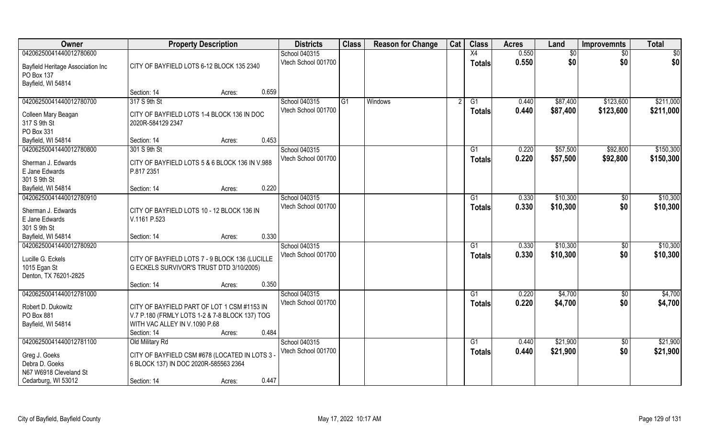| <b>Owner</b>                                                                          |                                                                                                                                               | <b>Property Description</b> |       | <b>Districts</b>                     | <b>Class</b> | <b>Reason for Change</b> | Cat | <b>Class</b>                     | <b>Acres</b>   | Land                 | <b>Improvemnts</b>     | <b>Total</b>         |
|---------------------------------------------------------------------------------------|-----------------------------------------------------------------------------------------------------------------------------------------------|-----------------------------|-------|--------------------------------------|--------------|--------------------------|-----|----------------------------------|----------------|----------------------|------------------------|----------------------|
| 04206250041440012780600                                                               |                                                                                                                                               |                             |       | School 040315                        |              |                          |     | X4                               | 0.550          | \$0                  | $\sqrt{6}$             | \$0                  |
| Bayfield Heritage Association Inc<br>PO Box 137<br>Bayfield, WI 54814                 | CITY OF BAYFIELD LOTS 6-12 BLOCK 135 2340                                                                                                     |                             |       | Vtech School 001700                  |              |                          |     | <b>Totals</b>                    | 0.550          | \$0                  | \$0                    | \$0                  |
|                                                                                       | Section: 14                                                                                                                                   | Acres:                      | 0.659 |                                      |              |                          |     |                                  |                |                      |                        |                      |
| 04206250041440012780700                                                               | 317 S 9th St                                                                                                                                  |                             |       | School 040315                        | G1           | <b>Windows</b>           |     | G1                               | 0.440          | \$87,400             | \$123,600              | \$211,000            |
| Colleen Mary Beagan<br>317 S 9th St<br>PO Box 331                                     | CITY OF BAYFIELD LOTS 1-4 BLOCK 136 IN DOC<br>2020R-584129 2347                                                                               |                             |       | Vtech School 001700                  |              |                          |     | Totals                           | 0.440          | \$87,400             | \$123,600              | \$211,000            |
| Bayfield, WI 54814                                                                    | Section: 14                                                                                                                                   | Acres:                      | 0.453 |                                      |              |                          |     |                                  |                |                      |                        |                      |
| 04206250041440012780800                                                               | 301 S 9th St                                                                                                                                  |                             |       | School 040315                        |              |                          |     | G1                               | 0.220          | \$57,500             | \$92,800               | \$150,300            |
| Sherman J. Edwards<br>E Jane Edwards<br>301 S 9th St                                  | CITY OF BAYFIELD LOTS 5 & 6 BLOCK 136 IN V.988<br>P.817 2351                                                                                  |                             |       | Vtech School 001700                  |              |                          |     | <b>Totals</b>                    | 0.220          | \$57,500             | \$92,800               | \$150,300            |
| Bayfield, WI 54814                                                                    | Section: 14                                                                                                                                   | Acres:                      | 0.220 |                                      |              |                          |     |                                  |                |                      |                        |                      |
| 04206250041440012780910                                                               |                                                                                                                                               |                             |       | School 040315                        |              |                          |     | G1                               | 0.330          | \$10,300             | $\sqrt{50}$            | \$10,300             |
| Sherman J. Edwards<br>E Jane Edwards<br>301 S 9th St                                  | CITY OF BAYFIELD LOTS 10 - 12 BLOCK 136 IN<br>V.1161 P.523                                                                                    |                             |       | Vtech School 001700                  |              |                          |     | <b>Totals</b>                    | 0.330          | \$10,300             | \$0                    | \$10,300             |
| Bayfield, WI 54814                                                                    | Section: 14                                                                                                                                   | Acres:                      | 0.330 |                                      |              |                          |     |                                  |                |                      |                        |                      |
| 04206250041440012780920<br>Lucille G. Eckels<br>1015 Egan St<br>Denton, TX 76201-2825 | CITY OF BAYFIELD LOTS 7 - 9 BLOCK 136 (LUCILLE<br>G ECKELS SURVIVOR'S TRUST DTD 3/10/2005)                                                    |                             |       | School 040315<br>Vtech School 001700 |              |                          |     | $\overline{G1}$<br><b>Totals</b> | 0.330<br>0.330 | \$10,300<br>\$10,300 | $\overline{50}$<br>\$0 | \$10,300<br>\$10,300 |
|                                                                                       | Section: 14                                                                                                                                   | Acres:                      | 0.350 |                                      |              |                          |     |                                  |                |                      |                        |                      |
| 04206250041440012781000                                                               |                                                                                                                                               |                             |       | School 040315                        |              |                          |     | G1                               | 0.220          | \$4,700              | \$0                    | \$4,700              |
| Robert D. Dukowitz<br>PO Box 881<br>Bayfield, WI 54814                                | CITY OF BAYFIELD PART OF LOT 1 CSM #1153 IN<br>V.7 P.180 (FRMLY LOTS 1-2 & 7-8 BLOCK 137) TOG<br>WITH VAC ALLEY IN V.1090 P.68<br>Section: 14 | Acres:                      | 0.484 | Vtech School 001700                  |              |                          |     | <b>Totals</b>                    | 0.220          | \$4,700              | \$0                    | \$4,700              |
| 04206250041440012781100                                                               | Old Military Rd                                                                                                                               |                             |       | School 040315                        |              |                          |     | $\overline{G1}$                  | 0.440          | \$21,900             | $\overline{50}$        | \$21,900             |
| Greg J. Goeks<br>Debra D. Goeks<br>N67 W6918 Cleveland St                             | CITY OF BAYFIELD CSM #678 (LOCATED IN LOTS 3<br>6 BLOCK 137) IN DOC 2020R-585563 2364                                                         |                             |       | Vtech School 001700                  |              |                          |     | <b>Totals</b>                    | 0.440          | \$21,900             | \$0                    | \$21,900             |
| Cedarburg, WI 53012                                                                   | Section: 14                                                                                                                                   | Acres:                      | 0.447 |                                      |              |                          |     |                                  |                |                      |                        |                      |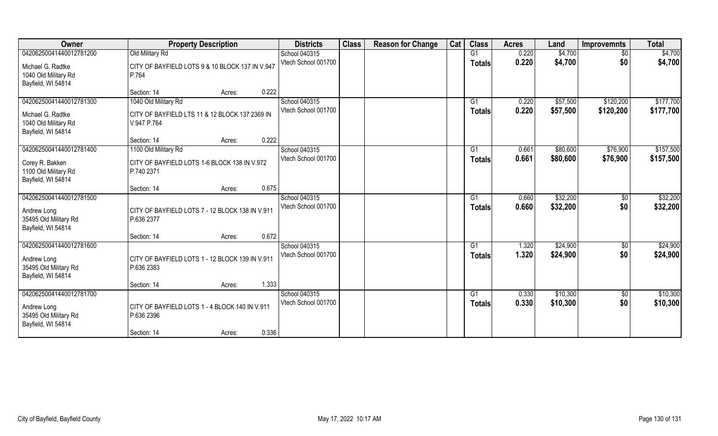| Owner                   | <b>Property Description</b>                     | <b>Districts</b>    | <b>Class</b> | <b>Reason for Change</b> | Cat | <b>Class</b>   | <b>Acres</b> | Land     | <b>Improvemnts</b> | <b>Total</b> |
|-------------------------|-------------------------------------------------|---------------------|--------------|--------------------------|-----|----------------|--------------|----------|--------------------|--------------|
| 04206250041440012781200 | Old Military Rd                                 | School 040315       |              |                          |     | G1             | 0.220        | \$4,700  | $\sqrt{6}$         | \$4,700      |
| Michael G. Radtke       | CITY OF BAYFIELD LOTS 9 & 10 BLOCK 137 IN V.947 | Vtech School 001700 |              |                          |     | Totals         | 0.220        | \$4,700  | \$0                | \$4,700      |
| 1040 Old Military Rd    | P.764                                           |                     |              |                          |     |                |              |          |                    |              |
| Bayfield, WI 54814      |                                                 |                     |              |                          |     |                |              |          |                    |              |
|                         | 0.222<br>Section: 14<br>Acres:                  |                     |              |                          |     |                |              |          |                    |              |
| 04206250041440012781300 | 1040 Old Military Rd                            | School 040315       |              |                          |     | G <sub>1</sub> | 0.220        | \$57,500 | \$120,200          | \$177,700    |
| Michael G. Radtke       | CITY OF BAYFIELD LTS 11 & 12 BLOCK 137 2369 IN  | Vtech School 001700 |              |                          |     | <b>Totals</b>  | 0.220        | \$57,500 | \$120,200          | \$177,700    |
| 1040 Old Military Rd    | V.947 P.764                                     |                     |              |                          |     |                |              |          |                    |              |
| Bayfield, WI 54814      |                                                 |                     |              |                          |     |                |              |          |                    |              |
|                         | 0.222<br>Section: 14<br>Acres:                  |                     |              |                          |     |                |              |          |                    |              |
| 04206250041440012781400 | 1100 Old Military Rd                            | School 040315       |              |                          |     | G1             | 0.661        | \$80,600 | \$76,900           | \$157,500    |
| Corey R. Bakken         | CITY OF BAYFIELD LOTS 1-6 BLOCK 138 IN V.972    | Vtech School 001700 |              |                          |     | <b>Totals</b>  | 0.661        | \$80,600 | \$76,900           | \$157,500    |
| 1100 Old Military Rd    | P.740 2371                                      |                     |              |                          |     |                |              |          |                    |              |
| Bayfield, WI 54814      |                                                 |                     |              |                          |     |                |              |          |                    |              |
|                         | 0.675<br>Section: 14<br>Acres:                  |                     |              |                          |     |                |              |          |                    |              |
| 04206250041440012781500 |                                                 | School 040315       |              |                          |     | G1             | 0.660        | \$32,200 | \$0                | \$32,200     |
| Andrew Long             | CITY OF BAYFIELD LOTS 7 - 12 BLOCK 138 IN V.911 | Vtech School 001700 |              |                          |     | <b>Totals</b>  | 0.660        | \$32,200 | \$0                | \$32,200     |
| 35495 Old Military Rd   | P.636 2377                                      |                     |              |                          |     |                |              |          |                    |              |
| Bayfield, WI 54814      |                                                 |                     |              |                          |     |                |              |          |                    |              |
|                         | 0.672<br>Section: 14<br>Acres:                  |                     |              |                          |     |                |              |          |                    |              |
| 04206250041440012781600 |                                                 | School 040315       |              |                          |     | G1             | 1.320        | \$24,900 | $\sqrt{50}$        | \$24,900     |
| Andrew Long             | CITY OF BAYFIELD LOTS 1 - 12 BLOCK 139 IN V.911 | Vtech School 001700 |              |                          |     | <b>Totals</b>  | 1.320        | \$24,900 | \$0                | \$24,900     |
| 35495 Old Military Rd   | P.636 2383                                      |                     |              |                          |     |                |              |          |                    |              |
| Bayfield, WI 54814      |                                                 |                     |              |                          |     |                |              |          |                    |              |
|                         | 1.333<br>Section: 14<br>Acres:                  |                     |              |                          |     |                |              |          |                    |              |
| 04206250041440012781700 |                                                 | School 040315       |              |                          |     | G1             | 0.330        | \$10,300 | $\sqrt{50}$        | \$10,300     |
| Andrew Long             | CITY OF BAYFIELD LOTS 1 - 4 BLOCK 140 IN V.911  | Vtech School 001700 |              |                          |     | <b>Totals</b>  | 0.330        | \$10,300 | \$0                | \$10,300     |
| 35495 Old Military Rd   | P.636 2396                                      |                     |              |                          |     |                |              |          |                    |              |
| Bayfield, WI 54814      |                                                 |                     |              |                          |     |                |              |          |                    |              |
|                         | 0.336<br>Section: 14<br>Acres:                  |                     |              |                          |     |                |              |          |                    |              |